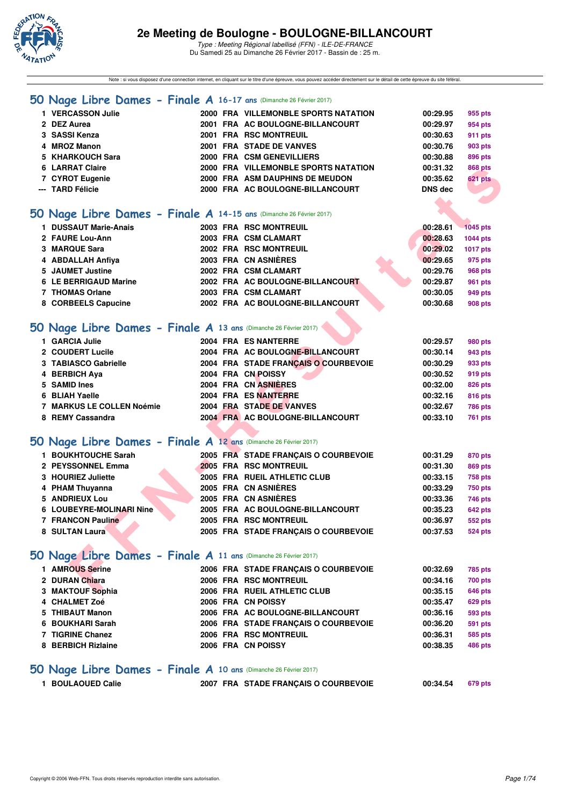

Note : si vous disposez d'une connection internet, en cliquant sur le titre d'une épreuve, vous pouvez accéder directement sur le détail de cette épreuve du site féféral.

#### **[50 Nage Libre Dames - Finale A](http://www.ffnatation.fr/webffn/resultats.php?idact=nat&go=epr&idcpt=42219&idepr=1) 16-17 ans** (Dimanche 26 Février 2017)

| <b>VERCASSON Julie</b> |  | 2000 FRA VILLEMONBLE SPORTS NATATION | 00:29.95       | 955 pts        |
|------------------------|--|--------------------------------------|----------------|----------------|
| 2 DEZ Aurea            |  | 2001 FRA AC BOULOGNE-BILLANCOURT     | 00:29.97       | 954 pts        |
| 3 SASSI Kenza          |  | 2001 FRA RSC MONTREUIL               | 00:30.63       | 911 pts        |
| 4 MROZ Manon           |  | 2001 FRA STADE DE VANVES             | 00:30.76       | 903 pts        |
| 5 KHARKOUCH Sara       |  | 2000 FRA CSM GENEVILLIERS            | 00:30.88       | 896 pts        |
| 6 LARRAT Claire        |  | 2000 FRA VILLEMONBLE SPORTS NATATION | 00:31.32       | <b>868 pts</b> |
| 7 CYROT Eugenie        |  | 2000 FRA ASM DAUPHINS DE MEUDON      | 00:35.62       | <b>621 pts</b> |
| --- TARD Félicie       |  | 2000 FRA AC BOULOGNE-BILLANCOURT     | <b>DNS</b> dec |                |
|                        |  |                                      |                |                |

#### **[50 Nage Libre Dames - Finale A](http://www.ffnatation.fr/webffn/resultats.php?idact=nat&go=epr&idcpt=42219&idepr=1) 14-15 ans** (Dimanche 26 Février 2017)

| 6 LARRAT Claire                                                     |                      | 2000 FRA VILLEMONBLE SPORTS NATATION | 00:31.32       | 868 pts         |
|---------------------------------------------------------------------|----------------------|--------------------------------------|----------------|-----------------|
| 7 CYROT Eugenie                                                     |                      | 2000 FRA ASM DAUPHINS DE MEUDON      | 00:35.62       | 621 pts         |
| --- TARD Félicie                                                    |                      | 2000 FRA AC BOULOGNE-BILLANCOURT     | <b>DNS dec</b> |                 |
|                                                                     |                      |                                      |                |                 |
| 50 Nage Libre Dames - Finale A 14-15 ans (Dimanche 26 Février 2017) |                      |                                      |                |                 |
| 1 DUSSAUT Marie-Anais                                               |                      | 2003 FRA RSC MONTREUIL               | 00:28.61       | <b>1045 pts</b> |
| 2 FAURE Lou-Ann                                                     | 2003 FRA CSM CLAMART |                                      | 00:28.63       | <b>1044 pts</b> |
| 3 MARQUE Sara                                                       |                      | 2002 FRA RSC MONTREUIL               | 00:29.02       | 1017 pts        |
| 4 ABDALLAH Anfiya                                                   | 2003 FRA CN ASNIERES |                                      | 00:29.65       | 975 pts         |
| 5 JAUMET Justine                                                    | 2002 FRA CSM CLAMART |                                      | 00:29.76       | <b>968 pts</b>  |
| 6 LE BERRIGAUD Marine                                               |                      | 2002 FRA AC BOULOGNE-BILLANCOURT     | 00:29.87       | 961 pts         |
| 7 THOMAS Orlane                                                     | 2003 FRA CSM CLAMART |                                      | 00:30.05       | 949 pts         |
| 8 CORBEELS Capucine                                                 |                      | 2002 FRA AC BOULOGNE-BILLANCOURT     | 00:30.68       | 908 pts         |
|                                                                     |                      |                                      |                |                 |
| 50 Nage Libre Dames - Finale A 13 ans (Dimanche 26 Février 2017)    |                      |                                      |                |                 |
| 1 GARCIA Julie                                                      | 2004 FRA ES NANTERRE |                                      | 00:29.57       | 980 pts         |
| 2 COUDERT Lucile                                                    |                      | 2004 FRA AC BOULOGNE-BILLANCOURT     | 00:30.14       | 943 pts         |
| 3 TABIASCO Gabrielle                                                |                      | 2004 FRA STADE FRANÇAIS O COURBEVOIE | 00:30.29       | 933 pts         |
| 4 BERBICH Aya                                                       | 2004 FRA CN POISSY   |                                      | 00:30.52       | 919 pts         |
| 5 SAMID Ines                                                        | 2004 FRA CN ASNIERES |                                      | 00:32.00       | <b>826 pts</b>  |
| 6 BLIAH Yaelle                                                      | 2004 FRA ES NANTERRE |                                      | 00:32.16       | 816 pts         |
| <b>7 MARKUS LE COLLEN Noémie</b>                                    |                      | 2004 FRA STADE DE VANVES             | 00:32.67       | <b>786 pts</b>  |
| 8 REMY Cassandra                                                    |                      | 2004 FRA AC BOULOGNE-BILLANCOURT     | 00:33.10       | <b>761 pts</b>  |
|                                                                     |                      |                                      |                |                 |
| 50 Nage Libre Dames - Finale A 12 ans (Dimanche 26 Février 2017)    |                      |                                      |                |                 |
| 1 BOUKHTOUCHE Sarah                                                 |                      | 2005 FRA STADE FRANÇAIS O COURBEVOIE | 00:31.29       | 870 pts         |
| 2 PEYSSONNEL Emma                                                   |                      | 2005 FRA RSC MONTREUIL               | 00:31.30       | <b>869 pts</b>  |
| 3 HOURIEZ Juliette                                                  |                      | 2005 FRA RUEIL ATHLETIC CLUB         | 00:33.15       | <b>758 pts</b>  |
| 4 PHAM Thuyanna                                                     | 2005 FRA CN ASNIÈRES |                                      | 00:33.29       | <b>750 pts</b>  |
| 5 ANDRIEUX Lou                                                      | 2005 FRA CN ASNIÈRES |                                      | 00:33.36       | 746 pts         |
| 6 LOUBEYRE-MOLINARI Nine                                            |                      | 2005 FRA AC BOULOGNE-BILLANCOURT     | 00:35.23       | 642 pts         |
| <b>7 FRANCON Pauline</b>                                            |                      | 2005 FRA RSC MONTREUIL               | 00:36.97       | 552 pts         |
| <b>8 SULTAN Laura</b>                                               |                      | 2005 FRA STADE FRANÇAIS O COURBEVOIE | 00:37.53       | <b>524 pts</b>  |
|                                                                     |                      |                                      |                |                 |
| 50 Nage Libre Dames - Finale A 11 ans (Dimanche 26 Février 2017)    |                      |                                      |                |                 |
| 1 AMROUS Serine                                                     |                      | 2006 FRA STADE FRANÇAIS O COURBEVOIE | 00:32.69       | 785 pts         |
| 2 DURAN Chiara                                                      |                      | 2006 FRA RSC MONTREUIL               | 00:34.16       | <b>700 pts</b>  |
| 3 MAKTOUF Sophia                                                    |                      | 2006 FRA RUEIL ATHLETIC CLUB         | 00:35.15       | 646 pts         |

## **[50 Nage Libre Dames - Finale A](http://www.ffnatation.fr/webffn/resultats.php?idact=nat&go=epr&idcpt=42219&idepr=1) 13 ans** (Dimanche 26 Février 2017)

| 1 GARCIA Julie            |  | 2004 FRA ES NANTERRE                 | 00:29.57 | 980 pts        |
|---------------------------|--|--------------------------------------|----------|----------------|
| 2 COUDERT Lucile          |  | 2004 FRA AC BOULOGNE-BILLANCOURT     | 00:30.14 | 943 pts        |
| 3 TABIASCO Gabrielle      |  | 2004 FRA STADE FRANCAIS O COURBEVOIE | 00:30.29 | 933 pts        |
| 4 BERBICH Aya             |  | 2004 FRA CN POISSY                   | 00:30.52 | 919 pts        |
| 5 SAMID Ines              |  | 2004 FRA CN ASNIÈRES                 | 00:32.00 | 826 pts        |
| 6 BLIAH Yaelle            |  | 2004 FRA ES NANTERRE                 | 00:32.16 | 816 pts        |
| 7 MARKUS LE COLLEN Noémie |  | 2004 FRA STADE DE VANVES             | 00:32.67 | <b>786 pts</b> |
| 8 REMY Cassandra          |  | 2004 FRA AC BOULOGNE-BILLANCOURT     | 00:33.10 | <b>761 pts</b> |
|                           |  |                                      |          |                |

## **[50 Nage Libre Dames - Finale A](http://www.ffnatation.fr/webffn/resultats.php?idact=nat&go=epr&idcpt=42219&idepr=1) 12 ans** (Dimanche 26 Février 2017)

| 1 BOUKHTOUCHE Sarah      | 2005 FRA STADE FRANCAIS O COURBEVOIE | 00:31.29<br>870 pts        |
|--------------------------|--------------------------------------|----------------------------|
| 2 PEYSSONNEL Emma        | <b>2005 FRA RSC MONTREUIL</b>        | 00:31.30<br>869 pts        |
| 3 HOURIEZ Juliette       | 2005 FRA RUEIL ATHLETIC CLUB         | 00:33.15<br>758 pts        |
| 4 PHAM Thuyanna          | 2005 FRA CN ASNIÈRES                 | <b>750 pts</b><br>00:33.29 |
| 5 ANDRIEUX Lou           | 2005 FRA CN ASNIÈRES                 | 00:33.36<br>746 pts        |
| 6 LOUBEYRE-MOLINARI Nine | 2005 FRA AC BOULOGNE-BILLANCOURT     | 642 pts<br>00:35.23        |
| 7 FRANCON Pauline        | 2005 FRA RSC MONTREUIL               | 00:36.97<br>552 pts        |
| 8 SULTAN Laura           | 2005 FRA STADE FRANCAIS O COURBEVOIE | <b>524 pts</b><br>00:37.53 |
|                          |                                      |                            |

# **[50 Nage Libre Dames - Finale A](http://www.ffnatation.fr/webffn/resultats.php?idact=nat&go=epr&idcpt=42219&idepr=1) 11 ans** (Dimanche 26 Février 2017)

| 1 AMROUS Serine    |  | 2006 FRA STADE FRANCAIS O COURBEVOIE | 00:32.69 | 785 pts        |
|--------------------|--|--------------------------------------|----------|----------------|
| 2 DURAN Chiara     |  | 2006 FRA RSC MONTREUIL               | 00:34.16 | <b>700 pts</b> |
| 3 MAKTOUF Sophia   |  | 2006 FRA RUEIL ATHLETIC CLUB         | 00:35.15 | 646 pts        |
| 4 CHALMET Zoé      |  | 2006 FRA CN POISSY                   | 00:35.47 | <b>629 pts</b> |
| 5 THIBAUT Manon    |  | 2006 FRA AC BOULOGNE-BILLANCOURT     | 00:36.16 | 593 pts        |
| 6 BOUKHARI Sarah   |  | 2006 FRA STADE FRANCAIS O COURBEVOIE | 00:36.20 | 591 pts        |
| 7 TIGRINE Chanez   |  | 2006 FRA RSC MONTREUIL               | 00:36.31 | 585 pts        |
| 8 BERBICH Rizlaine |  | 2006 FRA CN POISSY                   | 00:38.35 | 486 pts        |
|                    |  |                                      |          |                |

## **[50 Nage Libre Dames - Finale A](http://www.ffnatation.fr/webffn/resultats.php?idact=nat&go=epr&idcpt=42219&idepr=1) 10 ans** (Dimanche 26 Février 2017)

| <b>BOULAOUED Calie</b> | 2007 FRA STADE FRANÇAIS O COURBEVOIE | 00:34.54 | 679 pts |
|------------------------|--------------------------------------|----------|---------|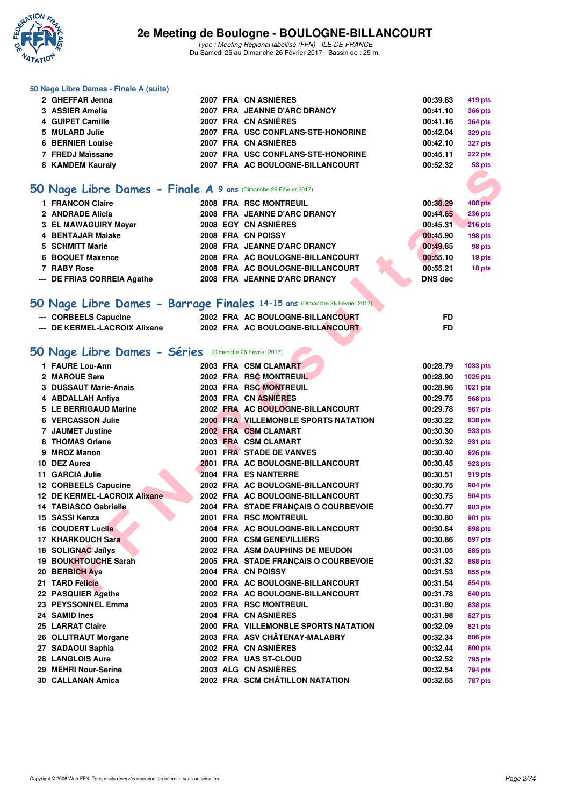

Type : Meeting Régional labellisé (FFN) - ILE-DE-FRANCE Du Samedi 25 au Dimanche 26 Février 2017 - Bassin de : 25 m.

#### **50 Nage Libre Dames - Finale A (suite)**

| 2 GHEFFAR Jenna         |  | 2007 FRA CN ASNIÈRES               | 00:39.83 | 419 pts        |
|-------------------------|--|------------------------------------|----------|----------------|
| 3 ASSIER Amelia         |  | 2007 FRA JEANNE D'ARC DRANCY       | 00:41.10 | <b>366 pts</b> |
| 4 GUIPET Camille        |  | 2007 FRA CN ASNIÈRES               | 00:41.16 | <b>364 pts</b> |
| 5 MULARD Julie          |  | 2007 FRA USC CONFLANS-STE-HONORINE | 00:42.04 | <b>329 pts</b> |
| <b>6 BERNIER Louise</b> |  | 2007 FRA CN ASNIÈRES               | 00:42.10 | <b>327 pts</b> |
| 7 FREDJ Maïssane        |  | 2007 FRA USC CONFLANS-STE-HONORINE | 00:45.11 | 222 pts        |
| 8 KAMDEM Kauraly        |  | 2007 FRA AC BOULOGNE-BILLANCOURT   | 00:52.32 | 53 pts         |
|                         |  |                                    |          |                |

## **[50 Nage Libre Dames - Finale A](http://www.ffnatation.fr/webffn/resultats.php?idact=nat&go=epr&idcpt=42219&idepr=1) 9 ans** (Dimanche 26 Février 2017)

| 1 FRANCON Claire            | 2008 FRA RSC MONTREUIL           | 00:38.29       | 488 pts        |
|-----------------------------|----------------------------------|----------------|----------------|
| 2 ANDRADE Alicia            | 2008 FRA JEANNE D'ARC DRANCY     | 00:44.65       | <b>236 pts</b> |
| 3 EL MAWAGUIRY Mayar        | 2008 EGY CN ASNIÈRES             | 00:45.31       | <b>216 pts</b> |
| 4 BENTAJAR Malake           | 2008 FRA CN POISSY               | 00:45.90       | 198 pts        |
| 5 SCHMITT Marie             | 2008 FRA JEANNE D'ARC DRANCY     | 00:49.85       | 98 pts         |
| 6 BOQUET Maxence            | 2008 FRA AC BOULOGNE-BILLANCOURT | 00:55.10       | 19 pts         |
| 7 RABY Rose                 | 2008 FRA AC BOULOGNE-BILLANCOURT | 00:55.21       | 18 pts         |
| --- DE FRIAS CORREIA Agathe | 2008 FRA JEANNE D'ARC DRANCY     | <b>DNS</b> dec |                |

## **[50 Nage Libre Dames - Barrage Finales](http://www.ffnatation.fr/webffn/resultats.php?idact=nat&go=epr&idcpt=42219&idepr=1) 14-15 ans** (Dimanche 26 Février 2017)

| --- CORBEELS Capucine         | 2002 FRA AC BOULOGNE-BILLANCOURT |  |
|-------------------------------|----------------------------------|--|
| --- DE KERMEL-LACROIX Alixane | 2002 FRA AC BOULOGNE-BILLANCOURT |  |

## **[50 Nage Libre Dames - Séries](http://www.ffnatation.fr/webffn/resultats.php?idact=nat&go=epr&idcpt=42219&idepr=1)** (Dimanche 26 Février 2017)

| <b>0 NAMPLIM NAMALI</b>                                                    |  | <b>FRAME BOOLOGNE-BILLANCOOR</b>           |                | ວວ µເຣ             |
|----------------------------------------------------------------------------|--|--------------------------------------------|----------------|--------------------|
|                                                                            |  |                                            |                |                    |
| 50 Nage Libre Dames - Finale A 9 ans (Dimanche 26 Février 2017)            |  |                                            |                |                    |
| 1 FRANCON Claire                                                           |  | 2008 FRA RSC MONTREUIL                     | 00:38.29       | 488 pts            |
| 2 ANDRADE Alicia                                                           |  | 2008 FRA JEANNE D'ARC DRANCY               | 00:44.65       | <b>236 pts</b>     |
| 3 EL MAWAGUIRY Mayar                                                       |  | 2008 EGY CN ASNIÈRES                       | 00:45.31       | <b>216 pts</b>     |
| 4 BENTAJAR Malake                                                          |  | 2008 FRA CN POISSY                         | 00:45.90       | 198 pts            |
| 5 SCHMITT Marie                                                            |  | 2008 FRA JEANNE D'ARC DRANCY               | 00:49.85       | 98 pts             |
| 6 BOQUET Maxence                                                           |  | 2008 FRA AC BOULOGNE-BILLANCOURT           | 00:55.10       | 19 pts             |
| 7 RABY Rose                                                                |  | 2008 FRA AC BOULOGNE-BILLANCOURT           | 00:55.21       | 18 pts             |
| --- DE FRIAS CORREIA Agathe                                                |  | 2008 FRA JEANNE D'ARC DRANCY               | <b>DNS</b> dec |                    |
| 50 Nage Libre Dames - Barrage Finales 14-15 ans (Dimanche 26 Février 2017) |  |                                            |                |                    |
|                                                                            |  |                                            |                |                    |
| --- CORBEELS Capucine                                                      |  | 2002 FRA AC BOULOGNE-BILLANCOURT           | FD             |                    |
| --- DE KERMEL-LACROIX Alixane                                              |  | 2002 FRA AC BOULOGNE-BILLANCOURT           | <b>FD</b>      |                    |
| 50 Nage Libre Dames - Séries (Dimanche 26 Février 2017)                    |  |                                            |                |                    |
| 1 FAURE Lou-Ann                                                            |  | 2003 FRA CSM CLAMART                       | 00:28.79       | 1033 pts           |
| 2 MARQUE Sara                                                              |  | 2002 FRA RSC MONTREUIL                     | 00:28.90       | 1025 pts           |
| 3 DUSSAUT Marie-Anais                                                      |  | 2003 FRA RSC MONTREUIL                     | 00:28.96       | 1021 pts           |
| 4 ABDALLAH Anfiya                                                          |  | 2003 FRA CN ASNIÈRES                       | 00:29.75       | 968 pts            |
| 5 LE BERRIGAUD Marine                                                      |  | 2002 FRA AC BOULOGNE-BILLANCOURT           | 00:29.78       | <b>967 pts</b>     |
| 6 VERCASSON Julie                                                          |  | <b>2000 FRANILLEMONBLE SPORTS NATATION</b> | 00:30.22       | 938 pts            |
| <b>7 JAUMET Justine</b>                                                    |  | 2002 FRA CSM CLAMART                       | 00:30.30       | 933 pts            |
| 8 THOMAS Orlane                                                            |  | 2003 FRA CSM CLAMART                       | 00:30.32       | 931 pts            |
| 9 MROZ Manon                                                               |  | 2001 FRA STADE DE VANVES                   | 00:30.40       |                    |
| 10 DEZ Aurea                                                               |  | 2001 FRA AC BOULOGNE-BILLANCOURT           | 00:30.45       | 926 pts<br>923 pts |
|                                                                            |  |                                            |                |                    |
| 11 GARCIA Julie                                                            |  | 2004 FRA ES NANTERRE                       | 00:30.51       | 919 pts            |
| 12 CORBEELS Capucine                                                       |  | 2002 FRA AC BOULOGNE-BILLANCOURT           | 00:30.75       | 904 pts            |
| 12 DE KERMEL-LACROIX Alixane                                               |  | 2002 FRA AC BOULOGNE-BILLANCOURT           | 00:30.75       | <b>904 pts</b>     |
| <b>14 TABIASCO Gabrielle</b>                                               |  | 2004 FRA STADE FRANÇAIS O COURBEVOIE       | 00:30.77       | <b>903 pts</b>     |
| 15 SASSI Kenza                                                             |  | <b>2001 FRA RSC MONTREUIL</b>              | 00:30.80       | 901 pts            |
| 16 COUDERT Lucile                                                          |  | 2004 FRA AC BOULOGNE-BILLANCOURT           | 00:30.84       | 898 pts            |
| 17 KHARKOUCH Sara                                                          |  | 2000 FRA CSM GENEVILLIERS                  | 00:30.86       | 897 pts            |
| 18 SOLIGNAC Jaïlys                                                         |  | 2002 FRA ASM DAUPHINS DE MEUDON            | 00:31.05       | 885 pts            |
| 19 BOUKHTOUCHE Sarah                                                       |  | 2005 FRA STADE FRANÇAIS O COURBEVOIE       | 00:31.32       | 868 pts            |
| 20 BERBICH Aya                                                             |  | 2004 FRA CN POISSY                         | 00:31.53       | 855 pts            |
| 21 TARD Félicie                                                            |  | 2000 FRA AC BOULOGNE-BILLANCOURT           | 00:31.54       | 854 pts            |
| 22 PASQUIER Agathe                                                         |  | 2002 FRA AC BOULOGNE-BILLANCOURT           | 00:31.78       | 840 pts            |
| 23 PEYSSONNEL Emma                                                         |  | 2005 FRA RSC MONTREUIL                     | 00:31.80       | 838 pts            |
| 24 SAMID Ines                                                              |  | 2004 FRA CN ASNIÈRES                       | 00:31.98       | 827 pts            |
| 25 LARRAT Claire                                                           |  | 2000 FRA VILLEMONBLE SPORTS NATATION       | 00:32.09       | 821 pts            |
| 26 OLLITRAUT Morgane                                                       |  | 2003 FRA ASV CHÂTENAY-MALABRY              | 00:32.34       | <b>806 pts</b>     |
| 27 SADAOUI Saphia                                                          |  | 2002 FRA CN ASNIÈRES                       | 00:32.44       | 800 pts            |
| 28 LANGLOIS Aure                                                           |  | 2002 FRA UAS ST-CLOUD                      | 00:32.52       | 795 pts            |
| 29 MEHRI Nour-Serine                                                       |  | 2003 ALG CN ASNIÈRES                       | 00:32.54       | 794 pts            |
| 30 CALLANAN Amica                                                          |  | 2002 FRA SCM CHÂTILLON NATATION            | 00:32.65       | <b>787 pts</b>     |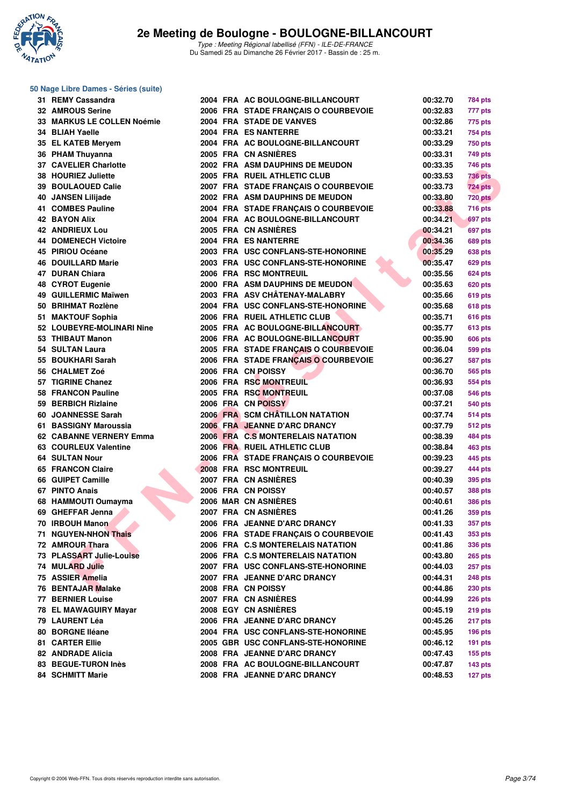

#### **50 Nage Libre Dames - Séries (suite)**

| 31 REMY Cassandra           |  | 2004 FRA AC BOULOGNE-BILLANCOURT     | 00:32.70             | 784 pts        |
|-----------------------------|--|--------------------------------------|----------------------|----------------|
| 32 AMROUS Serine            |  | 2006 FRA STADE FRANÇAIS O COURBEVOIE | 00:32.83             | 777 pts        |
| 33 MARKUS LE COLLEN Noémie  |  | 2004 FRA STADE DE VANVES             | 00:32.86             | 775 pts        |
| 34 BLIAH Yaelle             |  | 2004 FRA ES NANTERRE                 | 00:33.21             | 754 pts        |
| 35 EL KATEB Meryem          |  | 2004 FRA AC BOULOGNE-BILLANCOURT     | 00:33.29             | <b>750 pts</b> |
| 36 PHAM Thuyanna            |  | 2005 FRA CN ASNIERES                 | 00:33.31             | 749 pts        |
| 37 CAVELIER Charlotte       |  | 2002 FRA ASM DAUPHINS DE MEUDON      | 00:33.35             | 746 pts        |
| 38 HOURIEZ Juliette         |  | 2005 FRA RUEIL ATHLETIC CLUB         | 00:33.53             | 736 pts        |
| 39 BOULAOUED Calie          |  | 2007 FRA STADE FRANÇAIS O COURBEVOIE | 00:33.73             | <b>724 pts</b> |
| 40 JANSEN Lilijade          |  | 2002 FRA ASM DAUPHINS DE MEUDON      | 00:33.80             | <b>720 pts</b> |
| 41 COMBES Pauline           |  | 2004 FRA STADE FRANÇAIS O COURBEVOIE | 00:33.88             | <b>716 pts</b> |
| <b>42 BAYON Alix</b>        |  | 2004 FRA AC BOULOGNE-BILLANCOURT     | 00:34.21             | 697 pts        |
| <b>42 ANDRIEUX Lou</b>      |  | 2005 FRA CN ASNIÈRES                 | 00:34.21             | 697 pts        |
| <b>44 DOMENECH Victoire</b> |  | 2004 FRA ES NANTERRE                 | 00:34.36             | <b>689 pts</b> |
| 45 PIRIOU Océane            |  | 2003 FRA USC CONFLANS-STE-HONORINE   | 00:35.29             | <b>638 pts</b> |
| <b>46 DOUILLARD Marie</b>   |  | 2003 FRA USC CONFLANS-STE-HONORINE   | 00:35.47             | 629 pts        |
| 47 DURAN Chiara             |  | 2006 FRA RSC MONTREUIL               | 00:35.56             | <b>624 pts</b> |
| 48 CYROT Eugenie            |  | 2000 FRA ASM DAUPHINS DE MEUDON      | 00:35.63             | <b>620 pts</b> |
| 49 GUILLERMIC Maïwen        |  | 2003 FRA ASV CHÂTENAY-MALABRY        | 00:35.66             | <b>619 pts</b> |
| 50 BRIHMAT Rozlène          |  | 2004 FRA USC CONFLANS-STE-HONORINE   | 00:35.68             | 618 pts        |
| 51 MAKTOUF Sophia           |  | 2006 FRA RUEIL ATHLETIC CLUB         | 00:35.71             | <b>616 pts</b> |
| 52 LOUBEYRE-MOLINARI Nine   |  | 2005 FRA AC BOULOGNE-BILLANCOURT     | 00:35.77             | <b>613 pts</b> |
| 53 THIBAUT Manon            |  | 2006 FRA AC BOULOGNE-BILLANCOURT     | 00:35.90             | <b>606 pts</b> |
| 54 SULTAN Laura             |  | 2005 FRA STADE FRANÇAIS O COURBEVOIE | 00:36.04             | 599 pts        |
| 55 BOUKHARI Sarah           |  | 2006 FRA STADE FRANCAIS O COURBEVOIE | 00:36.27             | 587 pts        |
| 56 CHALMET Zoé              |  | 2006 FRA CN POISSY                   | 00:36.70             |                |
| 57 TIGRINE Chanez           |  | 2006 FRA RSC MONTREUIL               | 00:36.93             | 565 pts        |
| 58 FRANCON Pauline          |  | 2005 FRA RSC MONTREUIL               | 00:37.08             | 554 pts        |
| 59 BERBICH Rizlaine         |  | 2006 FRA CN POISSY                   |                      | <b>546 pts</b> |
| 60 JOANNESSE Sarah          |  | 2006 FRA SCM CHÂTILLON NATATION      | 00:37.21<br>00:37.74 | <b>540 pts</b> |
|                             |  | 2006 FRA JEANNE D'ARC DRANCY         |                      | <b>514 pts</b> |
| 61 BASSIGNY Maroussia       |  |                                      | 00:37.79             | <b>512 pts</b> |
| 62 CABANNE VERNERY Emma     |  | 2006 FRA C.S MONTERELAIS NATATION    | 00:38.39             | 484 pts        |
| 63 COURLEUX Valentine       |  | 2006 FRA RUEIL ATHLETIC CLUB         | 00:38.84             | 463 pts        |
| <b>64 SULTAN Nour</b>       |  | 2006 FRA STADE FRANÇAIS O COURBEVOIE | 00:39.23             | 445 pts        |
| 65 FRANCON Claire           |  | 2008 FRA RSC MONTREUIL               | 00:39.27             | 444 pts        |
| 66 GUIPET Camille           |  | 2007 FRA CN ASNIERES                 | 00:40.39             | 395 pts        |
| 67 PINTO Anais              |  | 2006 FRA CN POISSY                   | 00:40.57             | 388 pts        |
| 68 HAMMOUTI Oumayma         |  | 2006 MAR CN ASNIERES                 | 00:40.61             | 386 pts        |
| 69 GHEFFAR Jenna            |  | 2007 FRA CN ASNIÈRES                 | 00:41.26             | <b>359 pts</b> |
| 70 IRBOUH Manon             |  | 2006 FRA JEANNE D'ARC DRANCY         | 00:41.33             | 357 pts        |
| 71 NGUYEN-NHON Thais        |  | 2006 FRA STADE FRANCAIS O COURBEVOIE | 00:41.43             | <b>353 pts</b> |
| 72 AMROUR Thara             |  | 2006 FRA C.S MONTERELAIS NATATION    | 00:41.86             | <b>336 pts</b> |
| 73 PLASSART Julie-Louise    |  | 2006 FRA C.S MONTERELAIS NATATION    | 00:43.80             | <b>265 pts</b> |
| <b>74 MULARD Julie</b>      |  | 2007 FRA USC CONFLANS-STE-HONORINE   | 00:44.03             | <b>257 pts</b> |
| 75 ASSIER Amelia            |  | 2007 FRA JEANNE D'ARC DRANCY         | 00:44.31             | <b>248 pts</b> |
| 76 BENTAJAR Malake          |  | 2008 FRA CN POISSY                   | 00:44.86             | <b>230 pts</b> |
| <b>77 BERNIER Louise</b>    |  | 2007 FRA CN ASNIÈRES                 | 00:44.99             | <b>226 pts</b> |
| 78 EL MAWAGUIRY Mayar       |  | 2008 EGY CN ASNIÈRES                 | 00:45.19             | $219$ pts      |
| 79 LAURENT Léa              |  | 2006 FRA JEANNE D'ARC DRANCY         | 00:45.26             | 217 pts        |
| 80 BORGNE Iléane            |  | 2004 FRA USC CONFLANS-STE-HONORINE   | 00:45.95             | $196$ pts      |
| 81 CARTER Ellie             |  | 2005 GBR USC CONFLANS-STE-HONORINE   | 00:46.12             | $191$ pts      |
| 82 ANDRADE Alicia           |  | 2008 FRA JEANNE D'ARC DRANCY         | 00:47.43             | <b>155 pts</b> |
| 83 BEGUE-TURON Inès         |  | 2008 FRA AC BOULOGNE-BILLANCOURT     | 00:47.87             | $143$ pts      |
| <b>84 SCHMITT Marie</b>     |  | 2008 FRA JEANNE D'ARC DRANCY         | 00:48.53             | 127 pts        |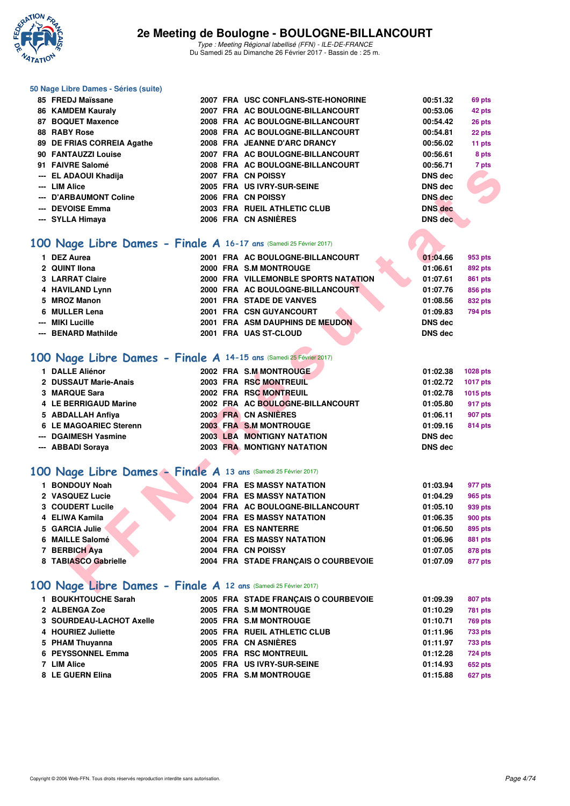

#### **50 Nage Libre Dames - Séries (suite)**

| 85 FREDJ Maïssane          |  | 2007 FRA USC CONFLANS-STE-HONORINE | 00:51.32       | 69 pts          |
|----------------------------|--|------------------------------------|----------------|-----------------|
| 86 KAMDEM Kauraly          |  | 2007 FRA AC BOULOGNE-BILLANCOURT   | 00:53.06       | 42 pts          |
| 87 BOQUET Maxence          |  | 2008 FRA AC BOULOGNE-BILLANCOURT   | 00:54.42       | 26 pts          |
| 88 RABY Rose               |  | 2008 FRA AC BOULOGNE-BILLANCOURT   | 00:54.81       | 22 pts          |
| 89 DE FRIAS CORREIA Agathe |  | 2008 FRA JEANNE D'ARC DRANCY       | 00:56.02       | 11 pts          |
| 90 FANTAUZZI Louise        |  | 2007 FRA AC BOULOGNE-BILLANCOURT   | 00:56.61       | 8 pts           |
| 91 FAIVRE Salomé           |  | 2008 FRA AC BOULOGNE-BILLANCOURT   | 00:56.71       | 7 pts           |
| --- EL ADAOUI Khadija      |  | 2007 FRA CN POISSY                 | <b>DNS</b> dec | <b>Contract</b> |
| --- LIM Alice              |  | 2005 FRA US IVRY-SUR-SEINE         | <b>DNS</b> dec |                 |
| --- D'ARBAUMONT Coline     |  | 2006 FRA CN POISSY                 | <b>DNS</b> dec | <b>ALL</b>      |
| --- DEVOISE Emma           |  | 2003 FRA RUEIL ATHLETIC CLUB       | <b>DNS</b> dec |                 |
| --- SYLLA Himaya           |  | 2006 FRA CN ASNIÈRES               | <b>DNS</b> dec |                 |

## **[100 Nage Libre Dames - Finale A](http://www.ffnatation.fr/webffn/resultats.php?idact=nat&go=epr&idcpt=42219&idepr=2) 16-17 ans** (Samedi 25 Février 2017)

| <b>FAIVRE JAIVING</b>                                                                                                                                                                        |  | ZUUO FRA AC BOULOGNE-BILLANCOURT                                                                                                                                                                                                     | 00.JO. / I                                                                                        | r pis                                                                    |
|----------------------------------------------------------------------------------------------------------------------------------------------------------------------------------------------|--|--------------------------------------------------------------------------------------------------------------------------------------------------------------------------------------------------------------------------------------|---------------------------------------------------------------------------------------------------|--------------------------------------------------------------------------|
| --- EL ADAOUI Khadija                                                                                                                                                                        |  | 2007 FRA CN POISSY                                                                                                                                                                                                                   | <b>DNS dec</b>                                                                                    |                                                                          |
| --- LIM Alice                                                                                                                                                                                |  | 2005 FRA US IVRY-SUR-SEINE                                                                                                                                                                                                           | DNS dec                                                                                           |                                                                          |
| --- D'ARBAUMONT Coline                                                                                                                                                                       |  | 2006 FRA CN POISSY                                                                                                                                                                                                                   | DNS dec                                                                                           |                                                                          |
| --- DEVOISE Emma                                                                                                                                                                             |  | 2003 FRA RUEIL ATHLETIC CLUB                                                                                                                                                                                                         | <b>DNS</b> dec                                                                                    |                                                                          |
| --- SYLLA Himaya                                                                                                                                                                             |  | 2006 FRA CN ASNIÈRES                                                                                                                                                                                                                 | <b>DNS</b> dec                                                                                    |                                                                          |
|                                                                                                                                                                                              |  |                                                                                                                                                                                                                                      |                                                                                                   |                                                                          |
| 00 Nage Libre Dames - Finale A 16-17 ans (Samedi 25 Février 2017)                                                                                                                            |  |                                                                                                                                                                                                                                      |                                                                                                   |                                                                          |
| 1 DEZ Aurea                                                                                                                                                                                  |  | 2001 FRA AC BOULOGNE-BILLANCOURT                                                                                                                                                                                                     | 01:04.66                                                                                          | 953 pts                                                                  |
| 2 QUINT Ilona                                                                                                                                                                                |  | 2000 FRA S.M MONTROUGE                                                                                                                                                                                                               | 01:06.61                                                                                          | <b>892 pts</b>                                                           |
| <b>3 LARRAT Claire</b>                                                                                                                                                                       |  | 2000 FRA VILLEMONBLE SPORTS NATATION                                                                                                                                                                                                 | 01:07.61                                                                                          | <b>861 pts</b>                                                           |
| 4 HAVILAND Lynn                                                                                                                                                                              |  | 2000 FRA AC BOULOGNE-BILLANCOURT                                                                                                                                                                                                     | 01:07.76                                                                                          | 856 pts                                                                  |
| 5 MROZ Manon                                                                                                                                                                                 |  | 2001 FRA STADE DE VANVES                                                                                                                                                                                                             | 01:08.56                                                                                          | 832 pts                                                                  |
| 6 MULLER Lena                                                                                                                                                                                |  | 2001 FRA CSN GUYANCOURT                                                                                                                                                                                                              | 01:09.83                                                                                          | 794 pts                                                                  |
| <b>MIKI Lucille</b>                                                                                                                                                                          |  | 2001 FRA ASM DAUPHINS DE MEUDON                                                                                                                                                                                                      | DNS dec                                                                                           |                                                                          |
| --- BENARD Mathilde                                                                                                                                                                          |  | 2001 FRA UAS ST-CLOUD                                                                                                                                                                                                                | <b>DNS dec</b>                                                                                    |                                                                          |
| 1 DALLE Aliénor<br>2 DUSSAUT Marie-Anais<br>3 MARQUE Sara<br><b>4 LE BERRIGAUD Marine</b><br>5 ABDALLAH Anfiya<br><b>6 LE MAGOARIEC Sterenn</b><br>--- DGAIMESH Yasmine<br>--- ABBADI Soraya |  | 2002 FRA S.M. MONTROUGE<br>2003 FRA RSC MONTREUIL<br>2002 FRA RSC MONTREUIL<br>2002 FRA AC BOULOGNE-BILLANCOURT<br>2003 FRA CN ASNIERES<br>2003 FRA S.M MONTROUGE<br><b>2003 LBA MONTIGNY NATATION</b><br>2003 FRA MONTIGNY NATATION | 01:02.38<br>01:02.72<br>01:02.78<br>01:05.80<br>01:06.11<br>01:09.16<br><b>DNS dec</b><br>DNS dec | 1028 pts<br>1017 pts<br>1015 pts<br>917 pts<br>907 pts<br><b>814 pts</b> |
| 00 Nage Libre Dames - Finale A 13 ans (Samedi 25 Février 2017)                                                                                                                               |  |                                                                                                                                                                                                                                      |                                                                                                   |                                                                          |
| 1 BONDOUY Noah                                                                                                                                                                               |  | <b>2004 FRA ES MASSY NATATION</b>                                                                                                                                                                                                    | 01:03.94                                                                                          | 977 pts                                                                  |
| 2 VASQUEZ Lucie                                                                                                                                                                              |  | 2004 FRA ES MASSY NATATION                                                                                                                                                                                                           | 01:04.29                                                                                          | 965 pts                                                                  |
| 3 COUDERT Lucile                                                                                                                                                                             |  | 2004 FRA AC BOULOGNE-BILLANCOURT                                                                                                                                                                                                     | 01:05.10                                                                                          | 939 pts                                                                  |
| 4 ELIWA Kamila                                                                                                                                                                               |  | 2004 FRA ES MASSY NATATION                                                                                                                                                                                                           | 01:06.35                                                                                          | 900 pts                                                                  |
| 5 GARCIA Julie                                                                                                                                                                               |  | 2004 FRA ES NANTERRE                                                                                                                                                                                                                 | 01:06.50                                                                                          | 895 pts                                                                  |
| 6 MAILLE Salomé                                                                                                                                                                              |  | <b>2004 FRA ES MASSY NATATION</b>                                                                                                                                                                                                    | 01:06.96                                                                                          | <b>881 pts</b>                                                           |
| 7 BERBICH Aya                                                                                                                                                                                |  | 2004 FRA CN POISSY                                                                                                                                                                                                                   | 01:07.05                                                                                          | <b>878 pts</b>                                                           |
| 8 TABIASCO Gabrielle                                                                                                                                                                         |  | 2004 FRA STADE FRANÇAIS O COURBEVOIE                                                                                                                                                                                                 | 01:07.09                                                                                          | 877 pts                                                                  |
| 00 Nage Libre Dames - Finale A 12 ans (Samedi 25 Février 2017)                                                                                                                               |  |                                                                                                                                                                                                                                      |                                                                                                   |                                                                          |

### **[100 Nage Libre Dames - Finale A](http://www.ffnatation.fr/webffn/resultats.php?idact=nat&go=epr&idcpt=42219&idepr=2) 14-15 ans** (Samedi 25 Février 2017)

| 1 DALLE Aliénor        |  | 2002 FRA S.M.MONTROUGE            | 01:02.38       | 1028 pts       |
|------------------------|--|-----------------------------------|----------------|----------------|
| 2 DUSSAUT Marie-Anais  |  | 2003 FRA RSC MONTREUIL            | 01:02.72       | 1017 pts       |
| 3 MARQUE Sara          |  | 2002 FRA RSC MONTREUIL            | 01:02.78       | 1015 pts       |
| 4 LE BERRIGAUD Marine  |  | 2002 FRA AC BOULOGNE-BILLANCOURT  | 01:05.80       | 917 pts        |
| 5 ABDALLAH Anfiya      |  | 2003 FRA CN ASNIÈRES              | 01:06.11       | 907 pts        |
| 6 LE MAGOARIEC Sterenn |  | 2003 FRA S.M MONTROUGE            | 01:09.16       | <b>814 pts</b> |
| --- DGAIMESH Yasmine   |  | <b>2003 LBA MONTIGNY NATATION</b> | DNS dec        |                |
| --- ABBADI Soraya      |  | <b>2003 FRA MONTIGNY NATATION</b> | <b>DNS</b> dec |                |

## **[100 Nage Libre Dames - Finale A](http://www.ffnatation.fr/webffn/resultats.php?idact=nat&go=epr&idcpt=42219&idepr=2) 13 ans** (Samedi 25 Février 2017)

| 1 BONDOUY Noah       | <b>2004 FRA ES MASSY NATATION</b>    | 01:03.94 | 977 pts        |
|----------------------|--------------------------------------|----------|----------------|
| 2 VASQUEZ Lucie      | <b>2004 FRA ES MASSY NATATION</b>    | 01:04.29 | 965 pts        |
| 3 COUDERT Lucile     | 2004 FRA AC BOULOGNE-BILLANCOURT     | 01:05.10 | 939 pts        |
| 4 ELIWA Kamila       | <b>2004 FRA ES MASSY NATATION</b>    | 01:06.35 | 900 pts        |
| 5 GARCIA Julie       | 2004 FRA ES NANTERRE                 | 01:06.50 | 895 pts        |
| 6 MAILLE Salomé      | <b>2004 FRA ES MASSY NATATION</b>    | 01:06.96 | <b>881 pts</b> |
| 7 BERBICH Aya        | 2004 FRA CN POISSY                   | 01:07.05 | 878 pts        |
| 8 TABIASCO Gabrielle | 2004 FRA STADE FRANCAIS O COURBEVOIE | 01:07.09 | 877 pts        |

## **[100 Nage Libre Dames - Finale A](http://www.ffnatation.fr/webffn/resultats.php?idact=nat&go=epr&idcpt=42219&idepr=2) 12 ans** (Samedi 25 Février 2017)

| 1 BOUKHTOUCHE Sarah      |  | 2005 FRA STADE FRANCAIS O COURBEVOIE | 01:09.39 | 807 pts        |
|--------------------------|--|--------------------------------------|----------|----------------|
| 2 ALBENGA Zoe            |  | 2005 FRA S.M MONTROUGE               | 01:10.29 | <b>781 pts</b> |
| 3 SOURDEAU-LACHOT Axelle |  | 2005 FRA S.M MONTROUGE               | 01:10.71 | <b>769 pts</b> |
| 4 HOURIEZ Juliette       |  | 2005 FRA RUEIL ATHLETIC CLUB         | 01:11.96 | <b>733 pts</b> |
| 5 PHAM Thuyanna          |  | 2005 FRA CN ASNIÈRES                 | 01:11.97 | 733 pts        |
| 6 PEYSSONNEL Emma        |  | 2005 FRA RSC MONTREUIL               | 01:12.28 | 724 pts        |
| 7 LIM Alice              |  | 2005 FRA US IVRY-SUR-SEINE           | 01:14.93 | <b>652 pts</b> |
| 8 LE GUERN Elina         |  | 2005 FRA S.M MONTROUGE               | 01:15.88 | 627 pts        |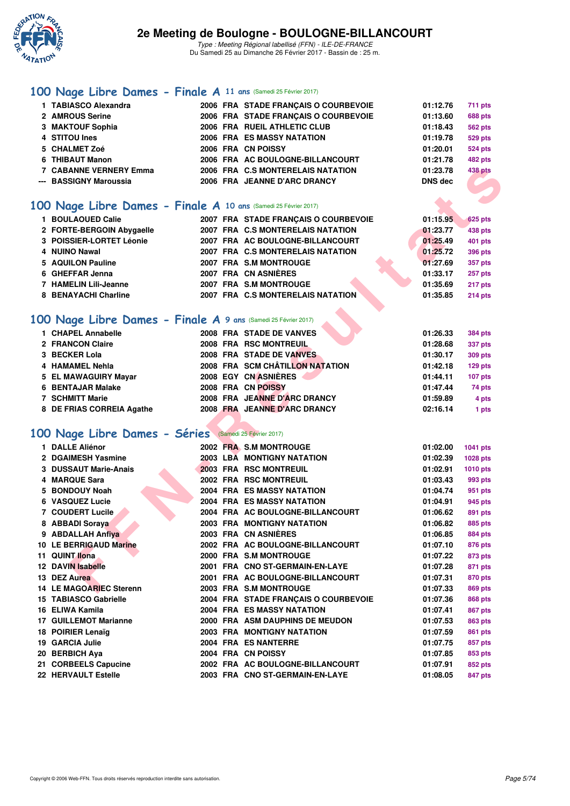

Du Samedi 25 au Dimanche 26 Février 2017 - Bassin de : 25 m.

## **[100 Nage Libre Dames - Finale A](http://www.ffnatation.fr/webffn/resultats.php?idact=nat&go=epr&idcpt=42219&idepr=2) 11 ans** (Samedi 25 Février 2017)

| 1 TABIASCO Alexandra          |  | 2006 FRA STADE FRANCAIS O COURBEVOIE | 01:12.76 | 711 pts        |
|-------------------------------|--|--------------------------------------|----------|----------------|
| 2 AMROUS Serine               |  | 2006 FRA STADE FRANCAIS O COURBEVOIE | 01:13.60 | <b>688 pts</b> |
| 3 MAKTOUF Sophia              |  | 2006 FRA RUEIL ATHLETIC CLUB         | 01:18.43 | <b>562 pts</b> |
| 4 STITOU Ines                 |  | 2006 FRA ES MASSY NATATION           | 01:19.78 | 529 pts        |
| 5 CHALMET Zoé                 |  | 2006 FRA CN POISSY                   | 01:20.01 | <b>524 pts</b> |
| 6 THIBAUT Manon               |  | 2006 FRA AC BOULOGNE-BILLANCOURT     | 01:21.78 | <b>482 pts</b> |
| <b>7 CABANNE VERNERY Emma</b> |  | 2006 FRA C.S MONTERELAIS NATATION    | 01:23.78 | <b>438 pts</b> |
| --- BASSIGNY Maroussia        |  | 2006 FRA JEANNE D'ARC DRANCY         | DNS dec  |                |
|                               |  |                                      |          |                |

### **[100 Nage Libre Dames - Finale A](http://www.ffnatation.fr/webffn/resultats.php?idact=nat&go=epr&idcpt=42219&idepr=2) 10 ans** (Samedi 25 Février 2017)

| 1 BOULAOUED Calie         |  | 2007 FRA STADE FRANCAIS O COURBEVOIE | 01:15.95 | 625 pts        |
|---------------------------|--|--------------------------------------|----------|----------------|
| 2 FORTE-BERGOIN Abygaelle |  | 2007 FRA C.S MONTERELAIS NATATION    | 01:23.77 | 438 pts        |
| 3 POISSIER-LORTET Léonie  |  | 2007 FRA AC BOULOGNE-BILLANCOURT     | 01:25.49 | 401 pts        |
| 4 NUINO Nawal             |  | 2007 FRA C.S MONTERELAIS NATATION    | 01:25.72 | 396 pts        |
| 5 AQUILON Pauline         |  | 2007 FRA S.M MONTROUGE               | 01:27.69 | 357 pts        |
| 6 GHEFFAR Jenna           |  | 2007 FRA CN ASNIÈRES                 | 01:33.17 | 257 pts        |
| 7 HAMELIN Lili-Jeanne     |  | 2007 FRA S.M MONTROUGE               | 01:35.69 | 217 pts        |
| 8 BENAYACHI Charline      |  | 2007 FRA C.S MONTERELAIS NATATION    | 01:35.85 | <b>214 pts</b> |
|                           |  |                                      |          |                |

## **[100 Nage Libre Dames - Finale A](http://www.ffnatation.fr/webffn/resultats.php?idact=nat&go=epr&idcpt=42219&idepr=2) 9 ans** (Samedi 25 Février 2017)

| 1 CHAPEL Annabelle        | 2008 FRA STADE DE VANVES        | 01:26.33 | <b>384 pts</b> |
|---------------------------|---------------------------------|----------|----------------|
| 2 FRANCON Claire          | 2008 FRA RSC MONTREUIL          | 01:28.68 | 337 pts        |
| 3 BECKER Lola             | 2008 FRA STADE DE VANVES        | 01:30.17 | 309 pts        |
| 4 HAMAMEL Nehla           | 2008 FRA SCM CHÂTILLON NATATION | 01:42.18 | 129 pts        |
| 5 EL MAWAGUIRY Mayar      | 2008 EGY CN ASNIÈRES            | 01:44.11 | 107 pts        |
| 6 BENTAJAR Malake         | 2008 FRA CN POISSY              | 01:47.44 | 74 pts         |
| 7 SCHMITT Marie           | 2008 FRA JEANNE D'ARC DRANCY    | 01:59.89 | 4 pts          |
| 8 DE FRIAS CORREIA Agathe | 2008 FRA JEANNE D'ARC DRANCY    | 02:16.14 | 1 pts          |
|                           |                                 |          |                |

## **[100 Nage Libre Dames - Séries](http://www.ffnatation.fr/webffn/resultats.php?idact=nat&go=epr&idcpt=42219&idepr=2)** (Samedi 25 Février 2017)

| <b>7 CABANNE VERNERY Emma</b>                                  |  | 2006 FRA C.S MONTERELAIS NATATION    | 01:23.78 | 438 pts         |
|----------------------------------------------------------------|--|--------------------------------------|----------|-----------------|
| --- BASSIGNY Maroussia                                         |  | 2006 FRA JEANNE D'ARC DRANCY         | DNS dec  |                 |
|                                                                |  |                                      |          |                 |
| 00 Nage Libre Dames - Finale A 10 ans (Samedi 25 Février 2017) |  |                                      |          |                 |
| 1 BOULAOUED Calie                                              |  | 2007 FRA STADE FRANCAIS O COURBEVOIE | 01:15.95 | <b>625 pts</b>  |
| 2 FORTE-BERGOIN Abygaelle                                      |  | 2007 FRA C.S MONTERELAIS NATATION    | 01:23.77 | <b>438 pts</b>  |
| 3 POISSIER-LORTET Léonie                                       |  | 2007 FRA AC BOULOGNE-BILLANCOURT     | 01:25.49 | <b>401 pts</b>  |
| 4 NUINO Nawal                                                  |  | 2007 FRA C.S MONTERELAIS NATATION    | 01:25.72 | <b>396 pts</b>  |
| 5 AQUILON Pauline                                              |  | 2007 FRA S.M MONTROUGE               | 01:27.69 | 357 pts         |
| 6 GHEFFAR Jenna                                                |  | 2007 FRA CN ASNIÈRES                 | 01:33.17 | 257 pts         |
| 7 HAMELIN Lili-Jeanne                                          |  | 2007 FRA S.M MONTROUGE               | 01:35.69 | 217 pts         |
| 8 BENAYACHI Charline                                           |  | 2007 FRA C.S MONTERELAIS NATATION    | 01:35.85 | $214$ pts       |
|                                                                |  |                                      |          |                 |
| 00 Nage Libre Dames - Finale A 9 ans (Samedi 25 Février 2017)  |  |                                      |          |                 |
| 1 CHAPEL Annabelle                                             |  | 2008 FRA STADE DE VANVES             | 01:26.33 | <b>384 pts</b>  |
| 2 FRANCON Claire                                               |  | 2008 FRA RSC MONTREUIL               | 01:28.68 | 337 pts         |
| 3 BECKER Lola                                                  |  | 2008 FRA STADE DE VANVES             | 01:30.17 | 309 pts         |
| 4 HAMAMEL Nehla                                                |  | 2008 FRA SCM CHÂTILLON NATATION      | 01:42.18 | 129 pts         |
| 5 EL MAWAGUIRY Mayar                                           |  | 2008 EGY CN ASNIÈRES                 | 01:44.11 | $107$ pts       |
| <b>6 BENTAJAR Malake</b>                                       |  | 2008 FRA CN POISSY                   | 01:47.44 | 74 pts          |
| <b>7 SCHMITT Marie</b>                                         |  | 2008 FRA JEANNE D'ARC DRANCY         | 01:59.89 | 4 pts           |
| 8 DE FRIAS CORREIA Agathe                                      |  | 2008 FRA JEANNE D'ARC DRANCY         | 02:16.14 | 1 pts           |
|                                                                |  |                                      |          |                 |
| 00 Nage Libre Dames - Séries Samedi 25 Février 2017)           |  |                                      |          |                 |
| 1 DALLE Aliénor                                                |  | 2002 FRA S.M MONTROUGE               | 01:02.00 | <b>1041 pts</b> |
| 2 DGAIMESH Yasmine                                             |  | 2003 LBA MONTIGNY NATATION           | 01:02.39 | 1028 pts        |
| 3 DUSSAUT Marie-Anais                                          |  | 2003 FRA RSC MONTREUIL               | 01:02.91 | 1010 pts        |
| 4 MARQUE Sara                                                  |  | 2002 FRA RSC MONTREUIL               | 01:03.43 | 993 pts         |
| 5 BONDOUY Noah                                                 |  | <b>2004 FRA ES MASSY NATATION</b>    | 01:04.74 | 951 pts         |
| 6 VASQUEZ Lucie                                                |  | 2004 FRA ES MASSY NATATION           | 01:04.91 | 945 pts         |
| 7 COUDERT Lucile                                               |  | 2004 FRA AC BOULOGNE-BILLANCOURT     | 01:06.62 | 891 pts         |
| 8 ABBADI Soraya                                                |  | 2003 FRA MONTIGNY NATATION           | 01:06.82 | 885 pts         |
| 9 ABDALLAH Anfiya                                              |  | 2003 FRA CN ASNIÈRES                 | 01:06.85 | 884 pts         |
| 10 LE BERRIGAUD Marine                                         |  | 2002 FRA AC BOULOGNE-BILLANCOURT     | 01:07.10 | <b>876 pts</b>  |
| 11 QUINT Ilona                                                 |  | 2000 FRA S.M MONTROUGE               | 01:07.22 | 873 pts         |
| 12 DAVIN Isabelle                                              |  | 2001 FRA CNO ST-GERMAIN-EN-LAYE      | 01:07.28 | 871 pts         |
| 13 DEZ Aurea                                                   |  | 2001 FRA AC BOULOGNE-BILLANCOURT     | 01:07.31 | 870 pts         |
| <b>14 LE MAGOARIEC Sterenn</b>                                 |  | 2003 FRA S.M MONTROUGE               | 01:07.33 | <b>869 pts</b>  |
|                                                                |  |                                      |          |                 |
| 15 TABIASCO Gabrielle                                          |  | 2004 FRA STADE FRANÇAIS O COURBEVOIE | 01:07.36 | 868 pts         |
| 16 ELIWA Kamila                                                |  | <b>2004 FRA ES MASSY NATATION</b>    | 01:07.41 | 867 pts         |
| <b>17 GUILLEMOT Marianne</b>                                   |  | 2000 FRA ASM DAUPHINS DE MEUDON      | 01:07.53 | 863 pts         |
| 18 POIRIER Lenaïg                                              |  | 2003 FRA MONTIGNY NATATION           | 01:07.59 | <b>861 pts</b>  |
| 19 GARCIA Julie                                                |  | 2004 FRA ES NANTERRE                 | 01:07.75 | 857 pts         |
| 20 BERBICH Aya                                                 |  | 2004 FRA CN POISSY                   | 01:07.85 | 853 pts         |
| 21 CORBEELS Capucine                                           |  | 2002 FRA AC BOULOGNE-BILLANCOURT     | 01:07.91 | 852 pts         |
| 22 HERVAULT Estelle                                            |  | 2003 FRA CNO ST-GERMAIN-EN-LAYE      | 01:08.05 | 847 pts         |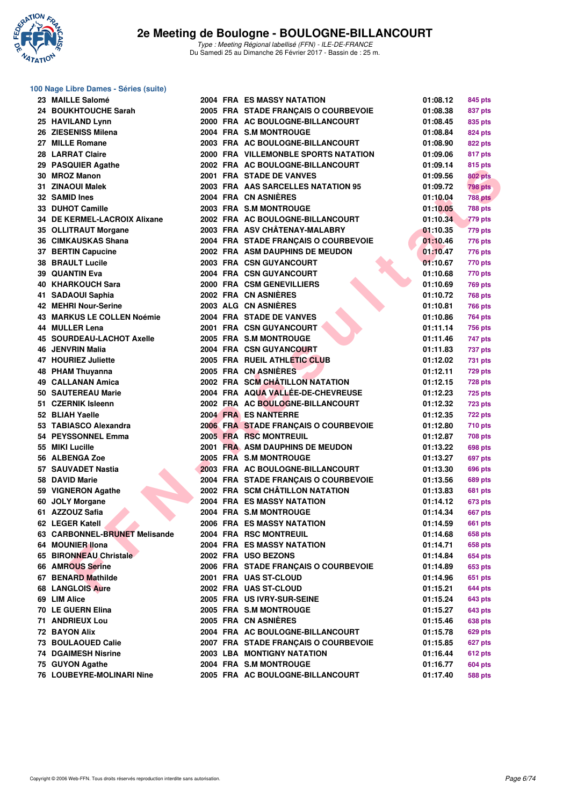

#### **100 Nage Libre Dames - Séries (suite)**

| 23 MAILLE Salomé                 |  | <b>2004 FRA ES MASSY NATATION</b>    | 01:08.12 | 845 pts        |
|----------------------------------|--|--------------------------------------|----------|----------------|
| 24 BOUKHTOUCHE Sarah             |  | 2005 FRA STADE FRANÇAIS O COURBEVOIE | 01:08.38 | 837 pts        |
| 25 HAVILAND Lynn                 |  | 2000 FRA AC BOULOGNE-BILLANCOURT     | 01:08.45 | 835 pts        |
| 26 ZIESENISS Milena              |  | 2004 FRA S.M MONTROUGE               | 01:08.84 | 824 pts        |
| 27 MILLE Romane                  |  | 2003 FRA AC BOULOGNE-BILLANCOURT     | 01:08.90 | 822 pts        |
| 28 LARRAT Claire                 |  | 2000 FRA VILLEMONBLE SPORTS NATATION | 01:09.06 | 817 pts        |
| 29 PASQUIER Agathe               |  | 2002 FRA AC BOULOGNE-BILLANCOURT     | 01:09.14 | 815 pts        |
| 30 MROZ Manon                    |  | 2001 FRA STADE DE VANVES             | 01:09.56 | 802 pts        |
| 31 ZINAOUI Malek                 |  | 2003 FRA AAS SARCELLES NATATION 95   | 01:09.72 | <b>798 pts</b> |
| 32 SAMID Ines                    |  | 2004 FRA CN ASNIERES                 | 01:10.04 | <b>788 pts</b> |
| 33 DUHOT Camille                 |  | 2003 FRA S.M MONTROUGE               | 01:10.05 | <b>788 pts</b> |
| 34 DE KERMEL-LACROIX Alixane     |  | 2002 FRA AC BOULOGNE-BILLANCOURT     | 01:10.34 | 779 pts        |
| 35 OLLITRAUT Morgane             |  | 2003 FRA ASV CHÂTENAY-MALABRY        | 01:10.35 | 779 pts        |
| 36 CIMKAUSKAS Shana              |  | 2004 FRA STADE FRANÇAIS O COURBEVOIE | 01:10.46 | 776 pts        |
| 37 BERTIN Capucine               |  | 2002 FRA ASM DAUPHINS DE MEUDON      | 01:10.47 | <b>776 pts</b> |
| <b>38 BRAULT Lucile</b>          |  | 2003 FRA CSN GUYANCOURT              | 01:10.67 | 770 pts        |
| <b>39 QUANTIN Eva</b>            |  | 2004 FRA CSN GUYANCOURT              | 01:10.68 | 770 pts        |
| <b>40 KHARKOUCH Sara</b>         |  | 2000 FRA CSM GENEVILLIERS            | 01:10.69 | <b>769 pts</b> |
| 41 SADAOUI Saphia                |  | 2002 FRA CN ASNIERES                 | 01:10.72 | <b>768 pts</b> |
| <b>42 MEHRI Nour-Serine</b>      |  | 2003 ALG CN ASNIÈRES                 | 01:10.81 | <b>766 pts</b> |
| 43 MARKUS LE COLLEN Noémie       |  | 2004 FRA STADE DE VANVES             | 01:10.86 | 764 pts        |
| 44 MULLER Lena                   |  | 2001 FRA CSN GUYANCOURT              | 01:11.14 | 756 pts        |
| <b>45 SOURDEAU-LACHOT Axelle</b> |  | 2005 FRA S.M MONTROUGE               | 01:11.46 | 747 pts        |
| 46 JENVRIN Malia                 |  | <b>2004 FRA CSN GUYANCOURT</b>       | 01:11.83 | 737 pts        |
| 47 HOURIEZ Juliette              |  | 2005 FRA RUEIL ATHLETIC CLUB         | 01:12.02 | 731 pts        |
| 48 PHAM Thuyanna                 |  | 2005 FRA CN ASNIÈRES                 | 01:12.11 | <b>729 pts</b> |
| 49 CALLANAN Amica                |  | 2002 FRA SCM CHÂTILLON NATATION      | 01:12.15 | 728 pts        |
| 50 SAUTEREAU Marie               |  | 2004 FRA AQUA VALLÉE-DE-CHEVREUSE    | 01:12.23 | <b>725 pts</b> |
| 51 CZERNIK Isleenn               |  | 2002 FRA AC BOULOGNE-BILLANCOURT     |          |                |
| 52 BLIAH Yaelle                  |  | 2004 FRA ES NANTERRE                 | 01:12.32 | <b>723 pts</b> |
|                                  |  |                                      | 01:12.35 | 722 pts        |
| 53 TABIASCO Alexandra            |  | 2006 FRA STADE FRANÇAIS O COURBEVOIE | 01:12.80 | <b>710 pts</b> |
| 54 PEYSSONNEL Emma               |  | 2005 FRA RSC MONTREUIL               | 01:12.87 | 708 pts        |
| 55 MIKI Lucille                  |  | 2001 FRA ASM DAUPHINS DE MEUDON      | 01:13.22 | 698 pts        |
| 56 ALBENGA Zoe                   |  | 2005 FRA S.M MONTROUGE               | 01:13.27 | 697 pts        |
| 57 SAUVADET Nastia               |  | 2003 FRA AC BOULOGNE-BILLANCOURT     | 01:13.30 | 696 pts        |
| 58 DAVID Marie                   |  | 2004 FRA STADE FRANÇAIS O COURBEVOIE | 01:13.56 | 689 pts        |
| 59 VIGNERON Agathe               |  | 2002 FRA SCM CHÂTILLON NATATION      | 01:13.83 | 681 pts        |
| 60 JOLY Morgane                  |  | 2004 FRA ES MASSY NATATION           | 01:14.12 | 673 pts        |
| 61 AZZOUZ Safia                  |  | 2004 FRA S.M MONTROUGE               | 01:14.34 | 667 pts        |
| 62 LEGER Katell                  |  | 2006 FRA ES MASSY NATATION           | 01:14.59 | 661 pts        |
| 63 CARBONNEL-BRUNET Melisande    |  | 2004 FRA RSC MONTREUIL               | 01:14.68 | 658 pts        |
| 64 MOUNIER IIona                 |  | 2004 FRA ES MASSY NATATION           | 01:14.71 | <b>658 pts</b> |
| 65 BIRONNEAU Christale           |  | 2002 FRA USO BEZONS                  | 01:14.84 | <b>654 pts</b> |
| 66 AMROUS Serine                 |  | 2006 FRA STADE FRANCAIS O COURBEVOIE | 01:14.89 | 653 pts        |
| 67 BENARD Mathilde               |  | 2001 FRA UAS ST-CLOUD                | 01:14.96 | 651 pts        |
| <b>68 LANGLOIS Aure</b>          |  | 2002 FRA UAS ST-CLOUD                | 01:15.21 | 644 pts        |
| 69 LIM Alice                     |  | 2005 FRA US IVRY-SUR-SEINE           | 01:15.24 | 643 pts        |
| 70 LE GUERN Elina                |  | 2005 FRA S.M MONTROUGE               | 01:15.27 | 643 pts        |
| <b>71 ANDRIEUX Lou</b>           |  | 2005 FRA CN ASNIERES                 | 01:15.46 | 638 pts        |
| 72 BAYON Alix                    |  | 2004 FRA AC BOULOGNE-BILLANCOURT     | 01:15.78 | 629 pts        |
| 73 BOULAOUED Calie               |  | 2007 FRA STADE FRANÇAIS O COURBEVOIE | 01:15.85 | 627 pts        |
| <b>74 DGAIMESH Nisrine</b>       |  | 2003 LBA MONTIGNY NATATION           | 01:16.44 | <b>612 pts</b> |
| 75 GUYON Agathe                  |  | 2004 FRA S.M MONTROUGE               | 01:16.77 | 604 pts        |
| 76 LOUBEYRE-MOLINARI Nine        |  | 2005 FRA AC BOULOGNE-BILLANCOURT     | 01:17.40 | 588 pts        |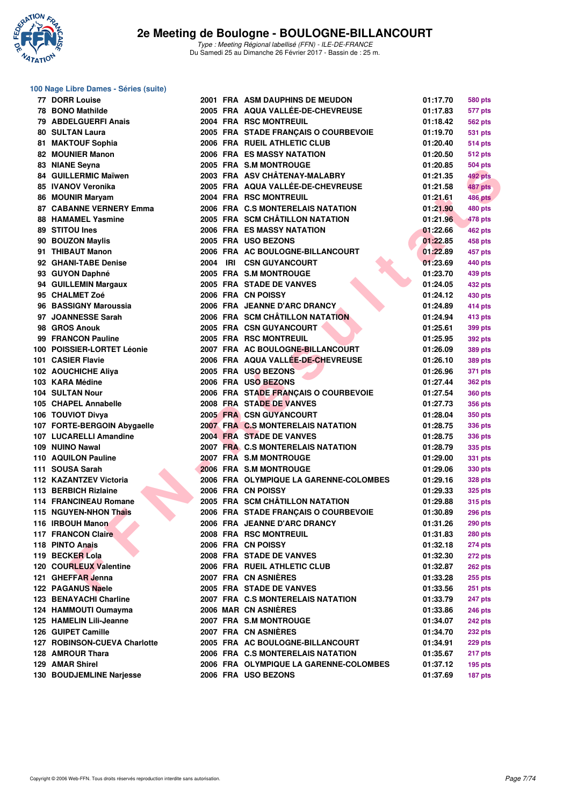

#### **100 Nage Libre Dames - Séries (suite)**

| 77 DORR Louise                 |          | <b>2001 FRA ASM DAUPHINS DE MEUDON</b> | 01:17.70 | 580 pts        |
|--------------------------------|----------|----------------------------------------|----------|----------------|
| 78 BONO Mathilde               |          | 2005 FRA AQUA VALLÉE-DE-CHEVREUSE      | 01:17.83 | 577 pts        |
| 79 ABDELGUERFI Anais           |          | 2004 FRA RSC MONTREUIL                 | 01:18.42 | 562 pts        |
| <b>80 SULTAN Laura</b>         |          | 2005 FRA STADE FRANÇAIS O COURBEVOIE   | 01:19.70 | 531 pts        |
| 81 MAKTOUF Sophia              |          | 2006 FRA RUEIL ATHLETIC CLUB           | 01:20.40 | 514 pts        |
| 82 MOUNIER Manon               |          | <b>2006 FRA ES MASSY NATATION</b>      | 01:20.50 | 512 pts        |
| 83 NIANE Seyna                 |          | 2005 FRA S.M MONTROUGE                 | 01:20.85 | 504 pts        |
| 84 GUILLERMIC Maïwen           |          | 2003 FRA ASV CHÂTENAY-MALABRY          | 01:21.35 | 492 pts        |
| 85 IVANOV Veronika             |          | 2005 FRA AQUA VALLÉE-DE-CHEVREUSE      | 01:21.58 | 487 pts        |
| 86 MOUNIR Maryam               |          | 2004 FRA RSC MONTREUIL                 | 01:21.61 | <b>486 pts</b> |
| <b>87 CABANNE VERNERY Emma</b> |          | 2006 FRA C.S MONTERELAIS NATATION      | 01:21.90 | <b>480 pts</b> |
| <b>88 HAMAMEL Yasmine</b>      |          | 2005 FRA SCM CHÂTILLON NATATION        | 01:21.96 | 478 pts        |
| 89 STITOU Ines                 |          | <b>2006 FRA ES MASSY NATATION</b>      | 01:22.66 | <b>462 pts</b> |
| 90 BOUZON Maylis               |          | 2005 FRA USO BEZONS                    | 01:22.85 | 458 pts        |
| 91 THIBAUT Manon               |          | 2006 FRA AC BOULOGNE-BILLANCOURT       | 01:22.89 | 457 pts        |
| 92 GHANI-TABE Denise           | 2004 IRI | <b>CSN GUYANCOURT</b>                  | 01:23.69 | 440 pts        |
| 93 GUYON Daphné                |          | 2005 FRA S.M MONTROUGE                 | 01:23.70 | 439 pts        |
| 94 GUILLEMIN Margaux           |          | 2005 FRA STADE DE VANVES               | 01:24.05 | <b>432 pts</b> |
| 95 CHALMET Zoé                 |          | 2006 FRA CN POISSY                     | 01:24.12 | 430 pts        |
| 96 BASSIGNY Maroussia          |          | 2006 FRA JEANNE D'ARC DRANCY           | 01:24.89 |                |
| 97 JOANNESSE Sarah             |          | 2006 FRA SCM CHÂTILLON NATATION        | 01:24.94 | 414 pts        |
| 98 GROS Anouk                  |          |                                        |          | 413 pts        |
|                                |          | 2005 FRA CSN GUYANCOURT                | 01:25.61 | 399 pts        |
| 99 FRANCON Pauline             |          | 2005 FRA RSC MONTREUIL                 | 01:25.95 | 392 pts        |
| 100 POISSIER-LORTET Léonie     |          | 2007 FRA AC BOULOGNE-BILLANCOURT       | 01:26.09 | <b>389 pts</b> |
| 101 CASIER Flavie              |          | 2006 FRA AQUA VALLÉE-DE-CHEVREUSE      | 01:26.10 | 389 pts        |
| 102 AOUCHICHE Aliya            |          | 2005 FRA USO BEZONS                    | 01:26.96 | 371 pts        |
| 103 KARA Médine                |          | 2006 FRA USO BEZONS                    | 01:27.44 | 362 pts        |
| <b>104 SULTAN Nour</b>         |          | 2006 FRA STADE FRANÇAIS O COURBEVOIE   | 01:27.54 | 360 pts        |
| 105 CHAPEL Annabelle           |          | 2008 FRA STADE DE VANVES               | 01:27.73 | 356 pts        |
| 106 TOUVIOT Divya              |          | 2005 FRA CSN GUYANCOURT                | 01:28.04 | 350 pts        |
| 107 FORTE-BERGOIN Abygaelle    |          | 2007 FRA C.S MONTERELAIS NATATION      | 01:28.75 | 336 pts        |
| 107 LUCARELLI Amandine         |          | 2004 FRA STADE DE VANVES               | 01:28.75 | 336 pts        |
| 109 NUINO Nawal                |          | 2007 FRA C.S MONTERELAIS NATATION      | 01:28.79 | 335 pts        |
| 110 AQUILON Pauline            |          | 2007 FRA S.M MONTROUGE                 | 01:29.00 | 331 pts        |
| 111 SOUSA Sarah                |          | 2006 FRA S.M MONTROUGE                 | 01:29.06 | 330 pts        |
| 112 KAZANTZEV Victoria         |          | 2006 FRA OLYMPIQUE LA GARENNE-COLOMBES | 01:29.16 | 328 pts        |
| 113 BERBICH Rizlaine           |          | 2006 FRA CN POISSY                     | 01:29.33 | 325 pts        |
| <b>114 FRANCINEAU Romane</b>   |          | 2005 FRA SCM CHÂTILLON NATATION        | 01:29.88 | 315 pts        |
| 115 NGUYEN-NHON Thais          |          | 2006 FRA STADE FRANÇAIS O COURBEVOIE   | 01:30.89 | <b>296 pts</b> |
| 116 IRBOUH Manon               |          | 2006 FRA JEANNE D'ARC DRANCY           | 01:31.26 | <b>290 pts</b> |
| 117 FRANCON Claire             |          | 2008 FRA RSC MONTREUIL                 | 01:31.83 | <b>280 pts</b> |
| 118 PINTO Anais                |          | 2006 FRA CN POISSY                     | 01:32.18 | <b>274 pts</b> |
| 119 BECKER Lola                |          | 2008 FRA STADE DE VANVES               | 01:32.30 | <b>272 pts</b> |
| 120 COURLEUX Valentine         |          | 2006 FRA RUEIL ATHLETIC CLUB           | 01:32.87 | 262 pts        |
| 121 GHEFFAR Jenna              |          | 2007 FRA CN ASNIERES                   | 01:33.28 | 255 pts        |
| 122 PAGANUS Naele              |          | 2005 FRA STADE DE VANVES               | 01:33.56 | <b>251 pts</b> |
| 123 BENAYACHI Charline         |          | 2007 FRA C.S MONTERELAIS NATATION      | 01:33.79 | 247 pts        |
| 124 HAMMOUTI Oumayma           |          | 2006 MAR CN ASNIERES                   | 01:33.86 | <b>246 pts</b> |
| 125 HAMELIN Lili-Jeanne        |          | 2007 FRA S.M MONTROUGE                 | 01:34.07 | <b>242 pts</b> |
| 126 GUIPET Camille             |          | 2007 FRA CN ASNIERES                   | 01:34.70 | <b>232 pts</b> |
| 127 ROBINSON-CUEVA Charlotte   |          | 2005 FRA AC BOULOGNE-BILLANCOURT       | 01:34.91 | 229 pts        |
| 128 AMROUR Thara               |          | 2006 FRA C.S MONTERELAIS NATATION      | 01:35.67 | 217 pts        |
| 129 AMAR Shirel                |          | 2006 FRA OLYMPIQUE LA GARENNE-COLOMBES | 01:37.12 | <b>195 pts</b> |
| 130 BOUDJEMLINE Narjesse       |          | 2006 FRA USO BEZONS                    | 01:37.69 | 187 pts        |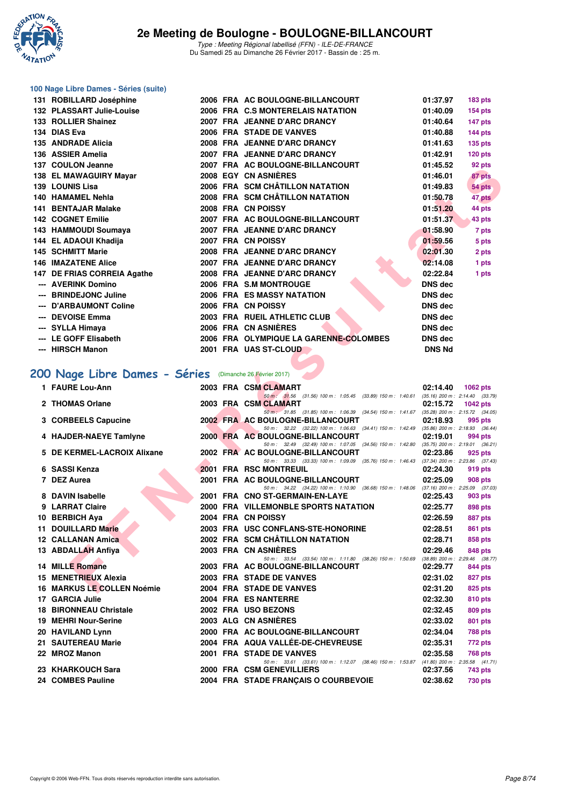

#### **100 Nage Libre Dames - Séries (suite)**

|     | 131 ROBILLARD Joséphine     |      | 2006 FRA AC BOULOGNE-BILLANCOURT       | 01:37.97       | <b>183 pts</b> |
|-----|-----------------------------|------|----------------------------------------|----------------|----------------|
|     | 132 PLASSART Julie-Louise   |      | 2006 FRA C.S MONTERELAIS NATATION      | 01:40.09       | $154$ pts      |
|     | 133 ROLLIER Shainez         |      | 2007 FRA JEANNE D'ARC DRANCY           | 01:40.64       | 147 pts        |
|     | 134 DIAS Eva                |      | 2006 FRA STADE DE VANVES               | 01:40.88       | 144 pts        |
|     | 135 ANDRADE Alicia          |      | 2008 FRA JEANNE D'ARC DRANCY           | 01:41.63       | <b>135 pts</b> |
|     | 136 ASSIER Amelia           | 2007 | <b>FRA JEANNE D'ARC DRANCY</b>         | 01:42.91       | 120 pts        |
|     | 137 COULON Jeanne           |      | 2007 FRA AC BOULOGNE-BILLANCOURT       | 01:45.52       | 92 pts         |
|     | 138 EL MAWAGUIRY Mayar      |      | 2008 EGY CN ASNIÈRES                   | 01:46.01       | 87 pts         |
|     | 139 LOUNIS Lisa             |      | 2006 FRA SCM CHÂTILLON NATATION        | 01:49.83       | 54 pts         |
|     | 140 HAMAMEL Nehla           |      | 2008 FRA SCM CHÂTILLON NATATION        | 01:50.78       | 47 pts         |
|     | <b>141 BENTAJAR Malake</b>  |      | 2008 FRA CN POISSY                     | 01:51.20       | 44 pts         |
|     | <b>142 COGNET Emilie</b>    |      | 2007 FRA AC BOULOGNE-BILLANCOURT       | 01:51.37       | 43 pts         |
|     | 143 HAMMOUDI Soumaya        | 2007 | FRA JEANNE D'ARC DRANCY                | 01:58.90       | 7 pts          |
|     | 144 EL ADAOUI Khadija       |      | 2007 FRA CN POISSY                     | 01:59.56       | 5 pts          |
|     | <b>145 SCHMITT Marie</b>    |      | 2008 FRA JEANNE D'ARC DRANCY           | 02:01.30       | 2 pts          |
|     | <b>146 IMAZATENE Alice</b>  |      | 2007 FRA JEANNE D'ARC DRANCY           | 02:14.08       | 1 pts          |
|     | 147 DE FRIAS CORREIA Agathe |      | 2008 FRA JEANNE D'ARC DRANCY           | 02:22.84       | 1 pts          |
|     | --- AVERINK Domino          |      | 2006 FRA S.M MONTROUGE                 | <b>DNS dec</b> |                |
|     | <b>BRINDEJONC Juline</b>    |      | 2006 FRA ES MASSY NATATION             | <b>DNS dec</b> |                |
|     | <b>D'ARBAUMONT Coline</b>   |      | 2006 FRA CN POISSY                     | <b>DNS dec</b> |                |
|     | <b>DEVOISE Emma</b>         |      | 2003 FRA RUEIL ATHLETIC CLUB           | DNS dec        |                |
|     | --- SYLLA Himaya            |      | 2006 FRA CN ASNIÈRES                   | <b>DNS dec</b> |                |
|     | <b>LE GOFF Elisabeth</b>    |      | 2006 FRA OLYMPIQUE LA GARENNE-COLOMBES | <b>DNS dec</b> |                |
| --- | <b>HIRSCH Manon</b>         |      | 2001 FRA UAS ST-CLOUD                  | <b>DNS Nd</b>  |                |

# **[200 Nage Libre Dames - Séries](http://www.ffnatation.fr/webffn/resultats.php?idact=nat&go=epr&idcpt=42219&idepr=3)** (Dimanche 26 Février 2017)

| <b>JI COULUN JEAHIE</b>                                 |  | <b>FRAME AC BOOLOGNE-BILLANCOORT</b>                                                                                         | 01.40.04       | ອ∠ µເຣ                              |
|---------------------------------------------------------|--|------------------------------------------------------------------------------------------------------------------------------|----------------|-------------------------------------|
| 38 EL MAWAGUIRY Mayar                                   |  | <b>2008 EGY CN ASNIERES</b>                                                                                                  | 01:46.01       | 87 pts                              |
| 39 LOUNIS Lisa                                          |  | 2006 FRA SCM CHÂTILLON NATATION                                                                                              | 01:49.83       | 54 pts                              |
| 40   HAMAMEL Nehla                                      |  | 2008 FRA SCM CHÂTILLON NATATION                                                                                              | 01:50.78       | 47 pts                              |
| 41 BENTAJAR Malake                                      |  | 2008 FRA CN POISSY                                                                                                           | 01:51.20       | 44 pts                              |
| 42 COGNET Emilie                                        |  | 2007 FRA AC BOULOGNE-BILLANCOURT                                                                                             | 01:51.37       | 43 pts                              |
| 43 HAMMOUDI Soumaya                                     |  | 2007 FRA JEANNE D'ARC DRANCY                                                                                                 | 01:58.90       | 7 pts                               |
| 44 EL ADAOUI Khadija                                    |  | 2007 FRA CN POISSY                                                                                                           | 01:59.56       | 5 pts                               |
| 45 SCHMITT Marie                                        |  | 2008 FRA JEANNE D'ARC DRANCY                                                                                                 | 02:01.30       | 2 pts                               |
| 46 IMAZATENE Alice                                      |  | 2007 FRA JEANNE D'ARC DRANCY                                                                                                 | 02:14.08       | 1 pts                               |
| 47 DE FRIAS CORREIA Agathe                              |  | 2008 FRA JEANNE D'ARC DRANCY                                                                                                 | 02:22.84       | 1 pts                               |
| --- AVERINK Domino                                      |  | 2006 FRA S.M MONTROUGE                                                                                                       | <b>DNS dec</b> |                                     |
| --- BRINDEJONC Juline                                   |  | <b>2006 FRA ES MASSY NATATION</b>                                                                                            | <b>DNS dec</b> |                                     |
| --- D'ARBAUMONT Coline                                  |  | 2006 FRA CN POISSY                                                                                                           | DNS dec        |                                     |
| --- DEVOISE Emma                                        |  | 2003 FRA RUEIL ATHLETIC CLUB                                                                                                 | <b>DNS dec</b> |                                     |
| ---   SYLLA Himaya                                      |  | 2006 FRA CN ASNIÈRES                                                                                                         | <b>DNS dec</b> |                                     |
| --- LE GOFF Elisabeth                                   |  | 2006 FRA OLYMPIQUE LA GARENNE-COLOMBES                                                                                       | <b>DNS dec</b> |                                     |
| --- HIRSCH Manon                                        |  | 2001 FRA UAS ST-CLOUD                                                                                                        | <b>DNS Nd</b>  |                                     |
|                                                         |  |                                                                                                                              |                |                                     |
|                                                         |  |                                                                                                                              |                |                                     |
| 00 Nage Libre Dames - Séries (Dimanche 26 Février 2017) |  |                                                                                                                              |                |                                     |
| 1 FAURE Lou-Ann                                         |  | 2003 FRA CSM CLAMART                                                                                                         | 02:14.40       | 1062 $pts$                          |
|                                                         |  | 50 m: 31.56 (31.56) 100 m: 1:05.45 (33.89) 150 m: 1:40.61 (35.16) 200 m: 2:14.40 (33.79)                                     |                |                                     |
| 2 THOMAS Orlane                                         |  | 2003 FRA CSM CLAMART<br>50 m: 31.85 (31.85) 100 m: 1:06.39 (34.54) 150 m: 1:41.67 (35.28) 200 m: 2:15.72 (34.05)             | 02:15.72       | 1042 $pts$                          |
| 3 CORBEELS Capucine                                     |  | 2002 FRA AC BOULOGNE-BILLANCOURT                                                                                             | 02:18.93       | 995 pts                             |
|                                                         |  | 50 m: 32.22 (32.22) 100 m: 1:06.63 (34.41) 150 m: 1:42.49 (35.86) 200 m: 2:18.93 (36.44)                                     |                |                                     |
| 4 HAJDER-NAEYE Tamlyne                                  |  | 2000 FRA AC BOULOGNE-BILLANCOURT                                                                                             | 02:19.01       | 994 pts                             |
| 5 DE KERMEL-LACROIX Alixane                             |  | 50 m: 32.49 (32.49) 100 m: 1:07.05 (34.56) 150 m: 1:42.80 (35.75) 200 m: 2:19.01 (36.21)<br>2002 FRA AC BOULOGNE-BILLANCOURT | 02:23.86       | 925 pts                             |
|                                                         |  | 50 m: 33.33 (33.33) 100 m: 1:09.09 (35.76) 150 m: 1:46.43 (37.34) 200 m: 2:23.86 (37.43)                                     |                |                                     |
| 6 SASSI Kenza                                           |  | 2001 FRA RSC MONTREUIL                                                                                                       | 02:24.30       | 919 pts                             |
| 7 DEZ Aurea                                             |  | 2001 FRA AC BOULOGNE-BILLANCOURT                                                                                             | 02:25.09       | 908 pts                             |
| 8 DAVIN Isabelle                                        |  | 50 m: 34.22 (34.22) 100 m: 1:10.90 (36.68) 150 m: 1:48.06 (37.16) 200 m: 2:25.09 (37.03)<br>2001 FRA CNO ST-GERMAIN-EN-LAYE  | 02:25.43       | 903 pts                             |
| 9 LARRAT Claire                                         |  | 2000 FRA VILLEMONBLE SPORTS NATATION                                                                                         | 02:25.77       | 898 pts                             |
| 10 BERBICH Aya                                          |  | 2004 FRA CN POISSY                                                                                                           | 02:26.59       | 887 pts                             |
| 11 DOUILLARD Marie                                      |  | 2003 FRA USC CONFLANS-STE-HONORINE                                                                                           | 02:28.51       |                                     |
| 12 CALLANAN Amica                                       |  | 2002 FRA SCM CHÂTILLON NATATION                                                                                              | 02:28.71       | 861 pts                             |
|                                                         |  |                                                                                                                              |                | 858 pts                             |
| 13 ABDALLAH Anfiya                                      |  | 2003 FRA CN ASNIERES<br>50 m: 33.54 (33.54) 100 m: 1:11.80 (38.26) 150 m: 1:50.69 (38.89) 200 m: 2:29.46 (38.77)             | 02:29.46       | 848 pts                             |
| <b>14 MILLE Romane</b>                                  |  | 2003 FRA AC BOULOGNE-BILLANCOURT                                                                                             | 02:29.77       | 844 pts                             |
| 15 MENETRIEUX Alexia                                    |  | 2003 FRA STADE DE VANVES                                                                                                     | 02:31.02       | 827 pts                             |
| 16 MARKUS LE COLLEN Noémie                              |  | 2004 FRA STADE DE VANVES                                                                                                     | 02:31.20       | 825 pts                             |
| 17 GARCIA Julie                                         |  | 2004 FRA ES NANTERRE                                                                                                         | 02:32.30       | 810 pts                             |
| <b>18 BIRONNEAU Christale</b>                           |  | 2002 FRA USO BEZONS                                                                                                          | 02:32.45       | 809 pts                             |
| 19 MEHRI Nour-Serine                                    |  | 2003 ALG CN ASNIERES                                                                                                         | 02:33.02       | 801 pts                             |
| 20 HAVILAND Lynn                                        |  | 2000 FRA AC BOULOGNE-BILLANCOURT                                                                                             | 02:34.04       | 788 pts                             |
| 21 SAUTEREAU Marie                                      |  | 2004 FRA AQUA VALLEE-DE-CHEVREUSE                                                                                            | 02:35.31       | 772 pts                             |
| 22 MROZ Manon                                           |  | 2001 FRA STADE DE VANVES                                                                                                     | 02:35.58       | 768 pts                             |
|                                                         |  | 50 m: 33.61 (33.61) 100 m: 1:12.07 (38.46) 150 m: 1:53.87                                                                    |                | $(41.80)$ 200 m : 2:35.58 $(41.71)$ |
| 23   KHARKOUCH Sara                                     |  | 2000 FRA CSM GENEVILLIERS                                                                                                    | 02:37.56       | 743 pts                             |
| 24 COMBES Pauline                                       |  | 2004 FRA STADE FRANÇAIS O COURBEVOIE                                                                                         | 02:38.62       | 730 pts                             |
|                                                         |  |                                                                                                                              |                |                                     |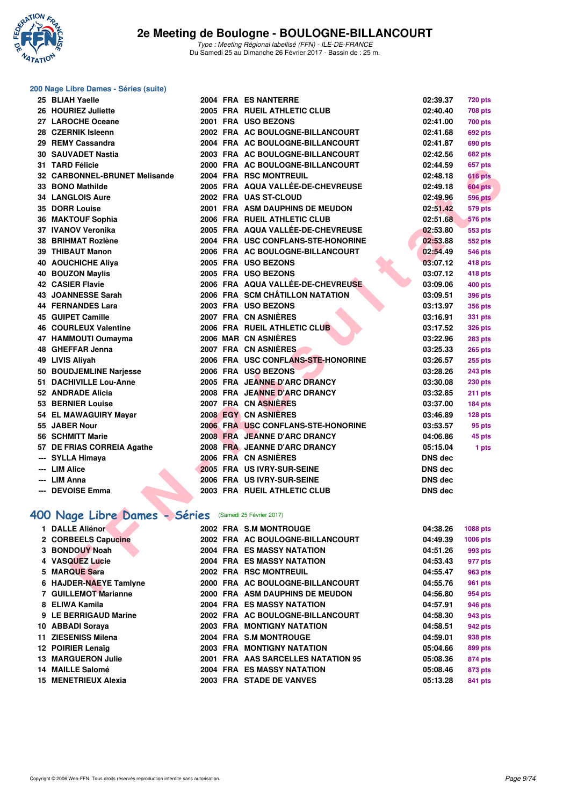

#### **200 Nage Libre Dames - Séries (suite)**

| 25 BLIAH Yaelle                                        |          | 2004 FRA ES NANTERRE               | 02:39.37       | <b>720 pts</b> |
|--------------------------------------------------------|----------|------------------------------------|----------------|----------------|
| 26 HOURIEZ Juliette                                    |          | 2005 FRA RUEIL ATHLETIC CLUB       | 02:40.40       | <b>708 pts</b> |
| 27 LAROCHE Oceane                                      |          | 2001 FRA USO BEZONS                | 02:41.00       | <b>700 pts</b> |
| 28 CZERNIK Isleenn                                     |          | 2002 FRA AC BOULOGNE-BILLANCOURT   | 02:41.68       | <b>692 pts</b> |
| 29 REMY Cassandra                                      |          | 2004 FRA AC BOULOGNE-BILLANCOURT   | 02:41.87       | 690 pts        |
| 30 SAUVADET Nastia                                     |          | 2003 FRA AC BOULOGNE-BILLANCOURT   | 02:42.56       | 682 pts        |
| 31 TARD Félicie                                        |          | 2000 FRA AC BOULOGNE-BILLANCOURT   | 02:44.59       | 657 pts        |
| 32 CARBONNEL-BRUNET Melisande                          |          | 2004 FRA RSC MONTREUIL             | 02:48.18       | 616 pts        |
| 33 BONO Mathilde                                       |          | 2005 FRA AQUA VALLÉE-DE-CHEVREUSE  | 02:49.18       | 604 pts        |
| <b>34 LANGLOIS Aure</b>                                |          | 2002 FRA UAS ST-CLOUD              | 02:49.96       | <b>596 pts</b> |
| 35 DORR Louise                                         |          | 2001 FRA ASM DAUPHINS DE MEUDON    | 02:51.42       | <b>579 pts</b> |
| 36 MAKTOUF Sophia                                      |          | 2006 FRA RUEIL ATHLETIC CLUB       | 02:51.68       | <b>576 pts</b> |
| 37 IVANOV Veronika                                     |          | 2005 FRA AQUA VALLÉE-DE-CHEVREUSE  | 02:53.80       | 553 pts        |
| 38 BRIHMAT Rozlène                                     |          | 2004 FRA USC CONFLANS-STE-HONORINE | 02:53.88       | 552 pts        |
| 39 THIBAUT Manon                                       |          | 2006 FRA AC BOULOGNE-BILLANCOURT   | 02:54.49       | <b>546 pts</b> |
| <b>40 AOUCHICHE Aliya</b>                              |          | 2005 FRA USO BEZONS                | 03:07.12       | 418 pts        |
| <b>40 BOUZON Maylis</b>                                |          | 2005 FRA USO BEZONS                | 03:07.12       | 418 pts        |
| <b>42 CASIER Flavie</b>                                |          | 2006 FRA AQUA VALLÉE-DE-CHEVREUSE  | 03:09.06       | 400 pts        |
| 43 JOANNESSE Sarah                                     |          | 2006 FRA SCM CHÂTILLON NATATION    | 03:09.51       | 396 pts        |
| 44 FERNANDES Lara                                      |          | 2003 FRA USO BEZONS                | 03:13.97       | <b>356 pts</b> |
| <b>45 GUIPET Camille</b>                               |          | 2007 FRA CN ASNIERES               | 03:16.91       | 331 pts        |
| <b>46 COURLEUX Valentine</b>                           |          | 2006 FRA RUEIL ATHLETIC CLUB       | 03:17.52       | <b>326 pts</b> |
| 47 HAMMOUTI Oumayma                                    |          | 2006 MAR CN ASNIÈRES               | 03:22.96       | <b>283 pts</b> |
| 48 GHEFFAR Jenna                                       |          | 2007 FRA CN ASNIERES               | 03:25.33       | 265 pts        |
| 49 LIVIS Aliyah                                        |          | 2006 FRA USC CONFLANS-STE-HONORINE | 03:26.57       | 255 pts        |
| 50 BOUDJEMLINE Narjesse                                |          | 2006 FRA USO BEZONS                | 03:28.26       | 243 pts        |
| 51 DACHIVILLE Lou-Anne                                 |          | 2005 FRA JEANNE D'ARC DRANCY       | 03:30.08       | <b>230 pts</b> |
| 52 ANDRADE Alicia                                      |          | 2008 FRA JEANNE D'ARC DRANCY       | 03:32.85       | 211 pts        |
| <b>53 BERNIER Louise</b>                               |          | 2007 FRA CN ASNIÈRES               | 03:37.00       | 184 pts        |
| 54 EL MAWAGUIRY Mayar                                  |          | 2008 EGY CN ASNIERES               | 03:46.89       | 128 pts        |
| 55 JABER Nour                                          |          | 2006 FRA USC CONFLANS-STE-HONORINE | 03:53.57       | 95 pts         |
| 56 SCHMITT Marie                                       |          | 2008 FRA JEANNE D'ARC DRANCY       | 04:06.86       | 45 pts         |
| 57 DE FRIAS CORREIA Agathe                             |          | 2008 FRA JEANNE D'ARC DRANCY       | 05:15.04       | 1 pts          |
| --- SYLLA Himaya                                       |          | 2006 FRA CN ASNIERES               | <b>DNS dec</b> |                |
| --- LIM Alice                                          |          | 2005 FRA US IVRY-SUR-SEINE         | <b>DNS dec</b> |                |
| --- LIM Anna                                           |          | 2006 FRA US IVRY-SUR-SEINE         | DNS dec        |                |
| --- DEVOISE Emma                                       |          | 2003 FRA RUEIL ATHLETIC CLUB       | <b>DNS dec</b> |                |
|                                                        |          |                                    |                |                |
| 100 Nage Libre Dames - Séries (Samedi 25 Février 2017) |          |                                    |                |                |
| 1 DALLE Aliénor                                        |          | 2002 FRA S.M MONTROUGE             | 04:38.26       | 1088 pts       |
| 2 CORBEELS Capucine                                    |          | 2002 FRA AC BOULOGNE-BILLANCOURT   | 04:49.39       | 1006 pts       |
| 3 BONDOUY Noah                                         |          | <b>2004 FRA ES MASSY NATATION</b>  | 04:51.26       | 993 pts        |
| 4 VASQUEZ Lucie                                        |          | <b>2004 FRA ES MASSY NATATION</b>  | 04:53.43       | 977 pts        |
| 5 MARQUE Sara                                          |          | 2002 FRA RSC MONTREUIL             | 04:55.47       | 963 pts        |
| 6 HAJDER-NAEYE Tamlyne                                 |          | 2000 FRA AC BOULOGNE-BILLANCOURT   | 04:55.76       | <b>961 pts</b> |
| 7. AUBU FUAT Media                                     | 0000 FBA | ACM BALIBUILLO BE MEUBOM           | 0.5500         | $Q = A$        |

# **[400 Nage Libre Dames - Séries](http://www.ffnatation.fr/webffn/resultats.php?idact=nat&go=epr&idcpt=42219&idepr=4)** (Samedi 25 Février 2017)

| 1 DALLE Aliénor           |  | 2002 FRA S.M MONTROUGE             | 04:38.26 | 1088 pts        |
|---------------------------|--|------------------------------------|----------|-----------------|
| 2 CORBEELS Capucine       |  | 2002 FRA AC BOULOGNE-BILLANCOURT   | 04:49.39 | <b>1006 pts</b> |
| 3 BONDOUY Noah            |  | 2004 FRA ES MASSY NATATION         | 04:51.26 | 993 pts         |
| 4 VASQUEZ Lucie           |  | 2004 FRA ES MASSY NATATION         | 04:53.43 | 977 pts         |
| 5 MARQUE Sara             |  | 2002 FRA RSC MONTREUIL             | 04:55.47 | 963 pts         |
| 6 HAJDER-NAEYE Tamlyne    |  | 2000 FRA AC BOULOGNE-BILLANCOURT   | 04:55.76 | 961 pts         |
| 7 GUILLEMOT Marianne      |  | 2000 FRA ASM DAUPHINS DE MEUDON    | 04:56.80 | 954 pts         |
| 8 ELIWA Kamila            |  | 2004 FRA ES MASSY NATATION         | 04:57.91 | 946 pts         |
| 9 LE BERRIGAUD Marine     |  | 2002 FRA AC BOULOGNE-BILLANCOURT   | 04:58.30 | 943 pts         |
| 10 ABBADI Soraya          |  | <b>2003 FRA MONTIGNY NATATION</b>  | 04:58.51 | 942 pts         |
| 11 ZIESENISS Milena       |  | 2004 FRA S.M MONTROUGE             | 04:59.01 | 938 pts         |
| 12 POIRIER Lenaïg         |  | <b>2003 FRA MONTIGNY NATATION</b>  | 05:04.66 | 899 pts         |
| <b>13 MARGUERON Julie</b> |  | 2001 FRA AAS SARCELLES NATATION 95 | 05:08.36 | <b>874 pts</b>  |
| 14 MAILLE Salomé          |  | <b>2004 FRA ES MASSY NATATION</b>  | 05:08.46 | 873 pts         |
| 15 MENETRIEUX Alexia      |  | 2003 FRA STADE DE VANVES           | 05:13.28 | 841 pts         |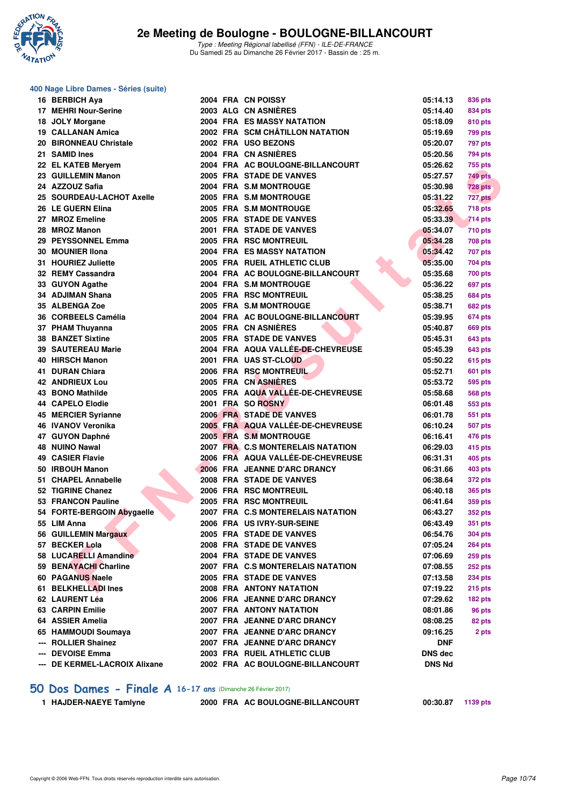

#### **400 Nage Libre Dames - Séries (suite)**

| 16 BERBICH Aya                |  | 2004 FRA CN POISSY                | 05:14.13       | 836 pts        |
|-------------------------------|--|-----------------------------------|----------------|----------------|
| 17 MEHRI Nour-Serine          |  | 2003 ALG CN ASNIÈRES              | 05:14.40       | 834 pts        |
| 18 JOLY Morgane               |  | 2004 FRA ES MASSY NATATION        | 05:18.09       | <b>810 pts</b> |
| 19 CALLANAN Amica             |  | 2002 FRA SCM CHÂTILLON NATATION   | 05:19.69       | 799 pts        |
| 20 BIRONNEAU Christale        |  | 2002 FRA USO BEZONS               | 05:20.07       | 797 pts        |
| 21 SAMID Ines                 |  | 2004 FRA CN ASNIERES              | 05:20.56       | 794 pts        |
| 22 EL KATEB Meryem            |  | 2004 FRA AC BOULOGNE-BILLANCOURT  | 05:26.62       | 755 pts        |
| 23 GUILLEMIN Manon            |  | 2005 FRA STADE DE VANVES          | 05:27.57       | 749 pts        |
| 24 AZZOUZ Safia               |  | 2004 FRA S.M MONTROUGE            | 05:30.98       | <b>728 pts</b> |
| 25 SOURDEAU-LACHOT Axelle     |  | 2005 FRA S.M MONTROUGE            | 05:31.22       | 727 pts        |
| 26 LE GUERN Elina             |  | 2005 FRA S.M MONTROUGE            | 05:32.65       | 718 pts        |
| 27 MROZ Emeline               |  | 2005 FRA STADE DE VANVES          | 05:33.39       | 714 pts        |
| 28 MROZ Manon                 |  | 2001 FRA STADE DE VANVES          | 05:34.07       | 710 pts        |
| 29 PEYSSONNEL Emma            |  | 2005 FRA RSC MONTREUIL            | 05:34.28       | 708 pts        |
| 30 MOUNIER IIona              |  | <b>2004 FRA ES MASSY NATATION</b> | 05:34.42       | 707 pts        |
| 31 HOURIEZ Juliette           |  | 2005 FRA RUEIL ATHLETIC CLUB      | 05:35.00       | 704 pts        |
| 32 REMY Cassandra             |  | 2004 FRA AC BOULOGNE-BILLANCOURT  | 05:35.68       | 700 pts        |
| 33 GUYON Agathe               |  | 2004 FRA S.M MONTROUGE            | 05:36.22       | 697 pts        |
| 34 ADJIMAN Shana              |  | 2005 FRA RSC MONTREUIL            | 05:38.25       | <b>684 pts</b> |
| 35 ALBENGA Zoe                |  | 2005 FRA S.M MONTROUGE            | 05:38.71       | <b>682 pts</b> |
| 36 CORBEELS Camélia           |  | 2004 FRA AC BOULOGNE-BILLANCOURT  | 05:39.95       | 674 pts        |
| 37 PHAM Thuyanna              |  | 2005 FRA CN ASNIÈRES              | 05:40.87       | <b>669 pts</b> |
| <b>38 BANZET Sixtine</b>      |  | 2005 FRA STADE DE VANVES          | 05:45.31       | 643 pts        |
| <b>39 SAUTEREAU Marie</b>     |  | 2004 FRA AQUA VALLÉE-DE-CHEVREUSE | 05:45.39       | 643 pts        |
| 40 HIRSCH Manon               |  | 2001 FRA UAS ST-CLOUD             | 05:50.22       | 615 pts        |
| 41 DURAN Chiara               |  | 2006 FRA RSC MONTREUIL            | 05:52.71       | 601 pts        |
| <b>42 ANDRIEUX Lou</b>        |  | 2005 FRA CN ASNIERES              | 05:53.72       | 595 pts        |
| 43 BONO Mathilde              |  | 2005 FRA AQUA VALLÉE-DE-CHEVREUSE | 05:58.68       | <b>568 pts</b> |
| <b>44 CAPELO Elodie</b>       |  | 2001 FRA SO ROSNY                 | 06:01.48       | 553 pts        |
| 45 MERCIER Syrianne           |  | 2006 FRA STADE DE VANVES          | 06:01.78       | 551 pts        |
| 46 IVANOV Veronika            |  | 2005 FRA AQUA VALLÉE-DE-CHEVREUSE | 06:10.24       | 507 pts        |
| 47 GUYON Daphné               |  | 2005 FRA S.M MONTROUGE            | 06:16.41       | 476 pts        |
| 48 NUINO Nawal                |  | 2007 FRA C.S MONTERELAIS NATATION | 06:29.03       | 415 pts        |
| 49 CASIER Flavie              |  | 2006 FRĀ AQUA VALLÉE-DE-CHEVREUSE | 06:31.31       | 405 pts        |
| 50 IRBOUH Manon               |  | 2006 FRA JEANNE D'ARC DRANCY      | 06:31.66       | 403 pts        |
| 51 CHAPEL Annabelle           |  | 2008 FRA STADE DE VANVES          | 06:38.64       | 372 pts        |
| 52 TIGRINE Chanez             |  | 2006 FRA RSC MONTREUIL            | 06:40.18       | <b>365 pts</b> |
| 53 FRANCON Pauline            |  | 2005 FRA RSC MONTREUIL            | 06:41.64       | 359 pts        |
| 54 FORTE-BERGOIN Abygaelle    |  | 2007 FRA C.S MONTERELAIS NATATION | 06:43.27       | <b>352 pts</b> |
| 55 LIM Anna                   |  | 2006 FRA US IVRY-SUR-SEINE        | 06:43.49       | <b>351 pts</b> |
| 56 GUILLEMIN Margaux          |  | 2005 FRA STADE DE VANVES          | 06:54.76       | <b>304 pts</b> |
| 57 BECKER Lola                |  | 2008 FRA STADE DE VANVES          | 07:05.24       | <b>264 pts</b> |
| 58 LUCARELLI Amandine         |  | 2004 FRA STADE DE VANVES          | 07:06.69       | 259 pts        |
| 59 BENAYACHI Charline         |  | 2007 FRA C.S MONTERELAIS NATATION | 07:08.55       | <b>252 pts</b> |
| 60 PAGANUS Naele              |  | 2005 FRA STADE DE VANVES          | 07:13.58       | <b>234 pts</b> |
| 61 BELKHELLADI Ines           |  | 2008 FRA ANTONY NATATION          | 07:19.22       | <b>215 pts</b> |
| 62 LAURENT Léa                |  | 2006 FRA JEANNE D'ARC DRANCY      | 07:29.62       | 182 pts        |
| 63 CARPIN Emilie              |  | 2007 FRA ANTONY NATATION          | 08:01.86       | 96 pts         |
| 64 ASSIER Amelia              |  | 2007 FRA JEANNE D'ARC DRANCY      | 08:08.25       | 82 pts         |
| 65 HAMMOUDI Soumaya           |  | 2007 FRA JEANNE D'ARC DRANCY      | 09:16.25       | 2 pts          |
| --- ROLLIER Shainez           |  | 2007 FRA JEANNE D'ARC DRANCY      | <b>DNF</b>     |                |
| --- DEVOISE Emma              |  | 2003 FRA RUEIL ATHLETIC CLUB      | <b>DNS</b> dec |                |
| --- DE KERMEL-LACROIX Alixane |  | 2002 FRA AC BOULOGNE-BILLANCOURT  | <b>DNS Nd</b>  |                |
|                               |  |                                   |                |                |

### **[50 Dos Dames - Finale A](http://www.ffnatation.fr/webffn/resultats.php?idact=nat&go=epr&idcpt=42219&idepr=11) 16-17 ans** (Dimanche 26 Février 2017)

**1 HAJDER-NAEYE Tamlyne 2000 FRA AC BOULOGNE-BILLANCOURT 00:30.87 1139 pts**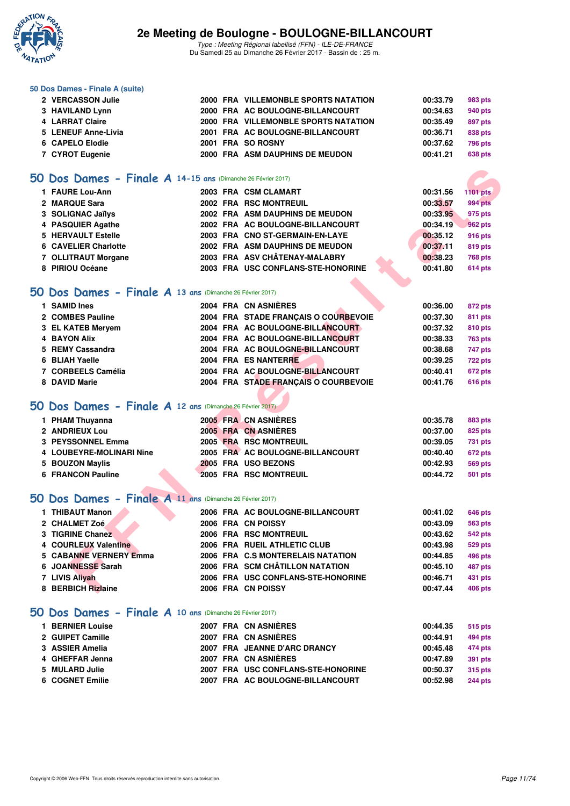

Type : Meeting Régional labellisé (FFN) - ILE-DE-FRANCE Du Samedi 25 au Dimanche 26 Février 2017 - Bassin de : 25 m.

#### **50 Dos Dames - Finale A (suite)**

| 2 VERCASSON Julie   |  | 2000 FRA VILLEMONBLE SPORTS NATATION | 00:33.79 | 983 pts |
|---------------------|--|--------------------------------------|----------|---------|
| 3 HAVILAND Lynn     |  | 2000 FRA AC BOULOGNE-BILLANCOURT     | 00:34.63 | 940 pts |
| 4 LARRAT Claire     |  | 2000 FRA VILLEMONBLE SPORTS NATATION | 00:35.49 | 897 pts |
| 5 LENEUF Anne-Livia |  | 2001 FRA AC BOULOGNE-BILLANCOURT     | 00:36.71 | 838 pts |
| 6 CAPELO Elodie     |  | 2001 FRA SO ROSNY                    | 00:37.62 | 796 pts |
| 7 CYROT Eugenie     |  | 2000 FRA ASM DAUPHINS DE MEUDON      | 00:41.21 | 638 pts |

## **[50 Dos Dames - Finale A](http://www.ffnatation.fr/webffn/resultats.php?idact=nat&go=epr&idcpt=42219&idepr=11) 14-15 ans** (Dimanche 26 Février 2017)

| O Dos Dames - Finale A 14-15 ans (Dimanche 26 Février 2017) |  |                                      |          |                 |
|-------------------------------------------------------------|--|--------------------------------------|----------|-----------------|
| 1 FAURE Lou-Ann                                             |  | 2003 FRA CSM CLAMART                 | 00:31.56 | <b>1101 pts</b> |
| 2 MARQUE Sara                                               |  | 2002 FRA RSC MONTREUIL               | 00:33.57 | 994 pts         |
| 3 SOLIGNAC Jaïlys                                           |  | 2002 FRA ASM DAUPHINS DE MEUDON      | 00:33.95 | 975 pts         |
| 4 PASQUIER Agathe                                           |  | 2002 FRA AC BOULOGNE-BILLANCOURT     | 00:34.19 | <b>962 pts</b>  |
| 5 HERVAULT Estelle                                          |  | 2003 FRA CNO ST-GERMAIN-EN-LAYE      | 00:35.12 | 916 pts         |
| 6 CAVELIER Charlotte                                        |  | 2002 FRA ASM DAUPHINS DE MEUDON      | 00:37.11 | 819 pts         |
| 7 OLLITRAUT Morgane                                         |  | 2003 FRA ASV CHÂTENAY-MALABRY        | 00:38.23 | <b>768 pts</b>  |
| 8 PIRIOU Océane                                             |  | 2003 FRA USC CONFLANS-STE-HONORINE   | 00:41.80 | 614 pts         |
|                                                             |  |                                      |          |                 |
| O Dos Dames - Finale A 13 ans (Dimanche 26 Février 2017)    |  |                                      |          |                 |
| 1 SAMID Ines                                                |  | 2004 FRA CN ASNIÈRES                 | 00:36.00 | 872 pts         |
| 2 COMBES Pauline                                            |  | 2004 FRA STADE FRANCAIS O COURBEVOIE | 00:37.30 | 811 pts         |
| 3 EL KATEB Meryem                                           |  | 2004 FRA AC BOULOGNE-BILLANCOURT     | 00:37.32 | <b>810 pts</b>  |
| <b>4 BAYON Alix</b>                                         |  | 2004 FRA AC BOULOGNE-BILLANCOURT     | 00:38.33 | <b>763 pts</b>  |
| 5 REMY Cassandra                                            |  | 2004 FRA AC BOULOGNE-BILLANCOURT     | 00:38.68 | 747 pts         |
| 6 BLIAH Yaelle                                              |  | 2004 FRA ES NANTERRE                 | 00:39.25 | <b>722 pts</b>  |
| 7 CORBEELS Camélia                                          |  | 2004 FRA AC BOULOGNE-BILLANCOURT     | 00:40.41 | 672 pts         |
| 8 DAVID Marie                                               |  | 2004 FRA STADE FRANÇAIS O COURBEVOIE | 00:41.76 | 616 pts         |
|                                                             |  |                                      |          |                 |
| O Dos Dames - Finale A 12 ans (Dimanche 26 Février 2017)    |  |                                      |          |                 |
| 1 PHAM Thuyanna                                             |  | 2005 FRA CN ASNIERES                 | 00:35.78 | <b>883 pts</b>  |
| 2 ANDRIEUX Lou                                              |  | 2005 FRA CN ASNIERES                 | 00:37.00 | 825 pts         |
| <b>3 PEYSSONNEL Emma</b>                                    |  | 2005 FRA RSC MONTREUIL               | 00:39.05 | 731 pts         |
| 4 LOUBEYRE-MOLINARI Nine                                    |  | 2005 FRA AC BOULOGNE-BILLANCOURT     | 00:40.40 | 672 pts         |
| 5 BOUZON Maylis                                             |  | 2005 FRA USO BEZONS                  | 00:42.93 | <b>569 pts</b>  |
| <b>6 FRANCON Pauline</b>                                    |  | 2005 FRA RSC MONTREUIL               | 00:44.72 | <b>501 pts</b>  |
| O Dos Dames - Finale A 11 ans (Dimanche 26 Février 2017)    |  |                                      |          |                 |
| 1 THIBAUT Manon                                             |  | 2006 FRA AC BOULOGNE-BILLANCOURT     | 00:41.02 | 646 pts         |
| 2 CHALMET Zoé                                               |  | 2006 FRA CN POISSY                   | 00:43.09 | 563 pts         |
| 3 TIGRINE Chanez                                            |  | 2006 FRA RSC MONTREUIL               | 00:43.62 | 542 pts         |
| 4 COURLEUX Valentine                                        |  | 2006 FRA RUEIL ATHLETIC CLUB         | 00:43.98 | 529 pts         |
| <b>5 CABANNE VERNERY Emma</b>                               |  | 2006 FRA C.S MONTERELAIS NATATION    | 00:44.85 | 496 pts         |
| 6 JOANNESSE Sarah                                           |  | 2006 FRA SCM CHÂTILLON NATATION      | 00:45.10 | 487 pts         |
| 7 LIVIS Aliyah                                              |  | 2006 FRA USC CONFLANS-STE-HONORINE   | 00:46.71 | 431 pts         |
| 8 BERBICH Rizlaine                                          |  | 2006 FRA CN POISSY                   | 00:47.44 | <b>406 pts</b>  |

#### **[50 Dos Dames - Finale A](http://www.ffnatation.fr/webffn/resultats.php?idact=nat&go=epr&idcpt=42219&idepr=11) 13 ans** (Dimanche 26 Février 2017)

| 1 SAMID Ines        |  | 2004 FRA CN ASNIÈRES                 | 00:36.00 | 872 pts        |
|---------------------|--|--------------------------------------|----------|----------------|
| 2 COMBES Pauline    |  | 2004 FRA STADE FRANCAIS O COURBEVOIE | 00:37.30 | 811 pts        |
| 3 EL KATEB Mervem   |  | 2004 FRA AC BOULOGNE-BILLANCOURT     | 00:37.32 | 810 pts        |
| <b>4 BAYON Alix</b> |  | 2004 FRA AC BOULOGNE-BILLANCOURT     | 00:38.33 | <b>763 pts</b> |
| 5 REMY Cassandra    |  | 2004 FRA AC BOULOGNE-BILLANCOURT     | 00:38.68 | 747 pts        |
| 6 BLIAH Yaelle      |  | 2004 FRA ES NANTERRE                 | 00:39.25 | <b>722 pts</b> |
| 7 CORBEELS Camélia  |  | 2004 FRA AC BOULOGNE-BILLANCOURT     | 00:40.41 | 672 pts        |
| 8 DAVID Marie       |  | 2004 FRA STADE FRANCAIS O COURBEVOIE | 00:41.76 | <b>616 pts</b> |

# **[50 Dos Dames - Finale A](http://www.ffnatation.fr/webffn/resultats.php?idact=nat&go=epr&idcpt=42219&idepr=11) 12 ans** (Dimanche 26 Février 2017)

| 1 PHAM Thuyanna          | 2005 FRA CN ASNIÈRES             | 00:35.78 | 883 pts        |
|--------------------------|----------------------------------|----------|----------------|
| 2 ANDRIEUX Lou           | 2005 FRA CN ASNIÈRES             | 00:37.00 | 825 pts        |
| 3 PEYSSONNEL Emma        | 2005 FRA RSC MONTREUIL           | 00:39.05 | 731 pts        |
| 4 LOUBEYRE-MOLINARI Nine | 2005 FRA AC BOULOGNE-BILLANCOURT | 00:40.40 | <b>672 pts</b> |
| 5 BOUZON Maylis          | 2005 FRA USO BEZONS              | 00:42.93 | 569 pts        |
| 6 FRANCON Pauline        | <b>2005 FRA RSC MONTREUIL</b>    | 00:44.72 | 501 pts        |

### **[50 Dos Dames - Finale A](http://www.ffnatation.fr/webffn/resultats.php?idact=nat&go=epr&idcpt=42219&idepr=11) 11 ans** (Dimanche 26 Février 2017)

| 1 THIBAUT Manon               | 2006 FRA AC BOULOGNE-BILLANCOURT   | 00:41.02 | 646 pts        |
|-------------------------------|------------------------------------|----------|----------------|
| 2 CHALMET Zoé                 | 2006 FRA CN POISSY                 | 00:43.09 | 563 pts        |
| 3 TIGRINE Chanez              | 2006 FRA RSC MONTREUIL             | 00:43.62 | 542 pts        |
| 4 COURLEUX Valentine          | 2006 FRA RUEIL ATHLETIC CLUB       | 00:43.98 | 529 pts        |
| <b>5 CABANNE VERNERY Emma</b> | 2006 FRA C.S MONTERELAIS NATATION  | 00:44.85 | 496 pts        |
| 6 JOANNESSE Sarah             | 2006 FRA SCM CHÂTILLON NATATION    | 00:45.10 | 487 pts        |
| 7 LIVIS Alivah                | 2006 FRA USC CONFLANS-STE-HONORINE | 00:46.71 | 431 pts        |
| 8 BERBICH Rizlaine            | 2006 FRA CN POISSY                 | 00:47.44 | <b>406 pts</b> |
|                               |                                    |          |                |

#### **[50 Dos Dames - Finale A](http://www.ffnatation.fr/webffn/resultats.php?idact=nat&go=epr&idcpt=42219&idepr=11) 10 ans** (Dimanche 26 Février 2017)

| 1 BERNIER Louise |  | 2007 FRA CN ASNIÈRES               | 00:44.35 | 515 pts        |
|------------------|--|------------------------------------|----------|----------------|
| 2 GUIPET Camille |  | 2007 FRA CN ASNIÈRES               | 00:44.91 | 494 pts        |
| 3 ASSIER Amelia  |  | 2007 FRA JEANNE D'ARC DRANCY       | 00:45.48 | 474 pts        |
| 4 GHEFFAR Jenna  |  | 2007 FRA CN ASNIÈRES               | 00:47.89 | 391 pts        |
| 5 MULARD Julie   |  | 2007 FRA USC CONFLANS-STE-HONORINE | 00:50.37 | 315 pts        |
| 6 COGNET Emilie  |  | 2007 FRA AC BOULOGNE-BILLANCOURT   | 00:52.98 | <b>244 pts</b> |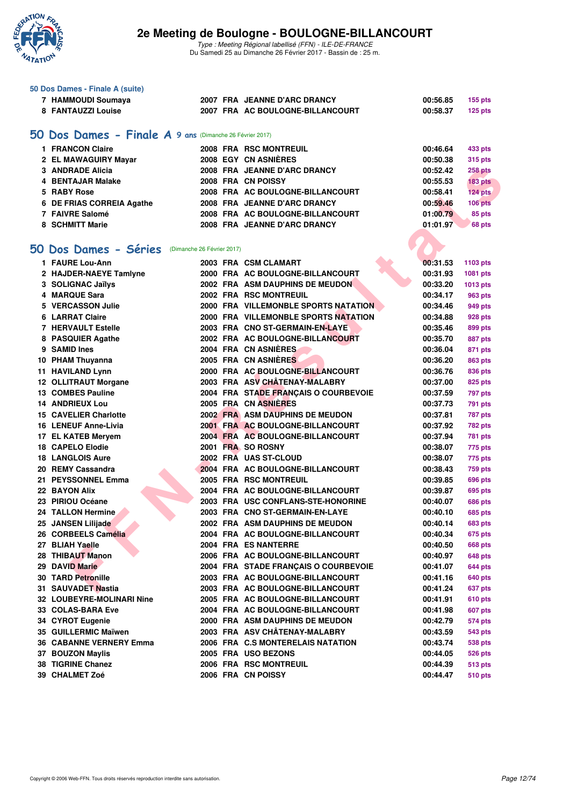

Type : Meeting Régional labellisé (FFN) - ILE-DE-FRANCE Du Samedi 25 au Dimanche 26 Février 2017 - Bassin de : 25 m.

| 50 Dos Dames - Finale A (suite)                          |  |                                        |                      |                           |
|----------------------------------------------------------|--|----------------------------------------|----------------------|---------------------------|
| 7 HAMMOUDI Soumaya                                       |  | 2007 FRA JEANNE D'ARC DRANCY           | 00:56.85             | <b>155 pts</b>            |
| 8 FANTAUZZI Louise                                       |  | 2007 FRA AC BOULOGNE-BILLANCOURT       | 00:58.37             | <b>125 pts</b>            |
|                                                          |  |                                        |                      |                           |
| 50 Dos Dames - Finale A 9 ans (Dimanche 26 Février 2017) |  |                                        |                      |                           |
| 1 FRANCON Claire                                         |  | 2008 FRA RSC MONTREUIL                 | 00:46.64             |                           |
|                                                          |  | <b>2008 EGY CN ASNIERES</b>            |                      | 433 pts                   |
| 2 EL MAWAGUIRY Mayar                                     |  |                                        | 00:50.38             | <b>315 pts</b>            |
| 3 ANDRADE Alicia                                         |  | 2008 FRA JEANNE D'ARC DRANCY           | 00:52.42             | <b>258 pts</b>            |
| 4 BENTAJAR Malake                                        |  | 2008 FRA CN POISSY                     | 00:55.53             | <b>183 pts</b>            |
| 5 RABY Rose                                              |  | 2008 FRA AC BOULOGNE-BILLANCOURT       | 00:58.41             | 124 pts                   |
| 6 DE FRIAS CORREIA Agathe                                |  | 2008 FRA JEANNE D'ARC DRANCY           | 00:59.46             | $106$ pts                 |
| 7 FAIVRE Salomé                                          |  | 2008 FRA AC BOULOGNE-BILLANCOURT       | 01:00.79             | 85 pts                    |
| 8 SCHMITT Marie                                          |  | 2008 FRA JEANNE D'ARC DRANCY           | 01:01.97             | 68 pts                    |
|                                                          |  |                                        |                      |                           |
| 50 Dos Dames - Séries<br>(Dimanche 26 Février 2017)      |  |                                        |                      |                           |
| 1 FAURE Lou-Ann                                          |  | 2003 FRA CSM CLAMART                   | 00:31.53             | 1103 pts                  |
| 2 HAJDER-NAEYE Tamlyne                                   |  | 2000 FRA AC BOULOGNE-BILLANCOURT       | 00:31.93             | 1081 pts                  |
| 3 SOLIGNAC Jaïlys                                        |  | 2002 FRA ASM DAUPHINS DE MEUDON        | 00:33.20             | 1013 pts                  |
| 4 MARQUE Sara                                            |  | 2002 FRA RSC MONTREUIL                 | 00:34.17             | 963 pts                   |
| 5 VERCASSON Julie                                        |  | 2000 FRA VILLEMONBLE SPORTS NATATION   | 00:34.46             | 949 pts                   |
| <b>6 LARRAT Claire</b>                                   |  | 2000 FRA VILLEMONBLE SPORTS NATATION   | 00:34.88             | 928 pts                   |
| <b>7 HERVAULT Estelle</b>                                |  | 2003 FRA CNO ST-GERMAIN-EN-LAYE        | 00:35.46             | 899 pts                   |
| 8 PASQUIER Agathe                                        |  | 2002 FRA AC BOULOGNE-BILLANCOURT       | 00:35.70             | 887 pts                   |
| 9 SAMID Ines                                             |  | 2004 FRA CN ASNIÈRES                   | 00:36.04             | 871 pts                   |
| 10 PHAM Thuyanna                                         |  | 2005 FRA CN ASNIERES                   | 00:36.20             | 863 pts                   |
| 11 HAVILAND Lynn                                         |  | 2000 FRA AC BOULOGNE-BILLANCOURT       | 00:36.76             | 836 pts                   |
| 12 OLLITRAUT Morgane                                     |  | 2003 FRA ASV CHÂTENAY-MALABRY          | 00:37.00             | 825 pts                   |
| 13 COMBES Pauline                                        |  | 2004 FRA STADE FRANÇAIS O COURBEVOIE   | 00:37.59             | 797 pts                   |
| <b>14 ANDRIEUX Lou</b>                                   |  | 2005 FRA CN ASNIERES                   | 00:37.73             | 791 pts                   |
| <b>15 CAVELIER Charlotte</b>                             |  | <b>2002 FRA ASM DAUPHINS DE MEUDON</b> | 00:37.81             | <b>787 pts</b>            |
| 16 LENEUF Anne-Livia                                     |  | 2001 FRA AC BOULOGNE-BILLANCOURT       | 00:37.92             | <b>782 pts</b>            |
| 17 EL KATEB Meryem                                       |  | 2004 FRA AC BOULOGNE-BILLANCOURT       | 00:37.94             | <b>781 pts</b>            |
| 18 CAPELO Elodie                                         |  | 2001 FRA SO ROSNY                      | 00:38.07             | 775 pts                   |
| <b>18 LANGLOIS Aure</b>                                  |  | 2002 FRA UAS ST-CLOUD                  | 00:38.07             | 775 pts                   |
| 20 REMY Cassandra                                        |  | 2004 FRA AC BOULOGNE-BILLANCOURT       | 00:38.43             | <b>759 pts</b>            |
| 21 PEYSSONNEL Emma                                       |  | 2005 FRA RSC MONTREUIL                 | 00:39.85             | 696 pts                   |
| 22 BAYON Alix                                            |  | 2004 FRA AC BOULOGNE-BILLANCOURT       | 00:39.87             | 695 pts                   |
| 23 PIRIOU Océane                                         |  | 2003 FRA USC CONFLANS-STE-HONORINE     | 00:40.07             |                           |
| 24 TALLON Hermine                                        |  | 2003 FRA CNO ST-GERMAIN-EN-LAYE        |                      | 686 pts<br><b>685 pts</b> |
|                                                          |  | 2002 FRA ASM DAUPHINS DE MEUDON        | 00:40.10<br>00:40.14 |                           |
| 25 JANSEN Lilijade<br>26 CORBEELS Camélia                |  |                                        |                      | <b>683 pts</b>            |
| 27 BLIAH Yaelle                                          |  | 2004 FRA AC BOULOGNE-BILLANCOURT       | 00:40.34             | 675 pts                   |
|                                                          |  | 2004 FRA ES NANTERRE                   | 00:40.50             | <b>668 pts</b>            |
| 28 THIBAUT Manon                                         |  | 2006 FRA AC BOULOGNE-BILLANCOURT       | 00:40.97             | <b>648 pts</b>            |
| 29 DAVID Marie                                           |  | 2004 FRA STADE FRANÇAIS O COURBEVOIE   | 00:41.07             | <b>644 pts</b>            |
| <b>30 TARD Petronille</b>                                |  | 2003 FRA AC BOULOGNE-BILLANCOURT       | 00:41.16             | 640 pts                   |
| 31 SAUVADET Nastia                                       |  | 2003 FRA AC BOULOGNE-BILLANCOURT       | 00:41.24             | 637 pts                   |
| 32 LOUBEYRE-MOLINARI Nine                                |  | 2005 FRA AC BOULOGNE-BILLANCOURT       | 00:41.91             | <b>610 pts</b>            |
| 33 COLAS-BARA Eve                                        |  | 2004 FRA AC BOULOGNE-BILLANCOURT       | 00:41.98             | 607 pts                   |
| 34 CYROT Eugenie                                         |  | 2000 FRA ASM DAUPHINS DE MEUDON        | 00:42.79             | <b>574 pts</b>            |
| 35 GUILLERMIC Maïwen                                     |  | 2003 FRA ASV CHATENAY-MALABRY          | 00:43.59             | 543 pts                   |
| <b>36 CABANNE VERNERY Emma</b>                           |  | 2006 FRA C.S MONTERELAIS NATATION      | 00:43.74             | <b>538 pts</b>            |
| 37 BOUZON Maylis                                         |  | 2005 FRA USO BEZONS                    | 00:44.05             | <b>526 pts</b>            |
| 38 TIGRINE Chanez                                        |  | 2006 FRA RSC MONTREUIL                 | 00:44.39             | <b>513 pts</b>            |
| 39 CHALMET Zoé                                           |  | 2006 FRA CN POISSY                     | 00:44.47             | <b>510 pts</b>            |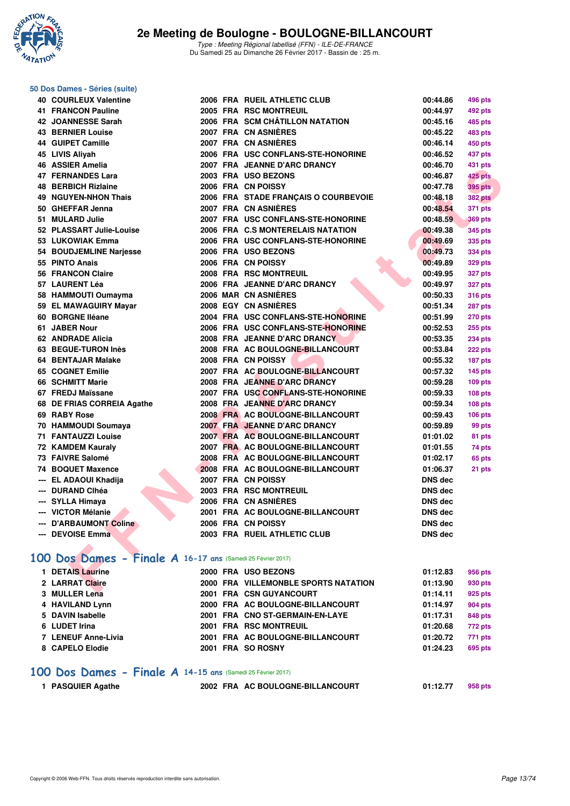

### **50 Dos Dames - Séries (suite)**

| 40 COURLEUX Valentine                                       |  | 2006 FRA RUEIL ATHLETIC CLUB         | 00:44.86       | 496 pts        |
|-------------------------------------------------------------|--|--------------------------------------|----------------|----------------|
| <b>41 FRANCON Pauline</b>                                   |  | 2005 FRA RSC MONTREUIL               | 00:44.97       | 492 pts        |
| 42 JOANNESSE Sarah                                          |  | 2006 FRA SCM CHÂTILLON NATATION      | 00:45.16       | 485 pts        |
| <b>43 BERNIER Louise</b>                                    |  | 2007 FRA CN ASNIERES                 | 00:45.22       | 483 pts        |
| 44 GUIPET Camille                                           |  | 2007 FRA CN ASNIERES                 | 00:46.14       | 450 pts        |
| 45 LIVIS Aliyah                                             |  | 2006 FRA USC CONFLANS-STE-HONORINE   | 00:46.52       | 437 pts        |
| 46 ASSIER Amelia                                            |  | 2007 FRA JEANNE D'ARC DRANCY         | 00:46.70       | 431 pts        |
| 47 FERNANDES Lara                                           |  | 2003 FRA USO BEZONS                  | 00:46.87       | 425 pts        |
| <b>48 BERBICH Rizlaine</b>                                  |  | 2006 FRA CN POISSY                   | 00:47.78       | 395 pts        |
| <b>49 NGUYEN-NHON Thais</b>                                 |  | 2006 FRA STADE FRANÇAIS O COURBEVOIE | 00:48.18       | <b>382 pts</b> |
| 50 GHEFFAR Jenna                                            |  | 2007 FRA CN ASNIERES                 | 00:48.54       | 371 pts        |
| 51 MULARD Julie                                             |  | 2007 FRA USC CONFLANS-STE-HONORINE   | 00:48.59       | <b>369 pts</b> |
| 52 PLASSART Julie-Louise                                    |  | 2006 FRA C.S MONTERELAIS NATATION    | 00:49.38       | 345 pts        |
| 53 LUKOWIAK Emma                                            |  | 2006 FRA USC CONFLANS-STE-HONORINE   |                |                |
|                                                             |  |                                      | 00:49.69       | 335 pts        |
| 54 BOUDJEMLINE Narjesse                                     |  | 2006 FRA USO BEZONS                  | 00:49.73       | 334 pts        |
| 55 PINTO Anais                                              |  | 2006 FRA CN POISSY                   | 00:49.89       | 329 pts        |
| <b>56 FRANCON Claire</b>                                    |  | 2008 FRA RSC MONTREUIL               | 00:49.95       | <b>327 pts</b> |
| 57 LAURENT Léa                                              |  | 2006 FRA JEANNE D'ARC DRANCY         | 00:49.97       | <b>327 pts</b> |
| 58 HAMMOUTI Oumayma                                         |  | 2006 MAR CN ASNIERES                 | 00:50.33       | <b>316 pts</b> |
| 59 EL MAWAGUIRY Mayar                                       |  | <b>2008 EGY CN ASNIERES</b>          | 00:51.34       | <b>287 pts</b> |
| 60 BORGNE Iléane                                            |  | 2004 FRA USC CONFLANS-STE-HONORINE   | 00:51.99       | <b>270 pts</b> |
| 61 JABER Nour                                               |  | 2006 FRA USC CONFLANS-STE-HONORINE   | 00:52.53       | 255 pts        |
| 62 ANDRADE Alicia                                           |  | 2008 FRA JEANNE D'ARC DRANCY         | 00:53.35       | <b>234 pts</b> |
| 63 BEGUE-TURON Inès                                         |  | 2008 FRA AC BOULOGNE-BILLANCOURT     | 00:53.84       | 222 pts        |
| 64 BENTAJAR Malake                                          |  | 2008 FRA CN POISSY                   | 00:55.32       | 187 pts        |
| 65 COGNET Emilie                                            |  | 2007 FRA AC BOULOGNE-BILLANCOURT     | 00:57.32       | $145$ pts      |
| 66 SCHMITT Marie                                            |  | 2008 FRA JEANNE D'ARC DRANCY         | 00:59.28       | $109$ pts      |
| 67 FREDJ Maïssane                                           |  | 2007 FRA USC CONFLANS-STE-HONORINE   | 00:59.33       | $108$ pts      |
| 68 DE FRIAS CORREIA Agathe                                  |  | 2008 FRA JEANNE D'ARC DRANCY         | 00:59.34       | $108$ pts      |
| 69 RABY Rose                                                |  | 2008 FRA AC BOULOGNE-BILLANCOURT     | 00:59.43       | $106$ pts      |
| 70 HAMMOUDI Soumaya                                         |  | 2007 FRA JEANNE D'ARC DRANCY         | 00:59.89       | 99 pts         |
| <b>71 FANTAUZZI Louise</b>                                  |  | 2007 FRA AC BOULOGNE-BILLANCOURT     | 01:01.02       | 81 pts         |
| 72 KAMDEM Kauraly                                           |  | 2007 FRA AC BOULOGNE-BILLANCOURT     | 01:01.55       | 74 pts         |
| 73 FAIVRE Salomé                                            |  | 2008 FRA AC BOULOGNE-BILLANCOURT     | 01:02.17       | 65 pts         |
| 74 BOQUET Maxence                                           |  | 2008 FRA AC BOULOGNE-BILLANCOURT     | 01:06.37       | 21 pts         |
| --- EL ADAOUI Khadija                                       |  | 2007 FRA CN POISSY                   | <b>DNS dec</b> |                |
| --- DURAND Clhéa                                            |  | 2003 FRA RSC MONTREUIL               | <b>DNS dec</b> |                |
| --- SYLLA Himaya                                            |  | 2006 FRA CN ASNIERES                 | <b>DNS dec</b> |                |
| --- VICTOR Mélanie                                          |  | 2001 FRA AC BOULOGNE-BILLANCOURT     | <b>DNS</b> dec |                |
| --- D'ARBAUMONT Coline                                      |  | 2006 FRA CN POISSY                   | DNS dec        |                |
| --- DEVOISE Emma                                            |  | 2003 FRA RUEIL ATHLETIC CLUB         | <b>DNS</b> dec |                |
|                                                             |  |                                      |                |                |
| 100 Dos Dames - Finale A 16-17 ans (Samedi 25 Février 2017) |  |                                      |                |                |
| 1 DETAIS Laurine                                            |  | 2000 FRA USO BEZONS                  | 01:12.83       | 956 pts        |
| 2 LARRAT Claire                                             |  | 2000 FRA VILLEMONBLE SPORTS NATATION | 01:13.90       | 930 pts        |
| 3 MULLER Lena                                               |  | 2001 FRA CSN GUYANCOURT              |                |                |
| 4 HAVILAND Lynn                                             |  | 2000 FRA AC BOULOGNE-BILLANCOURT     | 01:14.11       | 925 pts        |
|                                                             |  |                                      | 01:14.97       | 904 pts        |
| 5 DAVIN Isabelle                                            |  | 2001 FRA CNO ST-GERMAIN-EN-LAYE      | 01:17.31       | 848 pts        |
| 6 LUDET Irina                                               |  | 2001 FRA RSC MONTREUIL               | 01:20.68       | 772 pts        |
| 7 LENEUF Anne-Livia                                         |  | 2001 FRA AC BOULOGNE-BILLANCOURT     | 01:20.72       | 771 pts        |
| 8 CAPELO Elodie                                             |  | 2001 FRA SO ROSNY                    | 01:24.23       | 695 pts        |
|                                                             |  |                                      |                |                |

#### **[100 Dos Dames - Finale A](http://www.ffnatation.fr/webffn/resultats.php?idact=nat&go=epr&idcpt=42219&idepr=12) 14-15 ans** (Samedi 25 Février 2017)

|  | 1 PASQUIER Agathe |  |
|--|-------------------|--|
|--|-------------------|--|

**2002 FRA AC BOULOGNE-BILLANCOURT 01:12.77 958 pts**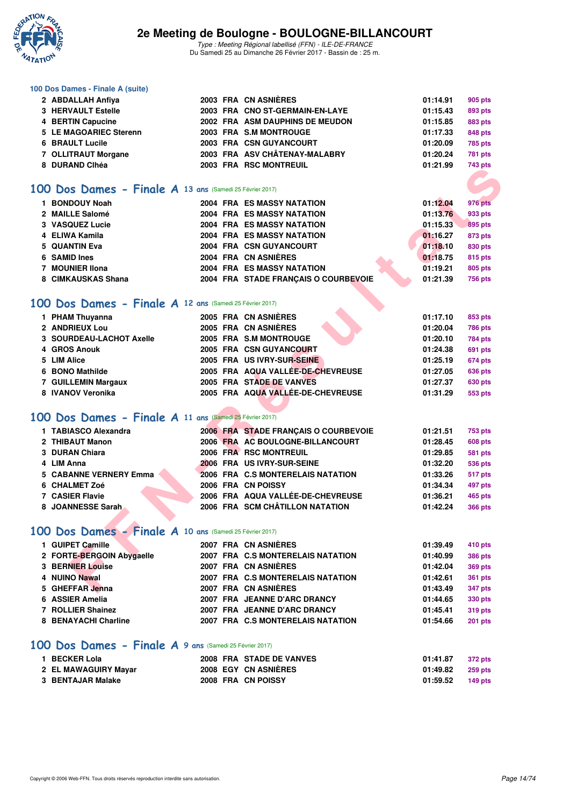

Type : Meeting Régional labellisé (FFN) - ILE-DE-FRANCE Du Samedi 25 au Dimanche 26 Février 2017 - Bassin de : 25 m.

#### **100 Dos Dames - Finale A (suite)**

| 2 ABDALLAH Anfiya      |  | 2003 FRA CN ASNIÈRES            | 01:14.91 | 905 pts        |
|------------------------|--|---------------------------------|----------|----------------|
| 3 HERVAULT Estelle     |  | 2003 FRA CNO ST-GERMAIN-EN-LAYE | 01:15.43 | 893 pts        |
| 4 BERTIN Capucine      |  | 2002 FRA ASM DAUPHINS DE MEUDON | 01:15.85 | 883 pts        |
| 5 LE MAGOARIEC Sterenn |  | 2003 FRA S.M MONTROUGE          | 01:17.33 | 848 pts        |
| 6 BRAULT Lucile        |  | 2003 FRA CSN GUYANCOURT         | 01:20.09 | <b>785 pts</b> |
| 7 OLLITRAUT Morgane    |  | 2003 FRA ASV CHÂTENAY-MALABRY   | 01:20.24 | <b>781 pts</b> |
| 8 DURAND Clhéa         |  | 2003 FRA RSC MONTREUIL          | 01:21.99 | 743 pts        |

### **[100 Dos Dames - Finale A](http://www.ffnatation.fr/webffn/resultats.php?idact=nat&go=epr&idcpt=42219&idepr=12) 13 ans** (Samedi 25 Février 2017)

|                                                         |  |                                      |          | טאן ט <del>ד</del> י |
|---------------------------------------------------------|--|--------------------------------------|----------|----------------------|
|                                                         |  |                                      |          |                      |
| 00 Dos Dames - Finale A 13 ans (Samedi 25 Février 2017) |  |                                      |          |                      |
| 1 BONDOUY Noah                                          |  | <b>2004 FRA ES MASSY NATATION</b>    | 01:12.04 | <b>976 pts</b>       |
| 2 MAILLE Salomé                                         |  | <b>2004 FRA ES MASSY NATATION</b>    | 01:13.76 | 933 pts              |
| 3 VASQUEZ Lucie                                         |  | <b>2004 FRA ES MASSY NATATION</b>    | 01:15.33 | 895 pts              |
| 4 ELIWA Kamila                                          |  | <b>2004 FRA ES MASSY NATATION</b>    | 01:16.27 | 873 pts              |
| 5 QUANTIN Eva                                           |  | 2004 FRA CSN GUYANCOURT              | 01:18.10 | 830 pts              |
| 6 SAMID Ines                                            |  | 2004 FRA CN ASNIERES                 | 01:18.75 | <b>815 pts</b>       |
| 7 MOUNIER IIona                                         |  | <b>2004 FRA ES MASSY NATATION</b>    | 01:19.21 | 805 pts              |
| 8 CIMKAUSKAS Shana                                      |  | 2004 FRA STADE FRANÇAIS O COURBEVOIE | 01:21.39 | <b>756 pts</b>       |
| 00 Dos Dames - Finale A 12 ans (Samedi 25 Février 2017) |  |                                      |          |                      |
| 1 PHAM Thuyanna                                         |  | 2005 FRA CN ASNIÈRES                 | 01:17.10 | 853 pts              |
| 2 ANDRIEUX Lou                                          |  | 2005 FRA CN ASNIERES                 | 01:20.04 | <b>786 pts</b>       |
| 3 SOURDEAU-LACHOT Axelle                                |  | 2005 FRA S.M MONTROUGE               | 01:20.10 | <b>784 pts</b>       |
| 4 GROS Anouk                                            |  | 2005 FRA CSN GUYANCOURT              | 01:24.38 | 691 pts              |
| 5 LIM Alice                                             |  | 2005 FRA US IVRY-SUR-SEINE           | 01:25.19 | 674 pts              |
| 6 BONO Mathilde                                         |  | 2005 FRA AQUA VALLÉE-DE-CHEVREUSE    | 01:27.05 | 636 pts              |
| 7 GUILLEMIN Margaux                                     |  | 2005 FRA STADE DE VANVES             | 01:27.37 | 630 pts              |
| 8 IVANOV Veronika                                       |  | 2005 FRA AQUA VALLÉE-DE-CHEVREUSE    | 01:31.29 | 553 pts              |
|                                                         |  |                                      |          |                      |
| 00 Dos Dames - Finale A 11 ans (Samedi 25 Février 2017) |  |                                      |          |                      |
| 1 TABIASCO Alexandra                                    |  | 2006 FRA STADE FRANÇAIS O COURBEVOIE | 01:21.51 | <b>753 pts</b>       |
| 2 THIBAUT Manon                                         |  | 2006 FRA AC BOULOGNE-BILLANCOURT     | 01:28.45 | 608 pts              |
| 3 DURAN Chiara                                          |  | 2006 FRA RSC MONTREUIL               | 01:29.85 | 581 pts              |
| 4 LIM Anna                                              |  | 2006 FRA US IVRY-SUR-SEINE           | 01:32.20 | <b>536 pts</b>       |
| <b>5 CABANNE VERNERY Emma</b>                           |  | 2006 FRA C.S MONTERELAIS NATATION    | 01:33.26 | 517 pts              |
| 6 CHALMET Zoé                                           |  | 2006 FRA CN POISSY                   | 01:34.34 | 497 pts              |
| <b>7 CASIER Flavie</b>                                  |  | 2006 FRA AQUA VALLÉE-DE-CHEVREUSE    | 01:36.21 | 465 pts              |
| 8 JOANNESSE Sarah                                       |  | 2006 FRA SCM CHÂTILLON NATATION      | 01:42.24 | <b>366 pts</b>       |
| 00 Dos Dames - Finale A 10 ans (Samedi 25 Février 2017) |  |                                      |          |                      |
|                                                         |  |                                      |          |                      |
| 1 GUIPET Camille                                        |  | 2007 FRA CN ASNIÈRES                 | 01:39.49 | 410 pts              |
| 2 FORTE-BERGOIN Abygaelle                               |  | 2007 FRA C.S MONTERELAIS NATATION    | 01:40.99 | <b>386 pts</b>       |
| 3 BERNIER Louise                                        |  | 2007 FRA CN ASNIÈRES                 | 01:42.04 | <b>369 pts</b>       |
| 4 NUINO Nawal                                           |  | 2007 FRA C.S MONTERELAIS NATATION    | 01:42.61 | <b>361 pts</b>       |
| 5 GHEFFAR Jenna                                         |  | 2007 FRA CN ASNIERES                 | 01:43.49 | 347 pts              |

### **[100 Dos Dames - Finale A](http://www.ffnatation.fr/webffn/resultats.php?idact=nat&go=epr&idcpt=42219&idepr=12) 12 ans** (Samedi 25 Février 2017)

| 1 PHAM Thuyanna          |  | 2005 FRA CN ASNIÈRES              | 01:17.10 | 853 pts        |
|--------------------------|--|-----------------------------------|----------|----------------|
| 2 ANDRIEUX Lou           |  | 2005 FRA CN ASNIÈRES              | 01:20.04 | <b>786 pts</b> |
| 3 SOURDEAU-LACHOT Axelle |  | 2005 FRA S.M MONTROUGE            | 01:20.10 | <b>784 pts</b> |
| 4 GROS Anouk             |  | 2005 FRA CSN GUYANCOURT           | 01:24.38 | 691 pts        |
| 5 LIM Alice              |  | 2005 FRA US IVRY-SUR-SEINE        | 01:25.19 | <b>674 pts</b> |
| 6 BONO Mathilde          |  | 2005 FRA AQUA VALLÉE-DE-CHEVREUSE | 01:27.05 | <b>636 pts</b> |
| 7 GUILLEMIN Margaux      |  | 2005 FRA STADE DE VANVES          | 01:27.37 | <b>630 pts</b> |
| 8 IVANOV Veronika        |  | 2005 FRA AQUA VALLÉE-DE-CHEVREUSE | 01:31.29 | 553 pts        |

### **[100 Dos Dames - Finale A](http://www.ffnatation.fr/webffn/resultats.php?idact=nat&go=epr&idcpt=42219&idepr=12) 11 ans** (Samedi 25 Février 2017)

| 1 TABIASCO Alexandra   |  | 2006 FRA STADE FRANCAIS O COURBEVOIE | 01:21.51 | 753 pts        |
|------------------------|--|--------------------------------------|----------|----------------|
| 2 THIBAUT Manon        |  | 2006 FRA AC BOULOGNE-BILLANCOURT     | 01:28.45 | <b>608 pts</b> |
| 3 DURAN Chiara         |  | 2006 FRA RSC MONTREUIL               | 01:29.85 | <b>581 pts</b> |
| 4 LIM Anna             |  | 2006 FRA US IVRY-SUR-SEINE           | 01:32.20 | <b>536 pts</b> |
| 5 CABANNE VERNERY Emma |  | 2006 FRA C.S MONTERELAIS NATATION    | 01:33.26 | 517 pts        |
| 6 CHALMET Zoé          |  | 2006 FRA CN POISSY                   | 01:34.34 | 497 pts        |
| 7 CASIER Flavie        |  | 2006 FRA AQUA VALLÉE-DE-CHEVREUSE    | 01:36.21 | <b>465 pts</b> |
| 8 JOANNESSE Sarah      |  | 2006 FRA SCM CHÂTILLON NATATION      | 01:42.24 | <b>366 pts</b> |

# **[100 Dos Dames - Finale A](http://www.ffnatation.fr/webffn/resultats.php?idact=nat&go=epr&idcpt=42219&idepr=12) 10 ans** (Samedi 25 Février 2017)

| 1 GUIPET Camille          |  | 2007 FRA CN ASNIÈRES              | 01:39.49 | 410 pts        |
|---------------------------|--|-----------------------------------|----------|----------------|
| 2 FORTE-BERGOIN Abygaelle |  | 2007 FRA C.S MONTERELAIS NATATION | 01:40.99 | <b>386 pts</b> |
| 3 BERNIER Louise          |  | 2007 FRA CN ASNIÈRES              | 01:42.04 | 369 pts        |
| 4 NUINO Nawal             |  | 2007 FRA C.S MONTERELAIS NATATION | 01:42.61 | <b>361 pts</b> |
| 5 GHEFFAR Jenna           |  | 2007 FRA CN ASNIÈRES              | 01:43.49 | 347 pts        |
| 6 ASSIER Amelia           |  | 2007 FRA JEANNE D'ARC DRANCY      | 01:44.65 | 330 pts        |
| 7 ROLLIER Shainez         |  | 2007 FRA JEANNE D'ARC DRANCY      | 01:45.41 | 319 pts        |
| 8 BENAYACHI Charline      |  | 2007 FRA C.S MONTERELAIS NATATION | 01:54.66 | <b>201 pts</b> |
|                           |  |                                   |          |                |

### **[100 Dos Dames - Finale A](http://www.ffnatation.fr/webffn/resultats.php?idact=nat&go=epr&idcpt=42219&idepr=12) 9 ans** (Samedi 25 Février 2017)

| 1 BECKER Lola        |  | 2008 FRA STADE DE VANVES | 01:41.87 | 372 pts |
|----------------------|--|--------------------------|----------|---------|
| 2 EL MAWAGUIRY Mayar |  | 2008 EGY CN ASNIERES     | 01:49.82 | 259 pts |
| 3 BENTAJAR Malake    |  | 2008 FRA CN POISSY       | 01:59.52 | 149 pts |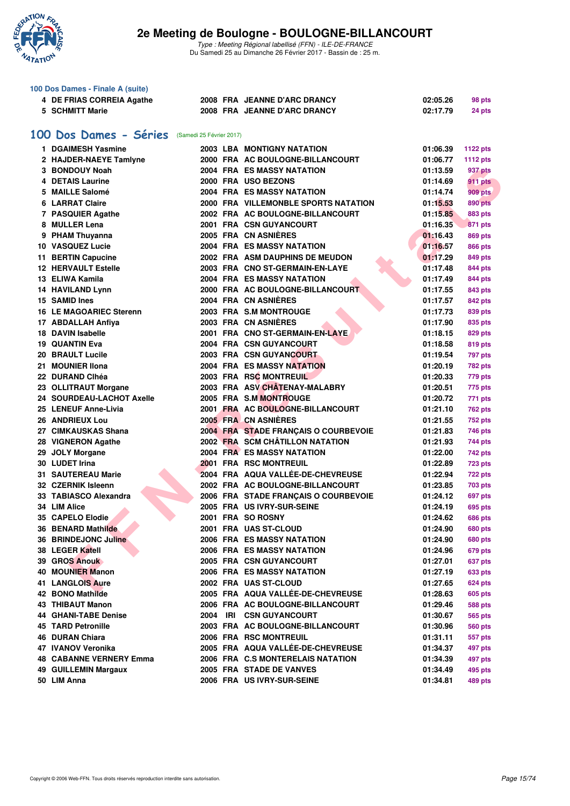

Type : Meeting Régional labellisé (FFN) - ILE-DE-FRANCE Du Samedi 25 au Dimanche 26 Février 2017 - Bassin de : 25 m.

| 100 Dos Dames - Finale A (suite)                   |                                |  |  |                                                                          |          |                 |  |  |  |  |  |
|----------------------------------------------------|--------------------------------|--|--|--------------------------------------------------------------------------|----------|-----------------|--|--|--|--|--|
|                                                    | 4 DE FRIAS CORREIA Agathe      |  |  | 2008 FRA JEANNE D'ARC DRANCY                                             | 02:05.26 | 98 pts          |  |  |  |  |  |
|                                                    | 5 SCHMITT Marie                |  |  | 2008 FRA JEANNE D'ARC DRANCY                                             | 02:17.79 | 24 pts          |  |  |  |  |  |
|                                                    |                                |  |  |                                                                          |          |                 |  |  |  |  |  |
| 100 Dos Dames - Séries<br>(Samedi 25 Février 2017) |                                |  |  |                                                                          |          |                 |  |  |  |  |  |
|                                                    | 1 DGAIMESH Yasmine             |  |  |                                                                          |          |                 |  |  |  |  |  |
|                                                    |                                |  |  | 2003 LBA MONTIGNY NATATION                                               | 01:06.39 | <b>1122 pts</b> |  |  |  |  |  |
|                                                    | 2 HAJDER-NAEYE Tamlyne         |  |  | 2000 FRA AC BOULOGNE-BILLANCOURT                                         | 01:06.77 | 1112 pts        |  |  |  |  |  |
|                                                    | 3 BONDOUY Noah                 |  |  | 2004 FRA ES MASSY NATATION                                               | 01:13.59 | 937 pts         |  |  |  |  |  |
|                                                    | 4 DETAIS Laurine               |  |  | 2000 FRA USO BEZONS                                                      | 01:14.69 | 911 pts         |  |  |  |  |  |
|                                                    | 5 MAILLE Salomé                |  |  | 2004 FRA ES MASSY NATATION                                               | 01:14.74 | <b>909 pts</b>  |  |  |  |  |  |
|                                                    | <b>6 LARRAT Claire</b>         |  |  | 2000 FRA VILLEMONBLE SPORTS NATATION                                     | 01:15.53 | <b>890 pts</b>  |  |  |  |  |  |
|                                                    | 7 PASQUIER Agathe              |  |  | 2002 FRA AC BOULOGNE-BILLANCOURT                                         | 01:15.85 | 883 pts         |  |  |  |  |  |
|                                                    | 8 MULLER Lena                  |  |  | 2001 FRA CSN GUYANCOURT                                                  | 01:16.35 | 871 pts         |  |  |  |  |  |
|                                                    | 9 PHAM Thuyanna                |  |  | 2005 FRA CN ASNIERES                                                     | 01:16.43 | <b>869 pts</b>  |  |  |  |  |  |
|                                                    | <b>10 VASQUEZ Lucie</b>        |  |  | <b>2004 FRA ES MASSY NATATION</b>                                        | 01:16.57 | 866 pts         |  |  |  |  |  |
|                                                    | 11 BERTIN Capucine             |  |  | 2002 FRA ASM DAUPHINS DE MEUDON                                          | 01:17.29 | 849 pts         |  |  |  |  |  |
|                                                    | <b>12 HERVAULT Estelle</b>     |  |  | 2003 FRA CNO ST-GERMAIN-EN-LAYE                                          | 01:17.48 | 844 pts         |  |  |  |  |  |
|                                                    | 13 ELIWA Kamila                |  |  | 2004 FRA ES MASSY NATATION                                               | 01:17.49 | 844 pts         |  |  |  |  |  |
|                                                    | <b>14 HAVILAND Lynn</b>        |  |  | 2000 FRA AC BOULOGNE-BILLANCOURT                                         | 01:17.55 | 843 pts         |  |  |  |  |  |
|                                                    | 15 SAMID Ines                  |  |  | 2004 FRA CN ASNIERES                                                     | 01:17.57 | 842 pts         |  |  |  |  |  |
|                                                    | <b>16 LE MAGOARIEC Sterenn</b> |  |  | 2003 FRA S.M MONTROUGE                                                   | 01:17.73 | 839 pts         |  |  |  |  |  |
|                                                    | 17 ABDALLAH Anfiya             |  |  | 2003 FRA CN ASNIÈRES                                                     | 01:17.90 | 835 pts         |  |  |  |  |  |
|                                                    | 18 DAVIN Isabelle              |  |  | 2001 FRA CNO ST-GERMAIN-EN-LAYE                                          | 01:18.15 | 829 pts         |  |  |  |  |  |
|                                                    | <b>19 QUANTIN Eva</b>          |  |  | 2004 FRA CSN GUYANCOURT                                                  | 01:18.58 | 819 pts         |  |  |  |  |  |
|                                                    | 20 BRAULT Lucile               |  |  | 2003 FRA CSN GUYANCOURT                                                  | 01:19.54 | 797 pts         |  |  |  |  |  |
|                                                    | 21 MOUNIER IIona               |  |  | <b>2004 FRA ES MASSY NATATION</b>                                        | 01:20.19 | <b>782 pts</b>  |  |  |  |  |  |
|                                                    | 22 DURAND Clhéa                |  |  | 2003 FRA RSC MONTREUIL                                                   | 01:20.33 | 779 pts         |  |  |  |  |  |
|                                                    | 23 OLLITRAUT Morgane           |  |  | 2003 FRA ASV CHÂTENAY-MALABRY                                            | 01:20.51 | 775 pts         |  |  |  |  |  |
|                                                    | 24 SOURDEAU-LACHOT Axelle      |  |  | 2005 FRA S.M MONTROUGE                                                   | 01:20.72 | 771 pts         |  |  |  |  |  |
|                                                    | 25 LENEUF Anne-Livia           |  |  | 2001 FRA AC BOULOGNE-BILLANCOURT                                         | 01:21.10 | <b>762 pts</b>  |  |  |  |  |  |
|                                                    | 26 ANDRIEUX Lou                |  |  | 2005 FRA CN ASNIÈRES                                                     | 01:21.55 | <b>752 pts</b>  |  |  |  |  |  |
|                                                    | 27 CIMKAUSKAS Shana            |  |  | 2004 FRA STADE FRANÇAIS O COURBEVOIE                                     | 01:21.83 | 746 pts         |  |  |  |  |  |
|                                                    | 28 VIGNERON Agathe             |  |  | 2002 FRA SCM CHÂTILLON NATATION                                          | 01:21.93 | 744 pts         |  |  |  |  |  |
|                                                    | 29 JOLY Morgane                |  |  | <b>2004 FRA ES MASSY NATATION</b>                                        | 01:22.00 | 742 pts         |  |  |  |  |  |
|                                                    | 30 LUDET Irina                 |  |  | <b>2001 FRA RSC MONTREUIL</b>                                            | 01:22.89 |                 |  |  |  |  |  |
|                                                    | <b>31 SAUTEREAU Marie</b>      |  |  | 2004 FRA AQUA VALLÉE-DE-CHEVREUSE                                        | 01:22.94 | <b>723 pts</b>  |  |  |  |  |  |
|                                                    | 32 CZERNIK Isleenn             |  |  |                                                                          |          | <b>722 pts</b>  |  |  |  |  |  |
|                                                    |                                |  |  | 2002 FRA AC BOULOGNE-BILLANCOURT<br>2006 FRA STADE FRANCAIS O COURBEVOIE | 01:23.85 | <b>703 pts</b>  |  |  |  |  |  |
|                                                    | 33 TABIASCO Alexandra          |  |  |                                                                          | 01:24.12 | 697 pts         |  |  |  |  |  |
|                                                    | 34 LIM Alice                   |  |  | 2005 FRA US IVRY-SUR-SEINE                                               | 01:24.19 | 695 pts         |  |  |  |  |  |
|                                                    | <b>35 CAPELO Elodie</b>        |  |  | 2001 FRA SO ROSNY                                                        | 01:24.62 | <b>686 pts</b>  |  |  |  |  |  |
|                                                    | <b>36 BENARD Mathilde</b>      |  |  | 2001 FRA UAS ST-CLOUD                                                    | 01:24.90 | <b>680 pts</b>  |  |  |  |  |  |
|                                                    | 36 BRINDEJONC Juline           |  |  | 2006 FRA ES MASSY NATATION                                               | 01:24.90 | <b>680 pts</b>  |  |  |  |  |  |
|                                                    | 38 LEGER Katell                |  |  | 2006 FRA ES MASSY NATATION                                               | 01:24.96 | <b>679 pts</b>  |  |  |  |  |  |
|                                                    | 39 GROS Anouk                  |  |  | 2005 FRA CSN GUYANCOURT                                                  | 01:27.01 | <b>637 pts</b>  |  |  |  |  |  |
|                                                    | 40 MOUNIER Manon               |  |  | 2006 FRA ES MASSY NATATION                                               | 01:27.19 | 633 pts         |  |  |  |  |  |
|                                                    | 41 LANGLOIS Aure               |  |  | 2002 FRA UAS ST-CLOUD                                                    | 01:27.65 | <b>624 pts</b>  |  |  |  |  |  |
|                                                    | 42 BONO Mathilde               |  |  | 2005 FRA AQUA VALLÉE-DE-CHEVREUSE                                        | 01:28.63 | <b>605 pts</b>  |  |  |  |  |  |
|                                                    | 43 THIBAUT Manon               |  |  | 2006 FRA AC BOULOGNE-BILLANCOURT                                         | 01:29.46 | <b>588 pts</b>  |  |  |  |  |  |
|                                                    | <b>44 GHANI-TABE Denise</b>    |  |  | 2004 IRI CSN GUYANCOURT                                                  | 01:30.67 | 565 pts         |  |  |  |  |  |
|                                                    | <b>45 TARD Petronille</b>      |  |  | 2003 FRA AC BOULOGNE-BILLANCOURT                                         | 01:30.96 | <b>560 pts</b>  |  |  |  |  |  |
|                                                    | <b>46 DURAN Chiara</b>         |  |  | 2006 FRA RSC MONTREUIL                                                   | 01:31.11 | 557 pts         |  |  |  |  |  |
|                                                    | 47 IVANOV Veronika             |  |  | 2005 FRA AQUA VALLÉE-DE-CHEVREUSE                                        | 01:34.37 | 497 pts         |  |  |  |  |  |
|                                                    | <b>48 CABANNE VERNERY Emma</b> |  |  | 2006 FRA C.S MONTERELAIS NATATION                                        | 01:34.39 | 497 pts         |  |  |  |  |  |
|                                                    | 49 GUILLEMIN Margaux           |  |  | 2005 FRA STADE DE VANVES                                                 | 01:34.49 | 495 pts         |  |  |  |  |  |
|                                                    | 50 LIM Anna                    |  |  | 2006 FRA US IVRY-SUR-SEINE                                               | 01:34.81 | 489 pts         |  |  |  |  |  |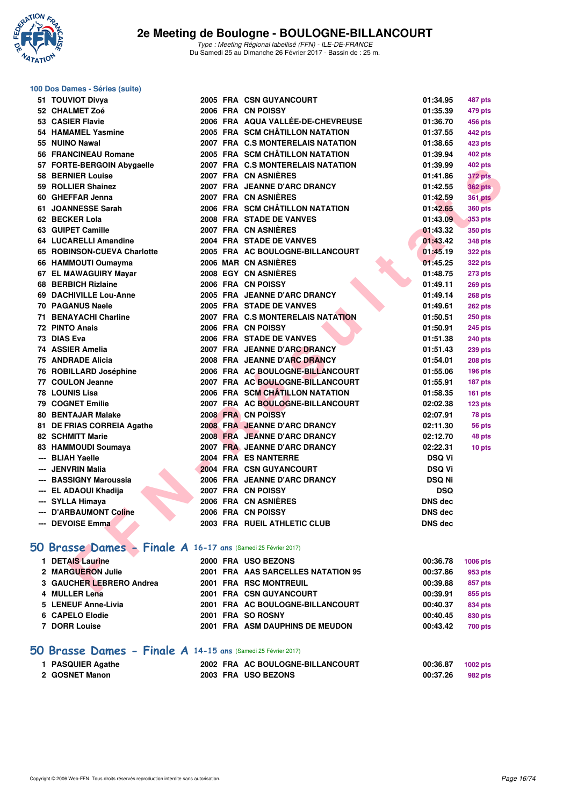

Type : Meeting Régional labellisé (FFN) - ILE-DE-FRANCE Du Samedi 25 au Dimanche 26 Février 2017 - Bassin de : 25 m.

| 100 Dos Dames - Séries (suite)                                |  |                                    |                 |                    |
|---------------------------------------------------------------|--|------------------------------------|-----------------|--------------------|
| 51 TOUVIOT Divya                                              |  | 2005 FRA CSN GUYANCOURT            | 01:34.95        | 487 pts            |
| 52 CHALMET Zoé                                                |  | 2006 FRA CN POISSY                 | 01:35.39        | 479 pts            |
| 53 CASIER Flavie                                              |  | 2006 FRA AQUA VALLÉE-DE-CHEVREUSE  | 01:36.70        | 456 pts            |
| 54 HAMAMEL Yasmine                                            |  | 2005 FRA SCM CHÂTILLON NATATION    | 01:37.55        | 442 pts            |
| 55 NUINO Nawal                                                |  | 2007 FRA C.S MONTERELAIS NATATION  | 01:38.65        | 423 pts            |
| 56 FRANCINEAU Romane                                          |  | 2005 FRA SCM CHÂTILLON NATATION    | 01:39.94        | 402 pts            |
| 57 FORTE-BERGOIN Abygaelle                                    |  | 2007 FRA C.S MONTERELAIS NATATION  | 01:39.99        | 402 pts            |
| 58 BERNIER Louise                                             |  | 2007 FRA CN ASNIÈRES               | 01:41.86        | <b>372 pts</b>     |
| 59 ROLLIER Shainez                                            |  | 2007 FRA JEANNE D'ARC DRANCY       | 01:42.55        | <b>362 pts</b>     |
| 60 GHEFFAR Jenna                                              |  | 2007 FRA CN ASNIERES               | 01:42.59        | <b>361 pts</b>     |
| 61 JOANNESSE Sarah                                            |  | 2006 FRA SCM CHÂTILLON NATATION    | 01:42.65        | <b>360 pts</b>     |
| 62 BECKER Lola                                                |  | 2008 FRA STADE DE VANVES           | 01:43.09        | 353 pts            |
| 63 GUIPET Camille                                             |  | 2007 FRA CN ASNIERES               | 01:43.32        | 350 pts            |
| 64 LUCARELLI Amandine                                         |  | 2004 FRA STADE DE VANVES           | 01:43.42        | 348 pts            |
| 65 ROBINSON-CUEVA Charlotte                                   |  | 2005 FRA AC BOULOGNE-BILLANCOURT   | 01:45.19        | <b>322 pts</b>     |
| 66 HAMMOUTI Oumayma                                           |  | 2006 MAR CN ASNIÈRES               | 01:45.25        | <b>322 pts</b>     |
| 67 EL MAWAGUIRY Mayar                                         |  | <b>2008 EGY CN ASNIERES</b>        | 01:48.75        | <b>273 pts</b>     |
| <b>68 BERBICH Rizlaine</b>                                    |  | 2006 FRA CN POISSY                 | 01:49.11        | 269 pts            |
| 69 DACHIVILLE Lou-Anne                                        |  | 2005 FRA JEANNE D'ARC DRANCY       | 01:49.14        | <b>268 pts</b>     |
| <b>70 PAGANUS Naele</b>                                       |  | 2005 FRA STADE DE VANVES           | 01:49.61        | 262 pts            |
| 71 BENAYACHI Charline                                         |  | 2007 FRA C.S MONTERELAIS NATATION  | 01:50.51        | <b>250 pts</b>     |
| 72 PINTO Anais                                                |  | 2006 FRA CN POISSY                 | 01:50.91        | <b>245 pts</b>     |
| 73 DIAS Eva                                                   |  | 2006 FRA STADE DE VANVES           | 01:51.38        | <b>240 pts</b>     |
| 74 ASSIER Amelia                                              |  | 2007 FRA JEANNE D'ARC DRANCY       | 01:51.43        | <b>239 pts</b>     |
| 75 ANDRADE Alicia                                             |  | 2008 FRA JEANNE D'ARC DRANCY       | 01:54.01        | <b>208 pts</b>     |
| 76 ROBILLARD Joséphine                                        |  | 2006 FRA AC BOULOGNE-BILLANCOURT   | 01:55.06        | <b>196 pts</b>     |
| 77 COULON Jeanne                                              |  | 2007 FRA AC BOULOGNE-BILLANCOURT   | 01:55.91        | 187 pts            |
| <b>78 LOUNIS Lisa</b>                                         |  | 2006 FRA SCM CHATILLON NATATION    | 01:58.35        | $161$ pts          |
| <b>79 COGNET Emilie</b>                                       |  | 2007 FRA AC BOULOGNE-BILLANCOURT   | 02:02.38        | 123 <sub>pts</sub> |
| <b>80 BENTAJAR Malake</b>                                     |  | 2008 FRA CN POISSY                 | 02:07.91        | 78 pts             |
| 81 DE FRIAS CORREIA Agathe                                    |  | 2008 FRA JEANNE D'ARC DRANCY       | 02:11.30        | 56 pts             |
| <b>82 SCHMITT Marie</b>                                       |  | 2008 FRA JEANNE D'ARC DRANCY       | 02:12.70        | 48 pts             |
| 83 HAMMOUDI Soumaya                                           |  | 2007 FRA JEANNE D'ARC DRANCY       | 02:22.31        | 10 pts             |
| <b>BLIAH Yaelle</b>                                           |  | 2004 FRA ES NANTERRE               | <b>DSQ Vi</b>   |                    |
| <b>JENVRIN Malia</b>                                          |  | 2004 FRA CSN GUYANCOURT            | <b>DSQ Vi</b>   |                    |
| --- BASSIGNY Maroussia                                        |  | 2006 FRA JEANNE D'ARC DRANCY       | <b>DSQ Ni</b>   |                    |
| --- EL ADAOUI Khadija                                         |  | 2007 FRA CN POISSY                 | <b>DSQ</b>      |                    |
| --- SYLLA Himaya                                              |  | 2006 FRA CN ASNIÈRES               | <b>DNS</b> dec  |                    |
| --- D'ARBAUMONT Coline                                        |  | 2006 FRA CN POISSY                 | <b>DNS</b> dec  |                    |
| --- DEVOISE Emma                                              |  | 2003 FRA RUEIL ATHLETIC CLUB       | <b>DNS dec</b>  |                    |
| 50 Brasse Dames - Finale A 16-17 ans (Samedi 25 Février 2017) |  |                                    |                 |                    |
| 1 DETAIS Laurine                                              |  | 2000 FRA USO BEZONS                | 00:36.78        | 1006 pts           |
| 2 MARGUERON Julie                                             |  | 2001 FRA AAS SARCELLES NATATION 95 | 00:37.86        | 953 pts            |
| 3 GAUCHER LEBRERO Andrea                                      |  | 2001 FRA RSC MONTREUIL             | 00:39.88        | 857 pts            |
| $\overline{A}$ MILLED Lane                                    |  | 0001 EDA CONCIVANCOUDT             | <b>00.00.01</b> | oee                |

## **[50 Brasse Dames - Finale A](http://www.ffnatation.fr/webffn/resultats.php?idact=nat&go=epr&idcpt=42219&idepr=21) 16-17 ans** (Samedi 25 Février 2017)

| 1 DETAIS Laurine         |                   | 2000 FRA USO BEZONS                | 00:36.78 | <b>1006 pts</b> |
|--------------------------|-------------------|------------------------------------|----------|-----------------|
| 2 MARGUERON Julie        |                   | 2001 FRA AAS SARCELLES NATATION 95 | 00:37.86 | 953 pts         |
| 3 GAUCHER LEBRERO Andrea |                   | 2001 FRA RSC MONTREUIL             | 00:39.88 | 857 pts         |
| 4 MULLER Lena            |                   | 2001 FRA CSN GUYANCOURT            | 00:39.91 | 855 pts         |
| 5 LENEUF Anne-Livia      |                   | 2001 FRA AC BOULOGNE-BILLANCOURT   | 00:40.37 | 834 pts         |
| 6 CAPELO Elodie          | 2001 FRA SO ROSNY |                                    | 00:40.45 | 830 pts         |
| 7 DORR Louise            |                   | 2001 FRA ASM DAUPHINS DE MEUDON    | 00:43.42 | <b>700 pts</b>  |
|                          |                   |                                    |          |                 |

## **[50 Brasse Dames - Finale A](http://www.ffnatation.fr/webffn/resultats.php?idact=nat&go=epr&idcpt=42219&idepr=21) 14-15 ans** (Samedi 25 Février 2017)

| 1 PASQUIER Agathe | 2002 FRA AC BOULOGNE-BILLANCOURT | 00:36.87 | 1002 pts |
|-------------------|----------------------------------|----------|----------|
| 2 GOSNET Manon    | 2003 FRA USO BEZONS              | 00:37.26 | 982 pts  |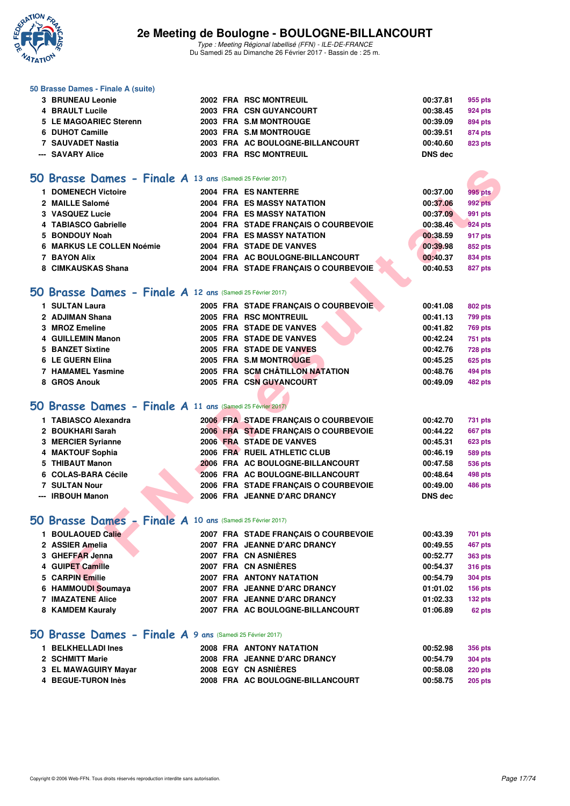

Type : Meeting Régional labellisé (FFN) - ILE-DE-FRANCE Du Samedi 25 au Dimanche 26 Février 2017 - Bassin de : 25 m.

#### **50 Brasse Dames - Finale A (suite)**

| --- SAVARY Alice       |  | 2003 FRA RSC MONTREUIL           | DNS dec  |         |
|------------------------|--|----------------------------------|----------|---------|
| 7 SAUVADET Nastia      |  | 2003 FRA AC BOULOGNE-BILLANCOURT | 00:40.60 | 823 pts |
| 6 DUHOT Camille        |  | 2003 FRA S.M MONTROUGE           | 00:39.51 | 874 pts |
| 5 LE MAGOARIEC Sterenn |  | 2003 FRA S.M MONTROUGE           | 00:39.09 | 894 pts |
| 4 BRAULT Lucile        |  | 2003 FRA CSN GUYANCOURT          | 00:38.45 | 924 pts |
| 3 BRUNEAU Leonie       |  | 2002 FRA RSC MONTREUIL           | 00:37.81 | 955 pts |

### **[50 Brasse Dames - Finale A](http://www.ffnatation.fr/webffn/resultats.php?idact=nat&go=epr&idcpt=42219&idepr=21) 13 ans** (Samedi 25 Février 2017)

| <b>DOMENECH Victoire</b>  |  | 2004 FRA ES NANTERRE                 | 00:37.00 | 995 pts        |
|---------------------------|--|--------------------------------------|----------|----------------|
| 2 MAILLE Salomé           |  | <b>2004 FRA ES MASSY NATATION</b>    | 00:37.06 | <b>992 pts</b> |
| 3 VASQUEZ Lucie           |  | <b>2004 FRA ES MASSY NATATION</b>    | 00:37.09 | 991 pts        |
| 4 TABIASCO Gabrielle      |  | 2004 FRA STADE FRANCAIS O COURBEVOIE | 00:38.46 | 924 pts        |
| 5 BONDOUY Noah            |  | <b>2004 FRA ES MASSY NATATION</b>    | 00:38.59 | 917 pts        |
| 6 MARKUS LE COLLEN Noémie |  | 2004 FRA STADE DE VANVES             | 00:39.98 | 852 pts        |
| 7 BAYON Alix              |  | 2004 FRA AC BOULOGNE-BILLANCOURT     | 00:40.37 | 834 pts        |
| 8 CIMKAUSKAS Shana        |  | 2004 FRA STADE FRANCAIS O COURBEVOIE | 00:40.53 | 827 pts        |

#### **[50 Brasse Dames - Finale A](http://www.ffnatation.fr/webffn/resultats.php?idact=nat&go=epr&idcpt=42219&idepr=21) 12 ans** (Samedi 25 Février 2017)

| 1 SULTAN Laura    | 2005 FRA STADE FRANCAIS O COURBEVOIE | 00:41.08<br>802 pts        |
|-------------------|--------------------------------------|----------------------------|
| 2 ADJIMAN Shana   | 2005 FRA RSC MONTREUIL               | 00:41.13<br>799 pts        |
| 3 MROZ Emeline    | 2005 FRA STADE DE VANVES             | 00:41.82<br><b>769 pts</b> |
| 4 GUILLEMIN Manon | 2005 FRA STADE DE VANVES             | 00:42.24<br>751 pts        |
| 5 BANZET Sixtine  | 2005 FRA STADE DE VANVES             | 00:42.76<br>728 pts        |
| 6 LE GUERN Elina  | 2005 FRA S.M MONTROUGE               | 00:45.25<br>625 pts        |
| 7 HAMAMEL Yasmine | 2005 FRA SCM CHÂTILLON NATATION      | 00:48.76<br>494 pts        |
| 8 GROS Anouk      | 2005 FRA CSN GUYANCOURT              | 00:49.09<br>482 pts        |

# **[50 Brasse Dames - Finale A](http://www.ffnatation.fr/webffn/resultats.php?idact=nat&go=epr&idcpt=42219&idepr=21) 11 ans** (Samedi 25 Février 2017)

| <b>O Brasse Dames - Finale A 13 ans (Samedi 25 Février 2017)</b> |  |                                      |                |                |
|------------------------------------------------------------------|--|--------------------------------------|----------------|----------------|
| 1 DOMENECH Victoire                                              |  | 2004 FRA ES NANTERRE                 | 00:37.00       | 995 pts        |
| 2 MAILLE Salomé                                                  |  | <b>2004 FRA ES MASSY NATATION</b>    | 00:37.06       | 992 pts        |
| 3 VASQUEZ Lucie                                                  |  | <b>2004 FRA ES MASSY NATATION</b>    | 00:37.09       | 991 pts        |
| 4 TABIASCO Gabrielle                                             |  | 2004 FRA STADE FRANÇAIS O COURBEVOIE | 00:38.46       | <b>924 pts</b> |
| 5 BONDOUY Noah                                                   |  | <b>2004 FRA ES MASSY NATATION</b>    | 00:38.59       | 917 pts        |
| 6 MARKUS LE COLLEN Noémie                                        |  | 2004 FRA STADE DE VANVES             | 00:39.98       | 852 pts        |
| 7 BAYON Alix                                                     |  | 2004 FRA AC BOULOGNE-BILLANCOURT     | 00:40.37       | <b>834 pts</b> |
| 8 CIMKAUSKAS Shana                                               |  | 2004 FRA STADE FRANÇAIS O COURBEVOIE | 00:40.53       | 827 pts        |
|                                                                  |  |                                      |                |                |
| <b>O Brasse Dames - Finale A 12 ans (Samedi 25 Février 2017)</b> |  |                                      |                |                |
| 1 SULTAN Laura                                                   |  | 2005 FRA STADE FRANCAIS O COURBEVOIE | 00:41.08       | <b>802 pts</b> |
| 2 ADJIMAN Shana                                                  |  | 2005 FRA RSC MONTREUIL               | 00:41.13       | 799 pts        |
| 3 MROZ Emeline                                                   |  | 2005 FRA STADE DE VANVES             | 00:41.82       | <b>769 pts</b> |
| 4 GUILLEMIN Manon                                                |  | 2005 FRA STADE DE VANVES             | 00:42.24       | <b>751 pts</b> |
| <b>5 BANZET Sixtine</b>                                          |  | 2005 FRA STADE DE VANVES             | 00:42.76       | <b>728 pts</b> |
| 6 LE GUERN Elina                                                 |  | 2005 FRA S.M MONTROUGE               | 00:45.25       | 625 pts        |
| <b>7 HAMAMEL Yasmine</b>                                         |  | 2005 FRA SCM CHÂTILLON NATATION      | 00:48.76       | 494 pts        |
| 8 GROS Anouk                                                     |  | 2005 FRA CSN GUYANCOURT              | 00:49.09       | 482 pts        |
|                                                                  |  |                                      |                |                |
| <b>O Brasse Dames - Finale A 11 ans (Samedi 25 Février 2017)</b> |  |                                      |                |                |
| 1 TABIASCO Alexandra                                             |  | 2006 FRA STADE FRANÇAIS O COURBEVOIE | 00:42.70       | 731 pts        |
| 2 BOUKHARI Sarah                                                 |  | 2006 FRA STADE FRANÇAIS O COURBEVOIE | 00:44.22       | <b>667 pts</b> |
| 3 MERCIER Syrianne                                               |  | 2006 FRA STADE DE VANVES             | 00:45.31       | <b>623 pts</b> |
| 4 MAKTOUF Sophia                                                 |  | 2006 FRA RUEIL ATHLETIC CLUB         | 00:46.19       | 589 pts        |
| 5 THIBAUT Manon                                                  |  | 2006 FRA AC BOULOGNE-BILLANCOURT     | 00:47.58       | <b>536 pts</b> |
| 6 COLAS-BARA Cécile                                              |  | 2006 FRA AC BOULOGNE-BILLANCOURT     | 00:48.64       | 498 pts        |
| <b>7 SULTAN Nour</b>                                             |  | 2006 FRA STADE FRANÇAIS O COURBEVOIE | 00:49.00       | <b>486 pts</b> |
| --- IRBOUH Manon                                                 |  | 2006 FRA JEANNE D'ARC DRANCY         | <b>DNS dec</b> |                |
|                                                                  |  |                                      |                |                |
| <b>O Brasse Dames - Finale A 10 ans (Samedi 25 Février 2017)</b> |  |                                      |                |                |
| 1 BOULAOUED Calie                                                |  | 2007 FRA STADE FRANCAIS O COURBEVOIE | 00:43.39       | 701 pts        |
| 2 ASSIER Amelia                                                  |  | 2007 FRA JEANNE D'ARC DRANCY         | 00:49.55       | 467 pts        |
| 3 GHEFFAR Jenna                                                  |  | 2007 FRA CN ASNIERES                 | 00:52.77       | <b>363 pts</b> |
| 4 GUIPET Camille                                                 |  | 2007 FRA CN ASNIERES                 | 00:54.37       | <b>316 pts</b> |
| 5 CARPIN Emilie                                                  |  | <b>2007 FRA ANTONY NATATION</b>      | 00:54.79       | <b>304 pts</b> |
| 6 HAMMOUDI Soumaya                                               |  | 2007 FRA JEANNE D'ARC DRANCY         | 01:01.02       | <b>156 pts</b> |

## **[50 Brasse Dames - Finale A](http://www.ffnatation.fr/webffn/resultats.php?idact=nat&go=epr&idcpt=42219&idepr=21) 10 ans** (Samedi 25 Février 2017)

| 1 BOULAOUED Calie        | 2007 FRA STADE FRANCAIS O COURBEVOIE | 00:43.39 | 701 pts        |
|--------------------------|--------------------------------------|----------|----------------|
| 2 ASSIER Amelia          | 2007 FRA JEANNE D'ARC DRANCY         | 00:49.55 | <b>467 pts</b> |
| 3 GHEFFAR Jenna          | 2007 FRA CN ASNIÈRES                 | 00:52.77 | <b>363 pts</b> |
| 4 GUIPET Camille         | 2007 FRA CN ASNIÈRES                 | 00:54.37 | <b>316 pts</b> |
| 5 CARPIN Emilie          | <b>2007 FRA ANTONY NATATION</b>      | 00:54.79 | <b>304 pts</b> |
| 6 HAMMOUDI Soumaya       | 2007 FRA JEANNE D'ARC DRANCY         | 01:01.02 | <b>156 pts</b> |
| <b>7 IMAZATENE Alice</b> | 2007 FRA JEANNE D'ARC DRANCY         | 01:02.33 | 132 pts        |
| 8 KAMDEM Kauraly         | 2007 FRA AC BOULOGNE-BILLANCOURT     | 01:06.89 | 62 pts         |
|                          |                                      |          |                |

#### **[50 Brasse Dames - Finale A](http://www.ffnatation.fr/webffn/resultats.php?idact=nat&go=epr&idcpt=42219&idepr=21) 9 ans** (Samedi 25 Février 2017)

| <b>1 BELKHELLADI Ines</b> |  | 2008 FRA ANTONY NATATION         | 00:52.98 | <b>356 pts</b> |
|---------------------------|--|----------------------------------|----------|----------------|
| 2 SCHMITT Marie           |  | 2008 FRA JEANNE D'ARC DRANCY     | 00:54.79 | 304 pts        |
| 3 EL MAWAGUIRY Mayar      |  | 2008 EGY CN ASNIÈRES             | 00:58.08 | 220 pts        |
| 4 BEGUE-TURON Inès        |  | 2008 FRA AC BOULOGNE-BILLANCOURT | 00:58.75 | 205 pts        |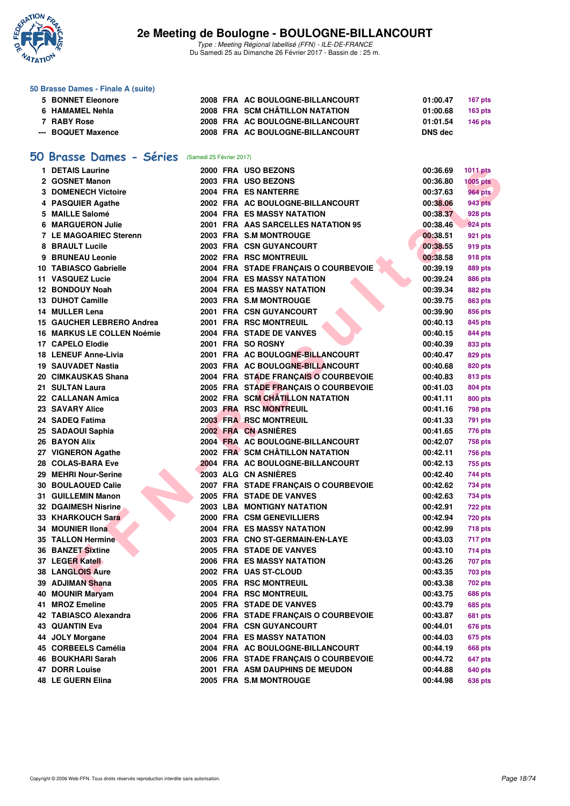

Type : Meeting Régional labellisé (FFN) - ILE-DE-FRANCE Du Samedi 25 au Dimanche 26 Février 2017 - Bassin de : 25 m.

#### **50 Brasse Dames - Finale A (suite)**

| 5 BONNET Eleonore  |  | 2008 FRA AC BOULOGNE-BILLANCOURT | 01:00.47 | 167 pts        |
|--------------------|--|----------------------------------|----------|----------------|
| 6 HAMAMEL Nehla    |  | 2008 FRA SCM CHÂTILLON NATATION  | 01:00.68 | <b>163 pts</b> |
| 7 RABY Rose        |  | 2008 FRA AC BOULOGNE-BILLANCOURT | 01:01.54 | <b>146 pts</b> |
| --- BOQUET Maxence |  | 2008 FRA AC BOULOGNE-BILLANCOURT | DNS dec  |                |

## **50 Brasse Dames - Séries** (Samedi 25 Février 2017)

| 1 DETAIS Laurine                  |  | 2000 FRA USO BEZONS                  | 00:36.69 | 1011 pts        |
|-----------------------------------|--|--------------------------------------|----------|-----------------|
| 2 GOSNET Manon                    |  | 2003 FRA USO BEZONS                  | 00:36.80 | <b>1005 pts</b> |
| <b>3 DOMENECH Victoire</b>        |  | 2004 FRA ES NANTERRE                 | 00:37.63 | <b>964 pts</b>  |
| 4 PASQUIER Agathe                 |  | 2002 FRA AC BOULOGNE-BILLANCOURT     | 00:38.06 | <b>943 pts</b>  |
| 5 MAILLE Salomé                   |  | 2004 FRA ES MASSY NATATION           | 00:38.37 | 928 pts         |
| <b>6 MARGUERON Julie</b>          |  | 2001 FRA AAS SARCELLES NATATION 95   | 00:38.46 | 924 pts         |
| <b>7 LE MAGOARIEC Sterenn</b>     |  | 2003 FRA S.M MONTROUGE               | 00:38.51 | 921 pts         |
| 8 BRAULT Lucile                   |  | 2003 FRA CSN GUYANCOURT              | 00:38.55 | 919 pts         |
| 9 BRUNEAU Leonie                  |  | 2002 FRA RSC MONTREUIL               | 00:38.58 | 918 pts         |
| 10 TABIASCO Gabrielle             |  | 2004 FRA STADE FRANCAIS O COURBEVOIE | 00:39.19 | 889 pts         |
| 11 VASQUEZ Lucie                  |  | <b>2004 FRA ES MASSY NATATION</b>    | 00:39.24 | 886 pts         |
| 12 BONDOUY Noah                   |  | 2004 FRA ES MASSY NATATION           | 00:39.34 | 882 pts         |
| 13 DUHOT Camille                  |  | 2003 FRA S.M MONTROUGE               | 00:39.75 | 863 pts         |
| 14 MULLER Lena                    |  | 2001 FRA CSN GUYANCOURT              | 00:39.90 | 856 pts         |
| 15 GAUCHER LEBRERO Andrea         |  | 2001 FRA RSC MONTREUIL               | 00:40.13 | 845 pts         |
| <b>16 MARKUS LE COLLEN Noémie</b> |  | 2004 FRA STADE DE VANVES             | 00:40.15 | 844 pts         |
| 17 CAPELO Elodie                  |  | 2001 FRA SO ROSNY                    | 00:40.39 | 833 pts         |
| 18 LENEUF Anne-Livia              |  | 2001 FRA AC BOULOGNE-BILLANCOURT     | 00:40.47 | 829 pts         |
| <b>19 SAUVADET Nastia</b>         |  | 2003 FRA AC BOULOGNE-BILLANCOURT     | 00:40.68 | 820 pts         |
| 20 CIMKAUSKAS Shana               |  | 2004 FRA STADE FRANÇAIS O COURBEVOIE | 00:40.83 | 813 pts         |
| 21 SULTAN Laura                   |  | 2005 FRA STADE FRANÇAIS O COURBEVOIE | 00:41.03 | 804 pts         |
| 22 CALLANAN Amica                 |  | 2002 FRA SCM CHÂTILLON NATATION      | 00:41.11 | 800 pts         |
| 23 SAVARY Alice                   |  | 2003 FRA RSC MONTREUIL               | 00:41.16 | 798 pts         |
| 24 SADEQ Fatima                   |  | 2003 FRA RSC MONTREUIL               | 00:41.33 | 791 pts         |
| 25 SADAOUI Saphia                 |  | 2002 FRA CN ASNIERES                 | 00:41.65 | 776 pts         |
| <b>26 BAYON Alix</b>              |  | 2004 FRA AC BOULOGNE-BILLANCOURT     | 00:42.07 | 758 pts         |
| 27 VIGNERON Agathe                |  | 2002 FRA SCM CHÂTILLON NATATION      | 00:42.11 | 756 pts         |
| 28 COLAS-BARA Eve                 |  | 2004 FRA AC BOULOGNE-BILLANCOURT     | 00:42.13 | 755 pts         |
| 29 MEHRI Nour-Serine              |  | 2003 ALG CN ASNIÈRES                 | 00:42.40 | 744 pts         |
| <b>30 BOULAOUED Calie</b>         |  | 2007 FRA STADE FRANÇAIS O COURBEVOIE | 00:42.62 | 734 pts         |
| 31 GUILLEMIN Manon                |  | 2005 FRA STADE DE VANVES             | 00:42.63 | 734 pts         |
| <b>32 DGAIMESH Nisrine</b>        |  | 2003 LBA MONTIGNY NATATION           | 00:42.91 | <b>722 pts</b>  |
| 33 KHARKOUCH Sara                 |  | 2000 FRA CSM GENEVILLIERS            | 00:42.94 | <b>720 pts</b>  |
| 34 MOUNIER IIona                  |  | 2004 FRA ES MASSY NATATION           | 00:42.99 | 718 pts         |
| <b>35 TALLON Hermine</b>          |  | 2003 FRA CNO ST-GERMAIN-EN-LAYE      | 00:43.03 | 717 pts         |
| 36 BANZET Sixtine                 |  | 2005 FRA STADE DE VANVES             | 00:43.10 | 714 pts         |
| 37 LEGER Katell                   |  | 2006 FRA ES MASSY NATATION           | 00:43.26 | 707 pts         |
| <b>38 LANGLOIS Aure</b>           |  | 2002 FRA UAS ST-CLOUD                | 00:43.35 | 703 pts         |
| 39 ADJIMAN Shana                  |  | <b>2005 FRA RSC MONTREUIL</b>        | 00:43.38 | <b>702 pts</b>  |
| 40 MOUNIR Maryam                  |  | 2004 FRA RSC MONTREUIL               | 00:43.75 | <b>686 pts</b>  |
| 41 MROZ Emeline                   |  | 2005 FRA STADE DE VANVES             | 00:43.79 | 685 pts         |
| 42 TABIASCO Alexandra             |  | 2006 FRA STADE FRANCAIS O COURBEVOIE | 00:43.87 | 681 pts         |
| 43 QUANTIN Eva                    |  | 2004 FRA CSN GUYANCOURT              | 00:44.01 | 676 pts         |
| 44 JOLY Morgane                   |  | 2004 FRA ES MASSY NATATION           | 00:44.03 | 675 pts         |
| 45 CORBEELS Camélia               |  | 2004 FRA AC BOULOGNE-BILLANCOURT     | 00:44.19 | 668 pts         |
| 46 BOUKHARI Sarah                 |  | 2006 FRA STADE FRANÇAIS O COURBEVOIE | 00:44.72 | 647 pts         |
| <b>47 DORR Louise</b>             |  | 2001 FRA ASM DAUPHINS DE MEUDON      | 00:44.88 | 640 pts         |
| 48 LE GUERN Elina                 |  | 2005 FRA S.M MONTROUGE               | 00:44.98 | 636 pts         |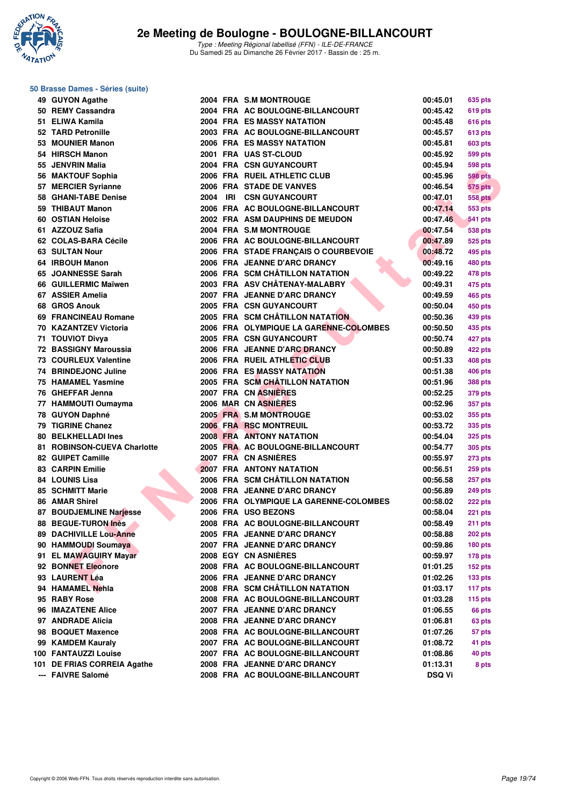

#### **50 Brasse Dames - Séries (suite)**

|     | 49 GUYON Agathe              |      |     | 2004 FRA S.M MONTROUGE                 | 00:45.01      | 635 pts                          |
|-----|------------------------------|------|-----|----------------------------------------|---------------|----------------------------------|
|     | 50 REMY Cassandra            |      |     | 2004 FRA AC BOULOGNE-BILLANCOURT       | 00:45.42      | 619 pts                          |
|     | 51 ELIWA Kamila              |      |     | <b>2004 FRA ES MASSY NATATION</b>      | 00:45.48      | 616 pts                          |
|     | 52 TARD Petronille           |      |     | 2003 FRA AC BOULOGNE-BILLANCOURT       | 00:45.57      | 613 pts                          |
|     | 53 MOUNIER Manon             |      |     | 2006 FRA ES MASSY NATATION             | 00:45.81      | 603 pts                          |
|     | 54 HIRSCH Manon              |      |     | 2001 FRA UAS ST-CLOUD                  | 00:45.92      | 599 pts                          |
|     | 55 JENVRIN Malia             |      |     | 2004 FRA CSN GUYANCOURT                | 00:45.94      | <b>598 pts</b>                   |
|     | 56 MAKTOUF Sophia            |      |     | 2006 FRA RUEIL ATHLETIC CLUB           | 00:45.96      | <b>598 pts</b>                   |
|     | 57 MERCIER Syrianne          |      |     | 2006 FRA STADE DE VANVES               | 00:46.54      | 575 pts                          |
|     | 58 GHANI-TABE Denise         | 2004 | IRI | <b>CSN GUYANCOURT</b>                  | 00:47.01      | <b>558 pts</b>                   |
|     | 59 THIBAUT Manon             |      |     | 2006 FRA AC BOULOGNE-BILLANCOURT       | 00:47.14      | <b>553 pts</b>                   |
|     | 60 OSTIAN Heloise            |      |     | 2002 FRA ASM DAUPHINS DE MEUDON        | 00:47.46      | <b>541 pts</b>                   |
|     | 61 AZZOUZ Safia              |      |     | 2004 FRA S.M MONTROUGE                 | 00:47.54      | <b>538 pts</b>                   |
|     | 62 COLAS-BARA Cécile         |      |     | 2006 FRA AC BOULOGNE-BILLANCOURT       | 00:47.89      | 525 pts                          |
|     | <b>63 SULTAN Nour</b>        |      |     | 2006 FRA STADE FRANÇAIS O COURBEVOIE   | 00:48.72      | 495 pts                          |
|     | 64 IRBOUH Manon              |      |     | 2006 FRA JEANNE D'ARC DRANCY           | 00:49.16      | 480 pts                          |
|     | 65 JOANNESSE Sarah           |      |     | 2006 FRA SCM CHÂTILLON NATATION        | 00:49.22      | 478 pts                          |
|     | 66 GUILLERMIC Maïwen         |      |     | 2003 FRA ASV CHÂTENAY-MALABRY          | 00:49.31      | 475 pts                          |
|     | 67 ASSIER Amelia             |      |     | 2007 FRA JEANNE D'ARC DRANCY           | 00:49.59      | 465 pts                          |
|     | 68 GROS Anouk                |      |     | 2005 FRA CSN GUYANCOURT                | 00:50.04      | 450 pts                          |
|     | 69 FRANCINEAU Romane         |      |     | 2005 FRA SCM CHÂTILLON NATATION        | 00:50.36      | 439 pts                          |
|     | 70 KAZANTZEV Victoria        |      |     | 2006 FRA OLYMPIQUE LA GARENNE-COLOMBES | 00:50.50      | 435 pts                          |
|     | 71 TOUVIOT Divya             |      |     | 2005 FRA CSN GUYANCOURT                | 00:50.74      | 427 pts                          |
|     | <b>72 BASSIGNY Maroussia</b> |      |     | 2006 FRA JEANNE D'ARC DRANCY           | 00:50.89      | 422 pts                          |
|     | <b>73 COURLEUX Valentine</b> |      |     | 2006 FRA RUEIL ATHLETIC CLUB           | 00:51.33      | 408 pts                          |
|     | 74 BRINDEJONC Juline         |      |     | 2006 FRA ES MASSY NATATION             | 00:51.38      | 406 pts                          |
|     | <b>75 HAMAMEL Yasmine</b>    |      |     | 2005 FRA SCM CHÂTILLON NATATION        | 00:51.96      | <b>388 pts</b>                   |
|     | 76 GHEFFAR Jenna             |      |     | 2007 FRA CN ASNIERES                   | 00:52.25      | 379 pts                          |
|     | 77 HAMMOUTI Oumayma          |      |     | 2006 MAR CN ASNIERES                   | 00:52.96      | 357 pts                          |
|     | 78 GUYON Daphné              |      |     | 2005 FRA S.M MONTROUGE                 | 00:53.02      | 355 pts                          |
|     | 79 TIGRINE Chanez            |      |     | <b>2006 FRA RSC MONTREUIL</b>          | 00:53.72      | 335 pts                          |
|     | <b>80 BELKHELLADI Ines</b>   |      |     | <b>2008 FRA ANTONY NATATION</b>        | 00:54.04      | 325 pts                          |
|     | 81 ROBINSON-CUEVA Charlotte  |      |     | 2005 FRA AC BOULOGNE-BILLANCOURT       | 00:54.77      | 305 pts                          |
|     | 82 GUIPET Camille            |      |     | 2007 FRA CN ASNIÈRES                   | 00:55.97      |                                  |
|     | <b>83 CARPIN Emilie</b>      |      |     | <b>2007 FRA ANTONY NATATION</b>        | 00:56.51      | <b>273 pts</b><br><b>259 pts</b> |
|     | <b>84 LOUNIS Lisa</b>        |      |     | 2006 FRA SCM CHÂTILLON NATATION        | 00:56.58      | <b>257 pts</b>                   |
|     | <b>85 SCHMITT Marie</b>      |      |     | 2008 FRA JEANNE D'ARC DRANCY           | 00:56.89      | <b>249 pts</b>                   |
|     | 86 AMAR Shirel               |      |     | 2006 FRA OLYMPIQUE LA GARENNE-COLOMBES | 00:58.02      |                                  |
|     | 87 BOUDJEMLINE Narjesse      |      |     | 2006 FRA USO BEZONS                    | 00:58.04      | 222 pts<br><b>221 pts</b>        |
|     | 88 BEGUE-TURON Inès          |      |     | 2008 FRA AC BOULOGNE-BILLANCOURT       | 00:58.49      |                                  |
|     | 89 DACHIVILLE Lou-Anne       |      |     | 2005 FRA JEANNE D'ARC DRANCY           | 00:58.88      | 211 pts<br>202 pts               |
|     | 90 HAMMOUDI Soumaya          |      |     | 2007 FRA JEANNE D'ARC DRANCY           | 00:59.86      | 180 pts                          |
|     | 91 EL MAWAGUIRY Mayar        |      |     | 2008 EGY CN ASNIÈRES                   | 00:59.97      | 178 pts                          |
|     | 92 BONNET Eleonore           |      |     | 2008 FRA AC BOULOGNE-BILLANCOURT       | 01:01.25      | $152$ pts                        |
|     | 93 LAURENT Léa               |      |     | 2006 FRA JEANNE D'ARC DRANCY           | 01:02.26      | 133 <sub>pts</sub>               |
|     | 94 HAMAMEL Nehla             |      |     | 2008 FRA SCM CHÂTILLON NATATION        |               |                                  |
|     |                              |      |     |                                        | 01:03.17      | 117 pts                          |
|     | 95 RABY Rose                 |      |     | 2008 FRA AC BOULOGNE-BILLANCOURT       | 01:03.28      | $115$ pts                        |
|     | 96 IMAZATENE Alice           |      |     | 2007 FRA JEANNE D'ARC DRANCY           | 01:06.55      | 66 pts                           |
|     | 97 ANDRADE Alicia            |      |     | 2008 FRA JEANNE D'ARC DRANCY           | 01:06.81      | 63 pts                           |
| 98. | <b>BOQUET Maxence</b>        |      |     | 2008 FRA AC BOULOGNE-BILLANCOURT       | 01:07.26      | 57 pts                           |
| 99  | <b>KAMDEM Kauraly</b>        |      |     | 2007 FRA AC BOULOGNE-BILLANCOURT       | 01:08.72      | 41 pts                           |
|     | 100 FANTAUZZI Louise         |      |     | 2007 FRA AC BOULOGNE-BILLANCOURT       | 01:08.86      | 40 pts                           |
|     | 101 DE FRIAS CORREIA Agathe  |      |     | 2008 FRA JEANNE D'ARC DRANCY           | 01:13.31      | 8 pts                            |
|     | --- FAIVRE Salomé            |      |     | 2008 FRA AC BOULOGNE-BILLANCOURT       | <b>DSQ Vi</b> |                                  |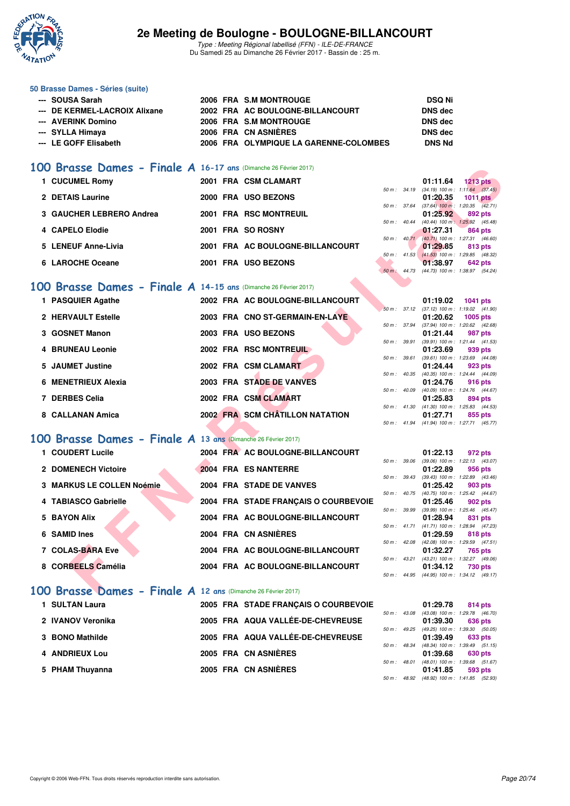

Type : Meeting Régional labellisé (FFN) - ILE-DE-FRANCE Du Samedi 25 au Dimanche 26 Février 2017 - Bassin de : 25 m.

#### **50 Brasse Dames - Séries (suite)**

| --- SOUSA Sarah               |  | 2006 FRA S.M MONTROUGE                 | DSQ Ni         |
|-------------------------------|--|----------------------------------------|----------------|
| --- DE KERMEL-LACROIX Alixane |  | 2002 FRA AC BOULOGNE-BILLANCOURT       | <b>DNS</b> dec |
| --- AVERINK Domino            |  | 2006 FRA S.M MONTROUGE                 | <b>DNS</b> dec |
| --- SYLLA Himava              |  | 2006 FRA CN ASNIÈRES                   | <b>DNS</b> dec |
| --- LE GOFF Elisabeth         |  | 2006 FRA OLYMPIQUE LA GARENNE-COLOMBES | <b>DNS Nd</b>  |

### **[100 Brasse Dames - Finale A](http://www.ffnatation.fr/webffn/resultats.php?idact=nat&go=epr&idcpt=42219&idepr=22) 16-17 ans** (Dimanche 26 Février 2017)

| 1 CUCUMEL Romy           | 2001 FRA CSM CLAMART             |                          | 01:11.64<br>$1213$ pts                       |  |
|--------------------------|----------------------------------|--------------------------|----------------------------------------------|--|
|                          |                                  |                          | 50 m : 34.19 (34.19) 100 m : 1:11.64 (37.45) |  |
| 2 DETAIS Laurine         | 2000 FRA USO BEZONS              |                          | 01:20.35<br>$1011$ pts                       |  |
|                          |                                  | 50 m: 37.64              | $(37.64)$ 100 m : 1:20.35 $(42.71)$          |  |
| 3 GAUCHER LEBRERO Andrea | 2001 FRA RSC MONTREUIL           |                          | 01:25.92<br>892 pts                          |  |
|                          |                                  | $50 \text{ m}$ : $40.44$ | $(40.44)$ 100 m : 1:25.92 $(45.48)$          |  |
| 4 CAPELO Elodie          | 2001 FRA SO ROSNY                |                          | 01:27.31<br>864 pts                          |  |
|                          |                                  | $50 \text{ m}$ : $40.71$ | $(40.71)$ 100 m : 1:27.31 $(46.60)$          |  |
| 5 LENEUF Anne-Livia      | 2001 FRA AC BOULOGNE-BILLANCOURT |                          | 01:29.85<br>813 pts                          |  |
|                          |                                  | $50 \text{ m}$ : $41.53$ | $(41.53)$ 100 m : 1:29.85 $(48.32)$          |  |
| 6 LAROCHE Oceane         | 2001 FRA USO BEZONS              |                          | 01:38.97<br><b>642 pts</b>                   |  |
|                          |                                  | $50 m$ :                 | 44.73 (44.73) 100 m : 1:38.97 (54.24)        |  |

### **[100 Brasse Dames - Finale A](http://www.ffnatation.fr/webffn/resultats.php?idact=nat&go=epr&idcpt=42219&idepr=22) 14-15 ans** (Dimanche 26 Février 2017)

| <b>IUU Brasse Dames - FINAIE A 16-17 ans (Dimanche 26 Février 2017)</b> |                                      |                          |                                                                   |
|-------------------------------------------------------------------------|--------------------------------------|--------------------------|-------------------------------------------------------------------|
| 1 CUCUMEL Romy                                                          | 2001 FRA CSM CLAMART                 |                          | 01:11.64<br>$1213$ pts                                            |
| 2 DETAIS Laurine                                                        | 2000 FRA USO BEZONS                  | 50 m: 34.19              | $(34.19)$ 100 m : 1:11.64 $(37.45)$<br>01:20.35<br>1011 pts       |
|                                                                         |                                      | 50 m : 37.64             | $(37.64)$ 100 m : 1:20.35 $(42.71)$                               |
| <b>GAUCHER LEBRERO Andrea</b>                                           | <b>2001 FRA RSC MONTREUIL</b>        |                          | 01:25.92<br>892 pts                                               |
| 4 CAPELO Elodie                                                         | 2001 FRA SO ROSNY                    | 50 m: 40.44              | (40.44) 100 m: 1:25.92 (45.48)<br>01:27.31<br>864 pts             |
|                                                                         |                                      | $50 \text{ m}$ : $40.71$ | (40.71) 100 m: 1:27.31 (46.60)                                    |
| <b>LENEUF Anne-Livia</b><br>5.                                          | 2001 FRA AC BOULOGNE-BILLANCOURT     | 50 m: 41.53              | 01:29.85<br>813 pts<br>(41.53) 100 m: 1:29.85 (48.32)             |
| 6 LAROCHE Oceane                                                        | 2001 FRA USO BEZONS                  |                          | 01:38.97<br>642 pts                                               |
|                                                                         |                                      | 50 m: 44.73              | (44.73) 100 m : 1:38.97 (54.24)                                   |
| 100 Brasse Dames - Finale A 14-15 ans (Dimanche 26 Février 2017)        |                                      |                          |                                                                   |
| 1 PASQUIER Agathe                                                       | 2002 FRA AC BOULOGNE-BILLANCOURT     |                          | 01:19.02<br><b>1041 pts</b>                                       |
|                                                                         |                                      | 50 m: 37.12              | $(37.12)$ 100 m : 1:19.02 $(41.90)$                               |
| 2 HERVAULT Estelle                                                      | 2003 FRA CNO ST-GERMAIN-EN-LAYE      |                          | 01:20.62<br>1005 pts                                              |
| 3 GOSNET Manon                                                          | 2003 FRA USO BEZONS                  | 50 m : 37.94             | $(37.94)$ 100 m : 1:20.62 $(42.68)$<br>01:21.44<br>987 pts        |
|                                                                         |                                      | 50 m : 39.91             | (39.91) 100 m: 1:21.44 (41.53)                                    |
| <b>BRUNEAU Leonie</b>                                                   | 2002 FRA RSC MONTREUIL               |                          | 01:23.69<br>939 pts                                               |
| <b>JAUMET Justine</b>                                                   | 2002 FRA CSM CLAMART                 | 50 m : 39.61             | $(39.61)$ 100 m : 1:23.69 $(44.08)$                               |
| 5.                                                                      |                                      | 50 m : 40.35             | 01:24.44<br>923 pts<br>(40.35) 100 m: 1:24.44 (44.09)             |
| <b>MENETRIEUX Alexia</b><br>6                                           | 2003 FRA STADE DE VANVES             |                          | 01:24.76<br>916 pts                                               |
|                                                                         |                                      | $50 m$ : $40.09$         | $(40.09)$ 100 m : 1:24.76 $(44.67)$                               |
| 7 DERBES Celia                                                          | 2002 FRA CSM CLAMART                 | 50 m : 41.30             | 01:25.83<br>894 pts<br>$(41.30)$ 100 m : 1:25.83 $(44.53)$        |
| 8 CALLANAN Amica                                                        | 2002 FRA SCM CHÂTILLON NATATION      |                          | 01:27.71<br>855 pts                                               |
|                                                                         |                                      |                          | 50 m: 41.94 (41.94) 100 m: 1:27.71 (45.77)                        |
| 100 Brasse Dames - Finale A 13 ans (Dimanche 26 Février 2017)           |                                      |                          |                                                                   |
|                                                                         |                                      |                          |                                                                   |
| 1 COUDERT Lucile                                                        | 2004 FRA AC BOULOGNE-BILLANCOURT     | $50 m$ : $39.06$         | 01:22.13<br>972 pts<br>$(39.06)$ 100 m : 1:22.13 $(43.07)$        |
| 2 DOMENECH Victoire                                                     | 2004 FRA ES NANTERRE                 |                          | 01:22.89<br>956 pts                                               |
|                                                                         |                                      | 50 m : 39.43             | (39.43) 100 m: 1:22.89 (43.46)                                    |
| <b>MARKUS LE COLLEN Noémie</b>                                          | 2004 FRA STADE DE VANVES             |                          | 01:25.42<br>903 pts<br>50 m: 40.75 (40.75) 100 m: 1:25.42 (44.67) |
| 4 TABIASCO Gabrielle                                                    | 2004 FRA STADE FRANÇAIS O COURBEVOIE |                          | 01:25.46<br>902 pts                                               |
|                                                                         |                                      | 50 m : 39.99             | (39.99) 100 m: 1:25.46 (45.47)                                    |
| <b>BAYON Alix</b><br>5                                                  | 2004 FRA AC BOULOGNE-BILLANCOURT     |                          | 01:28.94<br>831 pts                                               |
| <b>SAMID Ines</b><br>6.                                                 | 2004 FRA CN ASNIÈRES                 | $50 m$ : $41.71$         | $(41.71)$ 100 m : 1:28.94 $(47.23)$<br>01:29.59<br>818 pts        |
|                                                                         |                                      | 50 m: 42.08              | (42.08) 100 m: 1:29.59 (47.51)                                    |
| 7 COLAS-BARA Eve                                                        | 2004 FRA AC BOULOGNE-BILLANCOURT     |                          | 01:32.27<br>765 pts                                               |
| 8 CORBEELS Camélia                                                      |                                      | 50 m: 43.21              | (43.21) 100 m: 1:32.27 (49.06)                                    |
|                                                                         | 2004 FRA AC BOULOGNE-BILLANCOURT     | 50 m: 44.95              | 01:34.12<br>730 pts<br>(44.95) 100 m: 1:34.12 (49.17)             |
|                                                                         |                                      |                          |                                                                   |
| $100$ Brasse Dames - Finale $A$ 12 ans (Dimanche 26 Février 2017)       |                                      |                          |                                                                   |

### **[100 Brasse Dames - Finale A](http://www.ffnatation.fr/webffn/resultats.php?idact=nat&go=epr&idcpt=42219&idepr=22) 13 ans** (Dimanche 26 Février 2017)

| 1 COUDERT Lucile          | 2004 FRA AC BOULOGNE-BILLANCOURT     |                          |                  | 01:22.13                                   | 972 pts |
|---------------------------|--------------------------------------|--------------------------|------------------|--------------------------------------------|---------|
| 2 DOMENECH Victoire       | 2004 FRA ES NANTERRE                 |                          | 50 m: 39.06      | (39.06) 100 m : 1:22.13 (43.<br>01:22.89   | 956 pts |
| 3 MARKUS LE COLLEN Noémie | 2004 FRA STADE DE VANVES             |                          | 50 m : 39.43     | (39.43) 100 m : 1:22.89 (43.<br>01:25.42   | 903 pts |
| 4 TABIASCO Gabrielle      | 2004 FRA STADE FRANCAIS O COURBEVOIE |                          | $50 m$ : $40.75$ | (40.75) 100 m : 1:25.42 (44.<br>01:25.46   | 902 pts |
| 5 BAYON Alix              | 2004 FRA AC BOULOGNE-BILLANCOURT     |                          | 50 m: 39.99      | (39.99) 100 m : 1:25.46 (45.<br>01:28.94   | 831 pts |
| 6 SAMID Ines              | 2004 FRA CN ASNIÈRES                 |                          | $50 m$ : $41.71$ | $(41.71)$ 100 m : 1:28.94 (47.<br>01:29.59 | 818 pts |
| 7 COLAS-BARA Eve          | 2004 FRA AC BOULOGNE-BILLANCOURT     |                          | 50 m: 42.08      | (42.08) 100 m : 1:29.59 (47.               |         |
|                           |                                      | $50 \text{ m}$ : $43.21$ |                  | 01:32.27<br>(43.21) 100 m : 1:32.27 (49.   | 765 pts |
| 8 CORBEELS Camélia        | 2004 FRA AC BOULOGNE-BILLANCOURT     |                          |                  | 01:34.12                                   | 730 pts |

#### **[100 Brasse Dames - Finale A](http://www.ffnatation.fr/webffn/resultats.php?idact=nat&go=epr&idcpt=42219&idepr=22) 12 ans** (Dimanche 26 Février 2017)

| 1 SULTAN Laura    | 2005 FRA STADE FRANCAIS O COURBEVOIE |  | 01:29.78                                            | 814 pts |  |
|-------------------|--------------------------------------|--|-----------------------------------------------------|---------|--|
|                   |                                      |  | 50 m: 43.08 (43.08) 100 m: 1:29.78 (46.             |         |  |
| 2 IVANOV Veronika | 2005 FRA AQUA VALLÉE-DE-CHEVREUSE    |  | 01:39.30<br>50 m: 49.25 (49.25) 100 m: 1:39.30 (50. | 636 pts |  |
| 3 BONO Mathilde   | 2005 FRA AQUA VALLÉE-DE-CHEVREUSE    |  | 01:39.49                                            | 633 pts |  |
|                   |                                      |  | 50 m: 48.34 (48.34) 100 m: 1:39.49 (51.             |         |  |
| 4 ANDRIEUX Lou    | 2005 FRA CN ASNIÈRES                 |  | 01:39.68<br>50 m: 48.01 (48.01) 100 m: 1:39.68 (51. | 630 pts |  |
| 5 PHAM Thuyanna   | 2005 FRA CN ASNIÈRES                 |  | 01:41.85                                            | 593 pts |  |
|                   |                                      |  | $F0 - 1000 (1000)$ $F00 - 10100$                    |         |  |

|                  |              | 01:19.02                       | 1041 pts            |  |
|------------------|--------------|--------------------------------|---------------------|--|
|                  | 50 m: 37.12  | $(37.12)$ 100 m :              | $1:19.02$ $(41.90)$ |  |
|                  |              | 01:20.62                       | 1005 pts            |  |
| $50 m$ : 37.94   |              | $(37.94) 100 m$ :              | 1:20.62 (42.68)     |  |
|                  |              | 01:21.44                       | 987 pts             |  |
| 50 m: 39.91      |              | $(39.91)$ 100 m :              | $1:21.44$ $(41.53)$ |  |
|                  |              | $01:23.69$ 939 pts             |                     |  |
| $50 m$ : 39.61   |              | $(39.61)$ 100 m :              | 1:23.69 (44.08)     |  |
|                  |              | 01:24.44                       | 923 pts             |  |
|                  |              |                                |                     |  |
| 50 m: 40.35      |              | $(40.35)$ 100 m :              | 1:24.44 (44.09)     |  |
|                  |              | 01:24.76                       | 916 pts             |  |
| $50 m$ : $40.09$ |              | $(40.09)$ 100 m :              | 1:24.76 (44.67)     |  |
|                  |              | 01:25.83 894 pts               |                     |  |
| $50 m$ : $41.30$ |              | (41.30) 100 m: 1:25.83 (44.53) |                     |  |
|                  |              | 01:27.71 855 pts               |                     |  |
|                  | 50 m : 41.94 | (41.94) 100 m: 1:27.71 (45.77) |                     |  |

|                  |       | 01:22.13                       |                     |  |
|------------------|-------|--------------------------------|---------------------|--|
|                  |       |                                | 972 pts             |  |
| $50 m$ :         | 39.06 | $(39.06)$ 100 m :              | 1:22.13 (43.07)     |  |
|                  |       | 01:22.89                       | 956 pts             |  |
| $50 m$ :         | 39.43 | $(39.43) 100 m$ :              | 1:22.89 (43.46)     |  |
|                  |       | 01:25.42                       | 903 pts             |  |
| $50 m$ : $40.75$ |       | $(40.75)$ 100 m :              | 1:25.42 (44.67)     |  |
|                  |       | 01:25.46                       | 902 pts             |  |
| $50 m$ :         | 39.99 | $(39.99)$ 100 m :              | $1:25.46$ $(45.47)$ |  |
|                  |       | 01:28.94 831 pts               |                     |  |
| $50 m$ : $41.71$ |       | $(41.71) 100 m$ :              | 1:28.94 (47.23)     |  |
|                  |       | 01:29.59                       | 818 pts             |  |
| $50 m$ : 42.08   |       | $(42.08)$ 100 m :              | 1:29.59 (47.51)     |  |
|                  |       | 01:32.27 765 pts               |                     |  |
| 50 m: 43.21      |       | $(43.21)$ 100 m :              | 1:32.27 (49.06)     |  |
|                  |       | 01:34.12 730 pts               |                     |  |
| $50 m$ :         | 44.95 | (44.95) 100 m: 1:34.12 (49.17) |                     |  |

|                |              | 01:29.78                                   | 814 pts |                |
|----------------|--------------|--------------------------------------------|---------|----------------|
| 50 m : 43.08   |              | (43.08) 100 m: 1:29.78 (46.70)             |         |                |
|                |              | 01:39.30                                   |         | <b>636 pts</b> |
|                | 50 m : 49.25 | (49.25) 100 m: 1:39.30 (50.05)             |         |                |
|                |              | $01:39.49$ 633 pts                         |         |                |
| $50 m$ : 48.34 |              | (48.34) 100 m: 1:39.49 (51.15)             |         |                |
|                |              | 01:39.68 630 pts                           |         |                |
|                |              | 50 m: 48.01 (48.01) 100 m: 1:39.68 (51.67) |         |                |
|                |              | $01:41.85$ 593 pts                         |         |                |
|                |              | 50 m: 48.92 (48.92) 100 m: 1:41.85 (52.93) |         |                |
|                |              |                                            |         |                |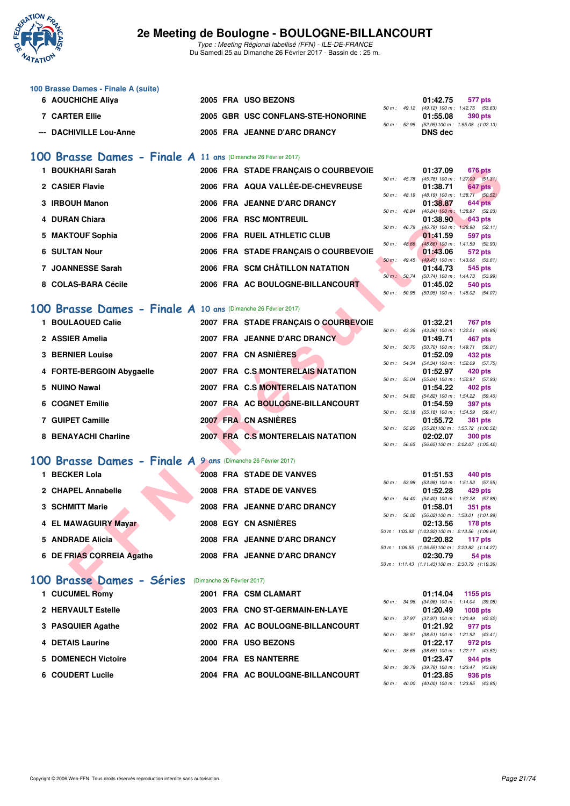

Type : Meeting Régional labellisé (FFN) - ILE-DE-FRANCE Du Samedi 25 au Dimanche 26 Février 2017 - Bassin de : 25 m.

| 100 Brasse Dames - Finale A (suite) |                                    |  |                                             |         |
|-------------------------------------|------------------------------------|--|---------------------------------------------|---------|
| 6 AOUCHICHE Aliya                   | 2005 FRA USO BEZONS                |  | 01:42.75                                    | 577 pts |
|                                     |                                    |  | 50 m: 49.12 (49.12) 100 m: 1:42.75 (53.63   |         |
| <b>7 CARTER Ellie</b>               | 2005 GBR USC CONFLANS-STE-HONORINE |  | 01:55.08                                    | 390 pts |
|                                     |                                    |  | 50 m: 52.95 (52.95) 100 m: 1:55.08 (1:02.13 |         |
| --- DACHIVILLE Lou-Anne             | 2005 FRA JEANNE D'ARC DRANCY       |  | DNS dec                                     |         |

### **[100 Brasse Dames - Finale A](http://www.ffnatation.fr/webffn/resultats.php?idact=nat&go=epr&idcpt=42219&idepr=22) 11 ans** (Dimanche 26 Février 2017)

| 1 BOUKHARI Sarah                                                                                                                                                                                                                                                                                                                                                                                                                                                                           |  | 2006 FRA STADE FRANÇAIS O COURBEVOIE |                  | 01:37.09        | <b>676 pts</b>                                               |
|--------------------------------------------------------------------------------------------------------------------------------------------------------------------------------------------------------------------------------------------------------------------------------------------------------------------------------------------------------------------------------------------------------------------------------------------------------------------------------------------|--|--------------------------------------|------------------|-----------------|--------------------------------------------------------------|
| 2 CASIER Flavie                                                                                                                                                                                                                                                                                                                                                                                                                                                                            |  | 2006 FRA AQUA VALLÉE-DE-CHEVREUSE    |                  | 01:38.71        | 50 m : 45.78 (45.78) 100 m : 1:37.09 (51.31)<br>647 pts      |
|                                                                                                                                                                                                                                                                                                                                                                                                                                                                                            |  |                                      | 50 m : 48.19     |                 | $(48.19)$ 100 m : 1:38.71 $(50.52)$                          |
| 3 IRBOUH Manon                                                                                                                                                                                                                                                                                                                                                                                                                                                                             |  | 2006 FRA JEANNE D'ARC DRANCY         | $50 m$ : $46.84$ | 01:38.87        | <b>644 pts</b><br>$(46.84)$ 100 m : 1:38.87 (52.03)          |
| 4 DURAN Chiara                                                                                                                                                                                                                                                                                                                                                                                                                                                                             |  | 2006 FRA RSC MONTREUIL               |                  | 01:38.90        | 643 pts                                                      |
| 5 MAKTOUF Sophia                                                                                                                                                                                                                                                                                                                                                                                                                                                                           |  | 2006 FRA RUEIL ATHLETIC CLUB         | 50 m : 46.79     | 01:41.59        | $(46.79)$ 100 m : 1:38.90 $(52.11)$                          |
|                                                                                                                                                                                                                                                                                                                                                                                                                                                                                            |  |                                      | $50 m$ : $48.66$ |                 | 597 pts<br>(48.66) 100 m: 1:41.59 (52.93)                    |
| <b>6 SULTAN Nour</b>                                                                                                                                                                                                                                                                                                                                                                                                                                                                       |  | 2006 FRA STADE FRANÇAIS O COURBEVOIE |                  | 01:43.06        | 572 pts                                                      |
| 7 JOANNESSE Sarah                                                                                                                                                                                                                                                                                                                                                                                                                                                                          |  | 2006 FRA SCM CHÂTILLON NATATION      | $50 m$ : 49.45   |                 | $(49.45)$ 100 m : 1:43.06 (53.61)                            |
|                                                                                                                                                                                                                                                                                                                                                                                                                                                                                            |  |                                      | 50 m: 50.74      | 01:44.73        | 545 pts<br>(50.74) 100 m : 1:44.73 (53.99)                   |
| 8 COLAS-BARA Cécile                                                                                                                                                                                                                                                                                                                                                                                                                                                                        |  | 2006 FRA AC BOULOGNE-BILLANCOURT     |                  | 01:45.02        | 540 pts                                                      |
|                                                                                                                                                                                                                                                                                                                                                                                                                                                                                            |  |                                      | 50 m : 50.95     |                 | (50.95) 100 m: 1:45.02 (54.07)                               |
| 00 Brasse Dames - Finale A 10 ans (Dimanche 26 Février 2017)                                                                                                                                                                                                                                                                                                                                                                                                                               |  |                                      |                  |                 |                                                              |
|                                                                                                                                                                                                                                                                                                                                                                                                                                                                                            |  |                                      |                  |                 |                                                              |
| 1 BOULAOUED Calie                                                                                                                                                                                                                                                                                                                                                                                                                                                                          |  | 2007 FRA STADE FRANÇAIS O COURBEVOIE |                  | 01:32.21        | 767 pts<br>50 m: 43.36 (43.36) 100 m: 1:32.21 (48.85)        |
| 2 ASSIER Amelia                                                                                                                                                                                                                                                                                                                                                                                                                                                                            |  | 2007 FRA JEANNE D'ARC DRANCY         |                  | 01:49.71        | 467 pts                                                      |
|                                                                                                                                                                                                                                                                                                                                                                                                                                                                                            |  |                                      | 50 m : 50.70     |                 | $(50.70)$ 100 m : 1:49.71 $(59.01)$                          |
| <b>3 BERNIER Louise</b>                                                                                                                                                                                                                                                                                                                                                                                                                                                                    |  | 2007 FRA CN ASNIERES                 |                  | 01:52.09        | 432 pts                                                      |
| 4 FORTE-BERGOIN Abygaelle                                                                                                                                                                                                                                                                                                                                                                                                                                                                  |  | 2007 FRA C.S MONTERELAIS NATATION    | 50 m : 54.34     | 01:52.97        | $(54.34)$ 100 m : 1:52.09 $(57.75)$<br>420 pts               |
|                                                                                                                                                                                                                                                                                                                                                                                                                                                                                            |  |                                      | 50 m : 55.04     |                 | (55.04) 100 m: 1:52.97 (57.93)                               |
| 5 NUINO Nawal                                                                                                                                                                                                                                                                                                                                                                                                                                                                              |  | 2007 FRA C.S MONTERELAIS NATATION    |                  | 01:54.22        | 402 pts                                                      |
|                                                                                                                                                                                                                                                                                                                                                                                                                                                                                            |  |                                      |                  |                 | 50 m: 54.82 (54.82) 100 m: 1:54.22 (59.40)                   |
| 6 COGNET Emilie                                                                                                                                                                                                                                                                                                                                                                                                                                                                            |  | 2007 FRA AC BOULOGNE-BILLANCOURT     |                  | 01:54.59        | <b>397 pts</b><br>50 m: 55.18 (55.18) 100 m: 1:54.59 (59.41) |
| 7 GUIPET Camille                                                                                                                                                                                                                                                                                                                                                                                                                                                                           |  | 2007 FRA CN ASNIERES                 |                  | 01:55.72        | 381 pts                                                      |
|                                                                                                                                                                                                                                                                                                                                                                                                                                                                                            |  |                                      |                  |                 | 50 m: 55.20 (55.20) 100 m: 1:55.72 (1:00.52)                 |
| 8 BENAYACHI Charline                                                                                                                                                                                                                                                                                                                                                                                                                                                                       |  | 2007 FRA C.S MONTERELAIS NATATION    |                  | 02:02.07        | <b>300 pts</b>                                               |
|                                                                                                                                                                                                                                                                                                                                                                                                                                                                                            |  |                                      |                  |                 | 50 m: 56.65 (56.65) 100 m: 2:02.07 (1:05.42)                 |
| 00 Brasse Dames - Finale A 9 ans (Dimanche 26 Février 2017)                                                                                                                                                                                                                                                                                                                                                                                                                                |  |                                      |                  |                 |                                                              |
| 1 BECKER Lola                                                                                                                                                                                                                                                                                                                                                                                                                                                                              |  | 2008 FRA STADE DE VANVES             |                  | 01:51.53        | 440 pts                                                      |
|                                                                                                                                                                                                                                                                                                                                                                                                                                                                                            |  |                                      | 50 m : 53.98     |                 | $(53.98)$ 100 m : 1:51.53 $(57.55)$                          |
| 2 CHAPEL Annabelle                                                                                                                                                                                                                                                                                                                                                                                                                                                                         |  | 2008 FRA STADE DE VANVES             |                  | 01:52.28        | 429 pts                                                      |
| <b>3 SCHMITT Marie</b>                                                                                                                                                                                                                                                                                                                                                                                                                                                                     |  | 2008 FRA JEANNE D'ARC DRANCY         | 50 m : 54.40     |                 | $(54.40)$ 100 m : 1:52.28 $(57.88)$<br><b>351 pts</b>        |
|                                                                                                                                                                                                                                                                                                                                                                                                                                                                                            |  |                                      |                  | 01:58.01        | 50 m : 56.02 (56.02) 100 m : 1:58.01 (1:01.99)               |
| 4 EL MAWAGUIRY Mayar                                                                                                                                                                                                                                                                                                                                                                                                                                                                       |  | <b>2008 EGY CN ASNIERES</b>          |                  | 02:13.56        | 178 pts                                                      |
|                                                                                                                                                                                                                                                                                                                                                                                                                                                                                            |  |                                      |                  |                 | 50 m: 1:03.92 (1:03.92) 100 m: 2:13.56 (1:09.64)             |
| 5 ANDRADE Alicia                                                                                                                                                                                                                                                                                                                                                                                                                                                                           |  | 2008 FRA JEANNE D'ARC DRANCY         |                  | 02:20.82        | 117 pts<br>50 m: 1:06.55 (1:06.55) 100 m: 2:20.82 (1:14.27)  |
| 6 DE FRIAS CORREIA Agathe                                                                                                                                                                                                                                                                                                                                                                                                                                                                  |  | 2008 FRA JEANNE D'ARC DRANCY         |                  | 02:30.79        | 54 pts                                                       |
|                                                                                                                                                                                                                                                                                                                                                                                                                                                                                            |  |                                      |                  |                 | 50 m: 1:11.43 (1:11.43) 100 m: 2:30.79 (1:19.36)             |
|                                                                                                                                                                                                                                                                                                                                                                                                                                                                                            |  |                                      |                  |                 |                                                              |
| 00 Brasse Dames - Séries                                                                                                                                                                                                                                                                                                                                                                                                                                                                   |  | (Dimanche 26 Février 2017)           |                  |                 |                                                              |
| $\blacksquare$ $\blacksquare$ $\blacksquare$ $\blacksquare$ $\blacksquare$ $\blacksquare$ $\blacksquare$ $\blacksquare$ $\blacksquare$ $\blacksquare$ $\blacksquare$ $\blacksquare$ $\blacksquare$ $\blacksquare$ $\blacksquare$ $\blacksquare$ $\blacksquare$ $\blacksquare$ $\blacksquare$ $\blacksquare$ $\blacksquare$ $\blacksquare$ $\blacksquare$ $\blacksquare$ $\blacksquare$ $\blacksquare$ $\blacksquare$ $\blacksquare$ $\blacksquare$ $\blacksquare$ $\blacksquare$ $\blacks$ |  | 0001 EDA COM OLAMADT                 |                  | <b>04.44.04</b> | <b>CAMBE WAS</b>                                             |

#### **[100 Brasse Dames - Finale A](http://www.ffnatation.fr/webffn/resultats.php?idact=nat&go=epr&idcpt=42219&idepr=22) 10 ans** (Dimanche 26 Février 2017)

| 1 BOULAOUED Calie         | 2007 FRA STADE FRANCAIS O COURBEVOIE |                  | 01:32.21                                                                                                                                                                                            | 767 pts |
|---------------------------|--------------------------------------|------------------|-----------------------------------------------------------------------------------------------------------------------------------------------------------------------------------------------------|---------|
| 2 ASSIER Amelia           | 2007 FRA JEANNE D'ARC DRANCY         | 50 m : 43.36     | (43.36) 100 m : 1:32.21 (48.<br>01:49.71                                                                                                                                                            | 467 pts |
| <b>3 BERNIER Louise</b>   | 2007 FRA CN ASNIÈRES                 | $50 m$ : $50.70$ | (50.70) 100 m : 1:49.71 (59.<br>01:52.09                                                                                                                                                            | 432 pts |
| 4 FORTE-BERGOIN Abygaelle | 2007 FRA C.S. MONTERELAIS NATATION   | 50 m: 54.34      | (54.34) 100 m : 1:52.09 (57.<br>01:52.97                                                                                                                                                            | 420 pts |
| 5 NUINO Nawal             | 2007 FRA C.S MONTERELAIS NATATION    | 50 m: 55.04      | (55.04) 100 m : 1:52.97 (57.<br>01:54.22                                                                                                                                                            | 402 pts |
| 6 COGNET Emilie           | 2007 FRA AC BOULOGNE-BILLANCOURT     | 50 m: 54.82      | (54.82) 100 m : 1:54.22 (59.<br>01:54.59                                                                                                                                                            | 397 pts |
| 7 GUIPET Camille          | 2007 FRA CN ASNIÈRES                 | 50 m: 55.18      | $(55.18)$ 100 m : 1:54.59 (59.<br>01:55.72                                                                                                                                                          | 381 pts |
| 8 BENAYACHI Charline      | 2007 FRA C.S MONTERELAIS NATATION    | $50 m$ : $55.20$ | (55.20) 100 m: 1:55.72 (1:00.<br>02:02.07                                                                                                                                                           | 300 pts |
|                           |                                      |                  | $\mathcal{L} \cap \mathcal{L}$ , $\mathcal{L} \cap \mathcal{L}$ , $\mathcal{L} \cap \mathcal{L}$ , $\mathcal{L} \cap \mathcal{L}$ , $\mathcal{L} \cap \mathcal{L}$ , $\mathcal{L} \cap \mathcal{L}$ |         |

### **[100 Brasse Dames - Finale A](http://www.ffnatation.fr/webffn/resultats.php?idact=nat&go=epr&idcpt=42219&idepr=22) 9 ans** (Dimanche 26 Février 2017)

| 1 BECKER Lola             | 2008 FRA STADE DE VANVES     | 01:51.53<br>440 pts                           |
|---------------------------|------------------------------|-----------------------------------------------|
|                           |                              | 50 m: 53.98 (53.98) 100 m: 1:51.53 (57.       |
| 2 CHAPEL Annabelle        | 2008 FRA STADE DE VANVES     | 01:52.28<br>429 pts                           |
|                           |                              | 50 m: 54.40 (54.40) 100 m: 1:52.28 (57.       |
| 3 SCHMITT Marie           | 2008 FRA JEANNE D'ARC DRANCY | 01:58.01<br>351 pts                           |
|                           |                              | 50 m: 56.02 (56.02) 100 m: 1:58.01 (1:01.     |
| 4 EL MAWAGUIRY Mayar      | 2008 EGY CN ASNIÈRES         | 02:13.56<br><b>178 pts</b>                    |
|                           |                              | 50 m: 1:03.92 (1:03.92) 100 m: 2:13.56 (1:09. |
| 5 ANDRADE Alicia          | 2008 FRA JEANNE D'ARC DRANCY | 02:20.82<br>117 pts                           |
|                           |                              | 50 m: 1:06.55 (1:06.55) 100 m: 2:20.82 (1:14. |
| 6 DE FRIAS CORREIA Agathe | 2008 FRA JEANNE D'ARC DRANCY | 02:30.79<br>54 pts                            |

## [100 Brasse Dames - Séries](http://www.ffnatation.fr/webffn/resultats.php?idact=nat&go=epr&idcpt=42219&idepr=22) (Dimanche 26 Février 2017)

| 1 CUCUMEL Romy      | 2001 FRA CSM CLAMART             | 01:14.04<br>1155 pts                                                     |
|---------------------|----------------------------------|--------------------------------------------------------------------------|
| 2 HERVAULT Estelle  | 2003 FRA CNO ST-GERMAIN-EN-LAYE  | 50 m: 34.96 (34.96) 100 m: 1:14.04 (39.<br>01:20.49<br>1008 pts          |
| 3 PASQUIER Agathe   | 2002 FRA AC BOULOGNE-BILLANCOURT | 50 m: 37.97 (37.97) 100 m: 1:20.49 (42.<br>01:21.92<br>977 pts           |
| 4 DETAIS Laurine    | 2000 FRA USO BEZONS              | 50 m: 38.51 (38.51) 100 m: 1:21.92 (43.<br>01:22.17<br>972 pts           |
| 5 DOMENECH Victoire | 2004 FRA ES NANTERRE             | $(38.65)$ 100 m : 1:22.17 (43.<br>50 m : 38.65<br>01:23.47<br>944 pts    |
| 6 COUDERT Lucile    | 2004 FRA AC BOULOGNE-BILLANCOURT | $(39.78)$ 100 m : 1:23.47 (43.<br>39.78<br>50 m :<br>01:23.85<br>936 pts |

|                          |       | 01:37.09          | <b>676 pts</b>      |  |
|--------------------------|-------|-------------------|---------------------|--|
| $50 m$ :                 | 45.78 | $(45.78) 100 m$ : | $1:37.09$ $(51.31)$ |  |
|                          |       | 01:38.71          | 647 pts             |  |
| $50 m$ : 48.19           |       | (48.19) 100 m :   | $1:38.71$ $(50.52)$ |  |
|                          |       | 01:38.87          | <b>644 pts</b>      |  |
| 50 m: 46.84              |       | $(46.84) 100 m$ : | 1:38.87 (52.03)     |  |
|                          |       | 01:38.90          | <b>643 pts</b>      |  |
| $50 \text{ m}$ : 46.79   |       | $(46.79) 100 m$ : | $1:38.90$ $(52.11)$ |  |
|                          |       | 01:41.59          | <b>597 pts</b>      |  |
| $50 \text{ m}$ : $48.66$ |       | $(48.66) 100 m$ : | 1:41.59 (52.93)     |  |
|                          |       | 01:43.06          | 572 pts             |  |
| $50m$ :                  | 49.45 | $(49.45) 100 m$ : | 1:43.06 (53.61)     |  |
|                          |       | 01:44.73          | 545 pts             |  |
| $50 m$ :                 | 50.74 | $(50.74) 100 m$ : | 1:44.73 (53.99)     |  |
|                          |       | 01:45.02          | 540 pts             |  |
| $50 m$ :                 | 50.95 | (50.95) 100 m :   | $1:45.02$ $(54.07)$ |  |
|                          |       |                   |                     |  |

|                |       | 01:32.21          | 767 pts           |
|----------------|-------|-------------------|-------------------|
| $50 m$ : 43.36 |       | (43.36) 100 m :   | 1:32.21 (48.85)   |
|                |       | 01:49.71          | 467 pts           |
| 50 m: 50.70    |       | $(50.70)$ 100 m : | 1:49.71 (59.01)   |
|                |       | 01:52.09          | 432 pts           |
| 50 m: 54.34    |       | $(54.34) 100 m$ : | 1:52.09 (57.75)   |
|                |       | 01:52.97          | 420 pts           |
| 50 m : 55.04   |       | $(55.04) 100 m$ : | 1:52.97 (57.93)   |
|                |       | 01:54.22          | 402 pts           |
| 50 m: 54.82    |       | $(54.82)$ 100 m : | 1:54.22 (59.40)   |
|                |       | 01:54.59          | 397 pts           |
| 50 m : 55.18   |       | $(55.18) 100 m$ : | 1:54.59 (59.41)   |
|                |       | 01:55.72          | 381 pts           |
| 50 m : 55.20   |       | $(55.20)$ 100 m : | 1:55.72 (1:00.52) |
|                |       |                   | 02:02.07 300 pts  |
| $50 m$ :       | 56.65 | $(56.65) 100 m$ : | 2:02.07 (1:05.42) |

|              | 01:51.53 440 pts                                 |
|--------------|--------------------------------------------------|
| 50 m : 53.98 | $(53.98)$ 100 m : 1:51.53 $(57.55)$              |
|              | 01:52.28 429 pts                                 |
| 50 m: 54.40  | (54.40) 100 m: 1:52.28 (57.88)                   |
|              | 01:58.01 351 pts                                 |
|              | 50 m: 56.02 (56.02) 100 m: 1:58.01 (1:01.99)     |
|              | 02:13.56 178 pts                                 |
|              | 50 m: 1:03.92 (1:03.92) 100 m: 2:13.56 (1:09.64) |
|              | 02:20.82 117 pts                                 |
|              | 50 m: 1:06.55 (1:06.55) 100 m: 2:20.82 (1:14.27) |
|              | 02:30.79 54 pts                                  |
|              | 50 m: 1:11.43 (1:11.43) 100 m: 2:30.79 (1:19.36) |

|                  |                  | 01:14.04 1155 pts |                                     |
|------------------|------------------|-------------------|-------------------------------------|
|                  | 50 m : 34.96     |                   | $(34.96)$ 100 m : 1:14.04 $(39.08)$ |
|                  |                  | 01:20.49 1008 pts |                                     |
| $50 m$ : $37.97$ |                  |                   | (37.97) 100 m : 1:20.49 (42.52)     |
|                  |                  | 01:21.92 977 pts  |                                     |
|                  | $50 m$ : $38.51$ |                   | $(38.51)$ 100 m : 1:21.92 $(43.41)$ |
|                  |                  | 01:22.17 972 pts  |                                     |
| $50 m$ : $38.65$ |                  |                   | $(38.65)$ 100 m : 1:22.17 $(43.52)$ |
|                  |                  | 01:23.47 944 pts  |                                     |
| $50 m$ : $39.78$ |                  |                   | (39.78) 100 m: 1:23.47 (43.69)      |
|                  |                  | 01:23.85 936 pts  |                                     |
|                  | 50 m : 40.00     |                   | $(40.00)$ 100 m : 1:23.85 $(43.85)$ |
|                  |                  |                   |                                     |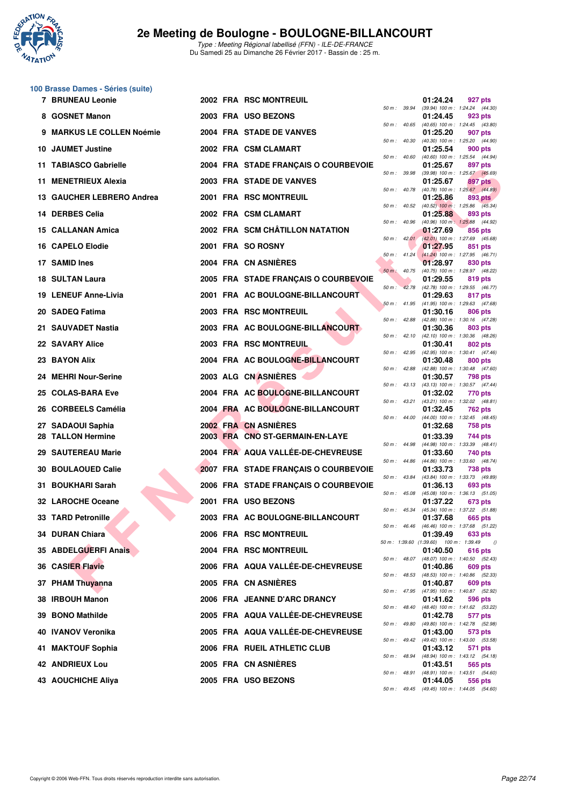

Type : Meeting Régional labellisé (FFN) - ILE-DE-FRANCE Du Samedi 25 au Dimanche 26 Février 2017 - Bassin de : 25 m.

# **100 Brasse Dames - Séries (suite)**

| 7 BRUNEAU Leonie          |  | 2002 FRA RSC MONTREUIL               |         |                  | 01:24.24                                             | 927 pts                                                                                             |
|---------------------------|--|--------------------------------------|---------|------------------|------------------------------------------------------|-----------------------------------------------------------------------------------------------------|
| 8 GOSNET Manon            |  | 2003 FRA USO BEZONS                  |         |                  | 01:24.45                                             | 50 m: 39.94 (39.94) 100 m: 1:24.24 (44.30)<br>923 pts                                               |
| 9 MARKUS LE COLLEN Noémie |  | 2004 FRA STADE DE VANVES             |         |                  | 01:25.20                                             | 50 m: 40.65 (40.65) 100 m: 1:24.45 (43.80)<br>907 pts                                               |
| 10 JAUMET Justine         |  | 2002 FRA CSM CLAMART                 |         | 50 m : 40.30     | 01:25.54                                             | (40.30) 100 m: 1:25.20 (44.90)<br>900 pts                                                           |
| 11 TABIASCO Gabrielle     |  | 2004 FRA STADE FRANÇAIS O COURBEVOIE |         | 50 m : 40.60     | 01:25.67                                             | $(40.60)$ 100 m : 1:25.54 $(44.94)$<br>897 pts                                                      |
| 11 MENETRIEUX Alexia      |  | 2003 FRA STADE DE VANVES             |         | 50 m : 39.98     | 01:25.67                                             | $(39.98)$ 100 m : 1:25.67 $(45.69)$<br>897 pts                                                      |
| 13 GAUCHER LEBRERO Andrea |  | 2001 FRA RSC MONTREUIL               |         |                  | 01:25.86                                             | 50 m : 40.78 (40.78) 100 m : 1:25.67 (44.89)<br>893 pts                                             |
| 14 DERBES Celia           |  | 2002 FRA CSM CLAMART                 |         | 50 m: 40.52      | 01:25.88                                             | $(40.52)$ 100 m : 1:25.86 $(45.34)$<br>893 pts                                                      |
| 15 CALLANAN Amica         |  | 2002 FRA SCM CHÂTILLON NATATION      |         | $50 m$ : $40.96$ | 01:27.69                                             | (40.96) 100 m: 1:25.88 (44.92)<br>856 pts                                                           |
| <b>16 CAPELO Elodie</b>   |  | 2001 FRA SO ROSNY                    |         |                  | 01:27.95                                             | 50 m : 42.01 (42.01) 100 m : 1:27.69 (45.68)<br>851 pts                                             |
| 17 SAMID Ines             |  | 2004 FRA CN ASNIERES                 |         |                  | 01:28.97                                             | 50 m : 41.24 (41.24) 100 m : 1:27.95 (46.71)<br>830 pts                                             |
| <b>18 SULTAN Laura</b>    |  | 2005 FRA STADE FRANÇAIS O COURBEVOIE |         |                  | 01:29.55                                             | 50 m : 40.75 (40.75) 100 m : 1:28.97 (48.22)<br>819 pts                                             |
| 19 LENEUF Anne-Livia      |  | 2001 FRA AC BOULOGNE-BILLANCOURT     |         | 50 m: 42.78      | 01:29.63                                             | (42.78) 100 m : 1:29.55 (46.77)<br>817 pts                                                          |
| 20 SADEQ Fatima           |  | 2003 FRA RSC MONTREUIL               |         | 50 m: 41.95      | 01:30.16                                             | $(41.95)$ 100 m : 1:29.63 $(47.68)$<br>806 pts                                                      |
| 21 SAUVADET Nastia        |  | 2003 FRA AC BOULOGNE-BILLANCOURT     |         | 50 m : 42.88     | 01:30.36                                             | (42.88) 100 m: 1:30.16 (47.28)<br>803 pts                                                           |
| 22 SAVARY Alice           |  | 2003 FRA RSC MONTREUIL               |         |                  | 01:30.41                                             | 50 m: 42.10 (42.10) 100 m: 1:30.36 (48.26)<br>802 pts                                               |
| 23 BAYON Alix             |  | 2004 FRA AC BOULOGNE-BILLANCOURT     |         |                  | 01:30.48                                             | 50 m: 42.95 (42.95) 100 m: 1:30.41 (47.46)<br>800 pts                                               |
| 24 MEHRI Nour-Serine      |  | 2003 ALG CN ASNIERES                 |         |                  | 01:30.57                                             | 50 m: 42.88 (42.88) 100 m: 1:30.48 (47.60)<br>798 pts                                               |
| 25 COLAS-BARA Eve         |  | 2004 FRA AC BOULOGNE-BILLANCOURT     |         |                  | 01:32.02                                             | 50 m: 43.13 (43.13) 100 m: 1:30.57 (47.44)<br>770 pts                                               |
| 26 CORBEELS Camélia       |  | 2004 FRA AC BOULOGNE-BILLANCOURT     |         | 50 m : 43.21     | 01:32.45                                             | (43.21) 100 m: 1:32.02 (48.81)<br>762 pts                                                           |
| 27 SADAOUI Saphia         |  | 2002 FRA CN ASNIERES                 |         |                  | 01:32.68                                             | 50 m : 44.00 (44.00) 100 m : 1:32.45 (48.45)<br>758 pts                                             |
| 28 TALLON Hermine         |  | 2003 FRA CNO ST-GERMAIN-EN-LAYE      |         | 50 m : 44.98     | 01:33.39                                             | 744 pts<br>$(44.98)$ 100 m : 1:33.39 $(48.41)$                                                      |
| 29 SAUTEREAU Marie        |  | 2004 FRA AQUA VALLÉE-DE-CHEVREUSE    |         |                  | 01:33.60                                             | 740 pts<br>50 m: 44.86 (44.86) 100 m: 1:33.60 (48.74)                                               |
| <b>30 BOULAOUED Calie</b> |  | 2007 FRA STADE FRANÇAIS O COURBEVOIE |         | 50 m : 43.84     | 01:33.73                                             | 738 pts<br>(43.84) 100 m: 1:33.73 (49.89)                                                           |
| 31 BOUKHARI Sarah         |  | 2006 FRA STADE FRANÇAIS O COURBEVOIE |         | 50 m : 45.08     | 01:36.13                                             | 693 pts<br>$(45.08)$ 100 m : 1:36.13 (51.05)                                                        |
| 32 LAROCHE Oceane         |  | 2001 FRA USO BEZONS                  |         |                  | 01:37.22                                             | <b>673 pts</b>                                                                                      |
| 33 TARD Petronille        |  | 2003 FRA AC BOULOGNE-BILLANCOURT     |         | 50 m : 45.34     | 01:37.68                                             | (45.34) 100 m: 1:37.22 (51.88)<br>665 pts                                                           |
| 34 DURAN Chiara           |  | 2006 FRA RSC MONTREUIL               |         | 50 m : 46.46     | 01:39.49                                             | (46.46) 100 m : 1:37.68 (51.22)<br>633 pts                                                          |
| 35 ABDELGUERFI Anais      |  | 2004 FRA RSC MONTREUIL               |         |                  | 50 m : 1:39.60 (1:39.60) 100 m : 1:39.49<br>01:40.50 | $\theta$<br>616 pts                                                                                 |
| <b>36 CASIER Flavie</b>   |  | 2006 FRA AQUA VALLÉE-DE-CHEVREUSE    |         |                  | 01:40.86                                             | 50 m: 48.07 (48.07) 100 m: 1:40.50 (52.43)<br>609 pts                                               |
| 37 PHAM Thuyanna          |  | 2005 FRA CN ASNIERES                 |         | 50 m : 48.53     | 01:40.87                                             | (48.53) 100 m : 1:40.86 (52.33)<br>609 pts                                                          |
| 38 IRBOUH Manon           |  | 2006 FRA JEANNE D'ARC DRANCY         |         | 50 m : 47.95     | 01:41.62                                             | (47.95) 100 m: 1:40.87 (52.92)<br>596 pts                                                           |
| 39 BONO Mathilde          |  | 2005 FRA AQUA VALLÉE-DE-CHEVREUSE    |         | 50 m : 48.40     | 01:42.78                                             | (48.40) 100 m: 1:41.62 (53.22)<br>577 pts                                                           |
| 40 IVANOV Veronika        |  | 2005 FRA AQUA VALLÉE-DE-CHEVREUSE    |         | 50 m: 49.80      | 01:43.00                                             | (49.80) 100 m: 1:42.78 (52.98)<br>573 pts                                                           |
| 41 MAKTOUF Sophia         |  | 2006 FRA RUEIL ATHLETIC CLUB         |         | 50 m : 49.42     | 01:43.12                                             | (49.42) 100 m : 1:43.00 (53.58)<br>571 pts                                                          |
| 42 ANDRIEUX Lou           |  | 2005 FRA CN ASNIERES                 |         | 50 m : 48.94     | 01:43.51                                             | (48.94) 100 m : 1:43.12 (54.18)<br>565 pts                                                          |
| 43 AOUCHICHE Aliya        |  | 2005 FRA USO BEZONS                  | $50m +$ | 50 m : 48.91     | 01:44.05                                             | (48.91) 100 m : 1:43.51 (54.60)<br>556 pts<br>$19.45$ $(19.45)$ $100 \text{ m}$ $1.41.05$ $(51.60)$ |

|          |                         | 01:24.24                            | 927 pts                   |                |
|----------|-------------------------|-------------------------------------|---------------------------|----------------|
| $50 m$ : | 39.94                   | (39.94) 100 m :                     | 1:24.24                   | (44.30)        |
| $50 m$ : | 40.65                   | 01:24.45<br>$(40.65)$ 100 m :       | 923 pts<br>1:24.45        | (43.80)        |
|          |                         | 01:25.20                            | 907                       | pts            |
| 50 m :   | 40.30                   | $(40.30)$ 100 m :                   | 1:25.20                   | (44.90)        |
|          |                         | 01:25.54                            | <b>900 pts</b>            |                |
| $50 m$ : | 40.60                   | $(40.60)$ 100 m :<br>01:25.67       | 1:25.54<br>897            | (44.94)<br>pts |
| $50 m$ : | 39.98                   | (39.98) 100 m :                     | 1:25.67                   | (45.69)        |
|          |                         | 01:25.67                            | 897                       | pts            |
| $50 m$ : | 40.78                   | $(40.78) 100 m$ :<br>01:25.86       | 1:25.67<br>893            | (44.89)<br>pts |
| $50 m$ : | 40.52                   | $(40.52)$ 100 m :                   | 1:25.86                   | (45.34)        |
|          |                         | 01:25.88                            | 893 pts                   |                |
| $50 m$ : | 40.96                   | $(40.96)$ 100 m :                   | 1:25.88                   | (44.92)        |
| $50 m$ : | 42.01                   | 01:27.69<br>$(42.01)$ 100 m :       | 856<br>1:27.69            | pts<br>(45.68) |
|          |                         | 01:27.95                            | 851                       | pts            |
| $50 m$ : | 41.24                   | $(41.24) 100 m$ :                   | 1:27.95                   | (46.71)        |
| $50 m$ : | 40.75                   | 01:28.97<br>$(40.75)$ 100 m :       | 830 pts<br>1:28.97        | (48.22)        |
|          |                         | 01:29.55                            | 819                       | pts            |
| 50 m :   | 42.78                   | (42.78) 100 m :                     | 1:29.55                   | (46.77)        |
| $50 m$ : | 41.95                   | 01:29.63<br>$(41.95) 100 m$ :       | 817<br>1:29.63            | pts<br>(47.68) |
|          |                         | 01:30.16                            | 806 pts                   |                |
| $50 m$ : | 42.88                   | $(42.88) 100 m$ :                   | 1:30.16                   | (47.28)        |
|          |                         | 01:30.36                            | 803 pts                   |                |
| 50 m :   | 42.10                   | $(42.10) 100 m$ :<br>01:30.41       | 1:30.36<br>802 pts        | (48.26)        |
| $50 m$ : | 42.95                   | (42.95) 100 m :                     | 1:30.41                   | (47.46)        |
|          |                         | 01:30.48                            | <b>800 pts</b>            |                |
| $50 m$ : | 42.88                   | (42.88) 100 m :<br>01:30.57         | 1:30.48<br>798            | (47.60)<br>pts |
| 50 m :   | 43.13                   | $(43.13) 100 m$ :                   | 1:30.57                   | (47.44)        |
|          |                         | 01:32.02                            | 770 pts                   |                |
| 50 m :   | 43.21                   | $(43.21)$ 100 m :<br>01:32.45       | 1:32.02<br><b>762 pts</b> | (48.81)        |
| $50 m$ : | 44.00                   | $(44.00)$ 100 m :                   | 1:32.45                   | (48.45)        |
|          |                         | 01:32.68                            | 758 pts                   |                |
|          |                         | 01:33.39                            | 744 pts                   |                |
| $50 m$ : | 44.98                   | (44.98) 100 m :<br>01:33.60         | 1:33.39<br>740 pts        | (48.41)        |
| 50 m :   | 44.86                   | $(44.86) 100 m$ :                   | 1:33.60                   | (48.74)        |
|          |                         | 01:33.73                            | 738 pts                   |                |
| 50 m :   | 43.84                   | (43.84) 100 m :<br>01:36.13         | 1:33.73<br>693 pts        | (49.89)        |
| $50 m$ : | 45.08                   | $(45.08) 100 m$ :                   | 1:36.13                   | (51.05)        |
|          |                         | 01:37.22                            | 673 pts                   |                |
| 50 m :   | 45.34                   | (45.34) 100 m :<br>01:37.68         | 1:37.22<br>665 pts        | (51.88)        |
| 50 m :   | 46.46                   | $(46.46)$ 100 m : 1:37.68 $(51.22)$ |                           |                |
|          |                         | 01:39.49                            | 633 pts                   |                |
|          | 50 m: 1:39.60 (1:39.60) | $100 m$ :<br>01:40.50               | 1:39.49<br><b>616 pts</b> | 0              |
| $50 m$ : | 48.07                   | $(48.07) 100 m$ :                   | 1:40.50                   | (52.43)        |
|          |                         | 01:40.86                            | <b>609 pts</b>            |                |
| $50 m$ : | 48.53                   | $(48.53) 100 m$ :<br>01:40.87       | 1:40.86<br>609 pts        | (52.33)        |
| $50 m$ : | 47.95                   | $(47.95) 100 m$ :                   | 1:40.87                   | (52.92)        |
|          |                         | 01:41.62                            | 596 pts                   |                |
| 50 m :   | 48.40                   | $(48.40) 100 m$ :                   | 1:41.62                   | (53.22)        |
| $50 m$ : | 49.80                   | 01:42.78<br>$(49.80) 100 m$ :       | 577 pts<br>1:42.78        | (52.98)        |
|          |                         | 01:43.00                            | 573 pts                   |                |
| $50 m$ : | 49.42                   | $(49.42) 100 m$ :                   | 1:43.00                   | (53.58)        |
| $50 m$ : | 48.94                   | 01:43.12<br>$(48.94) 100 m$ :       | 571 pts<br>1:43.12        | (54.18)        |
|          |                         | 01:43.51                            | 565 pts                   |                |
| $50 m$ : | 48.91                   | $(48.91)$ 100 m :                   | 1:43.51                   | (54.60)        |
| $50 m$ : | 49.45                   | 01:44.05<br>$(49.45) 100 m$ :       | 556 pts<br>1:44.05        | (54.60)        |
|          |                         |                                     |                           |                |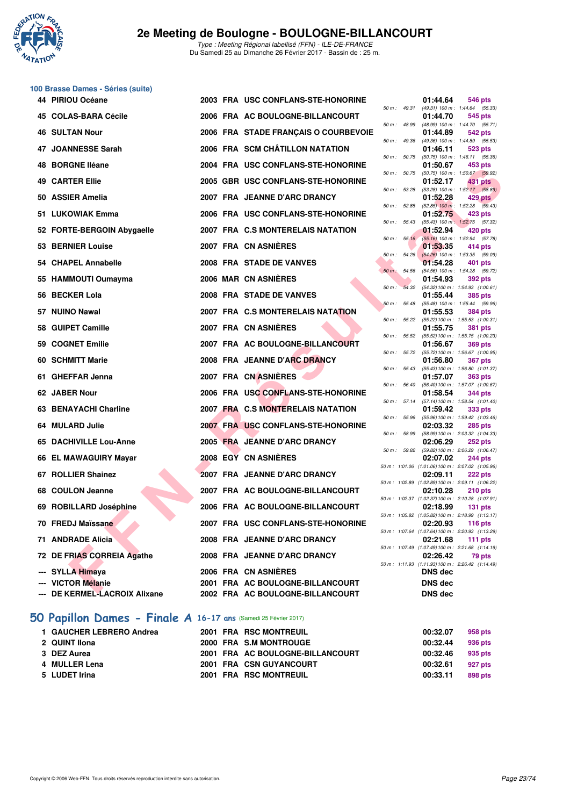

# **100 Brasse Dames - Séries (suite)**

| 44 PIRIOU Océane              |  | 2003 FRA USC CONFLANS-STE-HONORINE   |                          | 01:44.64       | 546 pts                                                              |
|-------------------------------|--|--------------------------------------|--------------------------|----------------|----------------------------------------------------------------------|
| 45   COLAS-BARA Cécile        |  | 2006 FRA AC BOULOGNE-BILLANCOURT     |                          | 01:44.70       | 50 m: 49.31 (49.31) 100 m: 1:44.64 (55.33)<br>545 pts                |
| 46   SULTAN Nour              |  | 2006 FRA STADE FRANÇAIS O COURBEVOIE | 50 m : 48.99             | 01:44.89       | (48.99) 100 m: 1:44.70 (55.71)<br>542 pts                            |
| 47 JOANNESSE Sarah            |  | 2006 FRA SCM CHÂTILLON NATATION      |                          | 01:46.11       | 50 m: 49.36 (49.36) 100 m: 1:44.89 (55.53)<br>523 pts                |
| 48 BORGNE Iléane              |  | 2004 FRA USC CONFLANS-STE-HONORINE   |                          | 01:50.67       | 50 m: 50.75 (50.75) 100 m: 1:46.11 (55.36)<br>453 pts                |
| 49   CARTER Ellie             |  | 2005 GBR USC CONFLANS-STE-HONORINE   | 50 m : 50.75             | 01:52.17       | $(50.75)$ 100 m : 1:50.67 $(59.92)$<br>431 pts                       |
| 50 ASSIER Amelia              |  | 2007 FRA JEANNE D'ARC DRANCY         | 50 m : 53.28             | 01:52.28       | $(53.28)$ 100 m : 1:52.17 $(58.89)$                                  |
|                               |  |                                      |                          |                | $429$ pts<br>50 m : 52.85 (52.85) 100 m : 1:52.28 (59.43)            |
| 51 LUKOWIAK Emma              |  | 2006 FRA USC CONFLANS-STE-HONORINE   |                          | 01:52.75       | 423 pts<br>50 m: 55.43 (55.43) 100 m: 1:52.75 (57.32)                |
| 52 FORTE-BERGOIN Abygaelle    |  | 2007 FRA C.S MONTERELAIS NATATION    |                          | 01:52.94       | $420$ pts<br>50 m : 55.16 (55.16) 100 m : 1:52.94 (57.78)            |
| 53 BERNIER Louise             |  | 2007 FRA CN ASNIERES                 |                          | 01:53.35       | 414 pts                                                              |
| 54 CHAPEL Annabelle           |  | 2008 FRA STADE DE VANVES             |                          | 01:54.28       | 50 m : 54.26 (54.26) 100 m : 1:53.35 (59.09)<br>401 pts              |
| 55 HAMMOUTI Oumayma           |  | 2006 MAR CN ASNIERES                 | $50 \text{ m}$ : $54.56$ | 01:54.93       | (54.56) 100 m: 1:54.28 (59.72)<br>392 pts                            |
|                               |  |                                      |                          |                | 50 m: 54.32 (54.32) 100 m: 1:54.93 (1:00.61)                         |
| 56 BECKER Lola                |  | 2008 FRA STADE DE VANVES             |                          | 01:55.44       | 385 pts<br>50 m: 55.48 (55.48) 100 m: 1:55.44 (59.96)                |
| 57 NUINO Nawal                |  | 2007 FRA C.S MONTERELAIS NATATION    |                          | 01:55.53       | 384 pts<br>50 m: 55.22 (55.22) 100 m: 1:55.53 (1:00.31)              |
| 58 GUIPET Camille             |  | 2007 FRA CN ASNIÈRES                 |                          | 01:55.75       | <b>381 pts</b>                                                       |
| 59 COGNET Emilie              |  | 2007 FRA AC BOULOGNE-BILLANCOURT     |                          | 01:56.67       | 50 m: 55.52 (55.52) 100 m: 1:55.75 (1:00.23)<br>369 pts              |
| 60 SCHMITT Marie              |  | 2008 FRA JEANNE D'ARC DRANCY         |                          | 01:56.80       | 50 m: 55.72 (55.72) 100 m: 1:56.67 (1:00.95)<br><b>367 pts</b>       |
|                               |  |                                      | 50 m: 55.43              |                | $(55.43) 100 \text{ m}$ : 1:56.80 $(1:01.37)$                        |
| 61 GHEFFAR Jenna              |  | 2007 FRA CN ASNIERES                 | 50 m : 56.40             | 01:57.07       | 363 pts<br>$(56.40)$ 100 m : 1:57.07 $(1:00.67)$                     |
| 62 JABER Nour                 |  | 2006 FRA USC CONFLANS-STE-HONORINE   | 50 m: 57.14              | 01:58.54       | 344 pts<br>(57.14) 100 m: 1:58.54 (1:01.40)                          |
| 63 BENAYACHI Charline         |  | 2007 FRA C.S MONTERELAIS NATATION    |                          | 01:59.42       | 333 pts                                                              |
| 64   MULARD Julie             |  | 2007 FRA USC CONFLANS-STE-HONORINE   | 50 m : 55.96             | 02:03.32       | $(55.96) 100 \text{ m}$ : 1:59.42 $(1.03.46)$<br>285 pts             |
| 65 DACHIVILLE Lou-Anne        |  | 2005 FRA JEANNE D'ARC DRANCY         |                          | 02:06.29       | 50 m: 58.99 (58.99) 100 m: 2:03.32 (1:04.33)<br>252 pts              |
|                               |  | 2008 EGY CN ASNIERES                 |                          |                | 50 m: 59.82 (59.82) 100 m: 2:06.29 (1:06.47)                         |
| 66 EL MAWAGUIRY Mayar         |  |                                      |                          | 02:07.02       | 244 pts<br>50 m: 1:01.06 (1:01.06) 100 m: 2:07.02 (1:05.96)          |
| 67 ROLLIER Shainez            |  | 2007 FRA JEANNE D'ARC DRANCY         |                          | 02:09.11       | 222 pts<br>50 m: 1:02.89 (1:02.89) 100 m: 2:09.11 (1:06.22)          |
| 68 COULON Jeanne              |  | 2007 FRA AC BOULOGNE-BILLANCOURT     |                          | 02:10.28       | 210 pts                                                              |
| 69   ROBILLARD Joséphine      |  | 2006 FRA AC BOULOGNE-BILLANCOURT     |                          | 02:18.99       | 50 m: 1:02.37 (1:02.37) 100 m: 2:10.28 (1:07.91)<br>131 $pts$        |
| 70 FREDJ Maïssane             |  | 2007 FRA USC CONFLANS-STE-HONORINE   |                          |                | 50 m: 1:05.82 (1:05.82) 100 m: 2:18.99 (1:13.17)<br>02:20.93 116 pts |
| 71 ANDRADE Alicia             |  | 2008 FRA JEANNE D'ARC DRANCY         |                          | 02:21.68       | 50 m: 1:07.64 (1:07.64) 100 m: 2:20.93 (1:13.29)<br>111 $pts$        |
|                               |  |                                      |                          |                | 50 m: 1:07.49 (1:07.49) 100 m: 2:21.68 (1:14.19)                     |
| 72 DE FRIAS CORREIA Agathe    |  | 2008 FRA JEANNE D'ARC DRANCY         |                          | 02:26.42       | 79 pts<br>50 m: 1:11.93 (1:11.93) 100 m: 2:26.42 (1:14.49)           |
| --- SYLLA Himaya              |  | 2006 FRA CN ASNIÈRES                 |                          | <b>DNS</b> dec |                                                                      |
| --- VICTOR Mélanie            |  | 2001 FRA AC BOULOGNE-BILLANCOURT     |                          | <b>DNS dec</b> |                                                                      |
| --- DE KERMEL-LACROIX Alixane |  | 2002 FRA AC BOULOGNE-BILLANCOURT     |                          | <b>DNS dec</b> |                                                                      |

## **[50 Papillon Dames - Finale A](http://www.ffnatation.fr/webffn/resultats.php?idact=nat&go=epr&idcpt=42219&idepr=31) 16-17 ans** (Samedi 25 Février 2017)

| 2000 FRA S.M MONTROUGE<br>2 QUINT IIona<br>00:32.44         | 958 pts |
|-------------------------------------------------------------|---------|
|                                                             | 936 pts |
| 2001 FRA AC BOULOGNE-BILLANCOURT<br>3 DEZ Aurea<br>00:32.46 | 935 pts |
| 4 MULLER Lena<br>2001 FRA CSN GUYANCOURT<br>00:32.61        | 927 pts |
| 5 LUDET Irina<br>2001 FRA RSC MONTREUIL<br>00:33.11         | 898 pts |

| $50 m$ : | 49.31         | (49.31) 100 m :                 | 1:44.64<br>(55.33)                      |
|----------|---------------|---------------------------------|-----------------------------------------|
|          |               | 01:44.70                        | 545 pts                                 |
| $50 m$ : | 48.99         | (48.99) 100 m :                 | 1:44.70<br>(55.71)                      |
|          |               | 01:44.89                        | 542 pts                                 |
| $50 m$ : | 49.36         | (49.36) 100 m :                 | 1:44.89<br>(55.53)                      |
|          |               | 01:46.11                        | 523 pts                                 |
| $50 m$ : | 50.75         | $(50.75)$ 100 m :               | 1:46.11<br>(55.36)                      |
|          |               | 01:50.67                        | 453 pts                                 |
| $50 m$ : | 50.75         | $(50.75)$ 100 m :               | 1:50.67<br>(59.92)                      |
| $50 m$ : | 53.28         | 01:52.17<br>$(53.28) 100 m$ :   | <b>431 pts</b><br>1:52.17 (58.89)       |
|          |               | 01:52.28                        | 429 pts                                 |
| $50 m$ : | 52.85         | $(52.85)$ 100 m :               | 1:52.28<br>(59.43)                      |
|          |               | 01:52.75                        | 423 pts                                 |
| $50 m$ : | 55.43         | $(55.43) 100 m$ :               | 1:52.75<br>(57.32)                      |
|          |               | 01:52.94                        | 420 pts                                 |
| 50 m :   | 55.16         | $(55.16) 100 m$ :               | 1:52.94<br>(57.78)                      |
|          |               | 01:53.35                        | 414 pts                                 |
| $50 m$ : | 54.26         | $(54.26)$ 100 m :               | 1:53.35<br>(59.09)                      |
|          |               | 01:54.28                        | 401 pts                                 |
| $50 m$ : | 54.56         | $(54.56) 100 m$ :               | 1:54.28<br>(59.72)                      |
|          |               | 01:54.93                        | 392 pts                                 |
| $50 m$ : | 54.32         | (54.32) 100 m :                 | 1:54.93 (1:00.61)                       |
|          |               | 01:55.44                        | <b>385 pts</b>                          |
| $50 m$ : | 55.48         | $(55.48) 100 m$ :               | (59.96)<br>1:55.44                      |
|          |               | 01:55.53                        | <b>384 pts</b>                          |
| $50 m$ : | 55.22         | (55.22) 100 m :                 | 1:55.53 (1:00.31)                       |
|          |               | 01:55.75                        | <b>381 pts</b>                          |
| $50 m$ : | 55.52         | $(55.52) 100 m$ :               | 1:55.75 (1:00.23)                       |
|          |               | 01:56.67                        | <b>369 pts</b>                          |
| $50 m$ : | 55.72         | (55.72) 100 m :                 | 1:56.67 (1:00.95)                       |
| $50 m$ : | 55.43         | 01:56.80<br>$(55.43) 100 m$ :   | <b>367 pts</b><br>1:56.80 (1:01.37)     |
|          |               | 01:57.07                        | <b>363 pts</b>                          |
| $50 m$ : | 56.40         | (56.40) 100 m :                 | 1:57.07 (1:00.67)                       |
|          |               | 01:58.54                        | 344 pts                                 |
| $50 m$ : | 57.14         | $(57.14) 100 m$ :               | 1:58.54 (1:01.40)                       |
|          |               | 01:59.42                        | 333 pts                                 |
| $50 m$ : | 55.96         | $(55.96) 100 m$ :               | 1:59.42 (1:03.46)                       |
|          |               | 02:03.32                        | <b>285 pts</b>                          |
| $50 m$ : | 58.99         | (58.99) 100 m :                 | 2:03.32 (1:04.33)                       |
|          |               | 02:06.29                        | 252 pts                                 |
| $50 m$ : | 59.82         | (59.82) 100 m :                 | 2:06.29 (1:06.47)                       |
|          |               | 02:07.02                        | 244 pts                                 |
| $50 m$ : | 1:01.06       | $(1:01.06)$ 100 m :             | 2:07.02 (1:05.96)                       |
| $50 m$ : | 1:02.89       | 02:09.11                        | 222 pts                                 |
|          |               | $(1:02.89)$ 100 m :<br>02:10.28 | 2:09.11 (1:06.22)<br>210 pts            |
| $50 m$ : | 1:02.37       | $(1:02.37)$ 100 m :             | 2:10.28 (1:07.91)                       |
|          |               | 02:18.99                        | 131 pts                                 |
| 50 m :   | 1:05.82       | $(1:05.82) 100 m$ :             | 2:18.99 (1:13.17)                       |
|          |               | 02:20.93                        | $116$ pts                               |
|          |               | 50 m: 1:07.64 (1:07.64) 100 m:  | 2:20.93 (1:13.29)                       |
|          |               | 02:21.68                        | 111 pts                                 |
| $50 m$ : | 1:07.49       |                                 | $(1:07.49)$ 100 m : 2:21.68 $(1:14.19)$ |
|          |               | 02:26.42                        | 79 pts                                  |
|          | 50 m: 1:11.93 | (1:11.93) 100 m:                | 2:26.42 (1:14.49)                       |
|          |               | <b>DNS</b> dec                  |                                         |
|          |               | <b>DNS</b> dec                  |                                         |
|          |               | <b>DNS</b> dec                  |                                         |
|          |               |                                 |                                         |
|          |               |                                 |                                         |
|          |               |                                 |                                         |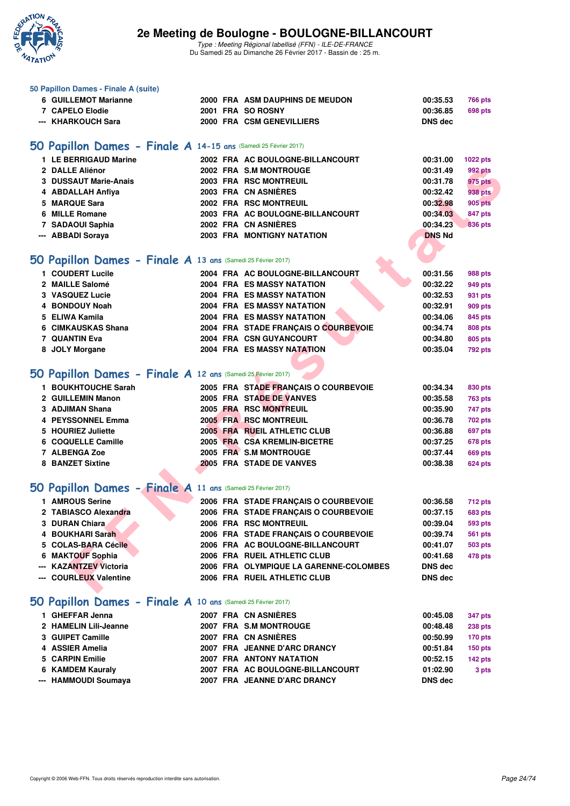

Type : Meeting Régional labellisé (FFN) - ILE-DE-FRANCE Du Samedi 25 au Dimanche 26 Février 2017 - Bassin de : 25 m.

| 50 Papillon Dames - Finale A (suite)                                            |  |                                                              |                      |                                  |
|---------------------------------------------------------------------------------|--|--------------------------------------------------------------|----------------------|----------------------------------|
| 6 GUILLEMOT Marianne                                                            |  | 2000 FRA ASM DAUPHINS DE MEUDON                              | 00:35.53             | <b>766 pts</b>                   |
| 7 CAPELO Elodie                                                                 |  | 2001 FRA SO ROSNY                                            | 00:36.85             | <b>698 pts</b>                   |
| --- KHARKOUCH Sara                                                              |  | 2000 FRA CSM GENEVILLIERS                                    | <b>DNS</b> dec       |                                  |
| 50 Papillon Dames - Finale A 14-15 ans (Samedi 25 Février 2017)                 |  |                                                              |                      |                                  |
| 1 LE BERRIGAUD Marine                                                           |  | 2002 FRA AC BOULOGNE-BILLANCOURT                             | 00:31.00             | 1022 pts                         |
| 2 DALLE Aliénor                                                                 |  | 2002 FRA S.M MONTROUGE                                       | 00:31.49             | <b>992 pts</b>                   |
| 3 DUSSAUT Marie-Anais                                                           |  | 2003 FRA RSC MONTREUIL                                       | 00:31.78             | <b>975 pts</b>                   |
| 4 ABDALLAH Anfiya                                                               |  | 2003 FRA CN ASNIÈRES                                         | 00:32.42             | <b>938 pts</b>                   |
| 5 MARQUE Sara                                                                   |  | 2002 FRA RSC MONTREUIL                                       | 00:32.98             | <b>905 pts</b>                   |
| 6 MILLE Romane                                                                  |  | 2003 FRA AC BOULOGNE-BILLANCOURT                             | 00:34.03             | 847 pts                          |
| 7 SADAOUI Saphia                                                                |  | 2002 FRA CN ASNIÈRES                                         | 00:34.23             | <b>836 pts</b>                   |
| --- ABBADI Soraya                                                               |  | 2003 FRA MONTIGNY NATATION                                   | <b>DNS Nd</b>        |                                  |
|                                                                                 |  |                                                              |                      |                                  |
| 50 Papillon Dames - Finale A 13 ans (Samedi 25 Février 2017)                    |  |                                                              |                      |                                  |
| 1 COUDERT Lucile                                                                |  | 2004 FRA AC BOULOGNE-BILLANCOURT                             | 00:31.56             | 988 pts                          |
| 2 MAILLE Salomé                                                                 |  | 2004 FRA ES MASSY NATATION                                   | 00:32.22             | 949 pts                          |
| 3 VASQUEZ Lucie                                                                 |  | 2004 FRA ES MASSY NATATION                                   | 00:32.53             | 931 pts                          |
| 4 BONDOUY Noah                                                                  |  | <b>2004 FRA ES MASSY NATATION</b>                            | 00:32.91             | 909 pts                          |
| 5 ELIWA Kamila                                                                  |  | 2004 FRA ES MASSY NATATION                                   | 00:34.06             | 845 pts                          |
| 6 CIMKAUSKAS Shana                                                              |  | 2004 FRA STADE FRANÇAIS O COURBEVOIE                         | 00:34.74             | 808 pts                          |
| <b>7 QUANTIN Eva</b>                                                            |  | 2004 FRA CSN GUYANCOURT                                      | 00:34.80             | 805 pts                          |
| 8 JOLY Morgane                                                                  |  | 2004 FRA ES MASSY NATATION                                   | 00:35.04             | <b>792 pts</b>                   |
| 50 Papillon Dames - Finale A 12 ans (Samedi 25 Février 2017)                    |  |                                                              |                      |                                  |
|                                                                                 |  |                                                              |                      |                                  |
| 1 BOUKHTOUCHE Sarah                                                             |  | 2005 FRA STADE FRANÇAIS O COURBEVOIE                         | 00:34.34             | 830 pts                          |
| 2 GUILLEMIN Manon                                                               |  | 2005 FRA STADE DE VANVES                                     | 00:35.58             | <b>763 pts</b>                   |
| 3 ADJIMAN Shana                                                                 |  | 2005 FRA RSC MONTREUIL                                       | 00:35.90             | 747 pts                          |
| 4 PEYSSONNEL Emma                                                               |  | 2005 FRA RSC MONTREUIL                                       | 00:36.78             | <b>702 pts</b>                   |
| 5 HOURIEZ Juliette<br>6 COQUELLE Camille                                        |  | 2005 FRA RUEIL ATHLETIC CLUB<br>2005 FRA CSA KREMLIN-BICETRE | 00:36.88<br>00:37.25 | <b>697 pts</b>                   |
| 7 ALBENGA Zoe                                                                   |  | 2005 FRA S.M MONTROUGE                                       | 00:37.44             | 678 pts<br><b>669 pts</b>        |
| <b>8 BANZET Sixtine</b>                                                         |  | 2005 FRA STADE DE VANVES                                     | 00:38.38             | <b>624 pts</b>                   |
|                                                                                 |  |                                                              |                      |                                  |
| 50 Papillon Dames - Finale A 11 ans (Samedi 25 Février 2017)                    |  |                                                              |                      |                                  |
| 1 AMROUS Serine                                                                 |  | 2006 FRA STADE FRANÇAIS O COURBEVOIE                         | 00:36.58             | <b>712 pts</b>                   |
| 2 TABIASCO Alexandra                                                            |  | 2006 FRA STADE FRANÇAIS O COURBEVOIE                         | 00:37.15             | <b>683 pts</b>                   |
| 3 DURAN Chiara                                                                  |  | 2006 FRA RSC MONTREUIL                                       | 00:39.04             | 593 pts                          |
| 4 BOUKHARI Sarah                                                                |  | 2006 FRA STADE FRANÇAIS O COURBEVOIE                         | 00:39.74             | <b>561 pts</b>                   |
| 5 COLAS-BARA Cécile                                                             |  | 2006 FRA AC BOULOGNE-BILLANCOURT                             | 00:41.07             | <b>503 pts</b>                   |
| 6 MAKTOUF Sophia                                                                |  | 2006 FRA RUEIL ATHLETIC CLUB                                 | 00:41.68             | 478 pts                          |
| <b>KAZANTZEV Victoria</b>                                                       |  | 2006 FRA OLYMPIQUE LA GARENNE-COLOMBES                       | DNS dec              |                                  |
| --- COURLEUX Valentine                                                          |  | 2006 FRA RUEIL ATHLETIC CLUB                                 | DNS dec              |                                  |
|                                                                                 |  |                                                              |                      |                                  |
| 50 Papillon Dames - Finale A 10 ans (Samedi 25 Février 2017)<br>1 GHEFFAR Jenna |  | 2007 FRA CN ASNIÈRES                                         | 00:45.08             |                                  |
| 2 HAMELIN Lili-Jeanne                                                           |  | 2007 FRA S.M MONTROUGE                                       | 00:48.48             | <b>347 pts</b>                   |
| 3 GUIPET Camille                                                                |  | 2007 FRA CN ASNIÈRES                                         | 00:50.99             | <b>238 pts</b><br><b>170 pts</b> |
| 4 ASSIER Amelia                                                                 |  | 2007 FRA JEANNE D'ARC DRANCY                                 | 00:51.84             | <b>150 pts</b>                   |
| 5 CARPIN Emilie                                                                 |  | 2007 FRA ANTONY NATATION                                     | 00:52.15             | 142 pts                          |
| 6 KAMDEM Kauraly                                                                |  | 2007 FRA AC BOULOGNE-BILLANCOURT                             | 01:02.90             | 3 pts                            |
| --- HAMMOUDI Soumaya                                                            |  | 2007 FRA JEANNE D'ARC DRANCY                                 | DNS dec              |                                  |
|                                                                                 |  |                                                              |                      |                                  |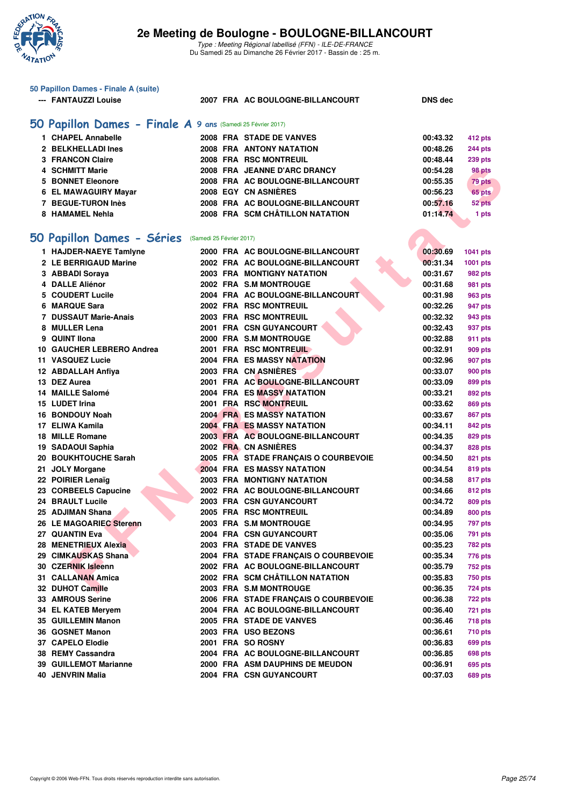

| 50 Papillon Dames - Finale A (suite)                        |                                      |                            |
|-------------------------------------------------------------|--------------------------------------|----------------------------|
| --- FANTAUZZI Louise                                        | 2007 FRA AC BOULOGNE-BILLANCOURT     | <b>DNS</b> dec             |
|                                                             |                                      |                            |
| 50 Papillon Dames - Finale A 9 ans (Samedi 25 Février 2017) |                                      |                            |
| 1 CHAPEL Annabelle                                          | 2008 FRA STADE DE VANVES             |                            |
| 2 BELKHELLADI Ines                                          | <b>2008 FRA ANTONY NATATION</b>      | 00:43.32<br>412 pts        |
|                                                             |                                      | 00:48.26<br>244 pts        |
| <b>3 FRANCON Claire</b>                                     | <b>2008 FRA RSC MONTREUIL</b>        | 00:48.44<br><b>239 pts</b> |
| <b>4 SCHMITT Marie</b>                                      | 2008 FRA JEANNE D'ARC DRANCY         | 00:54.28<br>98 pts         |
| <b>5 BONNET Eleonore</b>                                    | 2008 FRA AC BOULOGNE-BILLANCOURT     | 00:55.35<br>79 pts         |
| 6 EL MAWAGUIRY Mayar                                        | 2008 EGY CN ASNIÈRES                 | 00:56.23<br>65 pts         |
| 7 BEGUE-TURON Inès                                          | 2008 FRA AC BOULOGNE-BILLANCOURT     | 00:57.16<br>52 pts         |
| 8 HAMAMEL Nehla                                             | 2008 FRA SCM CHÂTILLON NATATION      | 01:14.74<br>1 pts          |
|                                                             |                                      |                            |
| 50 Papillon Dames - Séries                                  | (Samedi 25 Février 2017)             |                            |
| 1 HAJDER-NAEYE Tamlyne                                      | 2000 FRA AC BOULOGNE-BILLANCOURT     | 00:30.69<br>1041 pts       |
| 2 LE BERRIGAUD Marine                                       | 2002 FRA AC BOULOGNE-BILLANCOURT     | 00:31.34<br>1001 pts       |
| 3 ABBADI Soraya                                             | <b>2003 FRA MONTIGNY NATATION</b>    | 00:31.67<br>982 pts        |
| 4 DALLE Aliénor                                             | 2002 FRA S.M MONTROUGE               | 00:31.68<br><b>981 pts</b> |
| 5 COUDERT Lucile                                            | 2004 FRA AC BOULOGNE-BILLANCOURT     | 00:31.98<br>963 pts        |
| 6 MARQUE Sara                                               | 2002 FRA RSC MONTREUIL               | 00:32.26<br>947 pts        |
| 7 DUSSAUT Marie-Anais                                       | 2003 FRA RSC MONTREUIL               | 00:32.32<br>943 pts        |
| 8 MULLER Lena                                               | 2001 FRA CSN GUYANCOURT              | 00:32.43<br>937 pts        |
| <b>QUINT IIona</b><br>9                                     | 2000 FRA S.M MONTROUGE               | 00:32.88<br>911 pts        |
| 10 GAUCHER LEBRERO Andrea                                   | 2001 FRA RSC MONTREUIL               | 00:32.91<br>909 pts        |
| 11 VASQUEZ Lucie                                            | <b>2004 FRA ES MASSY NATATION</b>    | 00:32.96<br>907 pts        |
| 12 ABDALLAH Anfiya                                          | 2003 FRA CN ASNIÈRES                 | 00:33.07                   |
|                                                             |                                      | <b>900 pts</b>             |
| 13 DEZ Aurea                                                | 2001 FRA AC BOULOGNE-BILLANCOURT     | 00:33.09<br>899 pts        |
| 14 MAILLE Salomé                                            | 2004 FRA ES MASSY NATATION           | 00:33.21<br>892 pts        |
| 15 LUDET Irina                                              | 2001 FRA RSC MONTREUIL               | 00:33.62<br>869 pts        |
| 16 BONDOUY Noah                                             | <b>2004 FRA ES MASSY NATATION</b>    | 00:33.67<br>867 pts        |
| 17 ELIWA Kamila                                             | <b>2004 FRA ES MASSY NATATION</b>    | 00:34.11<br>842 pts        |
| 18 MILLE Romane                                             | 2003 FRA AC BOULOGNE-BILLANCOURT     | 00:34.35<br>829 pts        |
| 19 SADAOUI Saphia                                           | 2002 FRA CN ASNIÈRES                 | 00:34.37<br>828 pts        |
| 20 BOUKHTOUCHE Sarah                                        | 2005 FRA STADE FRANÇAIS O COURBEVOIE | 00:34.50<br>821 pts        |
| 21 JOLY Morgane                                             | <b>2004 FRA ES MASSY NATATION</b>    | 00:34.54<br>819 pts        |
| 22 POIRIER Lenaïg                                           | <b>2003 FRA MONTIGNY NATATION</b>    | 00:34.58<br>817 pts        |
| 23 CORBEELS Capucine                                        | 2002 FRA AC BOULOGNE-BILLANCOURT     | 00:34.66<br>812 pts        |
| 24 BRAULT Lucile                                            | <b>2003 FRA CSN GUYANCOURT</b>       | 00:34.72<br>809 pts        |
| 25 ADJIMAN Shana                                            | 2005 FRA RSC MONTREUIL               | 00:34.89<br>800 pts        |
| 26 LE MAGOARIEC Sterenn                                     | 2003 FRA S.M MONTROUGE               | 00:34.95<br>797 pts        |
| 27 QUANTIN Eva                                              | 2004 FRA CSN GUYANCOURT              | 00:35.06<br><b>791 pts</b> |
| 28 MENETRIEUX Alexia                                        | 2003 FRA STADE DE VANVES             | 00:35.23<br><b>782 pts</b> |
| 29 CIMKAUSKAS Shana                                         | 2004 FRA STADE FRANÇAIS O COURBEVOIE | 00:35.34<br>776 pts        |
| 30 CZERNIK Isleenn                                          | 2002 FRA AC BOULOGNE-BILLANCOURT     | 00:35.79<br><b>752 pts</b> |
| 31 CALLANAN Amica                                           | 2002 FRA SCM CHÂTILLON NATATION      | 00:35.83<br><b>750 pts</b> |
| 32 DUHOT Camille                                            | 2003 FRA S.M MONTROUGE               | 00:36.35<br><b>724 pts</b> |
| 33 AMROUS Serine                                            | 2006 FRA STADE FRANCAIS O COURBEVOIE | 00:36.38<br><b>722 pts</b> |
| 34 EL KATEB Mervem                                          | 2004 FRA AC BOULOGNE-BILLANCOURT     | 00:36.40<br><b>721 pts</b> |
| 35 GUILLEMIN Manon                                          | 2005 FRA STADE DE VANVES             | 00:36.46<br><b>718 pts</b> |
| 36 GOSNET Manon                                             | 2003 FRA USO BEZONS                  | 00:36.61<br><b>710 pts</b> |
| 37 CAPELO Elodie                                            | 2001 FRA SO ROSNY                    | 00:36.83<br>699 pts        |
| 38 REMY Cassandra                                           | 2004 FRA AC BOULOGNE-BILLANCOURT     | 00:36.85<br>698 pts        |
| 39 GUILLEMOT Marianne                                       | 2000 FRA ASM DAUPHINS DE MEUDON      | 00:36.91<br>695 pts        |
| <b>40 JENVRIN Malia</b>                                     | 2004 FRA CSN GUYANCOURT              | 00:37.03<br>689 pts        |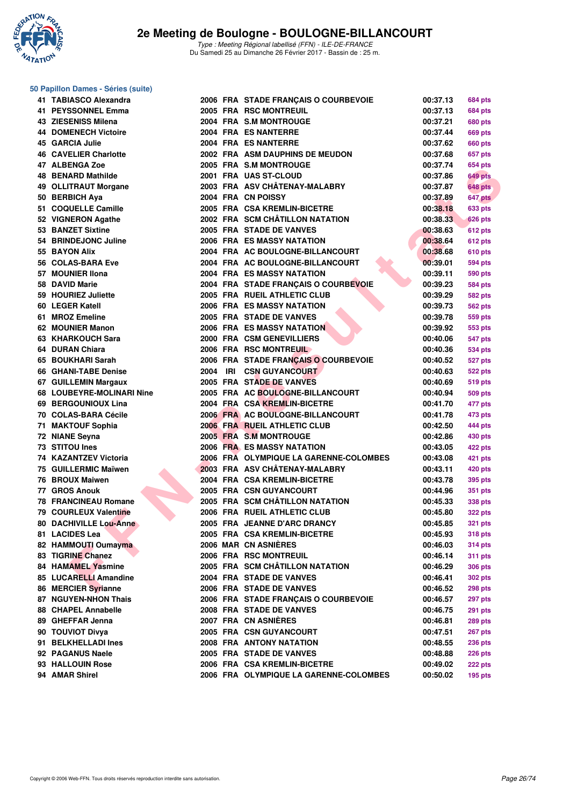

#### **50 Papillon Dames - Séries (suite)**

| 41 TABIASCO Alexandra        |  | 2006 FRA STADE FRANÇAIS O COURBEVOIE                         | 00:37.13             | <b>684 pts</b> |
|------------------------------|--|--------------------------------------------------------------|----------------------|----------------|
| 41 PEYSSONNEL Emma           |  | 2005 FRA RSC MONTREUIL                                       | 00:37.13             | 684 pts        |
| 43   ZIESENISS Milena        |  | 2004 FRA S.M MONTROUGE                                       | 00:37.21             | <b>680 pts</b> |
| 44 DOMENECH Victoire         |  | 2004 FRA ES NANTERRE                                         | 00:37.44             | 669 pts        |
| 45 GARCIA Julie              |  | 2004 FRA ES NANTERRE                                         | 00:37.62             | 660 pts        |
| <b>46 CAVELIER Charlotte</b> |  | 2002 FRA ASM DAUPHINS DE MEUDON                              | 00:37.68             | 657 pts        |
| 47 ALBENGA Zoe               |  | 2005 FRA S.M MONTROUGE                                       | 00:37.74             | 654 pts        |
| 48 BENARD Mathilde           |  | 2001 FRA UAS ST-CLOUD                                        | 00:37.86             | 649 pts        |
| 49 OLLITRAUT Morgane         |  | 2003 FRA ASV CHÂTENAY-MALABRY                                | 00:37.87             | <b>648 pts</b> |
| 50 BERBICH Aya               |  | 2004 FRA CN POISSY                                           | 00:37.89             | 647 pts        |
| 51 COQUELLE Camille          |  | 2005 FRA CSA KREMLIN-BICETRE                                 | 00:38.18             | <b>633 pts</b> |
| 52 VIGNERON Agathe           |  | 2002 FRA SCM CHÂTILLON NATATION                              | 00:38.33             | <b>626 pts</b> |
| 53 BANZET Sixtine            |  | 2005 FRA STADE DE VANVES                                     | 00:38.63             | <b>612 pts</b> |
| 54 BRINDEJONC Juline         |  | 2006 FRA ES MASSY NATATION                                   | 00:38.64             | <b>612 pts</b> |
| <b>55 BAYON Alix</b>         |  | 2004 FRA AC BOULOGNE-BILLANCOURT                             | 00:38.68             | <b>610 pts</b> |
| 56 COLAS-BARA Eve            |  | 2004 FRA AC BOULOGNE-BILLANCOURT                             | 00:39.01             | 594 pts        |
| 57 MOUNIER IIona             |  | 2004 FRA ES MASSY NATATION                                   | 00:39.11             | 590 pts        |
| 58 DAVID Marie               |  | 2004 FRA STADE FRANCAIS O COURBEVOIE                         | 00:39.23             | 584 pts        |
| 59 HOURIEZ Juliette          |  | 2005 FRA RUEIL ATHLETIC CLUB                                 | 00:39.29             | 582 pts        |
| 60 LEGER Katell              |  | <b>2006 FRA ES MASSY NATATION</b>                            | 00:39.73             | 562 pts        |
| 61 MROZ Emeline              |  | 2005 FRA STADE DE VANVES                                     | 00:39.78             | 559 pts        |
| 62 MOUNIER Manon             |  | <b>2006 FRA ES MASSY NATATION</b>                            | 00:39.92             | 553 pts        |
| 63 KHARKOUCH Sara            |  | 2000 FRA CSM GENEVILLIERS                                    | 00:40.06             | 547 pts        |
| 64 DURAN Chiara              |  | 2006 FRA RSC MONTREUIL                                       | 00:40.36             | 534 pts        |
| 65 BOUKHARI Sarah            |  | 2006 FRA STADE FRANÇAIS O COURBEVOIE                         | 00:40.52             | 527 pts        |
| <b>66 GHANI-TABE Denise</b>  |  | 2004 IRI CSN GUYANCOURT                                      | 00:40.63             | 522 pts        |
| 67 GUILLEMIN Margaux         |  | 2005 FRA STADE DE VANVES                                     | 00:40.69             | 519 pts        |
| 68 LOUBEYRE-MOLINARI Nine    |  | 2005 FRA AC BOULOGNE-BILLANCOURT                             | 00:40.94             | 509 pts        |
| 69 BERGOUNIOUX Lina          |  | 2004 FRA CSA KREMLIN-BICETRE                                 | 00:41.70             | 477 pts        |
| 70 COLAS-BARA Cécile         |  | 2006 FRA AC BOULOGNE-BILLANCOURT                             | 00:41.78             | 473 pts        |
| 71 MAKTOUF Sophia            |  | 2006 FRA RUEIL ATHLETIC CLUB                                 | 00:42.50             | 444 pts        |
| 72 NIANE Seyna               |  | 2005 FRA S.M MONTROUGE                                       | 00:42.86             | 430 pts        |
| 73 STITOU Ines               |  | 2006 FRA ES MASSY NATATION                                   | 00:43.05             | 422 pts        |
| 74 KAZANTZEV Victoria        |  | 2006 FRA OLYMPIQUE LA GARENNE-COLOMBES                       | 00:43.08             |                |
| 75 GUILLERMIC Maïwen         |  | 2003 FRA ASV CHÂTENAY-MALABRY                                | 00:43.11             | 421 pts        |
| 76 BROUX Maiwen              |  | 2004 FRA CSA KREMLIN-BICETRE                                 | 00:43.78             | 420 pts        |
| 77 GROS Anouk                |  | 2005 FRA CSN GUYANCOURT                                      |                      | 395 pts        |
| 78 FRANCINEAU Romane         |  | 2005 FRA SCM CHÂTILLON NATATION                              | 00:44.96<br>00:45.33 | 351 pts        |
| 79 COURLEUX Valentine        |  | 2006 FRA RUEIL ATHLETIC CLUB                                 |                      | 338 pts        |
|                              |  |                                                              | 00:45.80             | 322 pts        |
| 80 DACHIVILLE Lou-Anne       |  | 2005 FRA JEANNE D'ARC DRANCY<br>2005 FRA CSA KREMLIN-BICETRE | 00:45.85             | 321 pts        |
| 81 LACIDES Lea               |  |                                                              | 00:45.93             | <b>318 pts</b> |
| 82 HAMMOUTI Oumayma          |  | 2006 MAR CN ASNIÈRES                                         | 00:46.03             | <b>314 pts</b> |
| 83 TIGRINE Chanez            |  | 2006 FRA RSC MONTREUIL                                       | 00:46.14             | <b>311 pts</b> |
| <b>84 HAMAMEL Yasmine</b>    |  | 2005 FRA SCM CHÂTILLON NATATION                              | 00:46.29             | <b>306 pts</b> |
| 85 LUCARELLI Amandine        |  | 2004 FRA STADE DE VANVES                                     | 00:46.41             | 302 pts        |
| 86 MERCIER Syrianne          |  | 2006 FRA STADE DE VANVES                                     | 00:46.52             | 298 pts        |
| 87 NGUYEN-NHON Thais         |  | 2006 FRA STADE FRANÇAIS O COURBEVOIE                         | 00:46.57             | 297 pts        |
| 88 CHAPEL Annabelle          |  | 2008 FRA STADE DE VANVES                                     | 00:46.75             | 291 pts        |
| 89 GHEFFAR Jenna             |  | 2007 FRA CN ASNIERES                                         | 00:46.81             | 289 pts        |
| 90 TOUVIOT Divya             |  | 2005 FRA CSN GUYANCOURT                                      | 00:47.51             | <b>267 pts</b> |
| 91 BELKHELLADI Ines          |  | <b>2008 FRA ANTONY NATATION</b>                              | 00:48.55             | 236 pts        |
| 92 PAGANUS Naele             |  | 2005 FRA STADE DE VANVES                                     | 00:48.88             | <b>226 pts</b> |
| <b>93 HALLOUIN Rose</b>      |  | 2006 FRA CSA KREMLIN-BICETRE                                 | 00:49.02             | <b>222 pts</b> |
| 94 AMAR Shirel               |  | 2006 FRA OLYMPIQUE LA GARENNE-COLOMBES                       | 00:50.02             | <b>195 pts</b> |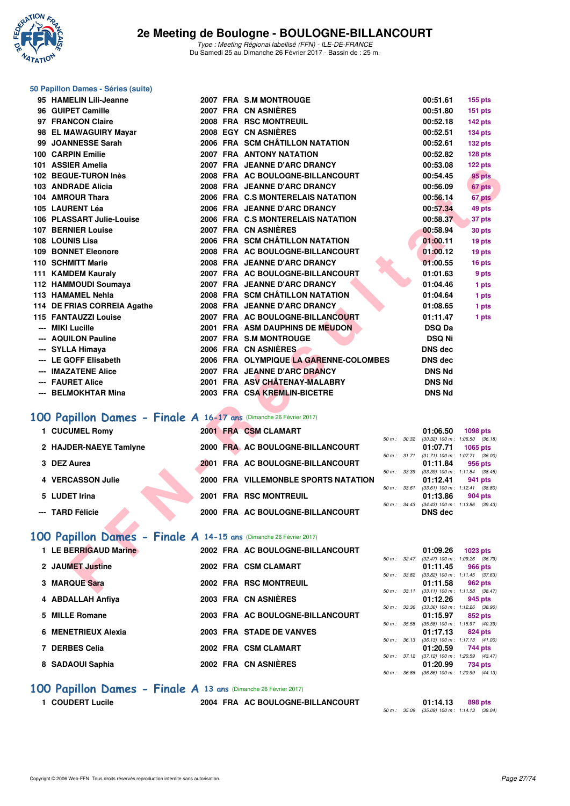

#### **50 Papillon Dames - Séries (suite)**

| 95 HAMELIN Lili-Jeanne                                             |  | 2007 FRA S.M MONTROUGE                                              |              | 00:51.61                  | <b>155 pts</b>                                         |
|--------------------------------------------------------------------|--|---------------------------------------------------------------------|--------------|---------------------------|--------------------------------------------------------|
| 96 GUIPET Camille                                                  |  | 2007 FRA CN ASNIERES                                                |              | 00:51.80                  | <b>151 pts</b>                                         |
| 97 FRANCON Claire                                                  |  | 2008 FRA RSC MONTREUIL                                              |              | 00:52.18                  | $142$ pts                                              |
| 98 EL MAWAGUIRY Mayar                                              |  | <b>2008 EGY CN ASNIERES</b>                                         |              | 00:52.51                  | $134$ pts                                              |
| 99 JOANNESSE Sarah                                                 |  | 2006 FRA SCM CHÂTILLON NATATION                                     |              | 00:52.61                  | $132$ pts                                              |
| 100 CARPIN Emilie                                                  |  | <b>2007 FRA ANTONY NATATION</b>                                     |              | 00:52.82                  | 128 pts                                                |
| 101 ASSIER Amelia                                                  |  | 2007 FRA JEANNE D'ARC DRANCY                                        |              | 00:53.08                  | 122 pts                                                |
| 102 BEGUE-TURON Inès                                               |  | 2008 FRA AC BOULOGNE-BILLANCOURT                                    |              | 00:54.45                  | 95 pts                                                 |
| 103 ANDRADE Alicia                                                 |  | 2008 FRA JEANNE D'ARC DRANCY                                        |              | 00:56.09                  | 67 pts                                                 |
| 104 AMROUR Thara                                                   |  | 2006 FRA C.S MONTERELAIS NATATION                                   |              | 00:56.14                  | 67 pts                                                 |
| 105 LAURENT Léa                                                    |  | 2006 FRA JEANNE D'ARC DRANCY                                        |              | 00:57.34                  | 49 pts                                                 |
| 106 PLASSART Julie-Louise                                          |  | 2006 FRA C.S MONTERELAIS NATATION                                   |              | 00:58.37                  | 37 pts                                                 |
| 107 BERNIER Louise                                                 |  | 2007 FRA CN ASNIÈRES                                                |              | 00:58.94                  | 30 pts                                                 |
| 108 LOUNIS Lisa                                                    |  | 2006 FRA SCM CHÂTILLON NATATION                                     |              | 01:00.11                  | 19 pts                                                 |
| <b>109 BONNET Eleonore</b>                                         |  | 2008 FRA AC BOULOGNE-BILLANCOURT                                    |              | 01:00.12                  | 19 pts                                                 |
| 110 SCHMITT Marie                                                  |  | 2008 FRA JEANNE D'ARC DRANCY                                        |              | 01:00.55                  | 16 pts                                                 |
| 111 KAMDEM Kauraly                                                 |  | 2007 FRA AC BOULOGNE-BILLANCOURT                                    |              | 01:01.63                  | 9 pts                                                  |
| 112 HAMMOUDI Soumaya                                               |  | 2007 FRA JEANNE D'ARC DRANCY                                        |              | 01:04.46                  | 1 pts                                                  |
| 113 HAMAMEL Nehla                                                  |  | 2008 FRA SCM CHÂTILLON NATATION                                     |              | 01:04.64                  | 1 pts                                                  |
| 114 DE FRIAS CORREIA Agathe                                        |  | 2008 FRA JEANNE D'ARC DRANCY                                        |              | 01:08.65                  | 1 pts                                                  |
| 115 FANTAUZZI Louise<br>--- MIKI Lucille                           |  | 2007 FRA AC BOULOGNE-BILLANCOURT<br>2001 FRA ASM DAUPHINS DE MEUDON |              | 01:11.47<br><b>DSQ Da</b> | 1 pts                                                  |
| --- AQUILON Pauline                                                |  | 2007 FRA S.M MONTROUGE                                              |              | <b>DSQ Ni</b>             |                                                        |
| --- SYLLA Himaya                                                   |  | 2006 FRA CN ASNIERES                                                |              | <b>DNS</b> dec            |                                                        |
| --- LE GOFF Elisabeth                                              |  | 2006 FRA OLYMPIQUE LA GARENNE-COLOMBES                              |              | <b>DNS</b> dec            |                                                        |
| --- IMAZATENE Alice                                                |  | 2007 FRA JEANNE D'ARC DRANCY                                        |              | <b>DNS Nd</b>             |                                                        |
| --- FAURET Alice                                                   |  | 2001 FRA ASV CHÂTENAY-MALABRY                                       |              | <b>DNS Nd</b>             |                                                        |
| --- BELMOKHTAR Mina                                                |  | 2003 FRA CSA KREMLIN-BICETRE                                        |              | <b>DNS Nd</b>             |                                                        |
|                                                                    |  |                                                                     |              |                           |                                                        |
| 100 Papillon Dames - Finale A 16-17 ans (Dimanche 26 Février 2017) |  |                                                                     |              |                           |                                                        |
| 1 CUCUMEL Romy                                                     |  | 2001 FRA CSM CLAMART                                                |              | 01:06.50                  | <b>1098 pts</b>                                        |
|                                                                    |  |                                                                     | 50 m : 30.32 |                           | $(30.32)$ 100 m : 1:06.50 $(36.18)$                    |
| 2 HAJDER-NAEYE Tamlyne                                             |  | 2000 FRA AC BOULOGNE-BILLANCOURT                                    | 50 m : 31.71 | 01:07.71                  | 1065 pts<br>$(31.71)$ 100 m : 1:07.71 $(36.00)$        |
| 3 DEZ Aurea                                                        |  | 2001 FRA AC BOULOGNE-BILLANCOURT                                    |              | 01:11.84                  | 956 pts                                                |
| 4 VERCASSON Julie                                                  |  | 2000 FRA VILLEMONBLE SPORTS NATATION                                |              | 01:12.41                  | 50 m: 33.39 (33.39) 100 m: 1:11.84 (38.45)<br>941 pts  |
|                                                                    |  |                                                                     | 50 m: 33.61  |                           | $(33.61)$ 100 m : 1:12.41 $(38.80)$                    |
| 5 LUDET Irina                                                      |  | 2001 FRA RSC MONTREUIL                                              |              | 01:13.86                  | 904 pts                                                |
| --- TARD Félicie                                                   |  | 2000 FRA AC BOULOGNE-BILLANCOURT                                    | 50 m: 34.43  | <b>DNS</b> dec            | $(34.43)$ 100 m : 1:13.86 $(39.43)$                    |
|                                                                    |  |                                                                     |              |                           |                                                        |
| 100 Papillon Dames - Finale A 14-15 ans (Dimanche 26 Février 2017) |  |                                                                     |              |                           |                                                        |
|                                                                    |  |                                                                     |              |                           |                                                        |
| 1 LE BERRIGAUD Marine                                              |  | 2002 FRA AC BOULOGNE-BILLANCOURT                                    |              | 01:09.26                  | 1023 pts<br>50 m: 32.47 (32.47) 100 m: 1:09.26 (36.79) |
| 2 JAUMET Justine                                                   |  | 2002 FRA CSM CLAMART                                                |              | 01:11.45                  | 966 pts                                                |
|                                                                    |  |                                                                     |              |                           | 50 m: 33.82 (33.82) 100 m: 1:11.45 (37.63)             |
| 3 MARQUE Sara                                                      |  | 2002 FRA RSC MONTREUIL                                              |              | 01:11.58                  | 962 pts<br>50 m: 33.11 (33.11) 100 m: 1:11.58 (38.47)  |
|                                                                    |  |                                                                     |              |                           |                                                        |

# **[100 Papillon Dames - Finale A](http://www.ffnatation.fr/webffn/resultats.php?idact=nat&go=epr&idcpt=42219&idepr=32) 16-17 ans (Dimanche 26 Février 2017)**

| 1 CUCUMEL Romy         | 2001 FRA CSM CLAMART                 |                        | 01:06.50 | 1098 pts                            |
|------------------------|--------------------------------------|------------------------|----------|-------------------------------------|
|                        |                                      | 50 m: 30.32            |          | $(30.32)$ 100 m : 1:06.50 $(36.18)$ |
| 2 HAJDER-NAEYE Tamlyne | 2000 FRA AC BOULOGNE-BILLANCOURT     |                        | 01:07.71 | $1065$ pts                          |
|                        |                                      | $50 m$ : $31.71$       |          | $(31.71)$ 100 m : 1:07.71 $(36.00)$ |
| 3 DEZ Aurea            | 2001 FRA AC BOULOGNE-BILLANCOURT     |                        | 01:11.84 | 956 pts                             |
|                        |                                      | 50 m: 33.39            |          | $(33.39)$ 100 m : 1:11.84 $(38.45)$ |
| 4 VERCASSON Julie      | 2000 FRA VILLEMONBLE SPORTS NATATION |                        | 01:12.41 | 941 pts                             |
|                        |                                      | $50 m$ : $33.61$       |          | $(33.61)$ 100 m : 1:12.41 $(38.80)$ |
| 5 LUDET Irina          | 2001 FRA RSC MONTREUIL               |                        | 01:13.86 | 904 pts                             |
|                        |                                      | $50 \text{ m}$ : 34.43 |          | $(34.43)$ 100 m : 1:13.86 $(39.43)$ |
| --- TARD Félicie       | 2000 FRA AC BOULOGNE-BILLANCOURT     |                        | DNS dec  |                                     |
|                        |                                      |                        |          |                                     |

## **[100 Papillon Dames - Finale A](http://www.ffnatation.fr/webffn/resultats.php?idact=nat&go=epr&idcpt=42219&idepr=32) 14-15 ans** (Dimanche 26 Février 2017)

| 1 LE BERRIGAUD Marine | 2002 FRA AC BOULOGNE-BILLANCOURT |                  | 01:09.26<br>1023 pts                                    |
|-----------------------|----------------------------------|------------------|---------------------------------------------------------|
|                       |                                  | $50 m$ : $32.47$ | $(32.47)$ 100 m : 1:09.26 (36.                          |
| 2 JAUMET Justine      | 2002 FRA CSM CLAMART             | 50 m : 33.82     | 01:11.45<br>966 pts<br>$(33.82)$ 100 m : 1:11.45 $(37.$ |
| 3 MARQUE Sara         | 2002 FRA RSC MONTREUIL           |                  | 01:11.58<br>962 pts                                     |
|                       |                                  |                  | 50 m: 33.11 (33.11) 100 m: 1:11.58 (38.                 |
| 4 ABDALLAH Anfiya     | 2003 FRA CN ASNIÈRES             |                  | 01:12.26<br>945 pts                                     |
| 5 MILLE Romane        | 2003 FRA AC BOULOGNE-BILLANCOURT | 50 m : 33.36     | $(33.36)$ 100 m : 1:12.26 $(38.$                        |
|                       |                                  | 50 m : 35.58     | 01:15.97<br>852 pts<br>$(35.58)$ 100 m : 1:15.97 (40.   |
| 6 MENETRIEUX Alexia   | 2003 FRA STADE DE VANVES         |                  | 01:17.13<br>824 pts                                     |
|                       |                                  | $50 m$ : $36.13$ | $(36.13)$ 100 m : 1:17.13 $(41.$                        |
| 7 DERBES Celia        | 2002 FRA CSM CLAMART             |                  | 01:20.59<br>744 pts                                     |
| 8 SADAOUI Saphia      | 2002 FRA CN ASNIÈRES             | 50 m: 37.12      | $(37.12)$ 100 m : 1:20.59 (43.<br>01:20.99<br>734 pts   |
|                       |                                  |                  | $F0 \, m + 26.06$ (20.00) $100 \, m + 1.20 \, 00$ (44)  |

### **[100 Papillon Dames - Finale A](http://www.ffnatation.fr/webffn/resultats.php?idact=nat&go=epr&idcpt=42219&idepr=32) 13 ans** (Dimanche 26 Février 2017)

**1 COUDERT Lucile 2004 FRA AC BOULOGNE-BILLANCOURT 01:14.13 898 pts** 50 m : 35.09 (35.09) 100 m : 1:14.13 (39.04)

50 m : 33.11 (33.11) 100 m : 1:11.58 (38.47) **4 ABDALLAH Anfiya 2003 FRA CN ASNIÈRES 01:12.26 945 pts** 50 m : 33.36 (33.36) 100 m : 1:12.26 (38.90)

50 m : 35.58 (35.58) 100 m : 1:15.97 (40.39)

50 m : 36.13 (36.13) 100 m : 1:17.13 (41.00)

50 m : 37.12 (37.12) 100 m : 1:20.59 (43.47)

50 m : 36.86 (36.86) 100 m : 1:20.99 (44.13)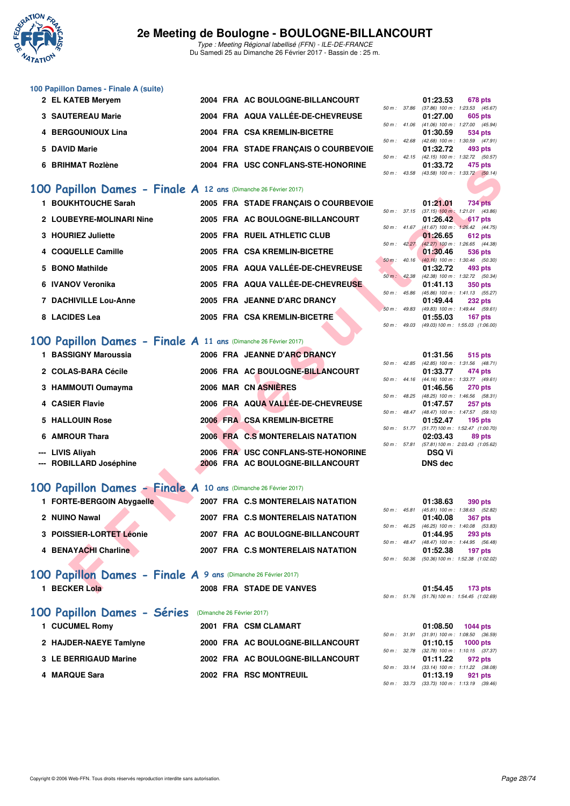

Type : Meeting Régional labellisé (FFN) - ILE-DE-FRANCE Du Samedi 25 au Dimanche 26 Février 2017 - Bassin de : 25 m.

| 100 Papillon Dames - Finale A (suite) |                                      |                        |                                           |                |
|---------------------------------------|--------------------------------------|------------------------|-------------------------------------------|----------------|
| 2 EL KATEB Mervem                     | 2004 FRA AC BOULOGNE-BILLANCOURT     |                        | 01:23.53                                  | <b>678 pts</b> |
|                                       |                                      | 50 m : 37.86           | (37.86) 100 m : 1:23.53 (45.              |                |
| <b>3 SAUTEREAU Marie</b>              | 2004 FRA AQUA VALLÉE-DE-CHEVREUSE    |                        | 01:27.00                                  | 605 pts        |
|                                       |                                      | $50 m$ : 41.06         | $(41.06)$ 100 m : 1:27.00 (45.            |                |
| 4 BERGOUNIOUX Lina                    | 2004 FRA CSA KREMLIN-BICETRE         |                        | 01:30.59                                  | 534 pts        |
|                                       |                                      | $50 m$ : 42.68         | $(42.68)$ 100 m : 1:30.59 (47.            |                |
| 5 DAVID Marie                         | 2004 FRA STADE FRANCAIS O COURBEVOIE |                        | 01:32.72                                  | 493 pts        |
|                                       |                                      | $50 \text{ m}$ : 42.15 | (42.15) 100 m : 1:32.72 (50.              |                |
| 6 BRIHMAT Rozlène                     | 2004 FRA USC CONFLANS-STE-HONORINE   |                        | 01:33.72                                  | 475 pts        |
|                                       |                                      |                        | 50 m : 43.58 (43.58) 100 m : 1:33.72 (50) |                |

## **[100 Papillon Dames - Finale A](http://www.ffnatation.fr/webffn/resultats.php?idact=nat&go=epr&idcpt=42219&idepr=32) 12 ans** (Dimanche 26 Février 2017)

| <b>PRILIMAL RUZICIIC</b> |                                                                                                                                                                                                                                                                                                       | ZUUT FRA USC CONFLANS-SIL-HONORINE |                                                                                                                                                                                                                                                                                                                                                                                                                                                                                                                                                                                                                                                                                                                                                                                                                                                                                                                                                                                                                          | 01.JJ.IZ                                                                                                    | 91 J PIS<br>$(43.58)$ 100 m : 1:33.72 $(50.14)$                                                                                                                                                                                                                                                                                                                                                                                                                                                                                                                                                                                                                                                                                                                                                                                               |
|--------------------------|-------------------------------------------------------------------------------------------------------------------------------------------------------------------------------------------------------------------------------------------------------------------------------------------------------|------------------------------------|--------------------------------------------------------------------------------------------------------------------------------------------------------------------------------------------------------------------------------------------------------------------------------------------------------------------------------------------------------------------------------------------------------------------------------------------------------------------------------------------------------------------------------------------------------------------------------------------------------------------------------------------------------------------------------------------------------------------------------------------------------------------------------------------------------------------------------------------------------------------------------------------------------------------------------------------------------------------------------------------------------------------------|-------------------------------------------------------------------------------------------------------------|-----------------------------------------------------------------------------------------------------------------------------------------------------------------------------------------------------------------------------------------------------------------------------------------------------------------------------------------------------------------------------------------------------------------------------------------------------------------------------------------------------------------------------------------------------------------------------------------------------------------------------------------------------------------------------------------------------------------------------------------------------------------------------------------------------------------------------------------------|
|                          |                                                                                                                                                                                                                                                                                                       |                                    |                                                                                                                                                                                                                                                                                                                                                                                                                                                                                                                                                                                                                                                                                                                                                                                                                                                                                                                                                                                                                          |                                                                                                             |                                                                                                                                                                                                                                                                                                                                                                                                                                                                                                                                                                                                                                                                                                                                                                                                                                               |
| 1 BOUKHTOUCHE Sarah      |                                                                                                                                                                                                                                                                                                       |                                    |                                                                                                                                                                                                                                                                                                                                                                                                                                                                                                                                                                                                                                                                                                                                                                                                                                                                                                                                                                                                                          | 01:21.01                                                                                                    | <b>734 pts</b>                                                                                                                                                                                                                                                                                                                                                                                                                                                                                                                                                                                                                                                                                                                                                                                                                                |
|                          |                                                                                                                                                                                                                                                                                                       |                                    |                                                                                                                                                                                                                                                                                                                                                                                                                                                                                                                                                                                                                                                                                                                                                                                                                                                                                                                                                                                                                          |                                                                                                             |                                                                                                                                                                                                                                                                                                                                                                                                                                                                                                                                                                                                                                                                                                                                                                                                                                               |
| 2 LOUBEYRE-MOLINARI Nine |                                                                                                                                                                                                                                                                                                       |                                    |                                                                                                                                                                                                                                                                                                                                                                                                                                                                                                                                                                                                                                                                                                                                                                                                                                                                                                                                                                                                                          | 01:26.42                                                                                                    | 617 pts                                                                                                                                                                                                                                                                                                                                                                                                                                                                                                                                                                                                                                                                                                                                                                                                                                       |
|                          |                                                                                                                                                                                                                                                                                                       |                                    |                                                                                                                                                                                                                                                                                                                                                                                                                                                                                                                                                                                                                                                                                                                                                                                                                                                                                                                                                                                                                          |                                                                                                             |                                                                                                                                                                                                                                                                                                                                                                                                                                                                                                                                                                                                                                                                                                                                                                                                                                               |
|                          |                                                                                                                                                                                                                                                                                                       |                                    |                                                                                                                                                                                                                                                                                                                                                                                                                                                                                                                                                                                                                                                                                                                                                                                                                                                                                                                                                                                                                          |                                                                                                             | 612 pts                                                                                                                                                                                                                                                                                                                                                                                                                                                                                                                                                                                                                                                                                                                                                                                                                                       |
| 4 COQUELLE Camille       |                                                                                                                                                                                                                                                                                                       |                                    |                                                                                                                                                                                                                                                                                                                                                                                                                                                                                                                                                                                                                                                                                                                                                                                                                                                                                                                                                                                                                          | 01:30.46                                                                                                    | 536 pts                                                                                                                                                                                                                                                                                                                                                                                                                                                                                                                                                                                                                                                                                                                                                                                                                                       |
|                          |                                                                                                                                                                                                                                                                                                       |                                    |                                                                                                                                                                                                                                                                                                                                                                                                                                                                                                                                                                                                                                                                                                                                                                                                                                                                                                                                                                                                                          |                                                                                                             |                                                                                                                                                                                                                                                                                                                                                                                                                                                                                                                                                                                                                                                                                                                                                                                                                                               |
|                          |                                                                                                                                                                                                                                                                                                       |                                    |                                                                                                                                                                                                                                                                                                                                                                                                                                                                                                                                                                                                                                                                                                                                                                                                                                                                                                                                                                                                                          | 01:32.72                                                                                                    | 493 pts                                                                                                                                                                                                                                                                                                                                                                                                                                                                                                                                                                                                                                                                                                                                                                                                                                       |
|                          |                                                                                                                                                                                                                                                                                                       |                                    |                                                                                                                                                                                                                                                                                                                                                                                                                                                                                                                                                                                                                                                                                                                                                                                                                                                                                                                                                                                                                          |                                                                                                             |                                                                                                                                                                                                                                                                                                                                                                                                                                                                                                                                                                                                                                                                                                                                                                                                                                               |
|                          |                                                                                                                                                                                                                                                                                                       |                                    |                                                                                                                                                                                                                                                                                                                                                                                                                                                                                                                                                                                                                                                                                                                                                                                                                                                                                                                                                                                                                          |                                                                                                             | <b>350 pts</b>                                                                                                                                                                                                                                                                                                                                                                                                                                                                                                                                                                                                                                                                                                                                                                                                                                |
|                          |                                                                                                                                                                                                                                                                                                       |                                    |                                                                                                                                                                                                                                                                                                                                                                                                                                                                                                                                                                                                                                                                                                                                                                                                                                                                                                                                                                                                                          |                                                                                                             | <b>232 pts</b>                                                                                                                                                                                                                                                                                                                                                                                                                                                                                                                                                                                                                                                                                                                                                                                                                                |
|                          |                                                                                                                                                                                                                                                                                                       |                                    |                                                                                                                                                                                                                                                                                                                                                                                                                                                                                                                                                                                                                                                                                                                                                                                                                                                                                                                                                                                                                          |                                                                                                             |                                                                                                                                                                                                                                                                                                                                                                                                                                                                                                                                                                                                                                                                                                                                                                                                                                               |
| 8 LACIDES Lea            |                                                                                                                                                                                                                                                                                                       |                                    |                                                                                                                                                                                                                                                                                                                                                                                                                                                                                                                                                                                                                                                                                                                                                                                                                                                                                                                                                                                                                          | 01:55.03                                                                                                    | 167 pts                                                                                                                                                                                                                                                                                                                                                                                                                                                                                                                                                                                                                                                                                                                                                                                                                                       |
|                          |                                                                                                                                                                                                                                                                                                       |                                    |                                                                                                                                                                                                                                                                                                                                                                                                                                                                                                                                                                                                                                                                                                                                                                                                                                                                                                                                                                                                                          |                                                                                                             | $(49.03) 100 \text{ m}$ : 1:55.03 $(1.06.00)$                                                                                                                                                                                                                                                                                                                                                                                                                                                                                                                                                                                                                                                                                                                                                                                                 |
|                          |                                                                                                                                                                                                                                                                                                       |                                    |                                                                                                                                                                                                                                                                                                                                                                                                                                                                                                                                                                                                                                                                                                                                                                                                                                                                                                                                                                                                                          |                                                                                                             |                                                                                                                                                                                                                                                                                                                                                                                                                                                                                                                                                                                                                                                                                                                                                                                                                                               |
|                          |                                                                                                                                                                                                                                                                                                       |                                    |                                                                                                                                                                                                                                                                                                                                                                                                                                                                                                                                                                                                                                                                                                                                                                                                                                                                                                                                                                                                                          |                                                                                                             |                                                                                                                                                                                                                                                                                                                                                                                                                                                                                                                                                                                                                                                                                                                                                                                                                                               |
| 1 BASSIGNY Maroussia     |                                                                                                                                                                                                                                                                                                       |                                    |                                                                                                                                                                                                                                                                                                                                                                                                                                                                                                                                                                                                                                                                                                                                                                                                                                                                                                                                                                                                                          | 01:31.56                                                                                                    | 515 pts                                                                                                                                                                                                                                                                                                                                                                                                                                                                                                                                                                                                                                                                                                                                                                                                                                       |
|                          |                                                                                                                                                                                                                                                                                                       |                                    |                                                                                                                                                                                                                                                                                                                                                                                                                                                                                                                                                                                                                                                                                                                                                                                                                                                                                                                                                                                                                          |                                                                                                             |                                                                                                                                                                                                                                                                                                                                                                                                                                                                                                                                                                                                                                                                                                                                                                                                                                               |
|                          |                                                                                                                                                                                                                                                                                                       |                                    |                                                                                                                                                                                                                                                                                                                                                                                                                                                                                                                                                                                                                                                                                                                                                                                                                                                                                                                                                                                                                          |                                                                                                             | 474 pts                                                                                                                                                                                                                                                                                                                                                                                                                                                                                                                                                                                                                                                                                                                                                                                                                                       |
|                          |                                                                                                                                                                                                                                                                                                       |                                    |                                                                                                                                                                                                                                                                                                                                                                                                                                                                                                                                                                                                                                                                                                                                                                                                                                                                                                                                                                                                                          |                                                                                                             |                                                                                                                                                                                                                                                                                                                                                                                                                                                                                                                                                                                                                                                                                                                                                                                                                                               |
|                          |                                                                                                                                                                                                                                                                                                       |                                    |                                                                                                                                                                                                                                                                                                                                                                                                                                                                                                                                                                                                                                                                                                                                                                                                                                                                                                                                                                                                                          |                                                                                                             | <b>270 pts</b>                                                                                                                                                                                                                                                                                                                                                                                                                                                                                                                                                                                                                                                                                                                                                                                                                                |
|                          |                                                                                                                                                                                                                                                                                                       |                                    |                                                                                                                                                                                                                                                                                                                                                                                                                                                                                                                                                                                                                                                                                                                                                                                                                                                                                                                                                                                                                          |                                                                                                             | 257 pts                                                                                                                                                                                                                                                                                                                                                                                                                                                                                                                                                                                                                                                                                                                                                                                                                                       |
|                          |                                                                                                                                                                                                                                                                                                       |                                    |                                                                                                                                                                                                                                                                                                                                                                                                                                                                                                                                                                                                                                                                                                                                                                                                                                                                                                                                                                                                                          |                                                                                                             |                                                                                                                                                                                                                                                                                                                                                                                                                                                                                                                                                                                                                                                                                                                                                                                                                                               |
| 5 HALLOUIN Rose          |                                                                                                                                                                                                                                                                                                       |                                    |                                                                                                                                                                                                                                                                                                                                                                                                                                                                                                                                                                                                                                                                                                                                                                                                                                                                                                                                                                                                                          | 01:52.47                                                                                                    | $195$ pts                                                                                                                                                                                                                                                                                                                                                                                                                                                                                                                                                                                                                                                                                                                                                                                                                                     |
|                          |                                                                                                                                                                                                                                                                                                       |                                    |                                                                                                                                                                                                                                                                                                                                                                                                                                                                                                                                                                                                                                                                                                                                                                                                                                                                                                                                                                                                                          |                                                                                                             |                                                                                                                                                                                                                                                                                                                                                                                                                                                                                                                                                                                                                                                                                                                                                                                                                                               |
|                          |                                                                                                                                                                                                                                                                                                       |                                    |                                                                                                                                                                                                                                                                                                                                                                                                                                                                                                                                                                                                                                                                                                                                                                                                                                                                                                                                                                                                                          | 02:03.43                                                                                                    | 89 pts                                                                                                                                                                                                                                                                                                                                                                                                                                                                                                                                                                                                                                                                                                                                                                                                                                        |
|                          |                                                                                                                                                                                                                                                                                                       |                                    |                                                                                                                                                                                                                                                                                                                                                                                                                                                                                                                                                                                                                                                                                                                                                                                                                                                                                                                                                                                                                          |                                                                                                             |                                                                                                                                                                                                                                                                                                                                                                                                                                                                                                                                                                                                                                                                                                                                                                                                                                               |
|                          |                                                                                                                                                                                                                                                                                                       |                                    |                                                                                                                                                                                                                                                                                                                                                                                                                                                                                                                                                                                                                                                                                                                                                                                                                                                                                                                                                                                                                          |                                                                                                             |                                                                                                                                                                                                                                                                                                                                                                                                                                                                                                                                                                                                                                                                                                                                                                                                                                               |
|                          |                                                                                                                                                                                                                                                                                                       |                                    |                                                                                                                                                                                                                                                                                                                                                                                                                                                                                                                                                                                                                                                                                                                                                                                                                                                                                                                                                                                                                          |                                                                                                             |                                                                                                                                                                                                                                                                                                                                                                                                                                                                                                                                                                                                                                                                                                                                                                                                                                               |
|                          |                                                                                                                                                                                                                                                                                                       |                                    |                                                                                                                                                                                                                                                                                                                                                                                                                                                                                                                                                                                                                                                                                                                                                                                                                                                                                                                                                                                                                          |                                                                                                             |                                                                                                                                                                                                                                                                                                                                                                                                                                                                                                                                                                                                                                                                                                                                                                                                                                               |
|                          |                                                                                                                                                                                                                                                                                                       |                                    |                                                                                                                                                                                                                                                                                                                                                                                                                                                                                                                                                                                                                                                                                                                                                                                                                                                                                                                                                                                                                          |                                                                                                             |                                                                                                                                                                                                                                                                                                                                                                                                                                                                                                                                                                                                                                                                                                                                                                                                                                               |
|                          |                                                                                                                                                                                                                                                                                                       |                                    |                                                                                                                                                                                                                                                                                                                                                                                                                                                                                                                                                                                                                                                                                                                                                                                                                                                                                                                                                                                                                          |                                                                                                             |                                                                                                                                                                                                                                                                                                                                                                                                                                                                                                                                                                                                                                                                                                                                                                                                                                               |
|                          |                                                                                                                                                                                                                                                                                                       |                                    |                                                                                                                                                                                                                                                                                                                                                                                                                                                                                                                                                                                                                                                                                                                                                                                                                                                                                                                                                                                                                          |                                                                                                             | 390 pts                                                                                                                                                                                                                                                                                                                                                                                                                                                                                                                                                                                                                                                                                                                                                                                                                                       |
|                          |                                                                                                                                                                                                                                                                                                       |                                    |                                                                                                                                                                                                                                                                                                                                                                                                                                                                                                                                                                                                                                                                                                                                                                                                                                                                                                                                                                                                                          |                                                                                                             |                                                                                                                                                                                                                                                                                                                                                                                                                                                                                                                                                                                                                                                                                                                                                                                                                                               |
|                          |                                                                                                                                                                                                                                                                                                       |                                    |                                                                                                                                                                                                                                                                                                                                                                                                                                                                                                                                                                                                                                                                                                                                                                                                                                                                                                                                                                                                                          |                                                                                                             | <b>367 pts</b>                                                                                                                                                                                                                                                                                                                                                                                                                                                                                                                                                                                                                                                                                                                                                                                                                                |
|                          |                                                                                                                                                                                                                                                                                                       |                                    |                                                                                                                                                                                                                                                                                                                                                                                                                                                                                                                                                                                                                                                                                                                                                                                                                                                                                                                                                                                                                          |                                                                                                             | <b>293 pts</b>                                                                                                                                                                                                                                                                                                                                                                                                                                                                                                                                                                                                                                                                                                                                                                                                                                |
|                          |                                                                                                                                                                                                                                                                                                       |                                    |                                                                                                                                                                                                                                                                                                                                                                                                                                                                                                                                                                                                                                                                                                                                                                                                                                                                                                                                                                                                                          |                                                                                                             | (48.47) 100 m: 1:44.95 (56.48)                                                                                                                                                                                                                                                                                                                                                                                                                                                                                                                                                                                                                                                                                                                                                                                                                |
| 4 BENAYACHI Charline     |                                                                                                                                                                                                                                                                                                       |                                    |                                                                                                                                                                                                                                                                                                                                                                                                                                                                                                                                                                                                                                                                                                                                                                                                                                                                                                                                                                                                                          | 01:52.38                                                                                                    | $197$ pts                                                                                                                                                                                                                                                                                                                                                                                                                                                                                                                                                                                                                                                                                                                                                                                                                                     |
|                          |                                                                                                                                                                                                                                                                                                       |                                    |                                                                                                                                                                                                                                                                                                                                                                                                                                                                                                                                                                                                                                                                                                                                                                                                                                                                                                                                                                                                                          |                                                                                                             | $(50.36)$ 100 m : 1:52.38 $(1:02.02)$                                                                                                                                                                                                                                                                                                                                                                                                                                                                                                                                                                                                                                                                                                                                                                                                         |
|                          |                                                                                                                                                                                                                                                                                                       |                                    |                                                                                                                                                                                                                                                                                                                                                                                                                                                                                                                                                                                                                                                                                                                                                                                                                                                                                                                                                                                                                          |                                                                                                             |                                                                                                                                                                                                                                                                                                                                                                                                                                                                                                                                                                                                                                                                                                                                                                                                                                               |
|                          |                                                                                                                                                                                                                                                                                                       |                                    |                                                                                                                                                                                                                                                                                                                                                                                                                                                                                                                                                                                                                                                                                                                                                                                                                                                                                                                                                                                                                          |                                                                                                             |                                                                                                                                                                                                                                                                                                                                                                                                                                                                                                                                                                                                                                                                                                                                                                                                                                               |
| 1 BECKER Lola            |                                                                                                                                                                                                                                                                                                       |                                    |                                                                                                                                                                                                                                                                                                                                                                                                                                                                                                                                                                                                                                                                                                                                                                                                                                                                                                                                                                                                                          | 01:54.45                                                                                                    | 173 <sub>pts</sub>                                                                                                                                                                                                                                                                                                                                                                                                                                                                                                                                                                                                                                                                                                                                                                                                                            |
|                          | 3 HOURIEZ Juliette<br>5 BONO Mathilde<br>6 IVANOV Veronika<br><b>7 DACHIVILLE Lou-Anne</b><br>2 COLAS-BARA Cécile<br>3 HAMMOUTI Oumayma<br>4 CASIER Flavie<br>6 AMROUR Thara<br>--- LIVIS Aliyah<br>--- ROBILLARD Joséphine<br>1 FORTE-BERGOIN Abygaelle<br>2 NUINO Nawal<br>3 POISSIER-LORTET Léonie |                                    | 00 Papillon Dames - Finale A 12 ans (Dimanche 26 Février 2017)<br>2005 FRA STADE FRANÇAIS O COURBEVOIE<br>2005 FRA AC BOULOGNE-BILLANCOURT<br>2005 FRA RUEIL ATHLETIC CLUB<br>2005 FRA CSA KREMLIN-BICETRE<br>2005 FRA AQUA VALLÉE-DE-CHEVREUSE<br>2005 FRA AQUA VALLÉE-DE-CHEVREUSE<br>2005 FRA JEANNE D'ARC DRANCY<br>2005 FRA CSA KREMLIN-BICETRE<br>00 Papillon Dames - Finale A 11 ans (Dimanche 26 Février 2017)<br>2006 FRA JEANNE D'ARC DRANCY<br>2006 FRA AC BOULOGNE-BILLANCOURT<br>2006 MAR CN ASNIÈRES<br>2006 FRA AQUA VALLÉE-DE-CHEVREUSE<br>2006 FRA CSA KREMLIN-BICETRE<br>2006 FRA C.S MONTERELAIS NATATION<br>2006 FRA USC CONFLANS-STE-HONORINE<br>2006 FRA AC BOULOGNE-BILLANCOURT<br>00 Papillon Dames - Finale A 10 ans (Dimanche 26 Février 2017)<br>2007 FRA C.S MONTERELAIS NATATION<br>2007 FRA C.S MONTERELAIS NATATION<br>2007 FRA AC BOULOGNE-BILLANCOURT<br>2007 FRA C.S MONTERELAIS NATATION<br>OO Papillon Dames - Finale A 9 ans (Dimanche 26 Février 2017)<br>2008 FRA STADE DE VANVES | 50 m: 43.58<br>50 m: 41.67<br>$50 m$ : $42.27$<br>50 m: 49.03<br>50 m: 45.81<br>50 m: 48.47<br>50 m : 50.36 | 50 m: 37.15 (37.15) 100 m: 1:21.01 (43.86)<br>$(41.67)$ 100 m : 1:26.42 $(44.75)$<br>01:26.65<br>$(42.27)$ 100 m : 1:26.65 $(44.38)$<br>50 m : 40.16 (40.16) 100 m : 1:30.46 (50.30)<br>50 m : 42.38 (42.38) 100 m : 1:32.72 (50.34)<br>01:41.13<br>50 m: 45.86 (45.86) 100 m: 1:41.13 (55.27)<br>01:49.44<br>50 m: 49.83 (49.83) 100 m: 1:49.44 (59.61)<br>50 m: 42.85 (42.85) 100 m: 1:31.56 (48.71)<br>01:33.77<br>50 m: 44.16 (44.16) 100 m: 1:33.77 (49.61)<br>01:46.56<br>50 m : 48.25 (48.25) 100 m : 1:46.56 (58.31)<br>01:47.57<br>50 m: 48.47 (48.47) 100 m: 1:47.57 (59.10)<br>50 m: 51.77 (51.77) 100 m: 1:52.47 (1:00.70)<br>50 m: 57.81 (57.81) 100 m: 2:03.43 (1:05.62)<br><b>DSQ Vi</b><br><b>DNS</b> dec<br>01:38.63<br>(45.81) 100 m: 1:38.63 (52.82)<br>01:40.08<br>50 m: 46.25 (46.25) 100 m: 1:40.08 (53.83)<br>01:44.95 |

### **[100 Papillon Dames - Finale A](http://www.ffnatation.fr/webffn/resultats.php?idact=nat&go=epr&idcpt=42219&idepr=32) 11 ans** (Dimanche 26 Février 2017)

| 1 BASSIGNY Maroussia                        |  | 2006 FRA JEANNE D'ARC DRANCY                                           |        |                  | 01:31.56                                              | 515 pts        |        |
|---------------------------------------------|--|------------------------------------------------------------------------|--------|------------------|-------------------------------------------------------|----------------|--------|
| 2 COLAS-BARA Cécile                         |  | 2006 FRA AC BOULOGNE-BILLANCOURT                                       |        | $50 m$ : $42.85$ | (42.85) 100 m : 1:31.56 (48.<br>01:33.77              | 474 pts        |        |
| 3 HAMMOUTI Oumayma                          |  | 2006 MAR CN ASNIERES                                                   | 50 m : | 44.16            | (44.16) 100 m : 1:33.77 (49.<br>01:46.56              | <b>270 pts</b> |        |
| 4 CASIER Flavie                             |  | 2006 FRA AQUA VALLÉE-DE-CHEVREUSE                                      | 50 m : | 48.25            | (48.25) 100 m : 1:46.56 (58.<br>01:47.57              | <b>257 pts</b> |        |
| 5 HALLOUIN Rose                             |  | 2006 FRA CSA KREMLIN-BICETRE                                           | 50 m : | 48.47            | (48.47) 100 m : 1:47.57 (59.<br>01:52.47              | <b>195 pts</b> |        |
| 6 AMROUR Thara                              |  | 2006 FRA C.S MONTERELAIS NATATION                                      |        |                  | 50 m: 51.77 (51.77) 100 m: 1:52.47 (1:00.<br>02:03.43 |                |        |
|                                             |  |                                                                        |        | 50 m: 57.81      | (57.81) 100 m : 2:03.43 (1:05.                        |                | 89 pts |
| --- LIVIS Aliyah<br>--- ROBILLARD Joséphine |  | 2006 FRA USC CONFLANS-STE-HONORINE<br>2006 FRA AC BOULOGNE-BILLANCOURT |        |                  | <b>DSQ Vi</b><br><b>DNS</b> dec                       |                |        |
|                                             |  |                                                                        |        |                  |                                                       |                |        |

# **[100 Papillon Dames - Finale A](http://www.ffnatation.fr/webffn/resultats.php?idact=nat&go=epr&idcpt=42219&idepr=32) 10 ans** (Dimanche 26 Février 2017)

| 1 FORTE-BERGOIN Abygaelle |  | 2007 FRA C.S MONTERELAIS NATATION |  | 01:38.63                                            | 390 pts        |  |
|---------------------------|--|-----------------------------------|--|-----------------------------------------------------|----------------|--|
| 2 NUINO Nawal             |  | 2007 FRA C.S MONTERELAIS NATATION |  | 50 m: 45.81 (45.81) 100 m: 1:38.63 (52.<br>01:40.08 | <b>367 pts</b> |  |
| 3 POISSIER-LORTET Léonie  |  | 2007 FRA AC BOULOGNE-BILLANCOURT  |  | 50 m: 46.25 (46.25) 100 m: 1:40.08 (53.<br>01:44.95 | 293 pts        |  |
| 4 BENAYACHI Charline      |  | 2007 FRA C.S MONTERELAIS NATATION |  | 50 m: 48.47 (48.47) 100 m: 1:44.95 (56.<br>01:52.38 | 197 pts        |  |

# **[100 Papillon Dames - Finale A](http://www.ffnatation.fr/webffn/resultats.php?idact=nat&go=epr&idcpt=42219&idepr=32) 9 ans** (Dimanche 26 Février 2017)

| 1 BECKER Lola | 2008 FRA STADE DE VANVES |
|---------------|--------------------------|
|               |                          |

### **[100 Papillon Dames - Séries](http://www.ffnatation.fr/webffn/resultats.php?idact=nat&go=epr&idcpt=42219&idepr=32)** (Dimanche 26 Février 2017)

| 1 CUCUMEL Romy         |  | 2001 FRA CSM CLAMART             |  | 01:08.50                                                    | 1044 pts |         |
|------------------------|--|----------------------------------|--|-------------------------------------------------------------|----------|---------|
| 2 HAJDER-NAEYE Tamlyne |  | 2000 FRA AC BOULOGNE-BILLANCOURT |  | 50 m: 31.91 (31.91) 100 m: 1:08.50 (36.<br>01:10.15         | 1000 pts |         |
| 3 LE BERRIGAUD Marine  |  | 2002 FRA AC BOULOGNE-BILLANCOURT |  | 50 m: 32.78 (32.78) 100 m: 1:10.15 (37.<br>01:11.22 972 pts |          |         |
| 4 MARQUE Sara          |  | 2002 FRA RSC MONTREUIL           |  | 50 m: 33.14 (33.14) 100 m: 1:11.22 (38.<br>01:13.19         |          | 921 pts |
|                        |  |                                  |  |                                                             |          |         |

|                |       | 01:23.53          | 678 pts                             |
|----------------|-------|-------------------|-------------------------------------|
| $50 m$ :       | 37.86 |                   | $(37.86)$ 100 m : 1:23.53 $(45.67)$ |
|                |       | 01:27.00          | 605 pts                             |
| $50 m$ :       | 41.06 |                   | (41.06) 100 m: 1:27.00 (45.94)      |
|                |       |                   | 01:30.59 534 pts                    |
| $50 m$ :       | 42.68 | $(42.68) 100 m$ : | $1:30.59$ $(47.91)$                 |
|                |       | 01:32.72          | 493 pts                             |
| $50 m$ : 42.15 |       | $(42.15)$ 100 m : | 1:32.72 (50.57)                     |
|                |       | 01:33.72 475 pts  |                                     |
| $50 m$ :       | 43.58 |                   | (43.58) 100 m : 1:33.72 (50.14)     |
|                |       |                   |                                     |

|                  |              | 01:21.01          | 734 pts             |  |
|------------------|--------------|-------------------|---------------------|--|
|                  | 50 m : 37.15 | $(37.15)$ 100 m : | 1:21.01 (43.86)     |  |
|                  |              | 01:26.42          | $-617$ pts          |  |
| $50 m$ : 41.67   |              | $(41.67) 100 m$ : | $1:26.42$ $(44.75)$ |  |
|                  |              | 01:26.65          | <b>612 pts</b>      |  |
| $50 m$ : $42.27$ |              | $(42.27)$ 100 m : | 1:26.65 (44.38)     |  |
|                  |              | 01:30.46          | 536 pts             |  |
| $50 m$ : $40.16$ |              | $(40.16) 100 m$ : | 1:30.46 (50.30)     |  |
|                  |              | 01:32.72          | 493 pts             |  |
| 50 m: 42.38      |              | (42.38) 100 m :   | 1:32.72 (50.34)     |  |
|                  |              | 01:41.13          | <b>350 pts</b>      |  |
| $50 m$ : 45.86   |              | (45.86) 100 m :   | 1:41.13 (55.27)     |  |
|                  |              | 01:49.44          | 232 pts             |  |
| $50 m$ : 49.83   |              | $(49.83) 100 m$ : | 1:49.44 (59.61)     |  |
|                  |              | 01:55.03 167 pts  |                     |  |
| $50 m$ :         | 49.03        | (49.03) 100 m :   | 1:55.03 (1:06.00)   |  |

|          |       | 01:31.56          | 515 pts                               |
|----------|-------|-------------------|---------------------------------------|
| $50 m$ : | 42.85 | $(42.85)$ 100 m : | $1:31.56$ $(48.71)$                   |
|          |       | 01:33.77          | 474 pts                               |
| $50 m$ : | 44.16 | $(44.16) 100 m$ : | 1:33.77 (49.61)                       |
|          |       | 01:46.56          | <b>270 pts</b>                        |
| $50 m$ : | 48.25 | $(48.25)$ 100 m : | 1:46.56 (58.31)                       |
|          |       |                   | 01:47.57 257 pts                      |
| $50 m$ : | 48.47 |                   | (48.47) 100 m: 1:47.57 (59.10)        |
|          |       |                   | 01:52.47 195 pts                      |
| $50 m$ : | 51.77 |                   | (51.77) 100 m: 1:52.47 (1:00.70)      |
|          |       | 02:03.43          | 89 pts                                |
| $50 m$ : | 57.81 |                   | $(57.81)$ 100 m : 2:03.43 $(1:05.62)$ |
|          |       | DSQ Vi            |                                       |
|          |       | DNS dec           |                                       |

|  | $01:38.63$ 390 pts                           |
|--|----------------------------------------------|
|  | 50 m: 45.81 (45.81) 100 m: 1:38.63 (52.82)   |
|  | 01:40.08 367 pts                             |
|  | 50 m: 46.25 (46.25) 100 m: 1:40.08 (53.83)   |
|  | 01:44.95 293 pts                             |
|  | 50 m: 48.47 (48.47) 100 m: 1:44.95 (56.48)   |
|  | 01:52.38 197 pts                             |
|  | 50 m: 50.36 (50.36) 100 m: 1:52.38 (1:02.02) |

|        | 01:54.45                               | <b>173 pts</b> |
|--------|----------------------------------------|----------------|
| 50 m : | 51.76 (51.76) 100 m : 1:54.45 (1:02.69 |                |

|  | 01:08.50 1044 pts                          |  |
|--|--------------------------------------------|--|
|  | 50 m: 31.91 (31.91) 100 m: 1:08.50 (36.59) |  |
|  | $01:10.15$ 1000 pts                        |  |
|  | 50 m: 32.78 (32.78) 100 m: 1:10.15 (37.37) |  |
|  | $01:11.22$ 972 pts                         |  |
|  | 50 m: 33.14 (33.14) 100 m: 1:11.22 (38.08) |  |
|  | $01:13.19$ 921 pts                         |  |
|  | 50 m: 33.73 (33.73) 100 m: 1:13.19 (39.46) |  |
|  |                                            |  |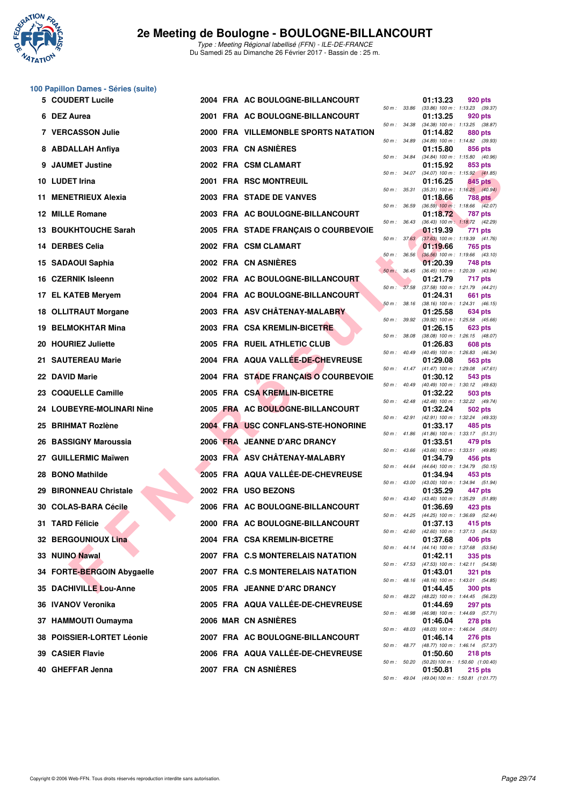

# **100 Papillon Dames - Séries (suite)**

| 5 COUDERT Lucile           |  | 2004 FRA AC BOULOGNE-BILLANCOURT     |                  | 01:13.23 | 920 pts                                                        |
|----------------------------|--|--------------------------------------|------------------|----------|----------------------------------------------------------------|
| 6 DEZ Aurea                |  | 2001 FRA AC BOULOGNE-BILLANCOURT     |                  | 01:13.25 | 50 m: 33.86 (33.86) 100 m: 1:13.23 (39.37)<br>920 pts          |
| <b>7 VERCASSON Julie</b>   |  | 2000 FRA VILLEMONBLE SPORTS NATATION | 50 m : 34.38     | 01:14.82 | $(34.38)$ 100 m : 1:13.25 $(38.87)$<br>880 pts                 |
| 8 ABDALLAH Anfiya          |  | 2003 FRA CN ASNIÈRES                 | 50 m : 34.89     | 01:15.80 | (34.89) 100 m : 1:14.82 (39.93)<br>856 pts                     |
| 9 JAUMET Justine           |  | 2002 FRA CSM CLAMART                 | 50 m : 34.84     | 01:15.92 | $(34.84)$ 100 m : 1:15.80 $(40.96)$<br>853 pts                 |
| 10 LUDET Irina             |  | 2001 FRA RSC MONTREUIL               | 50 m: 34.07      | 01:16.25 | $(34.07)$ 100 m : 1:15.92 $(41.85)$<br>845 pts                 |
| 11 MENETRIEUX Alexia       |  | 2003 FRA STADE DE VANVES             | 50 m : 35.31     | 01:18.66 | $(35.31)$ 100 m : 1:16.25 $(40.94)$<br>788 pts                 |
| 12 MILLE Romane            |  | 2003 FRA AC BOULOGNE-BILLANCOURT     | 50 m : 36.59     | 01:18.72 | $(36.59)$ 100 m : 1:18.66 $(42.07)$<br><b>787 pts</b>          |
| 13 BOUKHTOUCHE Sarah       |  | 2005 FRA STADE FRANÇAIS O COURBEVOIE | 50 m : 36.43     | 01:19.39 | $(36.43)$ 100 m : 1:18.72 $(42.29)$<br>771 pts                 |
| 14 DERBES Celia            |  | 2002 FRA CSM CLAMART                 | 50 m: 37.63      | 01:19.66 | $(37.63)$ 100 m : 1:19.39 $(41.76)$<br>765 pts                 |
| 15 SADAOUI Saphia          |  | 2002 FRA CN ASNIERES                 | $50 m$ : $36.56$ | 01:20.39 | $(36.56)$ 100 m : 1:19.66 $(43.10)$<br>748 pts                 |
| 16 CZERNIK Isleenn         |  | 2002 FRA AC BOULOGNE-BILLANCOURT     | $50 m$ : $36.45$ | 01:21.79 | $(36.45)$ 100 m : 1:20.39 $(43.94)$<br>717 pts                 |
| 17 EL KATEB Meryem         |  | 2004 FRA AC BOULOGNE-BILLANCOURT     | 50 m : 37.58     | 01:24.31 | $(37.58)$ 100 m : 1:21.79 $(44.21)$<br>661 pts                 |
| 18 OLLITRAUT Morgane       |  | 2003 FRA ASV CHÂTENAY-MALABRY        | 50 m: 38.16      | 01:25.58 | $(38.16)$ 100 m : 1:24.31 $(46.15)$<br>634 pts                 |
| 19 BELMOKHTAR Mina         |  | 2003 FRA CSA KREMLIN-BICETRE         | 50 m : 39.92     | 01:26.15 | $(39.92)$ 100 m : 1:25.58 $(45.66)$<br><b>623 pts</b>          |
| 20 HOURIEZ Juliette        |  | 2005 FRA RUEIL ATHLETIC CLUB         | 50 m : 38.08     | 01:26.83 | $(38.08)$ 100 m : 1:26.15 $(48.07)$<br>608 pts                 |
| 21 SAUTEREAU Marie         |  | 2004 FRA AQUA VALLEE-DE-CHEVREUSE    | 50 m : 40.49     | 01:29.08 | $(40.49)$ 100 m : 1:26.83 $(46.34)$<br>563 pts                 |
| 22 DAVID Marie             |  | 2004 FRA STADE FRANÇAIS O COURBEVOIE | 50 m : 41.47     | 01:30.12 | $(41.47)$ 100 m : 1:29.08 $(47.61)$<br>543 pts                 |
| 23 COQUELLE Camille        |  | 2005 FRA CSA KREMLIN-BICETRE         | 50 m : 40.49     | 01:32.22 | $(40.49)$ 100 m : 1:30.12 $(49.63)$<br>503 pts                 |
| 24 LOUBEYRE-MOLINARI Nine  |  | 2005 FRA AC BOULOGNE-BILLANCOURT     |                  | 01:32.24 | 50 m: 42.48 (42.48) 100 m: 1:32.22 (49.74)<br>502 pts          |
| 25 BRIHMAT Rozlène         |  | 2004 FRA USC CONFLANS-STE-HONORINE   | 50 m : 42.91     | 01:33.17 | (42.91) 100 m: 1:32.24 (49.33)<br>485 pts                      |
| 26 BASSIGNY Maroussia      |  | 2006 FRA JEANNE D'ARC DRANCY         |                  | 01:33.51 | 50 m: 41.86 (41.86) 100 m: 1:33.17 (51.31)<br>479 pts          |
| 27 GUILLERMIC Maïwen       |  | 2003 FRA ASV CHÂTENAY-MALABRY        | $50 m$ : 43.66   | 01:34.79 | (43.66) 100 m : 1:33.51 (49.85)<br>456 pts                     |
| 28 BONO Mathilde           |  | 2005 FRA AQUA VALLÉE-DE-CHEVREUSE    | 50 m : 44.64     | 01:34.94 | (44.64) 100 m: 1:34.79 (50.15)<br>453 pts                      |
| 29 BIRONNEAU Christale     |  | 2002 FRA USO BEZONS                  | 50 m : 43.00     | 01:35.29 | (43.00) 100 m: 1:34.94 (51.94)<br>447 pts                      |
| 30 COLAS-BARA Cécile       |  | 2006 FRA AC BOULOGNE-BILLANCOURT     |                  | 01:36.69 | 50 m: 43.40 (43.40) 100 m: 1:35.29 (51.89)<br>423 pts          |
| 31 TARD Félicie            |  | 2000 FRA AC BOULOGNE-BILLANCOURT     |                  | 01:37.13 | 50 m: 44.25 (44.25) 100 m: 1:36.69 (52.44)<br>415 pts          |
| 32 BERGOUNIOUX Lina        |  | 2004 FRA CSA KREMLIN-BICETRE         |                  | 01:37.68 | 50 m: 42.60 (42.60) 100 m: 1:37.13 (54.53)<br>406 pts          |
| 33 NUINO Nawal             |  | 2007 FRA C.S MONTERELAIS NATATION    |                  | 01:42.11 | 50 m: 44.14 (44.14) 100 m: 1:37.68 (53.54)<br>335 pts          |
| 34 FORTE-BERGOIN Abygaelle |  | 2007 FRA C.S MONTERELAIS NATATION    |                  | 01:43.01 | 50 m: 47.53 (47.53) 100 m: 1:42.11 (54.58)<br>321 pts          |
| 35 DACHIVILLE Lou-Anne     |  | 2005 FRA JEANNE D'ARC DRANCY         |                  | 01:44.45 | 50 m : 48.16 (48.16) 100 m : 1:43.01 (54.85)<br><b>300 pts</b> |
| 36 IVANOV Veronika         |  | 2005 FRA AQUA VALLEE-DE-CHEVREUSE    |                  | 01:44.69 | 50 m: 48.22 (48.22) 100 m: 1:44.45 (56.23)<br>297 pts          |
| 37 HAMMOUTI Oumayma        |  | 2006 MAR CN ASNIERES                 | 50 m : 46.98     | 01:46.04 | (46.98) 100 m : 1:44.69 (57.71)<br>278 pts                     |
| 38 POISSIER-LORTET Léonie  |  | 2007 FRA AC BOULOGNE-BILLANCOURT     |                  | 01:46.14 | 50 m : 48.03 (48.03) 100 m : 1:46.04 (58.01)<br>276 pts        |
| 39 CASIER Flavie           |  | 2006 FRA AQUA VALLEE-DE-CHEVREUSE    |                  | 01:50.60 | 50 m: 48.77 (48.77) 100 m: 1:46.14 (57.37)<br>218 pts          |
| 40 GHEFFAR Jenna           |  | 2007 FRA CN ASNIERES                 |                  | 01:50.81 | 50 m: 50.20 (50.20) 100 m: 1:50.60 (1:00.40)<br><b>215 pts</b> |
|                            |  |                                      |                  |          |                                                                |

| $50 m$ : | 33.86 | 01:13.23<br>$(33.86)$ 100 m : | <b>920 pts</b><br>1:13.23            |
|----------|-------|-------------------------------|--------------------------------------|
|          |       | 01:13.25                      | (39.37)<br><b>920 pts</b>            |
| 50 m :   | 34.38 | $(34.38) 100 m$ :             | 1:13.25<br>(38.87)                   |
|          | 34.89 | 01:14.82                      | 880 pts<br>1:14.82                   |
| $50 m$ : |       | $(34.89) 100 m$ :<br>01:15.80 | (39.93)<br>856 pts                   |
| $50 m$ : | 34.84 | $(34.84) 100 m$ :             | 1:15.80<br>(40.96)                   |
|          | 34.07 | 01:15.92                      | 853 pts<br>1:15.92                   |
| 50 m :   |       | $(34.07) 100 m$ :<br>01:16.25 | (41.85)<br>845 pts                   |
| $50 m$ : | 35.31 | $(35.31) 100 m$ :             | 1:16.25<br>(40.94)                   |
| $50 m$ : | 36.59 | 01:18.66<br>$(36.59)$ 100 m : | <b>788 pts</b><br>1:18.66 (42.07)    |
|          |       | 01:18.72                      | <b>787 pts</b>                       |
| 50 m :   | 36.43 | $(36.43) 100 m$ :             | 1:18.72<br>(42.29)                   |
| 50 m :   | 37.63 | 01:19.39<br>$(37.63)$ 100 m : | 771 pts<br>1:19.39<br>(41.76)        |
|          |       | 01:19.66                      | 765 pts                              |
| $50 m$ : | 36.56 | $(36.56)$ 100 m :             | 1:19.66<br>(43.10)                   |
| 50 m :   | 36.45 | 01:20.39<br>$(36.45)$ 100 m : | <b>748 pts</b><br>1:20.39<br>(43.94) |
|          |       | 01:21.79                      | 717 pts                              |
| $50 m$ : | 37.58 | $(37.58) 100 m$ :             | 1:21.79<br>(44.21)                   |
|          | 38.16 | 01:24.31<br>$(38.16) 100 m$ : | 661 pts<br>(46.15)                   |
| 50 m :   |       | 01:25.58                      | 1:24.31<br>634 pts                   |
| 50 m :   | 39.92 | $(39.92)$ 100 m :             | 1:25.58<br>(45.66)                   |
| $50 m$ : | 38.08 | 01:26.15<br>$(38.08) 100 m$ : | 623 pts<br>1:26.15                   |
|          |       | 01:26.83                      | (48.07)<br><b>608 pts</b>            |
| $50 m$ : | 40.49 | $(40.49)$ 100 m :             | 1:26.83<br>(46.34)                   |
| 50 m :   | 41.47 | 01:29.08<br>$(41.47) 100 m$ : | 563 pts<br>1:29.08<br>(47.61)        |
|          |       | 01:30.12                      | 543 pts                              |
| 50 m :   | 40.49 | (40.49) 100 m :               | 1:30.12<br>(49.63)                   |
| $50 m$ : | 42.48 | 01:32.22<br>$(42.48) 100 m$ : | 503 pts<br>(49.74)<br>1:32.22        |
|          |       | 01:32.24                      | 502 pts                              |
| 50 m :   | 42.91 | $(42.91)$ 100 m :             | 1:32.24<br>(49.33)                   |
| $50 m$ : | 41.86 | 01:33.17<br>(41.86) 100 m :   | 485 pts<br>1:33.17<br>(51.31)        |
|          |       | 01:33.51                      | 479 pts                              |
| $50 m$ : | 43.66 | $(43.66)$ 100 m :<br>01:34.79 | 1:33.51<br>(49.85)<br>456 pts        |
| $50 m$ : | 44.64 | $(44.64) 100 m$ :             | 1:34.79<br>(50.15)                   |
|          |       | 01:34.94                      | 453 pts                              |
| $50 m$ : | 43.00 | $(43.00)$ 100 m :<br>01:35.29 | 1:34.94<br>(51.94)<br>447 pts        |
| $50 m$ : | 43.40 | (43.40) 100 m :               | 1:35.29<br>(51.89)                   |
|          |       | 01:36.69                      | 423 pts                              |
| $50 m$ : | 44.25 | (44.25) 100 m :<br>01:37.13   | 1:36.69<br>(52.44)<br>415 pts        |
| $50 m$ : | 42.60 | $(42.60)$ 100 m :             | 1:37.13<br>(54.53)                   |
| $50 m$ : | 44.14 | 01:37.68<br>$(44.14) 100 m$ : | 406 pts<br>1:37.68                   |
|          |       | 01:42.11                      | (53.54)<br>335 pts                   |
| 50 m :   | 47.53 | (47.53) 100 m :               | 1:42.11<br>(54.58)                   |
| $50 m$ : | 48.16 | 01:43.01<br>$(48.16) 100 m$ : | 321<br>pts<br>1:43.01<br>(54.85)     |
|          |       | 01:44.45                      | 300 pts                              |
| $50 m$ : | 48.22 | (48.22) 100 m :               | 1:44.45<br>(56.23)                   |
| $50 m$ : | 46.98 | 01:44.69<br>(46.98) 100 m :   | <b>297 pts</b><br>1:44.69<br>(57.71) |
|          |       | 01:46.04                      | 278 pts                              |
| $50 m$ : | 48.03 | (48.03) 100 m :<br>01:46.14   | 1:46.04<br>(58.01)<br><b>276 pts</b> |
| $50 m$ : | 48.77 | $(48.77) 100 m$ :             | 1:46.14<br>(57.37)                   |
|          |       | 01:50.60                      | 218 pts                              |
| $50 m$ : | 50.20 | $(50.20)$ 100 m :<br>01:50.81 | 1:50.60 (1:00.40)<br>215 pts         |
| $50 m$ : | 49.04 | (49.04) 100 m:                | 1:50.81 (1:01.77)                    |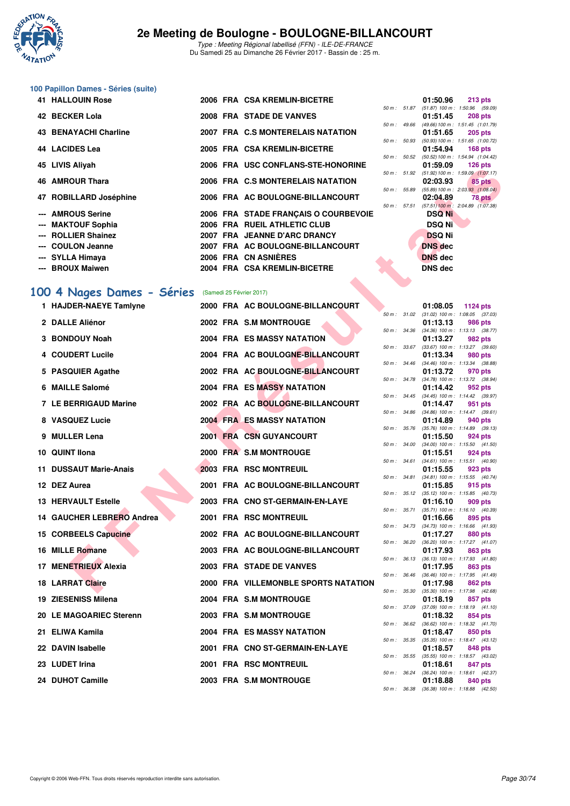

Type : Meeting Régional labellisé (FFN) - ILE-DE-FRANCE Du Samedi 25 au Dimanche 26 Février 2017 - Bassin de : 25 m.

# **100 Papillon Dames - Séries (suite)**

| <b>41 HALLOUIN Rose</b> |  | 2006 FRA CSA KREMLIN-BICETRE         |                  | 01:50.96 213 pts                                       |                |
|-------------------------|--|--------------------------------------|------------------|--------------------------------------------------------|----------------|
| 42 BECKER Lola          |  | 2008 FRA STADE DE VANVES             | 50 m: 51.87      | $(51.87)$ 100 m : 1:50.96 (59.<br>01:51.45             | <b>208 pts</b> |
|                         |  |                                      | 50 m : 49.66     | (49.66) 100 m: 1:51.45 (1:01.                          |                |
| 43 BENAYACHI Charline   |  | 2007 FRA C.S MONTERELAIS NATATION    | 50 m: 50.93      | 01:51.65 205 pts                                       |                |
| 44   LACIDES Lea        |  | 2005 FRA CSA KREMLIN-BICETRE         |                  | $(50.93) 100 m$ : 1:51.65 $(1:00.$<br>01:54.94 168 pts |                |
| 45 LIVIS Aliyah         |  | 2006 FRA USC CONFLANS-STE-HONORINE   | $50 m$ : $50.52$ | (50.52) 100 m: 1:54.94 (1:04.<br>01:59.09              | 126 pts        |
|                         |  |                                      |                  | 50 m: 51.92 (51.92) 100 m: 1:59.09 (1:07.              |                |
| 46 AMROUR Thara         |  | 2006 FRA C.S MONTERELAIS NATATION    |                  | 02:03.93                                               | 85 pts         |
|                         |  |                                      | 50 m : 55.89     | (55.89) 100 m : 2:03.93 (1:08.                         |                |
| 47 ROBILLARD Joséphine  |  | 2006 FRA AC BOULOGNE-BILLANCOURT     |                  | 02:04.89                                               | 78 pts         |
| --- AMROUS Serine       |  | 2006 FRA STADE FRANÇAIS O COURBEVOIE | 50 m: 57.51      | $(57.51)$ 100 m : 2:04.89 $(1:07)$<br><b>DSQ Ni</b>    |                |
| --- MAKTOUF Sophia      |  | 2006 FRA RUEIL ATHLETIC CLUB         |                  | <b>DSQ Ni</b>                                          |                |
| --- ROLLIER Shainez     |  | 2007 FRA JEANNE D'ARC DRANCY         |                  | <b>DSQ Ni</b>                                          |                |
| --- COULON Jeanne       |  | 2007 FRA AC BOULOGNE-BILLANCOURT     |                  | <b>DNS</b> dec                                         |                |
| --- SYLLA Himaya        |  | 2006 FRA CN ASNIÈRES                 |                  | <b>DNS</b> dec                                         |                |
| --- BROUX Maiwen        |  | 2004 FRA CSA KREMLIN-BICETRE         |                  | <b>DNS</b> dec                                         |                |

# [100 4 Nages Dames - Séries](http://www.ffnatation.fr/webffn/resultats.php?idact=nat&go=epr&idcpt=42219&idepr=40) (Samedi 25 Février 2017)

| 43. LIVIƏ Aliyalı                                  |  | <b>USC CONFLANS-STE-HONORINE</b>     |              |              | ບວອ.ບອ         | <b>IZU PIS</b>                                          |
|----------------------------------------------------|--|--------------------------------------|--------------|--------------|----------------|---------------------------------------------------------|
| 46 AMROUR Thara                                    |  | 2006 FRA C.S MONTERELAIS NATATION    |              |              | 02:03.93       | 50 m: 51.92 (51.92) 100 m: 1:59.09 (1:07.17)<br>85 pts  |
| 47 ROBILLARD Joséphine                             |  | 2006 FRA AC BOULOGNE-BILLANCOURT     | 50 m : 55.89 |              | 02:04.89       | $(55.89) 100 \text{ m}$ : 2:03.93 $(1:08.04)$<br>78 pts |
| --- AMROUS Serine                                  |  | 2006 FRA STADE FRANÇAIS O COURBEVOIE |              |              | <b>DSQ Ni</b>  | 50 m: 57.51 (57.51) 100 m: 2:04.89 (1:07.38)            |
| --- MAKTOUF Sophia                                 |  | 2006 FRA RUEIL ATHLETIC CLUB         |              |              | <b>DSQ Ni</b>  |                                                         |
| --- ROLLIER Shainez                                |  | 2007 FRA JEANNE D'ARC DRANCY         |              |              | <b>DSQ Ni</b>  |                                                         |
| --- COULON Jeanne                                  |  | 2007 FRA AC BOULOGNE-BILLANCOURT     |              |              | <b>DNS</b> dec |                                                         |
| ---   SYLLA Himaya                                 |  | 2006 FRA CN ASNIÈRES                 |              |              | <b>DNS</b> dec |                                                         |
| --- BROUX Maiwen                                   |  | 2004 FRA CSA KREMLIN-BICETRE         |              |              | <b>DNS dec</b> |                                                         |
| 00 4 Nages Dames - Séries (Samedi 25 Février 2017) |  |                                      |              |              |                |                                                         |
| 1 HAJDER-NAEYE Tamlyne                             |  | 2000 FRA AC BOULOGNE-BILLANCOURT     |              |              | 01:08.05       | 1124 pts                                                |
|                                                    |  |                                      |              | 50 m : 31.02 |                | $(31.02)$ 100 m : 1:08.05 $(37.03)$                     |
| 2 DALLE Aliénor                                    |  | 2002 FRA S.M MONTROUGE               |              |              | 01:13.13       | 986 pts<br>50 m: 34.36 (34.36) 100 m: 1:13.13 (38.77)   |
| 3 BONDOUY Noah                                     |  | <b>2004 FRA ES MASSY NATATION</b>    |              |              | 01:13.27       | 982 pts                                                 |
| 4 COUDERT Lucile                                   |  | 2004 FRA AC BOULOGNE-BILLANCOURT     |              | 50 m : 33.67 | 01:13.34       | $(33.67)$ 100 m : 1:13.27 $(39.60)$<br><b>980 pts</b>   |
|                                                    |  |                                      |              |              |                | 50 m: 34.46 (34.46) 100 m: 1:13.34 (38.88)              |
| 5 PASQUIER Agathe                                  |  | 2002 FRA AC BOULOGNE-BILLANCOURT     |              |              | 01:13.72       | 970 pts<br>50 m: 34.78 (34.78) 100 m: 1:13.72 (38.94)   |
| 6 MAILLE Salomé                                    |  | 2004 FRA ES MASSY NATATION           |              |              | 01:14.42       | 952 pts                                                 |
| 7 LE BERRIGAUD Marine                              |  | 2002 FRA AC BOULOGNE-BILLANCOURT     |              |              | 01:14.47       | 50 m: 34.45 (34.45) 100 m: 1:14.42 (39.97)<br>951 pts   |
| 8 VASQUEZ Lucie                                    |  | <b>2004 FRA ES MASSY NATATION</b>    |              | 50 m : 34.86 | 01:14.89       | $(34.86)$ 100 m : 1:14.47 $(39.61)$<br>940 pts          |
|                                                    |  |                                      |              | 50 m : 35.76 |                | $(35.76)$ 100 m : 1:14.89 $(39.13)$                     |
| 9 MULLER Lena                                      |  | 2001 FRA CSN GUYANCOURT              |              |              | 01:15.50       | 924 pts<br>50 m: 34.00 (34.00) 100 m: 1:15.50 (41.50)   |
| 10 QUINT Ilona                                     |  | 2000 FRA S.M MONTROUGE               |              |              | 01:15.51       | 924 pts                                                 |
| 11 DUSSAUT Marie-Anais                             |  | 2003 FRA RSC MONTREUIL               |              |              | 01:15.55       | 50 m: 34.61 (34.61) 100 m: 1:15.51 (40.90)<br>923 pts   |
| 12 DEZ Aurea                                       |  | 2001 FRA AC BOULOGNE-BILLANCOURT     |              |              | 01:15.85       | 50 m: 34.81 (34.81) 100 m: 1:15.55 (40.74)<br>915 pts   |
|                                                    |  |                                      |              |              |                | 50 m: 35.12 (35.12) 100 m: 1:15.85 (40.73)              |
| <b>13 HERVAULT Estelle</b>                         |  | 2003 FRA CNO ST-GERMAIN-EN-LAYE      |              | 50 m : 35.71 | 01:16.10       | 909 pts<br>$(35.71)$ 100 m : 1:16.10 $(40.39)$          |
| 14 GAUCHER LEBRERO Andrea                          |  | 2001 FRA RSC MONTREUIL               |              |              | 01:16.66       | 895 pts                                                 |
| 15 CORBEELS Capucine                               |  | 2002 FRA AC BOULOGNE-BILLANCOURT     |              |              | 01:17.27       | 50 m: 34.73 (34.73) 100 m: 1:16.66 (41.93)<br>880 pts   |
|                                                    |  |                                      |              | 50 m : 36.20 |                | $(36.20)$ 100 m : 1:17.27 $(41.07)$                     |
| 16 MILLE Romane                                    |  | 2003 FRA AC BOULOGNE-BILLANCOURT     |              | 50 m : 36.13 | 01:17.93       | 863 pts<br>$(36.13)$ 100 m : 1:17.93 $(41.80)$          |
| 17 MENETRIEUX Alexia                               |  | 2003 FRA STADE DE VANVES             |              |              | 01:17.95       | 863 pts                                                 |
| <b>18 LARRAT Claire</b>                            |  | 2000 FRA VILLEMONBLE SPORTS NATATION |              |              | 01:17.98       | 50 m: 36.46 (36.46) 100 m: 1:17.95 (41.49)<br>862 pts   |
| 19 ZIESENISS Milena                                |  | 2004 FRA S.M MONTROUGE               |              |              | 01:18.19       | 50 m: 35.30 (35.30) 100 m: 1:17.98 (42.68)<br>857 pts   |
|                                                    |  |                                      | 50 m : 37.09 |              |                | $(37.09)$ 100 m : 1:18.19 $(41.10)$                     |
| 20 LE MAGOARIEC Sterenn                            |  | 2003 FRA S.M MONTROUGE               |              |              | 01:18.32       | 854 pts<br>50 m : 36.62 (36.62) 100 m : 1:18.32 (41.70) |
| 21 ELIWA Kamila                                    |  | <b>2004 FRA ES MASSY NATATION</b>    |              |              | 01:18.47       | 850 pts<br>50 m: 35.35 (35.35) 100 m: 1:18.47 (43.12)   |
| 22 DAVIN Isabelle                                  |  | 2001 FRA CNO ST-GERMAIN-EN-LAYE      |              |              | 01:18.57       | 848 pts                                                 |
| 23 LUDET Irina                                     |  | <b>2001 FRA RSC MONTREUIL</b>        |              |              | 01:18.61       | 50 m: 35.55 (35.55) 100 m: 1:18.57 (43.02)<br>847 pts   |
|                                                    |  |                                      |              |              |                | 50 m: 36.24 (36.24) 100 m: 1:18.61 (42.37)              |
| 24 DUHOT Camille                                   |  | 2003 FRA S.M MONTROUGE               |              |              | 01:18.88       | 840 pts<br>50 m: 36.38 (36.38) 100 m: 1:18.88 (42.50)   |
|                                                    |  |                                      |              |              |                |                                                         |

|              | 01:50.96                                     | $213$ pts |
|--------------|----------------------------------------------|-----------|
|              | 50 m: 51.87 (51.87) 100 m: 1:50.96 (59.09)   |           |
|              | 01:51.45                                     | $208$ pts |
|              | 50 m: 49.66 (49.66) 100 m: 1:51.45 (1:01.79) |           |
|              | 01:51.65                                     | $205$ pts |
| 50 m : 50.93 | (50.93) 100 m: 1:51.65 (1:00.72)             |           |
|              | 01:54.94                                     | $168$ pts |
| 50 m : 50.52 | (50.52) 100 m: 1:54.94 (1:04.42)             |           |
|              | 01:59.09                                     | $126$ pts |
| 50 m : 51.92 | (51.92) 100 m: 1:59.09 (1:07.17)             |           |
|              | 02:03.93                                     | 85 pts    |
|              | 50 m: 55.89 (55.89) 100 m: 2:03.93 (1:08.04) |           |
|              | 02:04.89                                     | 78 pts    |
| 50 m : 57.51 | $(57.51)$ 100 m : 2:04.89 $(1.07.38)$        |           |
|              | DSQ Ni                                       |           |
|              | DSQ Ni                                       |           |
|              | <b>DSQ Ni</b>                                |           |
|              | <b>DNS</b> dec                               |           |
|              | <b>DNS</b> dec                               |           |
|              | <b>DNO J-1</b>                               |           |

| $50 m$ : | 31.02 | 01:08.05<br>$(31.02) 100 m$ : | 1124 pts<br>(37.03)<br>1:08.05       |
|----------|-------|-------------------------------|--------------------------------------|
|          |       | 01:13.13                      | <b>986 pts</b>                       |
| $50 m$ : | 34.36 | $(34.36) 100 m$ :             | 1:13.13<br>(38.77)                   |
|          |       | 01:13.27                      | 982 pts                              |
| $50 m$ : | 33.67 | $(33.67) 100 m$ :             | 1:13.27<br>(39.60)                   |
|          |       | 01:13.34                      | 980 pts                              |
| $50 m$ : | 34.46 | $(34.46) 100 m$ :             | 1:13.34<br>(38.88)                   |
|          |       | 01:13.72                      | 970 pts                              |
| $50 m$ : | 34.78 | $(34.78) 100 m$ :             | 1:13.72<br>(38.94)                   |
|          |       | 01:14.42                      | 952 pts                              |
| $50 m$ : | 34.45 | $(34.45) 100 m$ :             | 1:14.42<br>(39.97)                   |
| $50 m$ : | 34.86 | 01:14.47<br>$(34.86) 100 m$ : | 951 pts<br>1:14.47<br>(39.61)        |
|          |       | 01:14.89                      | 940 pts                              |
| $50 m$ : | 35.76 | $(35.76) 100 m$ :             | 1:14.89<br>(39.13)                   |
|          |       | 01:15.50                      | 924 pts                              |
| $50 m$ : | 34.00 | $(34.00)$ 100 m :             | 1:15.50<br>(41.50)                   |
|          |       | 01:15.51                      | 924 pts                              |
| $50 m$ : | 34.61 | $(34.61)$ 100 m :             | 1:15.51<br>(40.90)                   |
|          |       | 01:15.55                      | 923 pts                              |
| $50 m$ : | 34.81 | $(34.81) 100 m$ :             | 1:15.55<br>(40.74)                   |
|          |       | 01:15.85                      | 915 pts                              |
| $50 m$ : | 35.12 | $(35.12) 100 m$ :             | (40.73)<br>1:15.85                   |
|          |       | 01:16.10                      | 909 pts                              |
| 50 m :   | 35.71 | $(35.71)$ 100 m :             | 1:16.10<br>(40.39)                   |
|          |       | 01:16.66                      | 895 pts                              |
| $50 m$ : | 34.73 | $(34.73) 100 m$ :<br>01:17.27 | 1:16.66<br>(41.93)<br><b>880 pts</b> |
| $50 m$ : | 36.20 | $(36.20)$ 100 m :             | 1:17.27<br>(41.07)                   |
|          |       | 01:17.93                      | 863 pts                              |
| $50 m$ : | 36.13 | $(36.13) 100 m$ :             | 1:17.93<br>(41.80)                   |
|          |       | 01:17.95                      | 863 pts                              |
| 50 m :   | 36.46 | $(36.46) 100 m$ :             | 1:17.95<br>(41.49)                   |
|          |       | 01:17.98                      | 862 pts                              |
| 50 m :   | 35.30 | $(35.30)$ 100 m :             | 1:17.98<br>(42.68)                   |
|          |       | 01:18.19                      | 857 pts                              |
| $50 m$ : | 37.09 | $(37.09) 100 m$ :             | 1:18.19<br>(41.10)                   |
|          |       | 01:18.32                      | 854 pts                              |
| $50 m$ : | 36.62 | $(36.62)$ 100 m :             | 1:18.32<br>(41.70)                   |
|          |       | 01:18.47                      | 850 pts                              |
| $50 m$ : | 35.35 | $(35.35) 100 m$ :<br>01:18.57 | 1:18.47<br>(43.12)<br>848 pts        |
| $50 m$ : | 35.55 | $(35.55)$ 100 m :             | 1:18.57<br>(43.02)                   |
|          |       | 01:18.61                      | 847 pts                              |
| $50 m$ : | 36.24 | $(36.24)$ 100 m :             | 1:18.61<br>(42.37)                   |
|          |       | 01:18.88                      | 840 pts                              |
| $50 m$ : | 36.38 | $(36.38) 100 m$ :             | 1:18.88<br>(42.50)                   |
|          |       |                               |                                      |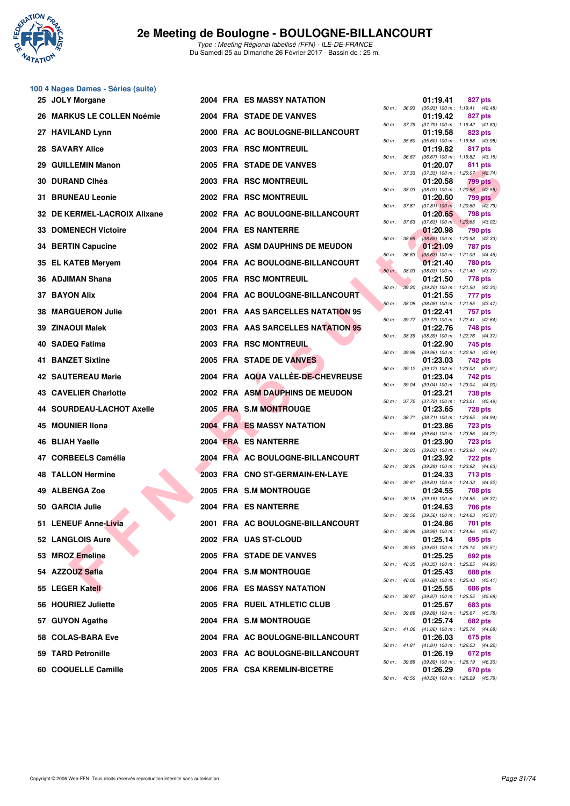

# **100 4 Nages Dames - Séries (suite)**

| 25 JOLY Morgane              |  | <b>2004 FRA ES MASSY NATATION</b>  |                  |              | 01:19.41 | 827 pts                                                 |
|------------------------------|--|------------------------------------|------------------|--------------|----------|---------------------------------------------------------|
| 26 MARKUS LE COLLEN Noémie   |  | 2004 FRA STADE DE VANVES           |                  | 50 m : 36.93 | 01:19.42 | $(36.93)$ 100 m : 1:19.41 $(42.48)$<br>827 pts          |
| 27 HAVILAND Lynn             |  | 2000 FRA AC BOULOGNE-BILLANCOURT   |                  | 50 m : 37.79 | 01:19.58 | $(37.79)$ 100 m : 1:19.42 $(41.63)$<br>823 pts          |
| 28 SAVARY Alice              |  | 2003 FRA RSC MONTREUIL             | 50 m : 35.60     |              | 01:19.82 | (35.60) 100 m: 1:19.58 (43.98)<br>817 pts               |
| 29 GUILLEMIN Manon           |  | 2005 FRA STADE DE VANVES           | 50 m: 36.67      |              | 01:20.07 | $(36.67)$ 100 m : 1:19.82 $(43.15)$<br>811 pts          |
| 30 DURAND Clhéa              |  | 2003 FRA RSC MONTREUIL             | 50 m: 37.33      |              | 01:20.58 | $(37.33)$ 100 m : 1:20.07 $(42.74)$<br>799 pts          |
| <b>31 BRUNEAU Leonie</b>     |  | 2002 FRA RSC MONTREUIL             | 50 m: 38.03      |              | 01:20.60 | $(38.03)$ 100 m : 1:20.58 $(42.55)$<br><b>799 pts</b>   |
| 32 DE KERMEL-LACROIX Alixane |  | 2002 FRA AC BOULOGNE-BILLANCOURT   |                  | 50 m : 37.81 | 01:20.65 | $(37.81)$ 100 m : 1:20.60 $(42.79)$<br>798 pts          |
| <b>33 DOMENECH Victoire</b>  |  | 2004 FRA ES NANTERRE               | 50 m : 37.63     |              | 01:20.98 | $(37.63)$ 100 m : 1:20.65 $(43.02)$<br>790 pts          |
| 34 BERTIN Capucine           |  | 2002 FRA ASM DAUPHINS DE MEUDON    |                  | 50 m: 38.65  | 01:21.09 | (38.65) 100 m : 1:20.98 (42.33)<br><b>787 pts</b>       |
| 35 EL KATEB Meryem           |  | 2004 FRA AC BOULOGNE-BILLANCOURT   | $50 m$ : $36.63$ |              | 01:21.40 | $(36.63)$ 100 m : 1:21.09 $(44.46)$<br>780 pts          |
| 36 ADJIMAN Shana             |  | 2005 FRA RSC MONTREUIL             | 50 m : 38.03     |              | 01:21.50 | (38.03) 100 m: 1:21.40 (43.37)<br>778 pts               |
| <b>37 BAYON Alix</b>         |  | 2004 FRA AC BOULOGNE-BILLANCOURT   | $50 m$ :         | 39.20        | 01:21.55 | (39.20) 100 m: 1:21.50 (42.30)<br>777 pts               |
| 38 MARGUERON Julie           |  | 2001 FRA AAS SARCELLES NATATION 95 | 50 m: 38.08      |              | 01:22.41 | (38.08) 100 m: 1:21.55 (43.47)<br>757 pts               |
| 39 ZINAOUI Malek             |  | 2003 FRA AAS SARCELLES NATATION 95 |                  |              | 01:22.76 | 50 m: 39.77 (39.77) 100 m: 1:22.41 (42.64)<br>748 pts   |
| 40 SADEQ Fatima              |  | 2003 FRA RSC MONTREUIL             | 50 m : 38.39     |              |          | (38.39) 100 m: 1:22.76 (44.37)                          |
|                              |  |                                    | 50 m : 39.96     |              | 01:22.90 | 745 pts<br>$(39.96)$ 100 m : 1:22.90 $(42.94)$          |
| 41 BANZET Sixtine            |  | 2005 FRA STADE DE VANVES           | 50 m: 39.12      |              | 01:23.03 | 742 pts<br>$(39.12)$ 100 m : 1:23.03 $(43.91)$          |
| 42 SAUTEREAU Marie           |  | 2004 FRA AQUA VALLÉE-DE-CHEVREUSE  |                  | 50 m : 39.04 | 01:23.04 | 742 pts<br>(39.04) 100 m: 1:23.04 (44.00)               |
| 43 CAVELIER Charlotte        |  | 2002 FRA ASM DAUPHINS DE MEUDON    |                  |              | 01:23.21 | 738 pts<br>50 m: 37.72 (37.72) 100 m: 1:23.21 (45.49)   |
| 44 SOURDEAU-LACHOT Axelle    |  | 2005 FRA S.M MONTROUGE             |                  | 50 m : 38.71 | 01:23.65 | <b>728 pts</b><br>(38.71) 100 m: 1:23.65 (44.94)        |
| 45 MOUNIER IIona             |  | <b>2004 FRA ES MASSY NATATION</b>  |                  | 50 m : 39.64 | 01:23.86 | <b>723 pts</b><br>(39.64) 100 m: 1:23.86 (44.22)        |
| 46 BLIAH Yaelle              |  | 2004 FRA ES NANTERRE               | 50 m : 39.03     |              | 01:23.90 | <b>723 pts</b><br>$(39.03)$ 100 m : 1:23.90 $(44.87)$   |
| 47 CORBEELS Camélia          |  | 2004 FRA AC BOULOGNE-BILLANCOURT   |                  | 50 m : 39.29 | 01:23.92 | <b>722 pts</b><br>(39.29) 100 m: 1:23.92 (44.63)        |
| <b>48 TALLON Hermine</b>     |  | 2003 FRA CNO ST-GERMAIN-EN-LAYE    |                  | 50 m : 39.81 | 01:24.33 | 713 pts<br>(39.81) 100 m: 1:24.33 (44.52)               |
| 49 ALBENGA Zoe               |  | 2005 FRA S.M MONTROUGE             |                  | 50 m : 39.18 | 01:24.55 | 708 pts<br>(39.18) 100 m: 1:24.55 (45.37)               |
| 50 GARCIA Julie              |  | 2004 FRA ES NANTERRE               | 50 m: 39.56      |              | 01:24.63 | 706 pts<br>$(39.56)$ 100 m : 1:24.63 $(45.07)$          |
| 51 LENEUF Anne-Livia         |  | 2001 FRA AC BOULOGNE-BILLANCOURT   |                  |              | 01:24.86 | 701 pts                                                 |
| 52 LANGLOIS Aure             |  | 2002 FRA UAS ST-CLOUD              |                  |              | 01:25.14 | 50 m: 38.99 (38.99) 100 m: 1:24.86 (45.87)<br>695 pts   |
| 53 MROZ Emeline              |  | 2005 FRA STADE DE VANVES           |                  |              | 01:25.25 | 50 m: 39.63 (39.63) 100 m: 1:25.14 (45.51)<br>692 pts   |
| 54 AZZOUZ Safia              |  | 2004 FRA S.M MONTROUGE             |                  |              | 01:25.43 | 50 m: 40.35 (40.35) 100 m: 1:25.25 (44.90)<br>688 pts   |
| 55 LEGER Katell              |  | 2006 FRA ES MASSY NATATION         |                  |              | 01:25.55 | 50 m: 40.02 (40.02) 100 m: 1:25.43 (45.41)<br>686 pts   |
| 56 HOURIEZ Juliette          |  | 2005 FRA RUEIL ATHLETIC CLUB       |                  | 50 m : 39.87 | 01:25.67 | (39.87) 100 m: 1:25.55 (45.68)<br>683 pts               |
| 57 GUYON Agathe              |  | 2004 FRA S.M MONTROUGE             |                  | 50 m : 39.89 | 01:25.74 | (39.89) 100 m : 1:25.67 (45.78)<br><b>682 pts</b>       |
| 58 COLAS-BARA Eve            |  | 2004 FRA AC BOULOGNE-BILLANCOURT   |                  |              | 01:26.03 | 50 m: 41.06 (41.06) 100 m: 1:25.74 (44.68)<br>675 pts   |
| 59 TARD Petronille           |  | 2003 FRA AC BOULOGNE-BILLANCOURT   |                  |              | 01:26.19 | 50 m: 41.81 (41.81) 100 m: 1:26.03 (44.22)<br>672 pts   |
| 60 COQUELLE Camille          |  | 2005 FRA CSA KREMLIN-BICETRE       |                  |              | 01:26.29 | 50 m : 39.89 (39.89) 100 m : 1:26.19 (46.30)<br>670 pts |

| $50 m$ : | 36.93 | 01:19.41<br>$(36.93) 100 m$ : | 827 pts<br>1:19.41<br>(42.48)        |
|----------|-------|-------------------------------|--------------------------------------|
|          |       | 01:19.42                      | 827 pts                              |
| $50 m$ : | 37.79 | (37.79) 100 m :<br>01:19.58   | 1:19.42<br>(41.63)<br>823 pts        |
| 50 m :   | 35.60 | $(35.60)$ 100 m :             | 1:19.58<br>(43.98)                   |
| $50 m$ : | 36.67 | 01:19.82<br>$(36.67) 100 m$ : | 817 pts<br>1:19.82<br>(43.15)        |
|          |       | 01:20.07                      | 811 pts                              |
| $50 m$ : | 37.33 | $(37.33) 100 m$ :             | 1:20.07<br>(42.74)                   |
| $50 m$ : | 38.03 | 01:20.58<br>$(38.03) 100 m$ : | 799 pts<br>1:20.58 (42.55)           |
|          |       | 01:20.60                      | <b>799 pts</b>                       |
| $50 m$ : | 37.81 | $(37.81)$ 100 m :<br>01:20.65 | 1:20.60<br>(42.79)<br>798 pts        |
| 50 m :   | 37.63 | $(37.63) 100 m$ :             | 1:20.65<br>(43.02)                   |
| 50 m :   | 38.65 | 01:20.98<br>$(38.65)$ 100 m : | 790 pts<br>1:20.98<br>(42.33)        |
|          |       | 01:21.09                      | 787 pts                              |
| $50 m$ : | 36.63 | $(36.63) 100 m$ :<br>01:21.40 | 1:21.09<br>(44.46)<br><b>780 pts</b> |
| $50 m$ : | 38.03 | $(38.03) 100 m$ :             | 1:21.40<br>(43.37)                   |
| $50 m$ : | 39.20 | 01:21.50<br>(39.20) 100 m :   | 778 pts<br>1:21.50<br>(42.30)        |
|          |       | 01:21.55                      | 777 pts                              |
| $50 m$ : | 38.08 | $(38.08) 100 m$ :<br>01:22.41 | 1:21.55<br>(43.47)                   |
| $50 m$ : | 39.77 | (39.77) 100 m :               | 757 pts<br>1:22.41<br>(42.64)        |
|          |       | 01:22.76                      | 748 pts                              |
| $50 m$ : | 38.39 | $(38.39) 100 m$ :<br>01:22.90 | 1:22.76<br>(44.37)<br>745 pts        |
| $50 m$ : | 39.96 | (39.96) 100 m :               | 1:22.90<br>(42.94)                   |
| 50 m :   | 39.12 | 01:23.03<br>$(39.12) 100 m$ : | 742 pts<br>1:23.03<br>(43.91)        |
|          |       | 01:23.04                      | 742 pts                              |
| $50 m$ : | 39.04 | (39.04) 100 m :<br>01:23.21   | 1:23.04<br>(44.00)<br><b>738 pts</b> |
| $50 m$ : | 37.72 | (37.72) 100 m :               | 1:23.21<br>(45.49)                   |
| 50 m :   | 38.71 | 01:23.65<br>$(38.71) 100 m$ : | 728 pts<br>1:23.65<br>(44.94)        |
|          |       | 01:23.86                      | <b>723 pts</b>                       |
| $50 m$ : | 39.64 | $(39.64) 100 m$ :<br>01:23.90 | 1:23.86<br>(44.22)<br><b>723 pts</b> |
| $50 m$ : | 39.03 | $(39.03) 100 m$ :             | 1:23.90<br>(44.87)                   |
| 50 m :   | 39.29 | 01:23.92<br>(39.29) 100 m :   | <b>722 pts</b><br>1:23.92<br>(44.63) |
|          |       | 01:24.33                      | 713 pts                              |
| $50 m$ : | 39.81 | $(39.81)$ 100 m :<br>01:24.55 | 1:24.33<br>(44.52)<br><b>708 pts</b> |
| 50 m :   | 39.18 | $(39.18) 100 m$ :             | 1:24.55<br>(45.37)                   |
|          | 39.56 | 01:24.63<br>$(39.56) 100 m$ : | 706 pts<br>1:24.63<br>(45.07)        |
| 50 m :   |       | 01:24.86                      | 701 pts                              |
| $50 m$ : | 38.99 | $(38.99)$ 100 m :             | 1:24.86<br>(45.87)                   |
| $50 m$ : | 39.63 | 01:25.14<br>$(39.63) 100 m$ : | <b>695 pts</b><br>1:25.14<br>(45.51) |
|          |       | 01:25.25                      | 692 pts                              |
| $50 m$ : | 40.35 | $(40.35) 100 m$ :<br>01:25.43 | 1:25.25<br>(44.90)<br><b>688 pts</b> |
| $50 m$ : | 40.02 | (40.02) 100 m :               | 1:25.43<br>(45.41)                   |
| $50 m$ : | 39.87 | 01:25.55<br>$(39.87) 100 m$ : | <b>686 pts</b><br>1:25.55<br>(45.68) |
|          |       | 01:25.67                      | <b>683 pts</b>                       |
| $50 m$ : | 39.89 | (39.89) 100 m :<br>01:25.74   | 1:25.67<br>(45.78)<br><b>682 pts</b> |
| $50 m$ : | 41.06 | $(41.06) 100 m$ :             | 1:25.74<br>(44.68)                   |
| $50 m$ : | 41.81 | 01:26.03<br>$(41.81) 100 m$ : | 675 pts<br>1:26.03<br>(44.22)        |
|          |       | 01:26.19                      | 672 pts                              |
| $50 m$ : | 39.89 | $(39.89)$ 100 m :<br>01:26.29 | 1:26.19<br>(46.30)<br><b>670 pts</b> |
| $50 m$ : | 40.50 | (40.50) 100 m :               | 1:26.29 (45.79)                      |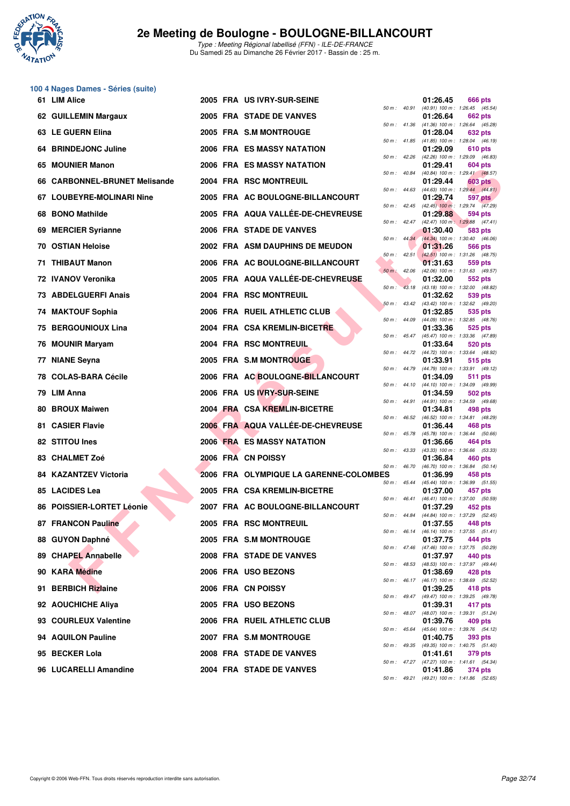

# **100 4 Nages Dames - Séries (suite)**

| 61 LIM Alice                  |  | 2005 FRA US IVRY-SUR-SEINE             |                |                  | 01:26.45 | 666 pts                                                        |
|-------------------------------|--|----------------------------------------|----------------|------------------|----------|----------------------------------------------------------------|
| 62 GUILLEMIN Margaux          |  | 2005 FRA STADE DE VANVES               |                |                  | 01:26.64 | 50 m: 40.91 (40.91) 100 m: 1:26.45 (45.54)<br><b>662 pts</b>   |
| 63 LE GUERN Elina             |  | 2005 FRA S.M MONTROUGE                 |                |                  | 01:28.04 | 50 m: 41.36 (41.36) 100 m: 1:26.64 (45.28)<br>632 pts          |
| 64 BRINDEJONC Juline          |  | 2006 FRA ES MASSY NATATION             |                |                  | 01:29.09 | 50 m: 41.85 (41.85) 100 m: 1:28.04 (46.19)<br>610 pts          |
| 65 MOUNIER Manon              |  | 2006 FRA ES MASSY NATATION             |                |                  | 01:29.41 | 50 m : 42.26 (42.26) 100 m : 1:29.09 (46.83)<br>604 pts        |
| 66 CARBONNEL-BRUNET Melisande |  | 2004 FRA RSC MONTREUIL                 | 50 m : 40.84   |                  | 01:29.44 | $(40.84)$ 100 m : 1:29.41 $(48.57)$<br>603 pts                 |
| 67 LOUBEYRE-MOLINARI Nine     |  | 2005 FRA AC BOULOGNE-BILLANCOURT       |                | $50 m$ : $44.63$ | 01:29.74 | $(44.63)$ 100 m : 1:29.44 $(44.81)$<br>597 pts                 |
| 68 BONO Mathilde              |  | 2005 FRA AQUA VALLÉE-DE-CHEVREUSE      |                |                  | 01:29.88 | 50 m : 42.45 (42.45) 100 m : 1:29.74 (47.29)<br>594 pts        |
| 69 MERCIER Syrianne           |  | 2006 FRA STADE DE VANVES               |                |                  | 01:30.40 | 50 m: 42.47 (42.47) 100 m: 1:29.88 (47.41)<br>583 pts          |
| <b>70 OSTIAN Heloise</b>      |  | 2002 FRA ASM DAUPHINS DE MEUDON        |                |                  | 01:31.26 | 50 m : 44.34 (44.34) 100 m : 1:30.40 (46.06)<br>566 pts        |
| 71 THIBAUT Manon              |  | 2006 FRA AC BOULOGNE-BILLANCOURT       |                | $50 m$ : 42.51   | 01:31.63 | $(42.51)$ 100 m : 1:31.26 $(48.75)$<br>559 pts                 |
| 72 IVANOV Veronika            |  | 2005 FRA AQUA VALLÉE-DE-CHEVREUSE      | $50 m$ : 42.06 |                  | 01:32.00 | (42.06) 100 m: 1:31.63 (49.57)<br>552 pts                      |
| 73 ABDELGUERFI Anais          |  | 2004 FRA RSC MONTREUIL                 | $50 m$ :       |                  | 01:32.62 | 43.18 (43.18) 100 m : 1:32.00 (48.82)<br>539 pts               |
|                               |  | 2006 FRA RUEIL ATHLETIC CLUB           |                |                  | 01:32.85 | 50 m: 43.42 (43.42) 100 m: 1:32.62 (49.20)<br>535 pts          |
| 74 MAKTOUF Sophia             |  |                                        |                |                  |          | 50 m : 44.09 (44.09) 100 m : 1:32.85 (48.76)                   |
| <b>75 BERGOUNIOUX Lina</b>    |  | 2004 FRA CSA KREMLIN-BICETRE           |                |                  | 01:33.36 | 525 pts<br>50 m: 45.47 (45.47) 100 m: 1:33.36 (47.89)          |
| 76 MOUNIR Maryam              |  | 2004 FRA RSC MONTREUIL                 |                |                  | 01:33.64 | 520 pts<br>50 m: 44.72 (44.72) 100 m: 1:33.64 (48.92)          |
| 77 NIANE Seyna                |  | 2005 FRA S.M MONTROUGE                 | 50 m : 44.79   |                  | 01:33.91 | 515 pts<br>(44.79) 100 m: 1:33.91 (49.12)                      |
| 78 COLAS-BARA Cécile          |  | 2006 FRA AC BOULOGNE-BILLANCOURT       |                | 50 m : 44.10     | 01:34.09 | 511 pts<br>(44.10) 100 m: 1:34.09 (49.99)                      |
| 79 LIM Anna                   |  | 2006 FRA US IVRY-SUR-SEINE             |                | 50 m : 44.91     | 01:34.59 | 502 pts<br>$(44.91)$ 100 m : 1:34.59 $(49.68)$                 |
| 80 BROUX Maiwen               |  | 2004 FRA CSA KREMLIN-BICETRE           |                | 50 m : 46.52     | 01:34.81 | 498 pts<br>(46.52) 100 m: 1:34.81 (48.29)                      |
| 81 CASIER Flavie              |  | 2006 FRA AQUA VALLÉE-DE-CHEVREUSE      |                |                  | 01:36.44 | <b>468 pts</b><br>50 m : 45.78 (45.78) 100 m : 1:36.44 (50.66) |
| 82 STITOU Ines                |  | 2006 FRA ES MASSY NATATION             |                | 50 m: 43.33      | 01:36.66 | 464 pts<br>(43.33) 100 m: 1:36.66 (53.33)                      |
| 83 CHALMET Zoé                |  | 2006 FRA CN POISSY                     |                | 50 m : 46.70     | 01:36.84 | 460 pts<br>$(46.70)$ 100 m : 1:36.84 $(50.14)$                 |
| <b>84 KAZANTZEV Victoria</b>  |  | 2006 FRA OLYMPIQUE LA GARENNE-COLOMBES |                | $50 m$ : 45.44   | 01:36.99 | 458 pts<br>$(45.44)$ 100 m : 1:36.99 (51.55)                   |
| 85 LACIDES Lea                |  | 2005 FRA CSA KREMLIN-BICETRE           |                |                  | 01:37.00 | 457 pts<br>50 m: 46.41 (46.41) 100 m: 1:37.00 (50.59)          |
| 86 POISSIER-LORTET Léonie     |  | 2007 FRA AC BOULOGNE-BILLANCOURT       |                |                  | 01:37.29 | 452 pts                                                        |
| 87 FRANCON Pauline            |  | 2005 FRA RSC MONTREUIL                 |                |                  | 01:37.55 | 50 m: 44.84 (44.84) 100 m: 1:37.29 (52.45)<br>448 pts          |
| 88 GUYON Daphné               |  | 2005 FRA S.M MONTROUGE                 |                |                  | 01:37.75 | 50 m: 46.14 (46.14) 100 m: 1:37.55 (51.41)<br>444 pts          |
| 89 CHAPEL Annabelle           |  | 2008 FRA STADE DE VANVES               |                |                  | 01:37.97 | 50 m : 47.46 (47.46) 100 m : 1:37.75 (50.29)<br>440 pts        |
| 90 KARA Médine                |  | 2006 FRA USO BEZONS                    |                |                  | 01:38.69 | 50 m: 48.53 (48.53) 100 m: 1:37.97 (49.44)<br>428 pts          |
| 91 BERBICH Rizlaine           |  | 2006 FRA CN POISSY                     |                |                  | 01:39.25 | 50 m : 46.17 (46.17) 100 m : 1:38.69 (52.52)<br>418 pts        |
| 92 AOUCHICHE Aliya            |  | 2005 FRA USO BEZONS                    |                |                  | 01:39.31 | 50 m: 49.47 (49.47) 100 m: 1:39.25 (49.78)<br>417 pts          |
| 93 COURLEUX Valentine         |  | 2006 FRA RUEIL ATHLETIC CLUB           |                |                  | 01:39.76 | 50 m: 48.07 (48.07) 100 m: 1:39.31 (51.24)<br>409 pts          |
| 94 AQUILON Pauline            |  | 2007 FRA S.M MONTROUGE                 |                |                  | 01:40.75 | 50 m : 45.64 (45.64) 100 m : 1:39.76 (54.12)<br><b>393 pts</b> |
| 95 BECKER Lola                |  | 2008 FRA STADE DE VANVES               |                |                  | 01:41.61 | 50 m: 49.35 (49.35) 100 m: 1:40.75 (51.40)<br>379 pts          |
| 96 LUCARELLI Amandine         |  | 2004 FRA STADE DE VANVES               |                |                  | 01:41.86 | 50 m: 47.27 (47.27) 100 m: 1:41.61 (54.34)<br>374 pts          |
|                               |  |                                        |                |                  |          |                                                                |

|                |       | 01:26.45                      | 666 pts                       |
|----------------|-------|-------------------------------|-------------------------------|
| $50 m$ :       | 40.91 | $(40.91)$ 100 m :<br>01:26.64 | 1:26.45<br>(45.54)<br>662 pts |
| 50 m :         | 41.36 | $(41.36) 100 m$ :             | 1:26.64 (45.28)               |
| $50 m$ :       | 41.85 | 01:28.04<br>$(41.85) 100 m$ : | 632 pts<br>1:28.04<br>(46.19) |
|                |       | 01:29.09                      | 610 pts                       |
| $50 m$ :       | 42.26 | (42.26) 100 m :<br>01:29.41   | 1:29.09<br>(46.83)<br>604 pts |
| 50 m :         | 40.84 | $(40.84) 100 m$ :             | 1:29.41<br>(48.57)            |
| $50 m$ :       | 44.63 | 01:29.44<br>$(44.63) 100 m$ : | 603 pts<br>1:29.44<br>(44.81) |
|                |       | 01:29.74                      | 597 pts                       |
| $50 m$ :       | 42.45 | $(42.45)$ 100 m :<br>01:29.88 | 1:29.74<br>(47.29)<br>594 pts |
| $50 m$ :       | 42.47 | $(42.47)$ 100 m :             | 1:29.88<br>(47.41)            |
| $50 m$ :       | 44.34 | 01:30.40<br>$(44.34) 100 m$ : | 583 pts<br>(46.06)<br>1:30.40 |
|                |       | 01:31.26                      | 566 pts                       |
| $50 m$ :       | 42.51 | $(42.51)$ 100 m :             | 1:31.26<br>(48.75)            |
| $50 m$ :       | 42.06 | 01:31.63<br>(42.06) 100 m :   | 559 pts<br>1:31.63<br>(49.57) |
|                |       | 01:32.00                      | 552 pts                       |
| $50 m$ :       | 43.18 | $(43.18) 100 m$ :<br>01:32.62 | 1:32.00<br>(48.82)<br>539 pts |
| $50 m$ :       | 43.42 | $(43.42) 100 m$ :             | 1:32.62<br>(49.20)            |
| 50 m :         | 44.09 | 01:32.85<br>$(44.09) 100 m$ : | 535 pts<br>1:32.85<br>(48.76) |
|                |       | 01:33.36                      | 525 pts                       |
| $50 m$ :       | 45.47 | $(45.47) 100 m$ :<br>01:33.64 | 1:33.36<br>(47.89)<br>520 pts |
| $50 m$ :       | 44.72 | (44.72) 100 m :               | 1:33.64<br>(48.92)            |
| 50 m :         | 44.79 | 01:33.91<br>(44.79) 100 m :   | 515 pts<br>(49.12)<br>1:33.91 |
|                |       | 01:34.09                      | 511<br>pts                    |
| $50 m$ :       | 44.10 | $(44.10) 100 m$ :             | 1:34.09<br>(49.99)            |
| $50 m$ :       | 44.91 | 01:34.59<br>$(44.91)$ 100 m : | 502 pts<br>1:34.59<br>(49.68) |
|                |       | 01:34.81                      | 498 pts                       |
| 50 m :         | 46.52 | $(46.52)$ 100 m :<br>01:36.44 | 1:34.81<br>(48.29)<br>468 pts |
| $50 m$ :       | 45.78 | $(45.78) 100 m$ :             | 1:36.44<br>(50.66)            |
| 50 m :         | 43.33 | 01:36.66<br>$(43.33) 100 m$ : | 464 pts<br>1:36.66<br>(53.33) |
|                |       | 01:36.84                      | 460 pts                       |
| $50 m$ :<br>ES | 46.70 | $(46.70) 100 m$ :<br>01:36.99 | 1:36.84<br>(50.14)<br>458 pts |
| $50 m$ :       | 45.44 | $(45.44) 100 m$ :             | 1:36.99<br>(51.55)            |
| $50 m$ :       | 46.41 | 01:37.00<br>(46.41) 100 m :   | 457 pts<br>1:37.00<br>(50.59) |
|                |       | 01:37.29                      | 452 pts                       |
| 50 m :         | 44.84 | (44.84) 100 m :<br>01:37.55   | 1:37.29 (52.45)<br>448 pts    |
| 50 m :         | 46.14 | (46.14) 100 m :               | 1:37.55<br>(51.41)            |
| $50 m$ :       | 47.46 | 01:37.75<br>$(47.46) 100 m$ : | 444 pts<br>1:37.75<br>(50.29) |
|                |       | 01:37.97                      | 440 pts                       |
| 50 m :         | 48.53 | (48.53) 100 m :<br>01:38.69   | 1:37.97<br>(49.44)<br>428 pts |
| 50 m :         | 46.17 | (46.17) 100 m :               | 1:38.69<br>(52.52)            |
| 50 m :         | 49.47 | 01:39.25<br>(49.47) 100 m :   | 418 pts<br>1:39.25<br>(49.78) |
|                |       | 01:39.31                      | 417 pts                       |
| 50 m :         | 48.07 | $(48.07)$ 100 m :             | 1:39.31<br>(51.24)            |
| $50 m$ :       | 45.64 | 01:39.76<br>(45.64) 100 m :   | 409 pts<br>(54.12)<br>1:39.76 |
|                |       | 01:40.75                      | 393 pts                       |
| 50 m :         | 49.35 | $(49.35) 100 m$ :<br>01:41.61 | 1:40.75<br>(51.40)<br>379 pts |
| $50 m$ :       | 47.27 | (47.27) 100 m :               | 1:41.61<br>(54.34)            |
| $50 m$ :       | 49.21 | 01:41.86<br>$(49.21)$ 100 m : | 374 pts<br>1:41.86<br>(52.65) |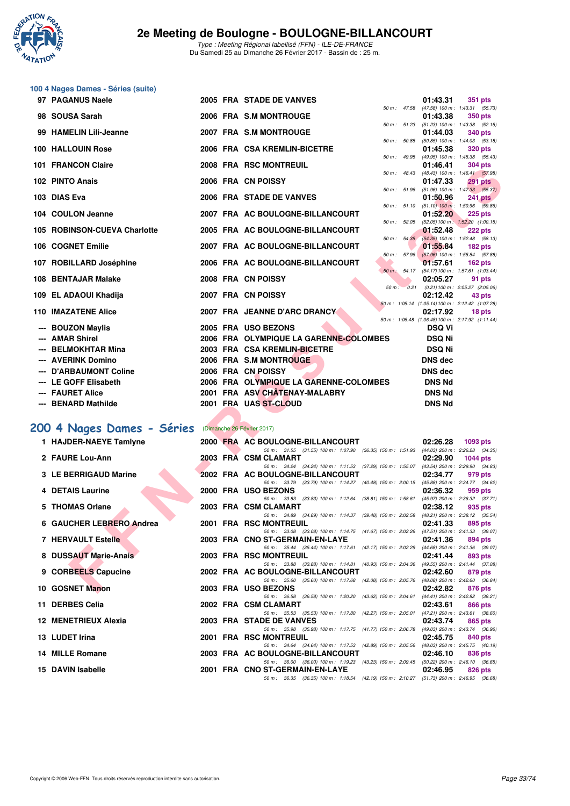

| 100 4 Nages Dames - Séries (suite) |                                                                                                                                                                                                                                                                                                                                                                         |                                                                                                                                                                                           |                                                                                                                                                                                                                                                                                                                                                                                                                                                                                                                                                                                       |                                                                                  |                                                                                                                                                                                                                                                                                                                                                                                                                                                                                                                                                                                                                                                                                                                                                   |
|------------------------------------|-------------------------------------------------------------------------------------------------------------------------------------------------------------------------------------------------------------------------------------------------------------------------------------------------------------------------------------------------------------------------|-------------------------------------------------------------------------------------------------------------------------------------------------------------------------------------------|---------------------------------------------------------------------------------------------------------------------------------------------------------------------------------------------------------------------------------------------------------------------------------------------------------------------------------------------------------------------------------------------------------------------------------------------------------------------------------------------------------------------------------------------------------------------------------------|----------------------------------------------------------------------------------|---------------------------------------------------------------------------------------------------------------------------------------------------------------------------------------------------------------------------------------------------------------------------------------------------------------------------------------------------------------------------------------------------------------------------------------------------------------------------------------------------------------------------------------------------------------------------------------------------------------------------------------------------------------------------------------------------------------------------------------------------|
|                                    |                                                                                                                                                                                                                                                                                                                                                                         |                                                                                                                                                                                           |                                                                                                                                                                                                                                                                                                                                                                                                                                                                                                                                                                                       |                                                                                  | <b>351 pts</b>                                                                                                                                                                                                                                                                                                                                                                                                                                                                                                                                                                                                                                                                                                                                    |
| 98 SOUSA Sarah                     |                                                                                                                                                                                                                                                                                                                                                                         |                                                                                                                                                                                           |                                                                                                                                                                                                                                                                                                                                                                                                                                                                                                                                                                                       | 01:43.38                                                                         | <b>350 pts</b>                                                                                                                                                                                                                                                                                                                                                                                                                                                                                                                                                                                                                                                                                                                                    |
| 99 HAMELIN Lili-Jeanne             |                                                                                                                                                                                                                                                                                                                                                                         |                                                                                                                                                                                           |                                                                                                                                                                                                                                                                                                                                                                                                                                                                                                                                                                                       | 01:44.03                                                                         | 340 pts                                                                                                                                                                                                                                                                                                                                                                                                                                                                                                                                                                                                                                                                                                                                           |
| 100 HALLOUIN Rose                  |                                                                                                                                                                                                                                                                                                                                                                         |                                                                                                                                                                                           |                                                                                                                                                                                                                                                                                                                                                                                                                                                                                                                                                                                       | 01:45.38                                                                         | (50.85) 100 m: 1:44.03 (53.18)<br><b>320 pts</b>                                                                                                                                                                                                                                                                                                                                                                                                                                                                                                                                                                                                                                                                                                  |
| 101 FRANCON Claire                 |                                                                                                                                                                                                                                                                                                                                                                         |                                                                                                                                                                                           |                                                                                                                                                                                                                                                                                                                                                                                                                                                                                                                                                                                       | 01:46.41                                                                         | (49.95) 100 m: 1:45.38 (55.43)<br><b>304 pts</b>                                                                                                                                                                                                                                                                                                                                                                                                                                                                                                                                                                                                                                                                                                  |
| 102 PINTO Anais                    |                                                                                                                                                                                                                                                                                                                                                                         |                                                                                                                                                                                           |                                                                                                                                                                                                                                                                                                                                                                                                                                                                                                                                                                                       | 01:47.33                                                                         | (48.43) 100 m: 1:46.41 (57.98)<br><b>291 pts</b>                                                                                                                                                                                                                                                                                                                                                                                                                                                                                                                                                                                                                                                                                                  |
| 103 DIAS Eva                       |                                                                                                                                                                                                                                                                                                                                                                         |                                                                                                                                                                                           |                                                                                                                                                                                                                                                                                                                                                                                                                                                                                                                                                                                       | 01:50.96                                                                         | (51.96) 100 m: 1:47.33 (55.37)<br><b>241 pts</b>                                                                                                                                                                                                                                                                                                                                                                                                                                                                                                                                                                                                                                                                                                  |
|                                    |                                                                                                                                                                                                                                                                                                                                                                         |                                                                                                                                                                                           |                                                                                                                                                                                                                                                                                                                                                                                                                                                                                                                                                                                       |                                                                                  | $225$ pts                                                                                                                                                                                                                                                                                                                                                                                                                                                                                                                                                                                                                                                                                                                                         |
|                                    |                                                                                                                                                                                                                                                                                                                                                                         |                                                                                                                                                                                           |                                                                                                                                                                                                                                                                                                                                                                                                                                                                                                                                                                                       |                                                                                  | 222 pts                                                                                                                                                                                                                                                                                                                                                                                                                                                                                                                                                                                                                                                                                                                                           |
|                                    |                                                                                                                                                                                                                                                                                                                                                                         |                                                                                                                                                                                           |                                                                                                                                                                                                                                                                                                                                                                                                                                                                                                                                                                                       |                                                                                  | $182$ pts                                                                                                                                                                                                                                                                                                                                                                                                                                                                                                                                                                                                                                                                                                                                         |
|                                    |                                                                                                                                                                                                                                                                                                                                                                         |                                                                                                                                                                                           |                                                                                                                                                                                                                                                                                                                                                                                                                                                                                                                                                                                       |                                                                                  | $(57.96)$ 100 m : 1:55.84 (57.88)                                                                                                                                                                                                                                                                                                                                                                                                                                                                                                                                                                                                                                                                                                                 |
|                                    |                                                                                                                                                                                                                                                                                                                                                                         |                                                                                                                                                                                           |                                                                                                                                                                                                                                                                                                                                                                                                                                                                                                                                                                                       |                                                                                  | $162$ pts                                                                                                                                                                                                                                                                                                                                                                                                                                                                                                                                                                                                                                                                                                                                         |
|                                    |                                                                                                                                                                                                                                                                                                                                                                         |                                                                                                                                                                                           |                                                                                                                                                                                                                                                                                                                                                                                                                                                                                                                                                                                       |                                                                                  | 91 pts                                                                                                                                                                                                                                                                                                                                                                                                                                                                                                                                                                                                                                                                                                                                            |
|                                    |                                                                                                                                                                                                                                                                                                                                                                         |                                                                                                                                                                                           |                                                                                                                                                                                                                                                                                                                                                                                                                                                                                                                                                                                       |                                                                                  | 43 pts                                                                                                                                                                                                                                                                                                                                                                                                                                                                                                                                                                                                                                                                                                                                            |
|                                    |                                                                                                                                                                                                                                                                                                                                                                         |                                                                                                                                                                                           |                                                                                                                                                                                                                                                                                                                                                                                                                                                                                                                                                                                       | 02:17.92                                                                         | 18 pts                                                                                                                                                                                                                                                                                                                                                                                                                                                                                                                                                                                                                                                                                                                                            |
| <b>BOUZON Maylis</b>               |                                                                                                                                                                                                                                                                                                                                                                         |                                                                                                                                                                                           |                                                                                                                                                                                                                                                                                                                                                                                                                                                                                                                                                                                       | <b>DSQ Vi</b>                                                                    |                                                                                                                                                                                                                                                                                                                                                                                                                                                                                                                                                                                                                                                                                                                                                   |
|                                    |                                                                                                                                                                                                                                                                                                                                                                         |                                                                                                                                                                                           |                                                                                                                                                                                                                                                                                                                                                                                                                                                                                                                                                                                       |                                                                                  |                                                                                                                                                                                                                                                                                                                                                                                                                                                                                                                                                                                                                                                                                                                                                   |
|                                    |                                                                                                                                                                                                                                                                                                                                                                         |                                                                                                                                                                                           |                                                                                                                                                                                                                                                                                                                                                                                                                                                                                                                                                                                       |                                                                                  |                                                                                                                                                                                                                                                                                                                                                                                                                                                                                                                                                                                                                                                                                                                                                   |
|                                    |                                                                                                                                                                                                                                                                                                                                                                         |                                                                                                                                                                                           |                                                                                                                                                                                                                                                                                                                                                                                                                                                                                                                                                                                       |                                                                                  |                                                                                                                                                                                                                                                                                                                                                                                                                                                                                                                                                                                                                                                                                                                                                   |
|                                    |                                                                                                                                                                                                                                                                                                                                                                         |                                                                                                                                                                                           |                                                                                                                                                                                                                                                                                                                                                                                                                                                                                                                                                                                       |                                                                                  |                                                                                                                                                                                                                                                                                                                                                                                                                                                                                                                                                                                                                                                                                                                                                   |
|                                    |                                                                                                                                                                                                                                                                                                                                                                         |                                                                                                                                                                                           |                                                                                                                                                                                                                                                                                                                                                                                                                                                                                                                                                                                       |                                                                                  |                                                                                                                                                                                                                                                                                                                                                                                                                                                                                                                                                                                                                                                                                                                                                   |
|                                    |                                                                                                                                                                                                                                                                                                                                                                         |                                                                                                                                                                                           |                                                                                                                                                                                                                                                                                                                                                                                                                                                                                                                                                                                       |                                                                                  |                                                                                                                                                                                                                                                                                                                                                                                                                                                                                                                                                                                                                                                                                                                                                   |
|                                    |                                                                                                                                                                                                                                                                                                                                                                         |                                                                                                                                                                                           |                                                                                                                                                                                                                                                                                                                                                                                                                                                                                                                                                                                       |                                                                                  |                                                                                                                                                                                                                                                                                                                                                                                                                                                                                                                                                                                                                                                                                                                                                   |
| 200 4 Nages Dames - Séries         |                                                                                                                                                                                                                                                                                                                                                                         |                                                                                                                                                                                           |                                                                                                                                                                                                                                                                                                                                                                                                                                                                                                                                                                                       |                                                                                  |                                                                                                                                                                                                                                                                                                                                                                                                                                                                                                                                                                                                                                                                                                                                                   |
|                                    |                                                                                                                                                                                                                                                                                                                                                                         | (Dimanche 26 Février 2017)                                                                                                                                                                |                                                                                                                                                                                                                                                                                                                                                                                                                                                                                                                                                                                       |                                                                                  |                                                                                                                                                                                                                                                                                                                                                                                                                                                                                                                                                                                                                                                                                                                                                   |
| 1 HAJDER-NAEYE Tamlyne             |                                                                                                                                                                                                                                                                                                                                                                         | 2000 FRA AC BOULOGNE-BILLANCOURT                                                                                                                                                          |                                                                                                                                                                                                                                                                                                                                                                                                                                                                                                                                                                                       | 02:26.28                                                                         | 1093 pts                                                                                                                                                                                                                                                                                                                                                                                                                                                                                                                                                                                                                                                                                                                                          |
| 2 FAURE Lou-Ann                    |                                                                                                                                                                                                                                                                                                                                                                         | 50 m: 31.55 (31.55) 100 m: 1:07.90 (36.35) 150 m: 1:51.93<br>2003 FRA CSM CLAMART                                                                                                         |                                                                                                                                                                                                                                                                                                                                                                                                                                                                                                                                                                                       | 02:29.90                                                                         | (44.03) 200 m : 2:26.28 (34.35)<br><b>1044 pts</b>                                                                                                                                                                                                                                                                                                                                                                                                                                                                                                                                                                                                                                                                                                |
| 3 LE BERRIGAUD Marine              |                                                                                                                                                                                                                                                                                                                                                                         | 50 m: 34.24 (34.24) 100 m: 1:11.53 (37.29) 150 m: 1:55.07 (43.54) 200 m: 2:29.90 (34.83)<br>2002 FRA AC BOULOGNE-BILLANCOURT                                                              |                                                                                                                                                                                                                                                                                                                                                                                                                                                                                                                                                                                       | 02:34.77                                                                         | 979 pts                                                                                                                                                                                                                                                                                                                                                                                                                                                                                                                                                                                                                                                                                                                                           |
| 4 DETAIS Laurine                   |                                                                                                                                                                                                                                                                                                                                                                         | 50 m: 33.79 (33.79) 100 m: 1:14.27 (40.48) 150 m: 2:00.15 (45.88) 200 m: 2:34.77 (34.62)<br>2000 FRA USO BEZONS                                                                           |                                                                                                                                                                                                                                                                                                                                                                                                                                                                                                                                                                                       | 02:36.32                                                                         | 959 pts                                                                                                                                                                                                                                                                                                                                                                                                                                                                                                                                                                                                                                                                                                                                           |
| 5 THOMAS Orlane                    |                                                                                                                                                                                                                                                                                                                                                                         | 50 m: 33.83 (33.83) 100 m: 1:12.64 (38.81) 150 m: 1:58.61<br>2003 FRA CSM CLAMART                                                                                                         |                                                                                                                                                                                                                                                                                                                                                                                                                                                                                                                                                                                       | 02:38.12                                                                         | (45.97) 200 m : 2:36.32 (37.71)<br>935 pts                                                                                                                                                                                                                                                                                                                                                                                                                                                                                                                                                                                                                                                                                                        |
| 6 GAUCHER LEBRERO Andrea           |                                                                                                                                                                                                                                                                                                                                                                         | 50 m: 34.89 (34.89) 100 m: 1:14.37 (39.48) 150 m: 2:02.58<br>2001 FRA RSC MONTREUIL                                                                                                       |                                                                                                                                                                                                                                                                                                                                                                                                                                                                                                                                                                                       | 02:41.33                                                                         | (48.21) 200 m : 2:38.12 (35.54)<br>895 pts                                                                                                                                                                                                                                                                                                                                                                                                                                                                                                                                                                                                                                                                                                        |
| 7 HERVAULT Estelle                 |                                                                                                                                                                                                                                                                                                                                                                         | 50 m: 33.08 (33.08) 100 m: 1:14.75 (41.67) 150 m: 2:02.26 (47.51) 200 m: 2:41.33 (39.07)<br>2003 FRA CNO ST-GERMAIN-EN-LAYE                                                               |                                                                                                                                                                                                                                                                                                                                                                                                                                                                                                                                                                                       | 02:41.36                                                                         | 894 pts                                                                                                                                                                                                                                                                                                                                                                                                                                                                                                                                                                                                                                                                                                                                           |
| 8 DUSSAUT Marie-Anais              |                                                                                                                                                                                                                                                                                                                                                                         | 50 m: 35.44 (35.44) 100 m: 1:17.61 (42.17) 150 m: 2:02.29<br>2003 FRA RSC MONTREUIL                                                                                                       |                                                                                                                                                                                                                                                                                                                                                                                                                                                                                                                                                                                       | 02:41.44                                                                         | (44.68) 200 m : 2:41.36 (39.07)<br>893 pts                                                                                                                                                                                                                                                                                                                                                                                                                                                                                                                                                                                                                                                                                                        |
| 9 CORBEELS Capucine                |                                                                                                                                                                                                                                                                                                                                                                         | 50 m: 33.88 (33.88) 100 m: 1:14.81 (40.93) 150 m: 2:04.36<br>2002 FRA AC BOULOGNE-BILLANCOURT<br>50 m: 35.60 (35.60) 100 m: 1:17.68 (42.08) 150 m: 2:05.76 (48.08) 200 m: 2:42.60 (36.84) |                                                                                                                                                                                                                                                                                                                                                                                                                                                                                                                                                                                       | 02:42.60                                                                         | (49.55) 200 m : 2:41.44 (37.08)<br>879 pts                                                                                                                                                                                                                                                                                                                                                                                                                                                                                                                                                                                                                                                                                                        |
|                                    | 97 PAGANUS Naele<br>104 COULON Jeanne<br>105 ROBINSON-CUEVA Charlotte<br>106 COGNET Emilie<br>107 ROBILLARD Joséphine<br>108 BENTAJAR Malake<br>109 EL ADAOUI Khadija<br><b>110 IMAZATENE Alice</b><br><b>AMAR Shirel</b><br><b>BELMOKHTAR Mina</b><br>--- AVERINK Domino<br>--- D'ARBAUMONT Coline<br>--- LE GOFF Elisabeth<br>--- FAURET Alice<br>--- BENARD Mathilde |                                                                                                                                                                                           | 2005 FRA STADE DE VANVES<br>2006 FRA S.M MONTROUGE<br>2007 FRA S.M MONTROUGE<br>2006 FRA CSA KREMLIN-BICETRE<br>2008 FRA RSC MONTREUIL<br>2006 FRA CN POISSY<br>2006 FRA STADE DE VANVES<br>2007 FRA AC BOULOGNE-BILLANCOURT<br>2005 FRA AC BOULOGNE-BILLANCOURT<br>2007 FRA AC BOULOGNE-BILLANCOURT<br>2006 FRA AC BOULOGNE-BILLANCOURT<br>2008 FRA CN POISSY<br>2007 FRA CN POISSY<br>2007 FRA JEANNE D'ARC DRANCY<br>2005 FRA USO BEZONS<br>2003 FRA CSA KREMLIN-BICETRE<br>2006 FRA S.M MONTROUGE<br>2006 FRA CN POISSY<br>2001 FRA ASV CHÂTENAY-MALABRY<br>2001 FRA UAS ST-CLOUD | 2006 FRA OLYMPIQUE LA GARENNE-COLOMBES<br>2006 FRA OLYMPIQUE LA GARENNE-COLOMBES | 01:43.31<br>50 m: 47.58 (47.58) 100 m: 1:43.31 (55.73)<br>50 m: 51.23 (51.23) 100 m: 1:43.38 (52.15)<br>50 m : 50.85<br>50 m : 49.95<br>50 m : 48.43<br>50 m : 51.96<br>50 m : 51.10 (51.10) 100 m : 1:50.96 (59.86)<br>01:52.20<br>50 m: 52.05 (52.05) 100 m: 1:52.20 (1:00.15)<br>01:52.48<br>50 m : 54.35 (54.35) 100 m : 1:52.48 (58.13)<br>01:55.84<br>$50 m$ : $57.96$<br>01:57.61<br>50 m : 54.17 (54.17) 100 m : 1:57.61 (1:03.44)<br>02:05.27<br>50 m: 0.21 (0.21) 100 m: 2:05.27 (2:05.06)<br>02:12.42<br>50 m: 1:05.14 (1:05.14) 100 m: 2:12.42 (1:07.28)<br>50 m: 1:06.48 (1:06.48) 100 m: 2:17.92 (1:11.44)<br><b>DSQ Ni</b><br><b>DSQ Ni</b><br><b>DNS dec</b><br><b>DNS dec</b><br><b>DNS Nd</b><br><b>DNS Nd</b><br><b>DNS Nd</b> |

## [200 4 Nages Dames - Séries](http://www.ffnatation.fr/webffn/resultats.php?idact=nat&go=epr&idcpt=42219&idepr=41) (Dimanche 26 Février 2017)

| 1 HAJDER-NAEYE Tamlyne                |  | 2000 FRA AC BOULOGNE-BILLANCOURT 02:26.28 1093 pts                                                                   |          |                    |  |
|---------------------------------------|--|----------------------------------------------------------------------------------------------------------------------|----------|--------------------|--|
|                                       |  | 50 m: 31.55 (31.55) 100 m: 1:07.90 (36.35) 150 m: 1:51.93 (44.03) 200 m: 2:26.28 (34.35)                             |          |                    |  |
| 2 FAURE Lou-Ann                       |  | 2003 FRA CSM CLAMART                                                                                                 |          | 02:29.90 1044 pts  |  |
|                                       |  | 50 m: 34.24 (34.24) 100 m: 1:11.53 (37.29) 150 m: 1:55.07 (43.54) 200 m: 2:29.90 (34.83)                             |          |                    |  |
| 3 LE BERRIGAUD Marine                 |  | 2002 FRA AC BOULOGNE-BILLANCOURT                                                                                     | 02:34.77 | 979 pts            |  |
| 4 DETAIS Laurine                      |  | 50 m: 33.79 (33.79) 100 m: 1:14.27 (40.48) 150 m: 2:00.15 (45.88) 200 m: 2:34.77 (34.62)<br>2000 FRA USO BEZONS      | 02:36.32 | 959 pts            |  |
|                                       |  | 50 m: 33.83 (33.83) 100 m: 1:12.64 (38.81) 150 m: 1:58.61 (45.97) 200 m: 2:36.32 (37.71)                             |          |                    |  |
| 5 THOMAS Orlane                       |  | 2003 FRA CSM CLAMART                                                                                                 | 02:38.12 | 935 pts            |  |
|                                       |  | 50 m: 34.89 (34.89) 100 m: 1:14.37 (39.48) 150 m: 2:02.58 (48.21) 200 m: 2:38.12 (35.54)                             |          |                    |  |
| 6 GAUCHER LEBRERO Andrea              |  | 2001 FRA RSC MONTREUIL                                                                                               |          | $02:41.33$ 895 pts |  |
|                                       |  | 50 m: 33.08 (33.08) 100 m: 1:14.75 (41.67) 150 m: 2:02.26 (47.51) 200 m: 2:41.33 (39.07)                             |          |                    |  |
| 7 HERVAULT Estelle                    |  | 2003 FRA CNO ST-GERMAIN-EN-LAYE 2003 FRA CNO ST-GERMAIN-EN-LAYE                                                      |          | 894 pts            |  |
|                                       |  | 50 m: 35.44 (35.44) 100 m: 1:17.61 (42.17) 150 m: 2:02.29 (44.68) 200 m: 2:41.36 (39.07)                             |          |                    |  |
| 8 DUSSAUT Marie-Anais                 |  | 2003 FRA RSC MONTREUIL                                                                                               | 02:41.44 | 893 pts            |  |
|                                       |  | 50 m: 33.88 (33.88) 100 m: 1:14.81 (40.93) 150 m: 2:04.36 (49.55) 200 m: 2:41.44 (37.08)                             |          |                    |  |
| $\overline{a}$<br>9 CORBEELS Capucine |  | 2002 FRA AC BOULOGNE-BILLANCOURT                                                                                     | 02:42.60 | 879 pts            |  |
|                                       |  | 50 m: 35.60 (35.60) 100 m: 1:17.68 (42.08) 150 m: 2:05.76 (48.08) 200 m: 2:42.60 (36.84)                             |          |                    |  |
| 10 GOSNET Manon                       |  | 2003 FRA USO BEZONS                                                                                                  | 02:42.82 | 876 pts            |  |
|                                       |  | 50 m: 36.58 (36.58) 100 m: 1:20.20 (43.62) 150 m: 2:04.61 (44.41) 200 m: 2:42.82 (38.21)                             |          |                    |  |
| 11 DERBES Celia                       |  | 2002 FRA CSM CLAMART                                                                                                 | 02:43.61 | 866 pts            |  |
| 12 MENETRIEUX Alexia                  |  | 50 m: 35.53 (35.53) 100 m: 1:17.80 (42.27) 150 m: 2:05.01 (47.21) 200 m: 2:43.61 (38.60)<br>2003 FRA STADE DE VANVES | 02:43.74 | 865 pts            |  |
|                                       |  | 50 m: 35.98 (35.98) 100 m: 1:17.75 (41.77) 150 m: 2:06.78 (49.03) 200 m: 2:43.74 (36.96)                             |          |                    |  |
| 13 LUDET Irina                        |  | 2001 FRA RSC MONTREUIL                                                                                               | 02:45.75 | 840 pts            |  |
|                                       |  | 50 m: 34.64 (34.64) 100 m: 1:17.53 (42.89) 150 m: 2:05.56 (48.03) 200 m: 2:45.75 (40.19)                             |          |                    |  |
| 14 MILLE Romane                       |  | 2003 FRA AC BOULOGNE-BILLANCOURT                                                                                     |          | 02:46.10 836 pts   |  |
|                                       |  | 50 m: 36.00 (36.00) 100 m: 1:19.23 (43.23) 150 m: 2:09.45 (50.22) 200 m: 2:46.10 (36.65)                             |          |                    |  |
| 15 DAVIN Isabelle                     |  | 2001 FRA CNO ST-GERMAIN-EN-LAYE 62:46.95 826 pts                                                                     |          |                    |  |
|                                       |  | 50 m: 36.35 (36.35) 100 m: 1:18.54 (42.19) 150 m: 2:10.27 (51.73) 200 m: 2:46.95 (36.68)                             |          |                    |  |
|                                       |  |                                                                                                                      |          |                    |  |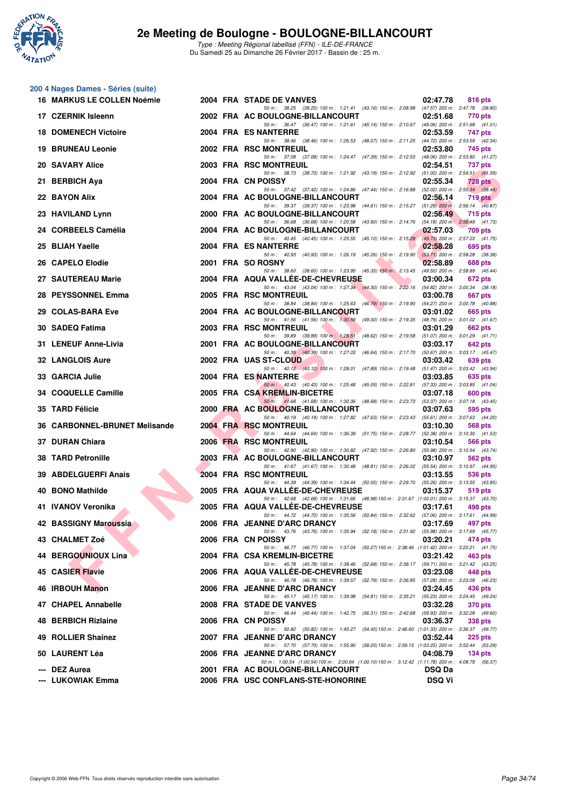

Type : Meeting Régional labellisé (FFN) - ILE-DE-FRANCE Du Samedi 25 au Dimanche 26 Février 2017 - Bassin de : 25 m.

| 200 4 Nages Dames - Séries (suite) |  |                                                                                                                                      |               |                                                |
|------------------------------------|--|--------------------------------------------------------------------------------------------------------------------------------------|---------------|------------------------------------------------|
| 16 MARKUS LE COLLEN Noémie         |  | 2004 FRA STADE DE VANVES<br>50 m: 38.25 (38.25) 100 m: 1:21.41 (43.16) 150 m: 2:08.98 (47.57) 200 m: 2:47.78 (38.80)                 | 02:47.78      | 816 pts                                        |
| 17 CZERNIK Isleenn                 |  | 2002 FRA AC BOULOGNE-BILLANCOURT                                                                                                     | 02:51.68      | 770 pts                                        |
| <b>18 DOMENECH Victoire</b>        |  | 50 m: 36.47 (36.47) 100 m: 1:21.61 (45.14) 150 m: 2:10.67 (49.06) 200 m: 2:51.68 (41.01)<br>2004 FRA ES NANTERRE                     | 02:53.59      | 747 pts                                        |
| <b>19 BRUNEAU Leonie</b>           |  | 50 m: 38.46 (38.46) 100 m: 1:26.53 (48.07) 150 m: 2:11.25 (44.72) 200 m: 2:53.59 (42.34)<br>2002 FRA RSC MONTREUIL                   | 02:53.80      | 745 pts                                        |
| <b>20 SAVARY Alice</b>             |  | 50 m: 37.08 (37.08) 100 m: 1:24.47 (47.39) 150 m: 2:12.53<br>2003 FRA RSC MONTREUIL                                                  | 02:54.51      | (48.06) 200 m : 2:53.80 (41.27)<br>737 pts     |
| 21 BERBICH Aya                     |  | 50 m: 38.73 (38.73) 100 m: 1:21.92 (43.19) 150 m: 2:12.92 (51.00) 200 m: 2:54.51 (41.59)<br>2004 FRA CN POISSY                       | 02:55.34      | 728 pts                                        |
| 22 BAYON Alix                      |  | 50 m: 37.42 (37.42) 100 m: 1:24.86 (47.44) 150 m: 2:16.88 (52.02) 200 m: 2:55.34 (38.46)<br>2004 FRA AC BOULOGNE-BILLANCOURT         | 02:56.14      | 719 pts                                        |
|                                    |  | 50 m: 39.37 (39.37) 100 m: 1:23.98 (44.61) 150 m: 2:15.27 (51.29) 200 m: 2:56.14 (40.87)                                             |               |                                                |
| 23 HAVILAND Lynn                   |  | 2000 FRA AC BOULOGNE-BILLANCOURT<br>50 m: 36.68 (36.68) 100 m: 1:20.58 (43.90) 150 m: 2:14.76 (54.18) 200 m: 2:56.49 (41.73)         | 02:56.49      | 715 pts                                        |
| 24 CORBEELS Camélia                |  | 2004 FRA AC BOULOGNE-BILLANCOURT<br>50 m: 40.45 (40.45) 100 m: 1:25.55 (45.10) 150 m: 2:15.28 (49.73) 200 m: 2:57.03 (41.75)         | 02:57.03      | 709 pts                                        |
| 25 BLIAH Yaelle                    |  | 2004 FRA ES NANTERRE<br>50 m: 40.93 (40.93) 100 m: 1:26.19 (45.26) 150 m: 2:19.90                                                    | 02:58.28      | 695 pts<br>$(53.71)$ 200 m : 2:58.28 $(38.38)$ |
| 26 CAPELO Elodie                   |  | 2001 FRA SO ROSNY<br>50 m : 38.60 (38.60) 100 m : 1:23.95 (45.35) 150 m : 2:13.45                                                    | 02:58.89      | 688 pts<br>(49.50) 200 m : 2:58.89 (45.44)     |
| 27 SAUTEREAU Marie                 |  | 2004 FRA AQUA VALLEE-DE-CHEVREUSE<br>50 m: 43.04 (43.04) 100 m: 1:27.34 (44.30) 150 m: 2:22.16 (54.82) 200 m: 3:00.34 (38.18)        | 03:00.34      | 672 pts                                        |
| 28 PEYSSONNEL Emma                 |  | 2005 FRA RSC MONTREUIL                                                                                                               | 03:00.78      | 667 pts                                        |
| 29 COLAS-BARA Eve                  |  | 50 m: 38.84 (38.84) 100 m: 1:25.63 (46.79) 150 m: 2:19.90 (54.27) 200 m: 3:00.78 (40.88)<br>2004 FRA AC BOULOGNE-BILLANCOURT         | 03:01.02      | 665 pts                                        |
| 30 SADEQ Fatima                    |  | 50 m: 41.56 (41.56) 100 m: 1:30.56 (49.00) 150 m: 2:19.35 (48.79) 200 m: 3:01.02 (41.67)<br>2003 FRA RSC MONTREUIL                   | 03:01.29      | 662 pts                                        |
| 31 LENEUF Anne-Livia               |  | 50 m: 39.89 (39.89) 100 m: 1:28.51 (48.62) 150 m: 2:19.58 (51.07) 200 m: 3:01.29 (41.71)<br>2001 FRA AC BOULOGNE-BILLANCOURT         | 03:03.17      | 642 pts                                        |
| <b>32 LANGLOIS Aure</b>            |  | 50 m : 40.39 (40.39) 100 m : 1:27.03 (46.64) 150 m : 2:17.70<br>2002 FRA UAS ST-CLOUD                                                | 03:03.42      | (50.67) 200 m : 3:03.17 (45.47)<br>639 pts     |
| 33 GARCIA Julie                    |  | 50 m: 40.12 (40.12) 100 m: 1:28.01 (47.89) 150 m: 2:19.48<br>2004 FRA ES NANTERRE                                                    | 03:03.85      | $(51.47)$ 200 m : 3:03.42 $(43.94)$<br>635 pts |
|                                    |  | 50 m : 40.43 (40.43) 100 m : 1:25.48 (45.05) 150 m : 2:22.81                                                                         |               | (57.33) 200 m : 3:03.85 (41.04)                |
| 34 COQUELLE Camille                |  | 2005 FRA CSA KREMLIN-BICETRE<br>50 m: 41.68 (41.68) 100 m: 1:30.36 (48.68) 150 m: 2:23.73 (53.37) 200 m: 3:07.18 (43.45)             | 03:07.18      | 600 pts                                        |
| 35 TARD Félicie                    |  | 2000 FRA AC BOULOGNE-BILLANCOURT<br>50 m: 40.19 (40.19) 100 m: 1:27.82 (47.63) 150 m: 2:23.43 (55.61) 200 m: 3:07.63 (44.20)         | 03:07.63      | 595 pts                                        |
| 36 CARBONNEL-BRUNET Melisande      |  | <b>2004 FRA RSC MONTREUIL</b><br>50 m: 44.64 (44.64) 100 m: 1:36.39 (51.75) 150 m: 2:28.77                                           | 03:10.30      | 568 pts<br>$(52.38)$ 200 m : 3:10.30 $(41.53)$ |
| 37 DURAN Chiara                    |  | 2006 FRA RSC MONTREUIL<br>50 m: 42.90 (42.90) 100 m: 1:30.82 (47.92) 150 m: 2:26.80                                                  | 03:10.54      | 566 pts<br>(55.98) 200 m : 3:10.54 (43.74)     |
| <b>38 TARD Petronille</b>          |  | 2003 FRA AC BOULOGNE-BILLANCOURT<br>50 m: 41.67 (41.67) 100 m: 1:30.48 (48.81) 150 m: 2:26.02 (55.54) 200 m: 3:10.97 (44.95)         | 03:10.97      | 562 pts                                        |
| 39 ABDELGUERFI Anais               |  | 2004 FRA RSC MONTREUIL                                                                                                               | 03:13.55      | 536 pts                                        |
| 40 BONO Mathilde                   |  | 50 m: 44.39 (44.39) 100 m: 1:34.44 (50.05) 150 m: 2:29.70 (55.26) 200 m: 3:13.55 (43.85)<br>2005 FRA AQUA VALLEE-DE-CHEVREUSE        | 03:15.37      | 519 pts                                        |
| 41 IVANOV Veronika                 |  | 50 m: 42.68 (42.68) 100 m: 1:31.66 (48.98) 150 m: 2:31.67 (1:00.01) 200 m: 3:15.37 (43.70)<br>2005 FRA AQUA VALLEE-DE-CHEVREUSE      | 03:17.61      | 498 pts                                        |
| 42 BASSIGNY Maroussia              |  | 50 m : 44.72 (44.72) 100 m : 1:35.56 (50.84) 150 m : 2:32.62 (57.06) 200 m : 3:17.61 (44.99)<br>2006 FRA JEANNE D'ARC DRANCY         | 03:17.69      | 497 pts                                        |
| 43 CHALMET Zoé                     |  | 50 m: 43.76 (43.76) 100 m: 1:35.94 (52.18) 150 m: 2:31.92 (55.98) 200 m: 3:17.69 (45.77)<br>2006 FRA CN POISSY                       | 03:20.21      | 474 pts                                        |
| 44 BERGOUNIOUX Lina                |  | 50 m: 46.77 (46.77) 100 m: 1:37.04 (50.27) 150 m: 2:38.46 (1:01.42) 200 m: 3:20.21 (41.75)<br>2004 FRA CSA KREMLIN-BICETRE           | 03:21.42      | 463 pts                                        |
|                                    |  | 50 m: 45.78 (45.78) 100 m: 1:38.46 (52.68) 150 m: 2:38.17 (59.71) 200 m: 3:21.42 (43.25)                                             |               |                                                |
| 45 CASIER Flavie                   |  | 2006 FRA AQUA VALLEE-DE-CHEVREUSE<br>50 m: 46.78 (46.78) 100 m: 1:39.57 (52.79) 150 m: 2:36.85 (57.28) 200 m: 3:23.08 (46.23)        | 03:23.08      | 448 pts                                        |
| 46 IRBOUH Manon                    |  | 2006 FRA JEANNE D'ARC DRANCY<br>50 m: 45.17 (45.17) 100 m: 1:39.98 (54.81) 150 m: 2:35.21 (55.23) 200 m: 3:24.45 (49.24)             | 03:24.45      | 436 pts                                        |
| 47 CHAPEL Annabelle                |  | 2008 FRA STADE DE VANVES<br>50 m: 46.44 (46.44) 100 m: 1.42.75 (56.31) 150 m: 2.42.68 (59.93) 200 m: 3.32.28 (49.60)                 | 03:32.28      | <b>370 pts</b>                                 |
| 48 BERBICH Rizlaine                |  | 2006 FRA CN POISSY<br>50 m: 50.82 (50.82) 100 m: 1:45.27 (54.45) 150 m: 2:46.60 (1:01.33) 200 m: 3:36.37 (49.77)                     | 03:36.37      | <b>338 pts</b>                                 |
| 49 ROLLIER Shainez                 |  | 2007 FRA JEANNE D'ARC DRANCY                                                                                                         | 03:52.44      | <b>225 pts</b>                                 |
| 50 LAURENT Léa                     |  | 50 m: 57.70 (57.70) 100 m: 1:55.90 (58.20) 150 m: 2:59.15 (1:03.25) 200 m: 3:52.44 (53.29)<br>2006 FRA JEANNE D'ARC DRANCY           | 04:08.79      | $134$ pts                                      |
| --- DEZ Aurea                      |  | 50 m: 1:00.54 (1:00.54) 100 m: 2:00.64 (1:00.10) 150 m: 3:12.42 (1:11.78) 200 m: 4:08.79 (56.37)<br>2001 FRA AC BOULOGNE-BILLANCOURT | <b>DSQ Da</b> |                                                |
| --- LUKOWIAK Emma                  |  | 2006 FRA USC CONFLANS-STE-HONORINE                                                                                                   | <b>DSQ Vi</b> |                                                |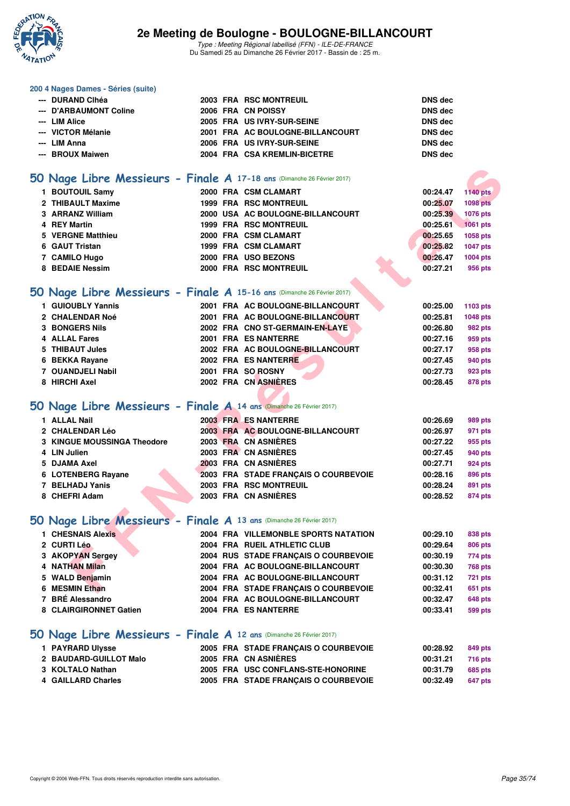

Type : Meeting Régional labellisé (FFN) - ILE-DE-FRANCE Du Samedi 25 au Dimanche 26 Février 2017 - Bassin de : 25 m.

#### **200 4 Nages Dames - Séries (suite)**

| --- DURAND Clhéa       |  | 2003 FRA RSC MONTREUIL           | DNS dec        |
|------------------------|--|----------------------------------|----------------|
| --- D'ARBAUMONT Coline |  | 2006 FRA CN POISSY               | <b>DNS</b> dec |
| --- LIM Alice          |  | 2005 FRA US IVRY-SUR-SEINE       | DNS dec        |
| --- VICTOR Mélanie     |  | 2001 FRA AC BOULOGNE-BILLANCOURT | <b>DNS</b> dec |
| --- LIM Anna           |  | 2006 FRA US IVRY-SUR-SEINE       | <b>DNS</b> dec |
| --- BROUX Maiwen       |  | 2004 FRA CSA KREMLIN-BICETRE     | <b>DNS</b> dec |

## **[50 Nage Libre Messieurs - Finale A](http://www.ffnatation.fr/webffn/resultats.php?idact=nat&go=epr&idcpt=42219&idepr=51) 17-18 ans** (Dimanche 26 Février 2017)

| $50$ Nage Libre Messieurs - Finale A 17-18 ans (Dimanche 26 Février 2017) |  |                                      |          |                 |
|---------------------------------------------------------------------------|--|--------------------------------------|----------|-----------------|
| 1 BOUTOUIL Samy                                                           |  | 2000 FRA CSM CLAMART                 | 00:24.47 | <b>1140 pts</b> |
| 2 THIBAULT Maxime                                                         |  | <b>1999 FRA RSC MONTREUIL</b>        | 00:25.07 | <b>1098 pts</b> |
| 3 ARRANZ William                                                          |  | 2000 USA AC BOULOGNE-BILLANCOURT     | 00:25.39 | 1076 pts        |
| 4 REY Martin                                                              |  | <b>1999 FRA RSC MONTREUIL</b>        | 00:25.61 | 1061 pts        |
| 5 VERGNE Matthieu                                                         |  | 2000 FRA CSM CLAMART                 | 00:25.65 | 1058 pts        |
| 6 GAUT Tristan                                                            |  | 1999 FRA CSM CLAMART                 | 00:25.82 | <b>1047 pts</b> |
| 7 CAMILO Hugo                                                             |  | 2000 FRA USO BEZONS                  | 00:26.47 | 1004 pts        |
| 8 BEDAIE Nessim                                                           |  | 2000 FRA RSC MONTREUIL               | 00:27.21 | 956 pts         |
|                                                                           |  |                                      |          |                 |
| 50 Nage Libre Messieurs - Finale A 15-16 ans (Dimanche 26 Février 2017)   |  |                                      |          |                 |
| 1 GUIOUBLY Yannis                                                         |  | 2001 FRA AC BOULOGNE-BILLANCOURT     | 00:25.00 | 1103 pts        |
| 2 CHALENDAR Noé                                                           |  | 2001 FRA AC BOULOGNE-BILLANCOURT     | 00:25.81 | <b>1048 pts</b> |
| <b>3 BONGERS Nils</b>                                                     |  | 2002 FRA CNO ST-GERMAIN-EN-LAYE      | 00:26.80 | 982 pts         |
| <b>4 ALLAL Fares</b>                                                      |  | 2001 FRA ES NANTERRE                 | 00:27.16 | 959 pts         |
| 5 THIBAUT Jules                                                           |  | 2002 FRA AC BOULOGNE-BILLANCOURT     | 00:27.17 | 958 pts         |
| 6 BEKKA Rayane                                                            |  | 2002 FRA ES NANTERRE                 | 00:27.45 | 940 pts         |
| 7 OUANDJELI Nabil                                                         |  | 2001 FRA SO ROSNY                    | 00:27.73 | 923 pts         |
| 8 HIRCHI Axel                                                             |  | 2002 FRA CN ASNIÈRES                 | 00:28.45 | 878 pts         |
|                                                                           |  |                                      |          |                 |
| 50 Nage Libre Messieurs - Finale A 14 ans (Dimanche 26 Février 2017)      |  |                                      |          |                 |
| 1 ALLAL Nail                                                              |  | 2003 FRA ES NANTERRE                 | 00:26.69 | 989 pts         |
| 2 CHALENDAR Léo                                                           |  | 2003 FRA AC BOULOGNE-BILLANCOURT     | 00:26.97 | 971 pts         |
| <b>3 KINGUE MOUSSINGA Theodore</b>                                        |  | 2003 FRA CN ASNIERES                 | 00:27.22 | 955 pts         |
| 4 LIN Julien                                                              |  | 2003 FRA CN ASNIERES                 | 00:27.45 | 940 pts         |
| 5 DJAMA Axel                                                              |  | 2003 FRA CN ASNIÈRES                 | 00:27.71 | 924 pts         |
| 6 LOTENBERG Rayane                                                        |  | 2003 FRA STADE FRANCAIS O COURBEVOIE | 00:28.16 | 896 pts         |
| 7 BELHADJ Yanis                                                           |  | 2003 FRA RSC MONTREUIL               | 00:28.24 | 891 pts         |
| 8 CHEFRI Adam                                                             |  | 2003 FRA CN ASNIERES                 | 00:28.52 | 874 pts         |
|                                                                           |  |                                      |          |                 |
| 50 Nage Libre Messieurs - Finale A 13 ans (Dimanche 26 Février 2017)      |  |                                      |          |                 |
| 1 CHESNAIS Alexis                                                         |  | 2004 FRA VILLEMONBLE SPORTS NATATION | 00:29.10 | 838 pts         |
| 2 CURTI Léo                                                               |  | 2004 FRA RUEIL ATHLETIC CLUB         | 00:29.64 | <b>806 pts</b>  |
| 3 AKOPYAN Sergey                                                          |  | 2004 RUS STADE FRANÇAIS O COURBEVOIE | 00:30.19 | 774 pts         |
| 4 NATHAN Milan                                                            |  | 2004 FRA AC BOULOGNE-BILLANCOURT     | 00:30.30 | <b>768 pts</b>  |
| 5 WALD Benjamin                                                           |  | 2004 FRA AC BOULOGNE-BILLANCOURT     | 00:31.12 | <b>721 pts</b>  |
| 6 MESMIN Ethan                                                            |  | 2004 FRA STADE FRANÇAIS O COURBEVOIE | 00:32.41 | 651 pts         |

## **[50 Nage Libre Messieurs - Finale A](http://www.ffnatation.fr/webffn/resultats.php?idact=nat&go=epr&idcpt=42219&idepr=51) 15-16 ans** (Dimanche 26 Février 2017)

| 1 GUIOUBLY Yannis     | 2001 FRA AC BOULOGNE-BILLANCOURT | 00:25.00 | 1103 pts       |
|-----------------------|----------------------------------|----------|----------------|
| 2 CHALENDAR Noé       | 2001 FRA AC BOULOGNE-BILLANCOURT | 00:25.81 | 1048 pts       |
| <b>3 BONGERS Nils</b> | 2002 FRA CNO ST-GERMAIN-EN-LAYE  | 00:26.80 | 982 pts        |
| 4 ALLAL Fares         | 2001 FRA ES NANTERRE             | 00:27.16 | 959 pts        |
| 5 THIBAUT Jules       | 2002 FRA AC BOULOGNE-BILLANCOURT | 00:27.17 | 958 pts        |
| 6 BEKKA Rayane        | 2002 FRA ES NANTERRE             | 00:27.45 | 940 pts        |
| 7 OUANDJELI Nabil     | 2001 FRA SO ROSNY                | 00:27.73 | 923 pts        |
| 8 HIRCHI Axel         | 2002 FRA CN ASNIÈRES             | 00:28.45 | <b>878 pts</b> |

## **[50 Nage Libre Messieurs - Finale A](http://www.ffnatation.fr/webffn/resultats.php?idact=nat&go=epr&idcpt=42219&idepr=51) 14 ans** (Dimanche 26 Février 2017)

| 1 ALLAL Nail                | 2003 FRA ES NANTERRE                 | 00:26.69 | 989 pts        |
|-----------------------------|--------------------------------------|----------|----------------|
| 2 CHALENDAR Léo             | 2003 FRA AC BOULOGNE-BILLANCOURT     | 00:26.97 | 971 pts        |
| 3 KINGUE MOUSSINGA Theodore | 2003 FRA CN ASNIÈRES                 | 00:27.22 | 955 pts        |
| 4 LIN Julien                | 2003 FRA CN ASNIÈRES                 | 00:27.45 | 940 pts        |
| 5 DJAMA Axel                | 2003 FRA CN ASNIÈRES                 | 00:27.71 | <b>924 pts</b> |
| 6 LOTENBERG Rayane          | 2003 FRA STADE FRANCAIS O COURBEVOIE | 00:28.16 | 896 pts        |
| 7 BELHADJ Yanis             | 2003 FRA RSC MONTREUIL               | 00:28.24 | 891 pts        |
| 8 CHEFRI Adam               | 2003 FRA CN ASNIÈRES                 | 00:28.52 | <b>874 pts</b> |

## **[50 Nage Libre Messieurs - Finale A](http://www.ffnatation.fr/webffn/resultats.php?idact=nat&go=epr&idcpt=42219&idepr=51) 13 ans** (Dimanche 26 Février 2017)

| 1 CHESNAIS Alexis      | 2004 FRA VILLEMONBLE SPORTS NATATION | 00:29.10 | 838 pts        |
|------------------------|--------------------------------------|----------|----------------|
| 2 CURTI Léo            | 2004 FRA RUEIL ATHLETIC CLUB         | 00:29.64 | <b>806 pts</b> |
| 3 AKOPYAN Sergey       | 2004 RUS STADE FRANCAIS O COURBEVOIE | 00:30.19 | 774 pts        |
| 4 NATHAN Milan         | 2004 FRA AC BOULOGNE-BILLANCOURT     | 00:30.30 | <b>768 pts</b> |
| 5 WALD Benjamin        | 2004 FRA AC BOULOGNE-BILLANCOURT     | 00:31.12 | 721 pts        |
| 6 MESMIN Ethan         | 2004 FRA STADE FRANCAIS O COURBEVOIE | 00:32.41 | 651 pts        |
| 7 BRÉ Alessandro       | 2004 FRA AC BOULOGNE-BILLANCOURT     | 00:32.47 | <b>648 pts</b> |
| 8 CLAIRGIRONNET Gatien | 2004 FRA ES NANTERRE                 | 00:33.41 | 599 pts        |

### **[50 Nage Libre Messieurs - Finale A](http://www.ffnatation.fr/webffn/resultats.php?idact=nat&go=epr&idcpt=42219&idepr=51) 12 ans** (Dimanche 26 Février 2017)

| <b>1 PAYRARD Ulysse</b> |  | 2005 FRA STADE FRANÇAIS O COURBEVOIE | 00:28.92 | 849 pts        |
|-------------------------|--|--------------------------------------|----------|----------------|
| 2 BAUDARD-GUILLOT Malo  |  | 2005 FRA CN ASNIÈRES                 | 00:31.21 | <b>716 pts</b> |
| 3 KOLTALO Nathan        |  | 2005 FRA USC CONFLANS-STE-HONORINE   | 00:31.79 | 685 pts        |
| 4 GAILLARD Charles      |  | 2005 FRA STADE FRANCAIS O COURBEVOIE | 00:32.49 | 647 pts        |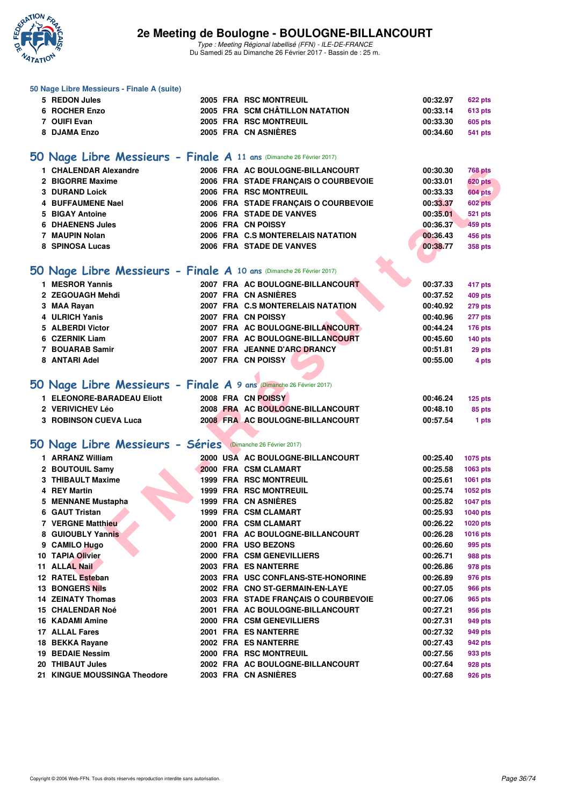

**50 Nage Libre Messieurs - Finale A (suite)**

## **2e Meeting de Boulogne - BOULOGNE-BILLANCOURT**

Type : Meeting Régional labellisé (FFN) - ILE-DE-FRANCE Du Samedi 25 au Dimanche 26 Février 2017 - Bassin de : 25 m.

| 5 REDON Jules                                                        |  | 2005 FRA RSC MONTREUIL               | 00:32.97 | 622 pts         |
|----------------------------------------------------------------------|--|--------------------------------------|----------|-----------------|
| 6 ROCHER Enzo                                                        |  | 2005 FRA SCM CHÂTILLON NATATION      | 00:33.14 | 613 pts         |
| 7 OUIFI Evan                                                         |  | 2005 FRA RSC MONTREUIL               | 00:33.30 | 605 pts         |
| 8 DJAMA Enzo                                                         |  | 2005 FRA CN ASNIÈRES                 | 00:34.60 | <b>541 pts</b>  |
|                                                                      |  |                                      |          |                 |
| 50 Nage Libre Messieurs - Finale A 11 ans (Dimanche 26 Février 2017) |  |                                      |          |                 |
| 1 CHALENDAR Alexandre                                                |  | 2006 FRA AC BOULOGNE-BILLANCOURT     | 00:30.30 | <b>768 pts</b>  |
| 2 BIGORRE Maxime                                                     |  | 2006 FRA STADE FRANÇAIS O COURBEVOIE | 00:33.01 | <b>620 pts</b>  |
| <b>3 DURAND Loick</b>                                                |  | 2006 FRA RSC MONTREUIL               | 00:33.33 | 604 pts         |
| 4 BUFFAUMENE Nael                                                    |  | 2006 FRA STADE FRANÇAIS O COURBEVOIE | 00:33.37 | 602 pts         |
| <b>BIGAY Antoine</b><br>5                                            |  | 2006 FRA STADE DE VANVES             | 00:35.01 | <b>521 pts</b>  |
| <b>6 DHAENENS Jules</b>                                              |  | 2006 FRA CN POISSY                   | 00:36.37 | 459 pts         |
| 7 MAUPIN Nolan                                                       |  | 2006 FRA C.S MONTERELAIS NATATION    | 00:36.43 | 456 pts         |
| 8 SPINOSA Lucas                                                      |  | 2006 FRA STADE DE VANVES             | 00:38.77 | 358 pts         |
|                                                                      |  |                                      |          |                 |
| 50 Nage Libre Messieurs - Finale A 10 ans (Dimanche 26 Février 2017) |  |                                      |          |                 |
|                                                                      |  |                                      |          |                 |
| 1 MESROR Yannis                                                      |  | 2007 FRA AC BOULOGNE-BILLANCOURT     | 00:37.33 | 417 pts         |
| 2 ZEGOUAGH Mehdi                                                     |  | 2007 FRA CN ASNIÈRES                 | 00:37.52 | <b>409 pts</b>  |
| 3 MAA Rayan                                                          |  | 2007 FRA C.S MONTERELAIS NATATION    | 00:40.92 | 279 pts         |
| 4 ULRICH Yanis                                                       |  | 2007 FRA CN POISSY                   | 00:40.96 | 277 pts         |
| 5 ALBERDI Victor                                                     |  | 2007 FRA AC BOULOGNE-BILLANCOURT     | 00:44.24 | 176 pts         |
| 6 CZERNIK Liam                                                       |  | 2007 FRA AC BOULOGNE-BILLANCOURT     | 00:45.60 | 140 pts         |
| 7 BOUARAB Samir                                                      |  | 2007 FRA JEANNE D'ARC DRANCY         | 00:51.81 | 29 pts          |
| 8 ANTARI Adel                                                        |  | 2007 FRA CN POISSY                   | 00:55.00 | 4 pts           |
|                                                                      |  |                                      |          |                 |
| 50 Nage Libre Messieurs - Finale A 9 ans (Dimanche 26 Février 2017)  |  |                                      |          |                 |
| 1 ELEONORE-BARADEAU Eliott                                           |  | 2008 FRA CN POISSY                   | 00:46.24 | $125$ pts       |
| 2 VERIVICHEV Léo                                                     |  | 2008 FRA AC BOULOGNE-BILLANCOURT     | 00:48.10 | 85 pts          |
| <b>3 ROBINSON CUEVA Luca</b>                                         |  | 2008 FRA AC BOULOGNE-BILLANCOURT     | 00:57.54 | 1 pts           |
|                                                                      |  |                                      |          |                 |
| 50 Nage Libre Messieurs - Séries (Dimanche 26 Février 2017)          |  |                                      |          |                 |
| 1 ARRANZ William                                                     |  | 2000 USA AC BOULOGNE-BILLANCOURT     | 00:25.40 |                 |
|                                                                      |  |                                      |          | 1075 pts        |
| 2 BOUTOUIL Samy                                                      |  | 2000 FRA CSM CLAMART                 | 00:25.58 | 1063 pts        |
| 3 THIBAULT Maxime                                                    |  | 1999 FRA RSC MONTREUIL               | 00:25.61 | 1061 pts        |
| 4 REY Martin                                                         |  | <b>1999 FRA RSC MONTREUIL</b>        | 00:25.74 | 1052 pts        |
| 5 MENNANE Mustapha                                                   |  | 1999 FRA CN ASNIÈRES                 | 00:25.82 | <b>1047 pts</b> |
| 6 GAUT Tristan                                                       |  | 1999 FRA CSM CLAMART                 | 00:25.93 | 1040 pts        |
| 7 VERGNE Matthieu                                                    |  | 2000 FRA CSM CLAMART                 | 00:26.22 | 1020 pts        |
| 8 GUIOUBLY Yannis                                                    |  | 2001 FRA AC BOULOGNE-BILLANCOURT     | 00:26.28 | 1016 pts        |
| 9 CAMILO Hugo                                                        |  | 2000 FRA USO BEZONS                  | 00:26.60 | 995 pts         |
| 10 TAPIA Olivier                                                     |  | 2000 FRA CSM GENEVILLIERS            | 00:26.71 | 988 pts         |
| 11 ALLAL Nail                                                        |  | 2003 FRA ES NANTERRE                 | 00:26.86 | 978 pts         |
| 12 RATEL Esteban                                                     |  | 2003 FRA USC CONFLANS-STE-HONORINE   | 00:26.89 | 976 pts         |
| <b>13 BONGERS Nils</b>                                               |  | 2002 FRA CNO ST-GERMAIN-EN-LAYE      | 00:27.05 | <b>966 pts</b>  |
| <b>14 ZEINATY Thomas</b>                                             |  | 2003 FRA STADE FRANCAIS O COURBEVOIE | 00:27.06 | 965 pts         |
| <b>15 CHALENDAR Noé</b>                                              |  | 2001 FRA AC BOULOGNE-BILLANCOURT     | 00:27.21 | 956 pts         |
| <b>16 KADAMI Amine</b>                                               |  | 2000 FRA CSM GENEVILLIERS            | 00:27.31 | 949 pts         |
| 17 ALLAL Fares                                                       |  | 2001 FRA ES NANTERRE                 | 00:27.32 | 949 pts         |
| 18 BEKKA Rayane                                                      |  | 2002 FRA ES NANTERRE                 | 00:27.43 | 942 pts         |
| <b>19 BEDAIE Nessim</b>                                              |  | 2000 FRA RSC MONTREUIL               | 00:27.56 | 933 pts         |
| 20 THIBAUT Jules                                                     |  | 2002 FRA AC BOULOGNE-BILLANCOURT     | 00:27.64 | 928 pts         |
| 21 KINGUE MOUSSINGA Theodore                                         |  | 2003 FRA CN ASNIÈRES                 | 00:27.68 | 926 pts         |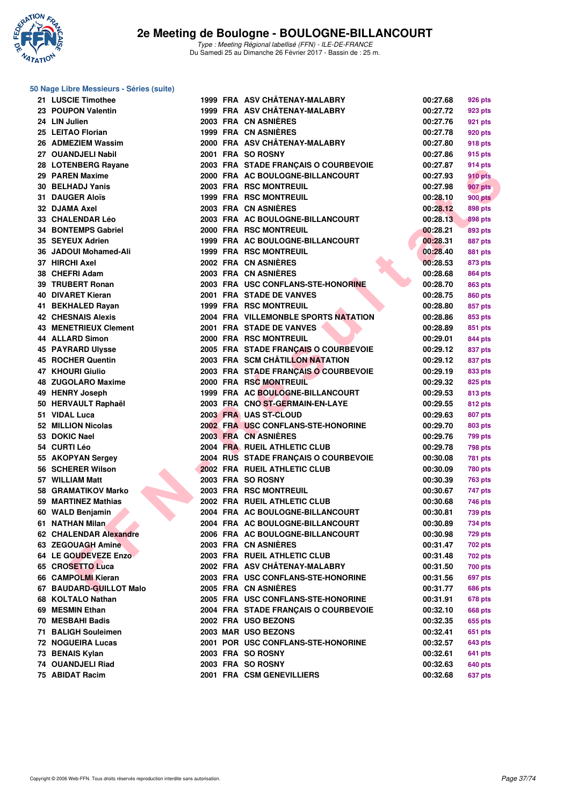

### **50 Nage Libre Messieurs - Séries (suite)**

| 21 LUSCIE Timothee        |  | 1999 FRA ASV CHÂTENAY-MALABRY        | 00:27.68 | 926 pts        |
|---------------------------|--|--------------------------------------|----------|----------------|
| 23 POUPON Valentin        |  | 1999 FRA ASV CHÂTENAY-MALABRY        | 00:27.72 | 923 pts        |
| 24 LIN Julien             |  | 2003 FRA CN ASNIERES                 | 00:27.76 | 921 pts        |
| 25 LEITAO Florian         |  | 1999 FRA CN ASNIÈRES                 | 00:27.78 | 920 pts        |
| 26 ADMEZIEM Wassim        |  | 2000 FRA ASV CHÂTENAY-MALABRY        | 00:27.80 | 918 pts        |
| 27 OUANDJELI Nabil        |  | 2001 FRA SO ROSNY                    | 00:27.86 | 915 pts        |
| 28 LOTENBERG Rayane       |  | 2003 FRA STADE FRANÇAIS O COURBEVOIE | 00:27.87 | 914 pts        |
| 29 PAREN Maxime           |  | 2000 FRA AC BOULOGNE-BILLANCOURT     | 00:27.93 | 910 pts        |
| 30 BELHADJ Yanis          |  | 2003 FRA RSC MONTREUIL               | 00:27.98 | 907 pts        |
| 31 DAUGER Aloïs           |  | 1999 FRA RSC MONTREUIL               | 00:28.10 | <b>900 pts</b> |
| 32 DJAMA Axel             |  | 2003 FRA CN ASNIERES                 | 00:28.12 | <b>898 pts</b> |
| 33   CHALENDAR Léo        |  | 2003 FRA AC BOULOGNE-BILLANCOURT     | 00:28.13 | 898 pts        |
| 34 BONTEMPS Gabriel       |  | 2000 FRA RSC MONTREUIL               | 00:28.21 | 893 pts        |
| 35 SEYEUX Adrien          |  | 1999 FRA AC BOULOGNE-BILLANCOURT     | 00:28.31 | 887 pts        |
| 36 JADOUI Mohamed-Ali     |  | <b>1999 FRA RSC MONTREUIL</b>        | 00:28.40 | <b>881 pts</b> |
| 37 HIRCHI Axel            |  | 2002 FRA CN ASNIERES                 | 00:28.53 | 873 pts        |
| 38 CHEFRI Adam            |  | 2003 FRA CN ASNIERES                 | 00:28.68 | 864 pts        |
| 39 TRUBERT Ronan          |  | 2003 FRA USC CONFLANS-STE-HONORINE   | 00:28.70 | 863 pts        |
| 40 DIVARET Kieran         |  | 2001 FRA STADE DE VANVES             | 00:28.75 | 860 pts        |
| 41 BEKHALED Rayan         |  | <b>1999 FRA RSC MONTREUIL</b>        | 00:28.80 | 857 pts        |
| <b>42 CHESNAIS Alexis</b> |  | 2004 FRA VILLEMONBLE SPORTS NATATION | 00:28.86 | 853 pts        |
| 43 MENETRIEUX Clement     |  | 2001 FRA STADE DE VANVES             | 00:28.89 | 851 pts        |
| 44 ALLARD Simon           |  | 2000 FRA RSC MONTREUIL               | 00:29.01 | 844 pts        |
| <b>45 PAYRARD Ulysse</b>  |  | 2005 FRA STADE FRANÇAIS O COURBEVOIE | 00:29.12 | 837 pts        |
| 45 ROCHER Quentin         |  | 2003 FRA SCM CHÂTILLON NATATION      | 00:29.12 | 837 pts        |
| 47 KHOURI Giulio          |  | 2003 FRA STADE FRANÇAIS O COURBEVOIE | 00:29.19 | 833 pts        |
| 48 ZUGOLARO Maxime        |  | 2000 FRA RSC MONTREUIL               | 00:29.32 | 825 pts        |
| 49 HENRY Joseph           |  | 1999 FRA AC BOULOGNE-BILLANCOURT     | 00:29.53 | 813 pts        |
| 50 HERVAULT Raphaël       |  | 2003 FRA CNO ST-GERMAIN-EN-LAYE      | 00:29.55 | 812 pts        |
| 51 VIDAL Luca             |  | 2003 FRA UAS ST-CLOUD                | 00:29.63 | 807 pts        |
| 52 MILLION Nicolas        |  | 2002 FRA USC CONFLANS-STE-HONORINE   | 00:29.70 | <b>803 pts</b> |
| 53 DOKIC Nael             |  | 2003 FRA CN ASNIERES                 | 00:29.76 | 799 pts        |
| 54 CURTI Léo              |  | 2004 FRA RUEIL ATHLETIC CLUB         | 00:29.78 | 798 pts        |
| 55 AKOPYAN Sergey         |  | 2004 RUS STADE FRANÇAIS O COURBEVOIE | 00:30.08 | 781 pts        |
| 56 SCHERER Wilson         |  | 2002 FRA RUEIL ATHLETIC CLUB         | 00:30.09 | 780 pts        |
| 57 WILLIAM Matt           |  | 2003 FRA SO ROSNY                    | 00:30.39 | 763 pts        |
| 58 GRAMATIKOV Marko       |  | 2003 FRA RSC MONTREUIL               | 00:30.67 | 747 pts        |
| 59 MARTINEZ Mathias       |  | 2002 FRA RUEIL ATHLETIC CLUB         | 00:30.68 | 746 pts        |
| 60 WALD Benjamin          |  | 2004 FRA AC BOULOGNE-BILLANCOURT     | 00:30.81 | 739 pts        |
| 61 NATHAN Milan           |  | 2004 FRA AC BOULOGNE-BILLANCOURT     | 00:30.89 | 734 pts        |
| 62 CHALENDAR Alexandre    |  | 2006 FRA AC BOULOGNE-BILLANCOURT     | 00:30.98 | 729 pts        |
| 63 ZEGOUAGH Amine         |  | 2003 FRA CN ASNIÈRES                 | 00:31.47 | 702 pts        |
| 64 LE GOUDEVEZE Enzo      |  | 2003 FRA RUEIL ATHLETIC CLUB         | 00:31.48 | 702 pts        |
| 65 CROSETTO Luca          |  | 2002 FRA ASV CHÂTENAY-MALABRY        | 00:31.50 | 700 pts        |
| 66 CAMPOLMI Kieran        |  | 2003 FRA USC CONFLANS-STE-HONORINE   | 00:31.56 | 697 pts        |
| 67 BAUDARD-GUILLOT Malo   |  | 2005 FRA CN ASNIERES                 | 00:31.77 | <b>686 pts</b> |
| 68 KOLTALO Nathan         |  | 2005 FRA USC CONFLANS-STE-HONORINE   | 00:31.91 | 678 pts        |
| 69 MESMIN Ethan           |  | 2004 FRA STADE FRANÇAIS O COURBEVOIE | 00:32.10 | 668 pts        |
| 70 MESBAHI Badis          |  | 2002 FRA USO BEZONS                  | 00:32.35 | 655 pts        |
| 71 BALIGH Souleimen       |  | 2003 MAR USO BEZONS                  | 00:32.41 | 651 pts        |
| 72 NOGUEIRA Lucas         |  | 2001 POR USC CONFLANS-STE-HONORINE   | 00:32.57 | 643 pts        |
| 73 BENAIS Kylan           |  | 2003 FRA SO ROSNY                    | 00:32.61 | 641 pts        |
| 74 OUANDJELI Riad         |  | 2003 FRA SO ROSNY                    | 00:32.63 | 640 pts        |
| 75 ABIDAT Racim           |  | 2001 FRA CSM GENEVILLIERS            | 00:32.68 | 637 pts        |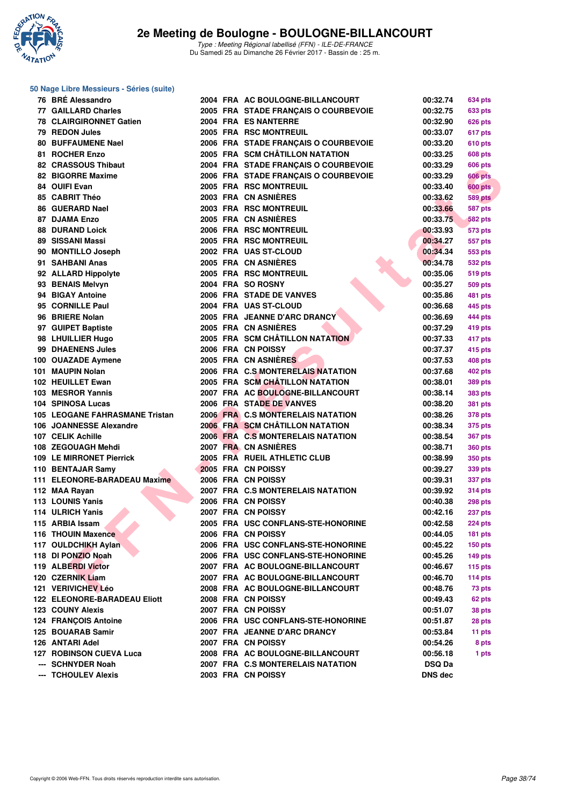

### **50 Nage Libre Messieurs - Séries (suite)**

| 76 BRÉ Alessandro              |  | 2004 FRA AC BOULOGNE-BILLANCOURT         | 00:32.74       | 634 pts        |
|--------------------------------|--|------------------------------------------|----------------|----------------|
| <b>77 GAILLARD Charles</b>     |  | 2005 FRA STADE FRANÇAIS O COURBEVOIE     | 00:32.75       | <b>633 pts</b> |
| 78 CLAIRGIRONNET Gatien        |  | 2004 FRA ES NANTERRE                     | 00:32.90       | 626 pts        |
| 79 REDON Jules                 |  | 2005 FRA RSC MONTREUIL                   | 00:33.07       | 617 pts        |
| 80 BUFFAUMENE Nael             |  | 2006 FRA STADE FRANÇAIS O COURBEVOIE     | 00:33.20       | 610 pts        |
| 81 ROCHER Enzo                 |  | 2005 FRA SCM CHÂTILLON NATATION          | 00:33.25       | 608 pts        |
| 82 CRASSOUS Thibaut            |  | 2004 FRA STADE FRANÇAIS O COURBEVOIE     | 00:33.29       | 606 pts        |
| 82 BIGORRE Maxime              |  | 2006 FRA STADE FRANÇAIS O COURBEVOIE     | 00:33.29       | <b>606 pts</b> |
| 84 OUIFI Evan                  |  | 2005 FRA RSC MONTREUIL                   | 00:33.40       | <b>600 pts</b> |
| 85 CABRIT Théo                 |  | 2003 FRA CN ASNIÈRES                     | 00:33.62       | <b>589 pts</b> |
| 86 GUERARD Nael                |  | 2003 FRA RSC MONTREUIL                   | 00:33.66       | 587 pts        |
| 87 DJAMA Enzo                  |  | 2005 FRA CN ASNIÈRES                     | 00:33.75       | <b>582 pts</b> |
| <b>88 DURAND Loick</b>         |  | 2006 FRA RSC MONTREUIL                   | 00:33.93       | 573 pts        |
| 89 SISSANI Massi               |  | 2005 FRA RSC MONTREUIL                   | 00:34.27       | <b>557 pts</b> |
| 90 MONTILLO Joseph             |  | 2002 FRA UAS ST-CLOUD                    | 00:34.34       | 553 pts        |
| 91 SAHBANI Anas                |  | 2005 FRA CN ASNIÈRES                     | 00:34.78       | 532 pts        |
| 92 ALLARD Hippolyte            |  | 2005 FRA RSC MONTREUIL                   | 00:35.06       | 519 pts        |
| 93 BENAIS Melvyn               |  | 2004 FRA SO ROSNY                        | 00:35.27       | 509 pts        |
| 94 BIGAY Antoine               |  | 2006 FRA STADE DE VANVES                 | 00:35.86       | 481 pts        |
| 95 CORNILLE Paul               |  | 2004 FRA UAS ST-CLOUD                    | 00:36.68       | 445 pts        |
| 96 BRIERE Nolan                |  | 2005 FRA JEANNE D'ARC DRANCY             | 00:36.69       | 444 pts        |
| 97 GUIPET Baptiste             |  | 2005 FRA CN ASNIÈRES                     | 00:37.29       | 419 pts        |
| 98 LHUILLIER Hugo              |  | 2005 FRA SCM CHÂTILLON NATATION          | 00:37.33       | 417 pts        |
| 99 DHAENENS Jules              |  | 2006 FRA CN POISSY                       | 00:37.37       | 415 pts        |
| 100 OUAZADE Aymene             |  | 2005 FRA CN ASNIÈRES                     | 00:37.53       | 408 pts        |
| 101 MAUPIN Nolan               |  | 2006 FRA C.S MONTERELAIS NATATION        | 00:37.68       | 402 pts        |
| 102 HEUILLET Ewan              |  | 2005 FRA SCM CHÂTILLON NATATION          | 00:38.01       | 389 pts        |
| 103 MESROR Yannis              |  | 2007 FRA AC BOULOGNE-BILLANCOURT         | 00:38.14       |                |
| 104 SPINOSA Lucas              |  | 2006 FRA STADE DE VANVES                 | 00:38.20       | 383 pts        |
| 105 LEOGANE FAHRASMANE Tristan |  | <b>2006 FRA C.S MONTERELAIS NATATION</b> | 00:38.26       | <b>381 pts</b> |
| 106 JOANNESSE Alexandre        |  | 2006 FRA SCM CHÂTILLON NATATION          |                | 378 pts        |
|                                |  | 2006 FRA C.S MONTERELAIS NATATION        | 00:38.34       | 375 pts        |
| 107 CELIK Achille              |  | 2007 FRA CN ASNIÈRES                     | 00:38.54       | <b>367 pts</b> |
| 108 ZEGOUAGH Mehdi             |  |                                          | 00:38.71       | <b>360 pts</b> |
| 109 LE MIRRONET Pierrick       |  | 2005 FRA RUEIL ATHLETIC CLUB             | 00:38.99       | 350 pts        |
| 110 BENTAJAR Samy              |  | 2005 FRA CN POISSY                       | 00:39.27       | 339 pts        |
| 111 ELEONORE-BARADEAU Maxime   |  | 2006 FRA CN POISSY                       | 00:39.31       | 337 pts        |
| 112 MAA Rayan                  |  | 2007 FRA C.S MONTERELAIS NATATION        | 00:39.92       | <b>314 pts</b> |
| 113 LOUNIS Yanis               |  | 2006 FRA CN POISSY                       | 00:40.38       | <b>298 pts</b> |
| 114 ULRICH Yanis               |  | 2007 FRA CN POISSY                       | 00:42.16       | 237 pts        |
| 115 ARBIA Issam                |  | 2005 FRA USC CONFLANS-STE-HONORINE       | 00:42.58       | <b>224 pts</b> |
| 116 THOUIN Maxence             |  | 2006 FRA CN POISSY                       | 00:44.05       | <b>181 pts</b> |
| 117 OULDCHIKH Aylan            |  | 2006 FRA USC CONFLANS-STE-HONORINE       | 00:45.22       | $150$ pts      |
| 118 DI PONZIO Noah             |  | 2006 FRA USC CONFLANS-STE-HONORINE       | 00:45.26       | $149$ pts      |
| 119 ALBERDI Victor             |  | 2007 FRA AC BOULOGNE-BILLANCOURT         | 00:46.67       | 115 $pts$      |
| 120 CZERNIK Liam               |  | 2007 FRA AC BOULOGNE-BILLANCOURT         | 00:46.70       | 114 $pts$      |
| 121 VERIVICHEV Léo             |  | 2008 FRA AC BOULOGNE-BILLANCOURT         | 00:48.76       | 73 pts         |
| 122 ELEONORE-BARADEAU Eliott   |  | 2008 FRA CN POISSY                       | 00:49.43       | 62 pts         |
| 123 COUNY Alexis               |  | 2007 FRA CN POISSY                       | 00:51.07       | 38 pts         |
| <b>124 FRANÇOIS Antoine</b>    |  | 2006 FRA USC CONFLANS-STE-HONORINE       | 00:51.87       | 28 pts         |
| 125 BOUARAB Samir              |  | 2007 FRA JEANNE D'ARC DRANCY             | 00:53.84       | 11 pts         |
| 126 ANTARI Adel                |  | 2007 FRA CN POISSY                       | 00:54.26       | 8 pts          |
| <b>127 ROBINSON CUEVA Luca</b> |  | 2008 FRA AC BOULOGNE-BILLANCOURT         | 00:56.18       | 1 pts          |
| --- SCHNYDER Noah              |  | 2007 FRA C.S MONTERELAIS NATATION        | <b>DSQ Da</b>  |                |
| --- TCHOULEV Alexis            |  | 2003 FRA CN POISSY                       | <b>DNS dec</b> |                |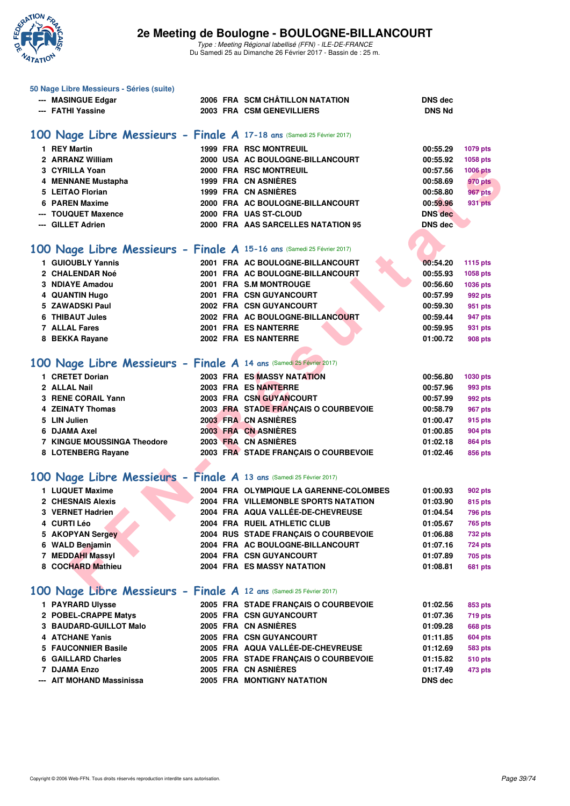

| 50 Nage Libre Messieurs - Séries (suite)                               |                                                            |                |                 |
|------------------------------------------------------------------------|------------------------------------------------------------|----------------|-----------------|
| --- MASINGUE Edgar                                                     | 2006 FRA SCM CHÂTILLON NATATION                            | <b>DNS</b> dec |                 |
| --- FATHI Yassine                                                      | 2003 FRA CSM GENEVILLIERS                                  | <b>DNS Nd</b>  |                 |
|                                                                        |                                                            |                |                 |
| 100 Nage Libre Messieurs - Finale A 17-18 ans (Samedi 25 Février 2017) |                                                            |                |                 |
| 1 REY Martin                                                           | <b>1999 FRA RSC MONTREUIL</b>                              | 00:55.29       |                 |
| 2 ARRANZ William                                                       |                                                            |                | 1079 pts        |
| 3 CYRILLA Yoan                                                         | 2000 USA AC BOULOGNE-BILLANCOURT<br>2000 FRA RSC MONTREUIL | 00:55.92       | 1058 pts        |
|                                                                        | 1999 FRA CN ASNIERES                                       | 00:57.56       | <b>1006 pts</b> |
| 4 MENNANE Mustapha                                                     | 1999 FRA CN ASNIÈRES                                       | 00:58.69       | <b>970 pts</b>  |
| 5 LEITAO Florian                                                       |                                                            | 00:58.80       | 967 pts         |
| 6 PAREN Maxime                                                         | 2000 FRA AC BOULOGNE-BILLANCOURT                           | 00:59.96       | 931 pts         |
| --- TOUQUET Maxence                                                    | 2000 FRA UAS ST-CLOUD                                      | <b>DNS</b> dec |                 |
| --- GILLET Adrien                                                      | 2000 FRA AAS SARCELLES NATATION 95                         | <b>DNS dec</b> |                 |
|                                                                        |                                                            |                |                 |
| 100 Nage Libre Messieurs - Finale A 15-16 ans (Samedi 25 Février 2017) |                                                            |                |                 |
| 1 GUIOUBLY Yannis                                                      | 2001 FRA AC BOULOGNE-BILLANCOURT                           | 00:54.20       | <b>1115 pts</b> |
| 2 CHALENDAR Noé                                                        | 2001 FRA AC BOULOGNE-BILLANCOURT                           | 00:55.93       | 1058 pts        |
| 3 NDIAYE Amadou                                                        | 2001 FRA S.M MONTROUGE                                     | 00:56.60       | 1036 pts        |
| 4 QUANTIN Hugo                                                         | 2001 FRA CSN GUYANCOURT                                    | 00:57.99       | 992 pts         |
| 5 ZAWADSKI Paul                                                        | 2002 FRA CSN GUYANCOURT                                    | 00:59.30       | 951 pts         |
| 6 THIBAUT Jules                                                        | 2002 FRA AC BOULOGNE-BILLANCOURT                           | 00:59.44       | 947 pts         |
| <b>7 ALLAL Fares</b>                                                   | 2001 FRA ES NANTERRE                                       | 00:59.95       | 931 pts         |
| 8 BEKKA Rayane                                                         | 2002 FRA ES NANTERRE                                       | 01:00.72       | <b>908 pts</b>  |
|                                                                        |                                                            |                |                 |
|                                                                        |                                                            |                |                 |
| 100 Nage Libre Messieurs - Finale A 14 ans (Samedi 25 Février 2017)    |                                                            |                |                 |
| 1 CRETET Dorian                                                        | 2003 FRA ES MASSY NATATION                                 | 00:56.80       | 1030 pts        |
| 2 ALLAL Nail                                                           | 2003 FRA ES NANTERRE                                       | 00:57.96       | 993 pts         |
| 3 RENE CORAIL Yann                                                     | 2003 FRA CSN GUYANCOURT                                    | 00:57.99       | 992 pts         |
| <b>4 ZEINATY Thomas</b>                                                | 2003 FRA STADE FRANÇAIS O COURBEVOIE                       | 00:58.79       | <b>967 pts</b>  |
| 5 LIN Julien                                                           | 2003 FRA CN ASNIÈRES                                       | 01:00.47       | 915 pts         |
| 6 DJAMA Axel                                                           | 2003 FRA CN ASNIERES                                       | 01:00.85       | 904 pts         |
| <b>7 KINGUE MOUSSINGA Theodore</b>                                     | 2003 FRA CN ASNIÈRES                                       | 01:02.18       | 864 pts         |
| 8 LOTENBERG Rayane                                                     | 2003 FRA STADE FRANÇAIS O COURBEVOIE                       | 01:02.46       | 856 pts         |
|                                                                        |                                                            |                |                 |
| 100 Nage Libre Messieurs - Finale A 13 ans (Samedi 25 Février 2017)    |                                                            |                |                 |
|                                                                        |                                                            |                |                 |
| 1 LUQUET Maxime                                                        | 2004 FRA OLYMPIQUE LA GARENNE-COLOMBES                     | 01:00.93       | 902 pts         |
| 2 CHESNAIS Alexis                                                      | 2004 FRA VILLEMONBLE SPORTS NATATION                       | 01:03.90       | 815 pts         |
| 3 VERNET Hadrien                                                       | 2004 FRA AQUA VALLÉE-DE-CHEVREUSE                          | 01:04.54       | 796 pts         |
| 4 CURTI Léo                                                            | 2004 FRA RUEIL ATHLETIC CLUB                               | 01:05.67       | 765 pts         |
| 5 AKOPYAN Sergey                                                       | 2004 RUS STADE FRANÇAIS O COURBEVOIE                       | 01:06.88       | <b>732 pts</b>  |
| 6 WALD Benjamin                                                        | 2004 FRA AC BOULOGNE-BILLANCOURT                           | 01:07.16       | <b>724 pts</b>  |
| 7 MEDDAHI Massyl                                                       | <b>2004 FRA CSN GUYANCOURT</b>                             | 01:07.89       | 705 pts         |
| 8 COCHARD Mathieu                                                      | 2004 FRA ES MASSY NATATION                                 | 01:08.81       | <b>681 pts</b>  |
|                                                                        |                                                            |                |                 |
| 100 Nage Libre Messieurs - Finale A 12 ans (Samedi 25 Février 2017)    |                                                            |                |                 |
| 1 PAYRARD Ulysse                                                       | 2005 FRA STADE FRANÇAIS O COURBEVOIE                       | 01:02.56       | 853 pts         |
| 2 POBEL-CRAPPE Matys                                                   | 2005 FRA CSN GUYANCOURT                                    | 01:07.36       | <b>719 pts</b>  |
| 3 BAUDARD-GUILLOT Malo                                                 | 2005 FRA CN ASNIÈRES                                       | 01:09.28       | <b>668 pts</b>  |
| 4 ATCHANE Yanis                                                        | 2005 FRA CSN GUYANCOURT                                    | 01:11.85       | <b>604 pts</b>  |
| 5 FAUCONNIER Basile                                                    | 2005 FRA AQUA VALLÉE-DE-CHEVREUSE                          | 01:12.69       | <b>583 pts</b>  |
| 6 GAILLARD Charles                                                     | 2005 FRA STADE FRANÇAIS O COURBEVOIE                       | 01:15.82       | <b>510 pts</b>  |
| 7 DJAMA Enzo                                                           | 2005 FRA CN ASNIÈRES                                       |                |                 |
|                                                                        |                                                            | 01:17.49       | 473 pts         |
| --- AIT MOHAND Massinissa                                              | 2005 FRA MONTIGNY NATATION                                 | <b>DNS dec</b> |                 |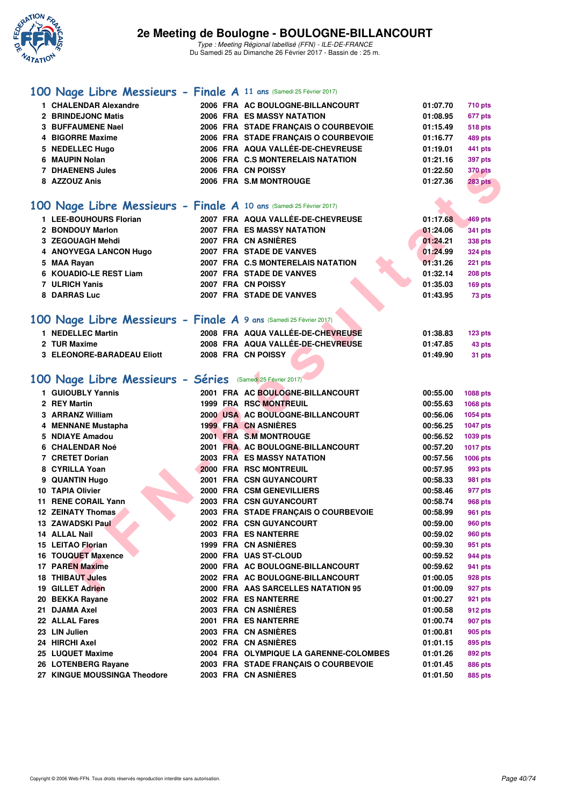

## **[100 Nage Libre Messieurs - Finale A](http://www.ffnatation.fr/webffn/resultats.php?idact=nat&go=epr&idcpt=42219&idepr=52) 11 ans** (Samedi 25 Février 2017)

| $\cdots$                                                            |  |                                        |          |                 |
|---------------------------------------------------------------------|--|----------------------------------------|----------|-----------------|
| 1 CHALENDAR Alexandre                                               |  | 2006 FRA AC BOULOGNE-BILLANCOURT       | 01:07.70 | 710 pts         |
| 2 BRINDEJONC Matis                                                  |  | 2006 FRA ES MASSY NATATION             | 01:08.95 | 677 pts         |
| <b>3 BUFFAUMENE Nael</b>                                            |  | 2006 FRA STADE FRANÇAIS O COURBEVOIE   | 01:15.49 | <b>518 pts</b>  |
| 4 BIGORRE Maxime                                                    |  | 2006 FRA STADE FRANÇAIS O COURBEVOIE   | 01:16.77 | 489 pts         |
| 5 NEDELLEC Hugo                                                     |  | 2006 FRA AQUA VALLÉE-DE-CHEVREUSE      | 01:19.01 | 441 pts         |
| 6 MAUPIN Nolan                                                      |  | 2006 FRA C.S MONTERELAIS NATATION      | 01:21.16 | 397 pts         |
| <b>7 DHAENENS Jules</b>                                             |  | 2006 FRA CN POISSY                     | 01:22.50 | <b>370 pts</b>  |
| 8 AZZOUZ Anis                                                       |  | 2006 FRA S.M MONTROUGE                 | 01:27.36 | <b>283 pts</b>  |
|                                                                     |  |                                        |          |                 |
| 100 Nage Libre Messieurs - Finale A 10 ans (Samedi 25 Février 2017) |  |                                        |          |                 |
| 1 LEE-BOUHOURS Florian                                              |  | 2007 FRA AQUA VALLÉE-DE-CHEVREUSE      | 01:17.68 | <b>469 pts</b>  |
| 2 BONDOUY Marlon                                                    |  | <b>2007 FRA ES MASSY NATATION</b>      | 01:24.06 | <b>341 pts</b>  |
| 3 ZEGOUAGH Mehdi                                                    |  | 2007 FRA CN ASNIERES                   | 01:24.21 | <b>338 pts</b>  |
| 4 ANOYVEGA LANCON Hugo                                              |  | 2007 FRA STADE DE VANVES               | 01:24.99 | <b>324 pts</b>  |
| 5 MAA Rayan                                                         |  | 2007 FRA C.S MONTERELAIS NATATION      | 01:31.26 | <b>221 pts</b>  |
| 6 KOUADIO-LE REST Liam                                              |  | 2007 FRA STADE DE VANVES               | 01:32.14 | <b>208 pts</b>  |
| 7 ULRICH Yanis                                                      |  | 2007 FRA CN POISSY                     | 01:35.03 | 169 pts         |
| 8 DARRAS Luc                                                        |  | 2007 FRA STADE DE VANVES               | 01:43.95 | 73 pts          |
|                                                                     |  |                                        |          |                 |
| 100 Nage Libre Messieurs - Finale A 9 ans (Samedi 25 Février 2017)  |  |                                        |          |                 |
| 1 NEDELLEC Martin                                                   |  | 2008 FRA AQUA VALLÉE-DE-CHEVREUSE      | 01:38.83 | $123$ pts       |
| 2 TUR Maxime                                                        |  | 2008 FRA AQUA VALLÉE-DE-CHEVREUSE      | 01:47.85 | 43 pts          |
| 3 ELEONORE-BARADEAU Eliott                                          |  | 2008 FRA CN POISSY                     | 01:49.90 | 31 pts          |
|                                                                     |  |                                        |          |                 |
| 100 Nage Libre Messieurs - Séries (Samedi 25 Février 2017)          |  |                                        |          |                 |
| 1 GUIOUBLY Yannis                                                   |  | 2001 FRA AC BOULOGNE-BILLANCOURT       | 00:55.00 | 1088 pts        |
| 2 REY Martin                                                        |  | <b>1999 FRA RSC MONTREUIL</b>          | 00:55.63 | 1068 pts        |
| 3 ARRANZ William                                                    |  | 2000 USA AC BOULOGNE-BILLANCOURT       | 00:56.06 | 1054 pts        |
| 4 MENNANE Mustapha                                                  |  | <b>1999 FRA CN ASNIERES</b>            | 00:56.25 | <b>1047 pts</b> |
| 5 NDIAYE Amadou                                                     |  | 2001 FRA S.M MONTROUGE                 | 00:56.52 | 1039 pts        |
| <b>6 CHALENDAR Noé</b>                                              |  | 2001 FRA AC BOULOGNE-BILLANCOURT       | 00:57.20 | <b>1017 pts</b> |
| 7 CRETET Dorian                                                     |  | <b>2003 FRA ES MASSY NATATION</b>      | 00:57.56 | <b>1006 pts</b> |
| 8 CYRILLA Yoan                                                      |  | 2000 FRA RSC MONTREUIL                 | 00:57.95 | 993 pts         |
| 9 QUANTIN Hugo                                                      |  | 2001 FRA CSN GUYANCOURT                | 00:58.33 | 981 pts         |
| 10 TAPIA Olivier                                                    |  | 2000 FRA CSM GENEVILLIERS              | 00:58.46 | 977 pts         |
| 11 RENE CORAIL Yann                                                 |  | <b>2003 FRA CSN GUYANCOURT</b>         | 00:58.74 | 968 pts         |
| <b>12 ZEINATY Thomas</b>                                            |  | 2003 FRA STADE FRANÇAIS O COURBEVOIE   | 00:58.99 | 961 pts         |
| 13 ZAWADSKI Paul                                                    |  | 2002 FRA CSN GUYANCOURT                | 00:59.00 | 960 pts         |
| 14 ALLAL Nail                                                       |  | 2003 FRA ESNANTERRE                    | 00:59.02 | 960 pts         |
| 15 LEITAO Florian                                                   |  | 1999 FRA CN ASNIÈRES                   | 00:59.30 | 951 pts         |
| 16 TOUQUET Maxence                                                  |  | 2000 FRA UAS ST-CLOUD                  | 00:59.52 | 944 pts         |
| <b>17 PAREN Maxime</b>                                              |  | 2000 FRA AC BOULOGNE-BILLANCOURT       | 00:59.62 | 941 pts         |
| <b>18 THIBAUT Jules</b>                                             |  | 2002 FRA AC BOULOGNE-BILLANCOURT       | 01:00.05 | 928 pts         |
| 19 GILLET Adrien                                                    |  | 2000 FRA AAS SARCELLES NATATION 95     | 01:00.09 | 927 pts         |
| 20 BEKKA Rayane                                                     |  | 2002 FRA ES NANTERRE                   | 01:00.27 | 921 pts         |
| 21 DJAMA Axel                                                       |  | 2003 FRA CN ASNIERES                   | 01:00.58 | 912 pts         |
| 22 ALLAL Fares                                                      |  | 2001 FRA ES NANTERRE                   | 01:00.74 | 907 pts         |
| 23 LIN Julien                                                       |  | 2003 FRA CN ASNIERES                   | 01:00.81 | 905 pts         |
| 24 HIRCHI Axel                                                      |  | 2002 FRA CN ASNIÈRES                   | 01:01.15 | 895 pts         |
| 25 LUQUET Maxime                                                    |  | 2004 FRA OLYMPIQUE LA GARENNE-COLOMBES | 01:01.26 | 892 pts         |
| 26 LOTENBERG Rayane                                                 |  | 2003 FRA STADE FRANÇAIS O COURBEVOIE   | 01:01.45 | 886 pts         |
| 27 KINGUE MOUSSINGA Theodore                                        |  | 2003 FRA CN ASNIÈRES                   | 01:01.50 | 885 pts         |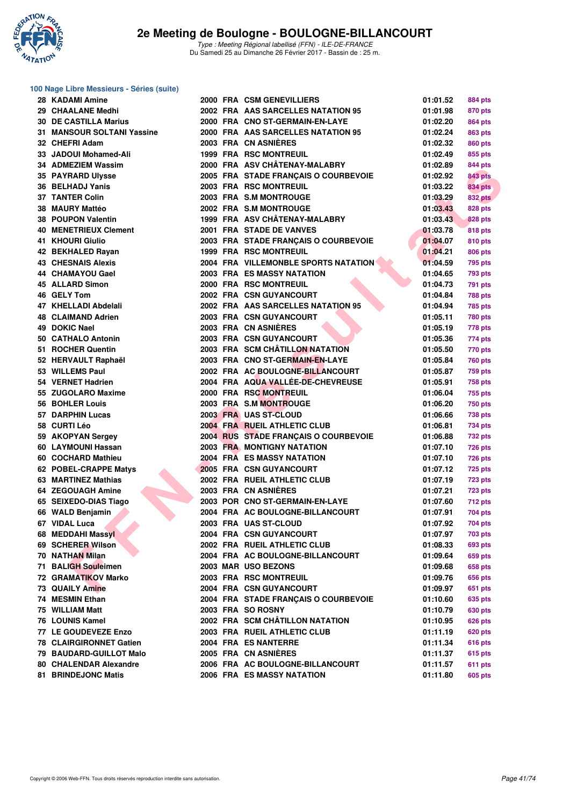

### **100 Nage Libre Messieurs - Séries (suite)**

|                                                                                                                                                                                                                                                                                                                                                                                                                                                                                                                                                                                                                                                                                                                                                                                                                                                                                                                                                                                                                                                                                                                                                                                                                      |  | 01:01.52                                                                                                                                                                                                                                                                                                                                                                                                                                                                                                                                                                                                                                                                                                                                                                                                                                                                                                                                                                                                                                                                                                                                                                                                                                                                                                                                                                                                                                                                                                                                                                                                                                                                                                                                                         | <b>884 pts</b>                                                                                                                                                                                                                                                                               |
|----------------------------------------------------------------------------------------------------------------------------------------------------------------------------------------------------------------------------------------------------------------------------------------------------------------------------------------------------------------------------------------------------------------------------------------------------------------------------------------------------------------------------------------------------------------------------------------------------------------------------------------------------------------------------------------------------------------------------------------------------------------------------------------------------------------------------------------------------------------------------------------------------------------------------------------------------------------------------------------------------------------------------------------------------------------------------------------------------------------------------------------------------------------------------------------------------------------------|--|------------------------------------------------------------------------------------------------------------------------------------------------------------------------------------------------------------------------------------------------------------------------------------------------------------------------------------------------------------------------------------------------------------------------------------------------------------------------------------------------------------------------------------------------------------------------------------------------------------------------------------------------------------------------------------------------------------------------------------------------------------------------------------------------------------------------------------------------------------------------------------------------------------------------------------------------------------------------------------------------------------------------------------------------------------------------------------------------------------------------------------------------------------------------------------------------------------------------------------------------------------------------------------------------------------------------------------------------------------------------------------------------------------------------------------------------------------------------------------------------------------------------------------------------------------------------------------------------------------------------------------------------------------------------------------------------------------------------------------------------------------------|----------------------------------------------------------------------------------------------------------------------------------------------------------------------------------------------------------------------------------------------------------------------------------------------|
|                                                                                                                                                                                                                                                                                                                                                                                                                                                                                                                                                                                                                                                                                                                                                                                                                                                                                                                                                                                                                                                                                                                                                                                                                      |  | 01:01.98                                                                                                                                                                                                                                                                                                                                                                                                                                                                                                                                                                                                                                                                                                                                                                                                                                                                                                                                                                                                                                                                                                                                                                                                                                                                                                                                                                                                                                                                                                                                                                                                                                                                                                                                                         | 870 pts                                                                                                                                                                                                                                                                                      |
|                                                                                                                                                                                                                                                                                                                                                                                                                                                                                                                                                                                                                                                                                                                                                                                                                                                                                                                                                                                                                                                                                                                                                                                                                      |  | 01:02.20                                                                                                                                                                                                                                                                                                                                                                                                                                                                                                                                                                                                                                                                                                                                                                                                                                                                                                                                                                                                                                                                                                                                                                                                                                                                                                                                                                                                                                                                                                                                                                                                                                                                                                                                                         | 864 pts                                                                                                                                                                                                                                                                                      |
|                                                                                                                                                                                                                                                                                                                                                                                                                                                                                                                                                                                                                                                                                                                                                                                                                                                                                                                                                                                                                                                                                                                                                                                                                      |  | 01:02.24                                                                                                                                                                                                                                                                                                                                                                                                                                                                                                                                                                                                                                                                                                                                                                                                                                                                                                                                                                                                                                                                                                                                                                                                                                                                                                                                                                                                                                                                                                                                                                                                                                                                                                                                                         | 863 pts                                                                                                                                                                                                                                                                                      |
|                                                                                                                                                                                                                                                                                                                                                                                                                                                                                                                                                                                                                                                                                                                                                                                                                                                                                                                                                                                                                                                                                                                                                                                                                      |  | 01:02.32                                                                                                                                                                                                                                                                                                                                                                                                                                                                                                                                                                                                                                                                                                                                                                                                                                                                                                                                                                                                                                                                                                                                                                                                                                                                                                                                                                                                                                                                                                                                                                                                                                                                                                                                                         | 860 pts                                                                                                                                                                                                                                                                                      |
|                                                                                                                                                                                                                                                                                                                                                                                                                                                                                                                                                                                                                                                                                                                                                                                                                                                                                                                                                                                                                                                                                                                                                                                                                      |  | 01:02.49                                                                                                                                                                                                                                                                                                                                                                                                                                                                                                                                                                                                                                                                                                                                                                                                                                                                                                                                                                                                                                                                                                                                                                                                                                                                                                                                                                                                                                                                                                                                                                                                                                                                                                                                                         | 855 pts                                                                                                                                                                                                                                                                                      |
|                                                                                                                                                                                                                                                                                                                                                                                                                                                                                                                                                                                                                                                                                                                                                                                                                                                                                                                                                                                                                                                                                                                                                                                                                      |  | 01:02.89                                                                                                                                                                                                                                                                                                                                                                                                                                                                                                                                                                                                                                                                                                                                                                                                                                                                                                                                                                                                                                                                                                                                                                                                                                                                                                                                                                                                                                                                                                                                                                                                                                                                                                                                                         | 844 pts                                                                                                                                                                                                                                                                                      |
|                                                                                                                                                                                                                                                                                                                                                                                                                                                                                                                                                                                                                                                                                                                                                                                                                                                                                                                                                                                                                                                                                                                                                                                                                      |  | 01:02.92                                                                                                                                                                                                                                                                                                                                                                                                                                                                                                                                                                                                                                                                                                                                                                                                                                                                                                                                                                                                                                                                                                                                                                                                                                                                                                                                                                                                                                                                                                                                                                                                                                                                                                                                                         | <b>843 pts</b>                                                                                                                                                                                                                                                                               |
|                                                                                                                                                                                                                                                                                                                                                                                                                                                                                                                                                                                                                                                                                                                                                                                                                                                                                                                                                                                                                                                                                                                                                                                                                      |  | 01:03.22                                                                                                                                                                                                                                                                                                                                                                                                                                                                                                                                                                                                                                                                                                                                                                                                                                                                                                                                                                                                                                                                                                                                                                                                                                                                                                                                                                                                                                                                                                                                                                                                                                                                                                                                                         | 834 pts                                                                                                                                                                                                                                                                                      |
|                                                                                                                                                                                                                                                                                                                                                                                                                                                                                                                                                                                                                                                                                                                                                                                                                                                                                                                                                                                                                                                                                                                                                                                                                      |  | 01:03.29                                                                                                                                                                                                                                                                                                                                                                                                                                                                                                                                                                                                                                                                                                                                                                                                                                                                                                                                                                                                                                                                                                                                                                                                                                                                                                                                                                                                                                                                                                                                                                                                                                                                                                                                                         | <b>832 pts</b>                                                                                                                                                                                                                                                                               |
|                                                                                                                                                                                                                                                                                                                                                                                                                                                                                                                                                                                                                                                                                                                                                                                                                                                                                                                                                                                                                                                                                                                                                                                                                      |  |                                                                                                                                                                                                                                                                                                                                                                                                                                                                                                                                                                                                                                                                                                                                                                                                                                                                                                                                                                                                                                                                                                                                                                                                                                                                                                                                                                                                                                                                                                                                                                                                                                                                                                                                                                  | <b>828 pts</b>                                                                                                                                                                                                                                                                               |
|                                                                                                                                                                                                                                                                                                                                                                                                                                                                                                                                                                                                                                                                                                                                                                                                                                                                                                                                                                                                                                                                                                                                                                                                                      |  |                                                                                                                                                                                                                                                                                                                                                                                                                                                                                                                                                                                                                                                                                                                                                                                                                                                                                                                                                                                                                                                                                                                                                                                                                                                                                                                                                                                                                                                                                                                                                                                                                                                                                                                                                                  | 828 pts                                                                                                                                                                                                                                                                                      |
|                                                                                                                                                                                                                                                                                                                                                                                                                                                                                                                                                                                                                                                                                                                                                                                                                                                                                                                                                                                                                                                                                                                                                                                                                      |  |                                                                                                                                                                                                                                                                                                                                                                                                                                                                                                                                                                                                                                                                                                                                                                                                                                                                                                                                                                                                                                                                                                                                                                                                                                                                                                                                                                                                                                                                                                                                                                                                                                                                                                                                                                  | 818 pts                                                                                                                                                                                                                                                                                      |
|                                                                                                                                                                                                                                                                                                                                                                                                                                                                                                                                                                                                                                                                                                                                                                                                                                                                                                                                                                                                                                                                                                                                                                                                                      |  |                                                                                                                                                                                                                                                                                                                                                                                                                                                                                                                                                                                                                                                                                                                                                                                                                                                                                                                                                                                                                                                                                                                                                                                                                                                                                                                                                                                                                                                                                                                                                                                                                                                                                                                                                                  | <b>810 pts</b>                                                                                                                                                                                                                                                                               |
|                                                                                                                                                                                                                                                                                                                                                                                                                                                                                                                                                                                                                                                                                                                                                                                                                                                                                                                                                                                                                                                                                                                                                                                                                      |  |                                                                                                                                                                                                                                                                                                                                                                                                                                                                                                                                                                                                                                                                                                                                                                                                                                                                                                                                                                                                                                                                                                                                                                                                                                                                                                                                                                                                                                                                                                                                                                                                                                                                                                                                                                  | <b>806 pts</b>                                                                                                                                                                                                                                                                               |
|                                                                                                                                                                                                                                                                                                                                                                                                                                                                                                                                                                                                                                                                                                                                                                                                                                                                                                                                                                                                                                                                                                                                                                                                                      |  |                                                                                                                                                                                                                                                                                                                                                                                                                                                                                                                                                                                                                                                                                                                                                                                                                                                                                                                                                                                                                                                                                                                                                                                                                                                                                                                                                                                                                                                                                                                                                                                                                                                                                                                                                                  | 795 pts                                                                                                                                                                                                                                                                                      |
|                                                                                                                                                                                                                                                                                                                                                                                                                                                                                                                                                                                                                                                                                                                                                                                                                                                                                                                                                                                                                                                                                                                                                                                                                      |  |                                                                                                                                                                                                                                                                                                                                                                                                                                                                                                                                                                                                                                                                                                                                                                                                                                                                                                                                                                                                                                                                                                                                                                                                                                                                                                                                                                                                                                                                                                                                                                                                                                                                                                                                                                  | 793 pts                                                                                                                                                                                                                                                                                      |
|                                                                                                                                                                                                                                                                                                                                                                                                                                                                                                                                                                                                                                                                                                                                                                                                                                                                                                                                                                                                                                                                                                                                                                                                                      |  |                                                                                                                                                                                                                                                                                                                                                                                                                                                                                                                                                                                                                                                                                                                                                                                                                                                                                                                                                                                                                                                                                                                                                                                                                                                                                                                                                                                                                                                                                                                                                                                                                                                                                                                                                                  | 791 pts                                                                                                                                                                                                                                                                                      |
|                                                                                                                                                                                                                                                                                                                                                                                                                                                                                                                                                                                                                                                                                                                                                                                                                                                                                                                                                                                                                                                                                                                                                                                                                      |  |                                                                                                                                                                                                                                                                                                                                                                                                                                                                                                                                                                                                                                                                                                                                                                                                                                                                                                                                                                                                                                                                                                                                                                                                                                                                                                                                                                                                                                                                                                                                                                                                                                                                                                                                                                  | 788 pts                                                                                                                                                                                                                                                                                      |
|                                                                                                                                                                                                                                                                                                                                                                                                                                                                                                                                                                                                                                                                                                                                                                                                                                                                                                                                                                                                                                                                                                                                                                                                                      |  |                                                                                                                                                                                                                                                                                                                                                                                                                                                                                                                                                                                                                                                                                                                                                                                                                                                                                                                                                                                                                                                                                                                                                                                                                                                                                                                                                                                                                                                                                                                                                                                                                                                                                                                                                                  |                                                                                                                                                                                                                                                                                              |
|                                                                                                                                                                                                                                                                                                                                                                                                                                                                                                                                                                                                                                                                                                                                                                                                                                                                                                                                                                                                                                                                                                                                                                                                                      |  |                                                                                                                                                                                                                                                                                                                                                                                                                                                                                                                                                                                                                                                                                                                                                                                                                                                                                                                                                                                                                                                                                                                                                                                                                                                                                                                                                                                                                                                                                                                                                                                                                                                                                                                                                                  | 785 pts                                                                                                                                                                                                                                                                                      |
|                                                                                                                                                                                                                                                                                                                                                                                                                                                                                                                                                                                                                                                                                                                                                                                                                                                                                                                                                                                                                                                                                                                                                                                                                      |  |                                                                                                                                                                                                                                                                                                                                                                                                                                                                                                                                                                                                                                                                                                                                                                                                                                                                                                                                                                                                                                                                                                                                                                                                                                                                                                                                                                                                                                                                                                                                                                                                                                                                                                                                                                  | 780 pts                                                                                                                                                                                                                                                                                      |
|                                                                                                                                                                                                                                                                                                                                                                                                                                                                                                                                                                                                                                                                                                                                                                                                                                                                                                                                                                                                                                                                                                                                                                                                                      |  |                                                                                                                                                                                                                                                                                                                                                                                                                                                                                                                                                                                                                                                                                                                                                                                                                                                                                                                                                                                                                                                                                                                                                                                                                                                                                                                                                                                                                                                                                                                                                                                                                                                                                                                                                                  | 778 pts                                                                                                                                                                                                                                                                                      |
|                                                                                                                                                                                                                                                                                                                                                                                                                                                                                                                                                                                                                                                                                                                                                                                                                                                                                                                                                                                                                                                                                                                                                                                                                      |  |                                                                                                                                                                                                                                                                                                                                                                                                                                                                                                                                                                                                                                                                                                                                                                                                                                                                                                                                                                                                                                                                                                                                                                                                                                                                                                                                                                                                                                                                                                                                                                                                                                                                                                                                                                  | 774 pts                                                                                                                                                                                                                                                                                      |
|                                                                                                                                                                                                                                                                                                                                                                                                                                                                                                                                                                                                                                                                                                                                                                                                                                                                                                                                                                                                                                                                                                                                                                                                                      |  |                                                                                                                                                                                                                                                                                                                                                                                                                                                                                                                                                                                                                                                                                                                                                                                                                                                                                                                                                                                                                                                                                                                                                                                                                                                                                                                                                                                                                                                                                                                                                                                                                                                                                                                                                                  | 770 pts                                                                                                                                                                                                                                                                                      |
|                                                                                                                                                                                                                                                                                                                                                                                                                                                                                                                                                                                                                                                                                                                                                                                                                                                                                                                                                                                                                                                                                                                                                                                                                      |  |                                                                                                                                                                                                                                                                                                                                                                                                                                                                                                                                                                                                                                                                                                                                                                                                                                                                                                                                                                                                                                                                                                                                                                                                                                                                                                                                                                                                                                                                                                                                                                                                                                                                                                                                                                  | 760 pts                                                                                                                                                                                                                                                                                      |
|                                                                                                                                                                                                                                                                                                                                                                                                                                                                                                                                                                                                                                                                                                                                                                                                                                                                                                                                                                                                                                                                                                                                                                                                                      |  |                                                                                                                                                                                                                                                                                                                                                                                                                                                                                                                                                                                                                                                                                                                                                                                                                                                                                                                                                                                                                                                                                                                                                                                                                                                                                                                                                                                                                                                                                                                                                                                                                                                                                                                                                                  | 759 pts                                                                                                                                                                                                                                                                                      |
|                                                                                                                                                                                                                                                                                                                                                                                                                                                                                                                                                                                                                                                                                                                                                                                                                                                                                                                                                                                                                                                                                                                                                                                                                      |  |                                                                                                                                                                                                                                                                                                                                                                                                                                                                                                                                                                                                                                                                                                                                                                                                                                                                                                                                                                                                                                                                                                                                                                                                                                                                                                                                                                                                                                                                                                                                                                                                                                                                                                                                                                  | 758 pts                                                                                                                                                                                                                                                                                      |
|                                                                                                                                                                                                                                                                                                                                                                                                                                                                                                                                                                                                                                                                                                                                                                                                                                                                                                                                                                                                                                                                                                                                                                                                                      |  |                                                                                                                                                                                                                                                                                                                                                                                                                                                                                                                                                                                                                                                                                                                                                                                                                                                                                                                                                                                                                                                                                                                                                                                                                                                                                                                                                                                                                                                                                                                                                                                                                                                                                                                                                                  | 755 pts                                                                                                                                                                                                                                                                                      |
|                                                                                                                                                                                                                                                                                                                                                                                                                                                                                                                                                                                                                                                                                                                                                                                                                                                                                                                                                                                                                                                                                                                                                                                                                      |  |                                                                                                                                                                                                                                                                                                                                                                                                                                                                                                                                                                                                                                                                                                                                                                                                                                                                                                                                                                                                                                                                                                                                                                                                                                                                                                                                                                                                                                                                                                                                                                                                                                                                                                                                                                  | 750 pts                                                                                                                                                                                                                                                                                      |
|                                                                                                                                                                                                                                                                                                                                                                                                                                                                                                                                                                                                                                                                                                                                                                                                                                                                                                                                                                                                                                                                                                                                                                                                                      |  |                                                                                                                                                                                                                                                                                                                                                                                                                                                                                                                                                                                                                                                                                                                                                                                                                                                                                                                                                                                                                                                                                                                                                                                                                                                                                                                                                                                                                                                                                                                                                                                                                                                                                                                                                                  | 738 pts                                                                                                                                                                                                                                                                                      |
|                                                                                                                                                                                                                                                                                                                                                                                                                                                                                                                                                                                                                                                                                                                                                                                                                                                                                                                                                                                                                                                                                                                                                                                                                      |  |                                                                                                                                                                                                                                                                                                                                                                                                                                                                                                                                                                                                                                                                                                                                                                                                                                                                                                                                                                                                                                                                                                                                                                                                                                                                                                                                                                                                                                                                                                                                                                                                                                                                                                                                                                  | <b>734 pts</b>                                                                                                                                                                                                                                                                               |
|                                                                                                                                                                                                                                                                                                                                                                                                                                                                                                                                                                                                                                                                                                                                                                                                                                                                                                                                                                                                                                                                                                                                                                                                                      |  |                                                                                                                                                                                                                                                                                                                                                                                                                                                                                                                                                                                                                                                                                                                                                                                                                                                                                                                                                                                                                                                                                                                                                                                                                                                                                                                                                                                                                                                                                                                                                                                                                                                                                                                                                                  | <b>732 pts</b>                                                                                                                                                                                                                                                                               |
|                                                                                                                                                                                                                                                                                                                                                                                                                                                                                                                                                                                                                                                                                                                                                                                                                                                                                                                                                                                                                                                                                                                                                                                                                      |  | 01:07.10                                                                                                                                                                                                                                                                                                                                                                                                                                                                                                                                                                                                                                                                                                                                                                                                                                                                                                                                                                                                                                                                                                                                                                                                                                                                                                                                                                                                                                                                                                                                                                                                                                                                                                                                                         | 726 pts                                                                                                                                                                                                                                                                                      |
|                                                                                                                                                                                                                                                                                                                                                                                                                                                                                                                                                                                                                                                                                                                                                                                                                                                                                                                                                                                                                                                                                                                                                                                                                      |  | 01:07.10                                                                                                                                                                                                                                                                                                                                                                                                                                                                                                                                                                                                                                                                                                                                                                                                                                                                                                                                                                                                                                                                                                                                                                                                                                                                                                                                                                                                                                                                                                                                                                                                                                                                                                                                                         | <b>726 pts</b>                                                                                                                                                                                                                                                                               |
|                                                                                                                                                                                                                                                                                                                                                                                                                                                                                                                                                                                                                                                                                                                                                                                                                                                                                                                                                                                                                                                                                                                                                                                                                      |  | 01:07.12                                                                                                                                                                                                                                                                                                                                                                                                                                                                                                                                                                                                                                                                                                                                                                                                                                                                                                                                                                                                                                                                                                                                                                                                                                                                                                                                                                                                                                                                                                                                                                                                                                                                                                                                                         | <b>725 pts</b>                                                                                                                                                                                                                                                                               |
|                                                                                                                                                                                                                                                                                                                                                                                                                                                                                                                                                                                                                                                                                                                                                                                                                                                                                                                                                                                                                                                                                                                                                                                                                      |  | 01:07.19                                                                                                                                                                                                                                                                                                                                                                                                                                                                                                                                                                                                                                                                                                                                                                                                                                                                                                                                                                                                                                                                                                                                                                                                                                                                                                                                                                                                                                                                                                                                                                                                                                                                                                                                                         | 723 pts                                                                                                                                                                                                                                                                                      |
|                                                                                                                                                                                                                                                                                                                                                                                                                                                                                                                                                                                                                                                                                                                                                                                                                                                                                                                                                                                                                                                                                                                                                                                                                      |  | 01:07.21                                                                                                                                                                                                                                                                                                                                                                                                                                                                                                                                                                                                                                                                                                                                                                                                                                                                                                                                                                                                                                                                                                                                                                                                                                                                                                                                                                                                                                                                                                                                                                                                                                                                                                                                                         | 723 pts                                                                                                                                                                                                                                                                                      |
|                                                                                                                                                                                                                                                                                                                                                                                                                                                                                                                                                                                                                                                                                                                                                                                                                                                                                                                                                                                                                                                                                                                                                                                                                      |  | 01:07.60                                                                                                                                                                                                                                                                                                                                                                                                                                                                                                                                                                                                                                                                                                                                                                                                                                                                                                                                                                                                                                                                                                                                                                                                                                                                                                                                                                                                                                                                                                                                                                                                                                                                                                                                                         | 712 pts                                                                                                                                                                                                                                                                                      |
|                                                                                                                                                                                                                                                                                                                                                                                                                                                                                                                                                                                                                                                                                                                                                                                                                                                                                                                                                                                                                                                                                                                                                                                                                      |  | 01:07.91                                                                                                                                                                                                                                                                                                                                                                                                                                                                                                                                                                                                                                                                                                                                                                                                                                                                                                                                                                                                                                                                                                                                                                                                                                                                                                                                                                                                                                                                                                                                                                                                                                                                                                                                                         | 704 pts                                                                                                                                                                                                                                                                                      |
|                                                                                                                                                                                                                                                                                                                                                                                                                                                                                                                                                                                                                                                                                                                                                                                                                                                                                                                                                                                                                                                                                                                                                                                                                      |  | 01:07.92                                                                                                                                                                                                                                                                                                                                                                                                                                                                                                                                                                                                                                                                                                                                                                                                                                                                                                                                                                                                                                                                                                                                                                                                                                                                                                                                                                                                                                                                                                                                                                                                                                                                                                                                                         | 704 pts                                                                                                                                                                                                                                                                                      |
|                                                                                                                                                                                                                                                                                                                                                                                                                                                                                                                                                                                                                                                                                                                                                                                                                                                                                                                                                                                                                                                                                                                                                                                                                      |  | 01:07.97                                                                                                                                                                                                                                                                                                                                                                                                                                                                                                                                                                                                                                                                                                                                                                                                                                                                                                                                                                                                                                                                                                                                                                                                                                                                                                                                                                                                                                                                                                                                                                                                                                                                                                                                                         | 703 pts                                                                                                                                                                                                                                                                                      |
|                                                                                                                                                                                                                                                                                                                                                                                                                                                                                                                                                                                                                                                                                                                                                                                                                                                                                                                                                                                                                                                                                                                                                                                                                      |  | 01:08.33                                                                                                                                                                                                                                                                                                                                                                                                                                                                                                                                                                                                                                                                                                                                                                                                                                                                                                                                                                                                                                                                                                                                                                                                                                                                                                                                                                                                                                                                                                                                                                                                                                                                                                                                                         | <b>693 pts</b>                                                                                                                                                                                                                                                                               |
|                                                                                                                                                                                                                                                                                                                                                                                                                                                                                                                                                                                                                                                                                                                                                                                                                                                                                                                                                                                                                                                                                                                                                                                                                      |  | 01:09.64                                                                                                                                                                                                                                                                                                                                                                                                                                                                                                                                                                                                                                                                                                                                                                                                                                                                                                                                                                                                                                                                                                                                                                                                                                                                                                                                                                                                                                                                                                                                                                                                                                                                                                                                                         | 659 pts                                                                                                                                                                                                                                                                                      |
|                                                                                                                                                                                                                                                                                                                                                                                                                                                                                                                                                                                                                                                                                                                                                                                                                                                                                                                                                                                                                                                                                                                                                                                                                      |  | 01:09.68                                                                                                                                                                                                                                                                                                                                                                                                                                                                                                                                                                                                                                                                                                                                                                                                                                                                                                                                                                                                                                                                                                                                                                                                                                                                                                                                                                                                                                                                                                                                                                                                                                                                                                                                                         | 658 pts                                                                                                                                                                                                                                                                                      |
|                                                                                                                                                                                                                                                                                                                                                                                                                                                                                                                                                                                                                                                                                                                                                                                                                                                                                                                                                                                                                                                                                                                                                                                                                      |  | 01:09.76                                                                                                                                                                                                                                                                                                                                                                                                                                                                                                                                                                                                                                                                                                                                                                                                                                                                                                                                                                                                                                                                                                                                                                                                                                                                                                                                                                                                                                                                                                                                                                                                                                                                                                                                                         | 656 pts                                                                                                                                                                                                                                                                                      |
|                                                                                                                                                                                                                                                                                                                                                                                                                                                                                                                                                                                                                                                                                                                                                                                                                                                                                                                                                                                                                                                                                                                                                                                                                      |  | 01:09.97                                                                                                                                                                                                                                                                                                                                                                                                                                                                                                                                                                                                                                                                                                                                                                                                                                                                                                                                                                                                                                                                                                                                                                                                                                                                                                                                                                                                                                                                                                                                                                                                                                                                                                                                                         | 651 pts                                                                                                                                                                                                                                                                                      |
|                                                                                                                                                                                                                                                                                                                                                                                                                                                                                                                                                                                                                                                                                                                                                                                                                                                                                                                                                                                                                                                                                                                                                                                                                      |  | 01:10.60                                                                                                                                                                                                                                                                                                                                                                                                                                                                                                                                                                                                                                                                                                                                                                                                                                                                                                                                                                                                                                                                                                                                                                                                                                                                                                                                                                                                                                                                                                                                                                                                                                                                                                                                                         | 635 pts                                                                                                                                                                                                                                                                                      |
|                                                                                                                                                                                                                                                                                                                                                                                                                                                                                                                                                                                                                                                                                                                                                                                                                                                                                                                                                                                                                                                                                                                                                                                                                      |  | 01:10.79                                                                                                                                                                                                                                                                                                                                                                                                                                                                                                                                                                                                                                                                                                                                                                                                                                                                                                                                                                                                                                                                                                                                                                                                                                                                                                                                                                                                                                                                                                                                                                                                                                                                                                                                                         | 630 pts                                                                                                                                                                                                                                                                                      |
|                                                                                                                                                                                                                                                                                                                                                                                                                                                                                                                                                                                                                                                                                                                                                                                                                                                                                                                                                                                                                                                                                                                                                                                                                      |  | 01:10.95                                                                                                                                                                                                                                                                                                                                                                                                                                                                                                                                                                                                                                                                                                                                                                                                                                                                                                                                                                                                                                                                                                                                                                                                                                                                                                                                                                                                                                                                                                                                                                                                                                                                                                                                                         | 626 pts                                                                                                                                                                                                                                                                                      |
|                                                                                                                                                                                                                                                                                                                                                                                                                                                                                                                                                                                                                                                                                                                                                                                                                                                                                                                                                                                                                                                                                                                                                                                                                      |  | 01:11.19                                                                                                                                                                                                                                                                                                                                                                                                                                                                                                                                                                                                                                                                                                                                                                                                                                                                                                                                                                                                                                                                                                                                                                                                                                                                                                                                                                                                                                                                                                                                                                                                                                                                                                                                                         | <b>620 pts</b>                                                                                                                                                                                                                                                                               |
|                                                                                                                                                                                                                                                                                                                                                                                                                                                                                                                                                                                                                                                                                                                                                                                                                                                                                                                                                                                                                                                                                                                                                                                                                      |  | 01:11.34                                                                                                                                                                                                                                                                                                                                                                                                                                                                                                                                                                                                                                                                                                                                                                                                                                                                                                                                                                                                                                                                                                                                                                                                                                                                                                                                                                                                                                                                                                                                                                                                                                                                                                                                                         | 616 pts                                                                                                                                                                                                                                                                                      |
|                                                                                                                                                                                                                                                                                                                                                                                                                                                                                                                                                                                                                                                                                                                                                                                                                                                                                                                                                                                                                                                                                                                                                                                                                      |  |                                                                                                                                                                                                                                                                                                                                                                                                                                                                                                                                                                                                                                                                                                                                                                                                                                                                                                                                                                                                                                                                                                                                                                                                                                                                                                                                                                                                                                                                                                                                                                                                                                                                                                                                                                  | 615 pts                                                                                                                                                                                                                                                                                      |
|                                                                                                                                                                                                                                                                                                                                                                                                                                                                                                                                                                                                                                                                                                                                                                                                                                                                                                                                                                                                                                                                                                                                                                                                                      |  |                                                                                                                                                                                                                                                                                                                                                                                                                                                                                                                                                                                                                                                                                                                                                                                                                                                                                                                                                                                                                                                                                                                                                                                                                                                                                                                                                                                                                                                                                                                                                                                                                                                                                                                                                                  | 611 pts                                                                                                                                                                                                                                                                                      |
|                                                                                                                                                                                                                                                                                                                                                                                                                                                                                                                                                                                                                                                                                                                                                                                                                                                                                                                                                                                                                                                                                                                                                                                                                      |  | 01:11.80                                                                                                                                                                                                                                                                                                                                                                                                                                                                                                                                                                                                                                                                                                                                                                                                                                                                                                                                                                                                                                                                                                                                                                                                                                                                                                                                                                                                                                                                                                                                                                                                                                                                                                                                                         | <b>605 pts</b>                                                                                                                                                                                                                                                                               |
| 28 KADAMI Amine<br>29 CHAALANE Medhi<br><b>30 DE CASTILLA Marius</b><br>31 MANSOUR SOLTANI Yassine<br>32 CHEFRI Adam<br>33 JADOUI Mohamed-Ali<br>34 ADMEZIEM Wassim<br>35 PAYRARD Ulysse<br>36 BELHADJ Yanis<br>37 TANTER Colin<br>38 MAURY Mattéo<br>38 POUPON Valentin<br>40 MENETRIEUX Clement<br>41 KHOURI Giulio<br>42 BEKHALED Rayan<br><b>43 CHESNAIS Alexis</b><br>44 CHAMAYOU Gael<br>45 ALLARD Simon<br>46 GELY Tom<br>47 KHELLADI Abdelali<br>48 CLAIMAND Adrien<br>49 DOKIC Nael<br>50 CATHALO Antonin<br>51 ROCHER Quentin<br>52 HERVAULT Raphaël<br>53 WILLEMS Paul<br>54 VERNET Hadrien<br>55 ZUGOLARO Maxime<br>56 BOHLER Louis<br>57 DARPHIN Lucas<br>58 CURTI Léo<br>59 AKOPYAN Sergey<br>60 LAYMOUNI Hassan<br>60 COCHARD Mathieu<br>62 POBEL-CRAPPE Matys<br>63 MARTINEZ Mathias<br>64 ZEGOUAGH Amine<br>65 SEIXEDO-DIAS Tiago<br>66 WALD Benjamin<br>67 VIDAL Luca<br>68 MEDDAHI Massyl<br>69 SCHERER Wilson<br>70 NATHAN Milan<br><b>71 BALIGH Souleimen</b><br>72 GRAMATIKOV Marko<br>73 QUAILY Amine<br>74 MESMIN Ethan<br>75 WILLIAM Matt<br>76 LOUNIS Kamel<br>77 LE GOUDEVEZE Enzo<br>78 CLAIRGIRONNET Gatien<br>79 BAUDARD-GUILLOT Malo<br>80 CHALENDAR Alexandre<br>81 BRINDEJONC Matis |  | 2000 FRA CSM GENEVILLIERS<br>2002 FRA AAS SARCELLES NATATION 95<br>2000 FRA CNO ST-GERMAIN-EN-LAYE<br>2000 FRA AAS SARCELLES NATATION 95<br>2003 FRA CN ASNIÈRES<br><b>1999 FRA RSC MONTREUIL</b><br>2000 FRA ASV CHÂTENAY-MALABRY<br>2005 FRA STADE FRANÇAIS O COURBEVOIE<br>2003 FRA RSC MONTREUIL<br>2003 FRA S.M MONTROUGE<br>2002 FRA S.M MONTROUGE<br>1999 FRA ASV CHÂTENAY-MALABRY<br>2001 FRA STADE DE VANVES<br>2003 FRA STADE FRANÇAIS O COURBEVOIE<br><b>1999 FRA RSC MONTREUIL</b><br>2004 FRA VILLEMONBLE SPORTS NATATION<br><b>2003 FRA ES MASSY NATATION</b><br>2000 FRA RSC MONTREUIL<br>2002 FRA CSN GUYANCOURT<br>2002 FRA AAS SARCELLES NATATION 95<br><b>2003 FRA CSN GUYANCOURT</b><br>2003 FRA CN ASNIÈRES<br>2003 FRA CSN GUYANCOURT<br>2003 FRA SCM CHÂTILLON NATATION<br>2003 FRA CNO ST-GERMAIN-EN-LAYE<br>2002 FRA AC BOULOGNE-BILLANCOURT<br>2004 FRA AQUA VALLÉE-DE-CHEVREUSE<br><b>2000 FRA RSC MONTREUIL</b><br>2003 FRA S.M MONTROUGE<br>2003 FRA UAS ST-CLOUD<br>2004 FRA RUEIL ATHLETIC CLUB<br>2004 RUS STADE FRANÇAIS O COURBEVOIE<br><b>2003 FRA MONTIGNY NATATION</b><br>2004 FRA ES MASSY NATATION<br><b>2005 FRA CSN GUYANCOURT</b><br>2002 FRA RUEIL ATHLETIC CLUB<br>2003 FRA CN ASNIÈRES<br>2003 POR CNO ST-GERMAIN-EN-LAYE<br>2004 FRA AC BOULOGNE-BILLANCOURT<br>2003 FRA UAS ST-CLOUD<br>2004 FRA CSN GUYANCOURT<br>2002 FRA RUEIL ATHLETIC CLUB<br>2004 FRA AC BOULOGNE-BILLANCOURT<br>2003 MAR USO BEZONS<br>2003 FRA RSC MONTREUIL<br>2004 FRA CSN GUYANCOURT<br>2004 FRA STADE FRANÇAIS O COURBEVOIE<br>2003 FRA SO ROSNY<br>2002 FRA SCM CHÂTILLON NATATION<br>2003 FRA RUEIL ATHLETIC CLUB<br>2004 FRA ES NANTERRE<br>2005 FRA CN ASNIÈRES<br>2006 FRA AC BOULOGNE-BILLANCOURT<br>2006 FRA ES MASSY NATATION | 01:03.43<br>01:03.43<br>01:03.78<br>01:04.07<br>01:04.21<br>01:04.59<br>01:04.65<br>01:04.73<br>01:04.84<br>01:04.94<br>01:05.11<br>01:05.19<br>01:05.36<br>01:05.50<br>01:05.84<br>01:05.87<br>01:05.91<br>01:06.04<br>01:06.20<br>01:06.66<br>01:06.81<br>01:06.88<br>01:11.37<br>01:11.57 |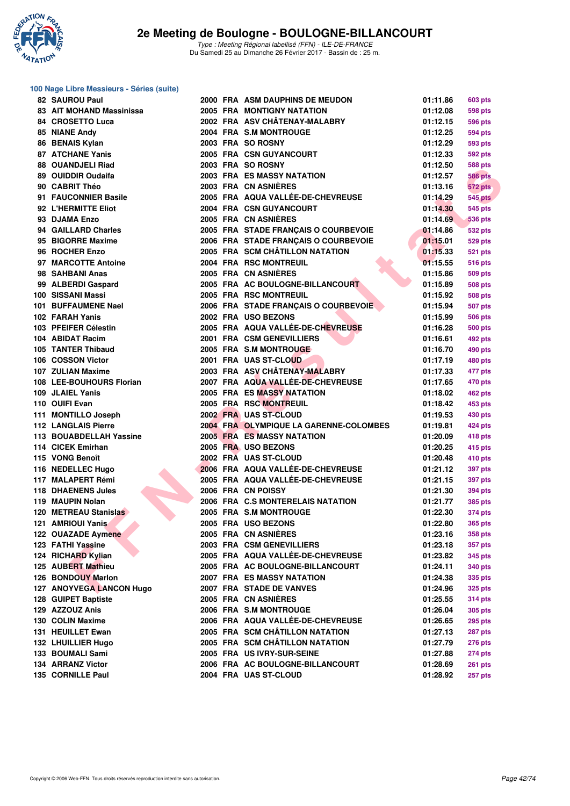

### **100 Nage Libre Messieurs - Séries (suite)**

| 82 SAUROU Paul             |  | 2000 FRA ASM DAUPHINS DE MEUDON        | 01:11.86 | 603 pts                   |
|----------------------------|--|----------------------------------------|----------|---------------------------|
| 83 AIT MOHAND Massinissa   |  | <b>2005 FRA MONTIGNY NATATION</b>      | 01:12.08 | <b>598 pts</b>            |
| 84 CROSETTO Luca           |  | 2002 FRA ASV CHÂTENAY-MALABRY          | 01:12.15 | <b>596 pts</b>            |
| 85 NIANE Andy              |  | 2004 FRA S.M MONTROUGE                 | 01:12.25 | 594 pts                   |
| 86 BENAIS Kylan            |  | 2003 FRA SO ROSNY                      | 01:12.29 | 593 pts                   |
| <b>87 ATCHANE Yanis</b>    |  | <b>2005 FRA CSN GUYANCOURT</b>         | 01:12.33 | <b>592 pts</b>            |
| 88 OUANDJELI Riad          |  | 2003 FRA SO ROSNY                      | 01:12.50 | 588 pts                   |
| 89 OUIDDIR Oudaifa         |  | <b>2003 FRA ES MASSY NATATION</b>      | 01:12.57 | <b>586 pts</b>            |
| 90 CABRIT Théo             |  | 2003 FRA CN ASNIERES                   | 01:13.16 | <b>572 pts</b>            |
| 91 FAUCONNIER Basile       |  | 2005 FRA AQUA VALLÉE-DE-CHEVREUSE      | 01:14.29 | <b>545 pts</b>            |
| 92 L'HERMITTE Eliot        |  | 2004 FRA CSN GUYANCOURT                | 01:14.30 | <b>545 pts</b>            |
| 93 DJAMA Enzo              |  | 2005 FRA CN ASNIÈRES                   | 01:14.69 | <b>536 pts</b>            |
| 94 GAILLARD Charles        |  | 2005 FRA STADE FRANÇAIS O COURBEVOIE   | 01:14.86 | <b>532 pts</b>            |
| 95 BIGORRE Maxime          |  | 2006 FRA STADE FRANÇAIS O COURBEVOIE   | 01:15.01 | <b>529 pts</b>            |
| 96 ROCHER Enzo             |  | 2005 FRA SCM CHÂTILLON NATATION        | 01:15.33 | <b>521 pts</b>            |
| 97 MARCOTTE Antoine        |  | 2004 FRA RSC MONTREUIL                 | 01:15.55 | <b>516 pts</b>            |
| 98 SAHBANI Anas            |  | 2005 FRA CN ASNIERES                   | 01:15.86 | 509 pts                   |
| 99 ALBERDI Gaspard         |  | 2005 FRA AC BOULOGNE-BILLANCOURT       | 01:15.89 | <b>508 pts</b>            |
| 100 SISSANI Massi          |  | 2005 FRA RSC MONTREUIL                 | 01:15.92 | <b>508 pts</b>            |
| 101 BUFFAUMENE Nael        |  | 2006 FRA STADE FRANÇAIS O COURBEVOIE   | 01:15.94 |                           |
| 102 FARAH Yanis            |  | 2002 FRA USO BEZONS                    | 01:15.99 | 507 pts<br><b>506 pts</b> |
| 103 PFEIFER Célestin       |  | 2005 FRA AQUA VALLÉE-DE-CHEVREUSE      | 01:16.28 |                           |
|                            |  |                                        |          | <b>500 pts</b>            |
| 104 ABIDAT Racim           |  | 2001 FRA CSM GENEVILLIERS              | 01:16.61 | <b>492 pts</b>            |
| 105 TANTER Thibaud         |  | 2005 FRA S.M MONTROUGE                 | 01:16.70 | <b>490 pts</b>            |
| 106 COSSON Victor          |  | 2001 FRA UAS ST-CLOUD                  | 01:17.19 | 480 pts                   |
| 107 ZULIAN Maxime          |  | 2003 FRA ASV CHÂTENAY-MALABRY          | 01:17.33 | 477 pts                   |
| 108 LEE-BOUHOURS Florian   |  | 2007 FRA AQUA VALLÉE-DE-CHEVREUSE      | 01:17.65 | 470 pts                   |
| 109 JLAIEL Yanis           |  | 2005 FRA ES MASSY NATATION             | 01:18.02 | <b>462 pts</b>            |
| 110 OUIFI Evan             |  | 2005 FRA RSC MONTREUIL                 | 01:18.42 | 453 pts                   |
| 111 MONTILLO Joseph        |  | 2002 FRA UAS ST-CLOUD                  | 01:19.53 | 430 pts                   |
| <b>112 LANGLAIS Pierre</b> |  | 2004 FRA OLYMPIQUE LA GARENNE-COLOMBES | 01:19.81 | <b>424 pts</b>            |
| 113 BOUABDELLAH Yassine    |  | <b>2005 FRA ES MASSY NATATION</b>      | 01:20.09 | 418 pts                   |
| 114 CICEK Emirhan          |  | 2005 FRA USO BEZONS                    | 01:20.25 | 415 pts                   |
| 115 VONG Benoît            |  | 2002 FRA UAS ST-CLOUD                  | 01:20.48 | 410 pts                   |
| 116 NEDELLEC Hugo          |  | 2006 FRA AQUA VALLÉE-DE-CHEVREUSE      | 01:21.12 | 397 pts                   |
| 117 MALAPERT Rémi          |  | 2005 FRA AQUA VALLÉE-DE-CHEVREUSE      | 01:21.15 | 397 pts                   |
| <b>118 DHAENENS Jules</b>  |  | 2006 FRA CN POISSY                     | 01:21.30 | 394 pts                   |
| 119 MAUPIN Nolan           |  | 2006 FRA C.S MONTERELAIS NATATION      | 01:21.77 | 385 pts                   |
| 120 METREAU Stanislas      |  | 2005 FRA S.M MONTROUGE                 | 01:22.30 | 374 pts                   |
| 121 AMRIOUI Yanis          |  | 2005 FRA USO BEZONS                    | 01:22.80 | <b>365 pts</b>            |
| 122 OUAZADE Aymene         |  | 2005 FRA CN ASNIERES                   | 01:23.16 | <b>358 pts</b>            |
| 123 FATHI Yassine          |  | 2003 FRA CSM GENEVILLIERS              | 01:23.18 | 357 pts                   |
| 124 RICHARD Kylian         |  | 2005 FRA AQUA VALLÉE-DE-CHEVREUSE      | 01:23.82 | 345 pts                   |
| 125 AUBERT Mathieu         |  | 2005 FRA AC BOULOGNE-BILLANCOURT       | 01:24.11 | 340 pts                   |
| 126 BONDOUY Marlon         |  | 2007 FRA ES MASSY NATATION             | 01:24.38 | 335 pts                   |
| 127 ANOYVEGA LANCON Hugo   |  | 2007 FRA STADE DE VANVES               | 01:24.96 | 325 pts                   |
| 128 GUIPET Baptiste        |  | 2005 FRA CN ASNIÈRES                   | 01:25.55 | <b>314 pts</b>            |
| 129 AZZOUZ Anis            |  | 2006 FRA S.M MONTROUGE                 | 01:26.04 | 305 pts                   |
| 130 COLIN Maxime           |  | 2006 FRA AQUA VALLÉE-DE-CHEVREUSE      | 01:26.65 | 295 pts                   |
| 131 HEUILLET Ewan          |  | 2005 FRA SCM CHÂTILLON NATATION        | 01:27.13 | 287 pts                   |
| 132 LHUILLIER Hugo         |  | 2005 FRA SCM CHÂTILLON NATATION        | 01:27.79 | 276 pts                   |
| 133 BOUMALI Sami           |  | 2005 FRA US IVRY-SUR-SEINE             | 01:27.88 | <b>274 pts</b>            |
| 134 ARRANZ Victor          |  | 2006 FRA AC BOULOGNE-BILLANCOURT       | 01:28.69 | 261 pts                   |
| 135 CORNILLE Paul          |  | 2004 FRA UAS ST-CLOUD                  | 01:28.92 | <b>257 pts</b>            |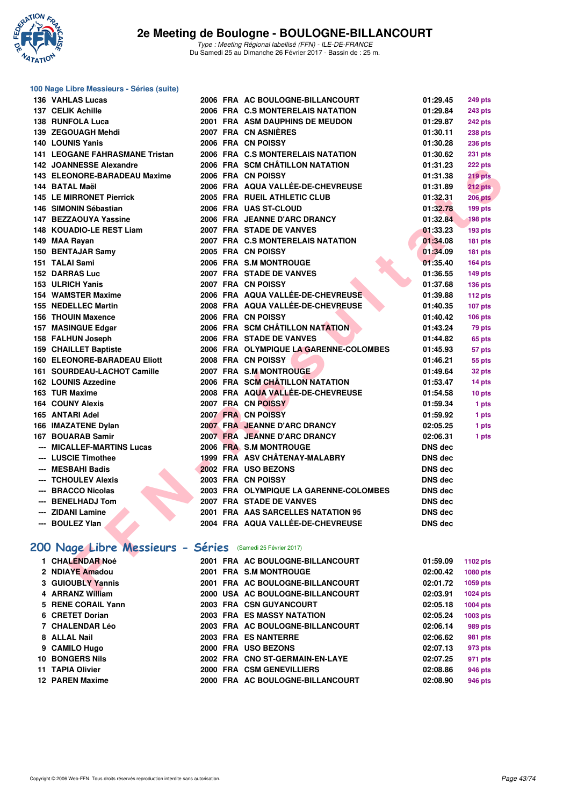

| 100 Nage Libre Messieurs - Séries (suite)                  |  |                                        |                 |                |
|------------------------------------------------------------|--|----------------------------------------|-----------------|----------------|
| 136 VAHLAS Lucas                                           |  | 2006 FRA AC BOULOGNE-BILLANCOURT       | 01:29.45        | <b>249 pts</b> |
| 137 CELIK Achille                                          |  | 2006 FRA C.S MONTERELAIS NATATION      | 01:29.84        | <b>243 pts</b> |
| 138 RUNFOLA Luca                                           |  | <b>2001 FRA ASM DAUPHINS DE MEUDON</b> | 01:29.87        | 242 pts        |
| 139 ZEGOUAGH Mehdi                                         |  | 2007 FRA CN ASNIERES                   | 01:30.11        | <b>238 pts</b> |
| <b>140 LOUNIS Yanis</b>                                    |  | 2006 FRA CN POISSY                     | 01:30.28        | <b>236 pts</b> |
| <b>141 LEOGANE FAHRASMANE Tristan</b>                      |  | 2006 FRA C.S MONTERELAIS NATATION      | 01:30.62        | <b>231 pts</b> |
| 142 JOANNESSE Alexandre                                    |  | 2006 FRA SCM CHÂTILLON NATATION        | 01:31.23        | 222 pts        |
| 143 ELEONORE-BARADEAU Maxime                               |  | 2006 FRA CN POISSY                     | 01:31.38        | 219 pts        |
| 144 BATAL Maël                                             |  | 2006 FRA AQUA VALLÉE-DE-CHEVREUSE      | 01:31.89        | 212 pts        |
| <b>145 LE MIRRONET Pierrick</b>                            |  | 2005 FRA RUEIL ATHLETIC CLUB           | 01:32.31        | <b>206 pts</b> |
| 146 SIMONIN Sébastian                                      |  | 2006 FRA UAS ST-CLOUD                  | 01:32.78        | <b>199 pts</b> |
| 147 BEZZAOUYA Yassine                                      |  | 2006 FRA JEANNE D'ARC DRANCY           | 01:32.84        | <b>198 pts</b> |
| 148 KOUADIO-LE REST Liam                                   |  | 2007 FRA STADE DE VANVES               | 01:33.23        | <b>193 pts</b> |
| 149 MAA Rayan                                              |  | 2007 FRA C.S MONTERELAIS NATATION      | 01:34.08        | 181 pts        |
| 150 BENTAJAR Samy                                          |  | 2005 FRA CN POISSY                     | 01:34.09        | 181 pts        |
| 151 TALAI Sami                                             |  | 2006 FRA S.M MONTROUGE                 | 01:35.40        | 164 pts        |
| <b>152 DARRAS Luc</b>                                      |  | 2007 FRA STADE DE VANVES               | 01:36.55        | <b>149 pts</b> |
| 153 ULRICH Yanis                                           |  | 2007 FRA CN POISSY                     | 01:37.68        | <b>136 pts</b> |
| <b>154 WAMSTER Maxime</b>                                  |  | 2006 FRA AQUA VALLÉE-DE-CHEVREUSE      | 01:39.88        | 112 pts        |
| <b>155 NEDELLEC Martin</b>                                 |  | 2008 FRA AQUA VALLÉE-DE-CHEVREUSE      | 01:40.35        | 107 pts        |
| <b>156 THOUIN Maxence</b>                                  |  | 2006 FRA CN POISSY                     | 01:40.42        | <b>106 pts</b> |
| 157 MASINGUE Edgar                                         |  | 2006 FRA SCM CHÂTILLON NATATION        | 01:43.24        | 79 pts         |
| 158 FALHUN Joseph                                          |  | 2006 FRA STADE DE VANVES               | 01:44.82        | 65 pts         |
| 159 CHAILLET Baptiste                                      |  | 2006 FRA OLYMPIQUE LA GARENNE-COLOMBES | 01:45.93        | 57 pts         |
| <b>160 ELEONORE-BARADEAU Eliott</b>                        |  | 2008 FRA CN POISSY                     | 01:46.21        | 55 pts         |
| 161 SOURDEAU-LACHOT Camille                                |  | 2007 FRA S.M.MONTROUGE                 | 01:49.64        | 32 pts         |
| <b>162 LOUNIS Azzedine</b>                                 |  | 2006 FRA SCM CHÂTILLON NATATION        | 01:53.47        | 14 pts         |
| 163 TUR Maxime                                             |  | 2008 FRA AQUA VALLÉE-DE-CHEVREUSE      | 01:54.58        | 10 pts         |
| <b>164 COUNY Alexis</b>                                    |  | 2007 FRA CN POISSY                     | 01:59.34        | 1 pts          |
| 165 ANTARI Adel                                            |  | 2007 FRA CN POISSY                     | 01:59.92        | 1 pts          |
| 166 IMAZATENE Dylan                                        |  | 2007 FRA JEANNE D'ARC DRANCY           | 02:05.25        | 1 pts          |
| 167 BOUARAB Samir                                          |  | 2007 FRA JEANNE D'ARC DRANCY           | 02:06.31        | 1 pts          |
| <b>MICALLEF-MARTINS Lucas</b>                              |  | 2006 FRA S.M MONTROUGE                 | <b>DNS</b> dec  |                |
| --- LUSCIE Timothee                                        |  | 1999 FRA ASV CHÂTENAY-MALABRY          | <b>DNS dec</b>  |                |
| --- MESBAHI Badis                                          |  | 2002 FRA USO BEZONS                    | <b>DNS dec</b>  |                |
| --- TCHOULEV Alexis                                        |  | 2003 FRA CN POISSY                     | <b>DNS dec</b>  |                |
| --- BRACCO Nicolas                                         |  | 2003 FRA OLYMPIQUE LA GARENNE-COLOMBES | <b>DNS dec</b>  |                |
| --- BENELHADJ Tom                                          |  | <b>2007 FRA STADE DE VANVES</b>        | <b>DNS dec</b>  |                |
| <b>ZIDANI Lamine</b>                                       |  | 2001 FRA AAS SARCELLES NATATION 95     | <b>DNS</b> dec  |                |
| --- BOULEZ Ylan                                            |  | 2004 FRA AQUA VALLÉE-DE-CHEVREUSE      | <b>DNS dec</b>  |                |
| 200 Nage Libre Messieurs - Séries (Samedi 25 Février 2017) |  |                                        |                 |                |
| 1 CHALENDAR Noé                                            |  | 2001 FRA AC BOULOGNE-BILLANCOURT       | 01:59.09        | 1102 pts       |
| 2 NDIAYE Amadou                                            |  | 2001 FRA S.M MONTROUGE                 | 02:00.42        | 1080 pts       |
| <b>3 GUIOUBLY Yannis</b>                                   |  | 2001 FRA AC BOULOGNE-BILLANCOURT       | 02:01.72        | 1059 pts       |
| ADDANIZ MEIII <sub>max</sub>                               |  | 0000 HCA AC BOILOONE BILLANOOURT       | <b>00.00.01</b> | 1004           |

## **[200 Nage Libre Messieurs - Séries](http://www.ffnatation.fr/webffn/resultats.php?idact=nat&go=epr&idcpt=42219&idepr=53)** (Samedi 25 Février 2017)

|                                                                                                                                                                                                                                                  |  | 01:59.09                                                                                                                                                                                                                                                                                                                                                                           | 1102 pts        |
|--------------------------------------------------------------------------------------------------------------------------------------------------------------------------------------------------------------------------------------------------|--|------------------------------------------------------------------------------------------------------------------------------------------------------------------------------------------------------------------------------------------------------------------------------------------------------------------------------------------------------------------------------------|-----------------|
|                                                                                                                                                                                                                                                  |  | 02:00.42                                                                                                                                                                                                                                                                                                                                                                           | <b>1080 pts</b> |
|                                                                                                                                                                                                                                                  |  | 02:01.72                                                                                                                                                                                                                                                                                                                                                                           | 1059 pts        |
|                                                                                                                                                                                                                                                  |  | 02:03.91                                                                                                                                                                                                                                                                                                                                                                           | 1024 pts        |
|                                                                                                                                                                                                                                                  |  | 02:05.18                                                                                                                                                                                                                                                                                                                                                                           | 1004 pts        |
|                                                                                                                                                                                                                                                  |  | 02:05.24                                                                                                                                                                                                                                                                                                                                                                           | 1003 pts        |
|                                                                                                                                                                                                                                                  |  | 02:06.14                                                                                                                                                                                                                                                                                                                                                                           | 989 pts         |
|                                                                                                                                                                                                                                                  |  | 02:06.62                                                                                                                                                                                                                                                                                                                                                                           | 981 pts         |
|                                                                                                                                                                                                                                                  |  | 02:07.13                                                                                                                                                                                                                                                                                                                                                                           | 973 pts         |
|                                                                                                                                                                                                                                                  |  | 02:07.25                                                                                                                                                                                                                                                                                                                                                                           | 971 pts         |
|                                                                                                                                                                                                                                                  |  | 02:08.86                                                                                                                                                                                                                                                                                                                                                                           | 946 pts         |
|                                                                                                                                                                                                                                                  |  | 02:08.90                                                                                                                                                                                                                                                                                                                                                                           | 946 pts         |
| 1 CHALENDAR Noé<br>2 NDIAYE Amadou<br><b>3 GUIOUBLY Yannis</b><br>4 ARRANZ William<br>5 RENE CORAIL Yann<br>6 CRETET Dorian<br>7 CHALENDAR Léo<br>8 ALLAL Nail<br>9 CAMILO Hugo<br><b>10 BONGERS Nils</b><br>11 TAPIA Olivier<br>12 PAREN Maxime |  | 2001 FRA AC BOULOGNE-BILLANCOURT<br>2001 FRA S.M MONTROUGE<br>2001 FRA AC BOULOGNE-BILLANCOURT<br>2000 USA AC BOULOGNE-BILLANCOURT<br>2003 FRA CSN GUYANCOURT<br>2003 FRA ES MASSY NATATION<br>2003 FRA AC BOULOGNE-BILLANCOURT<br>2003 FRA ES NANTERRE<br>2000 FRA USO BEZONS<br>2002 FRA CNO ST-GERMAIN-EN-LAYE<br>2000 FRA CSM GENEVILLIERS<br>2000 FRA AC BOULOGNE-BILLANCOURT |                 |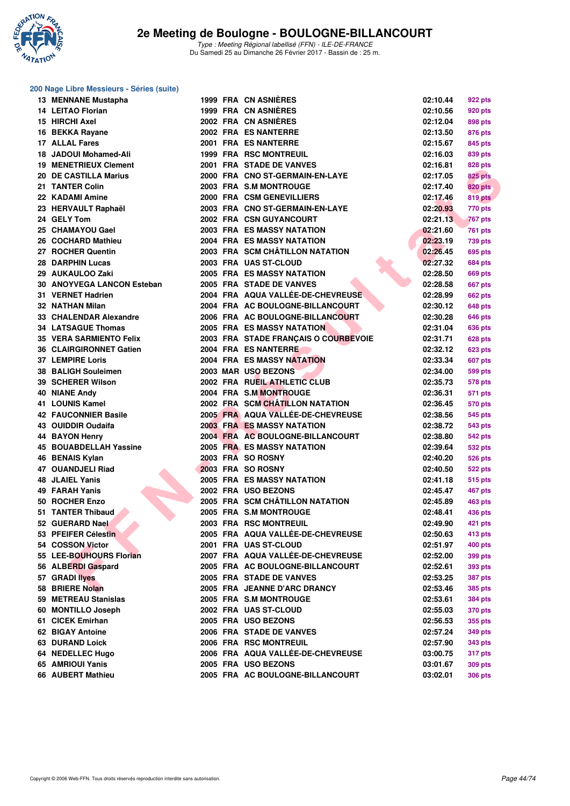

### **200 Nage Libre Messieurs - Séries (suite)**

| <b>13 MENNANE Mustapha</b>     |  | 1999 FRA CN ASNIERES                 | 02:10.44 | 922 pts        |
|--------------------------------|--|--------------------------------------|----------|----------------|
| 14 LEITAO Florian              |  | 1999 FRA CN ASNIÈRES                 | 02:10.56 | <b>920 pts</b> |
| 15 HIRCHI Axel                 |  | 2002 FRA CN ASNIERES                 | 02:12.04 | <b>898 pts</b> |
| 16 BEKKA Rayane                |  | 2002 FRA ES NANTERRE                 | 02:13.50 | 876 pts        |
| 17 ALLAL Fares                 |  | 2001 FRA ES NANTERRE                 | 02:15.67 | 845 pts        |
| 18 JADOUI Mohamed-Ali          |  | <b>1999 FRA RSC MONTREUIL</b>        | 02:16.03 | 839 pts        |
| <b>19 MENETRIEUX Clement</b>   |  | 2001 FRA STADE DE VANVES             | 02:16.81 | 828 pts        |
| 20 DE CASTILLA Marius          |  | 2000 FRA CNO ST-GERMAIN-EN-LAYE      | 02:17.05 | <b>825 pts</b> |
| 21 TANTER Colin                |  | 2003 FRA S.M MONTROUGE               | 02:17.40 | <b>820 pts</b> |
| 22 KADAMI Amine                |  | 2000 FRA CSM GENEVILLIERS            | 02:17.46 | <b>819 pts</b> |
| 23 HERVAULT Raphaël            |  | 2003 FRA CNO ST-GERMAIN-EN-LAYE      | 02:20.93 | 770 pts        |
| 24 GELY Tom                    |  | 2002 FRA CSN GUYANCOURT              | 02:21.13 | <b>767 pts</b> |
| 25 CHAMAYOU Gael               |  | <b>2003 FRA ES MASSY NATATION</b>    | 02:21.60 | 761 pts        |
| 26 COCHARD Mathieu             |  | <b>2004 FRA ES MASSY NATATION</b>    | 02:23.19 | <b>739 pts</b> |
| 27 ROCHER Quentin              |  | 2003 FRA SCM CHÂTILLON NATATION      | 02:26.45 | 695 pts        |
| 28 DARPHIN Lucas               |  | 2003 FRA UAS ST-CLOUD                | 02:27.32 | 684 pts        |
| 29 AUKAULOO Zaki               |  | <b>2005 FRA ES MASSY NATATION</b>    | 02:28.50 | <b>669 pts</b> |
| 30 ANOYVEGA LANCON Esteban     |  | 2005 FRA STADE DE VANVES             | 02:28.58 | <b>667 pts</b> |
| 31 VERNET Hadrien              |  | 2004 FRA AQUA VALLÉE-DE-CHEVREUSE    | 02:28.99 | 662 pts        |
| <b>32 NATHAN Milan</b>         |  | 2004 FRA AC BOULOGNE-BILLANCOURT     | 02:30.12 | 648 pts        |
| 33 CHALENDAR Alexandre         |  | 2006 FRA AC BOULOGNE-BILLANCOURT     | 02:30.28 | 646 pts        |
| <b>34 LATSAGUE Thomas</b>      |  | 2005 FRA ES MASSY NATATION           | 02:31.04 |                |
| <b>35 VERA SARMIENTO Felix</b> |  | 2003 FRA STADE FRANÇAIS O COURBEVOIE | 02:31.71 | 636 pts        |
| 36 CLAIRGIRONNET Gatien        |  | 2004 FRA ES NANTERRE                 | 02:32.12 | 628 pts        |
| 37 LEMPIRE Loris               |  | <b>2004 FRA ES MASSY NATATION</b>    | 02:33.34 | 623 pts        |
| 38 BALIGH Souleimen            |  | 2003 MAR USO BEZONS                  | 02:34.00 | 607 pts        |
|                                |  |                                      |          | 599 pts        |
| 39 SCHERER Wilson              |  | 2002 FRA RUEIL ATHLETIC CLUB         | 02:35.73 | 578 pts        |
| 40 NIANE Andy                  |  | 2004 FRA S.M MONTROUGE               | 02:36.31 | 571 pts        |
| 41 LOUNIS Kamel                |  | 2002 FRA SCM CHÂTILLON NATATION      | 02:36.45 | 570 pts        |
| <b>42 FAUCONNIER Basile</b>    |  | 2005 FRA AQUA VALLÉE-DE-CHEVREUSE    | 02:38.56 | 545 pts        |
| 43 OUIDDIR Oudaifa             |  | <b>2003 FRA ES MASSY NATATION</b>    | 02:38.72 | 543 pts        |
| 44 BAYON Henry                 |  | 2004 FRA AC BOULOGNE-BILLANCOURT     | 02:38.80 | 542 pts        |
| <b>45 BOUABDELLAH Yassine</b>  |  | <b>2005 FRA ES MASSY NATATION</b>    | 02:39.64 | 532 pts        |
| 46 BENAIS Kylan                |  | 2003 FRA SO ROSNY                    | 02:40.20 | 526 pts        |
| 47 OUANDJELI Riad              |  | 2003 FRA SO ROSNY                    | 02:40.50 | 522 pts        |
| <b>48 JLAIEL Yanis</b>         |  | <b>2005 FRA ES MASSY NATATION</b>    | 02:41.18 | 515 pts        |
| 49 FARAH Yanis                 |  | 2002 FRA USO BEZONS                  | 02:45.47 | 467 pts        |
| 50 ROCHER Enzo                 |  | 2005 FRA SCM CHÂTILLON NATATION      | 02:45.89 | <b>463 pts</b> |
| 51 TANTER Thibaud              |  | 2005 FRA S.M MONTROUGE               | 02:48.41 | 436 pts        |
| 52 GUERARD Nael                |  | <b>2003 FRA RSC MONTREUIL</b>        | 02:49.90 | 421 pts        |
| 53 PFEIFER Célestin            |  | 2005 FRA AQUA VALLÉE-DE-CHEVREUSE    | 02:50.63 | 413 pts        |
| 54 COSSON Victor               |  | 2001 FRA UAS ST-CLOUD                | 02:51.97 | <b>400 pts</b> |
| 55 LEE-BOUHOURS Florian        |  | 2007 FRA AQUA VALLÉE-DE-CHEVREUSE    | 02:52.00 | 399 pts        |
| 56 ALBERDI Gaspard             |  | 2005 FRA AC BOULOGNE-BILLANCOURT     | 02:52.61 | 393 pts        |
| 57 GRADI llyes                 |  | 2005 FRA STADE DE VANVES             | 02:53.25 | <b>387 pts</b> |
| 58 BRIERE Nolan                |  | 2005 FRA JEANNE D'ARC DRANCY         | 02:53.46 | 385 pts        |
| 59 METREAU Stanislas           |  | 2005 FRA S.M MONTROUGE               | 02:53.61 | <b>384 pts</b> |
| 60 MONTILLO Joseph             |  | 2002 FRA UAS ST-CLOUD                | 02:55.03 | 370 pts        |
| 61 CICEK Emirhan               |  | 2005 FRA USO BEZONS                  | 02:56.53 | 355 pts        |
| 62 BIGAY Antoine               |  | 2006 FRA STADE DE VANVES             | 02:57.24 | 349 pts        |
| <b>63 DURAND Loick</b>         |  | 2006 FRA RSC MONTREUIL               | 02:57.90 | 343 pts        |
| 64 NEDELLEC Hugo               |  | 2006 FRA AQUA VALLÉE-DE-CHEVREUSE    | 03:00.75 | <b>317 pts</b> |
| 65 AMRIOUI Yanis               |  | 2005 FRA USO BEZONS                  | 03:01.67 | 309 pts        |
| 66 AUBERT Mathieu              |  | 2005 FRA AC BOULOGNE-BILLANCOURT     | 03:02.01 | 306 pts        |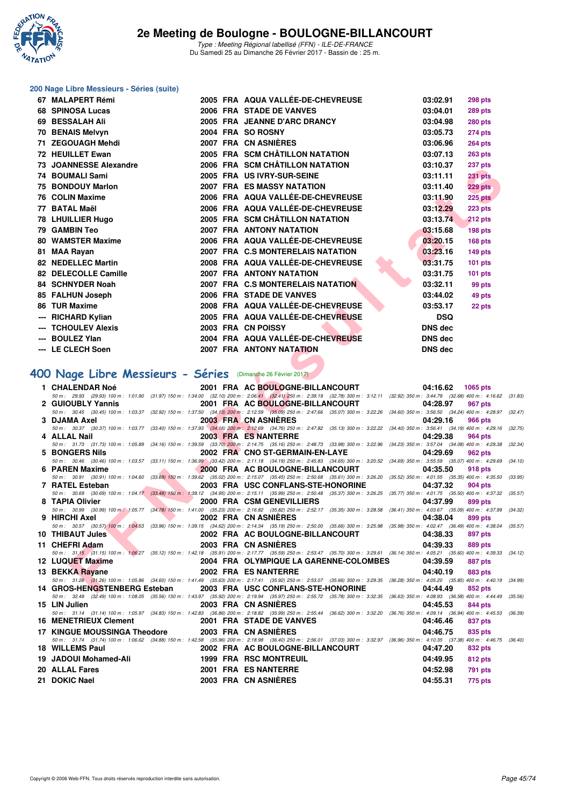

#### **200 Nage Libre Messieurs - Séries (suite)**

| 67  | <b>MALAPERT Rémi</b>       |  | 2005 FRA AQUA VALLÉE-DE-CHEVREUSE | 03:02.91       | 298 pts        |
|-----|----------------------------|--|-----------------------------------|----------------|----------------|
| 68  | <b>SPINOSA Lucas</b>       |  | 2006 FRA STADE DE VANVES          | 03:04.01       | 289 pts        |
| 69  | <b>BESSALAH Ali</b>        |  | 2005 FRA JEANNE D'ARC DRANCY      | 03:04.98       | 280 pts        |
| 70  | <b>BENAIS Melvyn</b>       |  | 2004 FRA SO ROSNY                 | 03:05.73       | 274 pts        |
| 71  | <b>ZEGOUAGH Mehdi</b>      |  | 2007 FRA CN ASNIÈRES              | 03:06.96       | <b>264 pts</b> |
| 72. | <b>HEUILLET Ewan</b>       |  | 2005 FRA SCM CHÂTILLON NATATION   | 03:07.13       | 263 pts        |
| 73. | <b>JOANNESSE Alexandre</b> |  | 2006 FRA SCM CHÂTILLON NATATION   | 03:10.37       | 237 pts        |
| 74  | <b>BOUMALI Sami</b>        |  | 2005 FRA US IVRY-SUR-SEINE        | 03:11.11       | <b>231 pts</b> |
| 75  | <b>BONDOUY Marlon</b>      |  | <b>2007 FRA ES MASSY NATATION</b> | 03:11.40       | 229 pts        |
|     | 76 COLIN Maxime            |  | 2006 FRA AQUA VALLÉE-DE-CHEVREUSE | 03:11.90       | <b>225 pts</b> |
| 77  | <b>BATAL Maël</b>          |  | 2006 FRA AQUA VALLÉE-DE-CHEVREUSE | 03:12.29       | 223 pts        |
|     | 78 LHUILLIER Hugo          |  | 2005 FRA SCM CHÂTILLON NATATION   | 03:13.74       | 212 pts        |
| 79  | <b>GAMBIN Teo</b>          |  | 2007 FRA ANTONY NATATION          | 03:15.68       | 198 pts        |
| 80  | <b>WAMSTER Maxime</b>      |  | 2006 FRA AQUA VALLÉE-DE-CHEVREUSE | 03:20.15       | 168 pts        |
| 81  | <b>MAA Rayan</b>           |  | 2007 FRA C.S MONTERELAIS NATATION | 03:23.16       | 149 pts        |
| 82  | <b>NEDELLEC Martin</b>     |  | 2008 FRA AQUA VALLÉE-DE-CHEVREUSE | 03:31.75       | 101 pts        |
| 82  | <b>DELECOLLE Camille</b>   |  | <b>2007 FRA ANTONY NATATION</b>   | 03:31.75       | $101$ pts      |
|     | 84 SCHNYDER Noah           |  | 2007 FRA C.S MONTERELAIS NATATION | 03:32.11       | 99 pts         |
| 85. | <b>FALHUN Joseph</b>       |  | 2006 FRA STADE DE VANVES          | 03:44.02       | 49 pts         |
| 86  | <b>TUR Maxime</b>          |  | 2008 FRA AQUA VALLÉE-DE-CHEVREUSE | 03:53.17       | 22 pts         |
| --- | <b>RICHARD Kylian</b>      |  | 2005 FRA AQUA VALLÉE-DE-CHEVREUSE | <b>DSQ</b>     |                |
|     | <b>TCHOULEV Alexis</b>     |  | 2003 FRA CN POISSY                | <b>DNS dec</b> |                |
|     | <b>BOULEZ Ylan</b>         |  | 2004 FRA AQUA VALLÉE-DE-CHEVREUSE | <b>DNS dec</b> |                |
|     | --- LE CLECH Soen          |  | <b>2007 FRA ANTONY NATATION</b>   | DNS dec        |                |

## **[400 Nage Libre Messieurs - Séries](http://www.ffnatation.fr/webffn/resultats.php?idact=nat&go=epr&idcpt=42219&idepr=54)** (Dimanche 26 Février 2017)

| IJ JUMINILJJE MICAGIIUIT                                    | <b>FRA SUM CHATILLON NATATION</b>                                                                                                                                                                                          | 00.IU.OI<br>201 pis        |         |
|-------------------------------------------------------------|----------------------------------------------------------------------------------------------------------------------------------------------------------------------------------------------------------------------------|----------------------------|---------|
| 74 BOUMALI Sami                                             | 2005 FRA US IVRY-SUR-SEINE                                                                                                                                                                                                 | 03:11.11<br>231 pts        |         |
| 75 BONDOUY Marlon                                           | 2007 FRA ES MASSY NATATION                                                                                                                                                                                                 | 03:11.40<br><b>229 pts</b> |         |
| 76 COLIN Maxime                                             | 2006 FRA AQUA VALLEE-DE-CHEVREUSE                                                                                                                                                                                          | 03:11.90<br><b>225 pts</b> |         |
| 77 BATAL Maël                                               | 2006 FRA AQUA VALLÉE-DE-CHEVREUSE                                                                                                                                                                                          | 03:12.29<br>223 pts        |         |
| 78 LHUILLIER Hugo                                           | 2005 FRA SCM CHÂTILLON NATATION                                                                                                                                                                                            | 03:13.74<br>212 pts        |         |
| 79 GAMBIN Teo                                               | 2007 FRA ANTONY NATATION                                                                                                                                                                                                   | 03:15.68<br>198 pts        |         |
| 80 WAMSTER Maxime                                           | 2006 FRA AQUA VALLEE-DE-CHEVREUSE                                                                                                                                                                                          | 03:20.15<br>168 pts        |         |
| 81 MAA Rayan                                                | 2007 FRA C.S MONTERELAIS NATATION                                                                                                                                                                                          | 03:23.16<br>149 pts        |         |
| 82 NEDELLEC Martin                                          | 2008 FRA AQUA VALLÉE-DE-CHEVREUSE                                                                                                                                                                                          | 03:31.75<br>$101$ pts      |         |
| 82 DELECOLLE Camille                                        | 2007 FRA ANTONY NATATION                                                                                                                                                                                                   | 03:31.75<br>$101$ pts      |         |
| 84 SCHNYDER Noah                                            | 2007 FRA C.S MONTERELAIS NATATION                                                                                                                                                                                          | 03:32.11<br>99 pts         |         |
| 85 FALHUN Joseph                                            | 2006 FRA STADE DE VANVES                                                                                                                                                                                                   | 03:44.02<br>49 pts         |         |
| 86 TUR Maxime                                               | 2008 FRA AQUA VALLÉE-DE-CHEVREUSE                                                                                                                                                                                          | 03:53.17<br>22 pts         |         |
| --- RICHARD Kylian                                          | 2005 FRA AQUA VALLEE-DE-CHEVREUSE                                                                                                                                                                                          | <b>DSQ</b>                 |         |
| --- TCHOULEV Alexis                                         | 2003 FRA CN POISSY                                                                                                                                                                                                         | <b>DNS</b> dec             |         |
|                                                             | 2004 FRA AQUA VALLÉE-DE-CHEVREUSE                                                                                                                                                                                          |                            |         |
| --- BOULEZ Ylan                                             |                                                                                                                                                                                                                            | <b>DNS</b> dec             |         |
| --- LE CLECH Soen                                           | 2007 FRA ANTONY NATATION                                                                                                                                                                                                   | <b>DNS</b> dec             |         |
|                                                             |                                                                                                                                                                                                                            |                            |         |
| 00 Nage Libre Messieurs - Séries (Dimanche 26 Février 2017) |                                                                                                                                                                                                                            |                            |         |
| 1 CHALENDAR Noé                                             | 2001 FRA AC BOULOGNE-BILLANCOURT                                                                                                                                                                                           | 04:16.62<br>1065 pts       |         |
|                                                             | 50 m: 29.93 (29.93) 100 m: 1:01.90 (31.97) 150 m: 1:34.00 (32.10) 200 m: 2:06.41 (32.41) 250 m: 2:39.19 (32.78) 300 m: 3:12.11 (32.92) 350 m: 3:44.79 (32.68) 400 m: 4:16.62 (31.83)                                       |                            |         |
| 2 GUIOUBLY Yannis                                           | 2001 FRA AC BOULOGNE-BILLANCOURT<br>50 m : 30.45 (30.45) 100 m : 1:03.37 (32.92) 150 m : 1:37.50 (34.13) 200 m : 2:12.59 (35.09) 250 m : 2:47.66 (35.07) 300 m : 3:22.26 (34.60) 350 m : 3:56.50 (34.24) 400 m : 4:28.97   | 04:28.97<br>967 pts        | (32.47) |
| 3 DJAMA Axel                                                | <b>2003 FRAICN ASNIERES</b>                                                                                                                                                                                                | 04:29.16<br><b>966 pts</b> |         |
|                                                             | 50 m: 30.37 (30.37) 100 m: 1:03.77 (33.40) 150 m: 1:37.93 (34.16) 200 m: 2:12.69 (34.76) 250 m: 2:47.82 (35.13) 300 m: 3:22.22 (34.40) 350 m: 3:56.41 (34.19) 400 m: 4:29.16                                               |                            | (32.75) |
| 4 ALLAL Nail                                                | 2003 FRA ES NANTERRE                                                                                                                                                                                                       | 04:29.38<br>964 pts        |         |
| 5 BONGERS Nils                                              | 50 m: 31.73 (31.73) 100 m: 1:05.89 (34.16) 150 m: 1:39.59 (33.70) 200 m: 2:14.75 (35.16) 250 m: 2:48.73 (33.98) 300 m: 3:22.96 (34.23) 350 m: 3:57.04 (34.08) 400 m: 4:29.38<br>2002 FRA CNO ST-GERMAIN-EN-LAYE            | 04:29.69<br>962 pts        | (32.34) |
|                                                             | 50 m: 30.46 (30.46) 100 m: 1:03.57 (33.11) 150 m: 1:36.99 (33.42) 200 m: 2:11.18 (34.19) 250 m: 2:45.83 (34.65) 300 m: 3:20.52 (34.69) 350 m: 3:55.59 (35.07) 400 m: 4:29.69                                               |                            | (34.10) |
| 6 PAREN Maxime                                              | 2000 FRA AC BOULOGNE-BILLANCOURT                                                                                                                                                                                           | 04:35.50<br>918 pts        |         |
|                                                             | 50 m: 30.91 (30.91) 100 m: 1:04.60 (33.69) 150 m: 1:39.62 (35.02) 200 m: 2:15.07 (35.45) 250 m: 2:50.68 (35.61) 300 m: 3:26.20 (35.52) 350 m: 4:01.55 (35.35) 400 m: 4:35.50                                               |                            | (33.95) |
| 7 RATEL Esteban                                             | 2003 FRA USC CONFLANS-STE-HONORINE<br>50 m: 30.69 (30.69) 100 m: 1:04.17 (33.48) 150 m: 1:39.12 (34.95) 200 m: 2:15.11 (35.99) 250 m: 2:50.48 (35.37) 300 m: 3:26.25 (35.77) 350 m: 4:01.75 (35.50) 400 m: 4:37.32 (35.57) | 04:37.32<br>904 pts        |         |
| 8 TAPIA Olivier                                             | 2000 FRA CSM GENEVILLIERS                                                                                                                                                                                                  | 04:37.99<br>899 pts        |         |
|                                                             | 50 m: 30.99 (30.99) 100 m: 1:05.77 (34.78) 150 m: 1:41.00 (35.23) 200 m: 2:16.82 (35.82) 250 m: 2:52.17 (35.35) 300 m: 3:28.58 (36.41) 350 m: 4:03.67 (35.09) 400 m: 4:37.99                                               |                            | (34.32) |
| 9 HIRCHI Axel                                               | 2002 FRA CN ASNIERES<br>50 m: 30.57 (30.57) 100 m: 1:04.53 (33.96) 150 m: 1:39.15 (34.62) 200 m: 2:14.34 (35.19) 250 m: 2:50.00 (35.66) 300 m: 3:25.98 (35.98) 350 m: 4:02.47 (36.49) 400 m: 4:38.04 (35.57)               | 04:38.04<br>899 pts        |         |
| 10 THIBAUT Jules                                            | 2002 FRA AC BOULOGNE-BILLANCOURT                                                                                                                                                                                           | 04:38.33<br>897 pts        |         |
| 11 CHEFRI Adam                                              | 2003 FRA CN ASNIERES                                                                                                                                                                                                       | 04:39.33<br>889 pts        |         |
|                                                             | 50 m: 31,15 (31.15) 100 m: 1:06.27 (35.12) 150 m: 1:42.18 (35.91) 200 m: 2:17.77 (35.59) 250 m: 2:53.47 (35.70) 300 m: 3:29.61 (36.14) 350 m: 4:05.21 (35.60) 400 m: 4:39.33 (34.12)                                       |                            |         |
| 12 LUQUET Maxime                                            | 2004 FRA OLYMPIQUE LA GARENNE-COLOMBES                                                                                                                                                                                     | 04:39.59<br>887 pts        |         |
| 13 BEKKA Rayane                                             | 2002 FRA ES NANTERRE                                                                                                                                                                                                       | 04:40.19<br>883 pts        |         |
| 14 GROS-HENGSTENBERG Esteban                                | 50 m: 31.26 (31.26) 100 m: 1:05.86 (34.60) 150 m: 1:41.49 (35.63) 200 m: 2:17.41 (35.92) 250 m: 2:53.07 (35.66) 300 m: 3:29.35 (36.28) 350 m: 4:05.20 (35.85) 400 m: 4:40.19 (34.99)<br>2003 FRA USC CONFLANS-STE-HONORINE | 04:44.49<br>852 pts        |         |
|                                                             | 50 m : 32.49 (32.49) 100 m : 1:08.05 (35.56) 150 m : 1:43.97 (35.92) 200 m : 2:19.94 (35.97) 250 m : 2:55.72 (35.78) 300 m : 3:32.35 (36.63) 350 m : 4:08.93 (36.58) 400 m : 4:44.49 (35.56)                               |                            |         |
| 15 LIN Julien                                               | 2003 FRA CN ASNIERES                                                                                                                                                                                                       | 04:45.53<br>844 pts        |         |
|                                                             | 50 m: 31.14 (31.14) 100 m: 1:05.97 (34.83) 150 m: 1:42.83 (36.86) 200 m: 2:18.82 (35.99) 250 m: 2:55.44 (36.62) 300 m: 3:32.20 (36.76) 350 m: 4:09.14 (36.94) 400 m: 4:45.53 (36.39)                                       |                            |         |
| <b>16 MENETRIEUX Clement</b>                                | 2001 FRA STADE DE VANVES                                                                                                                                                                                                   | 04:46.46<br>837 pts        |         |
| <b>17 KINGUE MOUSSINGA Theodore</b>                         | 2003 FRA CN ASNIERES<br>50 m: 31.74 (31.74) 100 m: 1:06.62 (34.88) 150 m: 1:42.58 (35.96) 200 m: 2:18.98 (36.40) 250 m: 2:56.01 (37.03) 300 m: 3:32.97 (36.96) 350 m: 4:10.35 (37.38) 400 m: 4:46.75                       | 04:46.75<br>835 pts        | (36.40) |
| <b>18 WILLEMS Paul</b>                                      | 2002 FRA AC BOULOGNE-BILLANCOURT                                                                                                                                                                                           | 04:47.20<br>832 pts        |         |
| 19 JADOUI Mohamed-Ali                                       | <b>1999 FRA RSC MONTREUIL</b>                                                                                                                                                                                              | 04:49.95<br>812 pts        |         |
| 20 ALLAL Fares                                              | 2001 FRA ES NANTERRE                                                                                                                                                                                                       | 04:52.98<br>791 pts        |         |
| 21 DOKIC Nael                                               | 2003 FRA CN ASNIÈRES                                                                                                                                                                                                       | 04:55.31<br>775 pts        |         |
|                                                             |                                                                                                                                                                                                                            |                            |         |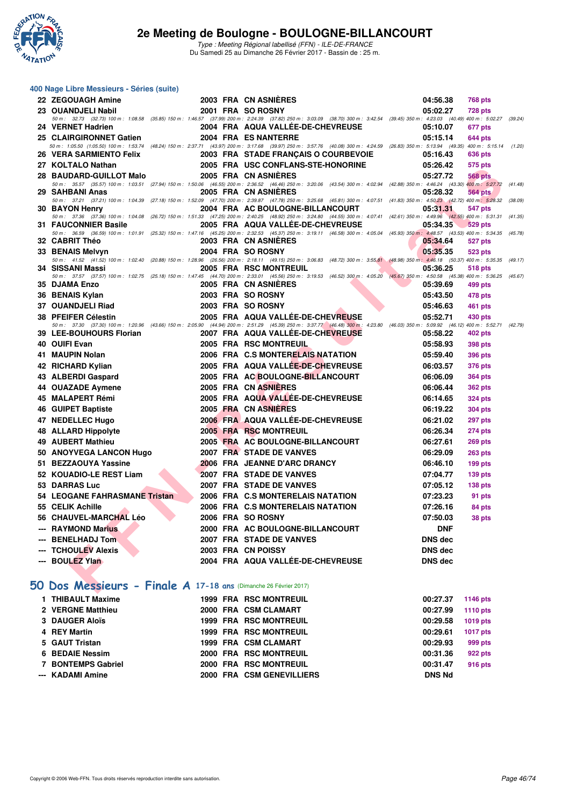

Type : Meeting Régional labellisé (FFN) - ILE-DE-FRANCE Du Samedi 25 au Dimanche 26 Février 2017 - Bassin de : 25 m.

|     | 400 Nage Libre Messieurs - Séries (suite)                        |                                                                                                                                                                                                                           |                |                |         |
|-----|------------------------------------------------------------------|---------------------------------------------------------------------------------------------------------------------------------------------------------------------------------------------------------------------------|----------------|----------------|---------|
|     | 22 ZEGOUAGH Amine                                                | 2003 FRA CN ASNIERES                                                                                                                                                                                                      | 04:56.38       | <b>768 pts</b> |         |
|     | 23 OUANDJELI Nabil                                               | 2001 FRA SO ROSNY                                                                                                                                                                                                         | 05:02.27       | <b>728 pts</b> |         |
|     | 24 VERNET Hadrien                                                | 50 m: 32.73 (32.73) 100 m: 1:08.58 (35.85) 150 m: 1:46.57 (37.99) 200 m: 2:24.39 (37.82) 250 m: 3:03.09 (38.70) 300 m: 3:42.54 (39.45) 350 m: 4:23.03 (40.49) 400 m: 5:02.27<br>2004 FRA AQUA VALLÉE-DE-CHEVREUSE         | 05:10.07       | 677 pts        | (39.24) |
|     | 25 CLAIRGIRONNET Gatien                                          | 2004 FRA ES NANTERRE                                                                                                                                                                                                      | 05:15.14       | 644 pts        |         |
|     |                                                                  | 50 m: 1:05.50 (1:05.50) 100 m: 1:53.74 (48.24) 150 m: 2:37.71 (43.97) 200 m: 3:17.68 (39.97) 250 m: 3:57.76 (40.08) 300 m: 4:24.59 (26.83) 350 m: 5:13.94 (49.35) 400 m: 5:15.14                                          |                |                | (1.20)  |
|     | 26 VERA SARMIENTO Felix                                          | 2003 FRA STADE FRANCAIS O COURBEVOIE                                                                                                                                                                                      | 05:16.43       | 636 pts        |         |
|     | 27 KOLTALO Nathan                                                | 2005 FRA USC CONFLANS-STE-HONORINE                                                                                                                                                                                        | 05:26.42       | 575 pts        |         |
|     | 28 BAUDARD-GUILLOT Malo                                          | 2005 FRA CN ASNIERES                                                                                                                                                                                                      | 05:27.72       | <b>568 pts</b> |         |
|     | 29 SAHBANI Anas                                                  | 50 m: 35.57 (35.57) 100 m: 1:03.51 (27.94) 150 m: 1:50.06 (46.55) 200 m: 2:36.52 (46.46) 250 m: 3:20.06 (43.54) 300 m: 4:02.84 (42.88) 350 m: 4:46.24 (43.30) 400 m: 5:27.72<br>2005 FRA CN ASNIERES                      | 05:28.32       | 564 pts        | (41.48) |
|     |                                                                  | 50 m: 37.21 (37.21) 100 m: 1:04.39 (27.18) 150 m: 1:52.09 (47.70) 200 m: 2:39.87 (47.78) 250 m: 3:25.68 (45.81) 300 m: 4:07.51 (41.83) 350 m: 4:50.23 (42.72) 400 m: 5:28.32                                              |                |                | (38.09) |
|     | 30 BAYON Henry                                                   | 2004 FRA AC BOULOGNE-BILLANCOURT                                                                                                                                                                                          | 05:31.31       | 547 pts        |         |
|     | <b>31 FAUCONNIER Basile</b>                                      | 50 m: 37.36 (37.36) 100 m: 1:04.08 (26.72) 150 m: 1:51.33 (47.25) 200 m: 2:40.25 (48.92) 250 m: 3:24.80 (44.55) 300 m: 4:07.41 (42.61) 350 m: 4:49.96 (42.55) 400 m: 5:31.31<br>2005 FRA AQUA VALLEE-DE-CHEVREUSE         | 05:34.35       | <b>529 pts</b> | (41.35) |
|     |                                                                  | 50 m: 36.59 (36.59) 100 m: 1:01.91 (25.32) 150 m: 1:47.16 (45.25) 200 m: 2:32.53 (45.37) 250 m: 3:19.11 (46.58) 300 m: 4:05.04 (45.93) 350 m: 4:48.57 (43.53) 400 m: 5:34.35                                              |                |                | (45.78) |
|     | 32 CABRIT Théo                                                   | 2003 FRA CN ASNIERES                                                                                                                                                                                                      | 05:34.64       | 527 pts        |         |
|     | 33 BENAIS Melvyn                                                 | 2004 FRA SO ROSNY<br>50 m: 41.52 (41.52) 100 m: 1:02.40 (20.88) 150 m: 1:28.96 (26.56) 200 m: 2:18.11 (49.15) 250 m: 3:06.83 (48.72) 300 m: 3:55.81 (48.98) 350 m: 4:46.18 (50.37) 400 m: 5:35.35                         | 05:35.35       | 523 pts        | (49.17) |
|     | 34   SISSANI Massi                                               | 2005 FRA RSC MONTREUIL                                                                                                                                                                                                    | 05:36.25       | 518 pts        |         |
|     |                                                                  | 50 m : 37.57 (37.57) 100 m : 1:02.75 (25.18) 150 m : 1:47.45 (44.70) 200 m : 2:33.01 (45.56) 250 m : 3:19.53 (46.52) 300 m : 4:05.20 (45.67) 350 m : 4:50.58 (45.38) 400 m : 5:36.25 (45.67)                              |                |                |         |
|     | 35 DJAMA Enzo                                                    | 2005 FRA CN ASNIERES                                                                                                                                                                                                      | 05:39.69       | 499 pts        |         |
|     | 36 BENAIS Kylan                                                  | 2003 FRA SO ROSNY                                                                                                                                                                                                         | 05:43.50       | 478 pts        |         |
|     | 37 OUANDJELI Riad                                                | 2003 FRA SO ROSNY                                                                                                                                                                                                         | 05:46.63       | <b>461 pts</b> |         |
|     | 38 PFEIFER Célestin                                              | 2005 FRA AQUA VALLEE-DE-CHEVREUSE<br>50 m : 37.30 (37.30) 100 m : 1:20.96 (43.66) 150 m : 2:05.90 (44.94) 200 m : 2:51.29 (45.39) 250 m : 3:37.77 (46.48) 300 m : 4:23.80 (46.03) 350 m : 5:09.92 (46.12) 400 m : 5:52.71 | 05:52.71       | 430 pts        | (42.79) |
|     | 39 LEE-BOUHOURS Florian                                          | 2007 FRA AQUA VALLEE-DE-CHEVREUSE                                                                                                                                                                                         | 05:58.22       | <b>402 pts</b> |         |
|     | 40 OUIFI Evan                                                    | 2005 FRA RSC MONTREUIL                                                                                                                                                                                                    | 05:58.93       | <b>398 pts</b> |         |
|     | 41 MAUPIN Nolan                                                  | 2006 FRA C.S MONTERELAIS NATATION                                                                                                                                                                                         | 05:59.40       | <b>396 pts</b> |         |
|     | 42 RICHARD Kylian                                                | 2005 FRA AQUA VALLEE-DE-CHEVREUSE                                                                                                                                                                                         | 06:03.57       | <b>376 pts</b> |         |
|     | 43 ALBERDI Gaspard                                               | 2005 FRA AC BOULOGNE-BILLANCOURT                                                                                                                                                                                          | 06:06.09       | <b>364 pts</b> |         |
|     | 44 OUAZADE Aymene                                                | 2005 FRA CN ASNIERES                                                                                                                                                                                                      | 06:06.44       | <b>362 pts</b> |         |
|     | 45 MALAPERT Rémi                                                 | 2005 FRA AQUA VALLÉE-DE-CHEVREUSE                                                                                                                                                                                         | 06:14.65       | <b>324 pts</b> |         |
|     | 46 GUIPET Baptiste                                               | 2005 FRA CN ASNIERES                                                                                                                                                                                                      | 06:19.22       | <b>304 pts</b> |         |
|     | 47 NEDELLEC Hugo                                                 | 2006 FRA AQUA VALLEE-DE-CHEVREUSE                                                                                                                                                                                         | 06:21.02       | <b>297 pts</b> |         |
|     | 48 ALLARD Hippolyte                                              | 2005 FRA RSC MONTREUIL                                                                                                                                                                                                    | 06:26.34       | 274 pts        |         |
|     | 49 AUBERT Mathieu                                                | 2005 FRA AC BOULOGNE-BILLANCOURT                                                                                                                                                                                          | 06:27.61       | <b>269 pts</b> |         |
|     | 50 ANOYVEGA LANCON Hugo                                          | 2007 FRA STADE DE VANVES                                                                                                                                                                                                  | 06:29.09       | <b>263 pts</b> |         |
| 51. | <b>BEZZAOUYA Yassine</b>                                         | 2006 FRA JEANNE D'ARC DRANCY                                                                                                                                                                                              | 06:46.10       | $199$ pts      |         |
|     | 52 KOUADIO-LE REST Liam                                          | <b>2007 FRA STADE DE VANVES</b>                                                                                                                                                                                           | 07:04.77       | <b>139 pts</b> |         |
|     | 53 DARRAS Luc                                                    | 2007 FRA STADE DE VANVES                                                                                                                                                                                                  | 07:05.12       | <b>138 pts</b> |         |
|     | 54 LEOGANE FAHRASMANE Tristan                                    | 2006 FRA C.S MONTERELAIS NATATION                                                                                                                                                                                         | 07:23.23       | 91 pts         |         |
|     | 55 CELIK Achille                                                 | 2006 FRA C.S MONTERELAIS NATATION                                                                                                                                                                                         | 07:26.16       | 84 pts         |         |
|     | 56 CHAUVEL-MARCHAL Léo                                           | 2006 FRA SO ROSNY                                                                                                                                                                                                         | 07:50.03       | 38 pts         |         |
|     | --- RAYMOND Marius                                               | 2000 FRA AC BOULOGNE-BILLANCOURT                                                                                                                                                                                          | <b>DNF</b>     |                |         |
|     | --- BENELHADJ Tom                                                | 2007 FRA STADE DE VANVES                                                                                                                                                                                                  | <b>DNS dec</b> |                |         |
|     | --- TCHOULEV Alexis                                              | 2003 FRA CN POISSY                                                                                                                                                                                                        | <b>DNS dec</b> |                |         |
|     | --- BOULEZ Ylan                                                  | 2004 FRA AQUA VALLÉE-DE-CHEVREUSE                                                                                                                                                                                         | <b>DNS dec</b> |                |         |
|     | 50 Dos Messieurs - Finale A 17-18 ans (Dimanche 26 Février 2017) |                                                                                                                                                                                                                           |                |                |         |

## **[50 Dos Messieurs - Finale A](http://www.ffnatation.fr/webffn/resultats.php?idact=nat&go=epr&idcpt=42219&idepr=61) 17-18 ans** (Dimanche 26 Février 2017)

| 1 THIBAULT Maxime  |  | 1999 FRA RSC MONTREUIL        | 00:27.37      | 1146 pts        |
|--------------------|--|-------------------------------|---------------|-----------------|
| 2 VERGNE Matthieu  |  | 2000 FRA CSM CLAMART          | 00:27.99      | <b>1110 pts</b> |
| 3 DAUGER Aloïs     |  | <b>1999 FRA RSC MONTREUIL</b> | 00:29.58      | <b>1019 pts</b> |
| 4 REY Martin       |  | <b>1999 FRA RSC MONTREUIL</b> | 00:29.61      | 1017 pts        |
| 5 GAUT Tristan     |  | 1999 FRA CSM CLAMART          | 00:29.93      | 999 pts         |
| 6 BEDAIE Nessim    |  | 2000 FRA RSC MONTREUIL        | 00:31.36      | 922 pts         |
| 7 BONTEMPS Gabriel |  | 2000 FRA RSC MONTREUIL        | 00:31.47      | 916 pts         |
| --- KADAMI Amine   |  | 2000 FRA CSM GENEVILLIERS     | <b>DNS Nd</b> |                 |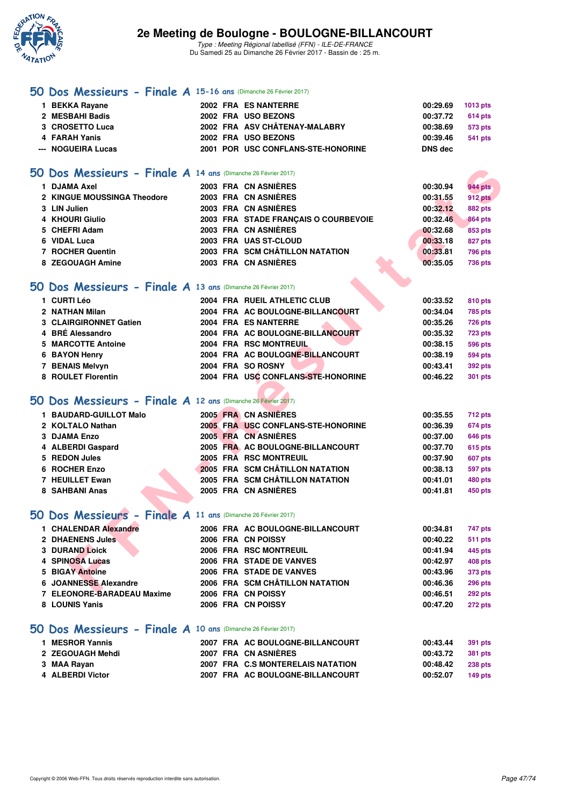

Type : Meeting Régional labellisé (FFN) - ILE-DE-FRANCE Du Samedi 25 au Dimanche 26 Février 2017 - Bassin de : 25 m.

### **[50 Dos Messieurs - Finale A](http://www.ffnatation.fr/webffn/resultats.php?idact=nat&go=epr&idcpt=42219&idepr=61) 15-16 ans** (Dimanche 26 Février 2017)

| 1 BEKKA Rayane     |  | 2002 FRA ES NANTERRE               | $00:29.69$ 1013 pts |         |
|--------------------|--|------------------------------------|---------------------|---------|
| 2 MESBAHI Badis    |  | 2002 FRA USO BEZONS                | 00:37.72            | 614 pts |
| 3 CROSETTO Luca    |  | 2002 FRA ASV CHÂTENAY-MALABRY      | 00:38.69            | 573 pts |
| 4 FARAH Yanis      |  | 2002 FRA USO BEZONS                | 00:39.46            | 541 pts |
| --- NOGUEIRA Lucas |  | 2001 POR USC CONFLANS-STE-HONORINE | DNS dec             |         |

### **[50 Dos Messieurs - Finale A](http://www.ffnatation.fr/webffn/resultats.php?idact=nat&go=epr&idcpt=42219&idepr=61) 14 ans** (Dimanche 26 Février 2017)

| $50$ Dos Messieurs - Finale A 14 ans (Dimanche 26 Février 2017)      |                                      |          |                |
|----------------------------------------------------------------------|--------------------------------------|----------|----------------|
| 1 DJAMA Axel                                                         | 2003 FRA CN ASNIÈRES                 | 00:30.94 | <b>944 pts</b> |
| 2 KINGUE MOUSSINGA Theodore                                          | 2003 FRA CN ASNIERES                 | 00:31.55 | 912 pts        |
| 3 LIN Julien                                                         | 2003 FRA CN ASNIÈRES                 | 00:32.12 | <b>882 pts</b> |
| 4 KHOURI Giulio                                                      | 2003 FRA STADE FRANÇAIS O COURBEVOIE | 00:32.46 | <b>864 pts</b> |
| 5 CHEFRI Adam                                                        | 2003 FRA CN ASNIÈRES                 | 00:32.68 | 853 pts        |
| 6 VIDAL Luca                                                         | 2003 FRA UAS ST-CLOUD                | 00:33.18 | <b>827 pts</b> |
| 7 ROCHER Quentin                                                     | 2003 FRA SCM CHÂTILLON NATATION      | 00:33.81 | <b>796 pts</b> |
| 8 ZEGOUAGH Amine                                                     | 2003 FRA CN ASNIÈRES                 | 00:35.05 | <b>736 pts</b> |
|                                                                      |                                      |          |                |
| $50$ Dos Messieurs - Finale A 13 ans (Dimanche 26 Février 2017)      |                                      |          |                |
| 1 CURTI Léo                                                          | 2004 FRA RUEIL ATHLETIC CLUB         | 00:33.52 | 810 pts        |
| 2 NATHAN Milan                                                       | 2004 FRA AC BOULOGNE-BILLANCOURT     | 00:34.04 | 785 pts        |
| 3 CLAIRGIRONNET Gatien                                               | 2004 FRA ES NANTERRE                 | 00:35.26 | 726 pts        |
| 4 BRÉ Alessandro                                                     | 2004 FRA AC BOULOGNE-BILLANCOURT     | 00:35.32 | 723 pts        |
| <b>5 MARCOTTE Antoine</b>                                            | 2004 FRA RSC MONTREUIL               | 00:38.15 | <b>596 pts</b> |
| 6 BAYON Henry                                                        | 2004 FRA AC BOULOGNE-BILLANCOURT     | 00:38.19 | 594 pts        |
| 7 BENAIS Melvyn                                                      | 2004 FRA SO ROSNY                    | 00:43.41 | <b>392 pts</b> |
| 8 ROULET Florentin                                                   | 2004 FRA USC CONFLANS-STE-HONORINE   | 00:46.22 | <b>301 pts</b> |
|                                                                      |                                      |          |                |
| $50$ Dos Messieurs - Finale A 12 ans (Dimanche 26 Février 2017)      |                                      |          |                |
| 1 BAUDARD-GUILLOT Malo                                               | 2005 FRA CN ASNIÈRES                 | 00:35.55 | 712 pts        |
| 2 KOLTALO Nathan                                                     | 2005 FRA USC CONFLANS-STE-HONORINE   | 00:36.39 | 674 pts        |
| 3 DJAMA Enzo                                                         | 2005 FRA CN ASNIERES                 | 00:37.00 | <b>646 pts</b> |
| 4 ALBERDI Gaspard                                                    | 2005 FRA AC BOULOGNE-BILLANCOURT     | 00:37.70 | 615 pts        |
| 5 REDON Jules                                                        | 2005 FRA RSC MONTREUIL               | 00:37.90 | 607 pts        |
| 6 ROCHER Enzo                                                        | 2005 FRA SCM CHÂTILLON NATATION      | 00:38.13 | 597 pts        |
| 7 HEUILLET Ewan                                                      | 2005 FRA SCM CHÂTILLON NATATION      | 00:41.01 | 480 pts        |
| 8 SAHBANI Anas                                                       | 2005 FRA CN ASNIÈRES                 | 00:41.81 | 450 pts        |
|                                                                      |                                      |          |                |
| <b>10 Dos Messieurs - Finale A 11 ans (Dimanche 26 Février 2017)</b> |                                      |          |                |
| 1 CHALENDAR Alexandre                                                | 2006 FRA AC BOULOGNE-BILLANCOURT     | 00:34.81 | 747 pts        |
| 2 DHAENENS Jules                                                     | 2006 FRA CN POISSY                   | 00:40.22 | <b>511 pts</b> |
| <b>3 DURAND Loick</b>                                                | 2006 FRA RSC MONTREUIL               | 00:41.94 | 445 pts        |
| <b>4 SPINOSA Lucas</b>                                               | 2006 FRA STADE DE VANVES             | 00:42.97 | 408 pts        |
| <b>5 BIGAY Antoine</b>                                               | 2006 FRA STADE DE VANVES             | 00:43.96 | 373 pts        |
| <b>6 JOANNESSE Alexandre</b>                                         | 2006 FRA SCM CHÂTILLON NATATION      | 00:46.36 | <b>296 pts</b> |
| <b>7 ELEONOPE PARADEAU Mexime</b>                                    | 2006 EDA CN DOICEV                   | 00-4C E4 | $000 - 1$      |

### **[50 Dos Messieurs - Finale A](http://www.ffnatation.fr/webffn/resultats.php?idact=nat&go=epr&idcpt=42219&idepr=61) 13 ans** (Dimanche 26 Février 2017)

| 1 CURTI Léo            | 2004 FRA RUEIL ATHLETIC CLUB       | 00:33.52 | 810 pts        |
|------------------------|------------------------------------|----------|----------------|
| 2 NATHAN Milan         | 2004 FRA AC BOULOGNE-BILLANCOURT   | 00:34.04 | 785 pts        |
| 3 CLAIRGIRONNET Gatien | 2004 FRA ES NANTERRE               | 00:35.26 | <b>726 pts</b> |
| 4 BRÉ Alessandro       | 2004 FRA AC BOULOGNE-BILLANCOURT   | 00:35.32 | <b>723 pts</b> |
| 5 MARCOTTE Antoine     | 2004 FRA RSC MONTREUIL             | 00:38.15 | <b>596 pts</b> |
| 6 BAYON Henry          | 2004 FRA AC BOULOGNE-BILLANCOURT   | 00:38.19 | <b>594 pts</b> |
| 7 BENAIS Melvyn        | 2004 FRA SO ROSNY                  | 00:43.41 | 392 pts        |
| 8 ROULET Florentin     | 2004 FRA USC CONFLANS-STE-HONORINE | 00:46.22 | 301 pts        |

## **[50 Dos Messieurs - Finale A](http://www.ffnatation.fr/webffn/resultats.php?idact=nat&go=epr&idcpt=42219&idepr=61) 12 ans** (Dimanche 26 Février 2017)

| 1 BAUDARD-GUILLOT Malo |  | 2005 FRA CN ASNIÈRES               | 00:35.55 | 712 pts        |
|------------------------|--|------------------------------------|----------|----------------|
| 2 KOLTALO Nathan       |  | 2005 FRA USC CONFLANS-STE-HONORINE | 00:36.39 | <b>674 pts</b> |
| 3 DJAMA Enzo           |  | 2005 FRA CN ASNIÈRES               | 00:37.00 | 646 pts        |
| 4 ALBERDI Gaspard      |  | 2005 FRA AC BOULOGNE-BILLANCOURT   | 00:37.70 | <b>615 pts</b> |
| 5 REDON Jules          |  | 2005 FRA RSC MONTREUIL             | 00:37.90 | <b>607 pts</b> |
| 6 ROCHER Enzo          |  | 2005 FRA SCM CHÂTILLON NATATION    | 00:38.13 | 597 pts        |
| 7 HEUILLET Ewan        |  | 2005 FRA SCM CHÂTILLON NATATION    | 00:41.01 | 480 pts        |
| 8 SAHBANI Anas         |  | 2005 FRA CN ASNIÈRES               | 00:41.81 | 450 pts        |

### **[50 Dos Messieurs - Finale A](http://www.ffnatation.fr/webffn/resultats.php?idact=nat&go=epr&idcpt=42219&idepr=61) 11 ans** (Dimanche 26 Février 2017)

| 1 CHALENDAR Alexandre      |                    | 2006 FRA AC BOULOGNE-BILLANCOURT | 00:34.81 | 747 pts        |
|----------------------------|--------------------|----------------------------------|----------|----------------|
| 2 DHAENENS Jules           | 2006 FRA CN POISSY |                                  | 00:40.22 | <b>511 pts</b> |
| <b>3 DURAND Loick</b>      |                    | 2006 FRA RSC MONTREUIL           | 00:41.94 | 445 pts        |
| 4 SPINOSA Lucas            |                    | 2006 FRA STADE DE VANVES         | 00:42.97 | <b>408 pts</b> |
| 5 BIGAY Antoine            |                    | 2006 FRA STADE DE VANVES         | 00:43.96 | <b>373 pts</b> |
| 6 JOANNESSE Alexandre      |                    | 2006 FRA SCM CHÂTILLON NATATION  | 00:46.36 | <b>296 pts</b> |
| 7 ELEONORE-BARADEAU Maxime | 2006 FRA CN POISSY |                                  | 00:46.51 | <b>292 pts</b> |
| 8 LOUNIS Yanis             | 2006 FRA CN POISSY |                                  | 00:47.20 | 272 pts        |
|                            |                    |                                  |          |                |

### **[50 Dos Messieurs - Finale A](http://www.ffnatation.fr/webffn/resultats.php?idact=nat&go=epr&idcpt=42219&idepr=61) 10 ans** (Dimanche 26 Février 2017)

| 1 MESROR Yannis  |  | 2007 FRA AC BOULOGNE-BILLANCOURT  | 00:43.44 | 391 pts        |
|------------------|--|-----------------------------------|----------|----------------|
| 2 ZEGOUAGH Mehdi |  | 2007 FRA CN ASNIÈRES              | 00:43.72 | 381 pts        |
| 3 MAA Rayan      |  | 2007 FRA C.S MONTERELAIS NATATION | 00:48.42 | <b>238 pts</b> |
| 4 ALBERDI Victor |  | 2007 FRA AC BOULOGNE-BILLANCOURT  | 00:52.07 | <b>149 pts</b> |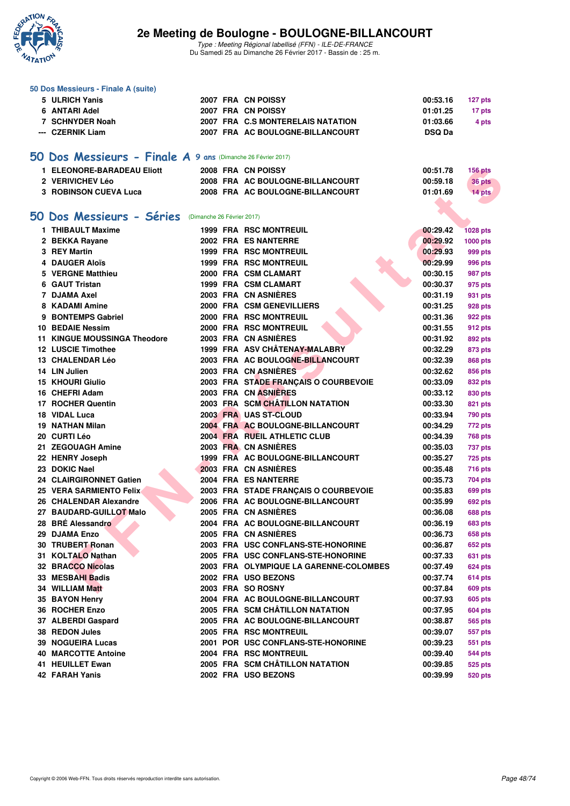

| 50 Dos Messieurs - Finale A (suite)                          |                            |                                        |               |                 |
|--------------------------------------------------------------|----------------------------|----------------------------------------|---------------|-----------------|
| 5 ULRICH Yanis                                               |                            | 2007 FRA CN POISSY                     | 00:53.16      | 127 pts         |
| 6 ANTARI Adel                                                |                            | 2007 FRA CN POISSY                     | 01:01.25      | 17 pts          |
| 7 SCHNYDER Noah                                              |                            | 2007 FRA C.S MONTERELAIS NATATION      | 01:03.66      | 4 pts           |
| --- CZERNIK Liam                                             |                            | 2007 FRA AC BOULOGNE-BILLANCOURT       | <b>DSQ Da</b> |                 |
|                                                              |                            |                                        |               |                 |
| 50 Dos Messieurs - Finale A 9 ans (Dimanche 26 Février 2017) |                            |                                        |               |                 |
| 1 ELEONORE-BARADEAU Eliott                                   |                            | 2008 FRA CN POISSY                     | 00:51.78      | <b>156 pts</b>  |
| 2 VERIVICHEV Léo                                             |                            | 2008 FRA AC BOULOGNE-BILLANCOURT       | 00:59.18      | 36 pts          |
| <b>3 ROBINSON CUEVA Luca</b>                                 |                            | 2008 FRA AC BOULOGNE-BILLANCOURT       | 01:01.69      | 14 pts          |
|                                                              |                            |                                        |               |                 |
| 50 Dos Messieurs - Séries                                    | (Dimanche 26 Février 2017) |                                        |               |                 |
| 1 THIBAULT Maxime                                            |                            | 1999 FRA RSC MONTREUIL                 | 00:29.42      | <b>1028 pts</b> |
| 2 BEKKA Rayane                                               |                            | 2002 FRA ES NANTERRE                   | 00:29.92      | 1000 pts        |
| 3 REY Martin                                                 |                            | <b>1999 FRA RSC MONTREUIL</b>          | 00:29.93      | 999 pts         |
| 4 DAUGER Aloïs                                               |                            | <b>1999 FRA RSC MONTREUIL</b>          | 00:29.99      | 996 pts         |
| 5 VERGNE Matthieu                                            |                            | 2000 FRA CSM CLAMART                   | 00:30.15      | 987 pts         |
| 6 GAUT Tristan                                               |                            | 1999 FRA CSM CLAMART                   | 00:30.37      | 975 pts         |
| 7 DJAMA Axel                                                 |                            | 2003 FRA CN ASNIERES                   | 00:31.19      | 931 pts         |
| 8 KADAMI Amine                                               |                            | 2000 FRA CSM GENEVILLIERS              | 00:31.25      | 928 pts         |
| 9 BONTEMPS Gabriel                                           |                            | 2000 FRA RSC MONTREUIL                 | 00:31.36      | 922 pts         |
| 10 BEDAIE Nessim                                             |                            | 2000 FRA RSC MONTREUIL                 | 00:31.55      | 912 pts         |
| <b>11 KINGUE MOUSSINGA Theodore</b>                          |                            | 2003 FRA CN ASNIERES                   | 00:31.92      | 892 pts         |
| <b>12 LUSCIE Timothee</b>                                    |                            | 1999 FRA ASV CHÂTENAY-MALABRY          | 00:32.29      | 873 pts         |
| 13 CHALENDAR Léo                                             |                            | 2003 FRA AC BOULOGNE-BILLANCOURT       | 00:32.39      | 868 pts         |
| 14 LIN Julien                                                |                            | 2003 FRA CN ASNIERES                   | 00:32.62      | 856 pts         |
| <b>15 KHOURI Giulio</b>                                      |                            | 2003 FRA STADE FRANÇAIS O COURBEVOIE   | 00:33.09      | 832 pts         |
| 16 CHEFRI Adam                                               |                            | 2003 FRA CN ASNIERES                   | 00:33.12      | 830 pts         |
| 17 ROCHER Quentin                                            |                            | 2003 FRA SCM CHÂTILLON NATATION        | 00:33.30      | 821 pts         |
| 18 VIDAL Luca                                                |                            | 2003 FRA UAS ST-CLOUD                  | 00:33.94      | <b>790 pts</b>  |
| <b>19 NATHAN Milan</b>                                       |                            | 2004 FRA AC BOULOGNE-BILLANCOURT       | 00:34.29      | 772 pts         |
| 20 CURTI Léo                                                 |                            | 2004 FRA RUEIL ATHLETIC CLUB           | 00:34.39      | <b>768 pts</b>  |
| 21 ZEGOUAGH Amine                                            |                            | 2003 FRA CN ASNIÈRES                   | 00:35.03      | <b>737 pts</b>  |
| 22 HENRY Joseph                                              |                            | 1999 FRA AC BOULOGNE-BILLANCOURT       | 00:35.27      | <b>725 pts</b>  |
| 23 DOKIC Nael                                                |                            | 2003 FRA CN ASNIÈRES                   | 00:35.48      | <b>716 pts</b>  |
| 24 CLAIRGIRONNET Gatien                                      |                            | 2004 FRA ES NANTERRE                   | 00:35.73      | 704 pts         |
| 25 VERA SARMIENTO Felix                                      |                            | 2003 FRA STADE FRANCAIS O COURBEVOIE   | 00:35.83      | 699 pts         |
| 26 CHALENDAR Alexandre                                       |                            | 2006 FRA AC BOULOGNE-BILLANCOURT       | 00:35.99      | <b>692 pts</b>  |
| 27 BAUDARD-GUILLOT Malo                                      |                            | 2005 FRA CN ASNIÈRES                   | 00:36.08      | <b>688 pts</b>  |
| 28 BRE Alessandro                                            |                            | 2004 FRA AC BOULOGNE-BILLANCOURT       | 00:36.19      | <b>683 pts</b>  |
| 29 DJAMA Enzo                                                |                            | 2005 FRA CN ASNIERES                   | 00:36.73      | 658 pts         |
| 30 TRUBERT Ronan                                             |                            | 2003 FRA USC CONFLANS-STE-HONORINE     | 00:36.87      | <b>652 pts</b>  |
| 31 KOLTALO Nathan                                            |                            | 2005 FRA USC CONFLANS-STE-HONORINE     | 00:37.33      | 631 pts         |
| <b>32 BRACCO Nicolas</b>                                     |                            | 2003 FRA OLYMPIQUE LA GARENNE-COLOMBES | 00:37.49      | <b>624 pts</b>  |
| 33 MESBAHI Badis                                             |                            | 2002 FRA USO BEZONS                    | 00:37.74      | 614 pts         |
| 34 WILLIAM Matt                                              |                            | 2003 FRA SO ROSNY                      | 00:37.84      | <b>609 pts</b>  |
| 35 BAYON Henry                                               |                            | 2004 FRA AC BOULOGNE-BILLANCOURT       | 00:37.93      | <b>605 pts</b>  |
| 36 ROCHER Enzo                                               |                            | 2005 FRA SCM CHÂTILLON NATATION        | 00:37.95      | <b>604 pts</b>  |
| 37 ALBERDI Gaspard                                           |                            | 2005 FRA AC BOULOGNE-BILLANCOURT       | 00:38.87      | <b>565 pts</b>  |
| 38 REDON Jules                                               |                            | 2005 FRA RSC MONTREUIL                 | 00:39.07      | 557 pts         |
| 39 NOGUEIRA Lucas                                            |                            | 2001 POR USC CONFLANS-STE-HONORINE     | 00:39.23      | 551 pts         |
| <b>40 MARCOTTE Antoine</b>                                   |                            | 2004 FRA RSC MONTREUIL                 | 00:39.40      | <b>544 pts</b>  |
| 41 HEUILLET Ewan                                             |                            | 2005 FRA SCM CHÂTILLON NATATION        | 00:39.85      | 525 pts         |
| 42 FARAH Yanis                                               |                            | 2002 FRA USO BEZONS                    | 00:39.99      | <b>520 pts</b>  |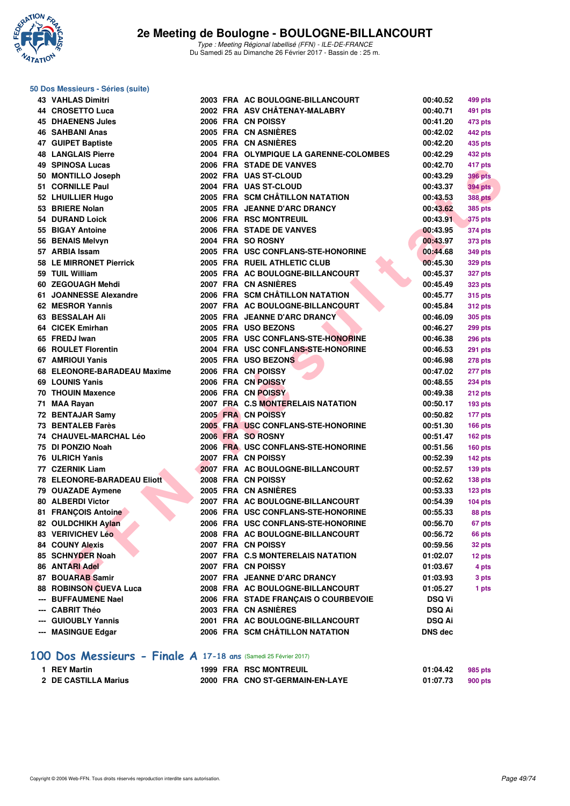

# **50 Dos Messieurs - Séries (suite)**

|     | <b>43 VAHLAS Dimitri</b>                                        |  | 2003 FRA AC BOULOGNE-BILLANCOURT       | 00:40.52       | 499 pts        |
|-----|-----------------------------------------------------------------|--|----------------------------------------|----------------|----------------|
|     | 44 CROSETTO Luca                                                |  | 2002 FRA ASV CHÂTENAY-MALABRY          | 00:40.71       | 491 pts        |
|     | <b>45 DHAENENS Jules</b>                                        |  | 2006 FRA CN POISSY                     | 00:41.20       | 473 pts        |
|     | 46 SAHBANI Anas                                                 |  | 2005 FRA CN ASNIERES                   | 00:42.02       | 442 pts        |
|     | 47 GUIPET Baptiste                                              |  | 2005 FRA CN ASNIERES                   | 00:42.20       | 435 pts        |
|     | <b>48 LANGLAIS Pierre</b>                                       |  | 2004 FRA OLYMPIQUE LA GARENNE-COLOMBES | 00:42.29       | 432 pts        |
|     | <b>49 SPINOSA Lucas</b>                                         |  | 2006 FRA STADE DE VANVES               | 00:42.70       | 417 pts        |
|     | 50 MONTILLO Joseph                                              |  | 2002 FRA UAS ST-CLOUD                  | 00:43.29       | <b>396 pts</b> |
|     | 51 CORNILLE Paul                                                |  | 2004 FRA UAS ST-CLOUD                  | 00:43.37       | 394 pts        |
|     | 52 LHUILLIER Hugo                                               |  | 2005 FRA SCM CHÂTILLON NATATION        | 00:43.53       | <b>388 pts</b> |
|     | 53 BRIERE Nolan                                                 |  | 2005 FRA JEANNE D'ARC DRANCY           | 00:43.62       | 385 pts        |
|     | 54 DURAND Loick                                                 |  | 2006 FRA RSC MONTREUIL                 | 00:43.91       | 375 pts        |
|     | 55 BIGAY Antoine                                                |  | 2006 FRA STADE DE VANVES               | 00:43.95       | 374 pts        |
|     | 56 BENAIS Melvyn                                                |  | 2004 FRA SO ROSNY                      | 00:43.97       | 373 pts        |
|     | 57 ARBIA Issam                                                  |  | 2005 FRA USC CONFLANS-STE-HONORINE     | 00:44.68       | 349 pts        |
|     | 58 LE MIRRONET Pierrick                                         |  | 2005 FRA RUEIL ATHLETIC CLUB           | 00:45.30       | 329 pts        |
|     | 59 TUIL William                                                 |  | 2005 FRA AC BOULOGNE-BILLANCOURT       | 00:45.37       | 327 pts        |
|     | 60 ZEGOUAGH Mehdi                                               |  | 2007 FRA CN ASNIERES                   | 00:45.49       | 323 pts        |
|     | 61 JOANNESSE Alexandre                                          |  | 2006 FRA SCM CHÂTILLON NATATION        | 00:45.77       | 315 pts        |
|     | 62 MESROR Yannis                                                |  | 2007 FRA AC BOULOGNE-BILLANCOURT       | 00:45.84       | <b>312 pts</b> |
|     | 63 BESSALAH Ali                                                 |  | 2005 FRA JEANNE D'ARC DRANCY           | 00:46.09       | 305 pts        |
|     | 64 CICEK Emirhan                                                |  | 2005 FRA USO BEZONS                    | 00:46.27       | <b>299 pts</b> |
|     | 65 FREDJ Iwan                                                   |  | 2005 FRA USC CONFLANS-STE-HONORINE     | 00:46.38       | <b>296 pts</b> |
|     | <b>66 ROULET Florentin</b>                                      |  | 2004 FRA USC CONFLANS-STE-HONORINE     | 00:46.53       | <b>291 pts</b> |
|     | 67 AMRIOUI Yanis                                                |  | 2005 FRA USO BEZONS                    | 00:46.98       | <b>278 pts</b> |
|     | 68 ELEONORE-BARADEAU Maxime                                     |  | 2006 FRA CN POISSY                     | 00:47.02       | 277 pts        |
|     | 69 LOUNIS Yanis                                                 |  | 2006 FRA CN POISSY                     | 00:48.55       | 234 pts        |
|     | <b>70 THOUIN Maxence</b>                                        |  | 2006 FRA CN POISSY                     | 00:49.38       | 212 pts        |
| 71. | <b>MAA Rayan</b>                                                |  | 2007 FRA C.S MONTERELAIS NATATION      | 00:50.17       | <b>193 pts</b> |
|     | 72 BENTAJAR Samy                                                |  | 2005 FRA CN POISSY                     | 00:50.82       | 177 pts        |
|     | 73 BENTALEB Farès                                               |  | 2005 FRA USC CONFLANS-STE-HONORINE     | 00:51.30       | <b>166 pts</b> |
|     | 74 CHAUVEL-MARCHAL Léo                                          |  | 2006 FRA SO ROSNY                      | 00:51.47       | 162 pts        |
|     | 75 DI PONZIO Noah                                               |  | 2006 FRA USC CONFLANS-STE-HONORINE     | 00:51.56       | $160$ pts      |
|     | 76 ULRICH Yanis                                                 |  | 2007 FRÁ CN POISSY                     | 00:52.39       | 142 pts        |
|     | 77 CZERNIK Liam                                                 |  | 2007 FRA AC BOULOGNE-BILLANCOURT       | 00:52.57       | $139$ pts      |
|     | 78 ELEONORE-BARADEAU Eliott                                     |  | 2008 FRA CN POISSY                     | 00:52.62       | 138 pts        |
|     | 79 OUAZADE Aymene                                               |  | 2005 FRA CN ASNIERES                   | 00:53.33       | $123$ pts      |
|     | 80 ALBERDI Victor                                               |  | 2007 FRA AC BOULOGNE-BILLANCOURT       | 00:54.39       | $104$ pts      |
|     | 81 FRANCOIS Antoine                                             |  | 2006 FRA USC CONFLANS-STE-HONORINE     | 00:55.33       | 88 pts         |
|     | 82 OULDCHIKH Aylan                                              |  | 2006 FRA USC CONFLANS-STE-HONORINE     | 00:56.70       | 67 pts         |
|     | 83 VERIVICHEV Léo                                               |  | 2008 FRA AC BOULOGNE-BILLANCOURT       | 00:56.72       | 66 pts         |
|     | <b>84 COUNY Alexis</b>                                          |  | 2007 FRA CN POISSY                     | 00:59.56       | 32 pts         |
|     | 85 SCHNYDER Noah                                                |  | 2007 FRA C.S MONTERELAIS NATATION      | 01:02.07       | 12 pts         |
|     | 86 ANTARI Adel                                                  |  | 2007 FRA CN POISSY                     | 01:03.67       | 4 pts          |
|     | 87 BOUARAB Samir                                                |  | 2007 FRA JEANNE D'ARC DRANCY           | 01:03.93       | 3 pts          |
|     | <b>88 ROBINSON CUEVA Luca</b>                                   |  | 2008 FRA AC BOULOGNE-BILLANCOURT       | 01:05.27       | 1 pts          |
|     | --- BUFFAUMENE Nael                                             |  | 2006 FRA STADE FRANÇAIS O COURBEVOIE   | <b>DSQ Vi</b>  |                |
|     | --- CABRIT Théo                                                 |  | 2003 FRA CN ASNIÈRES                   | <b>DSQ Ai</b>  |                |
|     | --- GUIOUBLY Yannis                                             |  | 2001 FRA AC BOULOGNE-BILLANCOURT       | <b>DSQ Ai</b>  |                |
|     | --- MASINGUE Edgar                                              |  | 2006 FRA SCM CHÂTILLON NATATION        | <b>DNS dec</b> |                |
|     |                                                                 |  |                                        |                |                |
|     | 100 Dos Messieurs - Finale A 17-18 ans (Samedi 25 Février 2017) |  |                                        |                |                |
|     | 1 REY Martin                                                    |  | <b>1999 FRA RSC MONTREUIL</b>          | 01:04.42       | 985 pts        |
|     | 2 DE CASTILLA Marius                                            |  | 2000 FRA CNO ST-GERMAIN-EN-LAYE        | 01:07.73       | 900 pts        |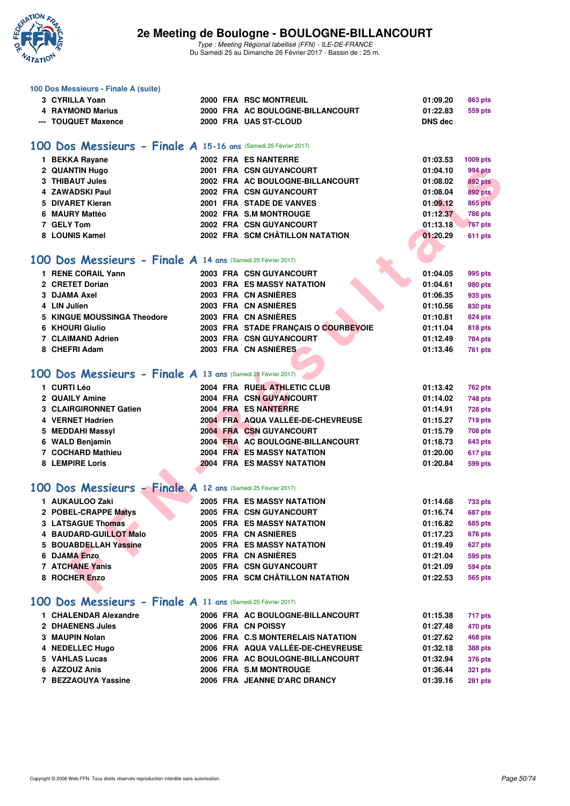

| 100 Dos Messieurs - Finale A (suite)                            |                                      |                            |
|-----------------------------------------------------------------|--------------------------------------|----------------------------|
| 3 CYRILLA Yoan                                                  | 2000 FRA RSC MONTREUIL               | 01:09.20<br>863 pts        |
| 4 RAYMOND Marius                                                | 2000 FRA AC BOULOGNE-BILLANCOURT     | 01:22.83<br>559 pts        |
| --- TOUQUET Maxence                                             | 2000 FRA UAS ST-CLOUD                | <b>DNS dec</b>             |
| 100 Dos Messieurs - Finale A 15-16 ans (Samedi 25 Février 2017) |                                      |                            |
| 1 BEKKA Rayane                                                  | 2002 FRA ES NANTERRE                 | 01:03.53<br>1009 pts       |
| 2 QUANTIN Hugo                                                  | <b>2001 FRA CSN GUYANCOURT</b>       | 01:04.10<br>994 pts        |
| 3 THIBAUT Jules                                                 | 2002 FRA AC BOULOGNE-BILLANCOURT     | 01:08.02<br><b>892 pts</b> |
| 4 ZAWADSKI Paul                                                 | 2002 FRA CSN GUYANCOURT              | 01:08.04<br><b>892 pts</b> |
| 5 DIVARET Kieran                                                | 2001 FRA STADE DE VANVES             | 01:09.12<br><b>865 pts</b> |
| 6 MAURY Mattéo                                                  | 2002 FRA S.M MONTROUGE               | 01:12.37<br><b>786 pts</b> |
| 7 GELY Tom                                                      | 2002 FRA CSN GUYANCOURT              | 01:13.18<br><b>767 pts</b> |
| 8 LOUNIS Kamel                                                  | 2002 FRA SCM CHÂTILLON NATATION      | 01:20.29<br>611 pts        |
|                                                                 |                                      |                            |
| 100 Dos Messieurs - Finale A 14 ans (Samedi 25 Février 2017)    |                                      |                            |
| 1 RENE CORAIL Yann                                              | <b>2003 FRA CSN GUYANCOURT</b>       | 01:04.05<br>995 pts        |
| 2 CRETET Dorian                                                 | <b>2003 FRA ES MASSY NATATION</b>    | 01:04.61<br>980 pts        |
| 3 DJAMA Axel                                                    | 2003 FRA CN ASNIÈRES                 | 01:06.35<br>935 pts        |
| 4 LIN Julien                                                    | 2003 FRA CN ASNIERES                 | 01:10.56<br>830 pts        |
| 5 KINGUE MOUSSINGA Theodore                                     | 2003 FRA CN ASNIÈRES                 | 01:10.81<br>824 pts        |
| 6 KHOURI Giulio                                                 | 2003 FRA STADE FRANÇAIS O COURBEVOIE | 01:11.04<br>818 pts        |
| 7 CLAIMAND Adrien                                               | 2003 FRA CSN GUYANCOURT              | 01:12.49<br><b>784 pts</b> |
| 8 CHEFRI Adam                                                   | 2003 FRA CN ASNIÈRES                 | 01:13.46<br><b>761 pts</b> |
| 100 Dos Messieurs - Finale A 13 ans (Samedi 25 Février 2017)    |                                      |                            |
| 1 CURTI Léo                                                     | 2004 FRA RUEIL ATHLETIC CLUB         | 01:13.42<br><b>762 pts</b> |
| 2 QUAILY Amine                                                  | <b>2004 FRA CSN GUYANCOURT</b>       | 01:14.02<br>748 pts        |
| 3 CLAIRGIRONNET Gatien                                          | 2004 FRA ES NANTERRE                 | 01:14.91<br><b>728 pts</b> |
| 4 VERNET Hadrien                                                | 2004 FRA AQUA VALLÉE-DE-CHEVREUSE    | 01:15.27<br><b>719 pts</b> |
| 5 MEDDAHI Massyl                                                | 2004 FRA CSN GUYANCOURT              | 01:15.79<br><b>708 pts</b> |
| 6 WALD Benjamin                                                 | 2004 FRA AC BOULOGNE-BILLANCOURT     | 01:18.73<br>643 pts        |
| 7 COCHARD Mathieu                                               | <b>2004 FRA ES MASSY NATATION</b>    | 01:20.00<br>617 pts        |
| 8 LEMPIRE Loris                                                 | <b>2004 FRA ES MASSY NATATION</b>    | 01:20.84<br>599 pts        |
|                                                                 |                                      |                            |
| 100 Dos Messieurs - Finale A 12 ans (Samedi 25 Février 2017)    |                                      |                            |
| 1 AUKAULOO Zaki                                                 | <b>2005 FRA ES MASSY NATATION</b>    | 01:14.68<br>733 pts        |
| 2 POBEL-CRAPPE Matys                                            | 2005 FRA CSN GUYANCOURT              | 01:16.74<br><b>687 pts</b> |
| <b>3 LATSAGUE Thomas</b>                                        | <b>2005 FRA ES MASSY NATATION</b>    | 01:16.82<br><b>685 pts</b> |
| 4 BAUDARD-GUILLOT Malo                                          | 2005 FRA CN ASNIERES                 | <b>676 pts</b><br>01:17.23 |
| 5 BOUABDELLAH Yassine                                           | 2005 FRA ES MASSY NATATION           | 01:19.49<br>627 pts        |
| <b>6 DJAMA Enzo</b>                                             | 2005 FRA CN ASNIERES                 | 01:21.04<br>595 pts        |
| 7 ATCHANE Yanis                                                 | 2005 FRA CSN GUYANCOURT              | 01:21.09<br><b>594 pts</b> |
| 8 ROCHER Enzo                                                   | 2005 FRA SCM CHÂTILLON NATATION      | 01:22.53<br><b>565 pts</b> |
| 100 Dos Messieurs - Finale A 11 ans (Samedi 25 Février 2017)    |                                      |                            |
| 1 CHALENDAR Alexandre                                           | 2006 FRA AC BOULOGNE-BILLANCOURT     | 01:15.38<br>717 pts        |
| 2 DHAENENS Jules                                                | 2006 FRA CN POISSY                   | 01:27.48<br>470 pts        |
| 3 MAUPIN Nolan                                                  | 2006 FRA C.S MONTERELAIS NATATION    | 01:27.62<br>468 pts        |
| 4 NEDELLEC Hugo                                                 | 2006 FRA AQUA VALLÉE-DE-CHEVREUSE    | 01:32.18<br><b>388 pts</b> |
| 5 VAHLAS Lucas                                                  | 2006 FRA AC BOULOGNE-BILLANCOURT     | 01:32.94<br><b>376 pts</b> |
| 6 AZZOUZ Anis                                                   | 2006 FRA S.M MONTROUGE               | 01:36.44<br><b>321 pts</b> |
| 7 BEZZAOUYA Yassine                                             | 2006 FRA JEANNE D'ARC DRANCY         | 01:39.16<br><b>281 pts</b> |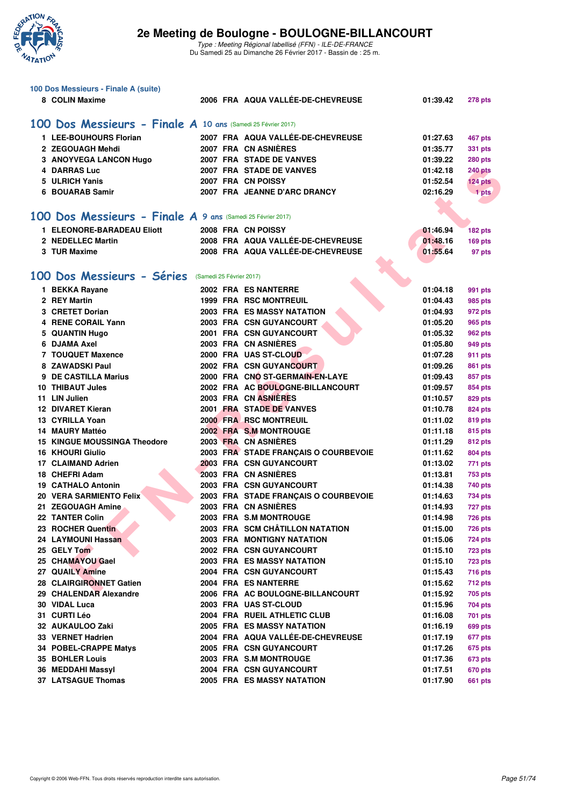

| 100 Dos Messieurs - Finale A (suite)                         |                          |  |                                      |          |                |  |  |  |  |  |
|--------------------------------------------------------------|--------------------------|--|--------------------------------------|----------|----------------|--|--|--|--|--|
| 8 COLIN Maxime                                               |                          |  | 2006 FRA AQUA VALLÉE-DE-CHEVREUSE    | 01:39.42 | <b>278 pts</b> |  |  |  |  |  |
| 100 Dos Messieurs - Finale A 10 ans (Samedi 25 Février 2017) |                          |  |                                      |          |                |  |  |  |  |  |
| 1 LEE-BOUHOURS Florian                                       |                          |  | 2007 FRA AQUA VALLÉE-DE-CHEVREUSE    | 01:27.63 | 467 pts        |  |  |  |  |  |
| 2 ZEGOUAGH Mehdi                                             |                          |  | 2007 FRA CN ASNIÈRES                 | 01:35.77 | <b>331 pts</b> |  |  |  |  |  |
| 3 ANOYVEGA LANCON Hugo                                       |                          |  | 2007 FRA STADE DE VANVES             | 01:39.22 | <b>280 pts</b> |  |  |  |  |  |
| 4 DARRAS Luc                                                 |                          |  | 2007 FRA STADE DE VANVES             | 01:42.18 | <b>240 pts</b> |  |  |  |  |  |
| <b>ULRICH Yanis</b><br>5                                     |                          |  | 2007 FRA CN POISSY                   | 01:52.54 | 124 pts        |  |  |  |  |  |
| 6 BOUARAB Samir                                              |                          |  | 2007 FRA JEANNE D'ARC DRANCY         | 02:16.29 | 1 pts          |  |  |  |  |  |
|                                                              |                          |  |                                      |          |                |  |  |  |  |  |
| 100 Dos Messieurs - Finale A 9 ans (Samedi 25 Février 2017)  |                          |  |                                      |          |                |  |  |  |  |  |
| 1 ELEONORE-BARADEAU Eliott                                   |                          |  | 2008 FRA CN POISSY                   | 01:46.94 | 182 pts        |  |  |  |  |  |
| 2 NEDELLEC Martin                                            |                          |  | 2008 FRA AQUA VALLÉE-DE-CHEVREUSE    | 01:48.16 | 169 pts        |  |  |  |  |  |
| 3 TUR Maxime                                                 |                          |  | 2008 FRA AQUA VALLÉE-DE-CHEVREUSE    | 01:55.64 | 97 pts         |  |  |  |  |  |
|                                                              |                          |  |                                      |          |                |  |  |  |  |  |
| 100 Dos Messieurs - Séries                                   | (Samedi 25 Février 2017) |  |                                      |          |                |  |  |  |  |  |
| 1 BEKKA Rayane                                               |                          |  | 2002 FRA ES NANTERRE                 | 01:04.18 | 991 pts        |  |  |  |  |  |
| 2 REY Martin                                                 |                          |  | <b>1999 FRA RSC MONTREUIL</b>        | 01:04.43 | 985 pts        |  |  |  |  |  |
| 3 CRETET Dorian                                              |                          |  | <b>2003 FRA ES MASSY NATATION</b>    | 01:04.93 | 972 pts        |  |  |  |  |  |
| <b>RENE CORAIL Yann</b><br>4                                 |                          |  | 2003 FRA CSN GUYANCOURT              | 01:05.20 | 965 pts        |  |  |  |  |  |
| 5 QUANTIN Hugo                                               |                          |  | 2001 FRA CSN GUYANCOURT              | 01:05.32 | 962 pts        |  |  |  |  |  |
| 6 DJAMA Axel                                                 |                          |  | 2003 FRA CN ASNIÈRES                 | 01:05.80 | 949 pts        |  |  |  |  |  |
| <b>7 TOUQUET Maxence</b>                                     |                          |  | 2000 FRA UAS ST-CLOUD                | 01:07.28 | 911 pts        |  |  |  |  |  |
| 8 ZAWADSKI Paul                                              |                          |  | <b>2002 FRA CSN GUYANCOURT</b>       | 01:09.26 | 861 pts        |  |  |  |  |  |
| <b>DE CASTILLA Marius</b>                                    |                          |  | 2000 FRA CNO ST-GERMAIN-EN-LAYE      | 01:09.43 | 857 pts        |  |  |  |  |  |
| <b>10 THIBAUT Jules</b>                                      |                          |  | 2002 FRA AC BOULOGNE-BILLANCOURT     | 01:09.57 | 854 pts        |  |  |  |  |  |
| 11 LIN Julien                                                |                          |  | 2003 FRA CN ASNIÈRES                 | 01:10.57 | 829 pts        |  |  |  |  |  |
| <b>12 DIVARET Kieran</b>                                     |                          |  | 2001 FRA STADE DE VANVES             | 01:10.78 | 824 pts        |  |  |  |  |  |
| 13 CYRILLA Yoan                                              |                          |  | 2000 FRA RSC MONTREUIL               | 01:11.02 | 819 pts        |  |  |  |  |  |
| 14 MAURY Mattéo                                              |                          |  | 2002 FRA S.M MONTROUGE               | 01:11.18 | 815 pts        |  |  |  |  |  |
| <b>15 KINGUE MOUSSINGA Theodore</b>                          |                          |  | 2003 FRA CN ASNIÈRES                 | 01:11.29 | 812 pts        |  |  |  |  |  |
| <b>16 KHOURI Giulio</b>                                      |                          |  | 2003 FRA STADE FRANÇAIS O COURBEVOIE | 01:11.62 | 804 pts        |  |  |  |  |  |
| 17 CLAIMAND Adrien                                           |                          |  | 2003 FRA CSN GUYANCOURT              | 01:13.02 | 771 pts        |  |  |  |  |  |
| 18 CHEFRI Adam                                               |                          |  | 2003 FRA CN ASNIÈRES                 | 01:13.81 | <b>753 pts</b> |  |  |  |  |  |
| <b>19 CATHALO Antonin</b>                                    |                          |  | 2003 FRA CSN GUYANCOURT              | 01:14.38 | 740 pts        |  |  |  |  |  |
| 20 VERA SARMIENTO Felix                                      |                          |  | 2003 FRA STADE FRANÇAIS O COURBEVOIE | 01:14.63 | 734 pts        |  |  |  |  |  |
| 21 ZEGOUAGH Amine                                            |                          |  | 2003 FRA CN ASNIÈRES                 | 01:14.93 | <b>727 pts</b> |  |  |  |  |  |
| 22 TANTER Colin                                              |                          |  | 2003 FRA S.M MONTROUGE               | 01:14.98 | <b>726 pts</b> |  |  |  |  |  |
| 23 ROCHER Quentin                                            |                          |  | 2003 FRA SCM CHÂTILLON NATATION      | 01:15.00 | 726 pts        |  |  |  |  |  |
| 24 LAYMOUNI Hassan                                           |                          |  | <b>2003 FRA MONTIGNY NATATION</b>    | 01:15.06 | <b>724 pts</b> |  |  |  |  |  |
| 25 GELY Tom                                                  |                          |  | 2002 FRA CSN GUYANCOURT              | 01:15.10 | <b>723 pts</b> |  |  |  |  |  |
| 25 CHAMAYOU Gael                                             |                          |  | <b>2003 FRA ES MASSY NATATION</b>    | 01:15.10 | <b>723 pts</b> |  |  |  |  |  |
| 27 QUAILY Amine                                              |                          |  | 2004 FRA CSN GUYANCOURT              | 01:15.43 | 716 pts        |  |  |  |  |  |
| 28 CLAIRGIRONNET Gatien                                      |                          |  | 2004 FRA ES NANTERRE                 | 01:15.62 | 712 pts        |  |  |  |  |  |
| 29 CHALENDAR Alexandre                                       |                          |  | 2006 FRA AC BOULOGNE-BILLANCOURT     | 01:15.92 | 705 pts        |  |  |  |  |  |
| 30 VIDAL Luca                                                |                          |  | 2003 FRA UAS ST-CLOUD                | 01:15.96 | 704 pts        |  |  |  |  |  |
| 31 CURTI Léo                                                 |                          |  | 2004 FRA RUEIL ATHLETIC CLUB         | 01:16.08 | 701 pts        |  |  |  |  |  |
| 32 AUKAULOO Zaki                                             |                          |  | <b>2005 FRA ES MASSY NATATION</b>    | 01:16.19 | 699 pts        |  |  |  |  |  |
| 33 VERNET Hadrien                                            |                          |  | 2004 FRA AQUA VALLEE-DE-CHEVREUSE    | 01:17.19 | 677 pts        |  |  |  |  |  |
| 34 POBEL-CRAPPE Matys                                        |                          |  | 2005 FRA CSN GUYANCOURT              | 01:17.26 | 675 pts        |  |  |  |  |  |
| <b>35 BOHLER Louis</b>                                       |                          |  | 2003 FRA S.M MONTROUGE               | 01:17.36 | 673 pts        |  |  |  |  |  |
| 36 MEDDAHI Massyl                                            |                          |  | 2004 FRA CSN GUYANCOURT              | 01:17.51 | 670 pts        |  |  |  |  |  |
| 37 LATSAGUE Thomas                                           |                          |  | 2005 FRA ES MASSY NATATION           | 01:17.90 | 661 pts        |  |  |  |  |  |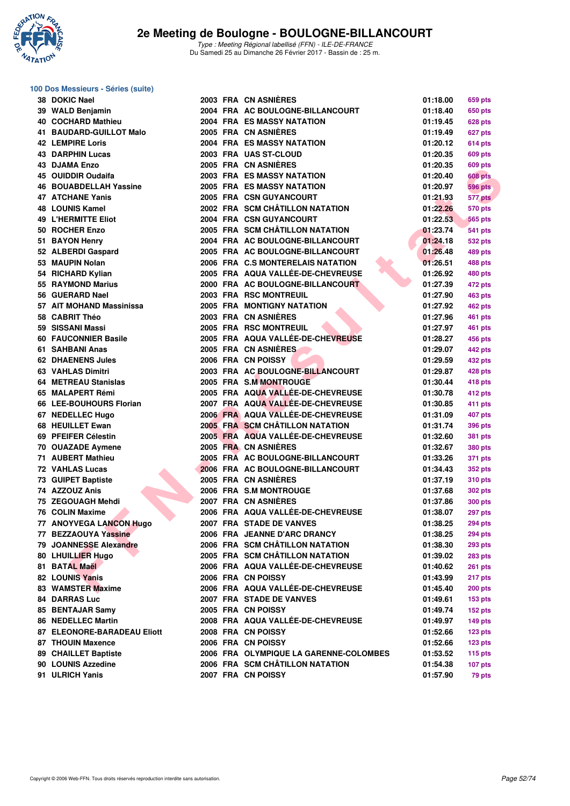

### **100 Dos Messieurs - Séries (suite)**

| 38 DOKIC Nael               |  | 2003 FRA CN ASNIERES                               | 01:18.00 | 659 pts            |
|-----------------------------|--|----------------------------------------------------|----------|--------------------|
| 39 WALD Benjamin            |  | 2004 FRA AC BOULOGNE-BILLANCOURT                   | 01:18.40 | 650 pts            |
| 40 COCHARD Mathieu          |  | <b>2004 FRA ES MASSY NATATION</b>                  | 01:19.45 | 628 pts            |
| 41 BAUDARD-GUILLOT Malo     |  | 2005 FRA CN ASNIERES                               | 01:19.49 | 627 pts            |
| <b>42 LEMPIRE Loris</b>     |  | <b>2004 FRA ES MASSY NATATION</b>                  | 01:20.12 | 614 pts            |
| <b>43 DARPHIN Lucas</b>     |  | 2003 FRA UAS ST-CLOUD                              | 01:20.35 | 609 pts            |
| 43 DJAMA Enzo               |  | 2005 FRA CN ASNIERES                               | 01:20.35 | 609 pts            |
| 45 OUIDDIR Oudaifa          |  | <b>2003 FRA ES MASSY NATATION</b>                  | 01:20.40 | <b>608 pts</b>     |
| 46 BOUABDELLAH Yassine      |  | <b>2005 FRA ES MASSY NATATION</b>                  | 01:20.97 | <b>596 pts</b>     |
| <b>47 ATCHANE Yanis</b>     |  | 2005 FRA CSN GUYANCOURT                            | 01:21.93 | 577 pts            |
| <b>48 LOUNIS Kamel</b>      |  | 2002 FRA SCM CHÂTILLON NATATION                    | 01:22.26 | <b>570 pts</b>     |
| <b>49 L'HERMITTE Eliot</b>  |  | 2004 FRA CSN GUYANCOURT                            | 01:22.53 | <b>565 pts</b>     |
| 50 ROCHER Enzo              |  | 2005 FRA SCM CHÂTILLON NATATION                    | 01:23.74 | 541 pts            |
| 51 BAYON Henry              |  | 2004 FRA AC BOULOGNE-BILLANCOURT                   | 01:24.18 | 532 pts            |
| 52 ALBERDI Gaspard          |  | 2005 FRA AC BOULOGNE-BILLANCOURT                   | 01:26.48 | 489 pts            |
| 53 MAUPIN Nolan             |  | 2006 FRA C.S MONTERELAIS NATATION                  | 01:26.51 | 488 pts            |
| 54 RICHARD Kylian           |  | 2005 FRA AQUA VALLÉE-DE-CHEVREUSE                  | 01:26.92 | 480 pts            |
| 55 RAYMOND Marius           |  | 2000 FRA AC BOULOGNE-BILLANCOURT                   | 01:27.39 |                    |
| 56 GUERARD Nael             |  | 2003 FRA RSC MONTREUIL                             | 01:27.90 | 472 pts            |
| 57 AIT MOHAND Massinissa    |  |                                                    |          | 463 pts            |
|                             |  | 2005 FRA MONTIGNY NATATION<br>2003 FRA CN ASNIÈRES | 01:27.92 | 462 pts            |
| 58 CABRIT Théo              |  |                                                    | 01:27.96 | 461 pts            |
| 59 SISSANI Massi            |  | 2005 FRA RSC MONTREUIL                             | 01:27.97 | 461 pts            |
| 60 FAUCONNIER Basile        |  | 2005 FRA AQUA VALLÉE-DE-CHEVREUSE                  | 01:28.27 | 456 pts            |
| 61 SAHBANI Anas             |  | 2005 FRA CN ASNIÈRES                               | 01:29.07 | 442 pts            |
| <b>62 DHAENENS Jules</b>    |  | 2006 FRA CN POISSY                                 | 01:29.59 | 432 pts            |
| <b>63 VAHLAS Dimitri</b>    |  | 2003 FRA AC BOULOGNE-BILLANCOURT                   | 01:29.87 | 428 pts            |
| 64 METREAU Stanislas        |  | 2005 FRA S.M MONTROUGE                             | 01:30.44 | 418 pts            |
| 65 MALAPERT Rémi            |  | 2005 FRA AQUA VALLÉE-DE-CHEVREUSE                  | 01:30.78 | 412 pts            |
| 66 LEE-BOUHOURS Florian     |  | 2007 FRA AQUA VALLÉE-DE-CHEVREUSE                  | 01:30.85 | 411 pts            |
| 67 NEDELLEC Hugo            |  | 2006 FRA AQUA VALLÉE-DE-CHEVREUSE                  | 01:31.09 | 407 pts            |
| 68 HEUILLET Ewan            |  | 2005 FRA SCM CHÂTILLON NATATION                    | 01:31.74 | 396 pts            |
| 69 PFEIFER Célestin         |  | 2005 FRA AQUA VALLÉE-DE-CHEVREUSE                  | 01:32.60 | 381 pts            |
| 70 OUAZADE Aymene           |  | 2005 FRA CN ASNIÈRES                               | 01:32.67 | 380 pts            |
| 71 AUBERT Mathieu           |  | 2005 FRA AC BOULOGNE-BILLANCOURT                   | 01:33.26 | 371 pts            |
| 72 VAHLAS Lucas             |  | 2006 FRA AC BOULOGNE-BILLANCOURT                   | 01:34.43 | 352 pts            |
| 73 GUIPET Baptiste          |  | 2005 FRA CN ASNIÈRES                               | 01:37.19 | 310 pts            |
| 74 AZZOUZ Anis              |  | 2006 FRA S.M MONTROUGE                             | 01:37.68 | 302 pts            |
| 75 ZEGOUAGH Mehdi           |  | 2007 FRA CN ASNIERES                               | 01:37.86 | <b>300 pts</b>     |
| 76 COLIN Maxime             |  | 2006 FRA AQUA VALLÉE-DE-CHEVREUSE                  | 01:38.07 | 297 pts            |
| 77 ANOYVEGA LANCON Hugo     |  | 2007 FRA STADE DE VANVES                           | 01:38.25 | <b>294 pts</b>     |
| 77 BEZZAOUYA Yassine        |  | 2006 FRA JEANNE D'ARC DRANCY                       | 01:38.25 | <b>294 pts</b>     |
| 79 JOANNESSE Alexandre      |  | 2006 FRA SCM CHÂTILLON NATATION                    | 01:38.30 | <b>293 pts</b>     |
| 80 LHUILLIER Hugo           |  | 2005 FRA SCM CHÂTILLON NATATION                    | 01:39.02 | <b>283 pts</b>     |
| 81 BATAL Maël               |  | 2006 FRA AQUA VALLÉE-DE-CHEVREUSE                  | 01:40.62 | <b>261 pts</b>     |
| 82 LOUNIS Yanis             |  | 2006 FRA CN POISSY                                 | 01:43.99 | 217 pts            |
| 83 WAMSTER Maxime           |  | 2006 FRA AQUA VALLÉE-DE-CHEVREUSE                  | 01:45.40 | <b>200 pts</b>     |
| <b>84 DARRAS Luc</b>        |  | 2007 FRA STADE DE VANVES                           | 01:49.61 | 153 <sub>pts</sub> |
| 85 BENTAJAR Samy            |  | 2005 FRA CN POISSY                                 | 01:49.74 | $152$ pts          |
| <b>86 NEDELLEC Martin</b>   |  | 2008 FRA AQUA VALLÉE-DE-CHEVREUSE                  | 01:49.97 | $149$ pts          |
| 87 ELEONORE-BARADEAU Eliott |  | 2008 FRA CN POISSY                                 | 01:52.66 | $123$ pts          |
| 87 THOUIN Maxence           |  | 2006 FRA CN POISSY                                 | 01:52.66 | 123 pts            |
| 89 CHAILLET Baptiste        |  | 2006 FRA OLYMPIQUE LA GARENNE-COLOMBES             | 01:53.52 | $115$ pts          |
| 90 LOUNIS Azzedine          |  | 2006 FRA SCM CHÂTILLON NATATION                    | 01:54.38 | $107$ pts          |
| 91 ULRICH Yanis             |  | 2007 FRA CN POISSY                                 | 01:57.90 | 79 pts             |
|                             |  |                                                    |          |                    |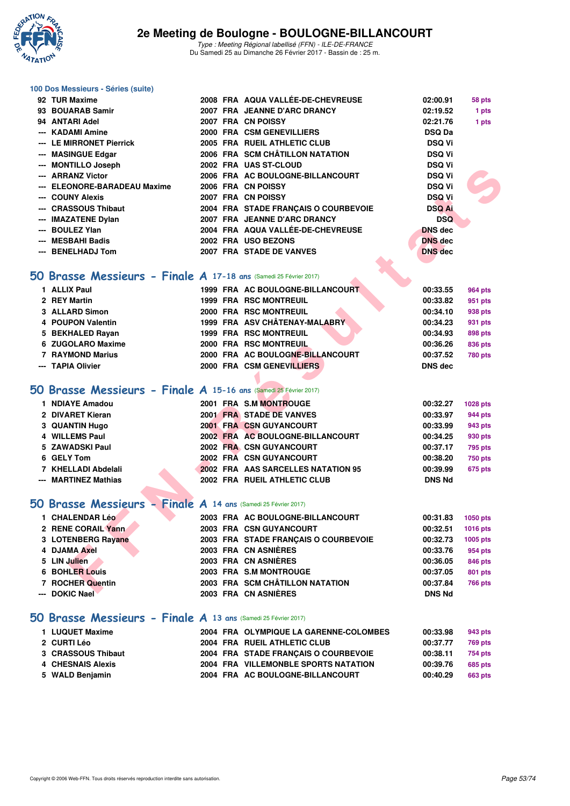

#### **100 Dos Messieurs - Séries (suite)**

| 92 TUR Maxime                                                            |                                                                                                                                                                                                                                                                                                                                                                                                                                                                                                                                                                                                                                                                                                                                                                                                                                                                                                                                                                                                                                                                                                                                                                                                                                                                                                                                                                                                                                                                                                                                                                                                                                   |  | 02:00.91       | 58 pts         |
|--------------------------------------------------------------------------|-----------------------------------------------------------------------------------------------------------------------------------------------------------------------------------------------------------------------------------------------------------------------------------------------------------------------------------------------------------------------------------------------------------------------------------------------------------------------------------------------------------------------------------------------------------------------------------------------------------------------------------------------------------------------------------------------------------------------------------------------------------------------------------------------------------------------------------------------------------------------------------------------------------------------------------------------------------------------------------------------------------------------------------------------------------------------------------------------------------------------------------------------------------------------------------------------------------------------------------------------------------------------------------------------------------------------------------------------------------------------------------------------------------------------------------------------------------------------------------------------------------------------------------------------------------------------------------------------------------------------------------|--|----------------|----------------|
| 93 BOUARAB Samir                                                         |                                                                                                                                                                                                                                                                                                                                                                                                                                                                                                                                                                                                                                                                                                                                                                                                                                                                                                                                                                                                                                                                                                                                                                                                                                                                                                                                                                                                                                                                                                                                                                                                                                   |  | 02:19.52       | 1 pts          |
| 94 ANTARI Adel                                                           |                                                                                                                                                                                                                                                                                                                                                                                                                                                                                                                                                                                                                                                                                                                                                                                                                                                                                                                                                                                                                                                                                                                                                                                                                                                                                                                                                                                                                                                                                                                                                                                                                                   |  | 02:21.76       | 1 pts          |
| --- KADAMI Amine                                                         |                                                                                                                                                                                                                                                                                                                                                                                                                                                                                                                                                                                                                                                                                                                                                                                                                                                                                                                                                                                                                                                                                                                                                                                                                                                                                                                                                                                                                                                                                                                                                                                                                                   |  | <b>DSQ Da</b>  |                |
| --- LE MIRRONET Pierrick                                                 |                                                                                                                                                                                                                                                                                                                                                                                                                                                                                                                                                                                                                                                                                                                                                                                                                                                                                                                                                                                                                                                                                                                                                                                                                                                                                                                                                                                                                                                                                                                                                                                                                                   |  | <b>DSQ Vi</b>  |                |
| --- MASINGUE Edgar                                                       |                                                                                                                                                                                                                                                                                                                                                                                                                                                                                                                                                                                                                                                                                                                                                                                                                                                                                                                                                                                                                                                                                                                                                                                                                                                                                                                                                                                                                                                                                                                                                                                                                                   |  | <b>DSQ Vi</b>  |                |
| --- MONTILLO Joseph                                                      |                                                                                                                                                                                                                                                                                                                                                                                                                                                                                                                                                                                                                                                                                                                                                                                                                                                                                                                                                                                                                                                                                                                                                                                                                                                                                                                                                                                                                                                                                                                                                                                                                                   |  | <b>DSQ Vi</b>  |                |
| --- ARRANZ Victor                                                        |                                                                                                                                                                                                                                                                                                                                                                                                                                                                                                                                                                                                                                                                                                                                                                                                                                                                                                                                                                                                                                                                                                                                                                                                                                                                                                                                                                                                                                                                                                                                                                                                                                   |  | <b>DSQ Vi</b>  |                |
| --- ELEONORE-BARADEAU Maxime                                             |                                                                                                                                                                                                                                                                                                                                                                                                                                                                                                                                                                                                                                                                                                                                                                                                                                                                                                                                                                                                                                                                                                                                                                                                                                                                                                                                                                                                                                                                                                                                                                                                                                   |  | <b>DSQ Vi</b>  |                |
| --- COUNY Alexis                                                         |                                                                                                                                                                                                                                                                                                                                                                                                                                                                                                                                                                                                                                                                                                                                                                                                                                                                                                                                                                                                                                                                                                                                                                                                                                                                                                                                                                                                                                                                                                                                                                                                                                   |  | <b>DSQ Vi</b>  |                |
| --- CRASSOUS Thibaut                                                     |                                                                                                                                                                                                                                                                                                                                                                                                                                                                                                                                                                                                                                                                                                                                                                                                                                                                                                                                                                                                                                                                                                                                                                                                                                                                                                                                                                                                                                                                                                                                                                                                                                   |  | <b>DSQ Ai</b>  |                |
| --- IMAZATENE Dylan                                                      |                                                                                                                                                                                                                                                                                                                                                                                                                                                                                                                                                                                                                                                                                                                                                                                                                                                                                                                                                                                                                                                                                                                                                                                                                                                                                                                                                                                                                                                                                                                                                                                                                                   |  | <b>DSQ</b>     |                |
| --- BOULEZ Ylan                                                          |                                                                                                                                                                                                                                                                                                                                                                                                                                                                                                                                                                                                                                                                                                                                                                                                                                                                                                                                                                                                                                                                                                                                                                                                                                                                                                                                                                                                                                                                                                                                                                                                                                   |  | <b>DNS dec</b> |                |
| --- MESBAHI Badis                                                        |                                                                                                                                                                                                                                                                                                                                                                                                                                                                                                                                                                                                                                                                                                                                                                                                                                                                                                                                                                                                                                                                                                                                                                                                                                                                                                                                                                                                                                                                                                                                                                                                                                   |  | <b>DNS</b> dec |                |
| --- BENELHADJ Tom                                                        |                                                                                                                                                                                                                                                                                                                                                                                                                                                                                                                                                                                                                                                                                                                                                                                                                                                                                                                                                                                                                                                                                                                                                                                                                                                                                                                                                                                                                                                                                                                                                                                                                                   |  | <b>DNS</b> dec |                |
|                                                                          |                                                                                                                                                                                                                                                                                                                                                                                                                                                                                                                                                                                                                                                                                                                                                                                                                                                                                                                                                                                                                                                                                                                                                                                                                                                                                                                                                                                                                                                                                                                                                                                                                                   |  |                |                |
| <b>50 Brasse Messieurs - Finale A 17-18 ans (Samedi 25 Février 2017)</b> |                                                                                                                                                                                                                                                                                                                                                                                                                                                                                                                                                                                                                                                                                                                                                                                                                                                                                                                                                                                                                                                                                                                                                                                                                                                                                                                                                                                                                                                                                                                                                                                                                                   |  |                |                |
| 1 ALLIX Paul                                                             |                                                                                                                                                                                                                                                                                                                                                                                                                                                                                                                                                                                                                                                                                                                                                                                                                                                                                                                                                                                                                                                                                                                                                                                                                                                                                                                                                                                                                                                                                                                                                                                                                                   |  | 00:33.55       | <b>964 pts</b> |
| 2 REY Martin                                                             |                                                                                                                                                                                                                                                                                                                                                                                                                                                                                                                                                                                                                                                                                                                                                                                                                                                                                                                                                                                                                                                                                                                                                                                                                                                                                                                                                                                                                                                                                                                                                                                                                                   |  | 00:33.82       | 951 pts        |
| 3 ALLARD Simon                                                           |                                                                                                                                                                                                                                                                                                                                                                                                                                                                                                                                                                                                                                                                                                                                                                                                                                                                                                                                                                                                                                                                                                                                                                                                                                                                                                                                                                                                                                                                                                                                                                                                                                   |  | 00:34.10       | 938 pts        |
| 4 POUPON Valentin                                                        |                                                                                                                                                                                                                                                                                                                                                                                                                                                                                                                                                                                                                                                                                                                                                                                                                                                                                                                                                                                                                                                                                                                                                                                                                                                                                                                                                                                                                                                                                                                                                                                                                                   |  | 00:34.23       | 931 pts        |
| 5 BEKHALED Rayan                                                         |                                                                                                                                                                                                                                                                                                                                                                                                                                                                                                                                                                                                                                                                                                                                                                                                                                                                                                                                                                                                                                                                                                                                                                                                                                                                                                                                                                                                                                                                                                                                                                                                                                   |  | 00:34.93       | 898 pts        |
| 6 ZUGOLARO Maxime                                                        |                                                                                                                                                                                                                                                                                                                                                                                                                                                                                                                                                                                                                                                                                                                                                                                                                                                                                                                                                                                                                                                                                                                                                                                                                                                                                                                                                                                                                                                                                                                                                                                                                                   |  | 00:36.26       | 836 pts        |
| 7 RAYMOND Marius                                                         |                                                                                                                                                                                                                                                                                                                                                                                                                                                                                                                                                                                                                                                                                                                                                                                                                                                                                                                                                                                                                                                                                                                                                                                                                                                                                                                                                                                                                                                                                                                                                                                                                                   |  | 00:37.52       | <b>780 pts</b> |
| --- TAPIA Olivier                                                        |                                                                                                                                                                                                                                                                                                                                                                                                                                                                                                                                                                                                                                                                                                                                                                                                                                                                                                                                                                                                                                                                                                                                                                                                                                                                                                                                                                                                                                                                                                                                                                                                                                   |  | <b>DNS dec</b> |                |
|                                                                          |                                                                                                                                                                                                                                                                                                                                                                                                                                                                                                                                                                                                                                                                                                                                                                                                                                                                                                                                                                                                                                                                                                                                                                                                                                                                                                                                                                                                                                                                                                                                                                                                                                   |  |                |                |
| <b>50 Brasse Messieurs - Finale A 15-16 ans (Samedi 25 Février 2017)</b> | 2008 FRA AQUA VALLÉE-DE-CHEVREUSE<br>2007 FRA JEANNE D'ARC DRANCY<br>2007 FRA CN POISSY<br>2000 FRA CSM GENEVILLIERS<br>2005 FRA RUEIL ATHLETIC CLUB<br>2006 FRA SCM CHÂTILLON NATATION<br>2002 FRA UAS ST-CLOUD<br>2006 FRA AC BOULOGNE-BILLANCOURT<br>2006 FRA CN POISSY<br>2007 FRA CN POISSY<br>2004 FRA STADE FRANÇAIS O COURBEVOIE<br>2007 FRA JEANNE D'ARC DRANCY<br>2004 FRA AQUA VALLÉE-DE-CHEVREUSE<br>2002 FRA USO BEZONS<br>2007 FRA STADE DE VANVES<br>1999 FRA AC BOULOGNE-BILLANCOURT<br><b>1999 FRA RSC MONTREUIL</b><br>2000 FRA RSC MONTREUIL<br>1999 FRA ASV CHÂTENAY-MALABRY<br><b>1999 FRA RSC MONTREUIL</b><br>2000 FRA RSC MONTREUIL<br>2000 FRA AC BOULOGNE-BILLANCOURT<br>2000 FRA CSM GENEVILLIERS<br>2001 FRA S.M MONTROUGE<br>00:32.27<br>1028 pts<br>2001 FRA STADE DE VANVES<br>00:33.97<br><b>944 pts</b><br>2001 FRA CSN GUYANCOURT<br>00:33.99<br>943 pts<br>2002 FRA AC BOULOGNE-BILLANCOURT<br>00:34.25<br>930 pts<br>2002 FRA CSN GUYANCOURT<br>00:37.17<br>795 pts<br>2002 FRA CSN GUYANCOURT<br>00:38.20<br><b>750 pts</b><br>2002 FRA AAS SARCELLES NATATION 95<br>00:39.99<br>675 pts<br>2002 FRA RUEIL ATHLETIC CLUB<br><b>DNS Nd</b><br>2003 FRA AC BOULOGNE-BILLANCOURT<br>00:31.83<br>1050 pts<br>2003 FRA CSN GUYANCOURT<br>00:32.51<br>1016 pts<br>2003 FRA STADE FRANÇAIS O COURBEVOIE<br>00:32.73<br>1005 pts<br>2003 FRA CN ASNIERES<br>00:33.76<br>954 pts<br>2003 FRA CN ASNIERES<br>00:36.05<br><b>846 pts</b><br>2003 FRA S.M MONTROUGE<br>00:37.05<br>801 pts<br>2003 FRA SCM CHÂTILLON NATATION<br>00:37.84<br><b>766 pts</b><br>$0.000$ FBA ON ACNIFECT<br><b>DAIO MA</b> |  |                |                |
| 1 NDIAYE Amadou                                                          |                                                                                                                                                                                                                                                                                                                                                                                                                                                                                                                                                                                                                                                                                                                                                                                                                                                                                                                                                                                                                                                                                                                                                                                                                                                                                                                                                                                                                                                                                                                                                                                                                                   |  |                |                |
| 2 DIVARET Kieran                                                         |                                                                                                                                                                                                                                                                                                                                                                                                                                                                                                                                                                                                                                                                                                                                                                                                                                                                                                                                                                                                                                                                                                                                                                                                                                                                                                                                                                                                                                                                                                                                                                                                                                   |  |                |                |
| 3 QUANTIN Hugo                                                           |                                                                                                                                                                                                                                                                                                                                                                                                                                                                                                                                                                                                                                                                                                                                                                                                                                                                                                                                                                                                                                                                                                                                                                                                                                                                                                                                                                                                                                                                                                                                                                                                                                   |  |                |                |
| 4 WILLEMS Paul                                                           |                                                                                                                                                                                                                                                                                                                                                                                                                                                                                                                                                                                                                                                                                                                                                                                                                                                                                                                                                                                                                                                                                                                                                                                                                                                                                                                                                                                                                                                                                                                                                                                                                                   |  |                |                |
| 5 ZAWADSKI Paul                                                          |                                                                                                                                                                                                                                                                                                                                                                                                                                                                                                                                                                                                                                                                                                                                                                                                                                                                                                                                                                                                                                                                                                                                                                                                                                                                                                                                                                                                                                                                                                                                                                                                                                   |  |                |                |
| 6 GELY Tom                                                               |                                                                                                                                                                                                                                                                                                                                                                                                                                                                                                                                                                                                                                                                                                                                                                                                                                                                                                                                                                                                                                                                                                                                                                                                                                                                                                                                                                                                                                                                                                                                                                                                                                   |  |                |                |
| 7 KHELLADI Abdelali                                                      |                                                                                                                                                                                                                                                                                                                                                                                                                                                                                                                                                                                                                                                                                                                                                                                                                                                                                                                                                                                                                                                                                                                                                                                                                                                                                                                                                                                                                                                                                                                                                                                                                                   |  |                |                |
| --- MARTINEZ Mathias                                                     |                                                                                                                                                                                                                                                                                                                                                                                                                                                                                                                                                                                                                                                                                                                                                                                                                                                                                                                                                                                                                                                                                                                                                                                                                                                                                                                                                                                                                                                                                                                                                                                                                                   |  |                |                |
|                                                                          |                                                                                                                                                                                                                                                                                                                                                                                                                                                                                                                                                                                                                                                                                                                                                                                                                                                                                                                                                                                                                                                                                                                                                                                                                                                                                                                                                                                                                                                                                                                                                                                                                                   |  |                |                |
| 50 Brasse Messieurs - Finale A 14 ans (Samedi 25 Février 2017)           |                                                                                                                                                                                                                                                                                                                                                                                                                                                                                                                                                                                                                                                                                                                                                                                                                                                                                                                                                                                                                                                                                                                                                                                                                                                                                                                                                                                                                                                                                                                                                                                                                                   |  |                |                |
| 1 CHALENDAR Léo                                                          |                                                                                                                                                                                                                                                                                                                                                                                                                                                                                                                                                                                                                                                                                                                                                                                                                                                                                                                                                                                                                                                                                                                                                                                                                                                                                                                                                                                                                                                                                                                                                                                                                                   |  |                |                |
| 2 RENE CORAIL Yann                                                       |                                                                                                                                                                                                                                                                                                                                                                                                                                                                                                                                                                                                                                                                                                                                                                                                                                                                                                                                                                                                                                                                                                                                                                                                                                                                                                                                                                                                                                                                                                                                                                                                                                   |  |                |                |
| 3 LOTENBERG Rayane                                                       |                                                                                                                                                                                                                                                                                                                                                                                                                                                                                                                                                                                                                                                                                                                                                                                                                                                                                                                                                                                                                                                                                                                                                                                                                                                                                                                                                                                                                                                                                                                                                                                                                                   |  |                |                |
| 4 DJAMA Axel                                                             |                                                                                                                                                                                                                                                                                                                                                                                                                                                                                                                                                                                                                                                                                                                                                                                                                                                                                                                                                                                                                                                                                                                                                                                                                                                                                                                                                                                                                                                                                                                                                                                                                                   |  |                |                |
| 5 LIN Julien                                                             |                                                                                                                                                                                                                                                                                                                                                                                                                                                                                                                                                                                                                                                                                                                                                                                                                                                                                                                                                                                                                                                                                                                                                                                                                                                                                                                                                                                                                                                                                                                                                                                                                                   |  |                |                |
| <b>6 BOHLER Louis</b>                                                    |                                                                                                                                                                                                                                                                                                                                                                                                                                                                                                                                                                                                                                                                                                                                                                                                                                                                                                                                                                                                                                                                                                                                                                                                                                                                                                                                                                                                                                                                                                                                                                                                                                   |  |                |                |
| 7 ROCHER Quentin                                                         |                                                                                                                                                                                                                                                                                                                                                                                                                                                                                                                                                                                                                                                                                                                                                                                                                                                                                                                                                                                                                                                                                                                                                                                                                                                                                                                                                                                                                                                                                                                                                                                                                                   |  |                |                |
| <b>DOMO NEAL</b>                                                         |                                                                                                                                                                                                                                                                                                                                                                                                                                                                                                                                                                                                                                                                                                                                                                                                                                                                                                                                                                                                                                                                                                                                                                                                                                                                                                                                                                                                                                                                                                                                                                                                                                   |  |                |                |

### **[50 Brasse Messieurs - Finale A](http://www.ffnatation.fr/webffn/resultats.php?idact=nat&go=epr&idcpt=42219&idepr=71) 17-18 ans** (Samedi 25 Février 2017)

| 1 ALLIX Paul      | 1999 FRA AC BOULOGNE-BILLANCOURT | 00:33.55<br>964 pts        |
|-------------------|----------------------------------|----------------------------|
| 2 REY Martin      | <b>1999 FRA RSC MONTREUIL</b>    | 951 pts<br>00:33.82        |
| 3 ALLARD Simon    | 2000 FRA RSC MONTREUIL           | 938 pts<br>00:34.10        |
| 4 POUPON Valentin | 1999 FRA ASV CHÂTENAY-MALABRY    | 00:34.23<br>931 pts        |
| 5 BEKHALED Rayan  | <b>1999 FRA RSC MONTREUIL</b>    | 898 pts<br>00:34.93        |
| 6 ZUGOLARO Maxime | 2000 FRA RSC MONTREUIL           | 836 pts<br>00:36.26        |
| 7 RAYMOND Marius  | 2000 FRA AC BOULOGNE-BILLANCOURT | 00:37.52<br><b>780 pts</b> |
| --- TAPIA Olivier | 2000 FRA CSM GENEVILLIERS        | <b>DNS</b> dec             |

## **[50 Brasse Messieurs - Finale A](http://www.ffnatation.fr/webffn/resultats.php?idact=nat&go=epr&idcpt=42219&idepr=71) 15-16 ans** (Samedi 25 Février 2017)

| 1 NDIAYE Amadou       |  | 2001 FRA S.M MONTROUGE             | 00:32.27      | <b>1028 pts</b> |
|-----------------------|--|------------------------------------|---------------|-----------------|
| 2 DIVARET Kieran      |  | 2001 FRA STADE DE VANVES           | 00:33.97      | 944 pts         |
| <b>3 QUANTIN Hugo</b> |  | 2001 FRA CSN GUYANCOURT            | 00:33.99      | 943 pts         |
| 4 WILLEMS Paul        |  | 2002 FRA AC BOULOGNE-BILLANCOURT   | 00:34.25      | 930 pts         |
| 5 ZAWADSKI Paul       |  | 2002 FRA CSN GUYANCOURT            | 00:37.17      | 795 pts         |
| 6 GELY Tom            |  | 2002 FRA CSN GUYANCOURT            | 00:38.20      | <b>750 pts</b>  |
| 7 KHELLADI Abdelali   |  | 2002 FRA AAS SARCELLES NATATION 95 | 00:39.99      | <b>675 pts</b>  |
| --- MARTINEZ Mathias  |  | 2002 FRA RUEIL ATHLETIC CLUB       | <b>DNS Nd</b> |                 |

### **[50 Brasse Messieurs - Finale A](http://www.ffnatation.fr/webffn/resultats.php?idact=nat&go=epr&idcpt=42219&idepr=71) 14 ans** (Samedi 25 Février 2017)

| 1 CHALENDAR Léo       |  | 2003 FRA AC BOULOGNE-BILLANCOURT     | 00:31.83      | 1050 pts       |
|-----------------------|--|--------------------------------------|---------------|----------------|
| 2 RENE CORAIL Yann    |  | 2003 FRA CSN GUYANCOURT              | 00:32.51      | 1016 pts       |
| 3 LOTENBERG Rayane    |  | 2003 FRA STADE FRANCAIS O COURBEVOIE | 00:32.73      | 1005 pts       |
| 4 DJAMA Axel          |  | 2003 FRA CN ASNIÈRES                 | 00:33.76      | 954 pts        |
| 5 LIN Julien          |  | 2003 FRA CN ASNIÈRES                 | 00:36.05      | 846 pts        |
| <b>6 BOHLER Louis</b> |  | 2003 FRA S.M MONTROUGE               | 00:37.05      | 801 pts        |
| 7 ROCHER Quentin      |  | 2003 FRA SCM CHÂTILLON NATATION      | 00:37.84      | <b>766 pts</b> |
| --- DOKIC Nael        |  | 2003 FRA CN ASNIÈRES                 | <b>DNS Nd</b> |                |
|                       |  |                                      |               |                |
|                       |  |                                      |               |                |

## **[50 Brasse Messieurs - Finale A](http://www.ffnatation.fr/webffn/resultats.php?idact=nat&go=epr&idcpt=42219&idepr=71) 13 ans** (Samedi 25 Février 2017)

| 1 LUQUET Maxime    |  | 2004 FRA OLYMPIQUE LA GARENNE-COLOMBES | 00:33.98 | 943 pts        |
|--------------------|--|----------------------------------------|----------|----------------|
| 2 CURTI Léo        |  | 2004 FRA RUEIL ATHLETIC CLUB           | 00:37.77 | <b>769 pts</b> |
| 3 CRASSOUS Thibaut |  | 2004 FRA STADE FRANCAIS O COURBEVOIE   | 00:38.11 | 754 pts        |
| 4 CHESNAIS Alexis  |  | 2004 FRA VILLEMONBLE SPORTS NATATION   | 00:39.76 | 685 pts        |
| 5 WALD Benjamin    |  | 2004 FRA AC BOULOGNE-BILLANCOURT       | 00:40.29 | 663 pts        |
|                    |  |                                        |          |                |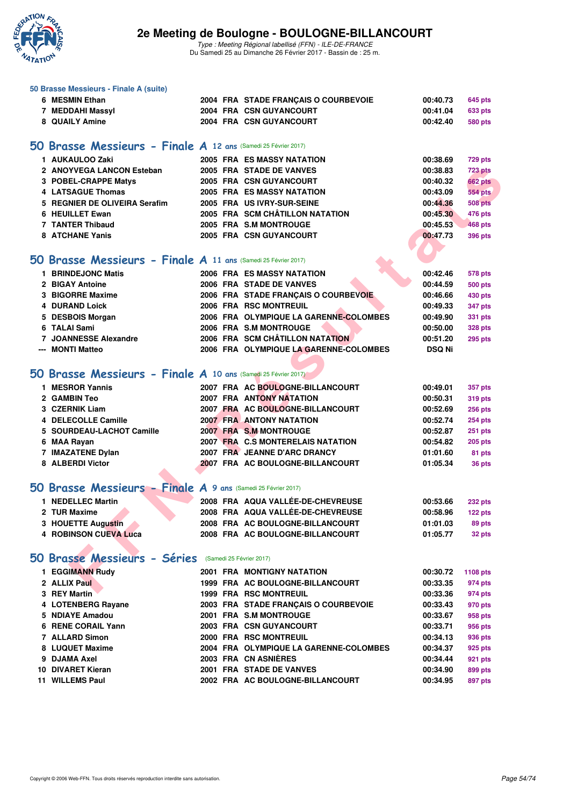

Type : Meeting Régional labellisé (FFN) - ILE-DE-FRANCE Du Samedi 25 au Dimanche 26 Février 2017 - Bassin de : 25 m.

| 6 MESMIN Ethan                |                                                                                                                                                                                                                                                                                                                                      |                              | 00:40.73                                                                                                                                                                                                                                                                                                                                                                                                                                                                                                                                                                                                                                                                                                                                                                                                                                                                                                                                                                                                                                                                                                                                                                                                                                                                                                                                                                                                                                                                                                                                                                                                                                                                                                | 645 pts                                                                                                                                                                                           |
|-------------------------------|--------------------------------------------------------------------------------------------------------------------------------------------------------------------------------------------------------------------------------------------------------------------------------------------------------------------------------------|------------------------------|---------------------------------------------------------------------------------------------------------------------------------------------------------------------------------------------------------------------------------------------------------------------------------------------------------------------------------------------------------------------------------------------------------------------------------------------------------------------------------------------------------------------------------------------------------------------------------------------------------------------------------------------------------------------------------------------------------------------------------------------------------------------------------------------------------------------------------------------------------------------------------------------------------------------------------------------------------------------------------------------------------------------------------------------------------------------------------------------------------------------------------------------------------------------------------------------------------------------------------------------------------------------------------------------------------------------------------------------------------------------------------------------------------------------------------------------------------------------------------------------------------------------------------------------------------------------------------------------------------------------------------------------------------------------------------------------------------|---------------------------------------------------------------------------------------------------------------------------------------------------------------------------------------------------|
| 7 MEDDAHI Massyl              |                                                                                                                                                                                                                                                                                                                                      |                              | 00:41.04                                                                                                                                                                                                                                                                                                                                                                                                                                                                                                                                                                                                                                                                                                                                                                                                                                                                                                                                                                                                                                                                                                                                                                                                                                                                                                                                                                                                                                                                                                                                                                                                                                                                                                | <b>633 pts</b>                                                                                                                                                                                    |
| 8 QUAILY Amine                |                                                                                                                                                                                                                                                                                                                                      |                              | 00:42.40                                                                                                                                                                                                                                                                                                                                                                                                                                                                                                                                                                                                                                                                                                                                                                                                                                                                                                                                                                                                                                                                                                                                                                                                                                                                                                                                                                                                                                                                                                                                                                                                                                                                                                | 580 pts                                                                                                                                                                                           |
|                               |                                                                                                                                                                                                                                                                                                                                      |                              |                                                                                                                                                                                                                                                                                                                                                                                                                                                                                                                                                                                                                                                                                                                                                                                                                                                                                                                                                                                                                                                                                                                                                                                                                                                                                                                                                                                                                                                                                                                                                                                                                                                                                                         |                                                                                                                                                                                                   |
| 1 AUKAULOO Zaki               |                                                                                                                                                                                                                                                                                                                                      |                              | 00:38.69                                                                                                                                                                                                                                                                                                                                                                                                                                                                                                                                                                                                                                                                                                                                                                                                                                                                                                                                                                                                                                                                                                                                                                                                                                                                                                                                                                                                                                                                                                                                                                                                                                                                                                | <b>729 pts</b>                                                                                                                                                                                    |
| 2 ANOYVEGA LANCON Esteban     |                                                                                                                                                                                                                                                                                                                                      |                              | 00:38.83                                                                                                                                                                                                                                                                                                                                                                                                                                                                                                                                                                                                                                                                                                                                                                                                                                                                                                                                                                                                                                                                                                                                                                                                                                                                                                                                                                                                                                                                                                                                                                                                                                                                                                | <b>723 pts</b>                                                                                                                                                                                    |
| 3 POBEL-CRAPPE Matys          |                                                                                                                                                                                                                                                                                                                                      |                              | 00:40.32                                                                                                                                                                                                                                                                                                                                                                                                                                                                                                                                                                                                                                                                                                                                                                                                                                                                                                                                                                                                                                                                                                                                                                                                                                                                                                                                                                                                                                                                                                                                                                                                                                                                                                | <b>662 pts</b>                                                                                                                                                                                    |
| <b>4 LATSAGUE Thomas</b>      |                                                                                                                                                                                                                                                                                                                                      |                              | 00:43.09                                                                                                                                                                                                                                                                                                                                                                                                                                                                                                                                                                                                                                                                                                                                                                                                                                                                                                                                                                                                                                                                                                                                                                                                                                                                                                                                                                                                                                                                                                                                                                                                                                                                                                | <b>554 pts</b>                                                                                                                                                                                    |
| 5 REGNIER DE OLIVEIRA Serafim |                                                                                                                                                                                                                                                                                                                                      |                              | 00:44.36                                                                                                                                                                                                                                                                                                                                                                                                                                                                                                                                                                                                                                                                                                                                                                                                                                                                                                                                                                                                                                                                                                                                                                                                                                                                                                                                                                                                                                                                                                                                                                                                                                                                                                | <b>508 pts</b>                                                                                                                                                                                    |
| 6 HEUILLET Ewan               |                                                                                                                                                                                                                                                                                                                                      |                              | 00:45.30                                                                                                                                                                                                                                                                                                                                                                                                                                                                                                                                                                                                                                                                                                                                                                                                                                                                                                                                                                                                                                                                                                                                                                                                                                                                                                                                                                                                                                                                                                                                                                                                                                                                                                | 476 pts                                                                                                                                                                                           |
| 7 TANTER Thibaud              |                                                                                                                                                                                                                                                                                                                                      |                              | 00:45.53                                                                                                                                                                                                                                                                                                                                                                                                                                                                                                                                                                                                                                                                                                                                                                                                                                                                                                                                                                                                                                                                                                                                                                                                                                                                                                                                                                                                                                                                                                                                                                                                                                                                                                | <b>468 pts</b>                                                                                                                                                                                    |
| <b>8 ATCHANE Yanis</b>        |                                                                                                                                                                                                                                                                                                                                      |                              | 00:47.73                                                                                                                                                                                                                                                                                                                                                                                                                                                                                                                                                                                                                                                                                                                                                                                                                                                                                                                                                                                                                                                                                                                                                                                                                                                                                                                                                                                                                                                                                                                                                                                                                                                                                                | <b>396 pts</b>                                                                                                                                                                                    |
|                               |                                                                                                                                                                                                                                                                                                                                      |                              |                                                                                                                                                                                                                                                                                                                                                                                                                                                                                                                                                                                                                                                                                                                                                                                                                                                                                                                                                                                                                                                                                                                                                                                                                                                                                                                                                                                                                                                                                                                                                                                                                                                                                                         |                                                                                                                                                                                                   |
|                               |                                                                                                                                                                                                                                                                                                                                      |                              |                                                                                                                                                                                                                                                                                                                                                                                                                                                                                                                                                                                                                                                                                                                                                                                                                                                                                                                                                                                                                                                                                                                                                                                                                                                                                                                                                                                                                                                                                                                                                                                                                                                                                                         |                                                                                                                                                                                                   |
|                               |                                                                                                                                                                                                                                                                                                                                      |                              |                                                                                                                                                                                                                                                                                                                                                                                                                                                                                                                                                                                                                                                                                                                                                                                                                                                                                                                                                                                                                                                                                                                                                                                                                                                                                                                                                                                                                                                                                                                                                                                                                                                                                                         | 578 pts                                                                                                                                                                                           |
|                               |                                                                                                                                                                                                                                                                                                                                      |                              |                                                                                                                                                                                                                                                                                                                                                                                                                                                                                                                                                                                                                                                                                                                                                                                                                                                                                                                                                                                                                                                                                                                                                                                                                                                                                                                                                                                                                                                                                                                                                                                                                                                                                                         | <b>500 pts</b>                                                                                                                                                                                    |
|                               |                                                                                                                                                                                                                                                                                                                                      |                              |                                                                                                                                                                                                                                                                                                                                                                                                                                                                                                                                                                                                                                                                                                                                                                                                                                                                                                                                                                                                                                                                                                                                                                                                                                                                                                                                                                                                                                                                                                                                                                                                                                                                                                         | 430 pts                                                                                                                                                                                           |
|                               |                                                                                                                                                                                                                                                                                                                                      |                              |                                                                                                                                                                                                                                                                                                                                                                                                                                                                                                                                                                                                                                                                                                                                                                                                                                                                                                                                                                                                                                                                                                                                                                                                                                                                                                                                                                                                                                                                                                                                                                                                                                                                                                         | 347 pts                                                                                                                                                                                           |
|                               |                                                                                                                                                                                                                                                                                                                                      |                              |                                                                                                                                                                                                                                                                                                                                                                                                                                                                                                                                                                                                                                                                                                                                                                                                                                                                                                                                                                                                                                                                                                                                                                                                                                                                                                                                                                                                                                                                                                                                                                                                                                                                                                         | 331 pts                                                                                                                                                                                           |
|                               |                                                                                                                                                                                                                                                                                                                                      |                              |                                                                                                                                                                                                                                                                                                                                                                                                                                                                                                                                                                                                                                                                                                                                                                                                                                                                                                                                                                                                                                                                                                                                                                                                                                                                                                                                                                                                                                                                                                                                                                                                                                                                                                         | <b>328 pts</b>                                                                                                                                                                                    |
|                               |                                                                                                                                                                                                                                                                                                                                      |                              |                                                                                                                                                                                                                                                                                                                                                                                                                                                                                                                                                                                                                                                                                                                                                                                                                                                                                                                                                                                                                                                                                                                                                                                                                                                                                                                                                                                                                                                                                                                                                                                                                                                                                                         | <b>295 pts</b>                                                                                                                                                                                    |
|                               |                                                                                                                                                                                                                                                                                                                                      |                              |                                                                                                                                                                                                                                                                                                                                                                                                                                                                                                                                                                                                                                                                                                                                                                                                                                                                                                                                                                                                                                                                                                                                                                                                                                                                                                                                                                                                                                                                                                                                                                                                                                                                                                         |                                                                                                                                                                                                   |
|                               |                                                                                                                                                                                                                                                                                                                                      |                              |                                                                                                                                                                                                                                                                                                                                                                                                                                                                                                                                                                                                                                                                                                                                                                                                                                                                                                                                                                                                                                                                                                                                                                                                                                                                                                                                                                                                                                                                                                                                                                                                                                                                                                         |                                                                                                                                                                                                   |
|                               |                                                                                                                                                                                                                                                                                                                                      |                              |                                                                                                                                                                                                                                                                                                                                                                                                                                                                                                                                                                                                                                                                                                                                                                                                                                                                                                                                                                                                                                                                                                                                                                                                                                                                                                                                                                                                                                                                                                                                                                                                                                                                                                         |                                                                                                                                                                                                   |
|                               |                                                                                                                                                                                                                                                                                                                                      |                              |                                                                                                                                                                                                                                                                                                                                                                                                                                                                                                                                                                                                                                                                                                                                                                                                                                                                                                                                                                                                                                                                                                                                                                                                                                                                                                                                                                                                                                                                                                                                                                                                                                                                                                         | 357 pts                                                                                                                                                                                           |
|                               |                                                                                                                                                                                                                                                                                                                                      |                              |                                                                                                                                                                                                                                                                                                                                                                                                                                                                                                                                                                                                                                                                                                                                                                                                                                                                                                                                                                                                                                                                                                                                                                                                                                                                                                                                                                                                                                                                                                                                                                                                                                                                                                         | 319 pts                                                                                                                                                                                           |
|                               |                                                                                                                                                                                                                                                                                                                                      |                              |                                                                                                                                                                                                                                                                                                                                                                                                                                                                                                                                                                                                                                                                                                                                                                                                                                                                                                                                                                                                                                                                                                                                                                                                                                                                                                                                                                                                                                                                                                                                                                                                                                                                                                         | <b>256 pts</b>                                                                                                                                                                                    |
|                               |                                                                                                                                                                                                                                                                                                                                      |                              |                                                                                                                                                                                                                                                                                                                                                                                                                                                                                                                                                                                                                                                                                                                                                                                                                                                                                                                                                                                                                                                                                                                                                                                                                                                                                                                                                                                                                                                                                                                                                                                                                                                                                                         | <b>254 pts</b>                                                                                                                                                                                    |
|                               |                                                                                                                                                                                                                                                                                                                                      |                              |                                                                                                                                                                                                                                                                                                                                                                                                                                                                                                                                                                                                                                                                                                                                                                                                                                                                                                                                                                                                                                                                                                                                                                                                                                                                                                                                                                                                                                                                                                                                                                                                                                                                                                         | $251$ pts                                                                                                                                                                                         |
|                               |                                                                                                                                                                                                                                                                                                                                      |                              |                                                                                                                                                                                                                                                                                                                                                                                                                                                                                                                                                                                                                                                                                                                                                                                                                                                                                                                                                                                                                                                                                                                                                                                                                                                                                                                                                                                                                                                                                                                                                                                                                                                                                                         | $205$ pts                                                                                                                                                                                         |
|                               |                                                                                                                                                                                                                                                                                                                                      |                              |                                                                                                                                                                                                                                                                                                                                                                                                                                                                                                                                                                                                                                                                                                                                                                                                                                                                                                                                                                                                                                                                                                                                                                                                                                                                                                                                                                                                                                                                                                                                                                                                                                                                                                         | 81 pts                                                                                                                                                                                            |
|                               |                                                                                                                                                                                                                                                                                                                                      |                              |                                                                                                                                                                                                                                                                                                                                                                                                                                                                                                                                                                                                                                                                                                                                                                                                                                                                                                                                                                                                                                                                                                                                                                                                                                                                                                                                                                                                                                                                                                                                                                                                                                                                                                         | 36 pts                                                                                                                                                                                            |
|                               |                                                                                                                                                                                                                                                                                                                                      |                              |                                                                                                                                                                                                                                                                                                                                                                                                                                                                                                                                                                                                                                                                                                                                                                                                                                                                                                                                                                                                                                                                                                                                                                                                                                                                                                                                                                                                                                                                                                                                                                                                                                                                                                         |                                                                                                                                                                                                   |
| 1 NEDELLEC Martin             |                                                                                                                                                                                                                                                                                                                                      |                              | 00:53.66                                                                                                                                                                                                                                                                                                                                                                                                                                                                                                                                                                                                                                                                                                                                                                                                                                                                                                                                                                                                                                                                                                                                                                                                                                                                                                                                                                                                                                                                                                                                                                                                                                                                                                | <b>232 pts</b>                                                                                                                                                                                    |
| 2 TUR Maxime                  |                                                                                                                                                                                                                                                                                                                                      |                              | 00:58.96                                                                                                                                                                                                                                                                                                                                                                                                                                                                                                                                                                                                                                                                                                                                                                                                                                                                                                                                                                                                                                                                                                                                                                                                                                                                                                                                                                                                                                                                                                                                                                                                                                                                                                | 122 pts                                                                                                                                                                                           |
| 3 HOUETTE Augustin            |                                                                                                                                                                                                                                                                                                                                      |                              | 01:01.03                                                                                                                                                                                                                                                                                                                                                                                                                                                                                                                                                                                                                                                                                                                                                                                                                                                                                                                                                                                                                                                                                                                                                                                                                                                                                                                                                                                                                                                                                                                                                                                                                                                                                                | 89 pts                                                                                                                                                                                            |
| <b>4 ROBINSON CUEVA Luca</b>  |                                                                                                                                                                                                                                                                                                                                      |                              | 01:05.77                                                                                                                                                                                                                                                                                                                                                                                                                                                                                                                                                                                                                                                                                                                                                                                                                                                                                                                                                                                                                                                                                                                                                                                                                                                                                                                                                                                                                                                                                                                                                                                                                                                                                                | 32 pts                                                                                                                                                                                            |
|                               |                                                                                                                                                                                                                                                                                                                                      |                              |                                                                                                                                                                                                                                                                                                                                                                                                                                                                                                                                                                                                                                                                                                                                                                                                                                                                                                                                                                                                                                                                                                                                                                                                                                                                                                                                                                                                                                                                                                                                                                                                                                                                                                         |                                                                                                                                                                                                   |
|                               |                                                                                                                                                                                                                                                                                                                                      |                              |                                                                                                                                                                                                                                                                                                                                                                                                                                                                                                                                                                                                                                                                                                                                                                                                                                                                                                                                                                                                                                                                                                                                                                                                                                                                                                                                                                                                                                                                                                                                                                                                                                                                                                         |                                                                                                                                                                                                   |
| 1 EGGIMANN Rudy               |                                                                                                                                                                                                                                                                                                                                      |                              | 00:30.72                                                                                                                                                                                                                                                                                                                                                                                                                                                                                                                                                                                                                                                                                                                                                                                                                                                                                                                                                                                                                                                                                                                                                                                                                                                                                                                                                                                                                                                                                                                                                                                                                                                                                                | 1108 pts                                                                                                                                                                                          |
| 2 ALLIX Paul                  |                                                                                                                                                                                                                                                                                                                                      |                              | 00:33.35                                                                                                                                                                                                                                                                                                                                                                                                                                                                                                                                                                                                                                                                                                                                                                                                                                                                                                                                                                                                                                                                                                                                                                                                                                                                                                                                                                                                                                                                                                                                                                                                                                                                                                | 974 pts                                                                                                                                                                                           |
| 3 REY Martin                  |                                                                                                                                                                                                                                                                                                                                      |                              | 00:33.36                                                                                                                                                                                                                                                                                                                                                                                                                                                                                                                                                                                                                                                                                                                                                                                                                                                                                                                                                                                                                                                                                                                                                                                                                                                                                                                                                                                                                                                                                                                                                                                                                                                                                                | 974 pts                                                                                                                                                                                           |
| 4 LOTENBERG Rayane            |                                                                                                                                                                                                                                                                                                                                      |                              | 00:33.43                                                                                                                                                                                                                                                                                                                                                                                                                                                                                                                                                                                                                                                                                                                                                                                                                                                                                                                                                                                                                                                                                                                                                                                                                                                                                                                                                                                                                                                                                                                                                                                                                                                                                                | 970 pts                                                                                                                                                                                           |
| 5 NDIAYE Amadou               |                                                                                                                                                                                                                                                                                                                                      |                              | 00:33.67                                                                                                                                                                                                                                                                                                                                                                                                                                                                                                                                                                                                                                                                                                                                                                                                                                                                                                                                                                                                                                                                                                                                                                                                                                                                                                                                                                                                                                                                                                                                                                                                                                                                                                | 958 pts                                                                                                                                                                                           |
| 6 RENE CORAIL Yann            |                                                                                                                                                                                                                                                                                                                                      |                              | 00:33.71                                                                                                                                                                                                                                                                                                                                                                                                                                                                                                                                                                                                                                                                                                                                                                                                                                                                                                                                                                                                                                                                                                                                                                                                                                                                                                                                                                                                                                                                                                                                                                                                                                                                                                | 956 pts                                                                                                                                                                                           |
| 7 ALLARD Simon                |                                                                                                                                                                                                                                                                                                                                      |                              | 00:34.13                                                                                                                                                                                                                                                                                                                                                                                                                                                                                                                                                                                                                                                                                                                                                                                                                                                                                                                                                                                                                                                                                                                                                                                                                                                                                                                                                                                                                                                                                                                                                                                                                                                                                                | 936 pts                                                                                                                                                                                           |
| 8 LUQUET Maxime               |                                                                                                                                                                                                                                                                                                                                      |                              | 00:34.37                                                                                                                                                                                                                                                                                                                                                                                                                                                                                                                                                                                                                                                                                                                                                                                                                                                                                                                                                                                                                                                                                                                                                                                                                                                                                                                                                                                                                                                                                                                                                                                                                                                                                                | 925 pts                                                                                                                                                                                           |
| 9 DJAMA Axel                  |                                                                                                                                                                                                                                                                                                                                      |                              | 00:34.44                                                                                                                                                                                                                                                                                                                                                                                                                                                                                                                                                                                                                                                                                                                                                                                                                                                                                                                                                                                                                                                                                                                                                                                                                                                                                                                                                                                                                                                                                                                                                                                                                                                                                                | 921 pts                                                                                                                                                                                           |
| 10 DIVARET Kieran             |                                                                                                                                                                                                                                                                                                                                      |                              | 00:34.90                                                                                                                                                                                                                                                                                                                                                                                                                                                                                                                                                                                                                                                                                                                                                                                                                                                                                                                                                                                                                                                                                                                                                                                                                                                                                                                                                                                                                                                                                                                                                                                                                                                                                                | 899 pts                                                                                                                                                                                           |
|                               | 1 BRINDEJONC Matis<br>2 BIGAY Antoine<br>3 BIGORRE Maxime<br><b>4 DURAND Loick</b><br>5 DESBOIS Morgan<br>6 TALAI Sami<br>7 JOANNESSE Alexandre<br>--- MONTI Matteo<br>1 MESROR Yannis<br>2 GAMBIN Teo<br>3 CZERNIK Liam<br>4 DELECOLLE Camille<br>5 SOURDEAU-LACHOT Camille<br>6 MAA Rayan<br>7 IMAZATENE Dylan<br>8 ALBERDI Victor | 50 Brasse Messieurs - Séries | 2004 FRA STADE FRANÇAIS O COURBEVOIE<br>2004 FRA CSN GUYANCOURT<br>2004 FRA CSN GUYANCOURT<br>50 Brasse Messieurs - Finale A 12 ans (Samedi 25 Février 2017)<br><b>2005 FRA ES MASSY NATATION</b><br>2005 FRA STADE DE VANVES<br>2005 FRA CSN GUYANCOURT<br><b>2005 FRA ES MASSY NATATION</b><br>2005 FRA US IVRY-SUR-SEINE<br>2005 FRA SCM CHÂTILLON NATATION<br>2005 FRA S.M MONTROUGE<br>2005 FRA CSN GUYANCOURT<br>50 Brasse Messieurs - Finale $A$ 11 ans (Samedi 25 Février 2017)<br><b>2006 FRA ES MASSY NATATION</b><br>2006 FRA STADE DE VANVES<br>2006 FRA STADE FRANCAIS O COURBEVOIE<br>2006 FRA RSC MONTREUIL<br>2006 FRA OLYMPIQUE LA GARENNE-COLOMBES<br>2006 FRA S.M MONTROUGE<br>2006 FRA SCM CHÂTILLON NATATION<br>2006 FRA OLYMPIQUE LA GARENNE-COLOMBES<br>50 Brasse Messieurs - Finale $A$ 10 ans (Samedi 25 Février 2017)<br>2007 FRA AC BOULOGNE-BILLANCOURT<br><b>2007 FRA ANTONY NATATION</b><br>2007 FRA AC BOULOGNE-BILLANCOURT<br><b>2007 FRA ANTONY NATATION</b><br>2007 FRA S.M MONTROUGE<br>2007 FRA C.S MONTERELAIS NATATION<br>2007 FRA JEANNE D'ARC DRANCY<br>2007 FRA AC BOULOGNE-BILLANCOURT<br>50 Brasse Messieurs - Finale A 9 ans (Samedi 25 Février 2017)<br>2008 FRA AQUA VALLÉE-DE-CHEVREUSE<br>2008 FRA AQUA VALLÉE-DE-CHEVREUSE<br>2008 FRA AC BOULOGNE-BILLANCOURT<br>2008 FRA AC BOULOGNE-BILLANCOURT<br>(Samedi 25 Février 2017)<br>2001 FRA MONTIGNY NATATION<br>1999 FRA AC BOULOGNE-BILLANCOURT<br><b>1999 FRA RSC MONTREUIL</b><br>2003 FRA STADE FRANÇAIS O COURBEVOIE<br>2001 FRA S.M MONTROUGE<br>2003 FRA CSN GUYANCOURT<br>2000 FRA RSC MONTREUIL<br>2004 FRA OLYMPIQUE LA GARENNE-COLOMBES<br>2003 FRA CN ASNIÈRES<br>2001 FRA STADE DE VANVES | 00:42.46<br>00:44.59<br>00:46.66<br>00:49.33<br>00:49.90<br>00:50.00<br>00:51.20<br><b>DSQ Ni</b><br>00:49.01<br>00:50.31<br>00:52.69<br>00:52.74<br>00:52.87<br>00:54.82<br>01:01.60<br>01:05.34 |

**11 WILLEMS Paul 2002 FRA AC BOULOGNE-BILLANCOURT 00:34.95 897 pts**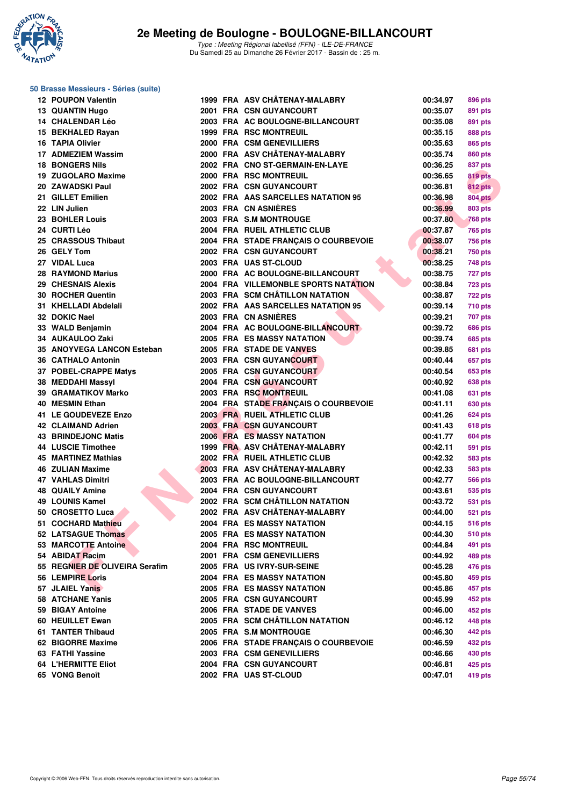

### **50 Brasse Messieurs - Séries (suite)**

| <b>12 POUPON Valentin</b>                 |  | 1999 FRA ASV CHÂTENAY-MALABRY        | 00:34.97             | 896 pts            |
|-------------------------------------------|--|--------------------------------------|----------------------|--------------------|
| 13 QUANTIN Hugo                           |  | 2001 FRA CSN GUYANCOURT              | 00:35.07             | 891 pts            |
| 14 CHALENDAR Léo                          |  | 2003 FRA AC BOULOGNE-BILLANCOURT     | 00:35.08             | 891 pts            |
| 15 BEKHALED Rayan                         |  | <b>1999 FRA RSC MONTREUIL</b>        | 00:35.15             | 888 pts            |
| 16 TAPIA Olivier                          |  | 2000 FRA CSM GENEVILLIERS            | 00:35.63             | 865 pts            |
| 17 ADMEZIEM Wassim                        |  | 2000 FRA ASV CHÂTENAY-MALABRY        | 00:35.74             | <b>860 pts</b>     |
| <b>18 BONGERS Nils</b>                    |  | 2002 FRA CNO ST-GERMAIN-EN-LAYE      | 00:36.25             | 837 pts            |
| 19 ZUGOLARO Maxime                        |  | 2000 FRA RSC MONTREUIL               | 00:36.65             | 819 pts            |
| 20 ZAWADSKI Paul                          |  | 2002 FRA CSN GUYANCOURT              | 00:36.81             | 812 pts            |
| 21 GILLET Emilien                         |  | 2002 FRA AAS SARCELLES NATATION 95   | 00:36.98             | <b>804 pts</b>     |
| 22 LIN Julien                             |  | 2003 FRA CN ASNIERES                 | 00:36.99             | 803 pts            |
| 23 BOHLER Louis                           |  | 2003 FRA S.M MONTROUGE               | 00:37.80             | <b>768 pts</b>     |
| 24 CURTI Léo                              |  | 2004 FRA RUEIL ATHLETIC CLUB         | 00:37.87             | <b>765 pts</b>     |
| 25 CRASSOUS Thibaut                       |  | 2004 FRA STADE FRANÇAIS O COURBEVOIE | 00:38.07             | <b>756 pts</b>     |
| 26 GELY Tom                               |  | 2002 FRA CSN GUYANCOURT              | 00:38.21             | <b>750 pts</b>     |
| 27 VIDAL Luca                             |  | 2003 FRA UAS ST-CLOUD                | 00:38.25             | 748 pts            |
| <b>28 RAYMOND Marius</b>                  |  | 2000 FRA AC BOULOGNE-BILLANCOURT     | 00:38.75             | 727 pts            |
| 29 CHESNAIS Alexis                        |  | 2004 FRA VILLEMONBLE SPORTS NATATION | 00:38.84             | <b>723 pts</b>     |
| 30 ROCHER Quentin                         |  | 2003 FRA SCM CHÂTILLON NATATION      | 00:38.87             | 722 pts            |
| 31 KHELLADI Abdelali                      |  | 2002 FRA AAS SARCELLES NATATION 95   | 00:39.14             | <b>710 pts</b>     |
| 32 DOKIC Nael                             |  | 2003 FRA CN ASNIÈRES                 | 00:39.21             | 707 pts            |
| 33 WALD Benjamin                          |  | 2004 FRA AC BOULOGNE-BILLANCOURT     | 00:39.72             | <b>686 pts</b>     |
| 34 AUKAULOO Zaki                          |  | 2005 FRA ES MASSY NATATION           | 00:39.74             | 685 pts            |
| 35 ANOYVEGA LANCON Esteban                |  | 2005 FRA STADE DE VANVES             | 00:39.85             | 681 pts            |
| <b>36 CATHALO Antonin</b>                 |  | <b>2003 FRA CSN GUYANCOURT</b>       | 00:40.44             | 657 pts            |
| 37 POBEL-CRAPPE Matys                     |  | 2005 FRA CSN GUYANCOURT              | 00:40.54             | 653 pts            |
| 38 MEDDAHI Massyl                         |  | 2004 FRA CSN GUYANCOURT              | 00:40.92             | 638 pts            |
| <b>39 GRAMATIKOV Marko</b>                |  | 2003 FRA RSC MONTREUIL               | 00:41.08             | 631 pts            |
| 40 MESMIN Ethan                           |  | 2004 FRA STADE FRANÇAIS O COURBEVOIE | 00:41.11             |                    |
| 41 LE GOUDEVEZE Enzo                      |  | 2003 FRA RUEIL ATHLETIC CLUB         | 00:41.26             | 630 pts            |
| 42 CLAIMAND Adrien                        |  | 2003 FRA CSN GUYANCOURT              | 00:41.43             | 624 pts<br>618 pts |
| <b>43 BRINDEJONC Matis</b>                |  | <b>2006 FRA ES MASSY NATATION</b>    | 00:41.77             |                    |
| 44 LUSCIE Timothee                        |  | 1999 FRA ASV CHÂTENAY-MALABRY        | 00:42.11             | 604 pts            |
| 45 MARTINEZ Mathias                       |  | 2002 FRA RUEIL ATHLETIC CLUB         | 00:42.32             | 591 pts            |
| <b>46 ZULIAN Maxime</b>                   |  | 2003 FRA ASV CHÂTENAY-MALABRY        | 00:42.33             | 583 pts            |
| <b>47 VAHLAS Dimitri</b>                  |  | 2003 FRA AC BOULOGNE-BILLANCOURT     | 00:42.77             | 583 pts            |
|                                           |  | 2004 FRA CSN GUYANCOURT              |                      | <b>566 pts</b>     |
| <b>48 QUAILY Amine</b><br>49 LOUNIS Kamel |  | 2002 FRA SCM CHÂTILLON NATATION      | 00:43.61<br>00:43.72 | 535 pts            |
|                                           |  | 2002 FRA ASV CHÂTENAY-MALABRY        |                      | <b>531 pts</b>     |
| 50 CROSETTO Luca                          |  | 2004 FRA ES MASSY NATATION           | 00:44.00             | <b>521 pts</b>     |
| 51 COCHARD Mathieu                        |  |                                      | 00:44.15             | <b>516 pts</b>     |
| 52 LATSAGUE Thomas                        |  | <b>2005 FRA ES MASSY NATATION</b>    | 00:44.30             | 510 pts            |
| 53 MARCOTTE Antoine                       |  | 2004 FRA RSC MONTREUIL               | 00:44.84             | 491 pts            |
| 54 ABIDAT Racim                           |  | 2001 FRA CSM GENEVILLIERS            | 00:44.92             | 489 pts            |
| 55 REGNIER DE OLIVEIRA Serafim            |  | 2005 FRA US IVRY-SUR-SEINE           | 00:45.28             | 476 pts            |
| 56 LEMPIRE Loris                          |  | <b>2004 FRA ES MASSY NATATION</b>    | 00:45.80             | 459 pts            |
| 57 JLAIEL Yanis                           |  | 2005 FRA ES MASSY NATATION           | 00:45.86             | 457 pts            |
| 58 ATCHANE Yanis                          |  | 2005 FRA CSN GUYANCOURT              | 00:45.99             | 452 pts            |
| 59 BIGAY Antoine                          |  | 2006 FRA STADE DE VANVES             | 00:46.00             | 452 pts            |
| 60 HEUILLET Ewan                          |  | 2005 FRA SCM CHÂTILLON NATATION      | 00:46.12             | 448 pts            |
| 61 TANTER Thibaud                         |  | 2005 FRA S.M MONTROUGE               | 00:46.30             | 442 pts            |
| 62 BIGORRE Maxime                         |  | 2006 FRA STADE FRANCAIS O COURBEVOIE | 00:46.59             | 432 pts            |
| 63 FATHI Yassine                          |  | 2003 FRA CSM GENEVILLIERS            | 00:46.66             | 430 pts            |
| <b>64 L'HERMITTE Eliot</b>                |  | 2004 FRA CSN GUYANCOURT              | 00:46.81             | 425 pts            |
| 65 VONG Benoît                            |  | 2002 FRA UAS ST-CLOUD                | 00:47.01             | 419 pts            |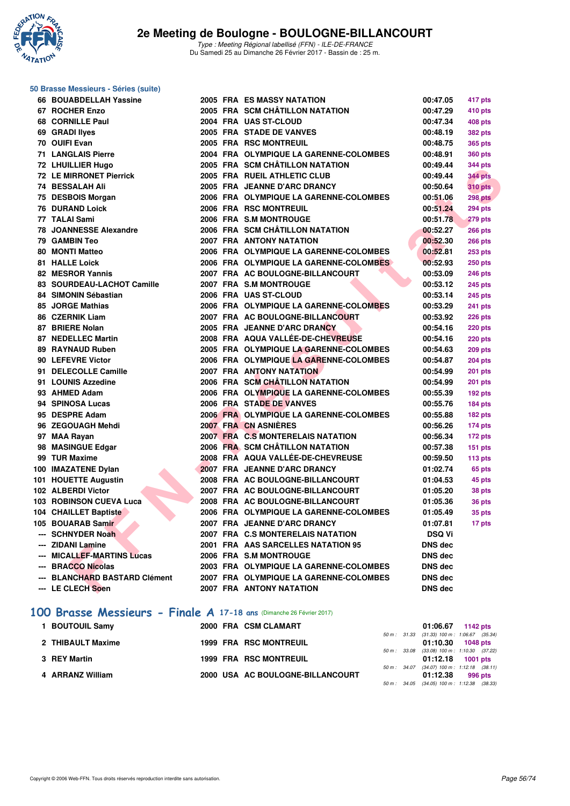

| 50 Brasse Messieurs - Séries (suite) |  |                                        |                |                |
|--------------------------------------|--|----------------------------------------|----------------|----------------|
| 66 BOUABDELLAH Yassine               |  | <b>2005 FRA ES MASSY NATATION</b>      | 00:47.05       | 417 pts        |
| 67 ROCHER Enzo                       |  | 2005 FRA SCM CHÂTILLON NATATION        | 00:47.29       | 410 pts        |
| 68 CORNILLE Paul                     |  | 2004 FRA UAS ST-CLOUD                  | 00:47.34       | 408 pts        |
| 69 GRADI liyes                       |  | 2005 FRA STADE DE VANVES               | 00:48.19       | <b>382 pts</b> |
| 70 OUIFI Evan                        |  | 2005 FRA RSC MONTREUIL                 | 00:48.75       | <b>365 pts</b> |
| <b>71 LANGLAIS Pierre</b>            |  | 2004 FRA OLYMPIQUE LA GARENNE-COLOMBES | 00:48.91       | <b>360 pts</b> |
| 72 LHUILLIER Hugo                    |  | 2005 FRA SCM CHÂTILLON NATATION        | 00:49.44       | <b>344 pts</b> |
| <b>72 LE MIRRONET Pierrick</b>       |  | 2005 FRA RUEIL ATHLETIC CLUB           | 00:49.44       | <b>344 pts</b> |
| <b>74 BESSALAH Ali</b>               |  | 2005 FRA JEANNE D'ARC DRANCY           | 00:50.64       | <b>310 pts</b> |
| 75 DESBOIS Morgan                    |  | 2006 FRA OLYMPIQUE LA GARENNE-COLOMBES | 00:51.06       | 298 pts        |
| <b>76 DURAND Loick</b>               |  | 2006 FRA RSC MONTREUIL                 | 00:51.24       | <b>294 pts</b> |
| 77 TALAI Sami                        |  | 2006 FRA S.M MONTROUGE                 | 00:51.78       | <b>279 pts</b> |
| 78 JOANNESSE Alexandre               |  | 2006 FRA SCM CHÂTILLON NATATION        | 00:52.27       | <b>266 pts</b> |
| 79 GAMBIN Teo                        |  | <b>2007 FRA ANTONY NATATION</b>        | 00:52.30       | <b>266 pts</b> |
| <b>80 MONTI Matteo</b>               |  | 2006 FRA OLYMPIQUE LA GARENNE-COLOMBES | 00:52.81       | <b>253 pts</b> |
| <b>81 HALLE Loick</b>                |  | 2006 FRA OLYMPIQUE LA GARENNE-COLOMBES | 00:52.93       | <b>250 pts</b> |
| 82 MESROR Yannis                     |  | 2007 FRA AC BOULOGNE-BILLANCOURT       | 00:53.09       | <b>246 pts</b> |
| 83 SOURDEAU-LACHOT Camille           |  | 2007 FRA S.M MONTROUGE                 | 00:53.12       | <b>245 pts</b> |
| 84 SIMONIN Sébastian                 |  | 2006 FRA UAS ST-CLOUD                  | 00:53.14       | <b>245 pts</b> |
| 85 JORGE Mathias                     |  | 2006 FRA OLYMPIQUE LA GARENNE-COLOMBES | 00:53.29       | <b>241 pts</b> |
| 86 CZERNIK Liam                      |  | 2007 FRA AC BOULOGNE-BILLANCOURT       | 00:53.92       | 226 pts        |
| 87 BRIERE Nolan                      |  | 2005 FRA JEANNE D'ARC DRANCY           | 00:54.16       | <b>220 pts</b> |
| 87 NEDELLEC Martin                   |  | 2008 FRA AQUA VALLÉE-DE-CHEVREUSE      | 00:54.16       | <b>220 pts</b> |
| 89 RAYNAUD Ruben                     |  | 2005 FRA OLYMPIQUE LA GARENNE-COLOMBES | 00:54.63       | 209 pts        |
| 90 LEFEVRE Victor                    |  | 2006 FRA OLYMPIQUE LA GARENNE-COLOMBES | 00:54.87       | <b>204 pts</b> |
| 91 DELECOLLE Camille                 |  | <b>2007 FRA ANTONY NATATION</b>        | 00:54.99       | <b>201 pts</b> |
| 91 LOUNIS Azzedine                   |  | 2006 FRA SCM CHÂTILLON NATATION        | 00:54.99       | <b>201 pts</b> |
| 93 AHMED Adam                        |  | 2006 FRA OLYMPIQUE LA GARENNE-COLOMBES | 00:55.39       | 192 pts        |
| 94 SPINOSA Lucas                     |  | 2006 FRA STADE DE VANVES               | 00:55.76       | 184 pts        |
| 95 DESPRE Adam                       |  | 2006 FRA OLYMPIQUE LA GARENNE-COLOMBES | 00:55.88       | <b>182 pts</b> |
| 96 ZEGOUAGH Mehdi                    |  | 2007 FRA CN ASNIERES                   | 00:56.26       | 174 pts        |
| 97 MAA Rayan                         |  | 2007 FRA C.S MONTERELAIS NATATION      | 00:56.34       | 172 pts        |
| 98 MASINGUE Edgar                    |  | 2006 FRA SCM CHÂTILLON NATATION        | 00:57.38       | <b>151 pts</b> |
| 99 TUR Maxime                        |  | 2008 FRA AQUA VALLÉE-DE-CHEVREUSE      | 00:59.50       | $113$ pts      |
| 100 IMAZATENE Dylan                  |  | 2007 FRA JEANNE D'ARC DRANCY           | 01:02.74       | 65 pts         |
| 101 HOUETTE Augustin                 |  | 2008 FRA AC BOULOGNE-BILLANCOURT       | 01:04.53       | 45 pts         |
| 102 ALBERDI Victor                   |  | 2007 FRA AC BOULOGNE-BILLANCOURT       | 01:05.20       | 38 pts         |
| <b>103 ROBINSON CUEVA Luca</b>       |  | 2008 FRA AC BOULOGNE-BILLANCOURT       | 01:05.36       | 36 pts         |
| 104 CHAILLET Baptiste                |  | 2006 FRA OLYMPIQUE LA GARENNE-COLOMBES | 01:05.49       | 35 pts         |
| 105 BOUARAB Samir                    |  | 2007 FRA JEANNE D'ARC DRANCY           | 01:07.81       | 17 pts         |
| --- SCHNYDER Noah                    |  | 2007 FRA C.S MONTERELAIS NATATION      | <b>DSQ Vi</b>  |                |
| --- ZIDANI Lamine                    |  | 2001 FRA AAS SARCELLES NATATION 95     | <b>DNS</b> dec |                |
| --- MICALLEF-MARTINS Lucas           |  | 2006 FRA S.M MONTROUGE                 | DNS dec        |                |
| --- BRACCO Nicolas                   |  | 2003 FRA OLYMPIQUE LA GARENNE-COLOMBES | <b>DNS dec</b> |                |
| --- BLANCHARD BASTARD Clément        |  | 2007 FRA OLYMPIQUE LA GARENNE-COLOMBES | DNS dec        |                |
| --- LE CLECH Soen                    |  | 2007 FRA ANTONY NATATION               | <b>DNS dec</b> |                |

### **[100 Brasse Messieurs - Finale A](http://www.ffnatation.fr/webffn/resultats.php?idact=nat&go=epr&idcpt=42219&idepr=72) 17-18 ans** (Dimanche 26 Février 2017)

| 1 BOUTOUIL Samy   |  | 2000 FRA CSM CLAMART             |  | $01:06.67$ 1142 pts                                               |         |  |
|-------------------|--|----------------------------------|--|-------------------------------------------------------------------|---------|--|
| 2 THIBAULT Maxime |  | <b>1999 FRA RSC MONTREUIL</b>    |  | 50 m: 31.33 (31.33) 100 m: 1:06.67 (35.34)<br>$01:10.30$ 1048 pts |         |  |
| 3 REY Martin      |  | <b>1999 FRA RSC MONTREUIL</b>    |  | 50 m: 33.08 (33.08) 100 m: 1:10.30 (37.22)<br>$01:12.18$ 1001 pts |         |  |
| 4 ARRANZ William  |  | 2000 USA AC BOULOGNE-BILLANCOURT |  | 50 m: 34.07 (34.07) 100 m: 1:12.18 (38.11)<br>01:12.38            | 996 pts |  |
|                   |  |                                  |  | 50 m: 34.05 (34.05) 100 m: 1:12.38 (38.33)                        |         |  |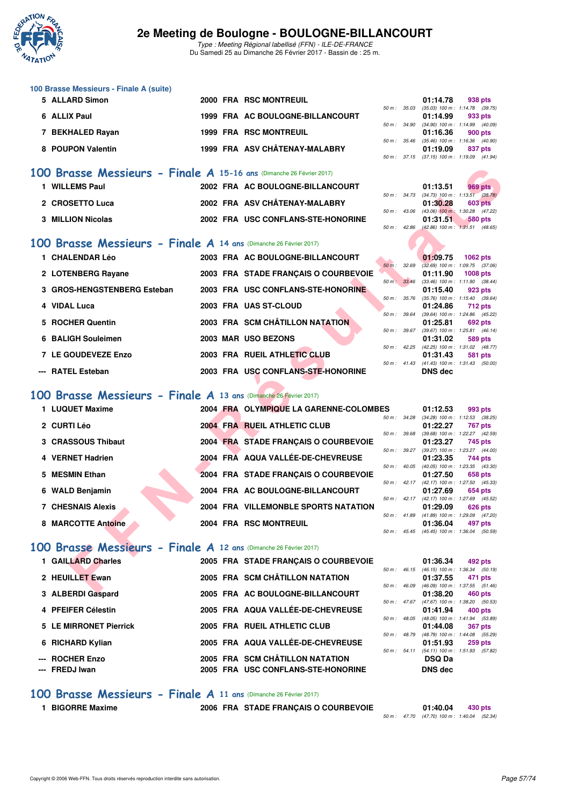

Type : Meeting Régional labellisé (FFN) - ILE-DE-FRANCE Du Samedi 25 au Dimanche 26 Février 2017 - Bassin de : 25 m.

| 100 Brasse Messieurs - Finale A (suite) |  |                                  |  |                                         |         |
|-----------------------------------------|--|----------------------------------|--|-----------------------------------------|---------|
| 5 ALLARD Simon                          |  | 2000 FRA RSC MONTREUIL           |  | 01:14.78                                | 938 pts |
|                                         |  |                                  |  | 50 m: 35.03 (35.03) 100 m: 1:14.78 (39. |         |
| 6 ALLIX Paul                            |  | 1999 FRA AC BOULOGNE-BILLANCOURT |  | 01:14.99                                | 933 pts |
|                                         |  |                                  |  | 50 m: 34.90 (34.90) 100 m: 1:14.99 (40. |         |
| 7 BEKHALED Rayan                        |  | <b>1999 FRA RSC MONTREUIL</b>    |  | 01:16.36                                | 900 pts |
|                                         |  |                                  |  | 50 m: 35.46 (35.46) 100 m: 1:16.36 (40. |         |
| 8 POUPON Valentin                       |  | 1999 FRA ASV CHÂTENAY-MALABRY    |  | 01:19.09                                | 837 pts |
|                                         |  |                                  |  |                                         |         |

### **[100 Brasse Messieurs - Finale A](http://www.ffnatation.fr/webffn/resultats.php?idact=nat&go=epr&idcpt=42219&idepr=72) 15-16 ans** (Dimanche 26 Février 2017)

| <b>WILLEMS Paul</b>      | 2002 FRA AC BOULOGNE-BILLANCOURT   |  | 01:13.51                                  | 969 pts        |
|--------------------------|------------------------------------|--|-------------------------------------------|----------------|
|                          |                                    |  | 50 m : 34.73 (34.73) 100 m : 1:13.51 (38. |                |
| 2 CROSETTO Luca          | 2002 FRA ASV CHÂTENAY-MALABRY      |  | 01:30.28                                  | 603 pts        |
|                          |                                    |  | 50 m: 43.06 (43.06) 100 m: 1:30.28 (47.   |                |
| <b>3 MILLION Nicolas</b> | 2002 FRA USC CONFLANS-STE-HONORINE |  | 01:31.51                                  | <b>580 pts</b> |

### **[100 Brasse Messieurs - Finale A](http://www.ffnatation.fr/webffn/resultats.php?idact=nat&go=epr&idcpt=42219&idepr=72) 14 ans** (Dimanche 26 Février 2017)

| 1 CHALENDAR Léo             |  | 2003 FRA AC BOULOGNE-BILLANCOURT     |          |                  | 01:09.75                                     | 1062 pts |         |
|-----------------------------|--|--------------------------------------|----------|------------------|----------------------------------------------|----------|---------|
|                             |  |                                      | $50 m$ : | 32.69            | $(32.69)$ 100 m : 1:09.75 (37.               |          |         |
| 2 LOTENBERG Rayane          |  | 2003 FRA STADE FRANCAIS O COURBEVOIE |          |                  | 01:11.90                                     | 1008 pts |         |
| 3 GROS-HENGSTENBERG Esteban |  | 2003 FRA USC CONFLANS-STE-HONORINE   |          | 50 m: 33.46      | $(33.46)$ 100 m : 1:11.90 $(38.$<br>01:15.40 |          | 923 pts |
| 4 VIDAL Luca                |  | 2003 FRA UAS ST-CLOUD                |          | $50 m$ : $35.76$ | $(35.76)$ 100 m : 1:15.40 (39.<br>01:24.86   |          | 712 pts |
| 5 ROCHER Quentin            |  | 2003 FRA SCM CHÂTILLON NATATION      |          | 50 m: 39.64      | (39.64) 100 m: 1:24.86 (45.<br>01:25.81      |          | 692 pts |
| 6 BALIGH Souleimen          |  | 2003 MAR USO BEZONS                  |          | 50 m: 39.67      | $(39.67)$ 100 m : 1:25.81 (46.<br>01:31.02   |          | 589 pts |
| 7 LE GOUDEVEZE Enzo         |  | 2003 FRA RUEIL ATHLETIC CLUB         |          | $50 m$ : 42.25   | (42.25) 100 m : 1:31.02 (48.<br>01:31.43     |          | 581 pts |
|                             |  | 2003 FRA USC CONFLANS-STE-HONORINE   |          | $50 m$ : $41.43$ | $(41.43)$ 100 m : 1:31.43 (50.               |          |         |
| --- RATEL Esteban           |  |                                      |          |                  | <b>DNS</b> dec                               |          |         |

### **[100 Brasse Messieurs - Finale A](http://www.ffnatation.fr/webffn/resultats.php?idact=nat&go=epr&idcpt=42219&idepr=72) 13 ans** (Dimanche 26 Février 2017)

| 00 Brasse Messieurs - Finale A 15-16 ans (Dimanche 26 Février 2017) |                                        |              |                |                                                              |
|---------------------------------------------------------------------|----------------------------------------|--------------|----------------|--------------------------------------------------------------|
| 1 WILLEMS Paul                                                      | 2002 FRA AC BOULOGNE-BILLANCOURT       |              | 01:13.51       | 969 pts                                                      |
| 2 CROSETTO Luca                                                     | 2002 FRA ASV CHÂTENAY-MALABRY          |              | 01:30.28       | 50 m: 34.73 (34.73) 100 m: 1:13.51 (38.78)<br><b>603 pts</b> |
| <b>3 MILLION Nicolas</b>                                            | 2002 FRA USC CONFLANS-STE-HONORINE     | 50 m: 43.06  |                | $(43.06)$ 100 m : 1:30.28 $(47.22)$                          |
|                                                                     |                                        | 50 m: 42.86  | 01:31.51       | 580 pts<br>$(42.86)$ 100 m : 1:31.51 $(48.65)$               |
| 00 Brasse Messieurs - Finale A 14 ans (Dimanche 26 Février 2017)    |                                        |              |                |                                                              |
| 1 CHALENDAR Léo                                                     | 2003 FRA AC BOULOGNE-BILLANCOURT       |              | 01:09.75       | 1062 pts                                                     |
| 2 LOTENBERG Rayane                                                  | 2003 FRA STADE FRANÇAIS O COURBEVOIE   | 50 m: 32.69  | 01:11.90       | $(32.69)$ 100 m : 1:09.75 $(37.06)$<br><b>1008 pts</b>       |
| 3 GROS-HENGSTENBERG Esteban                                         | 2003 FRA USC CONFLANS-STE-HONORINE     | 50 m: 33.46  | 01:15.40       | $(33.46)$ 100 m : 1:11.90 $(38.44)$<br>923 pts               |
|                                                                     |                                        | 50 m : 35.76 |                | $(35.76)$ 100 m : 1:15.40 $(39.64)$                          |
| 4 VIDAL Luca                                                        | 2003 FRA UAS ST-CLOUD                  |              | 01:24.86       | 712 pts                                                      |
| 5 ROCHER Quentin                                                    | 2003 FRA SCM CHÂTILLON NATATION        | 50 m : 39.64 | 01:25.81       | $(39.64)$ 100 m : 1:24.86 $(45.22)$<br>692 pts               |
|                                                                     |                                        | 50 m : 39.67 |                | $(39.67)$ 100 m : 1:25.81 $(46.14)$                          |
| 6 BALIGH Souleimen                                                  | 2003 MAR USO BEZONS                    |              | 01:31.02       | 589 pts                                                      |
|                                                                     |                                        |              |                | 50 m: 42.25 (42.25) 100 m: 1:31.02 (48.77)                   |
| 7 LE GOUDEVEZE Enzo                                                 | 2003 FRA RUEIL ATHLETIC CLUB           |              | 01:31.43       | 581 pts                                                      |
| --- RATEL Esteban                                                   | 2003 FRA USC CONFLANS-STE-HONORINE     |              | <b>DNS</b> dec | 50 m: 41.43 (41.43) 100 m: 1:31.43 (50.00)                   |
|                                                                     |                                        |              |                |                                                              |
| 00 Brasse Messieurs - Finale A 13 ans (Dimanche 26 Février 2017)    |                                        |              |                |                                                              |
| 1 LUQUET Maxime                                                     | 2004 FRA OLYMPIQUE LA GARENNE-COLOMBES |              | 01:12.53       | 993 pts                                                      |
|                                                                     |                                        |              |                | 50 m: 34.28 (34.28) 100 m: 1:12.53 (38.25)                   |
| 2 CURTI Léo                                                         | 2004 FRA RUEIL ATHLETIC CLUB           | 50 m : 39.68 | 01:22.27       | <b>767 pts</b><br>$(39.68)$ 100 m : 1:22.27 $(42.59)$        |
| 3 CRASSOUS Thibaut                                                  | 2004 FRA STADE FRANÇAIS O COURBEVOIE   |              | 01:23.27       | 745 pts                                                      |
|                                                                     |                                        | 50 m: 39.27  |                | (39.27) 100 m: 1:23.27 (44.00)                               |
| 4 VERNET Hadrien                                                    | 2004 FRA AQUA VALLÉE-DE-CHEVREUSE      |              | 01:23.35       | 744 pts                                                      |
|                                                                     |                                        |              |                | 50 m: 40.05 (40.05) 100 m: 1:23.35 (43.30)                   |
| 5 MESMIN Ethan                                                      | 2004 FRA STADE FRANÇAIS O COURBEVOIE   |              | 01:27.50       | 658 pts<br>50 m: 42.17 (42.17) 100 m: 1:27.50 (45.33)        |
| 6 WALD Benjamin                                                     | 2004 FRA AC BOULOGNE-BILLANCOURT       |              | 01:27.69       | 654 pts                                                      |
|                                                                     |                                        |              |                | 50 m: 42.17 (42.17) 100 m: 1:27.69 (45.52)                   |
| <b>7 CHESNAIS Alexis</b>                                            | 2004 FRA VILLEMONBLE SPORTS NATATION   |              | 01:29.09       | 626 pts                                                      |
|                                                                     |                                        |              |                | 50 m: 41.89 (41.89) 100 m: 1:29.09 (47.20)                   |
| 8 MARCOTTE Antoine                                                  | 2004 FRA RSC MONTREUIL                 |              | 01:36.04       | 497 pts<br>50 m: 45.45 (45.45) 100 m: 1:36.04 (50.59)        |
|                                                                     |                                        |              |                |                                                              |
| 00 Brasse Messieurs - Finale A 12 ans (Dimanche 26 Février 2017)    |                                        |              |                |                                                              |
| 1 GAILLARD Charles                                                  | 2005 FRA STADE FRANÇAIS O COURBEVOIE   |              | 01:36.34       | 492 pts                                                      |
|                                                                     |                                        |              |                | 50 m: 46.15 (46.15) 100 m: 1:36.34 (50.19)                   |
|                                                                     |                                        |              |                |                                                              |
| 2 HEUILLET Ewan                                                     | 2005 FRA SCM CHÂTILLON NATATION        | 50 m : 46.09 | 01:37.55       | 471 pts<br>$(46.09)$ 100 m : 1:37.55 $(51.46)$               |

## **[100 Brasse Messieurs - Finale A](http://www.ffnatation.fr/webffn/resultats.php?idact=nat&go=epr&idcpt=42219&idepr=72) 12 ans** (Dimanche 26 Février 2017)

| 1 GAILLARD Charles     |  | 2005 FRA STADE FRANCAIS O COURBEVOIE |                |                | 01:36.34                                        | 492 pts        |  |
|------------------------|--|--------------------------------------|----------------|----------------|-------------------------------------------------|----------------|--|
| 2 HEUILLET Ewan        |  | 2005 FRA SCM CHÂTILLON NATATION      | $50 m$ :       | 46.15          | $(46.15)$ 100 m : 1:36.34 (50.<br>01:37.55      | 471 pts        |  |
| 3 ALBERDI Gaspard      |  | 2005 FRA AC BOULOGNE-BILLANCOURT     | $50 m$ :       | 46.09          | $(46.09)$ 100 m : 1:37.55 (51.<br>01:38.20      | 460 pts        |  |
| 4 PFEIFER Célestin     |  | 2005 FRA AQUA VALLÉE-DE-CHEVREUSE    |                | $50 m$ : 47.67 | $(47.67)$ 100 m : 1:38.20 (50.<br>01:41.94      | 400 pts        |  |
| 5 LE MIRRONET Pierrick |  | 2005 FRA RUEIL ATHLETIC CLUB         | 50 m :         | 48.05          | (48.05) 100 m: 1:41.94 (53.<br>01:44.08         | <b>367 pts</b> |  |
| 6 RICHARD Kylian       |  | 2005 FRA AQUA VALLÉE-DE-CHEVREUSE    | $50 m$ : 48.79 |                | (48.79) 100 m: 1:44.08 (55.<br>01:51.93         | <b>259 pts</b> |  |
| --- ROCHER Enzo        |  | 2005 FRA SCM CHÂTILLON NATATION      | 50 m: 54.11    |                | $(54.11)$ 100 m : 1:51.93 (57.<br><b>DSQ Da</b> |                |  |
| --- FREDJ Iwan         |  | 2005 FRA USC CONFLANS-STE-HONORINE   |                |                | DNS dec                                         |                |  |

|  | 01:14.78 938 pts |                                            |
|--|------------------|--------------------------------------------|
|  |                  | 50 m: 35.03 (35.03) 100 m: 1:14.78 (39.75) |
|  | 01:14.99 933 pts |                                            |
|  |                  | 50 m: 34.90 (34.90) 100 m: 1:14.99 (40.09) |
|  |                  | $01:16.36$ 900 pts                         |
|  |                  | 50 m: 35.46 (35.46) 100 m: 1:16.36 (40.90) |
|  |                  | 01:19.09 837 pts                           |
|  |                  | 50 m: 37.15 (37.15) 100 m: 1:19.09 (41.94) |

|  | $01:13.51$ 969 pts                         |  |
|--|--------------------------------------------|--|
|  | 50 m: 34.73 (34.73) 100 m: 1:13.51 (38.78) |  |
|  | $01:30.28$ 603 pts                         |  |
|  | 50 m: 43.06 (43.06) 100 m: 1:30.28 (47.22) |  |
|  | 01:31.51 580 pts                           |  |
|  | 50 m: 42.86 (42.86) 100 m: 1:31.51 (48.65) |  |

|                  |                  | 01:09.75          | 1062 pts                            |
|------------------|------------------|-------------------|-------------------------------------|
| $50 m$ :         | 32.69            | $(32.69)$ 100 m : | 1:09.75 (37.06)                     |
|                  |                  |                   | 01:11.90 1008 pts                   |
| 50 m : 33.46     |                  | $(33.46)$ 100 m : | $1:11.90$ $(38.44)$                 |
|                  |                  | 01:15.40 923 pts  |                                     |
| $50 m$ : $35.76$ |                  | $(35.76)$ 100 m : | $1:15.40$ (39.64)                   |
|                  |                  |                   | 01:24.86 712 pts                    |
| 50 m: 39.64      |                  |                   | (39.64) 100 m: 1:24.86 (45.22)      |
|                  |                  | 01:25.81          | 692 pts                             |
| $50 m$ : $39.67$ |                  | $(39.67)$ 100 m : | $1:25.81$ (46.14)                   |
|                  |                  | 01:31.02          | 589 pts                             |
|                  | $50 m$ : 42.25   | $(42.25)$ 100 m : | $1:31.02$ $(48.77)$                 |
|                  |                  |                   | 01:31.43 581 pts                    |
|                  | $50 m$ : $41.43$ |                   | $(41.43)$ 100 m : 1:31.43 $(50.00)$ |
|                  |                  | DNS dec           |                                     |

| ະວ               |                          | U I . I Z.OJ      | 993 DIS                        |
|------------------|--------------------------|-------------------|--------------------------------|
| $50 m$ :         | 34.28                    | $(34.28)$ 100 m : | $1:12.53$ $(38.25)$            |
|                  |                          |                   | 01:22.27 767 pts               |
| 50 m: 39.68      |                          | $(39.68) 100 m$ : | 1:22.27 (42.59)                |
|                  |                          |                   | 01:23.27 745 pts               |
| 50 m : 39.27     |                          | $(39.27)$ 100 m : | 1:23.27 (44.00)                |
|                  |                          | 01:23.35          | 744 pts                        |
| $50 m$ : $40.05$ |                          | $(40.05)$ 100 m : | 1:23.35 (43.30)                |
|                  |                          |                   | 01:27.50 658 pts               |
| 50 m: 42.17      |                          | $(42.17)$ 100 m : | 1:27.50 (45.33)                |
|                  |                          |                   | 01:27.69 654 pts               |
| $50 m$ : 42.17   |                          | $(42.17)$ 100 m : | 1:27.69 (45.52)                |
|                  |                          |                   | 01:29.09 626 pts               |
|                  | $50 \text{ m}$ : $41.89$ |                   | (41.89) 100 m: 1:29.09 (47.20) |
|                  |                          |                   |                                |
|                  |                          | 01:36.04 497 pts  |                                |

|          |              | 01:36.34                            | 492 pts           |  |
|----------|--------------|-------------------------------------|-------------------|--|
| 50 m:    |              | 46.15 (46.15) 100 m :               | 1:36.34 (50.19)   |  |
|          |              | 01:37.55                            | 471 pts           |  |
| $50 m$ : | 46.09        | $(46.09) 100 m$ :                   | $1:37.55$ (51.46) |  |
|          |              | 01:38.20                            | <b>460 pts</b>    |  |
|          | 50 m : 47.67 | $(47.67)$ 100 m : 1:38.20 $(50.53)$ |                   |  |
|          |              | 01:41.94 400 pts                    |                   |  |
| $50 m$ : | 48.05        | (48.05) 100 m: 1:41.94 (53.89)      |                   |  |
|          |              | 01:44.08                            | <b>367 pts</b>    |  |
|          | 50 m : 48.79 | (48.79) 100 m : 1:44.08 (55.29)     |                   |  |
|          |              | 01:51.93                            | 259 pts           |  |
|          | 50 m: 54.11  | (54.11) 100 m: 1:51.93 (57.82)      |                   |  |
|          |              | DSQ Da                              |                   |  |
|          |              | <b>DNS</b> dec                      |                   |  |

### **[100 Brasse Messieurs - Finale A](http://www.ffnatation.fr/webffn/resultats.php?idact=nat&go=epr&idcpt=42219&idepr=72) 11 ans** (Dimanche 26 Février 2017)

**1 BIGORRE Maxime 2006 FRA STADE FRANÇAIS O COURBEVOIE 01:40.04 430 pts**

50 m : 47.70 (47.70) 100 m : 1:40.04 (52.34)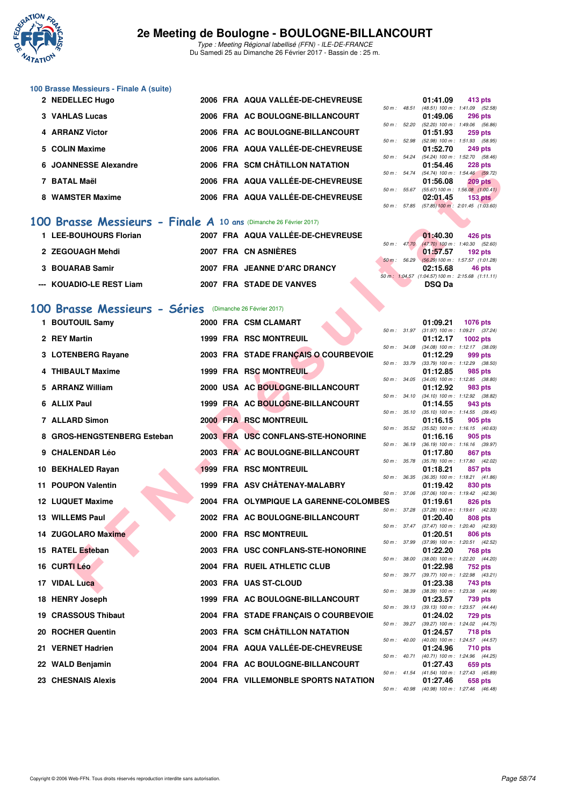

Type : Meeting Régional labellisé (FFN) - ILE-DE-FRANCE Du Samedi 25 au Dimanche 26 Février 2017 - Bassin de : 25 m.

## **100 Brasse Messieurs - Finale A (suite)**

| 2 NEDELLEC Hugo       |  | 2006 FRA AQUA VALLÉE-DE-CHEVREUSE |                | 01:41.09                                | 413 pts        |  |
|-----------------------|--|-----------------------------------|----------------|-----------------------------------------|----------------|--|
|                       |  |                                   | $50 m$ : 48.51 | (48.51) 100 m : 1:41.09 (52.            |                |  |
| 3 VAHLAS Lucas        |  | 2006 FRA AC BOULOGNE-BILLANCOURT  |                | 01:49.06                                | <b>296 pts</b> |  |
|                       |  |                                   | 50 m: 52.20    | (52.20) 100 m : 1:49.06 (56.            |                |  |
| 4 ARRANZ Victor       |  | 2006 FRA AC BOULOGNE-BILLANCOURT  |                | 01:51.93                                | <b>259 pts</b> |  |
|                       |  |                                   | 50 m: 52.98    | (52.98) 100 m : 1:51.93 (58.            |                |  |
| 5 COLIN Maxime        |  | 2006 FRA AQUA VALLÉE-DE-CHEVREUSE |                | 01:52.70                                | <b>249 pts</b> |  |
|                       |  |                                   |                | 50 m: 54.24 (54.24) 100 m: 1:52.70 (58. |                |  |
| 6 JOANNESSE Alexandre |  | 2006 FRA SCM CHÂTILLON NATATION   |                | 01:54.46                                | <b>228 pts</b> |  |
|                       |  |                                   |                | 50 m: 54.74 (54.74) 100 m: 1:54.46 (59. |                |  |
| 7 BATAL Maël          |  | 2006 FRA AQUA VALLÉE-DE-CHEVREUSE |                | 01:56.08                                | <b>209 pts</b> |  |
|                       |  |                                   | 50 m: 55.67    | $(55.67)$ 100 m : 1:56.08 $(1:00.$      |                |  |
| 8 WAMSTER Maxime      |  | 2006 FRA AQUA VALLÉE-DE-CHEVREUSE |                | 02:01.45                                | <b>153 pts</b> |  |
|                       |  |                                   |                |                                         |                |  |

### **[100 Brasse Messieurs - Finale A](http://www.ffnatation.fr/webffn/resultats.php?idact=nat&go=epr&idcpt=42219&idepr=72) 10 ans** (Dimanche 26 Février 2017)

| 1 LEE-BOUHOURS Florian   | 2007 FRA AQUA VALLÉE-DE-CHEVREUSE |                                               | 01:40.30      | 426 pts        |
|--------------------------|-----------------------------------|-----------------------------------------------|---------------|----------------|
| 2 ZEGOUAGH Mehdi         | 2007 FRA CN ASNIÈRES              | 50 m : 47.70 (47.70) 100 m : 1:40.30 (52.     | 01:57.57      | <b>192 pts</b> |
| 3 BOUARAB Samir          | 2007 FRA JEANNE D'ARC DRANCY      | 50 m : 56.29 (56.29) 100 m : 1:57.57 (1:01.   | 02:15.68      | 46 pts         |
| --- KOUADIO-LE REST Liam | 2007 FRA STADE DE VANVES          | 50 m: 1:04.57 (1:04.57) 100 m: 2:15.68 (1:11. | <b>DSQ Da</b> |                |

### **[100 Brasse Messieurs - Séries](http://www.ffnatation.fr/webffn/resultats.php?idact=nat&go=epr&idcpt=42219&idepr=72)** (Dimanche 26 Février 2017)

| <b>JUANNEJJE AICAGHUIC</b>                                              |  | ZUUU FRA SCIWCHAHLLUN NAIAHUN          |                | 01. <del>04</del> .40 | בבט טש                                                       |
|-------------------------------------------------------------------------|--|----------------------------------------|----------------|-----------------------|--------------------------------------------------------------|
| 7 BATAL Maël                                                            |  | 2006 FRA AQUA VALLÉE-DE-CHEVREUSE      |                | 01:56.08              | 50 m: 54.74 (54.74) 100 m: 1:54.46 (59.72)<br><b>209 pts</b> |
| 8 WAMSTER Maxime                                                        |  | 2006 FRA AQUA VALLÉE-DE-CHEVREUSE      |                | 02:01.45              | 50 m: 55.67 (55.67) 100 m: 1:56.08 (1:00.41)<br>$153$ pts    |
|                                                                         |  |                                        |                |                       | 50 m: 57.85 (57.85) 100 m: 2:01.45 (1:03.60)                 |
| <b>00 Brasse Messieurs - Finale A 10 ans (Dimanche 26 Février 2017)</b> |  |                                        |                |                       |                                                              |
| 1 LEE-BOUHOURS Florian                                                  |  | 2007 FRA AQUA VALLÉE-DE-CHEVREUSE      |                | 01:40.30              | 426 pts                                                      |
|                                                                         |  |                                        | 50 m: 47.70    |                       | $(47.70)$ 100 m : 1:40.30 (52.60)                            |
| 2 ZEGOUAGH Mehdi                                                        |  | 2007 FRA CN ASNIERES                   | $50 m$ : 56.29 | 01:57.57              | $192$ pts<br>$(56.29)$ 100 m : 1:57.57 (1:01.28)             |
| 3 BOUARAB Samir                                                         |  | 2007 FRA JEANNE D'ARC DRANCY           |                | 02:15.68              | 46 pts                                                       |
| --- KOUADIO-LE REST Liam                                                |  | 2007 FRA STADE DE VANVES               |                | <b>DSQ Da</b>         | 50 m: 1:04.57 (1:04.57) 100 m: 2:15.68 (1:11.11)             |
|                                                                         |  |                                        |                |                       |                                                              |
| 00 Brasse Messieurs - Séries (Dimanche 26 Février 2017)                 |  |                                        |                |                       |                                                              |
| 1 BOUTOUIL Samy                                                         |  | 2000 FRA CSM CLAMART                   |                | 01:09.21              | <b>1076 pts</b>                                              |
| 2 REY Martin                                                            |  | <b>1999 FRA RSC MONTREUIL</b>          |                | 01:12.17              | 50 m: 31.97 (31.97) 100 m: 1:09.21 (37.24)<br>1002 $pts$     |
|                                                                         |  |                                        |                |                       | 50 m: 34.08 (34.08) 100 m: 1:12.17 (38.09)                   |
| 3 LOTENBERG Rayane                                                      |  | 2003 FRA STADE FRANCAIS O COURBEVOIE   | 50 m : 33.79   | 01:12.29              | 999 pts<br>$(33.79)$ 100 m : 1:12.29 $(38.50)$               |
| 4 THIBAULT Maxime                                                       |  | 1999 FRA RSC MONTREUIL                 |                | 01:12.85              | 985 pts                                                      |
| 5 ARRANZ William                                                        |  | 2000 USA AC BOULOGNE-BILLANCOURT       |                | 01:12.92              | 50 m: 34.05 (34.05) 100 m: 1:12.85 (38.80)                   |
|                                                                         |  |                                        |                |                       | 983 pts<br>50 m: 34.10 (34.10) 100 m: 1:12.92 (38.82)        |
| 6 ALLIX Paul                                                            |  | 1999 FRA AC BOULOGNE-BILLANCOURT       |                | 01:14.55              | 943 pts                                                      |
| <b>7 ALLARD Simon</b>                                                   |  | 2000 FRA RSC MONTREUIL                 | 50 m : 35.10   | 01:16.15              | $(35.10)$ 100 m : 1:14.55 $(39.45)$<br>905 pts               |
| 8 GROS-HENGSTENBERG Esteban                                             |  | 2003 FRA USC CONFLANS-STE-HONORINE     |                |                       | 50 m: 35.52 (35.52) 100 m: 1:16.15 (40.63)                   |
|                                                                         |  |                                        |                | 01:16.16              | 905 pts<br>50 m: 36.19 (36.19) 100 m: 1:16.16 (39.97)        |
| 9 CHALENDAR Léo                                                         |  | 2003 FRA AC BOULOGNE-BILLANCOURT       | 50 m : 35.78   | 01:17.80              | 867 pts                                                      |
| 10 BEKHALED Rayan                                                       |  | <b>1999 FRA RSC MONTREUIL</b>          |                | 01:18.21              | $(35.78)$ 100 m : 1:17.80 $(42.02)$<br>857 pts               |
| 11 POUPON Valentin                                                      |  | 1999 FRA ASV CHÂTENAY-MALABRY          |                | 01:19.42              | 50 m: 36.35 (36.35) 100 m: 1:18.21 (41.86)<br>830 pts        |
|                                                                         |  |                                        | 50 m : 37.06   |                       | $(37.06)$ 100 m : 1:19.42 $(42.36)$                          |
| <b>12 LUQUET Maxime</b>                                                 |  | 2004 FRA OLYMPIQUE LA GARENNE-COLOMBES | 50 m : 37.28   | 01:19.61              | 826 pts<br>$(37.28)$ 100 m : 1:19.61 $(42.33)$               |
| <b>13 WILLEMS Paul</b>                                                  |  | 2002 FRA AC BOULOGNE-BILLANCOURT       |                | 01:20.40              | 808 pts                                                      |
| <b>14 ZUGOLARO Maxime</b>                                               |  | 2000 FRA RSC MONTREUIL                 |                | 01:20.51              | 50 m: 37.47 (37.47) 100 m: 1:20.40 (42.93)<br>806 pts        |
|                                                                         |  |                                        | 50 m : 37.99   |                       | (37.99) 100 m : 1:20.51 (42.52)                              |
| 15 RATEL Esteban                                                        |  | 2003 FRA USC CONFLANS-STE-HONORINE     | 50 m : 38.00   | 01:22.20              | 768 pts<br>$(38.00)$ 100 m : 1:22.20 $(44.20)$               |
| 16 CURTI Léo                                                            |  | 2004 FRA RUEIL ATHLETIC CLUB           |                | 01:22.98              | <b>752 pts</b>                                               |
| 17 VIDAL Luca                                                           |  | 2003 FRA UAS ST-CLOUD                  |                | 01:23.38              | 50 m: 39.77 (39.77) 100 m: 1:22.98 (43.21)<br>743 pts        |
|                                                                         |  |                                        |                |                       | 50 m: 38.39 (38.39) 100 m: 1:23.38 (44.99)                   |
| 18 HENRY Joseph                                                         |  | 1999 FRA AC BOULOGNE-BILLANCOURT       | 50 m: 39.13    | 01:23.57              | 739 pts<br>(39.13) 100 m: 1:23.57 (44.44)                    |
| 19 CRASSOUS Thibaut                                                     |  | 2004 FRA STADE FRANÇAIS O COURBEVOIE   |                | 01:24.02              | 729 pts                                                      |
| 20 ROCHER Quentin                                                       |  | 2003 FRA SCM CHÂTILLON NATATION        | 50 m : 39.27   | 01:24.57              | (39.27) 100 m : 1:24.02 (44.75)<br>718 pts                   |
|                                                                         |  |                                        | 50 m : 40.00   |                       | $(40.00)$ 100 m : 1:24.57 $(44.57)$                          |
| 21 VERNET Hadrien                                                       |  | 2004 FRA AQUA VALLEE-DE-CHEVREUSE      |                | 01:24.96              | 710 pts<br>50 m: 40.71 (40.71) 100 m: 1:24.96 (44.25)        |
| 22 WALD Benjamin                                                        |  | 2004 FRA AC BOULOGNE-BILLANCOURT       |                | 01:27.43              | 659 pts                                                      |
| 23 CHESNAIS Alexis                                                      |  | 2004 FRA VILLEMONBLE SPORTS NATATION   |                | 01:27.46              | 50 m: 41.54 (41.54) 100 m: 1:27.43 (45.89)<br>658 pts        |

|          |       | 01:41.09          | 413 pts                               |
|----------|-------|-------------------|---------------------------------------|
| $50 m$ : | 48.51 | $(48.51)$ 100 m : | 1:41.09 (52.58)                       |
|          |       | 01:49.06          | <b>296 pts</b>                        |
| $50 m$ : | 52.20 | $(52.20)$ 100 m : | 1:49.06 (56.86)                       |
|          |       | 01:51.93          | 259 pts                               |
| $50 m$ : | 52.98 | $(52.98) 100 m$ : | 1:51.93 (58.95)                       |
|          |       | 01:52.70          | 249 pts                               |
| $50 m$ : | 54.24 | $(54.24)$ 100 m : | 1:52.70 (58.46)                       |
|          |       |                   | 01:54.46 228 pts                      |
| 50 m :   | 54.74 | $(54.74) 100 m$ : | 1:54.46 (59.72)                       |
|          |       |                   | 01:56.08 209 pts                      |
| 50 m :   | 55.67 | $(55.67) 100 m$ : | 1:56.08 (1:00.41)                     |
|          |       |                   | $02:01.45$ 153 pts                    |
| $50 m$ : | 57.85 |                   | $(57.85)$ 100 m : 2:01.45 $(1.03.60)$ |
|          |       |                   |                                       |

|  | 01:40.30 426 pts                                |  |
|--|-------------------------------------------------|--|
|  | 50 m : 47.70 (47.70) 100 m : 1:40.30 (52.60)    |  |
|  | 01:57.57 192 pts                                |  |
|  | 50 m: 56.29 (56.29) 100 m: 1:57.57 (1:01.28)    |  |
|  | 02:15.68 46 pts                                 |  |
|  | 50 m: 1:04.57 (1:04.57) 100 m: 2:15.68 (1:11.11 |  |
|  | <b>DSQ Da</b>                                   |  |
|  |                                                 |  |

|          |                                                                                                                                                                             | 01:09.21                                                                                                 |                                                                                                                                                                                                                                                                                                                                                                                                                                                                                                                                                                         |                                                                                                                                                                                                                                                                                                                                                                                                                               |
|----------|-----------------------------------------------------------------------------------------------------------------------------------------------------------------------------|----------------------------------------------------------------------------------------------------------|-------------------------------------------------------------------------------------------------------------------------------------------------------------------------------------------------------------------------------------------------------------------------------------------------------------------------------------------------------------------------------------------------------------------------------------------------------------------------------------------------------------------------------------------------------------------------|-------------------------------------------------------------------------------------------------------------------------------------------------------------------------------------------------------------------------------------------------------------------------------------------------------------------------------------------------------------------------------------------------------------------------------|
| $50 m$ : | 31.97                                                                                                                                                                       | $(31.97) 100 m$ :                                                                                        | 1:09.21                                                                                                                                                                                                                                                                                                                                                                                                                                                                                                                                                                 | (37.24)                                                                                                                                                                                                                                                                                                                                                                                                                       |
|          |                                                                                                                                                                             | 01:12.17                                                                                                 |                                                                                                                                                                                                                                                                                                                                                                                                                                                                                                                                                                         |                                                                                                                                                                                                                                                                                                                                                                                                                               |
| $50 m$ : | 34.08                                                                                                                                                                       | $(34.08) 100 m$ :                                                                                        | 1:12.17                                                                                                                                                                                                                                                                                                                                                                                                                                                                                                                                                                 | (38.09)                                                                                                                                                                                                                                                                                                                                                                                                                       |
|          |                                                                                                                                                                             | 01:12.29                                                                                                 |                                                                                                                                                                                                                                                                                                                                                                                                                                                                                                                                                                         |                                                                                                                                                                                                                                                                                                                                                                                                                               |
| $50 m$ : | 33.79                                                                                                                                                                       | $(33.79)$ 100 m :                                                                                        | 1:12.29                                                                                                                                                                                                                                                                                                                                                                                                                                                                                                                                                                 | (38.50)                                                                                                                                                                                                                                                                                                                                                                                                                       |
|          |                                                                                                                                                                             | 01:12.85                                                                                                 |                                                                                                                                                                                                                                                                                                                                                                                                                                                                                                                                                                         |                                                                                                                                                                                                                                                                                                                                                                                                                               |
|          | 34.05                                                                                                                                                                       |                                                                                                          | 1:12.85                                                                                                                                                                                                                                                                                                                                                                                                                                                                                                                                                                 | (38.80)                                                                                                                                                                                                                                                                                                                                                                                                                       |
|          |                                                                                                                                                                             |                                                                                                          |                                                                                                                                                                                                                                                                                                                                                                                                                                                                                                                                                                         |                                                                                                                                                                                                                                                                                                                                                                                                                               |
| $50 m$ : | 34.10                                                                                                                                                                       |                                                                                                          | 1:12.92                                                                                                                                                                                                                                                                                                                                                                                                                                                                                                                                                                 | (38.82)                                                                                                                                                                                                                                                                                                                                                                                                                       |
|          |                                                                                                                                                                             |                                                                                                          |                                                                                                                                                                                                                                                                                                                                                                                                                                                                                                                                                                         |                                                                                                                                                                                                                                                                                                                                                                                                                               |
| $50 m$ : | 35.10                                                                                                                                                                       |                                                                                                          | 1:14.55                                                                                                                                                                                                                                                                                                                                                                                                                                                                                                                                                                 | (39.45)                                                                                                                                                                                                                                                                                                                                                                                                                       |
|          |                                                                                                                                                                             |                                                                                                          |                                                                                                                                                                                                                                                                                                                                                                                                                                                                                                                                                                         |                                                                                                                                                                                                                                                                                                                                                                                                                               |
|          |                                                                                                                                                                             |                                                                                                          |                                                                                                                                                                                                                                                                                                                                                                                                                                                                                                                                                                         | (40.63)                                                                                                                                                                                                                                                                                                                                                                                                                       |
|          |                                                                                                                                                                             |                                                                                                          |                                                                                                                                                                                                                                                                                                                                                                                                                                                                                                                                                                         |                                                                                                                                                                                                                                                                                                                                                                                                                               |
|          |                                                                                                                                                                             |                                                                                                          |                                                                                                                                                                                                                                                                                                                                                                                                                                                                                                                                                                         | (39.97)                                                                                                                                                                                                                                                                                                                                                                                                                       |
|          |                                                                                                                                                                             |                                                                                                          |                                                                                                                                                                                                                                                                                                                                                                                                                                                                                                                                                                         | pts                                                                                                                                                                                                                                                                                                                                                                                                                           |
|          |                                                                                                                                                                             |                                                                                                          |                                                                                                                                                                                                                                                                                                                                                                                                                                                                                                                                                                         | (42.02)                                                                                                                                                                                                                                                                                                                                                                                                                       |
|          |                                                                                                                                                                             |                                                                                                          |                                                                                                                                                                                                                                                                                                                                                                                                                                                                                                                                                                         |                                                                                                                                                                                                                                                                                                                                                                                                                               |
|          |                                                                                                                                                                             |                                                                                                          |                                                                                                                                                                                                                                                                                                                                                                                                                                                                                                                                                                         | (41.86)                                                                                                                                                                                                                                                                                                                                                                                                                       |
|          |                                                                                                                                                                             |                                                                                                          |                                                                                                                                                                                                                                                                                                                                                                                                                                                                                                                                                                         |                                                                                                                                                                                                                                                                                                                                                                                                                               |
|          |                                                                                                                                                                             |                                                                                                          |                                                                                                                                                                                                                                                                                                                                                                                                                                                                                                                                                                         | (42.36)                                                                                                                                                                                                                                                                                                                                                                                                                       |
|          |                                                                                                                                                                             |                                                                                                          |                                                                                                                                                                                                                                                                                                                                                                                                                                                                                                                                                                         |                                                                                                                                                                                                                                                                                                                                                                                                                               |
|          |                                                                                                                                                                             |                                                                                                          |                                                                                                                                                                                                                                                                                                                                                                                                                                                                                                                                                                         |                                                                                                                                                                                                                                                                                                                                                                                                                               |
|          |                                                                                                                                                                             |                                                                                                          |                                                                                                                                                                                                                                                                                                                                                                                                                                                                                                                                                                         | (42.33)                                                                                                                                                                                                                                                                                                                                                                                                                       |
| $50 m$ : | 37.47                                                                                                                                                                       |                                                                                                          |                                                                                                                                                                                                                                                                                                                                                                                                                                                                                                                                                                         |                                                                                                                                                                                                                                                                                                                                                                                                                               |
|          |                                                                                                                                                                             |                                                                                                          |                                                                                                                                                                                                                                                                                                                                                                                                                                                                                                                                                                         | (42.93)                                                                                                                                                                                                                                                                                                                                                                                                                       |
|          |                                                                                                                                                                             |                                                                                                          |                                                                                                                                                                                                                                                                                                                                                                                                                                                                                                                                                                         |                                                                                                                                                                                                                                                                                                                                                                                                                               |
|          |                                                                                                                                                                             |                                                                                                          |                                                                                                                                                                                                                                                                                                                                                                                                                                                                                                                                                                         | (42.52)                                                                                                                                                                                                                                                                                                                                                                                                                       |
|          |                                                                                                                                                                             |                                                                                                          |                                                                                                                                                                                                                                                                                                                                                                                                                                                                                                                                                                         |                                                                                                                                                                                                                                                                                                                                                                                                                               |
|          |                                                                                                                                                                             |                                                                                                          |                                                                                                                                                                                                                                                                                                                                                                                                                                                                                                                                                                         | (44.20)                                                                                                                                                                                                                                                                                                                                                                                                                       |
|          |                                                                                                                                                                             |                                                                                                          |                                                                                                                                                                                                                                                                                                                                                                                                                                                                                                                                                                         |                                                                                                                                                                                                                                                                                                                                                                                                                               |
|          |                                                                                                                                                                             |                                                                                                          |                                                                                                                                                                                                                                                                                                                                                                                                                                                                                                                                                                         | (43.21)                                                                                                                                                                                                                                                                                                                                                                                                                       |
|          |                                                                                                                                                                             |                                                                                                          |                                                                                                                                                                                                                                                                                                                                                                                                                                                                                                                                                                         | pts                                                                                                                                                                                                                                                                                                                                                                                                                           |
|          |                                                                                                                                                                             |                                                                                                          |                                                                                                                                                                                                                                                                                                                                                                                                                                                                                                                                                                         | (44.99)                                                                                                                                                                                                                                                                                                                                                                                                                       |
|          |                                                                                                                                                                             |                                                                                                          |                                                                                                                                                                                                                                                                                                                                                                                                                                                                                                                                                                         | pts                                                                                                                                                                                                                                                                                                                                                                                                                           |
|          |                                                                                                                                                                             |                                                                                                          |                                                                                                                                                                                                                                                                                                                                                                                                                                                                                                                                                                         | (44.44)                                                                                                                                                                                                                                                                                                                                                                                                                       |
|          |                                                                                                                                                                             |                                                                                                          |                                                                                                                                                                                                                                                                                                                                                                                                                                                                                                                                                                         | pts                                                                                                                                                                                                                                                                                                                                                                                                                           |
|          |                                                                                                                                                                             |                                                                                                          |                                                                                                                                                                                                                                                                                                                                                                                                                                                                                                                                                                         | (44.75)                                                                                                                                                                                                                                                                                                                                                                                                                       |
|          |                                                                                                                                                                             |                                                                                                          |                                                                                                                                                                                                                                                                                                                                                                                                                                                                                                                                                                         |                                                                                                                                                                                                                                                                                                                                                                                                                               |
|          | 40.00                                                                                                                                                                       |                                                                                                          |                                                                                                                                                                                                                                                                                                                                                                                                                                                                                                                                                                         | (44.57)                                                                                                                                                                                                                                                                                                                                                                                                                       |
|          |                                                                                                                                                                             |                                                                                                          |                                                                                                                                                                                                                                                                                                                                                                                                                                                                                                                                                                         |                                                                                                                                                                                                                                                                                                                                                                                                                               |
| $50 m$ : | 40.71                                                                                                                                                                       | (40.71) 100 m :                                                                                          | 1:24.96                                                                                                                                                                                                                                                                                                                                                                                                                                                                                                                                                                 | (44.25)                                                                                                                                                                                                                                                                                                                                                                                                                       |
|          |                                                                                                                                                                             | 01:27.43                                                                                                 |                                                                                                                                                                                                                                                                                                                                                                                                                                                                                                                                                                         | pts                                                                                                                                                                                                                                                                                                                                                                                                                           |
| $50 m$ : | 41.54                                                                                                                                                                       | $(41.54) 100 m$ :                                                                                        | 1:27.43                                                                                                                                                                                                                                                                                                                                                                                                                                                                                                                                                                 | (45.89)                                                                                                                                                                                                                                                                                                                                                                                                                       |
|          |                                                                                                                                                                             | 01:27.46                                                                                                 |                                                                                                                                                                                                                                                                                                                                                                                                                                                                                                                                                                         |                                                                                                                                                                                                                                                                                                                                                                                                                               |
| $50 m$ : | 40.98                                                                                                                                                                       | (40.98) 100 m :                                                                                          | 1:27.46                                                                                                                                                                                                                                                                                                                                                                                                                                                                                                                                                                 | (46.48)                                                                                                                                                                                                                                                                                                                                                                                                                       |
|          | $50 m$ :<br>$50 m$ :<br>$50 m$ :<br>$50 m$ :<br>$50 m$ :<br>$50 m$ :<br>3ES<br>$50 m$ :<br>$50 m$ :<br>$50 m$ :<br>$50 m$ :<br>$50 m$ :<br>$50 m$ :<br>$50 m$ :<br>$50 m$ : | 35.52<br>36.19<br>35.78<br>36.35<br>37.06<br>37.28<br>37.99<br>38.00<br>39.77<br>38.39<br>39.13<br>39.27 | $(34.05)$ 100 m :<br>01:12.92<br>$(34.10) 100 m$ :<br>01:14.55<br>$(35.10) 100 m$ :<br>01:16.15<br>$(35.52)$ 100 m :<br>01:16.16<br>$(36.19) 100 m$ :<br>01:17.80<br>$(35.78) 100 m$ :<br>01:18.21<br>$(36.35) 100 m$ :<br>01:19.42<br>$(37.06)$ 100 m :<br>01:19.61<br>$(37.28) 100 m$ :<br>01:20.40<br>$(37.47) 100 m$ :<br>01:20.51<br>(37.99) 100 m :<br>01:22.20<br>$(38.00)$ 100 m :<br>01:22.98<br>(39.77) 100 m :<br>01:23.38<br>$(38.39) 100 m$ :<br>01:23.57<br>$(39.13) 100 m$ :<br>01:24.02<br>(39.27) 100 m :<br>01:24.57<br>$(40.00)$ 100 m :<br>01:24.96 | 1076 pts<br>1002 pts<br>999 pts<br>985 pts<br>983 pts<br>943 pts<br>905 pts<br>1:16.15<br>905 pts<br>1:16.16<br>867<br>1:17.80<br>857 pts<br>1:18.21<br>830 pts<br>1:19.42<br>826 pts<br>1:19.61<br><b>808 pts</b><br>1:20.40<br>806 pts<br>1:20.51<br><b>768 pts</b><br>1:22.20<br><b>752 pts</b><br>1:22.98<br>743<br>1:23.38<br>739<br>1:23.57<br>729<br>1:24.02<br>718 pts<br>1:24.57<br><b>710 pts</b><br>659<br>658 pts |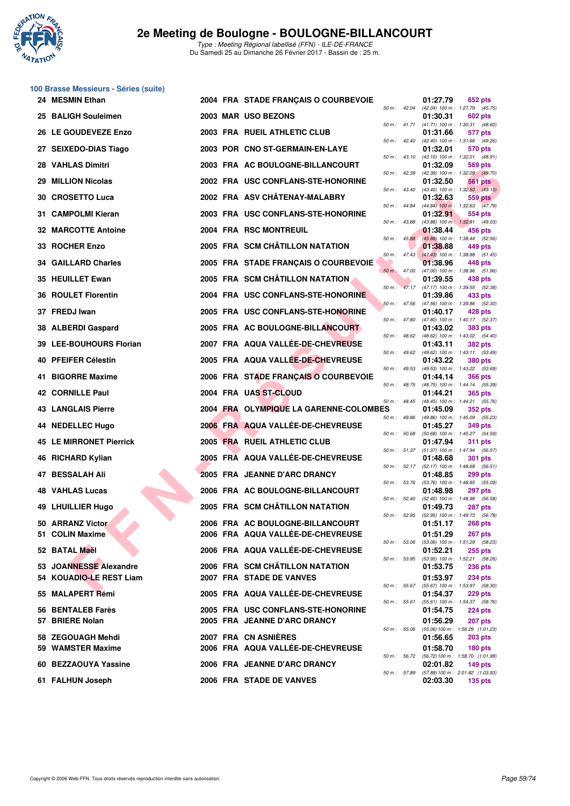

**100 Brasse Messieurs - Séries (suite)**

| 24 MESMIN Ethan                                   |  | 2004 FRA STADE FRANÇAIS O COURBEVOIE                                  |                  |                | 01:27.79                                                 | 652 pts                          |  |
|---------------------------------------------------|--|-----------------------------------------------------------------------|------------------|----------------|----------------------------------------------------------|----------------------------------|--|
| 25 BALIGH Souleimen                               |  | 2003 MAR USO BEZONS                                                   |                  |                | 50 m: 42.04 (42.04) 100 m: 1:27.79 (45.75)<br>01:30.31   | <b>602 pts</b>                   |  |
| 26 LE GOUDEVEZE Enzo                              |  | 2003 FRA RUEIL ATHLETIC CLUB                                          |                  |                | 50 m: 41.71 (41.71) 100 m: 1:30.31 (48.60)<br>01:31.66   | 577 pts                          |  |
| 27 SEIXEDO-DIAS Tiago                             |  | 2003 POR CNO ST-GERMAIN-EN-LAYE                                       | 50 m : 42.40     |                | (42.40) 100 m: 1:31.66 (49.26)<br>01:32.01               | 570 pts                          |  |
| 28 VAHLAS Dimitri                                 |  | 2003 FRA AC BOULOGNE-BILLANCOURT                                      | 50 m: 43.10      |                | $(43.10)$ 100 m : 1:32.01 $(48.91)$<br>01:32.09          | 569 pts                          |  |
| 29 MILLION Nicolas                                |  | 2002 FRA USC CONFLANS-STE-HONORINE                                    | 50 m: 42.39      |                | (42.39) 100 m : 1:32.09 (49.70)<br>01:32.50              | <b>561 pts</b>                   |  |
| 30 CROSETTO Luca                                  |  | 2002 FRA ASV CHÂTENAY-MALABRY                                         | 50 m : 43.40     |                | $(43.40)$ 100 m : 1:32.50 $(49.10)$<br>01:32.63          | 559 pts                          |  |
| 31 CAMPOLMI Kieran                                |  | 2003 FRA USC CONFLANS-STE-HONORINE                                    |                  | 50 m : 44.84   | $(44.84)$ 100 m : 1:32.63 $(47.79)$<br>01:32.91          | 554 pts                          |  |
| <b>32 MARCOTTE Antoine</b>                        |  |                                                                       | 50 m : 43.88     |                | (43.88) 100 m: 1:32.91 (49.03)                           |                                  |  |
|                                                   |  | 2004 FRA RSC MONTREUIL                                                | $50 m$ : $45.88$ |                | 01:38.44<br>(45.88) 100 m : 1:38.44 (52.56)              | 456 pts                          |  |
| 33 ROCHER Enzo                                    |  | 2005 FRA SCM CHÂTILLON NATATION                                       |                  | $50 m$ : 47.43 | 01:38.88<br>$(47.43)$ 100 m : 1:38.88 (51.45)            | 449 pts                          |  |
| <b>34 GAILLARD Charles</b>                        |  | 2005 FRA STADE FRANÇAIS O COURBEVOIE                                  | 50 m: 47.00      |                | 01:38.96<br>(47.00) 100 m: 1:38.96 (51.96)               | 448 pts                          |  |
| 35 HEUILLET Ewan                                  |  | 2005 FRA SCM CHÂTILLON NATATION                                       |                  |                | 01:39.55<br>50 m: 47.17 (47.17) 100 m: 1:39.55 (52.38)   | 438 pts                          |  |
| <b>36 ROULET Florentin</b>                        |  | 2004 FRA USC CONFLANS-STE-HONORINE                                    |                  |                | 01:39.86<br>50 m : 47.56 (47.56) 100 m : 1:39.86 (52.30) | 433 pts                          |  |
| 37 FREDJ Iwan                                     |  | 2005 FRA USC CONFLANS-STE-HONORINE                                    | 50 m : 47.80     |                | 01:40.17<br>(47.80) 100 m: 1:40.17 (52.37)               | 428 pts                          |  |
| 38 ALBERDI Gaspard                                |  | 2005 FRA AC BOULOGNE-BILLANCOURT                                      |                  |                | 01:43.02                                                 | <b>383 pts</b>                   |  |
| 39 LEE-BOUHOURS Florian                           |  | 2007 FRA AQUA VALLÉE-DE-CHEVREUSE                                     |                  | 50 m : 48.62   | (48.62) 100 m: 1:43.02 (54.40)<br>01:43.11               | <b>382 pts</b>                   |  |
| 40 PFEIFER Célestin                               |  | 2005 FRA AQUA VALLÉE-DE-CHEVREUSE                                     |                  |                | 50 m: 49.62 (49.62) 100 m: 1:43.11 (53.49)<br>01:43.22   | <b>380 pts</b>                   |  |
| 41 BIGORRE Maxime                                 |  | 2006 FRA STADE FRANÇAIS O COURBEVOIE                                  | 50 m: 49.53      |                | (49.53) 100 m: 1:43.22 (53.69)<br>01:44.14               | <b>366 pts</b>                   |  |
| <b>42 CORNILLE Paul</b>                           |  | 2004 FRA UAS ST-CLOUD                                                 |                  | 50 m : 48.75   | (48.75) 100 m : 1:44.14 (55.39)<br>01:44.21              | <b>365 pts</b>                   |  |
| <b>43 LANGLAIS Pierre</b>                         |  | 2004 FRA OLYMPIQUE LA GARENNE-COLOMBES                                |                  |                | 50 m: 48.45 (48.45) 100 m: 1:44.21 (55.76)<br>01:45.09   | <b>352 pts</b>                   |  |
| 44 NEDELLEC Hugo                                  |  | 2006 FRA AQUA VALLÉE-DE-CHEVREUSE                                     | 50 m : 49.86     |                | (49.86) 100 m: 1:45.09 (55.23)<br>01:45.27               | 349 pts                          |  |
| <b>45 LE MIRRONET Pierrick</b>                    |  | 2005 FRA RUEIL ATHLETIC CLUB                                          | 50 m : 50.68     |                | (50.68) 100 m: 1:45.27 (54.59)<br>01:47.94               | <b>311 pts</b>                   |  |
| 46 RICHARD Kylian                                 |  | 2005 FRA AQUA VALLÉE-DE-CHEVREUSE                                     | 50 m: 51.37      |                | (51.37) 100 m: 1:47.94 (56.57)<br>01:48.68               | <b>301 pts</b>                   |  |
|                                                   |  |                                                                       | 50 m: 52.17      |                | (52.17) 100 m: 1:48.68 (56.51)                           |                                  |  |
| 47 BESSALAH Ali                                   |  | 2005 FRA JEANNE D'ARC DRANCY                                          |                  |                | 01:48.85<br>50 m: 53.76 (53.76) 100 m: 1:48.85 (55.09)   | <b>299 pts</b>                   |  |
| <b>48 VAHLAS Lucas</b>                            |  | 2006 FRA AC BOULOGNE-BILLANCOURT                                      | 50 m: 52.40      |                | 01:48.98<br>(52.40) 100 m: 1:48.98 (56.58)               | 297 pts                          |  |
| 49 LHUILLIER Hugo                                 |  | 2005 FRA SCM CHÂTILLON NATATION                                       | 50 m: 52.95      |                | 01:49.73<br>(52.95) 100 m: 1:49.73 (56.78)               | <b>287 pts</b>                   |  |
| 50 ARRANZ Victor<br>51 COLIN Maxime               |  | 2006 FRA AC BOULOGNE-BILLANCOURT<br>2006 FRA AQUA VALLÉE-DE-CHEVREUSE |                  |                | 01:51.17<br>01:51.29                                     | <b>268 pts</b><br><b>267 pts</b> |  |
|                                                   |  |                                                                       |                  |                | 50 m: 53.06 (53.06) 100 m: 1:51.29 (58.23)               |                                  |  |
| 52 BATAL Maël                                     |  | 2006 FRA AQUA VALLÉE-DE-CHEVREUSE                                     |                  |                | 01:52.21<br>50 m: 53.95 (53.95) 100 m: 1:52.21 (58.26)   | <b>255 pts</b>                   |  |
| 53 JOANNESSE Alexandre<br>54 KOUADIO-LE REST Liam |  | 2006 FRA SCM CHÂTILLON NATATION<br>2007 FRA STADE DE VANVES           |                  |                | 01:53.75<br>01:53.97                                     | <b>236 pts</b><br><b>234 pts</b> |  |
| 55 MALAPERT Rémi                                  |  | 2005 FRA AQUA VALLÉE-DE-CHEVREUSE                                     |                  | 50 m : 55.67   | (55.67) 100 m: 1:53.97 (58.30)<br>01:54.37               | 229 pts                          |  |
| 56 BENTALEB Farès                                 |  | 2005 FRA USC CONFLANS-STE-HONORINE                                    |                  |                | 50 m: 55.61 (55.61) 100 m: 1:54.37 (58.76)<br>01:54.75   |                                  |  |
| 57 BRIERE Nolan                                   |  | 2005 FRA JEANNE D'ARC DRANCY                                          |                  |                | 01:56.29                                                 | <b>224 pts</b><br><b>207 pts</b> |  |
| 58 ZEGOUAGH Mehdi                                 |  | 2007 FRA CN ASNIÈRES                                                  | 50 m : 55.06     |                | (55.06) 100 m: 1:56.29 (1:01.23)<br>01:56.65             | <b>203 pts</b>                   |  |
| 59 WAMSTER Maxime                                 |  | 2006 FRA AQUA VALLÉE-DE-CHEVREUSE                                     |                  |                | 01:58.70                                                 | $180$ pts                        |  |
| 60 BEZZAOUYA Yassine                              |  | 2006 FRA JEANNE D'ARC DRANCY                                          |                  |                | 50 m: 56.72 (56.72) 100 m: 1:58.70 (1:01.98)<br>02:01.82 | 149 pts                          |  |
| 61 FALHUN Joseph                                  |  | 2006 FRA STADE DE VANVES                                              |                  | 50 m : 57.89   | (57.89) 100 m : 2:01.82 (1:03.93)<br>02:03.30            | <b>135 pts</b>                   |  |
|                                                   |  |                                                                       |                  |                |                                                          |                                  |  |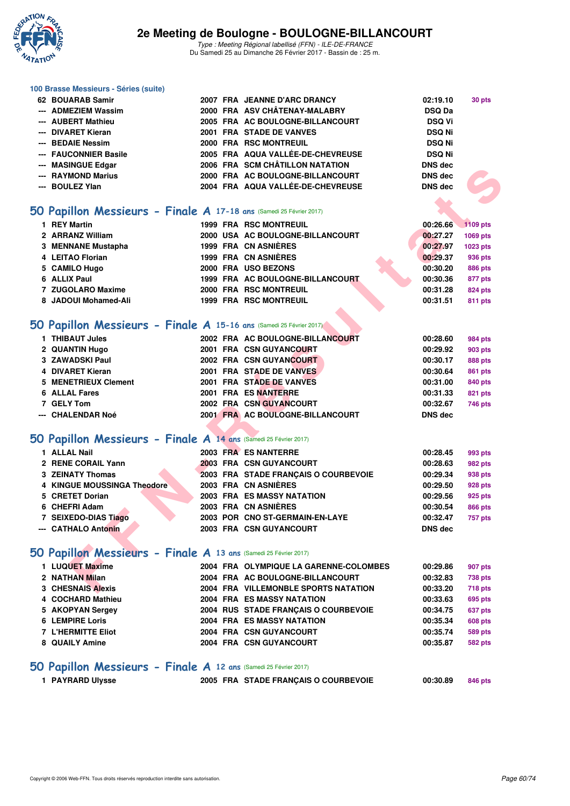

#### **100 Brasse Messieurs - Séries (suite)**

| 62 BOUARAB Samir      |  | 2007 FRA JEANNE D'ARC DRANCY      | 02:19.10       | 30 pts |
|-----------------------|--|-----------------------------------|----------------|--------|
| --- ADMEZIEM Wassim   |  | 2000 FRA ASV CHÂTENAY-MALABRY     | <b>DSQ Da</b>  |        |
| --- AUBERT Mathieu    |  | 2005 FRA AC BOULOGNE-BILLANCOURT  | <b>DSQ Vi</b>  |        |
| --- DIVARET Kieran    |  | 2001 FRA STADE DE VANVES          | <b>DSQ Ni</b>  |        |
| --- BEDAIE Nessim     |  | 2000 FRA RSC MONTREUIL            | <b>DSQ Ni</b>  |        |
| --- FAUCONNIER Basile |  | 2005 FRA AQUA VALLÉE-DE-CHEVREUSE | <b>DSQ Ni</b>  |        |
| --- MASINGUE Edgar    |  | 2006 FRA SCM CHÂTILLON NATATION   | <b>DNS</b> dec |        |
| --- RAYMOND Marius    |  | 2000 FRA AC BOULOGNE-BILLANCOURT  | DNS dec        |        |
| --- BOULEZ Ylan       |  | 2004 FRA AQUA VALLÉE-DE-CHEVREUSE | <b>DNS</b> dec |        |
|                       |  |                                   |                |        |

### **[50 Papillon Messieurs - Finale A](http://www.ffnatation.fr/webffn/resultats.php?idact=nat&go=epr&idcpt=42219&idepr=81) 17-18 ans** (Samedi 25 Février 2017)

| <b>IVIAJIIVJUL LUYAI</b>                                           | <b>FRA SUM UTATILLUN NATATIUN</b>      | טש כווע        |                |
|--------------------------------------------------------------------|----------------------------------------|----------------|----------------|
| --- RAYMOND Marius                                                 | 2000 FRA AC BOULOGNE-BILLANCOURT       | <b>DNS</b> dec |                |
| --- BOULEZ Ylan                                                    | 2004 FRA AQUA VALLÉE-DE-CHEVREUSE      | <b>DNS</b> dec |                |
|                                                                    |                                        |                |                |
| O Papillon Messieurs - Finale A 17-18 ans (Samedi 25 Février 2017) |                                        |                |                |
| 1 REY Martin                                                       | <b>1999 FRA RSC MONTREUIL</b>          | 00:26.66       | 1109 pts       |
| 2 ARRANZ William                                                   | 2000 USA AC BOULOGNE-BILLANCOURT       | 00:27.27       | 1069 pts       |
| 3 MENNANE Mustapha                                                 | 1999 FRA CN ASNIÈRES                   | 00:27.97       | 1023 pts       |
| 4 LEITAO Florian                                                   | 1999 FRA CN ASNIERES                   | 00:29.37       | 936 pts        |
| 5 CAMILO Hugo                                                      | 2000 FRA USO BEZONS                    | 00:30.20       | <b>886 pts</b> |
| 6 ALLIX Paul                                                       | 1999 FRA AC BOULOGNE-BILLANCOURT       | 00:30.36       | 877 pts        |
| 7 ZUGOLARO Maxime                                                  | 2000 FRA RSC MONTREUIL                 | 00:31.28       | 824 pts        |
| 8 JADOUI Mohamed-Ali                                               | 1999 FRA RSC MONTREUIL                 | 00:31.51       | 811 pts        |
|                                                                    |                                        |                |                |
| O Papillon Messieurs - Finale A 15-16 ans (Samedi 25 Février 2017) |                                        |                |                |
| 1 THIBAUT Jules                                                    | 2002 FRA AC BOULOGNE-BILLANCOURT       | 00:28.60       | <b>984 pts</b> |
| 2 QUANTIN Hugo                                                     | 2001 FRA CSN GUYANCOURT                | 00:29.92       | <b>903 pts</b> |
| 3 ZAWADSKI Paul                                                    | 2002 FRA CSN GUYANCOURT                | 00:30.17       | <b>888 pts</b> |
| 4 DIVARET Kieran                                                   | 2001 FRA STADE DE VANVES               | 00:30.64       | 861 pts        |
| 5 MENETRIEUX Clement                                               | 2001 FRA STADE DE VANVES               | 00:31.00       | 840 pts        |
| <b>6 ALLAL Fares</b>                                               | 2001 FRA ES NANTERRE                   | 00:31.33       | 821 pts        |
| 7 GELY Tom                                                         | 2002 FRA CSN GUYANCOURT                | 00:32.67       | 746 pts        |
| --- CHALENDAR Noé                                                  | 2001 FRA AC BOULOGNE-BILLANCOURT       | <b>DNS</b> dec |                |
|                                                                    |                                        |                |                |
| O Papillon Messieurs - Finale A 14 ans (Samedi 25 Février 2017)    |                                        |                |                |
| 1 ALLAL Nail                                                       | 2003 FRA ES NANTERRE                   | 00:28.45       | 993 pts        |
| 2 RENE CORAIL Yann                                                 | 2003 FRA CSN GUYANCOURT                | 00:28.63       | 982 pts        |
| <b>3 ZEINATY Thomas</b>                                            | 2003 FRA STADE FRANÇAIS O COURBEVOIE   | 00:29.34       | 938 pts        |
| 4 KINGUE MOUSSINGA Theodore                                        | 2003 FRA CN ASNIÈRES                   | 00:29.50       | <b>928 pts</b> |
| 5 CRETET Dorian                                                    | <b>2003 FRA ES MASSY NATATION</b>      | 00:29.56       | 925 pts        |
| 6 CHEFRI Adam                                                      | 2003 FRA CN ASNIÈRES                   | 00:30.54       | 866 pts        |
| 7 SEIXEDO-DIAS Tiago                                               | 2003 POR CNO ST-GERMAIN-EN-LAYE        | 00:32.47       | 757 pts        |
| --- CATHALO Antonin                                                | 2003 FRA CSN GUYANCOURT                | <b>DNS dec</b> |                |
|                                                                    |                                        |                |                |
| O Papillon Messieurs - Finale A 13 ans (Samedi 25 Février 2017)    |                                        |                |                |
| 1 LUQUET Maxime                                                    | 2004 FRA OLYMPIQUE LA GARENNE-COLOMBES | 00:29.86       | 907 pts        |
| 2 NATHAN Milan                                                     | 2004 FRA AC BOULOGNE-BILLANCOURT       | 00:32.83       | <b>738 pts</b> |
| <b>3 CHESNAIS Alexis</b>                                           | 2004 FRA VILLEMONBLE SPORTS NATATION   | 00:33.20       | <b>718 pts</b> |

## **[50 Papillon Messieurs - Finale A](http://www.ffnatation.fr/webffn/resultats.php?idact=nat&go=epr&idcpt=42219&idepr=81) 15-16 ans** (Samedi 25 Février 2017)

| 1 THIBAUT Jules      |  | 2002 FRA AC BOULOGNE-BILLANCOURT | 00:28.60       | 984 pts |
|----------------------|--|----------------------------------|----------------|---------|
| 2 QUANTIN Hugo       |  | 2001 FRA CSN GUYANCOURT          | 00:29.92       | 903 pts |
| 3 ZAWADSKI Paul      |  | 2002 FRA CSN GUYANCOURT          | 00:30.17       | 888 pts |
| 4 DIVARET Kieran     |  | 2001 FRA STADE DE VANVES         | 00:30.64       | 861 pts |
| 5 MENETRIEUX Clement |  | 2001 FRA STADE DE VANVES         | 00:31.00       | 840 pts |
| 6 ALLAL Fares        |  | 2001 FRA ES NANTERRE             | 00:31.33       | 821 pts |
| 7 GELY Tom           |  | 2002 FRA CSN GUYANCOURT          | 00:32.67       | 746 pts |
| --- CHALENDAR Noé    |  | 2001 FRA AC BOULOGNE-BILLANCOURT | <b>DNS</b> dec |         |
|                      |  |                                  |                |         |

### **[50 Papillon Messieurs - Finale A](http://www.ffnatation.fr/webffn/resultats.php?idact=nat&go=epr&idcpt=42219&idepr=81) 14 ans** (Samedi 25 Février 2017)

| 1 ALLAL Nail                |  | 2003 FRA ES NANTERRE                 | 00:28.45       | 993 pts |
|-----------------------------|--|--------------------------------------|----------------|---------|
| 2 RENE CORAIL Yann          |  | 2003 FRA CSN GUYANCOURT              | 00:28.63       | 982 pts |
| 3 ZEINATY Thomas            |  | 2003 FRA STADE FRANCAIS O COURBEVOIE | 00:29.34       | 938 pts |
| 4 KINGUE MOUSSINGA Theodore |  | 2003 FRA CN ASNIÈRES                 | 00:29.50       | 928 pts |
| 5 CRETET Dorian             |  | <b>2003 FRA ES MASSY NATATION</b>    | 00:29.56       | 925 pts |
| 6 CHEFRI Adam               |  | 2003 FRA CN ASNIÈRES                 | 00:30.54       | 866 pts |
| 7 SEIXEDO-DIAS Tiago        |  | 2003 POR CNO ST-GERMAIN-EN-LAYE      | 00:32.47       | 757 pts |
| --- CATHALO Antonin         |  | 2003 FRA CSN GUYANCOURT              | <b>DNS</b> dec |         |
|                             |  |                                      |                |         |

## **[50 Papillon Messieurs - Finale A](http://www.ffnatation.fr/webffn/resultats.php?idact=nat&go=epr&idcpt=42219&idepr=81) 13 ans** (Samedi 25 Février 2017)

| 1 LUQUET Maxime<br>2004 FRA OLYMPIQUE LA GARENNE-COLOMBES<br>00:29.86 | 907 pts        |
|-----------------------------------------------------------------------|----------------|
| 2 NATHAN Milan<br>2004 FRA AC BOULOGNE-BILLANCOURT<br>00:32.83        | <b>738 pts</b> |
| 3 CHESNAIS Alexis<br>2004 FRA VILLEMONBLE SPORTS NATATION<br>00:33.20 | <b>718 pts</b> |
| 4 COCHARD Mathieu<br><b>2004 FRA ES MASSY NATATION</b><br>00:33.63    | 695 pts        |
| 5 AKOPYAN Sergey<br>2004 RUS STADE FRANCAIS O COURBEVOIE<br>00:34.75  | 637 pts        |
| 6 LEMPIRE Loris<br><b>2004 FRA ES MASSY NATATION</b><br>00:35.34      | <b>608 pts</b> |
| 7 L'HERMITTE Eliot<br>2004 FRA CSN GUYANCOURT<br>00:35.74             | <b>589 pts</b> |
| 2004 FRA CSN GUYANCOURT<br>8 QUAILY Amine<br>00:35.87                 | <b>582 pts</b> |

### **[50 Papillon Messieurs - Finale A](http://www.ffnatation.fr/webffn/resultats.php?idact=nat&go=epr&idcpt=42219&idepr=81) 12 ans** (Samedi 25 Février 2017)

```
1 PAYRARD Ulysse 2005 FRA STADE FRANÇAIS O COURBEVOIE 00:30.89 846 pts
```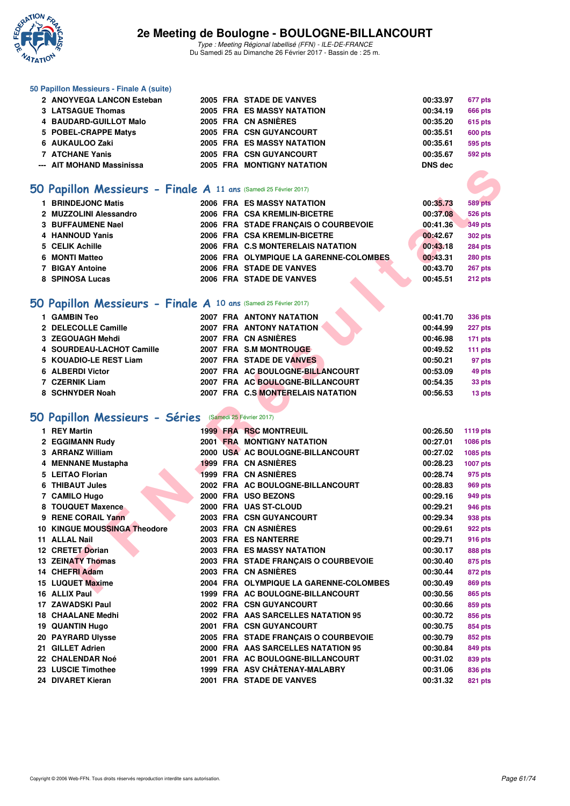

Type : Meeting Régional labellisé (FFN) - ILE-DE-FRANCE Du Samedi 25 au Dimanche 26 Février 2017 - Bassin de : 25 m.

### **50 Papillon Messieurs - Finale A (suite)**

| 2 ANOYVEGA LANCON Esteban |  | 2005 FRA STADE DE VANVES          | 00:33.97       | 677 pts |
|---------------------------|--|-----------------------------------|----------------|---------|
| 3 LATSAGUE Thomas         |  | 2005 FRA ES MASSY NATATION        | 00:34.19       | 666 pts |
| 4 BAUDARD-GUILLOT Malo    |  | 2005 FRA CN ASNIÈRES              | 00:35.20       | 615 pts |
| 5 POBEL-CRAPPE Matys      |  | 2005 FRA CSN GUYANCOURT           | 00:35.51       | 600 pts |
| 6 AUKAULOO Zaki           |  | 2005 FRA ES MASSY NATATION        | 00:35.61       | 595 pts |
| 7 ATCHANE Yanis           |  | 2005 FRA CSN GUYANCOURT           | 00:35.67       | 592 pts |
| --- AIT MOHAND Massinissa |  | <b>2005 FRA MONTIGNY NATATION</b> | <b>DNS</b> dec |         |
|                           |  |                                   |                |         |

## **[50 Papillon Messieurs - Finale A](http://www.ffnatation.fr/webffn/resultats.php?idact=nat&go=epr&idcpt=42219&idepr=81) 11 ans** (Samedi 25 Février 2017)

| 1 BRINDEJONC Matis     |  | <b>2006 FRA ES MASSY NATATION</b>       | 00:35.73 | <b>589 pts</b> |
|------------------------|--|-----------------------------------------|----------|----------------|
| 2 MUZZOLINI Alessandro |  | 2006 FRA CSA KREMLIN-BICETRE            | 00:37.08 | <b>526 pts</b> |
| 3 BUFFAUMENE Nael      |  | 2006 FRA STADE FRANCAIS O COURBEVOIE    | 00:41.36 | 349 pts        |
| 4 HANNOUD Yanis        |  | 2006 FRA CSA KREMLIN-BICETRE            | 00:42.67 | <b>302 pts</b> |
| 5 CELIK Achille        |  | 2006 FRA C.S MONTERELAIS NATATION       | 00:43.18 | <b>284 pts</b> |
| 6 MONTI Matteo         |  | 2006 FRA OLYMPIQUE LA GARENNE-COLOMBES. | 00:43.31 | <b>280 pts</b> |
| 7 BIGAY Antoine        |  | 2006 FRA STADE DE VANVES                | 00:43.70 | <b>267 pts</b> |
| 8 SPINOSA Lucas        |  | 2006 FRA STADE DE VANVES                | 00:45.51 | 212 pts        |

## **[50 Papillon Messieurs - Finale A](http://www.ffnatation.fr/webffn/resultats.php?idact=nat&go=epr&idcpt=42219&idepr=81) 10 ans** (Samedi 25 Février 2017)

| 1 GAMBIN Teo              | <b>2007 FRA ANTONY NATATION</b>   | 00:41.70 | <b>336 pts</b> |
|---------------------------|-----------------------------------|----------|----------------|
| 2 DELECOLLE Camille       | <b>2007 FRA ANTONY NATATION</b>   | 00:44.99 | 227 pts        |
| 3 ZEGOUAGH Mehdi          | 2007 FRA CN ASNIÈRES              | 00:46.98 | 171 pts        |
| 4 SOURDEAU-LACHOT Camille | 2007 FRA S.M MONTROUGE            | 00:49.52 | 111 pts        |
| 5 KOUADIO-LE REST Liam    | 2007 FRA STADE DE VANVES          | 00:50.21 | 97 pts         |
| 6 ALBERDI Victor          | 2007 FRA AC BOULOGNE-BILLANCOURT  | 00:53.09 | 49 pts         |
| 7 CZERNIK Liam            | 2007 FRA AC BOULOGNE-BILLANCOURT  | 00:54.35 | 33 pts         |
| 8 SCHNYDER Noah           | 2007 FRA C.S MONTERELAIS NATATION | 00:56.53 | 13 pts         |

## **[50 Papillon Messieurs - Séries](http://www.ffnatation.fr/webffn/resultats.php?idact=nat&go=epr&idcpt=42219&idepr=81)** (Samedi 25 Février 2017)

| ALL MULIANU MASSIHISSA                                           |  | <b>FRA MUNIMUNIMAIAINDR</b>            |          |                 |
|------------------------------------------------------------------|--|----------------------------------------|----------|-----------------|
|                                                                  |  |                                        |          |                 |
| iO Papillon Messieurs - Finale A 11 ans (Samedi 25 Février 2017) |  |                                        |          |                 |
| 1 BRINDEJONC Matis                                               |  | 2006 FRA ES MASSY NATATION             | 00:35.73 | <b>589 pts</b>  |
| 2 MUZZOLINI Alessandro                                           |  | 2006 FRA CSA KREMLIN-BICETRE           | 00:37.08 | <b>526 pts</b>  |
| <b>3 BUFFAUMENE Nael</b>                                         |  | 2006 FRA STADE FRANÇAIS O COURBEVOIE   | 00:41.36 | <b>349 pts</b>  |
| 4 HANNOUD Yanis                                                  |  | 2006 FRA CSA KREMLIN-BICETRE           | 00:42.67 | <b>302 pts</b>  |
| 5 CELIK Achille                                                  |  | 2006 FRA C.S MONTERELAIS NATATION      | 00:43.18 | <b>284 pts</b>  |
| 6 MONTI Matteo                                                   |  | 2006 FRA OLYMPIQUE LA GARENNE-COLOMBES | 00:43.31 | <b>280 pts</b>  |
| 7 BIGAY Antoine                                                  |  | 2006 FRA STADE DE VANVES               | 00:43.70 | 267 pts         |
| 8 SPINOSA Lucas                                                  |  | 2006 FRA STADE DE VANVES               | 00:45.51 | 212 pts         |
|                                                                  |  |                                        |          |                 |
| iO Papillon Messieurs - Finale A 10 ans (Samedi 25 Février 2017) |  |                                        |          |                 |
| 1 GAMBIN Teo                                                     |  | <b>2007 FRA ANTONY NATATION</b>        | 00:41.70 | <b>336 pts</b>  |
| 2 DELECOLLE Camille                                              |  | 2007 FRA ANTONY NATATION               | 00:44.99 | 227 pts         |
| 3 ZEGOUAGH Mehdi                                                 |  | 2007 FRA CN ASNIÈRES                   | 00:46.98 | 171 pts         |
| 4 SOURDEAU-LACHOT Camille                                        |  | 2007 FRA S.M MONTROUGE                 | 00:49.52 | 111 pts         |
| 5 KOUADIO-LE REST Liam                                           |  | 2007 FRA STADE DE VANVES               | 00:50.21 | 97 pts          |
| 6 ALBERDI Victor                                                 |  | 2007 FRA AC BOULOGNE-BILLANCOURT       | 00:53.09 | 49 pts          |
| 7 CZERNIK Liam                                                   |  | 2007 FRA AC BOULOGNE-BILLANCOURT       | 00:54.35 | 33 pts          |
| 8 SCHNYDER Noah                                                  |  | 2007 FRA C.S MONTERELAIS NATATION      | 00:56.53 | 13 pts          |
|                                                                  |  |                                        |          |                 |
| <b>O Papillon Messieurs - Séries</b> (Samedi 25 Février 2017)    |  |                                        |          |                 |
| 1 REY Martin                                                     |  | <b>1999 FRA RSC MONTREUIL</b>          | 00:26.50 | <b>1119 pts</b> |
| 2 EGGIMANN Rudy                                                  |  | <b>2001 FRA MONTIGNY NATATION</b>      | 00:27.01 | 1086 pts        |
| 3 ARRANZ William                                                 |  | 2000 USA AC BOULOGNE-BILLANCOURT       | 00:27.02 | 1085 pts        |
| 4 MENNANE Mustapha                                               |  | 1999 FRA CN ASNIERES                   | 00:28.23 | <b>1007 pts</b> |
| 5 LEITAO Florian                                                 |  | <b>1999 FRA CN ASNIERES</b>            | 00:28.74 | 975 pts         |
| 6 THIBAUT Jules                                                  |  | 2002 FRA AC BOULOGNE-BILLANCOURT       | 00:28.83 | 969 pts         |
| 7 CAMILO Hugo                                                    |  | 2000 FRA USO BEZONS                    | 00:29.16 | 949 pts         |
| 8 TOUQUET Maxence                                                |  | 2000 FRA UAS ST-CLOUD                  | 00:29.21 | <b>946 pts</b>  |
| 9 RENE CORAIL Yann                                               |  | 2003 FRA CSN GUYANCOURT                | 00:29.34 | 938 pts         |
| 10 KINGUE MOUSSINGA Theodore                                     |  | 2003 FRA CN ASNIÈRES                   | 00:29.61 | 922 pts         |
| 11 ALLAL Nail                                                    |  | 2003 FRA ES NANTERRE                   | 00:29.71 | <b>916 pts</b>  |
| 12 CRETET Dorian                                                 |  | <b>2003 FRA ES MASSY NATATION</b>      | 00:30.17 | 888 pts         |
| <b>13 ZEINATY Thomas</b>                                         |  | 2003 FRA STADE FRANÇAIS O COURBEVOIE   | 00:30.40 | 875 pts         |
| 14 CHEFRI Adam                                                   |  | 2003 FRA CN ASNIÈRES                   | 00:30.44 | 872 pts         |
| 15 LUQUET Maxime                                                 |  | 2004 FRA OLYMPIQUE LA GARENNE-COLOMBES | 00:30.49 | 869 pts         |
| 16 ALLIX Paul                                                    |  | 1999 FRA AC BOULOGNE-BILLANCOURT       | 00:30.56 | <b>865 pts</b>  |
| 17 ZAWADSKI Paul                                                 |  | 2002 FRA CSN GUYANCOURT                | 00:30.66 | 859 pts         |
| <b>18 CHAALANE Medhi</b>                                         |  | 2002 FRA AAS SARCELLES NATATION 95     | 00:30.72 | 856 pts         |
| 19 QUANTIN Hugo                                                  |  | 2001 FRA CSN GUYANCOURT                | 00:30.75 | 854 pts         |
| <b>20 PAYRARD Ulysse</b>                                         |  | 2005 FRA STADE FRANÇAIS O COURBEVOIE   | 00:30.79 | 852 pts         |
| 21 GILLET Adrien                                                 |  | 2000 FRA AAS SARCELLES NATATION 95     | 00:30.84 | 849 pts         |
| 22 CHALENDAR Noé                                                 |  | 2001 FRA AC BOULOGNE-BILLANCOURT       | 00:31.02 | 839 pts         |
| 23 LUSCIE Timothee                                               |  | 1999 FRA ASV CHÂTENAY-MALABRY          | 00:31.06 | 836 pts         |
| 24 DIVARET Kieran                                                |  | 2001 FRA STADE DE VANVES               | 00:31.32 | 821 pts         |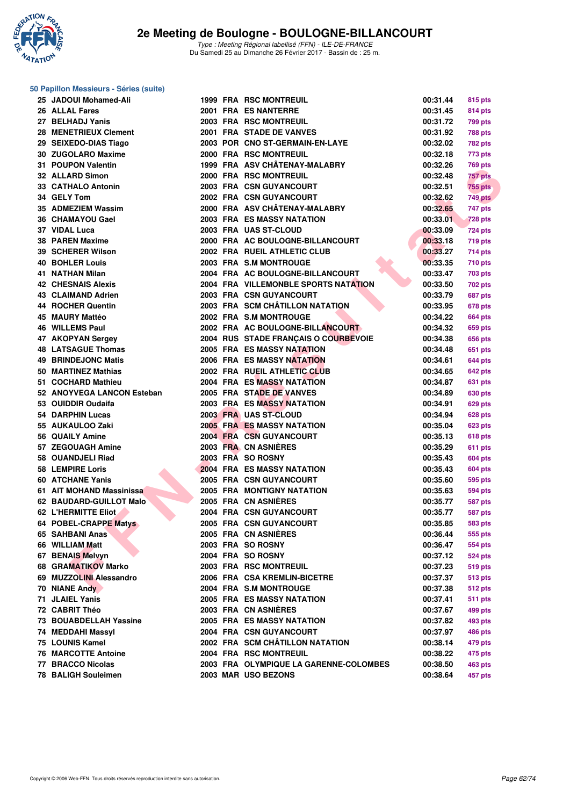

### **50 Papillon Messieurs - Séries (suite)**

| 25 JADOUI Mohamed-Ali      |  | <b>1999 FRA RSC MONTREUIL</b>          | 00:31.44 | 815 pts        |
|----------------------------|--|----------------------------------------|----------|----------------|
| 26 ALLAL Fares             |  | 2001 FRA ES NANTERRE                   | 00:31.45 | 814 pts        |
| 27 BELHADJ Yanis           |  | 2003 FRA RSC MONTREUIL                 | 00:31.72 | 799 pts        |
| 28 MENETRIEUX Clement      |  | 2001 FRA STADE DE VANVES               | 00:31.92 | 788 pts        |
| 29 SEIXEDO-DIAS Tiago      |  | 2003 POR CNO ST-GERMAIN-EN-LAYE        | 00:32.02 | 782 pts        |
| 30 ZUGOLARO Maxime         |  | 2000 FRA RSC MONTREUIL                 | 00:32.18 | 773 pts        |
| 31 POUPON Valentin         |  | 1999 FRA ASV CHÂTENAY-MALABRY          | 00:32.26 | 769 pts        |
| 32 ALLARD Simon            |  | 2000 FRA RSC MONTREUIL                 | 00:32.48 | 757 pts        |
| 33 CATHALO Antonin         |  | 2003 FRA CSN GUYANCOURT                | 00:32.51 | <b>755 pts</b> |
| 34 GELY Tom                |  | 2002 FRA CSN GUYANCOURT                | 00:32.62 | 749 pts        |
| 35 ADMEZIEM Wassim         |  | 2000 FRA ASV CHÂTENAY-MALABRY          | 00:32.65 | 747 pts        |
| 36 CHAMAYOU Gael           |  | <b>2003 FRA ES MASSY NATATION</b>      | 00:33.01 | 728 pts        |
| 37 VIDAL Luca              |  | 2003 FRA UAS ST-CLOUD                  | 00:33.09 | 724 pts        |
| 38 PAREN Maxime            |  | 2000 FRA AC BOULOGNE-BILLANCOURT       | 00:33.18 | 719 pts        |
| 39 SCHERER Wilson          |  | 2002 FRA RUEIL ATHLETIC CLUB           | 00:33.27 | 714 pts        |
| <b>40 BOHLER Louis</b>     |  | 2003 FRA S.M MONTROUGE                 | 00:33.35 | 710 pts        |
| 41 NATHAN Milan            |  | 2004 FRA AC BOULOGNE-BILLANCOURT       | 00:33.47 | 703 pts        |
| <b>42 CHESNAIS Alexis</b>  |  | 2004 FRA VILLEMONBLE SPORTS NATATION   | 00:33.50 | 702 pts        |
| 43 CLAIMAND Adrien         |  | 2003 FRA CSN GUYANCOURT                | 00:33.79 |                |
| 44 ROCHER Quentin          |  | 2003 FRA SCM CHÂTILLON NATATION        |          | 687 pts        |
| 45 MAURY Mattéo            |  | 2002 FRA S.M MONTROUGE                 | 00:33.95 | 678 pts        |
|                            |  |                                        | 00:34.22 | 664 pts        |
| <b>46 WILLEMS Paul</b>     |  | 2002 FRA AC BOULOGNE-BILLANCOURT       | 00:34.32 | 659 pts        |
| 47 AKOPYAN Sergey          |  | 2004 RUS STADE FRANÇAIS O COURBEVOIE   | 00:34.38 | 656 pts        |
| <b>48 LATSAGUE Thomas</b>  |  | <b>2005 FRA ES MASSY NATATION</b>      | 00:34.48 | 651 pts        |
| <b>49 BRINDEJONC Matis</b> |  | <b>2006 FRA ES MASSY NATATION</b>      | 00:34.61 | 644 pts        |
| 50 MARTINEZ Mathias        |  | 2002 FRA RUEIL ATHLETIC CLUB           | 00:34.65 | 642 pts        |
| 51 COCHARD Mathieu         |  | <b>2004 FRA ES MASSY NATATION</b>      | 00:34.87 | 631 pts        |
| 52 ANOYVEGA LANCON Esteban |  | 2005 FRA STADE DE VANVES               | 00:34.89 | 630 pts        |
| 53 OUIDDIR Oudaifa         |  | <b>2003 FRA ES MASSY NATATION</b>      | 00:34.91 | 629 pts        |
| 54 DARPHIN Lucas           |  | 2003 FRA UAS ST-CLOUD                  | 00:34.94 | <b>628 pts</b> |
| 55 AUKAULOO Zaki           |  | <b>2005 FRA ES MASSY NATATION</b>      | 00:35.04 | 623 pts        |
| 56 QUAILY Amine            |  | 2004 FRA CSN GUYANCOURT                | 00:35.13 | <b>618 pts</b> |
| 57 ZEGOUAGH Amine          |  | 2003 FRA CN ASNIERES                   | 00:35.29 | 611 pts        |
| 58 OUANDJELI Riad          |  | 2003 FRA SO ROSNY                      | 00:35.43 | 604 pts        |
| 58 LEMPIRE Loris           |  | 2004 FRA ES MASSY NATATION             | 00:35.43 | 604 pts        |
| 60 ATCHANE Yanis           |  | 2005 FRA CSN GUYANCOURT                | 00:35.60 | 595 pts        |
| 61 AIT MOHAND Massinissa   |  | <b>2005 FRA MONTIGNY NATATION</b>      | 00:35.63 | 594 pts        |
| 62 BAUDARD-GUILLOT Malo    |  | 2005 FRA CN ASNIERES                   | 00:35.77 | <b>587 pts</b> |
| 62 L'HERMITTE Eliot        |  | 2004 FRA CSN GUYANCOURT                | 00:35.77 | 587 pts        |
| 64 POBEL-CRAPPE Matys      |  | 2005 FRA CSN GUYANCOURT                | 00:35.85 | <b>583 pts</b> |
| 65 SAHBANI Anas            |  | 2005 FRA CN ASNIERES                   | 00:36.44 | 555 pts        |
| 66 WILLIAM Matt            |  | 2003 FRA SO ROSNY                      | 00:36.47 | 554 pts        |
| 67 BENAIS Melvyn           |  | 2004 FRA SO ROSNY                      | 00:37.12 | <b>524 pts</b> |
| 68 GRAMATIKOV Marko        |  | 2003 FRA RSC MONTREUIL                 | 00:37.23 | 519 pts        |
| 69 MUZZOLINI Alessandro    |  | 2006 FRA CSA KREMLIN-BICETRE           | 00:37.37 | <b>513 pts</b> |
| 70 NIANE Andy              |  | 2004 FRA S.M MONTROUGE                 | 00:37.38 | 512 pts        |
| 71 JLAIEL Yanis            |  | <b>2005 FRA ES MASSY NATATION</b>      | 00:37.41 | <b>511 pts</b> |
| 72 CABRIT Théo             |  | 2003 FRA CN ASNIÈRES                   | 00:37.67 | 499 pts        |
| 73 BOUABDELLAH Yassine     |  | 2005 FRA ES MASSY NATATION             | 00:37.82 | 493 pts        |
| 74 MEDDAHI Massyl          |  | 2004 FRA CSN GUYANCOURT                | 00:37.97 | 486 pts        |
| 75 LOUNIS Kamel            |  | 2002 FRA SCM CHÂTILLON NATATION        | 00:38.14 | 479 pts        |
| <b>76 MARCOTTE Antoine</b> |  | 2004 FRA RSC MONTREUIL                 | 00:38.22 | 475 pts        |
| 77 BRACCO Nicolas          |  | 2003 FRA OLYMPIQUE LA GARENNE-COLOMBES | 00:38.50 | 463 pts        |
| 78 BALIGH Souleimen        |  | 2003 MAR USO BEZONS                    | 00:38.64 | 457 pts        |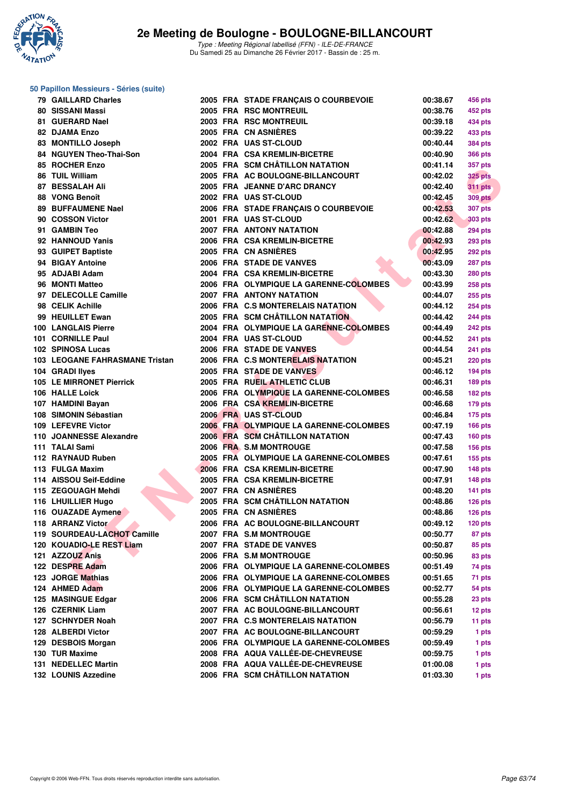

| 50 Papillon Messieurs - Séries (suite) |  |                                        |          |                   |
|----------------------------------------|--|----------------------------------------|----------|-------------------|
| <b>79 GAILLARD Charles</b>             |  | 2005 FRA STADE FRANÇAIS O COURBEVOIE   | 00:38.67 | 456 pts           |
| 80 SISSANI Massi                       |  | 2005 FRA RSC MONTREUIL                 | 00:38.76 | 452 pts           |
| 81 GUERARD Nael                        |  | 2003 FRA RSC MONTREUIL                 | 00:39.18 | 434 pts           |
| 82 DJAMA Enzo                          |  | 2005 FRA CN ASNIERES                   | 00:39.22 | 433 pts           |
| 83 MONTILLO Joseph                     |  | 2002 FRA UAS ST-CLOUD                  | 00:40.44 | <b>384 pts</b>    |
| 84 NGUYEN Theo-Thai-Son                |  | 2004 FRA CSA KREMLIN-BICETRE           | 00:40.90 | <b>366 pts</b>    |
| 85 ROCHER Enzo                         |  | 2005 FRA SCM CHÂTILLON NATATION        | 00:41.14 | 357 pts           |
| 86 TUIL William                        |  | 2005 FRA AC BOULOGNE-BILLANCOURT       | 00:42.02 | <b>325 pts</b>    |
| <b>87 BESSALAH Ali</b>                 |  | 2005 FRA JEANNE D'ARC DRANCY           | 00:42.40 | 311 pts           |
| 88 VONG Benoît                         |  | 2002 FRA UAS ST-CLOUD                  | 00:42.45 | <b>309 pts</b>    |
| <b>89 BUFFAUMENE Nael</b>              |  | 2006 FRA STADE FRANÇAIS O COURBEVOIE   | 00:42.53 | <b>307 pts</b>    |
| 90 COSSON Victor                       |  | 2001 FRA UAS ST-CLOUD                  | 00:42.62 | <b>303 pts</b>    |
| 91 GAMBIN Teo                          |  | <b>2007 FRA ANTONY NATATION</b>        | 00:42.88 | <b>294 pts</b>    |
| 92 HANNOUD Yanis                       |  | 2006 FRA CSA KREMLIN-BICETRE           | 00:42.93 | <b>293 pts</b>    |
| 93 GUIPET Baptiste                     |  | 2005 FRA CN ASNIERES                   | 00:42.95 | 292 pts           |
| 94 BIGAY Antoine                       |  | 2006 FRA STADE DE VANVES               | 00:43.09 | 287 pts           |
| 95 ADJABI Adam                         |  | 2004 FRA CSA KREMLIN-BICETRE           | 00:43.30 | <b>280 pts</b>    |
| 96 MONTI Matteo                        |  | 2006 FRA OLYMPIQUE LA GARENNE-COLOMBES | 00:43.99 | <b>258 pts</b>    |
| 97 DELECOLLE Camille                   |  | <b>2007 FRA ANTONY NATATION</b>        | 00:44.07 | <b>255 pts</b>    |
| 98 CELIK Achille                       |  | 2006 FRA C.S MONTERELAIS NATATION      | 00:44.12 | <b>254 pts</b>    |
| 99 HEUILLET Ewan                       |  | 2005 FRA SCM CHÂTILLON NATATION        | 00:44.42 | <b>244 pts</b>    |
| <b>100 LANGLAIS Pierre</b>             |  | 2004 FRA OLYMPIQUE LA GARENNE-COLOMBES | 00:44.49 | 242 pts           |
| 101 CORNILLE Paul                      |  | 2004 FRA UAS ST-CLOUD                  | 00:44.52 | <b>241 pts</b>    |
| 102 SPINOSA Lucas                      |  | 2006 FRA STADE DE VANVES               | 00:44.54 | <b>241 pts</b>    |
| 103 LEOGANE FAHRASMANE Tristan         |  | 2006 FRA C.S MONTERELAIS NATATION      | 00:45.21 | <b>220 pts</b>    |
| 104 GRADI llyes                        |  | 2005 FRA STADE DE VANVES               | 00:46.12 | 194 pts           |
| 105 LE MIRRONET Pierrick               |  | 2005 FRA RUEIL ATHLETIC CLUB           | 00:46.31 | 189 pts           |
| 106 HALLE Loick                        |  | 2006 FRA OLYMPIQUE LA GARENNE-COLOMBES | 00:46.58 | 182 pts           |
| 107 HAMDINI Bayan                      |  | 2006 FRA CSA KREMLIN-BICETRE           | 00:46.68 | 179 pts           |
| 108 SIMONIN Sébastian                  |  | 2006 FRA UAS ST-CLOUD                  | 00:46.84 | 175 pts           |
| 109 LEFEVRE Victor                     |  | 2006 FRA OLYMPIQUE LA GARENNE-COLOMBES | 00:47.19 | <b>166 pts</b>    |
| 110 JOANNESSE Alexandre                |  | 2006 FRA SCM CHÂTILLON NATATION        | 00:47.43 | 160 pts           |
| 111 TALAI Sami                         |  | 2006 FRA S.M MONTROUGE                 | 00:47.58 | <b>156 pts</b>    |
| 112 RAYNAUD Ruben                      |  | 2005 FRA OLYMPIQUE LA GARENNE-COLOMBES | 00:47.61 | <b>155 pts</b>    |
| 113 FULGA Maxim                        |  | 2006 FRA CSA KREMLIN-BICETRE           | 00:47.90 | 148 pts           |
| 114 AISSOU Seif-Eddine                 |  | 2005 FRA CSA KREMLIN-BICETRE           | 00:47.91 |                   |
| 115 ZEGOUAGH Mehdi                     |  | 2007 FRA CN ASNIERES                   | 00:48.20 | <b>148 pts</b>    |
| 116 LHUILLIER Hugo                     |  | 2005 FRA SCM CHÂTILLON NATATION        | 00:48.86 | <b>141 pts</b>    |
| 116 OUAZADE Aymene                     |  | 2005 FRA CN ASNIÈRES                   | 00:48.86 | $126$ pts         |
| 118 ARRANZ Victor                      |  | 2006 FRA AC BOULOGNE-BILLANCOURT       | 00:49.12 | 126 pts           |
| 119 SOURDEAU-LACHOT Camille            |  | 2007 FRA S.M MONTROUGE                 |          | 120 pts<br>87 pts |
| 120 KOUADIO-LE REST Liam               |  | 2007 FRA STADE DE VANVES               | 00:50.77 |                   |
| 121 AZZOUZ Anis                        |  |                                        | 00:50.87 | 85 pts            |
| 122 DESPRE Adam                        |  | 2006 FRA S.M MONTROUGE                 | 00:50.96 | 83 pts            |
|                                        |  | 2006 FRA OLYMPIQUE LA GARENNE-COLOMBES | 00:51.49 | 74 pts            |
| 123 JORGE Mathias                      |  | 2006 FRA OLYMPIQUE LA GARENNE-COLOMBES | 00:51.65 | 71 pts            |
| 124 AHMED Adam                         |  | 2006 FRA OLYMPIQUE LA GARENNE-COLOMBES | 00:52.77 | 54 pts            |
| 125 MASINGUE Edgar                     |  | 2006 FRA SCM CHÂTILLON NATATION        | 00:55.28 | 23 pts            |
| 126 CZERNIK Liam                       |  | 2007 FRA AC BOULOGNE-BILLANCOURT       | 00:56.61 | 12 pts            |
| 127 SCHNYDER Noah                      |  | 2007 FRA C.S MONTERELAIS NATATION      | 00:56.79 | 11 pts            |
| 128 ALBERDI Victor                     |  | 2007 FRA AC BOULOGNE-BILLANCOURT       | 00:59.29 | 1 pts             |
| 129 DESBOIS Morgan                     |  | 2006 FRA OLYMPIQUE LA GARENNE-COLOMBES | 00:59.49 | 1 pts             |
| 130 TUR Maxime                         |  | 2008 FRA AQUA VALLÉE-DE-CHEVREUSE      | 00:59.75 | 1 pts             |
| 131 NEDELLEC Martin                    |  | 2008 FRA AQUA VALLÉE-DE-CHEVREUSE      | 01:00.08 | 1 pts             |
| 132 LOUNIS Azzedine                    |  | 2006 FRA SCM CHÂTILLON NATATION        | 01:03.30 | 1 pts             |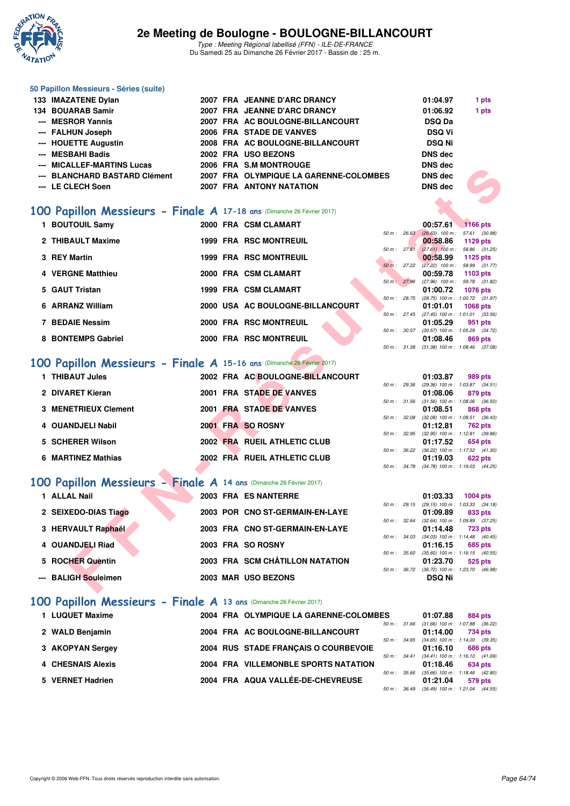

### **50 Papillon Messieurs - Séries (suite)**

| 133 IMAZATENE Dylan           |  | 2007 FRA JEANNE D'ARC DRANCY           | 01:04.97       | 1 pts |
|-------------------------------|--|----------------------------------------|----------------|-------|
| 134 BOUARAB Samir             |  | 2007 FRA JEANNE D'ARC DRANCY           | 01:06.92       | 1 pts |
| --- MESROR Yannis             |  | 2007 FRA AC BOULOGNE-BILLANCOURT       | <b>DSQ Da</b>  |       |
| --- FALHUN Joseph             |  | 2006 FRA STADE DE VANVES               | <b>DSQ Vi</b>  |       |
| --- HOUETTE Augustin          |  | 2008 FRA AC BOULOGNE-BILLANCOURT       | <b>DSQ Ni</b>  |       |
| --- MESBAHI Badis             |  | 2002 FRA USO BEZONS                    | <b>DNS</b> dec |       |
| --- MICALLEF-MARTINS Lucas    |  | 2006 FRA S.M MONTROUGE                 | <b>DNS</b> dec |       |
| --- BLANCHARD BASTARD Clément |  | 2007 FRA OLYMPIQUE LA GARENNE-COLOMBES | DNS dec        |       |
| --- LE CLECH Soen             |  | <b>2007 FRA ANTONY NATATION</b>        | <b>DNS</b> dec |       |
|                               |  |                                        |                |       |

## **[100 Papillon Messieurs - Finale A](http://www.ffnatation.fr/webffn/resultats.php?idact=nat&go=epr&idcpt=42219&idepr=82) 17-18 ans** (Dimanche 26 Février 2017)

| MICALLEF-MARTING LUCAS                                                 |  | ZUU FRA J.W WUNIRUUGE                  |              | טשט כווע       |                                                               |
|------------------------------------------------------------------------|--|----------------------------------------|--------------|----------------|---------------------------------------------------------------|
| --- BLANCHARD BASTARD Clément                                          |  | 2007 FRA OLYMPIQUE LA GARENNE-COLOMBES |              | <b>DNS</b> dec |                                                               |
| --- LE CLECH Soen                                                      |  | <b>2007 FRA ANTONY NATATION</b>        |              | <b>DNS</b> dec |                                                               |
|                                                                        |  |                                        |              |                |                                                               |
|                                                                        |  |                                        |              |                |                                                               |
| 00 Papillon Messieurs - Finale A 17-18 ans (Dimanche 26 Février 2017)  |  |                                        |              |                |                                                               |
| 1 BOUTOUIL Samy                                                        |  | 2000 FRA CSM CLAMART                   |              | 00:57.61       | 1166 pts                                                      |
|                                                                        |  |                                        | 50 m: 26.63  |                | $(26.63)$ 100 m : 57.61 $(30.98)$                             |
| 2 THIBAULT Maxime                                                      |  | <b>1999 FRA RSC MONTREUIL</b>          | 50 m: 27.61  | 00:58.86       | 1129 pts<br>$(27.61)$ 100 m : 58.86 $(31.25)$                 |
| 3 REY Martin                                                           |  | <b>1999 FRA RSC MONTREUIL</b>          |              | 00:58.99       | 1125 pts                                                      |
|                                                                        |  |                                        |              |                | 50 m : 27.22 (27.22) 100 m : 58.99 (31.77)                    |
| 4 VERGNE Matthieu                                                      |  | 2000 FRA CSM CLAMART                   |              | 00:59.78       | 1103 pts                                                      |
| 5 GAUT Tristan                                                         |  | 1999 FRA CSM CLAMART                   |              | 01:00.72       | 50 m : 27.96 (27.96) 100 m : 59.78 (31.82)<br><b>1076 pts</b> |
|                                                                        |  |                                        |              |                | 50 m: 28.75 (28.75) 100 m: 1:00.72 (31.97)                    |
| 6 ARRANZ William                                                       |  | 2000 USA AC BOULOGNE-BILLANCOURT       |              | 01:01.01       | <b>1068 pts</b>                                               |
|                                                                        |  |                                        |              |                | 50 m: 27.45 (27.45) 100 m: 1:01.01 (33.56)                    |
| <b>7 BEDAIE Nessim</b>                                                 |  | 2000 FRA RSC MONTREUIL                 |              | 01:05.29       | 951 pts<br>50 m: 30.57 (30.57) 100 m: 1:05.29 (34.72)         |
| 8 BONTEMPS Gabriel                                                     |  | 2000 FRA RSC MONTREUIL                 |              | 01:08.46       | 869 pts                                                       |
|                                                                        |  |                                        |              |                | 50 m: 31.38 (31.38) 100 m: 1:08.46 (37.08)                    |
|                                                                        |  |                                        |              |                |                                                               |
| .00 Papillon Messieurs - Finale A 15-16 ans (Dimanche 26 Février 2017) |  |                                        |              |                |                                                               |
| 1 THIBAUT Jules                                                        |  | 2002 FRA AC BOULOGNE-BILLANCOURT       |              | 01:03.87       | 989 pts                                                       |
|                                                                        |  |                                        |              |                | 50 m: 29.36 (29.36) 100 m: 1:03.87 (34.51)                    |
| 2 DIVARET Kieran                                                       |  | 2001 FRA STADE DE VANVES               |              | 01:08.06       | 879 pts                                                       |
| <b>3 MENETRIEUX Clement</b>                                            |  | 2001 FRA STADE DE VANVES               |              | 01:08.51       | 50 m: 31.56 (31.56) 100 m: 1:08.06 (36.50)<br>868 pts         |
|                                                                        |  |                                        | 50 m : 32.08 |                | $(32.08)$ 100 m : 1:08.51 $(36.43)$                           |
| 4 OUANDJELI Nabil                                                      |  | 2001 FRA SO ROSNY                      |              | 01:12.81       | 762 pts                                                       |
|                                                                        |  | 2002 FRA RUEIL ATHLETIC CLUB           |              |                | 50 m: 32.95 (32.95) 100 m: 1:12.81 (39.86)                    |
| 5 SCHERER Wilson                                                       |  |                                        |              | 01:17.52       | 654 pts<br>50 m: 36.22 (36.22) 100 m: 1:17.52 (41.30)         |
| 6 MARTINEZ Mathias                                                     |  | 2002 FRA RUEIL ATHLETIC CLUB           |              | 01:19.03       | <b>622 pts</b>                                                |
|                                                                        |  |                                        |              |                | 50 m: 34.78 (34.78) 100 m: 1:19.03 (44.25)                    |
|                                                                        |  |                                        |              |                |                                                               |
| 00 Papillon Messieurs - Finale A 14 ans (Dimanche 26 Février 2017)     |  |                                        |              |                |                                                               |
| 1 ALLAL Nail                                                           |  | 2003 FRA ES NANTERRE                   |              | 01:03.33       | $1004$ pts                                                    |
|                                                                        |  |                                        |              |                | 50 m: 29.15 (29.15) 100 m: 1:03.33 (34.18)                    |
| 2 SEIXEDO-DIAS Tiago                                                   |  | 2003 POR CNO ST-GERMAIN-EN-LAYE        |              | 01:09.89       | 833 pts<br>50 m: 32.64 (32.64) 100 m: 1:09.89 (37.25)         |
| 3 HERVAULT Raphaël                                                     |  | 2003 FRA CNO ST-GERMAIN-EN-LAYE        |              | 01:14.48       | <b>723 pts</b>                                                |
|                                                                        |  |                                        |              |                | 50 m: 34.03 (34.03) 100 m: 1:14.48 (40.45)                    |
| 4 OUANDJELI Riad                                                       |  | 2003 FRA SO ROSNY                      |              | 01:16.15       | 685 pts                                                       |
| 5 ROCHER Quentin                                                       |  | 2003 FRA SCM CHÂTILLON NATATION        | 50 m : 35.60 | 01:23.70       | $(35.60)$ 100 m : 1:16.15 $(40.55)$<br>525 pts                |
|                                                                        |  |                                        |              |                | 50 m : 36.72 (36.72) 100 m : 1:23.70 (46.98)                  |
| --- BALIGH Souleimen                                                   |  | 2003 MAR USO BEZONS                    |              | <b>DSQ Ni</b>  |                                                               |
|                                                                        |  |                                        |              |                |                                                               |
|                                                                        |  |                                        |              |                |                                                               |

## **[100 Papillon Messieurs - Finale A](http://www.ffnatation.fr/webffn/resultats.php?idact=nat&go=epr&idcpt=42219&idepr=82) 15-16 ans** (Dimanche 26 Février 2017)

| 1 THIBAUT Jules      | 2002 FRA AC BOULOGNE-BILLANCOURT | 01:03.87<br>989 pts                     |
|----------------------|----------------------------------|-----------------------------------------|
|                      |                                  | 50 m: 29.36 (29.36) 100 m: 1:03.87 (34. |
| 2 DIVARET Kieran     | 2001 FRA STADE DE VANVES         | 01:08.06<br>879 pts                     |
|                      |                                  | 50 m: 31.56 (31.56) 100 m: 1:08.06 (36. |
| 3 MENETRIEUX Clement | 2001 FRA STADE DE VANVES         | 01:08.51<br>868 pts                     |
|                      |                                  | 50 m: 32.08 (32.08) 100 m: 1:08.51 (36. |
| 4 OUANDJELI Nabil    | 2001 FRA SO ROSNY                | 01:12.81<br><b>762 pts</b>              |
|                      |                                  | 50 m: 32.95 (32.95) 100 m: 1:12.81 (39. |
| 5 SCHERER Wilson     | 2002 FRA RUEIL ATHLETIC CLUB     | 01:17.52<br>654 pts                     |
|                      |                                  | 50 m: 36.22 (36.22) 100 m: 1:17.52 (41. |
| 6 MARTINEZ Mathias   | 2002 FRA RUEIL ATHLETIC CLUB     | 01:19.03<br>622 pts                     |
|                      |                                  |                                         |

## **[100 Papillon Messieurs - Finale A](http://www.ffnatation.fr/webffn/resultats.php?idact=nat&go=epr&idcpt=42219&idepr=82) 14 ans** (Dimanche 26 Février 2017)

| 1 ALLAL Nail         |  | 2003 FRA ES NANTERRE            |                  | 01:03.33      | 1004 pts                                |
|----------------------|--|---------------------------------|------------------|---------------|-----------------------------------------|
|                      |  |                                 |                  |               | 50 m: 29.15 (29.15) 100 m: 1:03.33 (34. |
| 2 SEIXEDO-DIAS Tiago |  | 2003 POR CNO ST-GERMAIN-EN-LAYE |                  | 01:09.89      | 833 pts                                 |
|                      |  |                                 |                  |               | 50 m: 32.64 (32.64) 100 m: 1:09.89 (37. |
| 3 HERVAULT Raphaël   |  | 2003 FRA CNO ST-GERMAIN-EN-LAYE |                  | 01:14.48      | 723 pts                                 |
|                      |  |                                 |                  |               | 50 m: 34.03 (34.03) 100 m: 1:14.48 (40. |
| 4 OUANDJELI Riad     |  | 2003 FRA SO ROSNY               |                  | 01:16.15      | 685 pts                                 |
|                      |  |                                 |                  |               | 50 m: 35.60 (35.60) 100 m: 1:16.15 (40. |
| 5 ROCHER Quentin     |  | 2003 FRA SCM CHÂTILLON NATATION |                  | 01:23.70      | 525 pts                                 |
|                      |  |                                 | $50 m$ : $36.72$ |               | (36.72) 100 m : 1:23.70 (46.            |
| --- BALIGH Souleimen |  | 2003 MAR USO BEZONS             |                  | <b>DSQ Ni</b> |                                         |
|                      |  |                                 |                  |               |                                         |

### **[100 Papillon Messieurs - Finale A](http://www.ffnatation.fr/webffn/resultats.php?idact=nat&go=epr&idcpt=42219&idepr=82) 13 ans** (Dimanche 26 Février 2017)

|                                   |                        | 01:07.88                                                                                                                              | 884 pts                                             |
|-----------------------------------|------------------------|---------------------------------------------------------------------------------------------------------------------------------------|-----------------------------------------------------|
| 2004 FRA AC BOULOGNE-BILLANCOURT  | 50 m: 31.66            | 01:14.00                                                                                                                              | $(31.66)$ 100 m : 1:07.88 $(36.22)$<br>734 pts      |
|                                   | $50 \text{ m}$ : 34.65 | 01:16.10                                                                                                                              | $(34.65)$ 100 m : 1:14.00 $(39.35)$<br>686 pts      |
|                                   | $50 \text{ m}$ : 34.41 | 01:18.46                                                                                                                              | $(34.41)$ 100 m : 1:16.10 $(41.69)$<br>634 pts      |
| 2004 FRA AQUA VALLÉE-DE-CHEVREUSE |                        | 01:21.04                                                                                                                              | 579 pts<br>$(36.49)$ 100 m : 1:21.04 $(44.55)$      |
|                                   |                        | 2004 FRA OLYMPIQUE LA GARENNE-COLOMBES<br>2004 RUS STADE FRANCAIS O COURBEVOIE<br>2004 FRA VILLEMONBLE SPORTS NATATION<br>50 m: 35.66 | $(35.66)$ 100 m : 1:18.46 $(42.80)$<br>50 m : 36.49 |

|             |              | 50 m: 30.57 (30.57) 100 m: 1:05.29 (34.72) |         |
|-------------|--------------|--------------------------------------------|---------|
|             |              | 01:08.46 869 pts                           |         |
|             |              | 50 m: 31.38 (31.38) 100 m: 1:08.46 (37.08) |         |
|             |              |                                            |         |
|             |              |                                            |         |
|             |              | 01:03.87 989 pts                           |         |
|             |              | 50 m: 29.36 (29.36) 100 m: 1:03.87 (34.51) |         |
|             |              | 01:08.06 879 pts                           |         |
|             | 50 m : 31.56 | $(31.56)$ 100 m : 1:08.06 $(36.50)$        |         |
|             |              | 01:08.51                                   | 868 pts |
|             | 50 m : 32.08 | $(32.08)$ 100 m : 1:08.51 $(36.43)$        |         |
|             |              | 01:12.81 762 pts                           |         |
| $EOM$ $m$ . | 22.Q5        | $(22.05)$ 100 m · 1.12.81 (20.86)          |         |

|  | 01.14.01 104 PM                                                                                                                        |
|--|----------------------------------------------------------------------------------------------------------------------------------------|
|  |                                                                                                                                        |
|  | $01:17.52$ 654 pts                                                                                                                     |
|  |                                                                                                                                        |
|  | $01:19.03$ 622 pts                                                                                                                     |
|  |                                                                                                                                        |
|  | 50 m: 32.95 (32.95) 100 m: 1:12.81 (39.86)<br>50 m: 36.22 (36.22) 100 m: 1:17.52 (41.30)<br>50 m: 34.78 (34.78) 100 m: 1:19.03 (44.25) |

|  | 01:03.33 1004 pts                          |         |  |
|--|--------------------------------------------|---------|--|
|  | 50 m: 29.15 (29.15) 100 m: 1:03.33 (34.18) |         |  |
|  | 01:09.89                                   | 833 pts |  |
|  | 50 m: 32.64 (32.64) 100 m: 1:09.89 (37.25) |         |  |
|  | 01:14.48 723 pts                           |         |  |
|  | 50 m: 34.03 (34.03) 100 m: 1:14.48 (40.45) |         |  |
|  | $01:16.15$ 685 pts                         |         |  |
|  | 50 m: 35.60 (35.60) 100 m: 1:16.15 (40.55) |         |  |
|  | 01:23.70 525 pts                           |         |  |
|  | 50 m: 36.72 (36.72) 100 m: 1:23.70 (46.98) |         |  |
|  | <b>DSQ Ni</b>                              |         |  |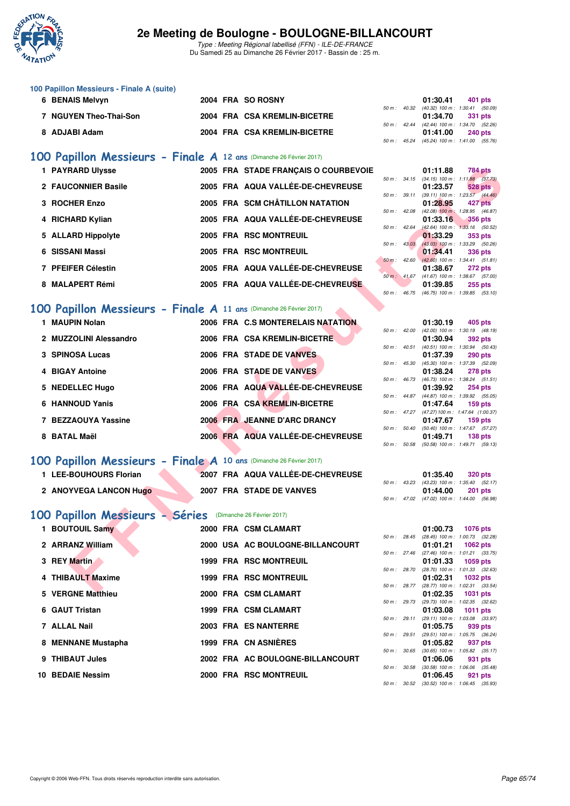

Type : Meeting Régional labellisé (FFN) - ILE-DE-FRANCE Du Samedi 25 au Dimanche 26 Février 2017 - Bassin de : 25 m.

### **100 Papillon Messieurs - Finale A (suite)**

| 6 BENAIS Melvyn        |  | 2004 FRA SO ROSNY            |  | 01:30.41                                     | 401 pts |  |
|------------------------|--|------------------------------|--|----------------------------------------------|---------|--|
|                        |  |                              |  | 50 m : 40.32 (40.32) 100 m : 1:30.41 (50.09) |         |  |
| 7 NGUYEN Theo-Thai-Son |  | 2004 FRA CSA KREMLIN-BICETRE |  | 01:34.70 331 pts                             |         |  |
|                        |  |                              |  | 50 m: 42.44 (42.44) 100 m: 1:34.70 (52.26)   |         |  |
| 8 ADJABI Adam          |  | 2004 FRA CSA KREMLIN-BICETRE |  | 01:41.00                                     | 240 pts |  |
|                        |  |                              |  | 50 m : 45.24 (45.24) 100 m : 1:41.00 (55.76) |         |  |

## **[100 Papillon Messieurs - Finale A](http://www.ffnatation.fr/webffn/resultats.php?idact=nat&go=epr&idcpt=42219&idepr=82) 12 ans** (Dimanche 26 Février 2017)

| 1 PAYRARD Ulysse    | 2005 FRA STADE FRANCAIS O COURBEVOIE |                        | 01:11.88<br><b>784 pts</b>                                   |
|---------------------|--------------------------------------|------------------------|--------------------------------------------------------------|
| 2 FAUCONNIER Basile | 2005 FRA AQUA VALLÉE-DE-CHEVREUSE    | $50 m$ : $34.15$       | $(34.15)$ 100 m : 1:11.88 $(37)$<br>01:23.57<br>528 pts      |
| 3 ROCHER Enzo       | 2005 FRA SCM CHÂTILLON NATATION      | 50 m: 39.11            | $(39.11)$ 100 m : 1:23.57 $(44.$<br>01:28.95<br>427 pts      |
| 4 RICHARD Kylian    | 2005 FRA AQUA VALLÉE-DE-CHEVREUSE    | 42.08<br>50 m :        | $(42.08)$ 100 m : 1:28.95 (46.<br>01:33.16<br>356 pts        |
| 5 ALLARD Hippolyte  | 2005 FRA RSC MONTREUIL               | $50 m$ : 42.64         | $(42.64)$ 100 m : 1:33.16 (50.<br>01:33.29<br>353 pts        |
| 6 SISSANI Massi     | 2005 FRA RSC MONTREUIL               | 43.03<br>50 m :        | $(43.03)$ 100 m : 1:33.29 (50.<br>01:34.41<br>336 pts        |
| 7 PFEIFER Célestin  | 2005 FRA AQUA VALLÉE-DE-CHEVREUSE    | $50 \text{ m}$ : 42.60 | $(42.60)$ 100 m : 1:34.41 (51.<br>01:38.67<br><b>272 pts</b> |
| 8 MALAPERT Rémi     | 2005 FRA AQUA VALLÉE-DE-CHEVREUSE    | 50 m: 41.67            | $(41.67)$ 100 m : 1:38.67 (57.<br>01:39.85<br><b>255 pts</b> |

### **[100 Papillon Messieurs - Finale A](http://www.ffnatation.fr/webffn/resultats.php?idact=nat&go=epr&idcpt=42219&idepr=82) 11 ans** (Dimanche 26 Février 2017)

| 1 PAYRARD Ulysse                                                    |  | 2005 FRA STADE FRANÇAIS O COURBEVOIE |                          |                | 01:11.88                                                 | <b>784 pts</b>                                     |  |
|---------------------------------------------------------------------|--|--------------------------------------|--------------------------|----------------|----------------------------------------------------------|----------------------------------------------------|--|
| 2 FAUCONNIER Basile                                                 |  | 2005 FRA AQUA VALLÉE-DE-CHEVREUSE    |                          |                | 50 m: 34.15 (34.15) 100 m: 1:11.88 (37.73)<br>01:23.57   | 528 pts                                            |  |
|                                                                     |  |                                      |                          | 50 m : 39.11   | $(39.11)$ 100 m : 1:23.57 $(44.46)$                      |                                                    |  |
| 3 ROCHER Enzo                                                       |  | 2005 FRA SCM CHÂTILLON NATATION      | 50 m: 42.08              |                | 01:28.95                                                 | 427 pts<br>(42.08) 100 m: 1:28.95 (46.87)          |  |
| 4 RICHARD Kylian                                                    |  | 2005 FRA AQUA VALLÉE-DE-CHEVREUSE    |                          |                | 01:33.16                                                 | <b>356 pts</b>                                     |  |
| 5 ALLARD Hippolyte                                                  |  | 2005 FRA RSC MONTREUIL               | 50 m: 42.64              |                | 01:33.29                                                 | (42.64) 100 m : 1:33.16 (50.52)<br>353 pts         |  |
|                                                                     |  |                                      | $50 \text{ m}$ : $43.03$ |                |                                                          | (43.03) 100 m: 1:33.29 (50.26)                     |  |
| 6 SISSANI Massi                                                     |  | 2005 FRA RSC MONTREUIL               |                          |                | 01:34.41                                                 | 336 pts                                            |  |
| 7 PFEIFER Célestin                                                  |  | 2005 FRA AQUA VALLÉE-DE-CHEVREUSE    |                          | $50 m$ : 42.60 | $(42.60)$ 100 m : 1:34.41 (51.81)<br>01:38.67            | <b>272 pts</b>                                     |  |
|                                                                     |  |                                      |                          |                | 50 m: 41.67 (41.67) 100 m: 1:38.67 (57.00)               |                                                    |  |
| 8 MALAPERT Rémi                                                     |  | 2005 FRA AQUA VALLÉE-DE-CHEVREUSE    |                          |                | 01:39.85                                                 | $255$ pts                                          |  |
|                                                                     |  |                                      | $50 m$ : 46.75           |                | $(46.75)$ 100 m : 1:39.85 $(53.10)$                      |                                                    |  |
| 00 Papillon Messieurs - Finale A 11 ans (Dimanche 26 Février 2017)  |  |                                      |                          |                |                                                          |                                                    |  |
| 1 MAUPIN Nolan                                                      |  | 2006 FRA C.S MONTERELAIS NATATION    |                          |                | 01:30.19                                                 | 405 pts                                            |  |
|                                                                     |  |                                      |                          | 50 m : 42.00   | $(42.00)$ 100 m : 1:30.19 $(48.19)$                      |                                                    |  |
| 2 MUZZOLINI Alessandro                                              |  | 2006 FRA CSA KREMLIN-BICETRE         |                          | 50 m: 40.51    | 01:30.94                                                 | 392 pts<br>(40.51) 100 m: 1:30.94 (50.43)          |  |
| 3 SPINOSA Lucas                                                     |  | 2006 FRA STADE DE VANVES             |                          |                | 01:37.39                                                 | 290 pts                                            |  |
|                                                                     |  |                                      |                          | 50 m : 45.30   |                                                          | (45.30) 100 m: 1:37.39 (52.09)                     |  |
| 4 BIGAY Antoine                                                     |  | 2006 FRA STADE DE VANVES             |                          | 50 m : 46.73   | 01:38.24<br>$(46.73)$ 100 m : 1:38.24 $(51.51)$          | <b>278 pts</b>                                     |  |
| 5 NEDELLEC Hugo                                                     |  | 2006 FRA AQUA VALLÉE-DE-CHEVREUSE    |                          |                | 01:39.92                                                 | <b>254 pts</b>                                     |  |
|                                                                     |  |                                      |                          |                | 50 m: 44.87 (44.87) 100 m: 1:39.92 (55.05)               |                                                    |  |
| 6 HANNOUD Yanis                                                     |  | 2006 FRA CSA KREMLIN-BICETRE         |                          |                | 01:47.64<br>50 m: 47.27 (47.27) 100 m: 1:47.64 (1:00.37) | $159$ pts                                          |  |
| 7 BEZZAOUYA Yassine                                                 |  | 2006 FRA JEANNE D'ARC DRANCY         |                          |                | 01:47.67                                                 | $159$ pts                                          |  |
|                                                                     |  |                                      |                          |                | 50 m: 50.40 (50.40) 100 m: 1:47.67 (57.27)               |                                                    |  |
| 8 BATAL Maël                                                        |  | 2006 FRA AQUA VALLÉE-DE-CHEVREUSE    |                          |                | 01:49.71<br>50 m: 50.58 (50.58) 100 m: 1:49.71 (59.13)   | 138 <sub>pts</sub>                                 |  |
|                                                                     |  |                                      |                          |                |                                                          |                                                    |  |
| .00 Papillon Messieurs - Finale A 10 ans (Dimanche 26 Février 2017) |  |                                      |                          |                |                                                          |                                                    |  |
| 1 LEE-BOUHOURS Florian                                              |  | 2007 FRA AQUA VALLÉE-DE-CHEVREUSE    |                          |                | 01:35.40                                                 | <b>320 pts</b>                                     |  |
| 2 ANOYVEGA LANCON Hugo                                              |  | 2007 FRA STADE DE VANVES             |                          | 50 m : 43.23   | $(43.23)$ 100 m : 1:35.40 $(52.17)$<br>01:44.00          | <b>201 pts</b>                                     |  |
|                                                                     |  |                                      |                          |                | 50 m: 47.02 (47.02) 100 m: 1:44.00 (56.98)               |                                                    |  |
|                                                                     |  |                                      |                          |                |                                                          |                                                    |  |
| .00 Papillon Messieurs - Séries (Dimanche 26 Février 2017)          |  |                                      |                          |                |                                                          |                                                    |  |
| 1 BOUTOUIL Samy                                                     |  | 2000 FRA CSM CLAMART                 |                          |                | 01:00.73                                                 | <b>1076 pts</b>                                    |  |
| 2 ARRANZ William                                                    |  | 2000 USA AC BOULOGNE-BILLANCOURT     |                          |                | 50 m: 28.45 (28.45) 100 m: 1:00.73 (32.28)<br>01:01.21   | 1062 pts                                           |  |
|                                                                     |  |                                      | 50 m: 27.46              |                |                                                          | (27.46) 100 m: 1:01.21 (33.75)                     |  |
| 3 REY Martin                                                        |  | <b>1999 FRA RSC MONTREUIL</b>        |                          |                | 01:01.33                                                 | 1059 pts                                           |  |
| 4 THIBAULT Maxime                                                   |  | <b>1999 FRA RSC MONTREUIL</b>        |                          | 50 m : 28.70   | 01:02.31                                                 | (28.70) 100 m : 1:01.33 (32.63)<br><b>1032 pts</b> |  |
|                                                                     |  |                                      |                          |                | 50 m: 28.77 (28.77) 100 m: 1:02.31 (33.54)               |                                                    |  |
| E. VEDONE MAHLIAU                                                   |  | <b>OOOO EDA COM OLAMADT</b>          |                          |                | 04.00.05                                                 | $-4004 - 44$                                       |  |

## **[100 Papillon Messieurs - Finale A](http://www.ffnatation.fr/webffn/resultats.php?idact=nat&go=epr&idcpt=42219&idepr=82) 10 ans** (Dimanche 26 Février 2017)

| 1 LEE-BOUHOURS Florian        | 2007 FRA AQUA VALLÉE-DE-CHEVREUSE | 01:35.40                                | <b>320 pts</b> |
|-------------------------------|-----------------------------------|-----------------------------------------|----------------|
|                               |                                   | 50 m: 43.23 (43.23) 100 m: 1:35.40 (52. |                |
| <b>2 ANOYVEGA LANCON Hugo</b> | 2007 FRA STADE DE VANVES          | 01:44.00                                | <b>201 pts</b> |

## **[100 Papillon Messieurs - Séries](http://www.ffnatation.fr/webffn/resultats.php?idact=nat&go=epr&idcpt=42219&idepr=82)** (Dimanche 26 Février 2017)

| 1 BOUTOUIL Samy    |  | 2000 FRA CSM CLAMART             |                |                | 01:00.73                                   | 1076 pts |  |
|--------------------|--|----------------------------------|----------------|----------------|--------------------------------------------|----------|--|
|                    |  |                                  | $50 m$ : 28.45 |                | (28.45) 100 m: 1:00.73 (32.                |          |  |
| 2 ARRANZ William   |  | 2000 USA AC BOULOGNE-BILLANCOURT |                |                | 01:01.21 1062 pts                          |          |  |
|                    |  |                                  |                | 50 m: 27.46    | $(27.46)$ 100 m : 1:01.21 (33.             |          |  |
| 3 REY Martin       |  | <b>1999 FRA RSC MONTREUIL</b>    |                |                | 01:01.33 1059 pts                          |          |  |
|                    |  |                                  |                | 50 m: 28.70    | (28.70) 100 m: 1:01.33 (32.                |          |  |
| 4 THIBAULT Maxime  |  | <b>1999 FRA RSC MONTREUIL</b>    |                |                | 01:02.31 1032 pts                          |          |  |
|                    |  |                                  |                | 50 m : 28.77   | $(28.77)$ 100 m : 1:02.31 (33.             |          |  |
| 5 VERGNE Matthieu  |  | 2000 FRA CSM CLAMART             |                |                | 01:02.35                                   | 1031 pts |  |
|                    |  |                                  |                | 50 m : 29.73   | (29.73) 100 m: 1:02.35 (32.                |          |  |
| 6 GAUT Tristan     |  | 1999 FRA CSM CLAMART             |                |                | 01:03.08                                   | 1011 pts |  |
|                    |  |                                  |                | 50 m: 29.11    | $(29.11)$ 100 m : 1:03.08 (33.             |          |  |
| 7 ALLAL Nail       |  | 2003 FRA ES NANTERRE             |                |                | 01:05.75                                   | 939 pts  |  |
|                    |  |                                  |                | $50 m$ : 29.51 | (29.51) 100 m: 1:05.75 (36.                |          |  |
| 8 MENNANE Mustapha |  | 1999 FRA CN ASNIÈRES             |                |                | 01:05.82                                   | 937 pts  |  |
| 9 THIBAUT Jules    |  | 2002 FRA AC BOULOGNE-BILLANCOURT |                | 50 m : 30.65   | $(30.65)$ 100 m : 1:05.82 (35.             |          |  |
|                    |  |                                  |                |                | 01:06.06                                   | 931 pts  |  |
| 10 BEDAIE Nessim   |  | 2000 FRA RSC MONTREUIL           |                | 50 m: 30.58    | $(30.58)$ 100 m : 1:06.06 (35.<br>01:06.45 |          |  |
|                    |  |                                  |                |                |                                            | 921 pts  |  |

|                  |       | 01:11.88          | 784 pts             |
|------------------|-------|-------------------|---------------------|
| $50 m$ : $34.15$ |       | $(34.15)$ 100 m : | $1:11.88$ (37.73)   |
|                  |       | 01:23.57          | 528 pts             |
| $50 m$ : $39.11$ |       | $(39.11)$ 100 m : | $1:23.57$ $(44.46)$ |
|                  |       | 01:28.95          | 427 pts             |
| $50 m$ : 42.08   |       | $(42.08)$ 100 m : | 1:28.95 (46.87)     |
|                  |       | 01:33.16          | $-356$ pts          |
| $50 m$ : 42.64   |       | (42.64) 100 m:    | $1:33.16$ $(50.52)$ |
|                  |       | 01:33.29          | 353 pts             |
| $50 m$ : $43.03$ |       | $(43.03)$ 100 m : | 1:33.29 (50.26)     |
|                  |       | 01:34.41          | 336 pts             |
| $50 m$ : 42.60   |       | $(42.60)$ 100 m : | $1:34.41$ $(51.81)$ |
|                  |       | 01:38.67          | 272 pts             |
| $50 m$ : $41.67$ |       | $(41.67) 100 m$ : | 1:38.67 (57.00)     |
|                  |       | 01:39.85          | 255 pts             |
| $50 m$ :         | 46.75 | $(46.75)$ 100 m : | $1:39.85$ $(53.10)$ |

|                  |       | 01:30.19          | 405 pts             |
|------------------|-------|-------------------|---------------------|
| $50 m$ : 42.00   |       | $(42.00)$ 100 m : | 1:30.19 (48.19)     |
|                  |       | 01:30.94          | 392 pts             |
| $50 m$ : $40.51$ |       | $(40.51)$ 100 m : | 1:30.94 (50.43)     |
|                  |       | 01:37.39          | <b>290 pts</b>      |
| $50 m$ : 45.30   |       | $(45.30)$ 100 m : | 1:37.39 (52.09)     |
|                  |       | 01:38.24          | 278 pts             |
| 50 m: 46.73      |       | $(46.73) 100 m$ : | $1:38.24$ $(51.51)$ |
|                  |       | 01:39.92          | 254 pts             |
| 50 m : 44.87     |       | $(44.87) 100 m$ : | 1:39.92 (55.05)     |
|                  |       | 01:47.64          | 159 pts             |
| $50 m$ : $47.27$ |       | (47.27) 100 m :   | 1:47.64 (1:00.37)   |
|                  |       | 01:47.67          | 159 pts             |
| 50 m: 50.40      |       | $(50.40)$ 100 m : | 1:47.67 (57.27)     |
|                  |       |                   | 01:49.71 138 pts    |
| 50 m :           | 50.58 | (50.58) 100 m :   | $1:49.71$ (59.13)   |

|  | 01:35.40 320 pts |                                            |
|--|------------------|--------------------------------------------|
|  |                  | 50 m: 43.23 (43.23) 100 m: 1:35.40 (52.17) |
|  |                  | $01:44.00$ 201 pts                         |
|  |                  | 50 m: 47.02 (47.02) 100 m: 1:44.00 (56.98) |

|              |                | 01:00.73          | 1076 pts            |
|--------------|----------------|-------------------|---------------------|
|              | 50 m : 28.45   | $(28.45)$ 100 m : | 1:00.73 (32.28)     |
|              |                | 01:01.21 1062 pts |                     |
| 50 m: 27.46  |                | $(27.46)$ 100 m : | $1:01.21$ $(33.75)$ |
|              |                | 01:01.33          | 1059 pts            |
| 50 m: 28.70  |                | $(28.70)$ 100 m : | 1:01.33 (32.63)     |
|              |                | 01:02.31          | 1032 pts            |
| 50 m : 28.77 |                | $(28.77)$ 100 m : | 1:02.31 (33.54)     |
|              |                | 01:02.35 1031 pts |                     |
| 50 m: 29.73  |                | (29.73) 100 m:    | $1:02.35$ $(32.62)$ |
|              |                |                   | 01:03.08 1011 pts   |
|              | $50 m$ : 29.11 | $(29.11)$ 100 m : | 1:03.08 (33.97)     |
|              |                | 01:05.75          | 939 pts             |
|              | 50 m : 29.51   | $(29.51)$ 100 m : | 1:05.75 (36.24)     |
|              |                | 01:05.82 937 pts  |                     |
|              | 50 m : 30.65   | $(30.65)$ 100 m : | $1:05.82$ $(35.17)$ |
|              |                | 01:06.06          | 931 pts             |
|              | 50 m : 30.58   | $(30.58) 100 m$ : | 1:06.06 (35.48)     |
|              |                |                   | 01:06.45 921 pts    |
|              | 50 m : 30.52   | $(30.52)$ 100 m : | 1:06.45 (35.93)     |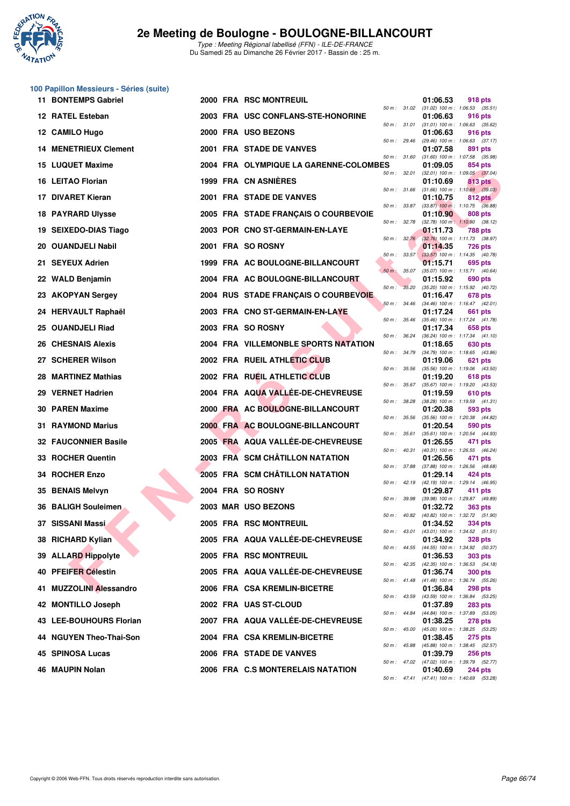

**100 Papillon Messieurs - Séries (suite)**

## **2e Meeting de Boulogne - BOULOGNE-BILLANCOURT**

|     | 11 BONTEMPS Gabriel          |  | 2000 FRA RSC MONTREUIL                 |                |              | 01:06.53                                                 | <b>918 pts</b> |  |
|-----|------------------------------|--|----------------------------------------|----------------|--------------|----------------------------------------------------------|----------------|--|
|     | 12 RATEL Esteban             |  | 2003 FRA USC CONFLANS-STE-HONORINE     |                |              | 50 m: 31.02 (31.02) 100 m: 1:06.53 (35.51)<br>01:06.63   | 916 pts        |  |
|     | 12 CAMILO Hugo               |  | 2000 FRA USO BEZONS                    | 50 m : 31.01   |              | $(31.01)$ 100 m : 1:06.63 $(35.62)$<br>01:06.63          | 916 pts        |  |
|     | <b>14 MENETRIEUX Clement</b> |  | 2001 FRA STADE DE VANVES               | 50 m : 29.46   |              | $(29.46)$ 100 m : 1:06.63 $(37.17)$<br>01:07.58          | 891 pts        |  |
|     | <b>15 LUQUET Maxime</b>      |  | 2004 FRA OLYMPIQUE LA GARENNE-COLOMBES | 50 m : 31.60   |              | $(31.60)$ 100 m : 1:07.58 $(35.98)$<br>01:09.05          | 854 pts        |  |
|     | 16 LEITAO Florian            |  | 1999 FRA CN ASNIERES                   |                | 50 m : 32.01 | $(32.01)$ 100 m : 1:09.05 $(37.04)$<br>01:10.69          | 813 pts        |  |
|     | 17 DIVARET Kieran            |  | 2001 FRA STADE DE VANVES               |                | 50 m : 31.66 | $(31.66)$ 100 m : 1:10.69 $(39.03)$<br>01:10.75          | 812 pts        |  |
|     | <b>18 PAYRARD Ulysse</b>     |  | 2005 FRA STADE FRANÇAIS O COURBEVOIE   | 50 m : 33.87   |              | $(33.87)$ 100 m : 1:10.75 $(36.88)$<br>01:10.90          | 808 pts        |  |
|     | 19 SEIXEDO-DIAS Tiago        |  | 2003 POR CNO ST-GERMAIN-EN-LAYE        | 50 m : 32.78   |              | $(32.78)$ 100 m : 1:10.90 $(38.12)$<br>01:11.73          | 788 pts        |  |
|     | 20 OUANDJELI Nabil           |  | 2001 FRA SO ROSNY                      |                | 50 m: 32.76  | (32.76) 100 m : 1:11.73 (38.97)<br>01:14.35              | 726 pts        |  |
|     | 21 SEYEUX Adrien             |  | 1999 FRA AC BOULOGNE-BILLANCOURT       |                | 50 m: 33.57  | $(33.57)$ 100 m : 1:14.35 $(40.78)$<br>01:15.71          | 695 pts        |  |
|     | 22 WALD Benjamin             |  | 2004 FRA AC BOULOGNE-BILLANCOURT       | 50 m: 35.07    |              | (35.07) 100 m: 1:15.71 (40.64)<br>01:15.92               | 690 pts        |  |
|     | 23 AKOPYAN Sergey            |  | 2004 RUS STADE FRANÇAIS O COURBEVOIE   | 50 m: 35.20    |              | (35.20) 100 m: 1:15.92 (40.72)<br>01:16.47               | 678 pts        |  |
|     | 24 HERVAULT Raphaël          |  | 2003 FRA CNO ST-GERMAIN-EN-LAYE        | $50 m$ : 34.46 |              | $(34.46)$ 100 m : 1:16.47 $(42.01)$<br>01:17.24          | 661 pts        |  |
|     | 25 OUANDJELI Riad            |  | 2003 FRA SO ROSNY                      | 50 m: 35.46    |              | (35.46) 100 m: 1:17.24 (41.78)<br>01:17.34               | 658 pts        |  |
|     | <b>26 CHESNAIS Alexis</b>    |  | 2004 FRA VILLEMONBLE SPORTS NATATION   | 50 m : 36.24   |              | (36.24) 100 m: 1:17.34 (41.10)<br>01:18.65               | 630 pts        |  |
|     | 27 SCHERER Wilson            |  | 2002 FRA RUEIL ATHLETIC CLUB           | 50 m : 34.79   |              | $(34.79)$ 100 m : 1:18.65 $(43.86)$<br>01:19.06          | 621 pts        |  |
|     | 28 MARTINEZ Mathias          |  | 2002 FRA RUEIL ATHLETIC CLUB           | 50 m : 35.56   |              | $(35.56)$ 100 m : 1:19.06 $(43.50)$<br>01:19.20          | 618 pts        |  |
|     | 29 VERNET Hadrien            |  | 2004 FRA AQUA VALLEE-DE-CHEVREUSE      | 50 m : 35.67   |              | (35.67) 100 m: 1:19.20 (43.53)<br>01:19.59               | 610 pts        |  |
|     | 30 PAREN Maxime              |  | 2000 FRA AC BOULOGNE-BILLANCOURT       | 50 m : 38.28   |              | $(38.28)$ 100 m : 1:19.59 $(41.31)$<br>01:20.38          | 593 pts        |  |
|     | 31 RAYMOND Marius            |  | 2000 FRA AC BOULOGNE-BILLANCOURT       | 50 m : 35.56   |              | (35.56) 100 m: 1:20.38 (44.82)<br>01:20.54               | 590 pts        |  |
| 32  | <b>FAUCONNIER Basile</b>     |  | 2005 FRA AQUA VALLEE-DE-CHEVREUSE      | 50 m : 35.61   |              | (35.61) 100 m: 1:20.54 (44.93)<br>01:26.55               | 471 pts        |  |
|     | 33 ROCHER Quentin            |  | 2003 FRA SCM CHÂTILLON NATATION        | 50 m : 40.31   |              | (40.31) 100 m: 1:26.55 (46.24)<br>01:26.56               | 471 pts        |  |
|     | 34 ROCHER Enzo               |  | 2005 FRA SCM CHÂTILLON NATATION        | 50 m : 37.88   |              | (37.88) 100 m: 1:26.56 (48.68)<br>01:29.14               | 424 pts        |  |
|     | 35 BENAIS Melvyn             |  | 2004 FRA SO ROSNY                      |                | 50 m: 42.19  | (42.19) 100 m: 1:29.14 (46.95)<br>01:29.87               | 411 pts        |  |
|     | 36 BALIGH Souleimen          |  | 2003 MAR USO BEZONS                    | 50 m : 39.98   |              | (39.98) 100 m : 1:29.87 (49.89)<br>01:32.72              | <b>363 pts</b> |  |
|     | 37 SISSANI Massi             |  | 2005 FRA RSC MONTREUIL                 | 50 m : 40.82   |              | (40.82) 100 m: 1:32.72 (51.90)<br>01:34.52               | 334 pts        |  |
|     | 38 RICHARD Kylian            |  | 2005 FRA AQUA VALLEE-DE-CHEVREUSE      | 50 m : 43.01   |              | $(43.01)$ 100 m : 1:34.52 $(51.51)$<br>01:34.92          | <b>328 pts</b> |  |
|     | 39 ALLARD Hippolyte          |  | 2005 FRA RSC MONTREUIL                 |                | 50 m : 44.55 | (44.55) 100 m: 1:34.92 (50.37)<br>01:36.53               | <b>303 pts</b> |  |
| 40. | <b>PFEIFER Célestin</b>      |  | 2005 FRA AQUA VALLÉE-DE-CHEVREUSE      |                | 50 m : 42.35 | (42.35) 100 m : 1:36.53 (54.18)<br>01:36.74              | <b>300 pts</b> |  |
| 41  | <b>MUZZOLINI Alessandro</b>  |  | 2006 FRA CSA KREMLIN-BICETRE           |                | 50 m : 41.48 | $(41.48)$ 100 m : 1:36.74 (55.26)<br>01:36.84            | <b>298 pts</b> |  |
|     | 42 MONTILLO Joseph           |  | 2002 FRA UAS ST-CLOUD                  | 50 m : 43.59   |              | (43.59) 100 m: 1:36.84 (53.25)<br>01:37.89               | <b>283 pts</b> |  |
| 43. | <b>LEE-BOUHOURS Florian</b>  |  | 2007 FRA AQUA VALLEE-DE-CHEVREUSE      | 50 m : 44.84   |              | (44.84) 100 m: 1:37.89 (53.05)<br>01:38.25               | 278 pts        |  |
|     | 44 NGUYEN Theo-Thai-Son      |  | 2004 FRA CSA KREMLIN-BICETRE           | 50 m : 45.00   |              | (45.00) 100 m : 1:38.25 (53.25)<br>01:38.45              | <b>275 pts</b> |  |
|     | 45 SPINOSA Lucas             |  | 2006 FRA STADE DE VANVES               | 50 m : 45.88   |              | (45.88) 100 m : 1:38.45 (52.57)<br>01:39.79              | <b>256 pts</b> |  |
|     | 46 MAUPIN Nolan              |  | 2006 FRA C.S MONTERELAIS NATATION      |                |              | 50 m : 47.02 (47.02) 100 m : 1:39.79 (52.77)<br>01:40.69 | <b>244 pts</b> |  |
|     |                              |  |                                        |                |              | 50 m : 47.41 (47.41) 100 m : 1:40.69 (53.28)             |                |  |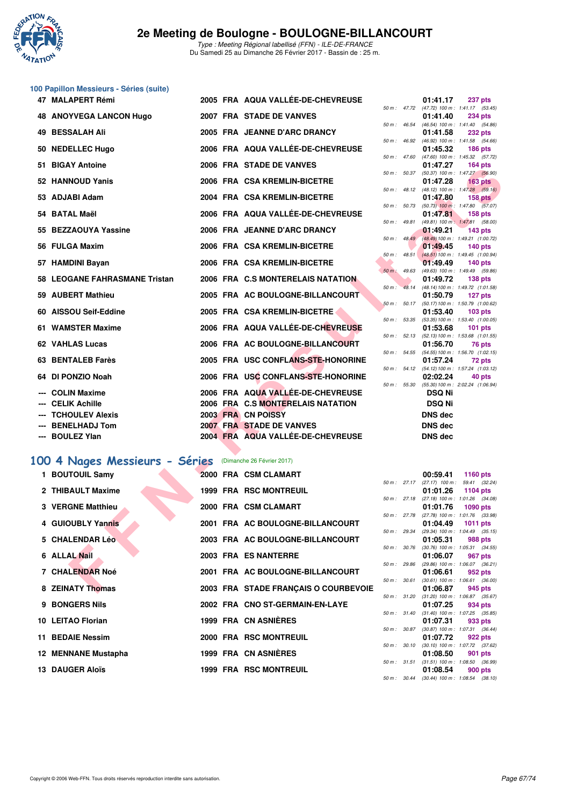

# **100 Papillon Messieurs - Séries (suite)**

| 47 MALAPERT Rémi                                         |  | 2005 FRA AQUA VALLÉE-DE-CHEVREUSE    |                  |                  | 01:41.17       | 237 pts                                                       |
|----------------------------------------------------------|--|--------------------------------------|------------------|------------------|----------------|---------------------------------------------------------------|
| 48 ANOYVEGA LANCON Hugo                                  |  | 2007 FRA STADE DE VANVES             |                  |                  | 01:41.40       | 50 m: 47.72 (47.72) 100 m: 1:41.17 (53.45)<br>234 pts         |
| 49 BESSALAH Ali                                          |  | 2005 FRA JEANNE D'ARC DRANCY         |                  | 50 m : 46.54     | 01:41.58       | (46.54) 100 m: 1:41.40 (54.86)<br><b>232 pts</b>              |
|                                                          |  |                                      |                  |                  |                | 50 m: 46.92 (46.92) 100 m: 1:41.58 (54.66)                    |
| 50 NEDELLEC Hugo                                         |  | 2006 FRA AQUA VALLÉE-DE-CHEVREUSE    |                  | $50 m$ : 47.60   | 01:45.32       | <b>186 pts</b><br>$(47.60)$ 100 m : 1:45.32 $(57.72)$         |
| 51 BIGAY Antoine                                         |  | 2006 FRA STADE DE VANVES             | $50 m$ : $50.37$ |                  | 01:47.27       | $164$ pts                                                     |
| 52 HANNOUD Yanis                                         |  | 2006 FRA CSA KREMLIN-BICETRE         |                  |                  | 01:47.28       | (50.37) 100 m : 1:47.27 (56.90)<br>163 <sub>pts</sub>         |
| 53 ADJABI Adam                                           |  | 2004 FRA CSA KREMLIN-BICETRE         |                  |                  | 01:47.80       | 50 m : 48.12 (48.12) 100 m : 1:47.28 (59.16)<br>158 pts       |
| 54 BATAL Maël                                            |  | 2006 FRA AQUA VALLÉE-DE-CHEVREUSE    |                  |                  |                | 50 m : 50.73 (50.73) 100 m : 1:47.80 (57.07)<br>158 pts       |
|                                                          |  |                                      |                  |                  | 01:47.81       | 50 m : 49.81 (49.81) 100 m : 1:47.81 (58.00)                  |
| 55 BEZZAOUYA Yassine                                     |  | 2006 FRA JEANNE D'ARC DRANCY         |                  | $50 m$ : $48.49$ | 01:49.21       | $143$ pts<br>(48.49) 100 m: 1:49.21 (1:00.72)                 |
| 56 FULGA Maxim                                           |  | 2006 FRA CSA KREMLIN-BICETRE         |                  |                  | 01:49.45       | $140$ pts                                                     |
| 57 HAMDINI Bayan                                         |  | 2006 FRA CSA KREMLIN-BICETRE         |                  | $50 m$ : $48.51$ | 01:49.49       | $(48.51) 100 \text{ m}$ : 1:49.45 $(1:00.94)$<br>$140$ pts    |
|                                                          |  |                                      |                  | 50 m: 49.63      |                | (49.63) 100 m: 1:49.49 (59.86)                                |
| 58 LEOGANE FAHRASMANE Tristan                            |  | 2006 FRA C.S MONTERELAIS NATATION    | $50 m$ :         | 48.14            | 01:49.72       | 138 pts<br>(48.14) 100 m: 1:49.72 (1:01.58)                   |
| 59 AUBERT Mathieu                                        |  | 2005 FRA AC BOULOGNE-BILLANCOURT     |                  | 50 m: 50.17      | 01:50.79       | 127 pts<br>(50.17) 100 m: 1:50.79 (1:00.62)                   |
| 60 AISSOU Seif-Eddine                                    |  | 2005 FRA CSA KREMLIN-BICETRE         |                  |                  | 01:53.40       | $103$ pts                                                     |
| 61 WAMSTER Maxime                                        |  | 2006 FRA AQUA VALLÉE-DE-CHEVREUSE    | 50 m: 53.35      |                  | 01:53.68       | $(53.35)$ 100 m : 1:53.40 $(1:00.05)$<br>$101$ pts            |
|                                                          |  |                                      |                  |                  |                | 50 m: 52.13 (52.13) 100 m: 1:53.68 (1:01.55)                  |
| 62 VAHLAS Lucas                                          |  | 2006 FRA AC BOULOGNE-BILLANCOURT     |                  |                  | 01:56.70       | 76 pts<br>50 m: 54.55 (54.55) 100 m: 1:56.70 (1:02.15)        |
| 63 BENTALEB Farès                                        |  | 2005 FRA USC CONFLANS-STE-HONORINE   |                  |                  | 01:57.24       | 72 pts<br>50 m: 54.12 (54.12) 100 m: 1:57.24 (1:03.12)        |
| 64 DI PONZIO Noah                                        |  | 2006 FRA USC CONFLANS-STE-HONORINE   |                  |                  | 02:02.24       | 40 pts                                                        |
| --- COLIN Maxime                                         |  | 2006 FRA AQUA VALLÉE-DE-CHEVREUSE    |                  |                  | <b>DSQ Ni</b>  | 50 m: 55.30 (55.30) 100 m: 2:02.24 (1:06.94)                  |
| --- CELIK Achille                                        |  | 2006 FRA C.S MONTERELAIS NATATION    |                  |                  | <b>DSQ Ni</b>  |                                                               |
| --- TCHOULEV Alexis                                      |  | 2003 FRA CN POISSY                   |                  |                  | <b>DNS dec</b> |                                                               |
| --- BENELHADJ Tom                                        |  | 2007 FRA STADE DE VANVES             |                  |                  | <b>DNS dec</b> |                                                               |
| --- BOULEZ Ylan                                          |  | 2004 FRA AQUA VALLÉE-DE-CHEVREUSE    |                  |                  | <b>DNS</b> dec |                                                               |
| 00 4 Nages Messieurs - Séries (Dimanche 26 Février 2017) |  |                                      |                  |                  |                |                                                               |
|                                                          |  |                                      |                  |                  |                |                                                               |
| 1 BOUTOUIL Samy                                          |  | 2000 FRA CSM CLAMART                 |                  |                  | 00:59.41       | 1160 pts<br>50 m: 27.17 (27.17) 100 m: 59.41 (32.24)          |
| 2 THIBAULT Maxime                                        |  | <b>1999 FRA RSC MONTREUIL</b>        |                  |                  | 01:01.26       | 1104 pts<br>50 m: 27.18 (27.18) 100 m: 1:01.26 (34.08)        |
| <b>3 VERGNE Matthieu</b>                                 |  | 2000 FRA CSM CLAMART                 |                  |                  | 01:01.76       | <b>1090 pts</b>                                               |
| 4 GUIOUBLY Yannis                                        |  | 2001 FRA AC BOULOGNE-BILLANCOURT     |                  |                  | 01:04.49       | 50 m: 27.78 (27.78) 100 m: 1:01.76 (33.98)<br><b>1011 pts</b> |
|                                                          |  |                                      |                  | 50 m : 29.34     |                | (29.34) 100 m: 1:04.49 (35.15)                                |
| 5 CHALENDAR Léo                                          |  | 2003 FRA AC BOULOGNE-BILLANCOURT     | 50 m: 30.76      |                  | 01:05.31       | 988 pts<br>$(30.76)$ 100 m : 1:05.31 $(34.55)$                |
| 6 ALLAL Nail                                             |  | 2003 FRA ES NANTERRE                 |                  | 50 m : 29.86     | 01:06.07       | 967 pts<br>$(29.86)$ 100 m : 1:06.07 $(36.21)$                |
| <b>7 CHALENDAR Noé</b>                                   |  | 2001 FRA AC BOULOGNE-BILLANCOURT     |                  |                  | 01:06.61       | 952 pts                                                       |
| 8 ZEINATY Thomas                                         |  | 2003 FRA STADE FRANÇAIS O COURBEVOIE | 50 m: 30.61      |                  | 01:06.87       | $(30.61)$ 100 m : 1:06.61 $(36.00)$<br>945 pts                |
|                                                          |  |                                      |                  |                  |                |                                                               |

## **[100 4 Nages Messieurs - Séries](http://www.ffnatation.fr/webffn/resultats.php?idact=nat&go=epr&idcpt=42219&idepr=90)** (Dimanche 26 Février 2017)

| 1 BOUTOUIL Samy     |  | 2000 FRA CSM CLAMART                 |                  |              | 00:59.41                                            | 1160 pts |  |
|---------------------|--|--------------------------------------|------------------|--------------|-----------------------------------------------------|----------|--|
|                     |  |                                      |                  | 50 m: 27.17  | $(27.17)$ 100 m : 59.41 (32.                        |          |  |
| 2 THIBAULT Maxime   |  | <b>1999 FRA RSC MONTREUIL</b>        |                  |              | 01:01.26 1104 pts                                   |          |  |
|                     |  |                                      | 50 m: 27.18      |              | $(27.18)$ 100 m : 1:01.26 $(34.$                    |          |  |
| 3 VERGNE Matthieu   |  | 2000 FRA CSM CLAMART                 |                  |              | 01:01.76 1090 pts                                   |          |  |
|                     |  |                                      |                  | 50 m : 27.78 | $(27.78)$ 100 m : 1:01.76 (33.                      |          |  |
| 4 GUIOUBLY Yannis   |  | 2001 FRA AC BOULOGNE-BILLANCOURT     |                  | 50 m : 29.34 | 01:04.49<br>(29.34) 100 m : 1:04.49 (35.            | 1011 pts |  |
| 5 CHALENDAR Léo     |  | 2003 FRA AC BOULOGNE-BILLANCOURT     |                  |              | 01:05.31                                            | 988 pts  |  |
|                     |  |                                      |                  | 50 m : 30.76 | $(30.76)$ 100 m : 1:05.31 $(34.$                    |          |  |
| 6 ALLAL Nail        |  | 2003 FRA ES NANTERRE                 |                  |              | 01:06.07                                            | 967 pts  |  |
|                     |  |                                      | 50 m: 29.86      |              | (29.86) 100 m : 1:06.07 (36.                        |          |  |
| 7 CHALENDAR Noé     |  | 2001 FRA AC BOULOGNE-BILLANCOURT     |                  |              | 01:06.61                                            | 952 pts  |  |
|                     |  |                                      |                  |              | 50 m: 30.61 (30.61) 100 m: 1:06.61 (36.             |          |  |
| 8 ZEINATY Thomas    |  | 2003 FRA STADE FRANÇAIS O COURBEVOIE |                  |              | 01:06.87                                            | 945 pts  |  |
|                     |  |                                      |                  |              | 50 m: 31.20 (31.20) 100 m: 1:06.87 (35.             |          |  |
| 9 BONGERS Nils      |  | 2002 FRA CNO ST-GERMAIN-EN-LAYE      |                  |              | 01:07.25                                            | 934 pts  |  |
|                     |  |                                      |                  |              | 50 m: 31.40 (31.40) 100 m: 1:07.25 (35.             |          |  |
| 10 LEITAO Florian   |  | 1999 FRA CN ASNIÈRES                 |                  |              | 01:07.31                                            | 933 pts  |  |
| 11 BEDAIE Nessim    |  | 2000 FRA RSC MONTREUIL               |                  |              | 50 m: 30.87 (30.87) 100 m: 1:07.31 (36.<br>01:07.72 | 922 pts  |  |
|                     |  |                                      |                  | 50 m : 30.10 | $(30.10)$ 100 m : 1:07.72 $(37.$                    |          |  |
| 12 MENNANE Mustapha |  | 1999 FRA CN ASNIÈRES                 |                  |              | 01:08.50                                            | 901 pts  |  |
|                     |  |                                      | $50 m$ : $31.51$ |              | $(31.51)$ 100 m : 1:08.50 (36.                      |          |  |
| 13 DAUGER Aloïs     |  | <b>1999 FRA RSC MONTREUIL</b>        |                  |              | 01:08.54                                            | 900 pts  |  |
|                     |  |                                      |                  |              | ومنادمها ومدادر ومحافظت والمحافظ                    |          |  |

|          |       | 01:41.17          | 237 pts            |
|----------|-------|-------------------|--------------------|
| $50 m$ : | 47.72 | $(47.72)$ 100 m : | 1:41.17<br>(53.45) |
|          |       | 01:41.40          | 234 pts            |
| $50 m$ : | 46.54 | $(46.54) 100 m$ : | 1:41.40<br>(54.86) |
|          |       | 01:41.58          | 232 pts            |
| $50 m$ : | 46.92 | (46.92) 100 m :   | 1:41.58<br>(54.66) |
|          |       | 01:45.32          | 186 pts            |
| $50 m$ : | 47.60 | $(47.60)$ 100 m : | 1:45.32<br>(57.72) |
|          |       | 01:47.27          | 164 pts            |
| $50 m$ : | 50.37 | $(50.37)$ 100 m : | 1:47.27<br>(56.90) |
|          |       | 01:47.28          | <b>163 pts</b>     |
| $50 m$ : | 48.12 | (48.12) 100 m :   | 1:47.28<br>(59.16) |
|          |       | 01:47.80          | <b>158 pts</b>     |
| $50 m$ : | 50.73 | $(50.73)$ 100 m : | 1:47.80<br>(57.07) |
|          |       | 01:47.81          | <b>158 pts</b>     |
| $50 m$ : | 49.81 | $(49.81) 100 m$ : | 1:47.81<br>(58.00) |
|          |       | 01:49.21          | $143$ pts          |
| $50 m$ : | 48.49 | $(48.49) 100 m$ : | 1:49.21 (1:00.72)  |
|          |       | 01:49.45          | $140$ pts          |
| $50 m$ : | 48.51 | $(48.51) 100 m$ : | 1:49.45 (1:00.94)  |
|          |       | 01:49.49          | 140 pts            |
| $50 m$ : | 49.63 | (49.63) 100 m :   | 1:49.49<br>(59.86) |
|          |       | 01:49.72          | 138 pts            |
| $50 m$ : | 48.14 | $(48.14) 100 m$ : | 1:49.72 (1:01.58)  |
|          |       | 01:50.79          | 127 pts            |
| $50 m$ : | 50.17 | (50.17) 100 m :   | 1:50.79 (1:00.62)  |
|          |       | 01:53.40          | <b>103 pts</b>     |
| $50 m$ : | 53.35 | $(53.35) 100 m$ : | 1:53.40 (1:00.05)  |
|          |       | 01:53.68          | 101 pts            |
| $50 m$ : | 52.13 | $(52.13) 100 m$ : | 1:53.68 (1:01.55)  |
|          |       | 01:56.70          | 76 pts             |
| $50 m$ : | 54.55 | (54.55) 100 m :   | 1:56.70 (1:02.15)  |
|          |       | 01:57.24          | 72 pts             |
| $50 m$ : | 54.12 | (54.12) 100 m :   | 1:57.24 (1:03.12)  |
|          |       | 02:02.24          | 40 pts             |
| $50 m$ : | 55.30 | (55.30) 100 m :   | 2:02.24 (1:06.94)  |
|          |       | DSQ Ni            |                    |
|          |       | <b>DSQ Ni</b>     |                    |
|          |       | DNS dec           |                    |
|          |       | <b>DNS</b> dec    |                    |
|          |       | <b>DNS</b> dec    |                    |
|          |       |                   |                    |
|          |       |                   |                    |
|          |       |                   |                    |
|          |       |                   |                    |
|          |       |                   |                    |

|                  |              | 00:59.41 1160 pts |                     |
|------------------|--------------|-------------------|---------------------|
|                  | 50 m: 27.17  | $(27.17)$ 100 m : | 59.41 (32.24)       |
|                  |              | 01:01.26          | 1104 pts            |
| $50 m$ : 27.18   |              | $(27.18) 100 m$ : | 1:01.26 (34.08)     |
|                  |              | 01:01.76          | 1090 pts            |
| 50 m: 27.78      |              | $(27.78) 100 m$ : | 1:01.76 (33.98)     |
|                  |              | 01:04.49          | 1011 pts            |
| 50 m: 29.34      |              | (29.34) 100 m :   | $1:04.49$ $(35.15)$ |
|                  |              | 01:05.31          | 988 pts             |
| $50 m$ : $30.76$ |              | $(30.76)$ 100 m : | $1:05.31$ $(34.55)$ |
|                  |              | 01:06.07          | 967 pts             |
| 50 m: 29.86      |              | $(29.86)$ 100 m : | 1:06.07 (36.21)     |
|                  |              | 01:06.61          | 952 pts             |
| 50 m: 30.61      |              | $(30.61)$ 100 m : | 1:06.61 (36.00)     |
|                  |              | 01:06.87          | 945 pts             |
| $50 m$ : $31.20$ |              | $(31.20)$ 100 m : | 1:06.87 (35.67)     |
|                  |              | 01:07.25          | 934 pts             |
| 50 m: 31.40      |              | $(31.40)$ 100 m : | 1:07.25 (35.85)     |
|                  |              | 01:07.31          | 933 pts             |
| 50 m: 30.87      |              | $(30.87) 100 m$ : | $1:07.31$ $(36.44)$ |
|                  |              | 01:07.72          | 922 pts             |
| $50 m$ : $30.10$ |              | $(30.10)$ 100 m : | 1:07.72 (37.62)     |
|                  |              | 01:08.50          | 901 pts             |
|                  | 50 m : 31.51 | $(31.51)$ 100 m : | 1:08.50 (36.99)     |
|                  |              | 01:08.54          | 900 pts             |
| $50 m$ :         | 30.44        | $(30.44)$ 100 m : | $1:08.54$ $(38.10)$ |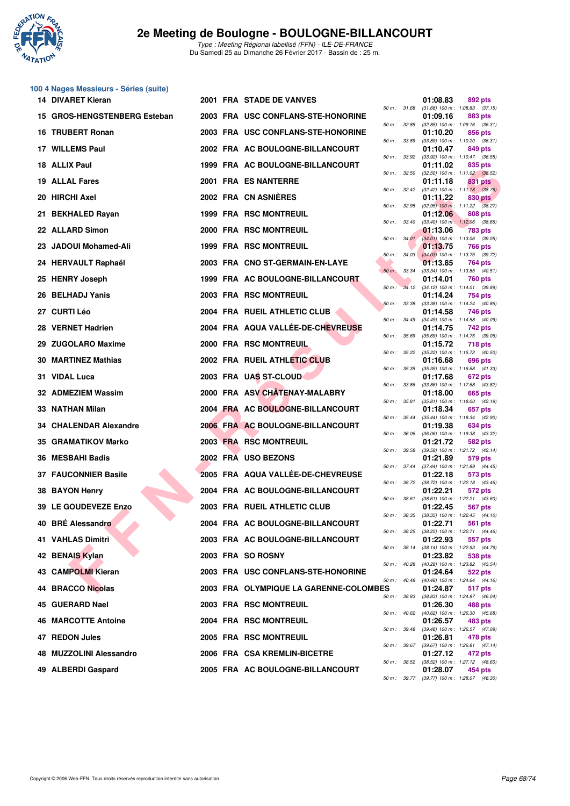

# **100 4 Nages Messieurs - Séries (suite)**

| 14 DIVARET Kieran            |  | 2001 FRA STADE DE VANVES               |              |                  | 01:08.83 | 892 pts                                                 |
|------------------------------|--|----------------------------------------|--------------|------------------|----------|---------------------------------------------------------|
| 15 GROS-HENGSTENBERG Esteban |  | 2003 FRA USC CONFLANS-STE-HONORINE     |              | 50 m : 31.68     | 01:09.16 | $(31.68)$ 100 m : 1:08.83 $(37.15)$<br>883 pts          |
| 16 TRUBERT Ronan             |  | 2003 FRA USC CONFLANS-STE-HONORINE     |              | 50 m : 32.85     | 01:10.20 | $(32.85)$ 100 m : 1:09.16 $(36.31)$<br>856 pts          |
| 17 WILLEMS Paul              |  | 2002 FRA AC BOULOGNE-BILLANCOURT       |              | 50 m : 33.89     | 01:10.47 | $(33.89)$ 100 m : 1:10.20 $(36.31)$<br>849 pts          |
| 18 ALLIX Paul                |  | 1999 FRA AC BOULOGNE-BILLANCOURT       |              | 50 m : 33.92     | 01:11.02 | $(33.92)$ 100 m : 1:10.47 $(36.55)$<br>835 pts          |
| <b>19 ALLAL Fares</b>        |  | 2001 FRA ES NANTERRE                   |              | 50 m : 32.50     | 01:11.18 | $(32.50)$ 100 m : 1:11.02 $(38.52)$<br>831 pts          |
| 20 HIRCHI Axel               |  | 2002 FRA CN ASNIERES                   |              | 50 m: 32.42      | 01:11.22 | $(32.42)$ 100 m : 1:11.18 $(38.76)$<br>830 pts          |
| 21 BEKHALED Rayan            |  | <b>1999 FRA RSC MONTREUIL</b>          |              | 50 m : 32.95     | 01:12.06 | $(32.95)$ 100 m : 1:11.22 $(38.27)$<br>808 pts          |
| 22 ALLARD Simon              |  | 2000 FRA RSC MONTREUIL                 |              | 50 m : 33.40     | 01:13.06 | $(33.40)$ 100 m : 1:12.06 $(38.66)$<br>783 pts          |
| 23 JADOUI Mohamed-Ali        |  | <b>1999 FRA RSC MONTREUIL</b>          |              | 50 m: 34.01      | 01:13.75 | $(34.01)$ 100 m : 1:13.06 $(39.05)$<br>766 pts          |
| 24 HERVAULT Raphaël          |  | 2003 FRA CNO ST-GERMAIN-EN-LAYE        |              | $50 m$ : $34.03$ | 01:13.85 | $(34.03)$ 100 m : 1:13.75 $(39.72)$<br>764 pts          |
| 25 HENRY Joseph              |  | 1999 FRA AC BOULOGNE-BILLANCOURT       | 50 m : 33.34 |                  | 01:14.01 | $(33.34)$ 100 m : 1:13.85 $(40.51)$<br>760 pts          |
| 26 BELHADJ Yanis             |  | 2003 FRA RSC MONTREUIL                 | $50 m$ :     |                  | 01:14.24 | 34.12 (34.12) 100 m: 1:14.01 (39.89)<br>754 pts         |
| 27 CURTI Léo                 |  | 2004 FRA RUEIL ATHLETIC CLUB           |              | 50 m: 33.38      | 01:14.58 | (33.38) 100 m: 1:14.24 (40.86)<br>746 pts               |
| 28 VERNET Hadrien            |  | 2004 FRA AQUA VALLÉE-DE-CHEVREUSE      |              | 50 m : 34.49     |          | $(34.49)$ 100 m : 1:14.58 $(40.09)$                     |
|                              |  |                                        |              | 50 m : 35.69     | 01:14.75 | <b>742 pts</b><br>$(35.69)$ 100 m : 1:14.75 $(39.06)$   |
| 29 ZUGOLARO Maxime           |  | 2000 FRA RSC MONTREUIL                 |              | 50 m : 35.22     | 01:15.72 | <b>718 pts</b><br>$(35.22)$ 100 m : 1:15.72 $(40.50)$   |
| <b>30 MARTINEZ Mathias</b>   |  | 2002 FRA RUEIL ATHLETIC CLUB           |              | 50 m : 35.35     | 01:16.68 | 696 pts<br>$(35.35)$ 100 m : 1:16.68 $(41.33)$          |
| 31 VIDAL Luca                |  | 2003 FRA UAS ST-CLOUD                  |              | 50 m : 33.86     | 01:17.68 | 672 pts<br>(33.86) 100 m: 1:17.68 (43.82)               |
| 32 ADMEZIEM Wassim           |  | 2000 FRA ASV CHATENAY-MALABRY          |              | 50 m : 35.81     | 01:18.00 | 665 pts<br>$(35.81)$ 100 m : 1:18.00 $(42.19)$          |
| 33 NATHAN Milan              |  | 2004 FRA AC BOULOGNE-BILLANCOURT       |              | 50 m : 35.44     | 01:18.34 | 657 pts<br>(35.44) 100 m: 1:18.34 (42.90)               |
| 34 CHALENDAR Alexandre       |  | 2006 FRA AC BOULOGNE-BILLANCOURT       |              | 50 m : 36.06     | 01:19.38 | 634 pts<br>$(36.06)$ 100 m : 1:19.38 $(43.32)$          |
| 35 GRAMATIKOV Marko          |  | 2003 FRA RSC MONTREUIL                 | 50 m : 39.58 |                  | 01:21.72 | 582 pts<br>(39.58) 100 m: 1:21.72 (42.14)               |
| 36 MESBAHI Badis             |  | 2002 FRA USO BEZONS                    |              | 50 m : 37.44     | 01:21.89 | 579 pts<br>$(37.44)$ 100 m : 1:21.89 $(44.45)$          |
| <b>37 FAUCONNIER Basile</b>  |  | 2005 FRA AQUA VALLÉE-DE-CHEVREUSE      |              | 50 m : 38.72     | 01:22.18 | 573 pts<br>$(38.72)$ 100 m : 1:22.18 $(43.46)$          |
| 38 BAYON Henry               |  | 2004 FRA AC BOULOGNE-BILLANCOURT       |              | 50 m : 38.61     | 01:22.21 | 572 pts<br>$(38.61)$ 100 m : 1:22.21 $(43.60)$          |
| 39 LE GOUDEVEZE Enzo         |  | 2003 FRA RUEIL ATHLETIC CLUB           |              | 50 m : 38.35     | 01:22.45 | 567 pts<br>$(38.35)$ 100 m : 1:22.45 $(44.10)$          |
| 40 BRÉ Alessandro            |  | 2004 FRA AC BOULOGNE-BILLANCOURT       |              |                  | 01:22.71 | 561 pts                                                 |
| 41 VAHLAS Dimitri            |  | 2003 FRA AC BOULOGNE-BILLANCOURT       |              |                  | 01:22.93 | 50 m: 38.25 (38.25) 100 m: 1:22.71 (44.46)<br>557 pts   |
| 42 BENAIS Kylan              |  | 2003 FRA SO ROSNY                      |              |                  | 01:23.82 | 50 m: 38.14 (38.14) 100 m: 1:22.93 (44.79)<br>538 pts   |
| 43 CAMPOLMI Kieran           |  | 2003 FRA USC CONFLANS-STE-HONORINE     |              | 50 m : 40.28     | 01:24.64 | (40.28) 100 m: 1:23.82 (43.54)<br>522 pts               |
| 44 BRACCO Nicolas            |  | 2003 FRA OLYMPIQUE LA GARENNE-COLOMBES |              | 50 m : 40.48     | 01:24.87 | (40.48) 100 m: 1:24.64 (44.16)<br>517 pts               |
| 45 GUERARD Nael              |  | 2003 FRA RSC MONTREUIL                 |              | 50 m : 38.83     | 01:26.30 | (38.83) 100 m: 1:24.87 (46.04)<br>488 pts               |
| <b>46 MARCOTTE Antoine</b>   |  | 2004 FRA RSC MONTREUIL                 |              |                  | 01:26.57 | 50 m : 40.62 (40.62) 100 m : 1:26.30 (45.68)<br>483 pts |
| 47 REDON Jules               |  | 2005 FRA RSC MONTREUIL                 |              | 50 m : 39.48     | 01:26.81 | (39.48) 100 m : 1:26.57 (47.09)<br>478 pts              |
| 48 MUZZOLINI Alessandro      |  | 2006 FRA CSA KREMLIN-BICETRE           |              |                  | 01:27.12 | 50 m: 39.67 (39.67) 100 m: 1:26.81 (47.14)<br>472 pts   |
| 49 ALBERDI Gaspard           |  | 2005 FRA AC BOULOGNE-BILLANCOURT       |              |                  | 01:28.07 | 50 m : 38.52 (38.52) 100 m : 1:27.12 (48.60)<br>454 pts |

| 50 m :   | 31.68 | 01:08.83<br>$(31.68) 100 m$ : | 892 pts<br>(37.15)<br>1:08.83        |
|----------|-------|-------------------------------|--------------------------------------|
|          |       | 01:09.16                      | 883 pts                              |
| $50 m$ : | 32.85 | $(32.85)$ 100 m :<br>01:10.20 | 1:09.16<br>(36.31)<br>856 pts        |
| 50 m :   | 33.89 | $(33.89)$ 100 m :             | 1:10.20<br>(36.31)                   |
|          |       | 01:10.47                      | 849 pts                              |
| $50 m$ : | 33.92 | $(33.92)$ 100 m :<br>01:11.02 | 1:10.47<br>(36.55)<br>835 pts        |
| $50 m$ : | 32.50 | $(32.50)$ 100 m :             | 1:11.02<br>(38.52)                   |
| $50 m$ : |       | 01:11.18                      | 831<br>pts<br>1:11.18                |
|          | 32.42 | $(32.42)$ 100 m :<br>01:11.22 | (38.76)<br><b>830 pts</b>            |
| $50 m$ : | 32.95 | $(32.95)$ 100 m :             | 1:11.22<br>(38.27)                   |
| $50 m$ : | 33.40 | 01:12.06<br>$(33.40)$ 100 m : | 808 pts<br>1:12.06<br>(38.66)        |
|          |       | 01:13.06                      | <b>783 pts</b>                       |
| $50 m$ : | 34.01 | $(34.01)$ 100 m :             | 1:13.06<br>(39.05)                   |
| 50 m :   | 34.03 | 01:13.75<br>$(34.03)$ 100 m : | <b>766 pts</b><br>1:13.75<br>(39.72) |
|          |       | 01:13.85                      | 764 pts                              |
| $50 m$ : | 33.34 | $(33.34) 100 m$ :             | 1:13.85<br>(40.51)                   |
| 50 m :   | 34.12 | 01:14.01<br>$(34.12)$ 100 m : | <b>760 pts</b><br>1:14.01<br>(39.89) |
|          |       | 01:14.24                      | <b>754 pts</b>                       |
| $50 m$ : | 33.38 | $(33.38) 100 m$ :             | 1:14.24<br>(40.86)<br>746 pts        |
| $50 m$ : | 34.49 | 01:14.58<br>$(34.49) 100 m$ : | 1:14.58<br>(40.09)                   |
|          |       | 01:14.75                      | 742 pts                              |
| 50 m :   | 35.69 | $(35.69) 100 m$ :<br>01:15.72 | 1:14.75<br>(39.06)<br>718 pts        |
| $50 m$ : | 35.22 | $(35.22)$ 100 m :             | 1:15.72<br>(40.50)                   |
|          |       | 01:16.68                      | 696 pts                              |
| $50 m$ : | 35.35 | $(35.35) 100 m$ :<br>01:17.68 | 1:16.68<br>(41.33)<br>672 pts        |
| 50 m :   | 33.86 | $(33.86) 100 m$ :             | 1:17.68<br>(43.82)                   |
|          |       | 01:18.00                      | 665 pts                              |
| $50 m$ : | 35.81 | $(35.81)$ 100 m :<br>01:18.34 | 1:18.00<br>(42.19)<br>657 pts        |
| $50 m$ : | 35.44 | $(35.44) 100 m$ :             | 1:18.34<br>(42.90)                   |
| 50 m :   | 36.06 | 01:19.38<br>$(36.06)$ 100 m : | 634 pts<br>1:19.38<br>(43.32)        |
|          |       | 01:21.72                      | 582 pts                              |
| 50 m :   | 39.58 | $(39.58) 100 m$ :             | 1:21.72<br>(42.14)                   |
| $50 m$ : | 37.44 | 01:21.89<br>$(37.44) 100 m$ : | 579 pts<br>1:21.89<br>(44.45)        |
|          |       | 01:22.18                      | 573 pts                              |
| 50 m :   | 38.72 | $(38.72) 100 m$ :<br>01:22.21 | 1:22.18<br>(43.46)<br>572 pts        |
| $50 m$ : | 38.61 | $(38.61)$ 100 m :             | 1:22.21<br>(43.60)                   |
|          |       | 01:22.45                      | <b>567 pts</b>                       |
| 50 m :   | 38.35 | $(38.35)$ 100 m :<br>01:22.71 | 1:22.45<br>(44.10)<br>561 pts        |
| $50 m$ : | 38.25 | $(38.25)$ 100 m :             | 1:22.71<br>(44.46)                   |
| $50 m$ : | 38.14 | 01:22.93<br>(38.14) 100 m :   | 557<br>pts<br>1:22.93<br>(44.79)     |
|          |       | 01:23.82                      | 538 pts                              |
| $50 m$ : | 40.28 | (40.28) 100 m :               | 1:23.82<br>(43.54)                   |
| $50 m$ : | 40.48 | 01:24.64<br>$(40.48) 100 m$ : | <b>522 pts</b><br>1:24.64<br>(44.16) |
| ES       |       | 01:24.87                      | 517 pts                              |
| $50 m$ : | 38.83 | $(38.83) 100 m$ :             | 1:24.87<br>(46.04)                   |
| $50 m$ : | 40.62 | 01:26.30<br>(40.62) 100 m :   | <b>488 pts</b><br>1:26.30<br>(45.68) |
|          |       | 01:26.57                      | 483 pts                              |
| $50 m$ : | 39.48 | $(39.48) 100 m$ :<br>01:26.81 | 1:26.57<br>(47.09)<br>478 pts        |
| $50 m$ : | 39.67 | (39.67) 100 m :               | 1:26.81<br>(47.14)                   |
|          |       | 01:27.12                      | 472 pts                              |
| $50 m$ : | 38.52 | $(38.52)$ 100 m :<br>01:28.07 | 1:27.12<br>(48.60)<br>454 pts        |
| 50 m :   | 39.77 | $(39.77) 100 m$ :             | 1:28.07<br>(48.30)                   |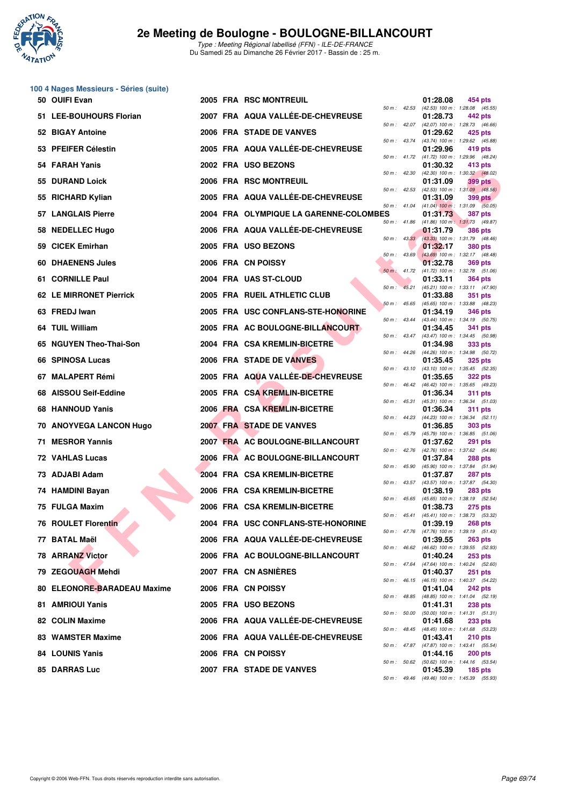

**100 4 Nages Messieurs - Séries (suite)**

| 50 OUIFI Evan               |  | 2005 FRA RSC MONTREUIL                 |          |                             | 01:28.08 | 454 pts                                                                                               |
|-----------------------------|--|----------------------------------------|----------|-----------------------------|----------|-------------------------------------------------------------------------------------------------------|
| 51 LEE-BOUHOURS Florian     |  | 2007 FRA AQUA VALLÉE-DE-CHEVREUSE      |          | 50 m: 42.53                 | 01:28.73 | (42.53) 100 m: 1:28.08 (45.55)<br>442 pts                                                             |
| 52 BIGAY Antoine            |  | 2006 FRA STADE DE VANVES               |          | 50 m : 43.74                | 01:29.62 | 50 m: 42.07 (42.07) 100 m: 1:28.73 (46.66)<br>425 pts                                                 |
| 53 PFEIFER Célestin         |  | 2005 FRA AQUA VALLEE-DE-CHEVREUSE      |          |                             | 01:29.96 | (43.74) 100 m: 1:29.62 (45.88)<br>419 pts                                                             |
| 54 FARAH Yanis              |  | 2002 FRA USO BEZONS                    |          |                             | 01:30.32 | 50 m: 41.72 (41.72) 100 m: 1:29.96 (48.24)<br>413 pts                                                 |
| 55 DURAND Loick             |  | 2006 FRA RSC MONTREUIL                 |          | 50 m: 42.30                 | 01:31.09 | (42.30) 100 m : 1:30.32 (48.02)<br>399 pts                                                            |
| 55 RICHARD Kylian           |  | 2005 FRA AQUA VALLÉE-DE-CHEVREUSE      |          | 50 m: 42.53                 | 01:31.09 | $(42.53)$ 100 m : 1:31.09 $(48.56)$<br><b>399 pts</b>                                                 |
| <b>57 LANGLAIS Pierre</b>   |  | 2004 FRA OLYMPIQUE LA GARENNE-COLOMBES |          | 50 m : 41.04                | 01:31.73 | $(41.04)$ 100 m : 1:31.09 (50.05)<br><b>387 pts</b>                                                   |
| 58 NEDELLEC Hugo            |  | 2006 FRA AQUA VALLÉE-DE-CHEVREUSE      |          | 50 m : 41.86                | 01:31.79 | $(41.86)$ 100 m : 1:31.73 $(49.87)$<br><b>386 pts</b>                                                 |
| 59 CICEK Emirhan            |  | 2005 FRA USO BEZONS                    |          |                             | 01:32.17 | 50 m: 43.33 (43.33) 100 m: 1:31.79 (48.46)<br><b>380 pts</b>                                          |
| <b>60 DHAENENS Jules</b>    |  | 2006 FRA CN POISSY                     |          | $50 m$ : 43.69              | 01:32.78 | (43.69) 100 m: 1:32.17 (48.48)<br><b>369 pts</b>                                                      |
| 61 CORNILLE Paul            |  | 2004 FRA UAS ST-CLOUD                  |          | $50 m$ : 41.72              | 01:33.11 | $(41.72)$ 100 m : 1:32.78 $(51.06)$<br><b>364 pts</b>                                                 |
| 62 LE MIRRONET Pierrick     |  | 2005 FRA RUEIL ATHLETIC CLUB           | $50 m$ : | 45.21                       | 01:33.88 | $(45.21)$ 100 m : 1:33.11 $(47.90)$<br>351 pts                                                        |
| 63 FREDJ Iwan               |  | 2005 FRA USC CONFLANS-STE-HONORINE     |          | $50 m$ : 45.65              | 01:34.19 | (45.65) 100 m: 1:33.88 (48.23)<br><b>346 pts</b>                                                      |
| 64 TUIL William             |  | 2005 FRA AC BOULOGNE-BILLANCOURT       |          | 50 m : 43.44                | 01:34.45 | (43.44) 100 m: 1:34.19 (50.75)<br><b>341 pts</b>                                                      |
| 65 NGUYEN Theo-Thai-Son     |  | 2004 FRA CSA KREMLIN-BICETRE           |          | 50 m : 43.47                | 01:34.98 | (43.47) 100 m: 1:34.45 (50.98)<br><b>333 pts</b>                                                      |
| 66 SPINOSA Lucas            |  | 2006 FRA STADE DE VANVES               |          | 50 m : 44.26                | 01:35.45 | (44.26) 100 m: 1:34.98 (50.72)<br><b>325 pts</b>                                                      |
| 67 MALAPERT Rémi            |  | 2005 FRA AQUA VALLÉE-DE-CHEVREUSE      |          | 50 m: 43.10                 | 01:35.65 | (43.10) 100 m: 1:35.45 (52.35)<br><b>322 pts</b>                                                      |
| <b>AISSOU Seif-Eddine</b>   |  | 2005 FRA CSA KREMLIN-BICETRE           |          | 50 m : 46.42<br>50 m: 45.31 | 01:36.34 | (46.42) 100 m: 1:35.65 (49.23)<br>311 pts                                                             |
| 68 HANNOUD Yanis            |  | 2006 FRA CSA KREMLIN-BICETRE           |          |                             | 01:36.34 | (45.31) 100 m: 1:36.34 (51.03)<br>311 pts                                                             |
| 70 ANOYVEGA LANCON Hugo     |  | 2007 FRA STADE DE VANVES               |          | 50 m: 44.23<br>50 m : 45.79 | 01:36.85 | (44.23) 100 m: 1:36.34 (52.11)<br>303 pts                                                             |
| 71 MESROR Yannis            |  | 2007 FRA AC BOULOGNE-BILLANCOURT       |          | 50 m: 42.76                 | 01:37.62 | $(45.79)$ 100 m : 1:36.85 $(51.06)$<br>291 pts                                                        |
| 72 VAHLAS Lucas             |  | 2006 FRA AC BOULOGNE-BILLANCOURT       |          |                             | 01:37.84 | (42.76) 100 m : 1:37.62 (54.86)<br><b>288 pts</b>                                                     |
| 73 ADJABI Adam              |  | 2004 FRA CSA KREMLIN-BICETRE           |          | 50 m : 45.90                | 01:37.87 | (45.90) 100 m: 1:37.84 (51.94)<br>287 pts                                                             |
| 74 HAMDINI Bayan            |  | 2006 FRA CSA KREMLIN-BICETRE           |          | 50 m: 43.57                 | 01:38.19 | (43.57) 100 m: 1:37.87 (54.30)<br><b>283 pts</b>                                                      |
| 75 FULGA Maxim              |  | 2006 FRA CSA KREMLIN-BICETRE           |          | 50 m : 45.65                | 01:38.73 | (45.65) 100 m: 1:38.19 (52.54)<br>275 pts                                                             |
| 76 ROULET Florentin         |  | 2004 FRA USC CONFLANS-STE-HONORINE     |          | 50 m : 45.41                | 01:39.19 | (45.41) 100 m: 1:38.73 (53.32)<br><b>268 pts</b><br>50 m: 47.76 (47.76) 100 m: 1:39.19 (51.43)        |
| 77 BATAL Maël               |  | 2006 FRA AQUA VALLÉE-DE-CHEVREUSE      |          |                             | 01:39.55 | <b>263 pts</b>                                                                                        |
| 78 ARRANZ Victor            |  | 2006 FRA AC BOULOGNE-BILLANCOURT       |          |                             | 01:40.24 | 50 m: 46.62 (46.62) 100 m: 1:39.55 (52.93)<br>$253$ pts                                               |
| 79 ZEGOUAGH Mehdi           |  | 2007 FRA CN ASNIERES                   |          |                             | 01:40.37 | 50 m: 47.64 (47.64) 100 m: 1:40.24 (52.60)<br>251 pts                                                 |
| 80 ELEONORE-BARADEAU Maxime |  | 2006 FRA CN POISSY                     |          |                             | 01:41.04 | 50 m: 46.15 (46.15) 100 m: 1:40.37 (54.22)<br><b>242 pts</b>                                          |
| 81 AMRIOUI Yanis            |  | 2005 FRA USO BEZONS                    |          |                             | 01:41.31 | 50 m: 48.85 (48.85) 100 m: 1:41.04 (52.19)<br><b>238 pts</b>                                          |
| 82 COLIN Maxime             |  | 2006 FRA AQUA VALLEE-DE-CHEVREUSE      |          | 50 m : 50.00                | 01:41.68 | $(50.00)$ 100 m : 1:41.31 $(51.31)$<br>233 pts                                                        |
| 83 WAMSTER Maxime           |  | 2006 FRA AQUA VALLÉE-DE-CHEVREUSE      |          |                             | 01:43.41 | 50 m: 48.45 (48.45) 100 m: 1:41.68 (53.23)<br><b>210 pts</b>                                          |
| 84 LOUNIS Yanis             |  | 2006 FRA CN POISSY                     |          |                             | 01:44.16 | 50 m: 47.87 (47.87) 100 m: 1:43.41 (55.54)<br><b>200 pts</b>                                          |
| 85 DARRAS Luc               |  | 2007 FRA STADE DE VANVES               |          |                             | 01:45.39 | 50 m: 50.62 (50.62) 100 m: 1:44.16 (53.54)<br>$185$ pts<br>50 m; 49.46 (49.46) 100 m; 1:45.39 (55.93) |
|                             |  |                                        |          |                             |          |                                                                                                       |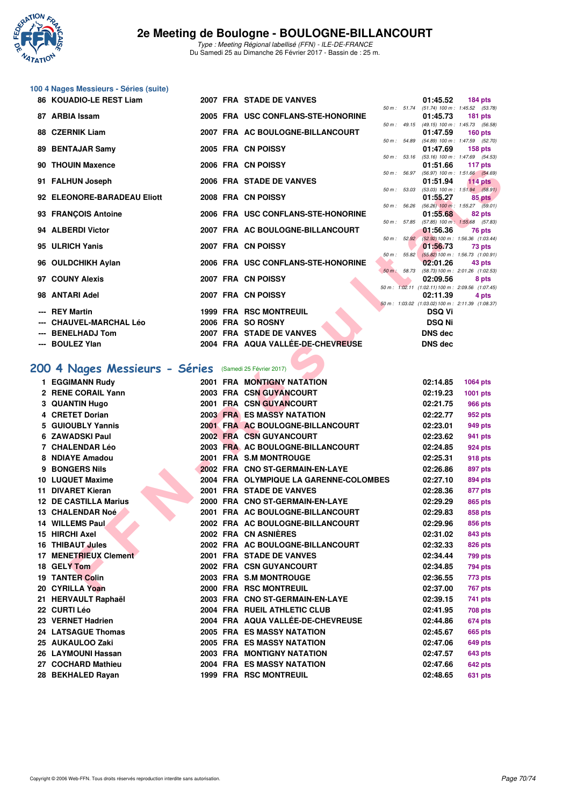

|  | 100 4 Nages Messieurs - Séries (suite) |  |
|--|----------------------------------------|--|
|--|----------------------------------------|--|

| 86 KOUADIO-LE REST Liam     |  | 2007 FRA STADE DE VANVES           |                  | 01:45.52                                               | 184 $pts$      |
|-----------------------------|--|------------------------------------|------------------|--------------------------------------------------------|----------------|
|                             |  |                                    | 50 m: 51.74      | $(51.74)$ 100 m : 1:45.52 $(53.78)$                    |                |
| 87 ARBIA Issam              |  | 2005 FRA USC CONFLANS-STE-HONORINE |                  | 01:45.73                                               | $181$ pts      |
| 88 CZERNIK Liam             |  | 2007 FRA AC BOULOGNE-BILLANCOURT   |                  | 50 m: 49.15 (49.15) 100 m: 1:45.73 (56.58)<br>01:47.59 | $160$ pts      |
|                             |  |                                    | 50 m : 54.89     | $(54.89)$ 100 m : 1:47.59 $(52.70)$                    |                |
| 89 BENTAJAR Samy            |  | 2005 FRA CN POISSY                 |                  | 01:47.69                                               | <b>158 pts</b> |
|                             |  |                                    | 50 m: 53.16      | $(53.16)$ 100 m : 1:47.69 $(54.53)$                    |                |
| 90 THOUIN Maxence           |  | 2006 FRA CN POISSY                 |                  | 01:51.66                                               | 117 pts        |
|                             |  |                                    | $50 m$ : $56.97$ | $(56.97)$ 100 m : 1:51.66 $(54.69)$                    |                |
| 91 FALHUN Joseph            |  | 2006 FRA STADE DE VANVES           |                  | 01:51.94                                               | 114 $pts$      |
| 92 ELEONORE-BARADEAU Eliott |  | 2008 FRA CN POISSY                 | 50 m : 53.03     | $(53.03)$ 100 m : 1:51.94 $(58.91)$<br>01:55.27        |                |
|                             |  |                                    |                  | 50 m : 56.26 (56.26) 100 m : 1:55.27 (59.01)           | 85 pts         |
| 93 FRANÇOIS Antoine         |  | 2006 FRA USC CONFLANS-STE-HONORINE |                  | 01:55.68                                               | 82 pts         |
|                             |  |                                    |                  | 50 m: 57.85 (57.85) 100 m: 1:55.68 (57.83)             |                |
| 94 ALBERDI Victor           |  | 2007 FRA AC BOULOGNE-BILLANCOURT   |                  | 01:56.36                                               | 76 pts         |
|                             |  |                                    | 50 m: 52.92      | (52.92) 100 m: 1:56.36 (1:03.44)                       |                |
| 95 ULRICH Yanis             |  | 2007 FRA CN POISSY                 | $50 m$ : $55.82$ | 01:56.73<br>(55.82) 100 m: 1:56.73 (1:00.91)           | 73 pts         |
| 96 OULDCHIKH Aylan          |  | 2006 FRA USC CONFLANS-STE-HONORINE |                  | 02:01.26                                               | 43 pts         |
|                             |  |                                    |                  | 50 m: 58.73 (58.73) 100 m: 2:01.26 (1:02.53)           |                |
| 97 COUNY Alexis             |  | 2007 FRA CN POISSY                 |                  | 02:09.56                                               | 8 pts          |
|                             |  |                                    |                  | 50 m: 1:02.11 (1:02.11) 100 m: 2:09.56 (1:07.45)       |                |
| 98 ANTARI Adel              |  | 2007 FRA CN POISSY                 |                  | 02:11.39                                               | 4 pts          |
|                             |  |                                    |                  | 50 m: 1:03.02 (1:03.02) 100 m: 2:11.39 (1:08.37)       |                |
| --- REY Martin              |  | <b>1999 FRA RSC MONTREUIL</b>      |                  | <b>DSQ Vi</b>                                          |                |
| --- CHAUVEL-MARCHAL Léo     |  | 2006 FRA SO ROSNY                  |                  | <b>DSQ Ni</b>                                          |                |
| --- BENELHADJ Tom           |  | 2007 FRA STADE DE VANVES           |                  | <b>DNS</b> dec                                         |                |
| --- BOULEZ Ylan             |  | 2004 FRA AQUA VALLÉE-DE-CHEVREUSE  |                  | <b>DNS</b> dec                                         |                |

### **[200 4 Nages Messieurs - Séries](http://www.ffnatation.fr/webffn/resultats.php?idact=nat&go=epr&idcpt=42219&idepr=91)** (Samedi 25 Février 2017)

| <b>JU INDUNIV MAACIILE</b>                             |  | <b><i>LUUU FRA UN FUIJJI</i></b>       |  | <b>UU.IUU</b>  | ີ່ 117 ມ <b>ເ</b> ລ                                       |
|--------------------------------------------------------|--|----------------------------------------|--|----------------|-----------------------------------------------------------|
| 91 FALHUN Joseph                                       |  | 2006 FRA STADE DE VANVES               |  | 01:51.94       | 50 m : 56.97 (56.97) 100 m : 1:51.66 (54.69)<br>$114$ pts |
| 92 ELEONORE-BARADEAU Eliott                            |  | 2008 FRA CN POISSY                     |  | 01:55.27       | 50 m: 53.03 (53.03) 100 m: 1:51.94 (58.91)<br>85 pts      |
| 93 FRANÇOIS Antoine                                    |  | 2006 FRA USC CONFLANS-STE-HONORINE     |  | 01:55.68       | 50 m : 56.26 (56.26) 100 m : 1:55.27 (59.01)<br>82 pts    |
|                                                        |  |                                        |  |                | 50 m: 57.85 (57.85) 100 m: 1:55.68 (57.83)                |
| 94 ALBERDI Victor                                      |  | 2007 FRA AC BOULOGNE-BILLANCOURT       |  | 01:56.36       | 76 pts<br>50 m : 52.92 (52.92) 100 m : 1:56.36 (1:03.44)  |
| 95 ULRICH Yanis                                        |  | 2007 FRA CN POISSY                     |  | 01:56.73       | 73 pts<br>50 m : 55.82 (55.82) 100 m : 1:56.73 (1:00.91)  |
| 96 OULDCHIKH Aylan                                     |  | 2006 FRA USC CONFLANS-STE-HONORINE     |  | 02:01.26       | 43 pts                                                    |
| 97 COUNY Alexis                                        |  | 2007 FRA CN POISSY                     |  | 02:09.56       | 50 m: 58.73 (58.73) 100 m: 2:01.26 (1:02.53)<br>8 pts     |
| 98 ANTARI Adel                                         |  | 2007 FRA CN POISSY                     |  | 02:11.39       | 50 m: 1:02.11 (1:02.11) 100 m: 2:09.56 (1:07.45)<br>4 pts |
| --- REY Martin                                         |  | <b>1999 FRA RSC MONTREUIL</b>          |  |                | 50 m: 1:03.02 (1:03.02) 100 m: 2:11.39 (1:08.37)          |
|                                                        |  |                                        |  | DSQ Vi         |                                                           |
| --- CHAUVEL-MARCHAL Léo                                |  | 2006 FRA SO ROSNY                      |  | <b>DSQ Ni</b>  |                                                           |
| --- BENELHADJ Tom                                      |  | 2007 FRA STADE DE VANVES               |  | <b>DNS dec</b> |                                                           |
| --- BOULEZ Ylan                                        |  | 2004 FRA AQUA VALLÉE-DE-CHEVREUSE      |  | <b>DNS dec</b> |                                                           |
| 00 4 Nages Messieurs - Séries (Samedi 25 Février 2017) |  |                                        |  |                |                                                           |
|                                                        |  |                                        |  |                |                                                           |
| 1 EGGIMANN Rudy                                        |  | 2001 FRA MONTIGNY NATATION             |  | 02:14.85       | <b>1064 pts</b>                                           |
| 2 RENE CORAIL Yann                                     |  | 2003 FRA CSN GUYANCOURT                |  | 02:19.23       | 1001 pts                                                  |
| <b>3 QUANTIN Hugo</b>                                  |  | 2001 FRA CSN GUYANCOURT                |  | 02:21.75       | 966 pts                                                   |
| 4 CRETET Dorian                                        |  | <b>2003 FRA ES MASSY NATATION</b>      |  | 02:22.77       | 952 pts                                                   |
| 5 GUIOUBLY Yannis                                      |  | 2001 FRA AC BOULOGNE-BILLANCOURT       |  | 02:23.01       | 949 pts                                                   |
| 6 ZAWADSKI Paul                                        |  | 2002 FRA CSN GUYANCOURT                |  | 02:23.62       | 941 pts                                                   |
| 7 CHALENDAR Léo                                        |  | 2003 FRA AC BOULOGNE-BILLANCOURT       |  | 02:24.85       | 924 pts                                                   |
| 8 NDIAYE Amadou                                        |  | 2001 FRA S.M MONTROUGE                 |  | 02:25.31       | 918 pts                                                   |
| 9 BONGERS Nils                                         |  | 2002 FRA CNO ST-GERMAIN-EN-LAYE        |  | 02:26.86       | 897 pts                                                   |
| 10 LUQUET Maxime                                       |  | 2004 FRA OLYMPIQUE LA GARENNE-COLOMBES |  | 02:27.10       | 894 pts                                                   |
| 11 DIVARET Kieran                                      |  | 2001 FRA STADE DE VANVES               |  | 02:28.36       | 877 pts                                                   |
| <b>12 DE CASTILLA Marius</b>                           |  | 2000 FRA CNO ST-GERMAIN-EN-LAYE        |  | 02:29.29       | 865 pts                                                   |
| <b>13 CHALENDAR Noé</b>                                |  | 2001 FRA AC BOULOGNE-BILLANCOURT       |  | 02:29.83       | 858 pts                                                   |
| 14 WILLEMS Paul                                        |  | 2002 FRA AC BOULOGNE-BILLANCOURT       |  | 02:29.96       | 856 pts                                                   |
| 15 HIRCHI Axel                                         |  | 2002 FRA CN ASNIERES                   |  | 02:31.02       | 843 pts                                                   |
| 16 THIBAUT Jules                                       |  | 2002 FRA AC BOULOGNE-BILLANCOURT       |  | 02:32.33       | 826 pts                                                   |
| 17 MENETRIEUX Clement                                  |  | 2001 FRA STADE DE VANVES               |  | 02:34.44       | 799 pts                                                   |
| 18 GELY Tom                                            |  | 2002 FRA CSN GUYANCOURT                |  | 02:34.85       | 794 pts                                                   |
| 19 TANTER Colin                                        |  | 2003 FRA S.M MONTROUGE                 |  | 02:36.55       | 773 pts                                                   |
| 20   CYRILLA Yoan                                      |  | 2000 FRA RSC MONTREUIL                 |  | 02:37.00       | 767 pts                                                   |
| 21 HERVAULT Raphaël                                    |  | 2003 FRA CNO ST-GERMAIN-EN-LAYE        |  | 02:39.15       | 741 pts                                                   |
| 22 CURTI Léo                                           |  | 2004 FRA RUEIL ATHLETIC CLUB           |  | 02:41.95       | 708 pts                                                   |
| 23 VERNET Hadrien                                      |  | 2004 FRA AQUA VALLEE-DE-CHEVREUSE      |  | 02:44.86       | 674 pts                                                   |
| 24 LATSAGUE Thomas                                     |  | 2005 FRA ES MASSY NATATION             |  | 02:45.67       | 665 pts                                                   |
| 25 AUKAULOO Zaki                                       |  | <b>2005 FRA ES MASSY NATATION</b>      |  | 02:47.06       | <b>649 pts</b>                                            |
| 26 LAYMOUNI Hassan                                     |  | <b>2003 FRA MONTIGNY NATATION</b>      |  | 02:47.57       | 643 pts                                                   |
| 27 COCHARD Mathieu                                     |  | <b>2004 FRA ES MASSY NATATION</b>      |  | 02:47.66       | 642 pts                                                   |
| 28 BEKHALED Rayan                                      |  | 1999 FRA RSC MONTREUIL                 |  | 02:48.65       | 631 pts                                                   |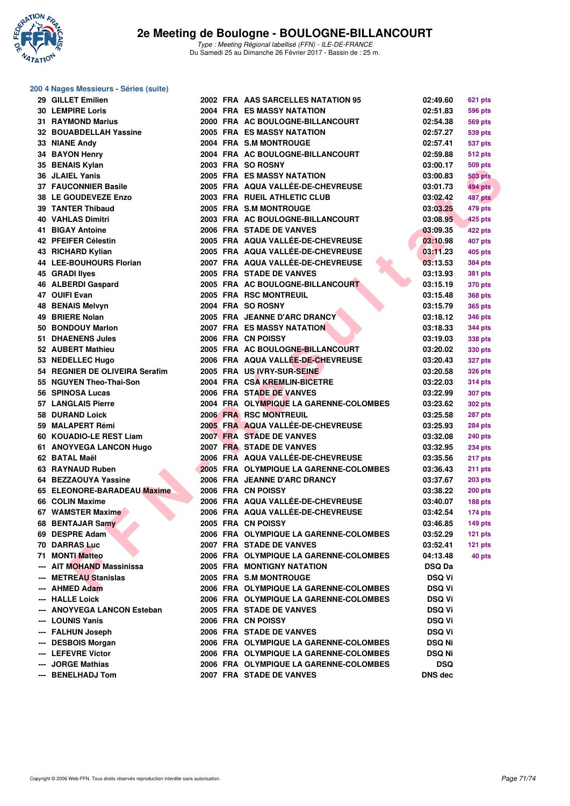

### **200 4 Nages Messieurs - Séries (suite)**

| 29 GILLET Emilien                              |  | 2002 FRA AAS SARCELLES NATATION 95                                          | 02:49.60                       | 621 pts        |
|------------------------------------------------|--|-----------------------------------------------------------------------------|--------------------------------|----------------|
| <b>30 LEMPIRE Loris</b>                        |  | <b>2004 FRA ES MASSY NATATION</b>                                           | 02:51.83                       | 596 pts        |
| <b>31 RAYMOND Marius</b>                       |  | 2000 FRA AC BOULOGNE-BILLANCOURT                                            | 02:54.38                       | <b>569 pts</b> |
| 32 BOUABDELLAH Yassine                         |  | 2005 FRA ES MASSY NATATION                                                  | 02:57.27                       | 539 pts        |
| 33 NIANE Andy                                  |  | 2004 FRA S.M MONTROUGE                                                      | 02:57.41                       | 537 pts        |
| 34 BAYON Henry                                 |  | 2004 FRA AC BOULOGNE-BILLANCOURT                                            | 02:59.88                       | 512 pts        |
| 35 BENAIS Kylan                                |  | 2003 FRA SO ROSNY                                                           | 03:00.17                       | <b>509 pts</b> |
| 36 JLAIEL Yanis                                |  | 2005 FRA ES MASSY NATATION                                                  | 03:00.83                       | <b>503 pts</b> |
| <b>37 FAUCONNIER Basile</b>                    |  | 2005 FRA AQUA VALLÉE-DE-CHEVREUSE                                           | 03:01.73                       | <b>494 pts</b> |
| 38 LE GOUDEVEZE Enzo                           |  | 2003 FRA RUEIL ATHLETIC CLUB                                                | 03:02.42                       | 487 pts        |
| <b>39 TANTER Thibaud</b>                       |  | 2005 FRA S.M MONTROUGE                                                      | 03:03.25                       | 479 pts        |
| <b>40 VAHLAS Dimitri</b>                       |  | 2003 FRA AC BOULOGNE-BILLANCOURT                                            | 03:08.95                       | 425 pts        |
| <b>41 BIGAY Antoine</b>                        |  | 2006 FRA STADE DE VANVES                                                    | 03:09.35                       | 422 pts        |
| 42 PFEIFER Célestin                            |  | 2005 FRA AQUA VALLÉE-DE-CHEVREUSE                                           | 03:10.98                       | <b>407 pts</b> |
| 43 RICHARD Kylian                              |  | 2005 FRA AQUA VALLÉE-DE-CHEVREUSE                                           | 03:11.23                       | <b>405 pts</b> |
| 44 LEE-BOUHOURS Florian                        |  | 2007 FRA AQUA VALLÉE-DE-CHEVREUSE                                           | 03:13.53                       | 384 pts        |
| 45 GRADI llyes                                 |  | 2005 FRA STADE DE VANVES                                                    | 03:13.93                       | 381 pts        |
| 46 ALBERDI Gaspard                             |  | 2005 FRA AC BOULOGNE-BILLANCOURT                                            | 03:15.19                       | 370 pts        |
| 47 OUIFI Evan                                  |  | 2005 FRA RSC MONTREUIL                                                      | 03:15.48                       | 368 pts        |
| <b>48 BENAIS Melvyn</b>                        |  | 2004 FRA SO ROSNY                                                           | 03:15.79                       | 365 pts        |
| 49 BRIERE Nolan                                |  | 2005 FRA JEANNE D'ARC DRANCY                                                | 03:18.12                       | 346 pts        |
| 50 BONDOUY Marlon                              |  | <b>2007 FRA ES MASSY NATATION</b>                                           | 03:18.33                       | 344 pts        |
| 51 DHAENENS Jules                              |  | 2006 FRA CN POISSY                                                          | 03:19.03                       | 338 pts        |
| 52 AUBERT Mathieu                              |  | 2005 FRA AC BOULOGNE-BILLANCOURT                                            | 03:20.02                       | 330 pts        |
| 53 NEDELLEC Hugo                               |  | 2006 FRA AQUA VALLÉE-DE-CHEVREUSE                                           | 03:20.43                       | 327 pts        |
| 54 REGNIER DE OLIVEIRA Serafim                 |  | 2005 FRA US IVRY-SUR-SEINE                                                  | 03:20.58                       | 326 pts        |
| 55 NGUYEN Theo-Thai-Son                        |  | 2004 FRA CSA KREMLIN-BICETRE                                                | 03:22.03                       | 314 pts        |
| 56 SPINOSA Lucas                               |  | 2006 FRA STADE DE VANVES                                                    | 03:22.99                       | 307 pts        |
| <b>57 LANGLAIS Pierre</b>                      |  | 2004 FRA OLYMPIQUE LA GARENNE-COLOMBES                                      | 03:23.62                       | 302 pts        |
| 58 DURAND Loick                                |  | 2006 FRA RSC MONTREUIL                                                      | 03:25.58                       | 287 pts        |
| 59 MALAPERT Rémi                               |  | 2005 FRA AQUA VALLÉE-DE-CHEVREUSE                                           | 03:25.93                       | 284 pts        |
| 60 KOUADIO-LE REST Liam                        |  | 2007 FRA STADE DE VANVES                                                    | 03:32.08                       | 240 pts        |
| 61 ANOYVEGA LANCON Hugo                        |  | 2007 FRA STADE DE VANVES                                                    | 03:32.95                       | 234 pts        |
| 62 BATAL Maël                                  |  | 2006 FRA AQUA VALLÉE-DE-CHEVREUSE                                           | 03:35.56                       | 217 pts        |
| 63 RAYNAUD Ruben                               |  | 2005 FRA OLYMPIQUE LA GARENNE-COLOMBES                                      | 03:36.43                       | 211 pts        |
| 64 BEZZAOUYA Yassine                           |  | 2006 FRA JEANNE D'ARC DRANCY                                                | 03:37.67                       | 203 pts        |
| 65 ELEONORE-BARADEAU Maxime                    |  | 2006 FRA CN POISSY                                                          | 03:38.22                       | <b>200 pts</b> |
| 66 COLIN Maxime                                |  | 2006 FRA AQUA VALLÉE-DE-CHEVREUSE                                           | 03:40.07                       |                |
| 67 WAMSTER Maxime                              |  | 2006 FRA AQUA VALLÉE-DE-CHEVREUSE                                           | 03:42.54                       | 188 pts        |
|                                                |  | 2005 FRA CN POISSY                                                          | 03:46.85                       | <b>174 pts</b> |
| 68 BENTAJAR Samy<br>69 DESPRE Adam             |  |                                                                             |                                | $149$ pts      |
| 70 DARRAS Luc                                  |  | 2006 FRA OLYMPIQUE LA GARENNE-COLOMBES<br>2007 FRA STADE DE VANVES          | 03:52.29                       | $121$ pts      |
|                                                |  |                                                                             | 03:52.41<br>04:13.48           | 121 pts        |
| 71 MONTI Matteo<br>--- AIT MOHAND Massinissa   |  | 2006 FRA OLYMPIQUE LA GARENNE-COLOMBES<br><b>2005 FRA MONTIGNY NATATION</b> | <b>DSQ Da</b>                  | 40 pts         |
| --- METREAU Stanislas                          |  | 2005 FRA S.M MONTROUGE                                                      |                                |                |
| --- AHMED Adam                                 |  |                                                                             | <b>DSQ Vi</b>                  |                |
|                                                |  | 2006 FRA OLYMPIQUE LA GARENNE-COLOMBES                                      | <b>DSQ Vi</b>                  |                |
| --- HALLE Loick<br>--- ANOYVEGA LANCON Esteban |  | 2006 FRA OLYMPIQUE LA GARENNE-COLOMBES<br>2005 FRA STADE DE VANVES          | <b>DSQ Vi</b><br><b>DSQ Vi</b> |                |
| --- LOUNIS Yanis                               |  | 2006 FRA CN POISSY                                                          |                                |                |
| --- FALHUN Joseph                              |  | 2006 FRA STADE DE VANVES                                                    | <b>DSQ Vi</b><br><b>DSQ Vi</b> |                |
| --- DESBOIS Morgan                             |  | 2006 FRA OLYMPIQUE LA GARENNE-COLOMBES                                      |                                |                |
| --- LEFEVRE Victor                             |  | 2006 FRA OLYMPIQUE LA GARENNE-COLOMBES                                      | <b>DSQ Ni</b>                  |                |
| --- JORGE Mathias                              |  | 2006 FRA OLYMPIQUE LA GARENNE-COLOMBES                                      | <b>DSQ Ni</b><br><b>DSQ</b>    |                |
| --- BENELHADJ Tom                              |  | 2007 FRA STADE DE VANVES                                                    | <b>DNS</b> dec                 |                |
|                                                |  |                                                                             |                                |                |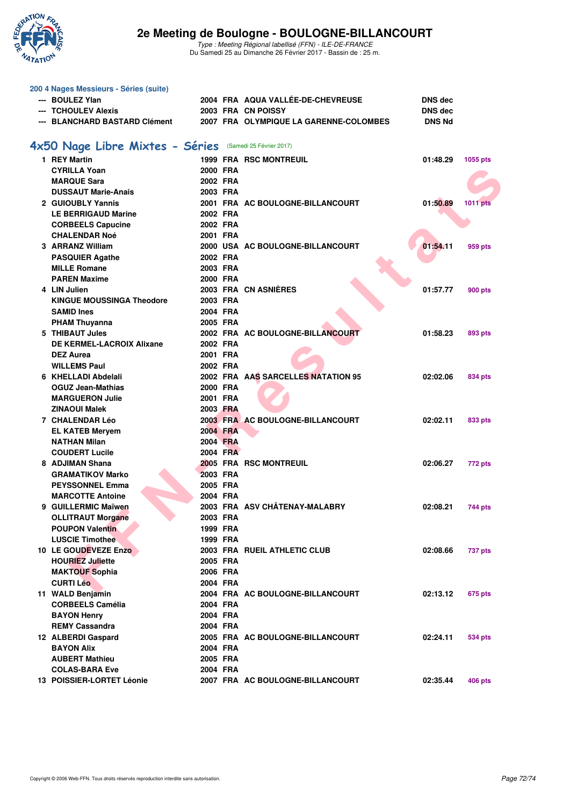

| 200 4 Nages Messieurs - Séries (suite)                   |          |                                        |                |                 |
|----------------------------------------------------------|----------|----------------------------------------|----------------|-----------------|
| --- BOULEZ Ylan                                          |          | 2004 FRA AQUA VALLÉE-DE-CHEVREUSE      | <b>DNS</b> dec |                 |
| --- TCHOULEV Alexis                                      |          | 2003 FRA CN POISSY                     | <b>DNS dec</b> |                 |
| --- BLANCHARD BASTARD Clément                            |          | 2007 FRA OLYMPIQUE LA GARENNE-COLOMBES | <b>DNS Nd</b>  |                 |
| 4x50 Nage Libre Mixtes - Séries (Samedi 25 Février 2017) |          |                                        |                |                 |
| 1 REY Martin                                             |          | <b>1999 FRA RSC MONTREUIL</b>          | 01:48.29       | 1055 pts        |
| <b>CYRILLA Yoan</b>                                      | 2000 FRA |                                        |                |                 |
| <b>MARQUE Sara</b>                                       | 2002 FRA |                                        |                |                 |
| <b>DUSSAUT Marie-Anais</b>                               | 2003 FRA |                                        |                |                 |
| 2 GUIOUBLY Yannis                                        |          | 2001 FRA AC BOULOGNE-BILLANCOURT       | 01:50.89       | <b>1011 pts</b> |
| <b>LE BERRIGAUD Marine</b>                               | 2002 FRA |                                        |                |                 |
| <b>CORBEELS Capucine</b>                                 | 2002 FRA |                                        |                |                 |
| <b>CHALENDAR Noé</b>                                     | 2001 FRA |                                        |                |                 |
| 3 ARRANZ William                                         |          | 2000 USA AC BOULOGNE-BILLANCOURT       | 01:54.11       | 959 pts         |
| <b>PASQUIER Agathe</b>                                   | 2002 FRA |                                        |                |                 |
| <b>MILLE Romane</b>                                      | 2003 FRA |                                        |                |                 |
| <b>PAREN Maxime</b>                                      | 2000 FRA |                                        |                |                 |
| 4 LIN Julien                                             |          | 2003 FRA CN ASNIERES                   | 01:57.77       | <b>900 pts</b>  |
| <b>KINGUE MOUSSINGA Theodore</b>                         | 2003 FRA |                                        |                |                 |
| <b>SAMID Ines</b>                                        | 2004 FRA |                                        |                |                 |
| <b>PHAM Thuyanna</b>                                     | 2005 FRA |                                        |                |                 |
| 5 THIBAUT Jules                                          |          | 2002 FRA AC BOULOGNE-BILLANCOURT       | 01:58.23       | 893 pts         |
| DE KERMEL-LACROIX Alixane                                | 2002 FRA |                                        |                |                 |
| <b>DEZ Aurea</b>                                         | 2001 FRA |                                        |                |                 |
| <b>WILLEMS Paul</b>                                      | 2002 FRA |                                        |                |                 |
| 6 KHELLADI Abdelali                                      |          | 2002 FRA AAS SARCELLES NATATION 95     | 02:02.06       | 834 pts         |
| <b>OGUZ Jean-Mathias</b>                                 | 2000 FRA |                                        |                |                 |
| <b>MARGUERON Julie</b>                                   | 2001 FRA |                                        |                |                 |
| <b>ZINAOUI Malek</b>                                     | 2003 FRA |                                        |                |                 |
| 7 CHALENDAR Léo                                          |          | 2003 FRA AC BOULOGNE-BILLANCOURT       | 02:02.11       | 833 pts         |
| <b>EL KATEB Meryem</b>                                   | 2004 FRA |                                        |                |                 |
| <b>NATHAN Milan</b>                                      | 2004 FRA |                                        |                |                 |
| <b>COUDERT Lucile</b>                                    | 2004 FRA |                                        |                |                 |
| 8 ADJIMAN Shana                                          |          | 2005 FRA RSC MONTREUIL                 | 02:06.27       | 772 pts         |
| <b>GRAMATIKOV Marko</b>                                  | 2003 FRA |                                        |                |                 |
| <b>PEYSSONNEL Emma</b>                                   | 2005 FRA |                                        |                |                 |
| <b>MARCOTTE Antoine</b>                                  | 2004 FRA |                                        |                |                 |
| 9 GUILLERMIC Maïwen                                      |          | 2003 FRA ASV CHÂTENAY-MALABRY          | 02:08.21       | 744 pts         |
| <b>OLLITRAUT Morgane</b>                                 | 2003 FRA |                                        |                |                 |
| <b>POUPON Valentin</b>                                   | 1999 FRA |                                        |                |                 |
| <b>LUSCIE Timothee</b>                                   | 1999 FRA |                                        |                |                 |
| 10 LE GOUDEVEZE Enzo                                     |          | 2003 FRA RUEIL ATHLETIC CLUB           | 02:08.66       | <b>737 pts</b>  |
| <b>HOURIEZ Juliette</b>                                  | 2005 FRA |                                        |                |                 |
| <b>MAKTOUF Sophia</b>                                    | 2006 FRA |                                        |                |                 |
| <b>CURTI Léo</b>                                         | 2004 FRA |                                        |                |                 |
| 11 WALD Benjamin                                         |          | 2004 FRA AC BOULOGNE-BILLANCOURT       | 02:13.12       | 675 pts         |
| <b>CORBEELS Camélia</b>                                  | 2004 FRA |                                        |                |                 |
| <b>BAYON Henry</b>                                       | 2004 FRA |                                        |                |                 |
| <b>REMY Cassandra</b>                                    | 2004 FRA |                                        |                |                 |
| 12 ALBERDI Gaspard                                       |          | 2005 FRA AC BOULOGNE-BILLANCOURT       | 02:24.11       | 534 pts         |
| <b>BAYON Alix</b>                                        | 2004 FRA |                                        |                |                 |
| <b>AUBERT Mathieu</b>                                    | 2005 FRA |                                        |                |                 |
| <b>COLAS-BARA Eve</b>                                    | 2004 FRA |                                        |                |                 |
| 13 POISSIER-LORTET Léonie                                |          | 2007 FRA AC BOULOGNE-BILLANCOURT       | 02:35.44       | 406 pts         |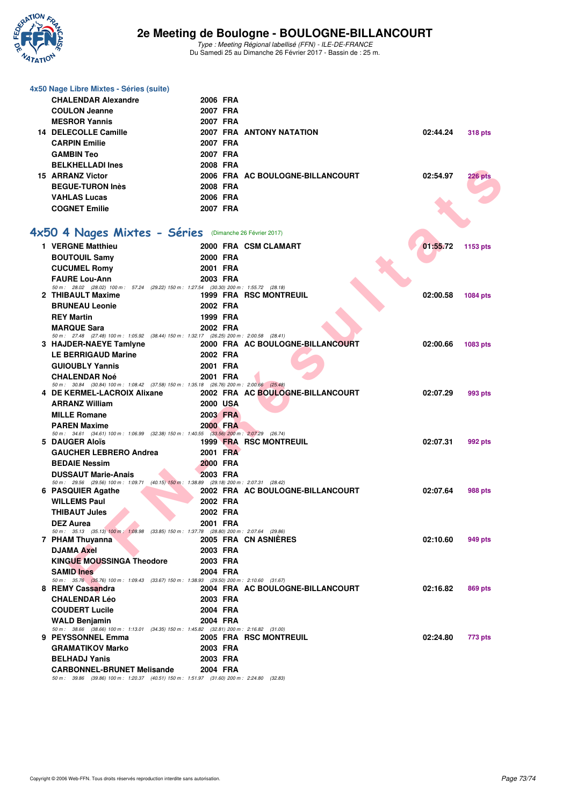

Type : Meeting Régional labellisé (FFN) - ILE-DE-FRANCE Du Samedi 25 au Dimanche 26 Février 2017 - Bassin de : 25 m.

| 4x50 Nage Libre Mixtes - Séries (suite)                                                                              |                      |                                  |                            |
|----------------------------------------------------------------------------------------------------------------------|----------------------|----------------------------------|----------------------------|
| <b>CHALENDAR Alexandre</b>                                                                                           | 2006 FRA             |                                  |                            |
| <b>COULON Jeanne</b>                                                                                                 | 2007 FRA             |                                  |                            |
| <b>MESROR Yannis</b>                                                                                                 | 2007 FRA             |                                  |                            |
| 14 DELECOLLE Camille                                                                                                 |                      | <b>2007 FRA ANTONY NATATION</b>  | 02:44.24<br><b>318 pts</b> |
| <b>CARPIN Emilie</b>                                                                                                 | 2007 FRA             |                                  |                            |
| <b>GAMBIN Teo</b>                                                                                                    | 2007 FRA             |                                  |                            |
| <b>BELKHELLADI Ines</b>                                                                                              | 2008 FRA             |                                  |                            |
| <b>15 ARRANZ Victor</b>                                                                                              |                      | 2006 FRA AC BOULOGNE-BILLANCOURT | 02:54.97<br><b>226 pts</b> |
| <b>BEGUE-TURON Inès</b>                                                                                              | 2008 FRA             |                                  |                            |
| <b>VAHLAS Lucas</b>                                                                                                  | 2006 FRA             |                                  |                            |
| <b>COGNET Emilie</b>                                                                                                 | 2007 FRA             |                                  |                            |
| 4x50 4 Nages Mixtes - Séries (Dimanche 26 Février 2017)                                                              |                      |                                  |                            |
| 1 VERGNE Matthieu                                                                                                    |                      | 2000 FRA CSM CLAMART             | 01:55.72<br>1153 pts       |
| <b>BOUTOUIL Samy</b>                                                                                                 | 2000 FRA             |                                  |                            |
| <b>CUCUMEL Romy</b>                                                                                                  | 2001 FRA             |                                  |                            |
| <b>FAURE Lou-Ann</b>                                                                                                 | 2003 FRA             |                                  |                            |
| 50 m: 28.02 (28.02) 100 m: 57.24 (29.22) 150 m: 1:27.54 (30.30) 200 m: 1:55.72 (28.18)                               |                      |                                  |                            |
| 2 THIBAULT Maxime                                                                                                    |                      | <b>1999 FRA RSC MONTREUIL</b>    | 02:00.58<br>1084 pts       |
| <b>BRUNEAU Leonie</b><br><b>REY Martin</b>                                                                           | 2002 FRA<br>1999 FRA |                                  |                            |
| <b>MARQUE Sara</b>                                                                                                   | 2002 FRA             |                                  |                            |
| 50 m: 27.48 (27.48) 100 m: 1:05.92 (38.44) 150 m: 1:32.17 (26.25) 200 m: 2:00.58 (28.41)                             |                      |                                  |                            |
| 3 HAJDER-NAEYE Tamlyne                                                                                               |                      | 2000 FRA AC BOULOGNE-BILLANCOURT | 02:00.66<br>1083 pts       |
| <b>LE BERRIGAUD Marine</b>                                                                                           | 2002 FRA             |                                  |                            |
| <b>GUIOUBLY Yannis</b>                                                                                               | 2001 FRA             |                                  |                            |
| <b>CHALENDAR Noé</b><br>50 m : 30.84 (30.84) 100 m : 1:08.42 (37.58) 150 m : 1:35.18 (26.76) 200 m : 2:00.66 (25.48) | 2001 FRA             |                                  |                            |
| 4 DE KERMEL-LACROIX Alixane                                                                                          |                      | 2002 FRA AC BOULOGNE-BILLANCOURT | 02:07.29<br>993 pts        |
| <b>ARRANZ William</b>                                                                                                | <b>2000 USA</b>      |                                  |                            |
| <b>MILLE Romane</b>                                                                                                  | 2003 FRA             |                                  |                            |
| <b>PAREN Maxime</b>                                                                                                  | 2000 FRA             |                                  |                            |
| 50 m: 34.61 (34.61) 100 m: 1:06.99 (32.38) 150 m: 1:40.55 (33.56) 200 m: 2:07.29 (26.74)                             |                      |                                  |                            |
| 5 DAUGER Aloïs<br><b>GAUCHER LEBRERO Andrea</b>                                                                      | 2001 FRA             | <b>1999 FRA RSC MONTREUIL</b>    | 02:07.31<br>992 pts        |
| <b>BEDAIE Nessim</b>                                                                                                 | 2000 FRA             |                                  |                            |
| <b>DUSSAUT Marie-Anais</b>                                                                                           | 2003 FRA             |                                  |                            |
| 50 m: 29.56 (29.56) 100 m: 1:09.71 (40.15) 150 m: 1:38.89 (29.18) 200 m: 2:07.31 (28.42)                             |                      |                                  |                            |
| 6 PASQUIER Agathe                                                                                                    |                      | 2002 FRA AC BOULOGNE-BILLANCOURT | 02:07.64<br>988 pts        |
| <b>WILLEMS Paul</b>                                                                                                  | 2002 FRA             |                                  |                            |
| $\sim$ $\sim$<br><b>THIBAUT Jules</b>                                                                                | 2002 FRA             |                                  |                            |
| <b>DEZ Aurea</b>                                                                                                     | 2001 FRA             |                                  |                            |
| 50 m: 35.13 (35.13) 100 m: 1:08.98 (33.85) 150 m: 1:37.78 (28.80) 200 m: 2:07.64 (29.86)<br>7 PHAM Thuyanna          |                      | 2005 FRA CN ASNIERES             | 02:10.60<br>949 pts        |
| <b>DJAMA Axel</b>                                                                                                    | 2003 FRA             |                                  |                            |
| <b>KINGUE MOUSSINGA Theodore</b>                                                                                     | 2003 FRA             |                                  |                            |
| <b>SAMID Ines</b>                                                                                                    | 2004 FRA             |                                  |                            |
| 50 m: 35.76 (35.76) 100 m: 1:09.43 (33.67) 150 m: 1:38.93 (29.50) 200 m: 2:10.60 (31.67)                             |                      |                                  |                            |
| 8 REMY Cassandra                                                                                                     |                      | 2004 FRA AC BOULOGNE-BILLANCOURT | 02:16.82<br>869 pts        |
| <b>CHALENDAR Léo</b><br><b>COUDERT Lucile</b>                                                                        | 2003 FRA<br>2004 FRA |                                  |                            |
| <b>WALD Benjamin</b>                                                                                                 | 2004 FRA             |                                  |                            |
| 50 m: 38.66 (38.66) 100 m: 1:13.01 (34.35) 150 m: 1:45.82 (32.81) 200 m: 2:16.82 (31.00)                             |                      |                                  |                            |
| 9 PEYSSONNEL Emma                                                                                                    |                      | 2005 FRA RSC MONTREUIL           | 02:24.80<br>773 pts        |
| <b>GRAMATIKOV Marko</b>                                                                                              | 2003 FRA             |                                  |                            |
| <b>BELHADJ Yanis</b>                                                                                                 | 2003 FRA             |                                  |                            |
| <b>CARBONNEL-BRUNET Melisande</b>                                                                                    | 2004 FRA             |                                  |                            |
| 50 m: 39.86 (39.86) 100 m: 1:20.37 (40.51) 150 m: 1:51.97 (31.60) 200 m: 2:24.80 (32.83)                             |                      |                                  |                            |